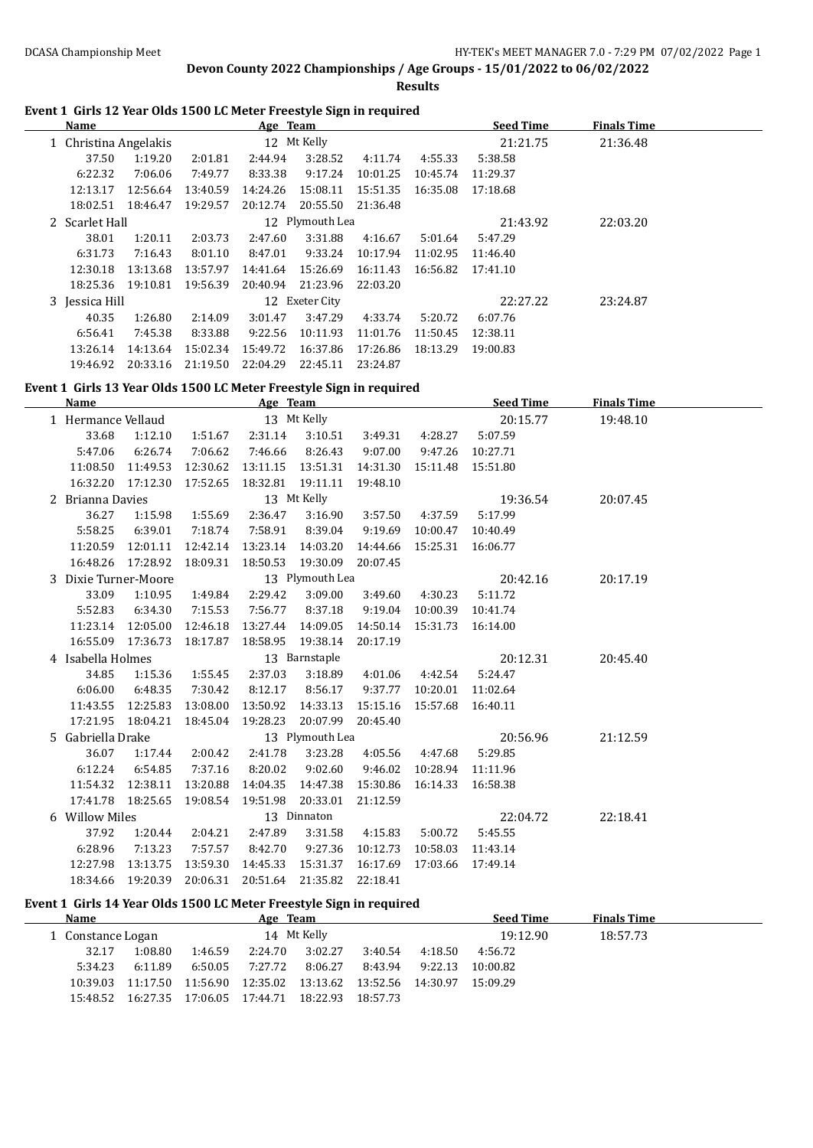**Results**

### **Event 1 Girls 12 Year Olds 1500 LC Meter Freestyle Sign in required**

| Name           |                                      |          | Age Team |                 |          |          | <b>Seed Time</b> | <b>Finals Time</b> |  |
|----------------|--------------------------------------|----------|----------|-----------------|----------|----------|------------------|--------------------|--|
|                | 12 Mt Kelly<br>1 Christina Angelakis |          |          |                 |          |          | 21:21.75         | 21:36.48           |  |
| 37.50          | 1:19.20                              | 2:01.81  | 2:44.94  | 3:28.52         | 4:11.74  | 4:55.33  | 5:38.58          |                    |  |
| 6:22.32        | 7:06.06                              | 7:49.77  | 8:33.38  | 9:17.24         | 10:01.25 | 10:45.74 | 11:29.37         |                    |  |
| 12:13.17       | 12:56.64                             | 13:40.59 | 14:24.26 | 15:08.11        | 15:51.35 | 16:35.08 | 17:18.68         |                    |  |
| 18:02.51       | 18:46.47                             | 19:29.57 | 20:12.74 | 20:55.50        | 21:36.48 |          |                  |                    |  |
| 2 Scarlet Hall |                                      |          |          | 12 Plymouth Lea |          |          | 21:43.92         | 22:03.20           |  |
| 38.01          | 1:20.11                              | 2:03.73  | 2:47.60  | 3:31.88         | 4:16.67  | 5:01.64  | 5:47.29          |                    |  |
| 6:31.73        | 7:16.43                              | 8:01.10  | 8:47.01  | 9:33.24         | 10:17.94 | 11:02.95 | 11:46.40         |                    |  |
| 12:30.18       | 13:13.68                             | 13:57.97 | 14:41.64 | 15:26.69        | 16:11.43 | 16:56.82 | 17:41.10         |                    |  |
| 18:25.36       | 19:10.81                             | 19:56.39 | 20:40.94 | 21:23.96        | 22:03.20 |          |                  |                    |  |
| 3 Jessica Hill |                                      |          |          | 12 Exeter City  |          |          | 22:27.22         | 23:24.87           |  |
| 40.35          | 1:26.80                              | 2:14.09  | 3:01.47  | 3:47.29         | 4:33.74  | 5:20.72  | 6:07.76          |                    |  |
| 6:56.41        | 7:45.38                              | 8:33.88  | 9:22.56  | 10:11.93        | 11:01.76 | 11:50.45 | 12:38.11         |                    |  |
| 13:26.14       | 14:13.64                             | 15:02.34 | 15:49.72 | 16:37.86        | 17:26.86 | 18:13.29 | 19:00.83         |                    |  |
| 19:46.92       | 20:33.16                             | 21:19.50 | 22:04.29 | 22:45.11        | 23:24.87 |          |                  |                    |  |

#### **Event 1 Girls 13 Year Olds 1500 LC Meter Freestyle Sign in required**

| <b>Name</b>          |                    |          | Age Team           |                 |          |                    | <b>Seed Time</b>   | <b>Finals Time</b> |  |
|----------------------|--------------------|----------|--------------------|-----------------|----------|--------------------|--------------------|--------------------|--|
| 1 Hermance Vellaud   |                    |          |                    | 13 Mt Kelly     |          |                    | 20:15.77           | 19:48.10           |  |
| 33.68                | 1:12.10            | 1:51.67  | 2:31.14            | 3:10.51         | 3:49.31  | 4:28.27            | 5:07.59            |                    |  |
| 5:47.06              | 6:26.74            | 7:06.62  | 7:46.66            | 8:26.43         | 9:07.00  | 9:47.26            | 10:27.71           |                    |  |
| 11:08.50             | 11:49.53           | 12:30.62 | 13:11.15           | 13:51.31        | 14:31.30 |                    | 15:11.48  15:51.80 |                    |  |
|                      | 16:32.20 17:12.30  | 17:52.65 | 18:32.81  19:11.11 |                 | 19:48.10 |                    |                    |                    |  |
| 2 Brianna Davies     |                    |          |                    | 13 Mt Kelly     |          |                    | 19:36.54           | 20:07.45           |  |
| 36.27                | 1:15.98            | 1:55.69  | 2:36.47            | 3:16.90         | 3:57.50  | 4:37.59            | 5:17.99            |                    |  |
| 5:58.25              | 6:39.01            | 7:18.74  | 7:58.91            | 8:39.04         | 9:19.69  | 10:00.47           | 10:40.49           |                    |  |
|                      | 11:20.59 12:01.11  | 12:42.14 | 13:23.14 14:03.20  |                 | 14:44.66 | 15:25.31  16:06.77 |                    |                    |  |
|                      | 16:48.26 17:28.92  | 18:09.31 | 18:50.53           | 19:30.09        | 20:07.45 |                    |                    |                    |  |
| 3 Dixie Turner-Moore |                    |          |                    | 13 Plymouth Lea |          |                    | 20:42.16           | 20:17.19           |  |
| 33.09                | 1:10.95            | 1:49.84  | 2:29.42            | 3:09.00         | 3:49.60  | 4:30.23            | 5:11.72            |                    |  |
| 5:52.83              | 6:34.30            | 7:15.53  | 7:56.77            | 8:37.18         | 9:19.04  | 10:00.39           | 10:41.74           |                    |  |
| 11:23.14             | 12:05.00           | 12:46.18 | 13:27.44           | 14:09.05        | 14:50.14 | 15:31.73  16:14.00 |                    |                    |  |
|                      | 16:55.09 17:36.73  | 18:17.87 | 18:58.95           | 19:38.14        | 20:17.19 |                    |                    |                    |  |
| 4 Isabella Holmes    |                    |          |                    | 13 Barnstaple   |          |                    | 20:12.31           | 20:45.40           |  |
| 34.85                | 1:15.36            | 1:55.45  | 2:37.03            | 3:18.89         | 4:01.06  | 4:42.54            | 5:24.47            |                    |  |
| 6:06.00              | 6:48.35            | 7:30.42  | 8:12.17            | 8:56.17         | 9:37.77  | 10:20.01           | 11:02.64           |                    |  |
| 11:43.55             | 12:25.83           | 13:08.00 | 13:50.92           | 14:33.13        | 15:15.16 | 15:57.68 16:40.11  |                    |                    |  |
|                      | 17:21.95  18:04.21 | 18:45.04 | 19:28.23           | 20:07.99        | 20:45.40 |                    |                    |                    |  |
| 5 Gabriella Drake    |                    |          |                    | 13 Plymouth Lea |          |                    | 20:56.96           | 21:12.59           |  |
| 36.07                | 1:17.44            | 2:00.42  | 2:41.78            | 3:23.28         | 4:05.56  | 4:47.68            | 5:29.85            |                    |  |
| 6:12.24              | 6:54.85            | 7:37.16  | 8:20.02            | 9:02.60         | 9:46.02  | 10:28.94 11:11.96  |                    |                    |  |
| 11:54.32             | 12:38.11           | 13:20.88 | 14:04.35           | 14:47.38        | 15:30.86 | 16:14.33           | 16:58.38           |                    |  |
| 17:41.78             | 18:25.65           | 19:08.54 | 19:51.98           | 20:33.01        | 21:12.59 |                    |                    |                    |  |
| 6 Willow Miles       |                    |          |                    | 13 Dinnaton     |          |                    | 22:04.72           | 22:18.41           |  |
| 37.92                | 1:20.44            | 2:04.21  | 2:47.89            | 3:31.58         | 4:15.83  | 5:00.72            | 5:45.55            |                    |  |
| 6:28.96              | 7:13.23            | 7:57.57  | 8:42.70            | 9:27.36         | 10:12.73 |                    | 10:58.03 11:43.14  |                    |  |
| 12:27.98             | 13:13.75           | 13:59.30 | 14:45.33           | 15:31.37        | 16:17.69 | 17:03.66           | 17:49.14           |                    |  |
| 18:34.66             | 19:20.39           | 20:06.31 | 20:51.64           | 21:35.82        | 22:18.41 |                    |                    |                    |  |

#### **Event 1 Girls 14 Year Olds 1500 LC Meter Freestyle Sign in required**

| <b>Name</b>       |          |          | Age Team |                   |                                     |         | <b>Seed Time</b> | <b>Finals Time</b> |  |
|-------------------|----------|----------|----------|-------------------|-------------------------------------|---------|------------------|--------------------|--|
| 1 Constance Logan |          |          |          | 14 Mt Kelly       |                                     |         | 19:12.90         | 18:57.73           |  |
| 32.17             | 1:08.80  | 1:46.59  | 2:24.70  | 3:02.27           | 3:40.54                             | 4:18.50 | 4:56.72          |                    |  |
| 5:34.23           | 6:11.89  | 6:50.05  | 7:27.72  | 8:06.27           | 8:43.94                             | 9:22.13 | 10:00.82         |                    |  |
| 10:39.03          | 11:17.50 | 11:56.90 | 12:35.02 |                   | 13:13.62 13:52.56 14:30.97 15:09.29 |         |                  |                    |  |
| 15:48.52          | 16:27.35 | 17:06.05 | 17:44.71 | 18:22.93 18:57.73 |                                     |         |                  |                    |  |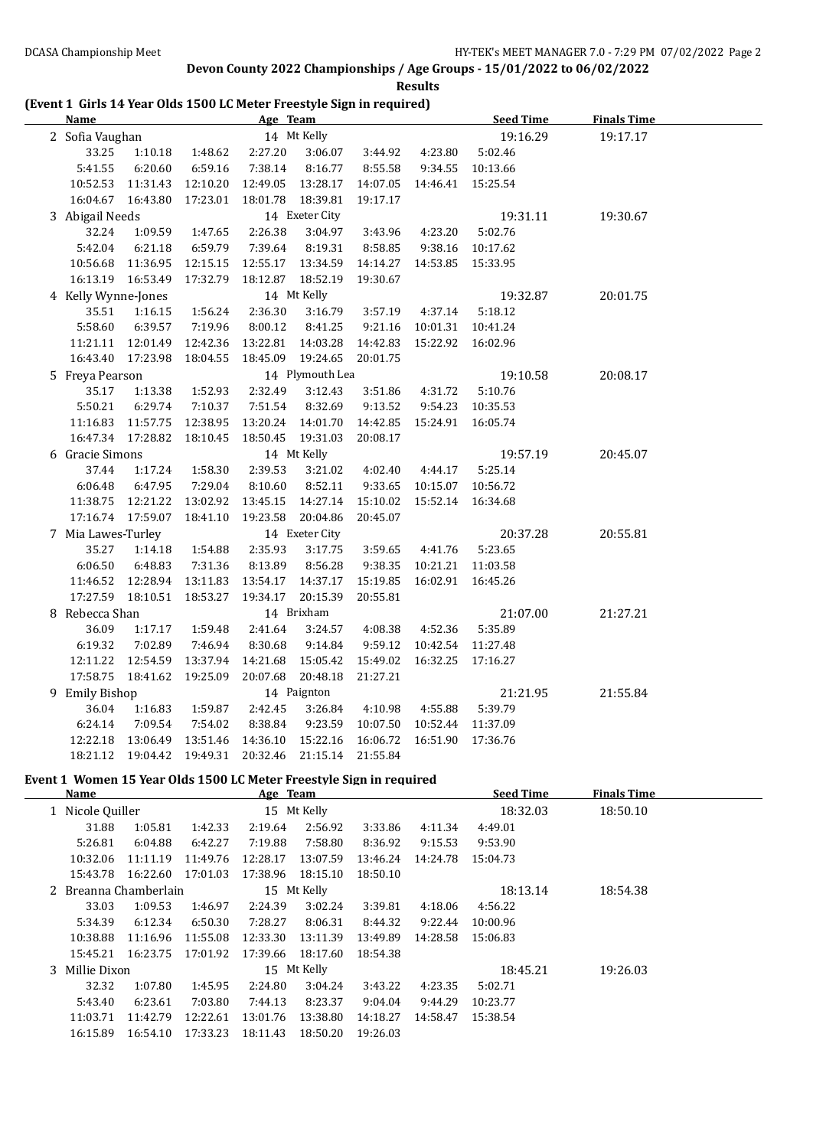**Results**

### **(Event 1 Girls 14 Year Olds 1500 LC Meter Freestyle Sign in required)**

| <b>Name</b>         |                              |                  | <b>Example 2018 Age Team Age of the Contract of the Contract of the Contract of the Contract of the Contract of the Contract of the Contract of the Contract of the Contract of the Contract of the Contract of the Contract of </b> |                    |                         |                                                  | Seed Time        | <b>Finals Time</b> |  |
|---------------------|------------------------------|------------------|--------------------------------------------------------------------------------------------------------------------------------------------------------------------------------------------------------------------------------------|--------------------|-------------------------|--------------------------------------------------|------------------|--------------------|--|
| 2 Sofia Vaughan     |                              |                  | 14 Mt Kelly                                                                                                                                                                                                                          |                    |                         |                                                  | 19:16.29         | 19:17.17           |  |
| 33.25               |                              | 1:10.18  1:48.62 | 2:27.20                                                                                                                                                                                                                              |                    | 3:06.07 3:44.92 4:23.80 |                                                  | 5:02.46          |                    |  |
| 5:41.55             | 6:20.60                      | 6:59.16          | 7:38.14                                                                                                                                                                                                                              | 8:16.77            | 8:55.58                 |                                                  | 9:34.55 10:13.66 |                    |  |
| 10:52.53 11:31.43   |                              | 12:10.20         |                                                                                                                                                                                                                                      | 12:49.05  13:28.17 |                         | 14:07.05  14:46.41  15:25.54                     |                  |                    |  |
| 16:04.67  16:43.80  |                              | 17:23.01         | 18:01.78  18:39.81                                                                                                                                                                                                                   |                    | 19:17.17                |                                                  |                  |                    |  |
| 3 Abigail Needs     |                              |                  |                                                                                                                                                                                                                                      | 14 Exeter City     |                         |                                                  | 19:31.11         | 19:30.67           |  |
| 32.24               |                              | 1:09.59 1:47.65  | 2:26.38                                                                                                                                                                                                                              | 3:04.97            |                         | 3:43.96 4:23.20                                  | 5:02.76          |                    |  |
| 5:42.04             | 6:21.18                      | 6:59.79          | 7:39.64                                                                                                                                                                                                                              | 8:19.31            | 8:58.85                 |                                                  | 9:38.16 10:17.62 |                    |  |
| 10:56.68            | 11:36.95                     | 12:15.15         |                                                                                                                                                                                                                                      | 12:55.17  13:34.59 |                         | 14:14.27  14:53.85  15:33.95                     |                  |                    |  |
| 16:13.19  16:53.49  |                              | 17:32.79         | 18:12.87                                                                                                                                                                                                                             | 18:52.19           | 19:30.67                |                                                  |                  |                    |  |
| 4 Kelly Wynne-Jones |                              |                  |                                                                                                                                                                                                                                      | 14 Mt Kelly        |                         |                                                  | 19:32.87         | 20:01.75           |  |
| 35.51               | 1:16.15                      | 1:56.24          | 2:36.30                                                                                                                                                                                                                              | 3:16.79            |                         | 3:57.19  4:37.14                                 | 5:18.12          |                    |  |
| 5:58.60             | 6:39.57                      | 7:19.96          | 8:00.12                                                                                                                                                                                                                              | 8:41.25            |                         | 9:21.16 10:01.31 10:41.24                        |                  |                    |  |
|                     | 11:21.11 12:01.49 12:42.36   |                  |                                                                                                                                                                                                                                      | 13:22.81  14:03.28 |                         | 14:42.83  15:22.92  16:02.96                     |                  |                    |  |
| 16:43.40  17:23.98  |                              | 18:04.55         |                                                                                                                                                                                                                                      | 18:45.09 19:24.65  | 20:01.75                |                                                  |                  |                    |  |
| 5 Freya Pearson     |                              |                  |                                                                                                                                                                                                                                      | 14 Plymouth Lea    |                         |                                                  | 19:10.58         | 20:08.17           |  |
| 35.17               | 1:13.38                      | 1:52.93          | 2:32.49                                                                                                                                                                                                                              | 3:12.43            | 3:51.86                 | 4:31.72                                          | 5:10.76          |                    |  |
| 5:50.21             | 6:29.74                      | 7:10.37          | 7:51.54                                                                                                                                                                                                                              | 8:32.69            |                         | 9:13.52  9:54.23  10:35.53                       |                  |                    |  |
|                     | 11:16.83  11:57.75  12:38.95 |                  |                                                                                                                                                                                                                                      | 13:20.24 14:01.70  |                         | 14:42.85  15:24.91  16:05.74                     |                  |                    |  |
| 16:47.34 17:28.82   |                              | 18:10.45         | 18:50.45  19:31.03                                                                                                                                                                                                                   |                    | 20:08.17                |                                                  |                  |                    |  |
| 6 Gracie Simons     |                              |                  |                                                                                                                                                                                                                                      | 14 Mt Kelly        |                         |                                                  | 19:57.19         | 20:45.07           |  |
| 37.44               | 1:17.24                      | 1:58.30          | 2:39.53                                                                                                                                                                                                                              | 3:21.02            |                         | 4:02.40  4:44.17                                 | 5:25.14          |                    |  |
| 6:06.48             | 6:47.95                      | 7:29.04          | 8:10.60                                                                                                                                                                                                                              | 8:52.11            |                         | 9:33.65 10:15.07 10:56.72                        |                  |                    |  |
| 11:38.75  12:21.22  |                              | 13:02.92         |                                                                                                                                                                                                                                      |                    |                         | 13:45.15  14:27.14  15:10.02  15:52.14  16:34.68 |                  |                    |  |
|                     |                              | 18:41.10         | 19:23.58 20:04.86                                                                                                                                                                                                                    |                    | 20:45.07                |                                                  |                  |                    |  |
| 7 Mia Lawes-Turley  |                              |                  |                                                                                                                                                                                                                                      | 14 Exeter City     |                         |                                                  | 20:37.28         | 20:55.81           |  |
| 35.27               | 1:14.18                      | 1:54.88          | 2:35.93                                                                                                                                                                                                                              | 3:17.75            |                         | 3:59.65 4:41.76                                  | 5:23.65          |                    |  |
| 6:06.50             | 6:48.83                      | 7:31.36          | 8:13.89                                                                                                                                                                                                                              | 8:56.28            |                         | 9:38.35  10:21.21  11:03.58                      |                  |                    |  |
|                     | 11:46.52  12:28.94  13:11.83 |                  | 13:54.17  14:37.17                                                                                                                                                                                                                   |                    |                         | 15:19.85  16:02.91  16:45.26                     |                  |                    |  |
|                     | 17:27.59  18:10.51  18:53.27 |                  | 19:34.17                                                                                                                                                                                                                             | 20:15.39           | 20:55.81                |                                                  |                  |                    |  |
| 8 Rebecca Shan      |                              |                  |                                                                                                                                                                                                                                      | 14 Brixham         |                         |                                                  | 21:07.00         | 21:27.21           |  |
| 36.09               | 1:17.17                      | 1:59.48          | 2:41.64                                                                                                                                                                                                                              | 3:24.57            | 4:08.38                 | 4:52.36                                          | 5:35.89          |                    |  |
| 6:19.32             | 7:02.89                      | 7:46.94          | 8:30.68                                                                                                                                                                                                                              | 9:14.84            |                         | 9:59.12 10:42.54 11:27.48                        |                  |                    |  |
| 12:11.22  12:54.59  |                              | 13:37.94         | 14:21.68  15:05.42                                                                                                                                                                                                                   |                    |                         | 15:49.02  16:32.25  17:16.27                     |                  |                    |  |
|                     |                              |                  | 17:58.75  18:41.62  19:25.09  20:07.68                                                                                                                                                                                               | 20:48.18           | 21:27.21                |                                                  |                  |                    |  |
| 9 Emily Bishop      |                              |                  |                                                                                                                                                                                                                                      | 14 Paignton        |                         |                                                  | 21:21.95         | 21:55.84           |  |
| 36.04               | 1:16.83                      | 1:59.87          | 2:42.45                                                                                                                                                                                                                              | 3:26.84            | 4:10.98 4:55.88         |                                                  | 5:39.79          |                    |  |
| 6:24.14             | 7:09.54                      | 7:54.02          | 8:38.84                                                                                                                                                                                                                              | 9:23.59            |                         | 10:07.50  10:52.44  11:37.09                     |                  |                    |  |
|                     | 12:22.18  13:06.49  13:51.46 |                  | 14:36.10  15:22.16  16:06.72                                                                                                                                                                                                         |                    |                         | 16:51.90 17:36.76                                |                  |                    |  |
|                     | 18:21.12  19:04.42  19:49.31 |                  | 20:32.46 21:15.14                                                                                                                                                                                                                    |                    | 21:55.84                |                                                  |                  |                    |  |

# **Event 1 Women 15 Year Olds 1500 LC Meter Freestyle Sign in required**

| Name                  |          |             | Age Team |             |          |          | <b>Seed Time</b> | <b>Finals Time</b> |  |
|-----------------------|----------|-------------|----------|-------------|----------|----------|------------------|--------------------|--|
| 1 Nicole Quiller      |          | 15 Mt Kelly |          |             |          |          | 18:32.03         | 18:50.10           |  |
| 31.88                 | 1:05.81  | 1:42.33     | 2:19.64  | 2:56.92     | 3:33.86  | 4:11.34  | 4:49.01          |                    |  |
| 5:26.81               | 6:04.88  | 6:42.27     | 7:19.88  | 7:58.80     | 8:36.92  | 9:15.53  | 9:53.90          |                    |  |
| 10:32.06              | 11:11.19 | 11:49.76    | 12:28.17 | 13:07.59    | 13:46.24 | 14:24.78 | 15:04.73         |                    |  |
| 15:43.78              | 16:22.60 | 17:01.03    | 17:38.96 | 18:15.10    | 18:50.10 |          |                  |                    |  |
| 2 Breanna Chamberlain |          |             |          | 15 Mt Kelly |          |          | 18:13.14         | 18:54.38           |  |
| 33.03                 | 1:09.53  | 1:46.97     | 2:24.39  | 3:02.24     | 3:39.81  | 4:18.06  | 4:56.22          |                    |  |
| 5:34.39               | 6:12.34  | 6:50.30     | 7:28.27  | 8:06.31     | 8:44.32  | 9:22.44  | 10:00.96         |                    |  |
| 10:38.88              | 11:16.96 | 11:55.08    | 12:33.30 | 13:11.39    | 13:49.89 | 14:28.58 | 15:06.83         |                    |  |
| 15:45.21              | 16:23.75 | 17:01.92    | 17:39.66 | 18:17.60    | 18:54.38 |          |                  |                    |  |
| 3 Millie Dixon        |          |             |          | 15 Mt Kelly |          |          | 18:45.21         | 19:26.03           |  |
| 32.32                 | 1:07.80  | 1:45.95     | 2:24.80  | 3:04.24     | 3:43.22  | 4:23.35  | 5:02.71          |                    |  |
| 5:43.40               | 6:23.61  | 7:03.80     | 7:44.13  | 8:23.37     | 9:04.04  | 9:44.29  | 10:23.77         |                    |  |
| 11:03.71              | 11:42.79 | 12:22.61    | 13:01.76 | 13:38.80    | 14:18.27 | 14:58.47 | 15:38.54         |                    |  |
| 16:15.89              | 16:54.10 | 17:33.23    | 18:11.43 | 18:50.20    | 19:26.03 |          |                  |                    |  |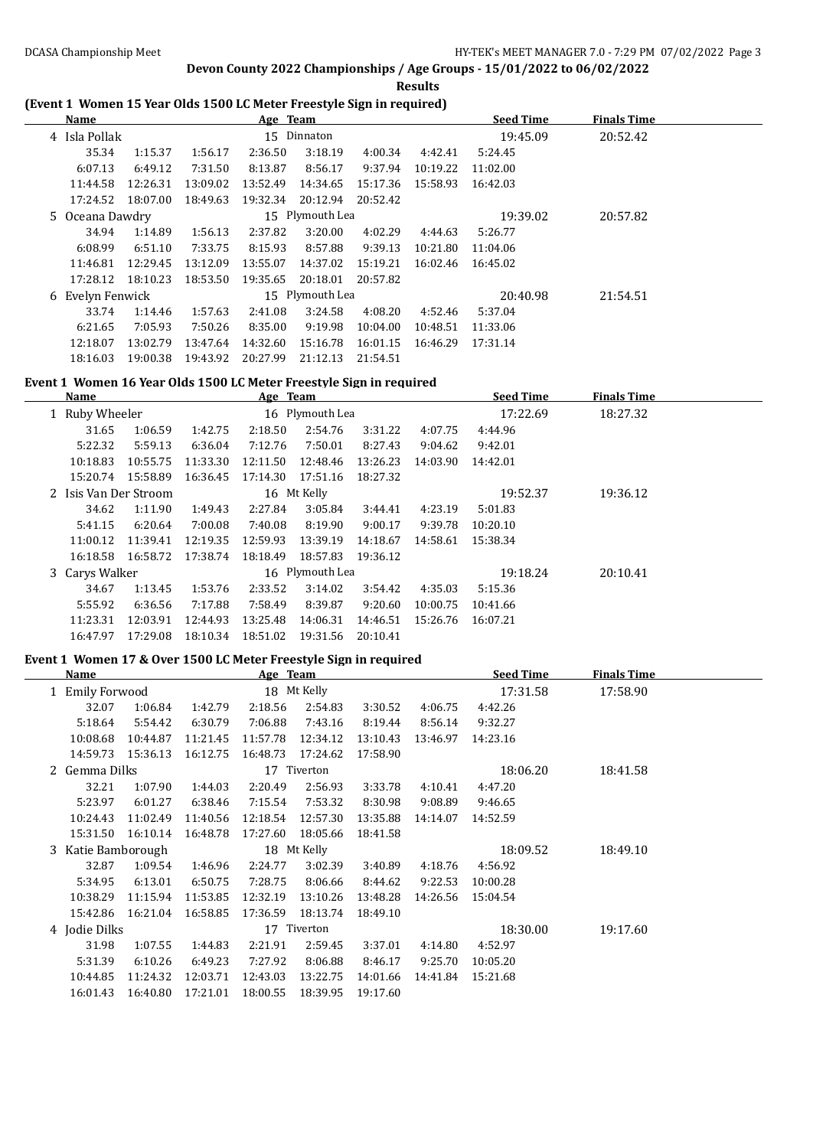**Results**

## **(Event 1 Women 15 Year Olds 1500 LC Meter Freestyle Sign in required)**

| Name             |          |          | Age Team |                   |          |          | <b>Seed Time</b> | <b>Finals Time</b> |  |
|------------------|----------|----------|----------|-------------------|----------|----------|------------------|--------------------|--|
| 4 Isla Pollak    |          |          |          | 15 Dinnaton       |          |          | 19:45.09         | 20:52.42           |  |
| 35.34            | 1:15.37  | 1:56.17  | 2:36.50  | 3:18.19           | 4:00.34  | 4:42.41  | 5:24.45          |                    |  |
| 6:07.13          | 6:49.12  | 7:31.50  | 8:13.87  | 8:56.17           | 9:37.94  | 10:19.22 | 11:02.00         |                    |  |
| 11:44.58         | 12:26.31 | 13:09.02 | 13:52.49 | 14:34.65          | 15:17.36 | 15:58.93 | 16:42.03         |                    |  |
| 17:24.52         | 18:07.00 | 18:49.63 | 19:32.34 | 20:12.94          | 20:52.42 |          |                  |                    |  |
| 5 Oceana Dawdry  |          |          |          | 15 Plymouth Lea   |          |          | 19:39.02         | 20:57.82           |  |
| 34.94            | 1:14.89  | 1:56.13  | 2:37.82  | 3:20.00           | 4:02.29  | 4:44.63  | 5:26.77          |                    |  |
| 6:08.99          | 6:51.10  | 7:33.75  | 8:15.93  | 8:57.88           | 9:39.13  | 10:21.80 | 11:04.06         |                    |  |
| 11:46.81         | 12:29.45 | 13:12.09 | 13:55.07 | 14:37.02          | 15:19.21 | 16:02.46 | 16:45.02         |                    |  |
| 17:28.12         | 18:10.23 | 18:53.50 |          | 19:35.65 20:18.01 | 20:57.82 |          |                  |                    |  |
| 6 Evelyn Fenwick |          |          |          | 15 Plymouth Lea   |          |          | 20:40.98         | 21:54.51           |  |
| 33.74            | 1:14.46  | 1:57.63  | 2:41.08  | 3:24.58           | 4:08.20  | 4:52.46  | 5:37.04          |                    |  |
| 6:21.65          | 7:05.93  | 7:50.26  | 8:35.00  | 9:19.98           | 10:04.00 | 10:48.51 | 11:33.06         |                    |  |
| 12:18.07         | 13:02.79 | 13:47.64 | 14:32.60 | 15:16.78          | 16:01.15 | 16:46.29 | 17:31.14         |                    |  |
| 18:16.03         | 19:00.38 | 19:43.92 | 20:27.99 | 21:12.13          | 21:54.51 |          |                  |                    |  |

#### **Event 1 Women 16 Year Olds 1500 LC Meter Freestyle Sign in required**

| Name                  |                 |          | Age Team |                 |          |          | <b>Seed Time</b> | <b>Finals Time</b> |
|-----------------------|-----------------|----------|----------|-----------------|----------|----------|------------------|--------------------|
| 1 Ruby Wheeler        | 16 Plymouth Lea |          |          |                 |          |          | 17:22.69         | 18:27.32           |
| 31.65                 | 1:06.59         | 1:42.75  | 2:18.50  | 2:54.76         | 3:31.22  | 4:07.75  | 4:44.96          |                    |
| 5:22.32               | 5:59.13         | 6:36.04  | 7:12.76  | 7:50.01         | 8:27.43  | 9:04.62  | 9:42.01          |                    |
| 10:18.83              | 10:55.75        | 11:33.30 | 12:11.50 | 12:48.46        | 13:26.23 | 14:03.90 | 14:42.01         |                    |
| 15:20.74              | 15:58.89        | 16:36.45 | 17:14.30 | 17:51.16        | 18:27.32 |          |                  |                    |
| 2 Isis Van Der Stroom |                 |          |          | 16 Mt Kelly     |          |          | 19:52.37         | 19:36.12           |
| 34.62                 | 1:11.90         | 1:49.43  | 2:27.84  | 3:05.84         | 3:44.41  | 4:23.19  | 5:01.83          |                    |
| 5:41.15               | 6:20.64         | 7:00.08  | 7:40.08  | 8:19.90         | 9:00.17  | 9:39.78  | 10:20.10         |                    |
| 11:00.12              | 11:39.41        | 12:19.35 | 12:59.93 | 13:39.19        | 14:18.67 | 14:58.61 | 15:38.34         |                    |
| 16:18.58              | 16:58.72        | 17:38.74 | 18:18.49 | 18:57.83        | 19:36.12 |          |                  |                    |
| 3 Carys Walker        |                 |          |          | 16 Plymouth Lea |          |          | 19:18.24         | 20:10.41           |
| 34.67                 | 1:13.45         | 1:53.76  | 2:33.52  | 3:14.02         | 3:54.42  | 4:35.03  | 5:15.36          |                    |
| 5:55.92               | 6:36.56         | 7:17.88  | 7:58.49  | 8:39.87         | 9:20.60  | 10:00.75 | 10:41.66         |                    |
| 11:23.31              | 12:03.91        | 12:44.93 | 13:25.48 | 14:06.31        | 14:46.51 | 15:26.76 | 16:07.21         |                    |
| 16:47.97              | 17:29.08        | 18:10.34 | 18:51.02 | 19:31.56        | 20:10.41 |          |                  |                    |

#### **Event 1 Women 17 & Over 1500 LC Meter Freestyle Sign in required**

|    | Name             |          |          | Age Team |             |          |          | <b>Seed Time</b> | <b>Finals Time</b> |  |
|----|------------------|----------|----------|----------|-------------|----------|----------|------------------|--------------------|--|
|    | 1 Emily Forwood  |          |          |          | 18 Mt Kelly |          |          | 17:31.58         | 17:58.90           |  |
|    | 32.07            | 1:06.84  | 1:42.79  | 2:18.56  | 2:54.83     | 3:30.52  | 4:06.75  | 4:42.26          |                    |  |
|    | 5:18.64          | 5:54.42  | 6:30.79  | 7:06.88  | 7:43.16     | 8:19.44  | 8:56.14  | 9:32.27          |                    |  |
|    | 10:08.68         | 10:44.87 | 11:21.45 | 11:57.78 | 12:34.12    | 13:10.43 | 13:46.97 | 14:23.16         |                    |  |
|    | 14:59.73         | 15:36.13 | 16:12.75 | 16:48.73 | 17:24.62    | 17:58.90 |          |                  |                    |  |
|    | Gemma Dilks      |          |          |          | 17 Tiverton |          |          | 18:06.20         | 18:41.58           |  |
|    | 32.21            | 1:07.90  | 1:44.03  | 2:20.49  | 2:56.93     | 3:33.78  | 4:10.41  | 4:47.20          |                    |  |
|    | 5:23.97          | 6:01.27  | 6:38.46  | 7:15.54  | 7:53.32     | 8:30.98  | 9:08.89  | 9:46.65          |                    |  |
|    | 10:24.43         | 11:02.49 | 11:40.56 | 12:18.54 | 12:57.30    | 13:35.88 | 14:14.07 | 14:52.59         |                    |  |
|    | 15:31.50         | 16:10.14 | 16:48.78 | 17:27.60 | 18:05.66    | 18:41.58 |          |                  |                    |  |
| 3. | Katie Bamborough |          |          |          | 18 Mt Kelly |          |          | 18:09.52         | 18:49.10           |  |
|    | 32.87            | 1:09.54  | 1:46.96  | 2:24.77  | 3:02.39     | 3:40.89  | 4:18.76  | 4:56.92          |                    |  |
|    | 5:34.95          | 6:13.01  | 6:50.75  | 7:28.75  | 8:06.66     | 8:44.62  | 9:22.53  | 10:00.28         |                    |  |
|    | 10:38.29         | 11:15.94 | 11:53.85 | 12:32.19 | 13:10.26    | 13:48.28 | 14:26.56 | 15:04.54         |                    |  |
|    | 15:42.86         | 16:21.04 | 16:58.85 | 17:36.59 | 18:13.74    | 18:49.10 |          |                  |                    |  |
|    | 4 Jodie Dilks    |          |          |          | 17 Tiverton |          |          | 18:30.00         | 19:17.60           |  |
|    | 31.98            | 1:07.55  | 1:44.83  | 2:21.91  | 2:59.45     | 3:37.01  | 4:14.80  | 4:52.97          |                    |  |
|    | 5:31.39          | 6:10.26  | 6:49.23  | 7:27.92  | 8:06.88     | 8:46.17  | 9:25.70  | 10:05.20         |                    |  |
|    | 10:44.85         | 11:24.32 | 12:03.71 | 12:43.03 | 13:22.75    | 14:01.66 | 14:41.84 | 15:21.68         |                    |  |
|    | 16:01.43         | 16:40.80 | 17:21.01 | 18:00.55 | 18:39.95    | 19:17.60 |          |                  |                    |  |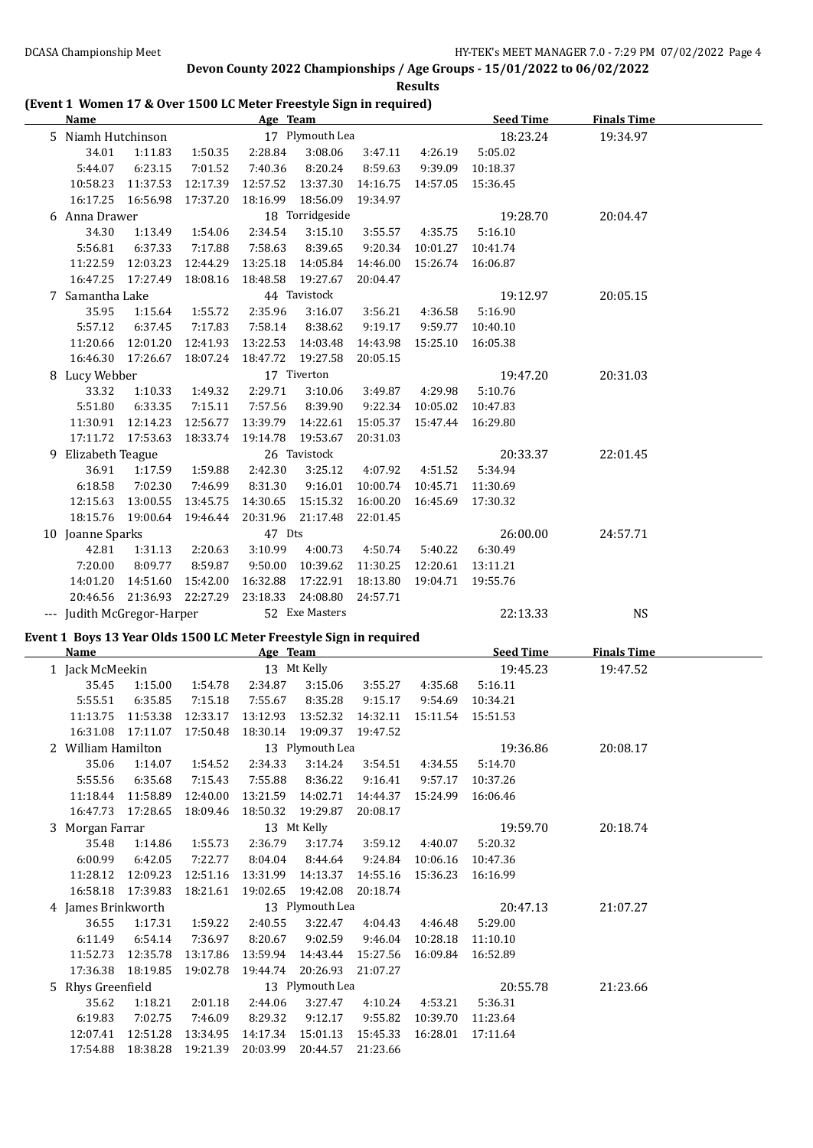**Results**

### **(Event 1 Women 17 & Over 1500 LC Meter Freestyle Sign in required)**

| <b>Name</b>                                                                       |                                          |                     | Age Team             |                              |                      |                              | <b>Seed Time</b>    | <b>Finals Time</b> |  |
|-----------------------------------------------------------------------------------|------------------------------------------|---------------------|----------------------|------------------------------|----------------------|------------------------------|---------------------|--------------------|--|
| 5 Niamh Hutchinson                                                                |                                          |                     |                      | 17 Plymouth Lea              |                      |                              | 18:23.24            | 19:34.97           |  |
| 34.01                                                                             | 1:11.83                                  | 1:50.35             | 2:28.84              | 3:08.06                      | 3:47.11              | 4:26.19                      | 5:05.02             |                    |  |
| 5:44.07                                                                           | 6:23.15                                  | 7:01.52             | 7:40.36              | 8:20.24                      | 8:59.63              |                              | 9:39.09 10:18.37    |                    |  |
| 10:58.23                                                                          | 11:37.53                                 | 12:17.39            | 12:57.52             | 13:37.30                     |                      | 14:16.75  14:57.05  15:36.45 |                     |                    |  |
| 16:17.25                                                                          | 16:56.98                                 | 17:37.20            | 18:16.99             | 18:56.09                     | 19:34.97             |                              |                     |                    |  |
| 6 Anna Drawer                                                                     |                                          |                     |                      | 18 Torridgeside              |                      |                              | 19:28.70            | 20:04.47           |  |
| 34.30                                                                             | 1:13.49                                  | 1:54.06             | 2:34.54              | 3:15.10                      | 3:55.57              | 4:35.75                      | 5:16.10             |                    |  |
| 5:56.81                                                                           | 6:37.33                                  | 7:17.88             | 7:58.63              | 8:39.65                      | 9:20.34              | 10:01.27                     | 10:41.74            |                    |  |
| 11:22.59                                                                          | 12:03.23                                 | 12:44.29            | 13:25.18             | 14:05.84                     | 14:46.00             | 15:26.74 16:06.87            |                     |                    |  |
|                                                                                   | 16:47.25 17:27.49                        | 18:08.16            | 18:48.58             | 19:27.67                     | 20:04.47             |                              |                     |                    |  |
| 7 Samantha Lake                                                                   |                                          |                     |                      | 44 Tavistock                 |                      |                              | 19:12.97            | 20:05.15           |  |
| 35.95                                                                             | 1:15.64                                  | 1:55.72             | 2:35.96              | 3:16.07                      | 3:56.21              | 4:36.58                      | 5:16.90             |                    |  |
| 5:57.12                                                                           | 6:37.45                                  | 7:17.83             | 7:58.14              | 8:38.62                      | 9:19.17              | 9:59.77                      | 10:40.10            |                    |  |
| 11:20.66                                                                          | 12:01.20                                 | 12:41.93            | 13:22.53             | 14:03.48                     | 14:43.98             | 15:25.10                     | 16:05.38            |                    |  |
| 16:46.30                                                                          | 17:26.67                                 | 18:07.24            | 18:47.72             | 19:27.58                     | 20:05.15             |                              |                     |                    |  |
| 8 Lucy Webber                                                                     |                                          |                     |                      | 17 Tiverton                  |                      |                              | 19:47.20            | 20:31.03           |  |
| 33.32                                                                             | 1:10.33                                  | 1:49.32             | 2:29.71              | 3:10.06                      | 3:49.87              | 4:29.98                      | 5:10.76             |                    |  |
| 5:51.80                                                                           | 6:33.35                                  | 7:15.11             | 7:57.56              | 8:39.90                      | 9:22.34              | 10:05.02 10:47.83            |                     |                    |  |
| 11:30.91                                                                          | 12:14.23                                 | 12:56.77            | 13:39.79             | 14:22.61                     | 15:05.37             | 15:47.44 16:29.80            |                     |                    |  |
|                                                                                   | 17:11.72  17:53.63                       | 18:33.74            | 19:14.78             | 19:53.67                     | 20:31.03             |                              |                     |                    |  |
| 9 Elizabeth Teague                                                                |                                          |                     |                      | 26 Tavistock                 |                      |                              | 20:33.37            | 22:01.45           |  |
| 36.91                                                                             | 1:17.59                                  | 1:59.88             | 2:42.30              | 3:25.12                      | 4:07.92              | 4:51.52                      | 5:34.94             |                    |  |
| 6:18.58                                                                           | 7:02.30                                  | 7:46.99             | 8:31.30              | 9:16.01                      |                      | 10:00.74 10:45.71 11:30.69   |                     |                    |  |
| 12:15.63                                                                          | 13:00.55                                 | 13:45.75            | 14:30.65             | 15:15.32                     | 16:00.20             | 16:45.69 17:30.32            |                     |                    |  |
| 18:15.76                                                                          | 19:00.64                                 | 19:46.44            | 20:31.96             | 21:17.48                     | 22:01.45             |                              |                     |                    |  |
| 10 Joanne Sparks                                                                  |                                          |                     | 47 Dts               |                              |                      |                              | 26:00.00            | 24:57.71           |  |
| 42.81                                                                             | 1:31.13                                  | 2:20.63             | 3:10.99              | 4:00.73                      | 4:50.74              | 5:40.22                      | 6:30.49             |                    |  |
| 7:20.00                                                                           | 8:09.77                                  | 8:59.87             | 9:50.00              | 10:39.62                     | 11:30.25             | 12:20.61                     | 13:11.21            |                    |  |
| 14:01.20                                                                          | 14:51.60                                 | 15:42.00            | 16:32.88             | 17:22.91                     | 18:13.80             | 19:04.71 19:55.76            |                     |                    |  |
| 20:46.56                                                                          | 21:36.93                                 | 22:27.29            | 23:18.33             | 24:08.80                     | 24:57.71             |                              |                     |                    |  |
|                                                                                   |                                          |                     |                      |                              |                      |                              |                     |                    |  |
|                                                                                   | --- Judith McGregor-Harper               |                     |                      | 52 Exe Masters               |                      |                              | 22:13.33            | <b>NS</b>          |  |
|                                                                                   |                                          |                     |                      |                              |                      |                              |                     |                    |  |
| Event 1 Boys 13 Year Olds 1500 LC Meter Freestyle Sign in required<br><b>Name</b> |                                          |                     |                      |                              |                      |                              | <b>Seed Time</b>    | <b>Finals Time</b> |  |
|                                                                                   |                                          |                     | Age Team             |                              |                      |                              |                     |                    |  |
| 1 Jack McMeekin<br>35.45                                                          |                                          |                     |                      | 13 Mt Kelly                  |                      | 4:35.68                      | 19:45.23<br>5:16.11 | 19:47.52           |  |
| 5:55.51                                                                           | 1:15.00<br>6:35.85                       | 1:54.78             | 2:34.87<br>7:55.67   | 3:15.06<br>8:35.28           | 3:55.27<br>9:15.17   |                              | 9:54.69 10:34.21    |                    |  |
| 11:13.75                                                                          | 11:53.38                                 | 7:15.18<br>12:33.17 | 13:12.93             | 13:52.32                     | 14:32.11             | 15:11.54                     | 15:51.53            |                    |  |
|                                                                                   | 16:31.08  17:11.07                       | 17:50.48            |                      | 18:30.14  19:09.37  19:47.52 |                      |                              |                     |                    |  |
| 2 William Hamilton                                                                |                                          |                     |                      | 13 Plymouth Lea              |                      |                              | 19:36.86            | 20:08.17           |  |
| 35.06                                                                             | 1:14.07                                  | 1:54.52             | 2:34.33              | 3:14.24                      | 3:54.51              | 4:34.55                      | 5:14.70             |                    |  |
| 5:55.56                                                                           | 6:35.68                                  | 7:15.43             | 7:55.88              | 8:36.22                      | 9:16.41              | 9:57.17                      | 10:37.26            |                    |  |
| 11:18.44                                                                          | 11:58.89                                 | 12:40.00            | 13:21.59             | 14:02.71                     | 14:44.37             | 15:24.99                     | 16:06.46            |                    |  |
|                                                                                   | 16:47.73 17:28.65                        | 18:09.46            | 18:50.32             | 19:29.87                     | 20:08.17             |                              |                     |                    |  |
| 3 Morgan Farrar                                                                   |                                          |                     |                      | 13 Mt Kelly                  |                      |                              | 19:59.70            | 20:18.74           |  |
| 35.48                                                                             | 1:14.86                                  | 1:55.73             | 2:36.79              | 3:17.74                      | 3:59.12              | 4:40.07                      | 5:20.32             |                    |  |
| 6:00.99                                                                           | 6:42.05                                  | 7:22.77             | 8:04.04              | 8:44.64                      | 9:24.84              | 10:06.16                     | 10:47.36            |                    |  |
| 11:28.12                                                                          | 12:09.23                                 | 12:51.16            | 13:31.99             | 14:13.37                     | 14:55.16             | 15:36.23                     | 16:16.99            |                    |  |
| 16:58.18                                                                          | 17:39.83                                 | 18:21.61            | 19:02.65             | 19:42.08                     | 20:18.74             |                              |                     |                    |  |
| 4 James Brinkworth                                                                |                                          |                     |                      | 13 Plymouth Lea              |                      |                              | 20:47.13            | 21:07.27           |  |
| 36.55                                                                             | 1:17.31                                  | 1:59.22             | 2:40.55              | 3:22.47                      | 4:04.43              | 4:46.48                      | 5:29.00             |                    |  |
| 6:11.49                                                                           | 6:54.14                                  | 7:36.97             | 8:20.67              | 9:02.59                      | 9:46.04              | 10:28.18                     | 11:10.10            |                    |  |
| 11:52.73                                                                          | 12:35.78                                 | 13:17.86            | 13:59.94             | 14:43.44                     | 15:27.56             | 16:09.84 16:52.89            |                     |                    |  |
| 17:36.38                                                                          | 18:19.85                                 | 19:02.78            | 19:44.74             | 20:26.93                     | 21:07.27             |                              |                     |                    |  |
| 5 Rhys Greenfield                                                                 |                                          |                     |                      | 13 Plymouth Lea              |                      |                              | 20:55.78            | 21:23.66           |  |
| 35.62                                                                             | 1:18.21                                  | 2:01.18             | 2:44.06              | 3:27.47                      | 4:10.24              | 4:53.21                      | 5:36.31             |                    |  |
| 6:19.83                                                                           | 7:02.75                                  | 7:46.09             | 8:29.32              | 9:12.17                      | 9:55.82              | 10:39.70 11:23.64            |                     |                    |  |
| 12:07.41                                                                          | 12:51.28<br>17:54.88  18:38.28  19:21.39 | 13:34.95            | 14:17.34<br>20:03.99 | 15:01.13<br>20:44.57         | 15:45.33<br>21:23.66 | 16:28.01 17:11.64            |                     |                    |  |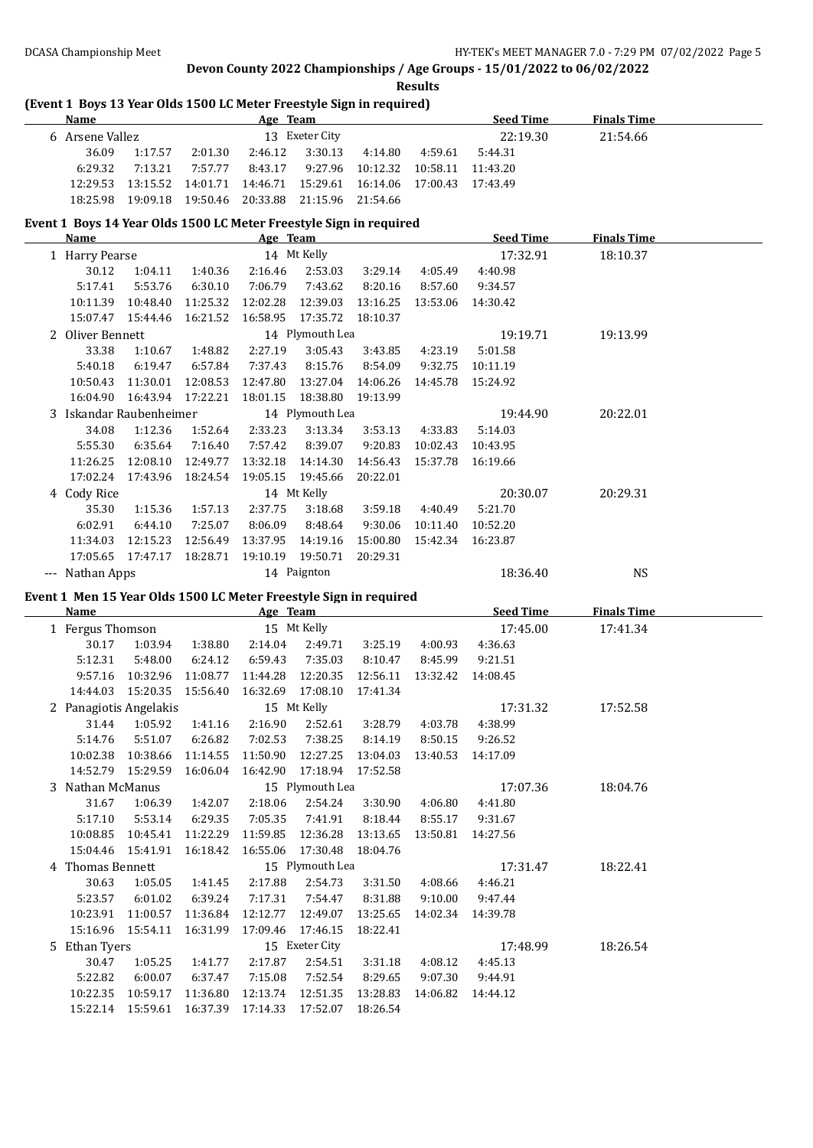#### **Results**

### **(Event 1 Boys 13 Year Olds 1500 LC Meter Freestyle Sign in required)**

| <b>Name</b>                   |          |          | Age Team |                   |                                                            |         | <b>Seed Time</b> | <b>Finals Time</b> |  |
|-------------------------------|----------|----------|----------|-------------------|------------------------------------------------------------|---------|------------------|--------------------|--|
| Arsene Vallez<br><sub>h</sub> |          |          |          | 13 Exeter City    |                                                            |         | 22:19.30         | 21:54.66           |  |
| 36.09                         | 1:17.57  | 2:01.30  | 2:46.12  | 3:30.13           | 4:14.80                                                    | 4:59.61 | 5:44.31          |                    |  |
| 6:29.32                       | 7:13.21  | 7:57.77  | 8:43.17  | 9:27.96           | 10:12.32 10:58.11                                          |         | 11:43.20         |                    |  |
| 12:29.53                      | 13:15.52 |          |          |                   | 14:01.71  14:46.71  15:29.61  16:14.06  17:00.43  17:43.49 |         |                  |                    |  |
| 18:25.98                      | 19:09.18 | 19:50.46 | 20:33.88 | 21:15.96 21:54.66 |                                                            |         |                  |                    |  |

#### **Event 1 Boys 14 Year Olds 1500 LC Meter Freestyle Sign in required**

|       | Name                    |                   |          | Age Team |                 |          |          | <b>Seed Time</b> | <b>Finals Time</b> |  |
|-------|-------------------------|-------------------|----------|----------|-----------------|----------|----------|------------------|--------------------|--|
|       | 1 Harry Pearse          |                   |          |          | 14 Mt Kelly     |          |          | 17:32.91         | 18:10.37           |  |
|       | 30.12                   | 1:04.11           | 1:40.36  | 2:16.46  | 2:53.03         | 3:29.14  | 4:05.49  | 4:40.98          |                    |  |
|       | 5:17.41                 | 5:53.76           | 6:30.10  | 7:06.79  | 7:43.62         | 8:20.16  | 8:57.60  | 9:34.57          |                    |  |
|       | 10:11.39                | 10:48.40          | 11:25.32 | 12:02.28 | 12:39.03        | 13:16.25 | 13:53.06 | 14:30.42         |                    |  |
|       | 15:07.47                | 15:44.46          | 16:21.52 | 16:58.95 | 17:35.72        | 18:10.37 |          |                  |                    |  |
|       | 2 Oliver Bennett        |                   |          |          | 14 Plymouth Lea |          |          | 19:19.71         | 19:13.99           |  |
|       | 33.38                   | 1:10.67           | 1:48.82  | 2:27.19  | 3:05.43         | 3:43.85  | 4:23.19  | 5:01.58          |                    |  |
|       | 5:40.18                 | 6:19.47           | 6:57.84  | 7:37.43  | 8:15.76         | 8:54.09  | 9:32.75  | 10:11.19         |                    |  |
|       | 10:50.43                | 11:30.01          | 12:08.53 | 12:47.80 | 13:27.04        | 14:06.26 | 14:45.78 | 15:24.92         |                    |  |
|       | 16:04.90                | 16:43.94 17:22.21 |          | 18:01.15 | 18:38.80        | 19:13.99 |          |                  |                    |  |
|       | 3 Iskandar Raubenheimer |                   |          |          | 14 Plymouth Lea |          |          | 19:44.90         | 20:22.01           |  |
|       | 34.08                   | 1:12.36           | 1:52.64  | 2:33.23  | 3:13.34         | 3:53.13  | 4:33.83  | 5:14.03          |                    |  |
|       | 5:55.30                 | 6:35.64           | 7:16.40  | 7:57.42  | 8:39.07         | 9:20.83  | 10:02.43 | 10:43.95         |                    |  |
|       | 11:26.25                | 12:08.10          | 12:49.77 | 13:32.18 | 14:14.30        | 14:56.43 | 15:37.78 | 16:19.66         |                    |  |
|       | 17:02.24                | 17:43.96          | 18:24.54 | 19:05.15 | 19:45.66        | 20:22.01 |          |                  |                    |  |
|       | 4 Cody Rice             |                   |          |          | 14 Mt Kelly     |          |          | 20:30.07         | 20:29.31           |  |
|       | 35.30                   | 1:15.36           | 1:57.13  | 2:37.75  | 3:18.68         | 3:59.18  | 4:40.49  | 5:21.70          |                    |  |
|       | 6:02.91                 | 6:44.10           | 7:25.07  | 8:06.09  | 8:48.64         | 9:30.06  | 10:11.40 | 10:52.20         |                    |  |
|       | 11:34.03                | 12:15.23          | 12:56.49 | 13:37.95 | 14:19.16        | 15:00.80 | 15:42.34 | 16:23.87         |                    |  |
|       | 17:05.65                | 17:47.17          | 18:28.71 | 19:10.19 | 19:50.71        | 20:29.31 |          |                  |                    |  |
| $---$ | Nathan Apps             |                   |          |          | 14 Paignton     |          |          | 18:36.40         | NS                 |  |

#### **Event 1 Men 15 Year Olds 1500 LC Meter Freestyle Sign in required**

| Name                   |          |          | Age Team |                 |          |          | <b>Seed Time</b> | <b>Finals Time</b> |  |
|------------------------|----------|----------|----------|-----------------|----------|----------|------------------|--------------------|--|
| 1 Fergus Thomson       |          |          |          | 15 Mt Kelly     |          |          | 17:45.00         | 17:41.34           |  |
| 30.17                  | 1:03.94  | 1:38.80  | 2:14.04  | 2:49.71         | 3:25.19  | 4:00.93  | 4:36.63          |                    |  |
| 5:12.31                | 5:48.00  | 6:24.12  | 6:59.43  | 7:35.03         | 8:10.47  | 8:45.99  | 9:21.51          |                    |  |
| 9:57.16                | 10:32.96 | 11:08.77 | 11:44.28 | 12:20.35        | 12:56.11 | 13:32.42 | 14:08.45         |                    |  |
| 14:44.03               | 15:20.35 | 15:56.40 | 16:32.69 | 17:08.10        | 17:41.34 |          |                  |                    |  |
| 2 Panagiotis Angelakis |          |          |          | 15 Mt Kelly     |          |          | 17:31.32         | 17:52.58           |  |
| 31.44                  | 1:05.92  | 1:41.16  | 2:16.90  | 2:52.61         | 3:28.79  | 4:03.78  | 4:38.99          |                    |  |
| 5:14.76                | 5:51.07  | 6:26.82  | 7:02.53  | 7:38.25         | 8:14.19  | 8:50.15  | 9:26.52          |                    |  |
| 10:02.38               | 10:38.66 | 11:14.55 | 11:50.90 | 12:27.25        | 13:04.03 | 13:40.53 | 14:17.09         |                    |  |
| 14:52.79 15:29.59      |          | 16:06.04 | 16:42.90 | 17:18.94        | 17:52.58 |          |                  |                    |  |
| 3 Nathan McManus       |          |          |          | 15 Plymouth Lea |          |          | 17:07.36         | 18:04.76           |  |
| 31.67                  | 1:06.39  | 1:42.07  | 2:18.06  | 2:54.24         | 3:30.90  | 4:06.80  | 4:41.80          |                    |  |
| 5:17.10                | 5:53.14  | 6:29.35  | 7:05.35  | 7:41.91         | 8:18.44  | 8:55.17  | 9:31.67          |                    |  |
| 10:08.85               | 10:45.41 | 11:22.29 | 11:59.85 | 12:36.28        | 13:13.65 | 13:50.81 | 14:27.56         |                    |  |
| 15:04.46               | 15:41.91 | 16:18.42 | 16:55.06 | 17:30.48        | 18:04.76 |          |                  |                    |  |
| 4 Thomas Bennett       |          |          |          | 15 Plymouth Lea |          |          | 17:31.47         | 18:22.41           |  |
| 30.63                  | 1:05.05  | 1:41.45  | 2:17.88  | 2:54.73         | 3:31.50  | 4:08.66  | 4:46.21          |                    |  |
| 5:23.57                | 6:01.02  | 6:39.24  | 7:17.31  | 7:54.47         | 8:31.88  | 9:10.00  | 9:47.44          |                    |  |
| 10:23.91               | 11:00.57 | 11:36.84 | 12:12.77 | 12:49.07        | 13:25.65 | 14:02.34 | 14:39.78         |                    |  |
| 15:16.96               | 15:54.11 | 16:31.99 | 17:09.46 | 17:46.15        | 18:22.41 |          |                  |                    |  |
| 5 Ethan Tyers          |          |          |          | 15 Exeter City  |          |          | 17:48.99         | 18:26.54           |  |
| 30.47                  | 1:05.25  | 1:41.77  | 2:17.87  | 2:54.51         | 3:31.18  | 4:08.12  | 4:45.13          |                    |  |
| 5:22.82                | 6:00.07  | 6:37.47  | 7:15.08  | 7:52.54         | 8:29.65  | 9:07.30  | 9:44.91          |                    |  |
| 10:22.35               | 10:59.17 | 11:36.80 | 12:13.74 | 12:51.35        | 13:28.83 | 14:06.82 | 14:44.12         |                    |  |
| 15:22.14 15:59.61      |          | 16:37.39 | 17:14.33 | 17:52.07        | 18:26.54 |          |                  |                    |  |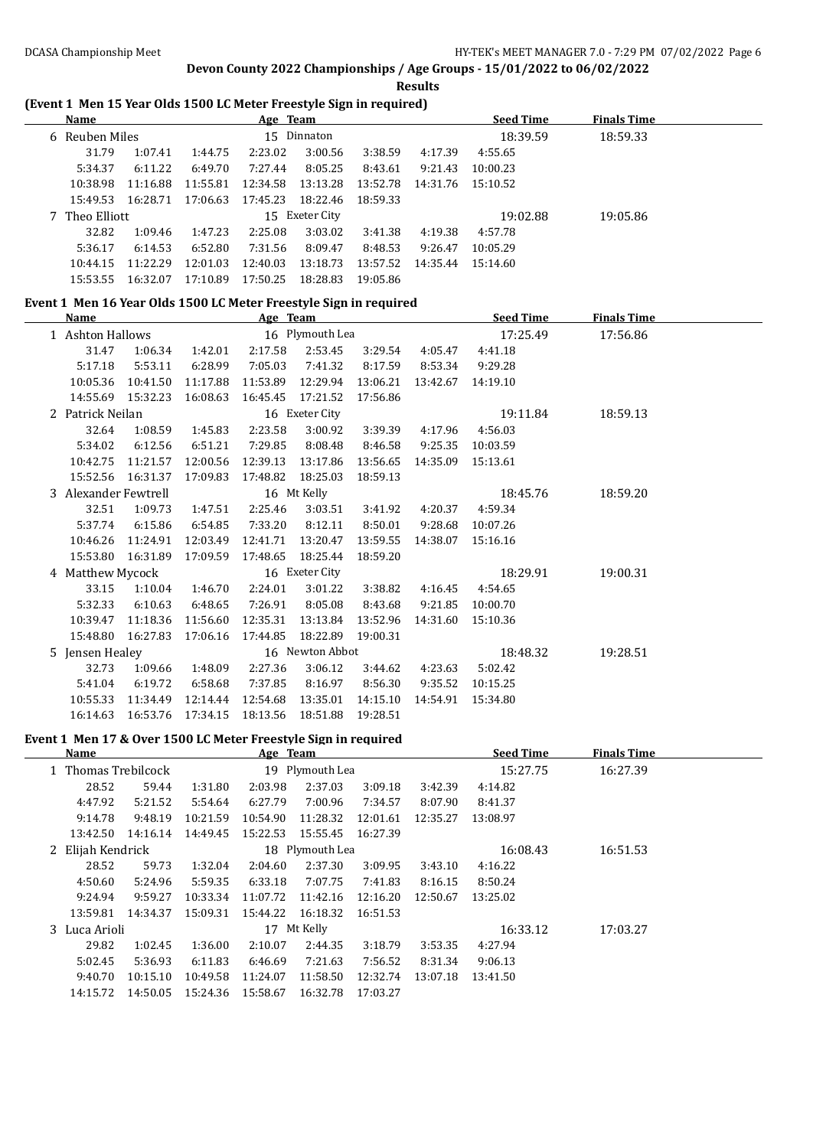**Results**

### **(Event 1 Men 15 Year Olds 1500 LC Meter Freestyle Sign in required)**

| <b>Name</b>    |          |          | Age Team |                |          |          | <b>Seed Time</b> | <b>Finals Time</b> |  |
|----------------|----------|----------|----------|----------------|----------|----------|------------------|--------------------|--|
| 6 Reuben Miles |          |          |          | 15 Dinnaton    |          |          | 18:39.59         | 18:59.33           |  |
| 31.79          | 1:07.41  | 1:44.75  | 2:23.02  | 3:00.56        | 3:38.59  | 4:17.39  | 4:55.65          |                    |  |
| 5:34.37        | 6:11.22  | 6:49.70  | 7:27.44  | 8:05.25        | 8:43.61  | 9:21.43  | 10:00.23         |                    |  |
| 10:38.98       | 11:16.88 | 11:55.81 | 12:34.58 | 13:13.28       | 13:52.78 | 14:31.76 | 15:10.52         |                    |  |
| 15:49.53       | 16:28.71 | 17:06.63 | 17:45.23 | 18:22.46       | 18:59.33 |          |                  |                    |  |
| 7 Theo Elliott |          |          |          | 15 Exeter City |          |          | 19:02.88         | 19:05.86           |  |
| 32.82          | 1:09.46  | 1:47.23  | 2:25.08  | 3:03.02        | 3:41.38  | 4:19.38  | 4:57.78          |                    |  |
| 5:36.17        | 6:14.53  | 6:52.80  | 7:31.56  | 8:09.47        | 8:48.53  | 9:26.47  | 10:05.29         |                    |  |
| 10:44.15       | 11:22.29 | 12:01.03 | 12:40.03 | 13:18.73       | 13:57.52 | 14:35.44 | 15:14.60         |                    |  |
| 15:53.55       | 16:32.07 | 17:10.89 | 17:50.25 | 18:28.83       | 19:05.86 |          |                  |                    |  |

# **Event 1 Men 16 Year Olds 1500 LC Meter Freestyle Sign in required**

| Name                 |                   |                   | Age Team        |          |                 |          | <b>Seed Time</b> | <b>Finals Time</b> |  |
|----------------------|-------------------|-------------------|-----------------|----------|-----------------|----------|------------------|--------------------|--|
| 1 Ashton Hallows     |                   |                   |                 |          | 16 Plymouth Lea |          | 17:25.49         | 17:56.86           |  |
| 31.47                | 1:06.34           | 1:42.01           | 2:17.58         | 2:53.45  | 3:29.54         | 4:05.47  | 4:41.18          |                    |  |
| 5:17.18              | 5:53.11           | 6:28.99           | 7:05.03         | 7:41.32  | 8:17.59         | 8:53.34  | 9:29.28          |                    |  |
| 10:05.36             | 10:41.50          | 11:17.88          | 11:53.89        | 12:29.94 | 13:06.21        | 13:42.67 | 14:19.10         |                    |  |
|                      | 14:55.69 15:32.23 | 16:08.63          | 16:45.45        | 17:21.52 | 17:56.86        |          |                  |                    |  |
| 2 Patrick Neilan     |                   |                   | 16 Exeter City  |          |                 |          | 19:11.84         | 18:59.13           |  |
| 32.64                | 1:08.59           | 1:45.83           | 2:23.58         | 3:00.92  | 3:39.39         | 4:17.96  | 4:56.03          |                    |  |
| 5:34.02              | 6:12.56           | 6:51.21           | 7:29.85         | 8:08.48  | 8:46.58         | 9:25.35  | 10:03.59         |                    |  |
| 10:42.75             | 11:21.57          | 12:00.56          | 12:39.13        | 13:17.86 | 13:56.65        | 14:35.09 | 15:13.61         |                    |  |
|                      | 15:52.56 16:31.37 | 17:09.83          | 17:48.82        | 18:25.03 | 18:59.13        |          |                  |                    |  |
| 3 Alexander Fewtrell |                   |                   | 16 Mt Kelly     |          |                 |          | 18:45.76         | 18:59.20           |  |
| 32.51                | 1:09.73           | 1:47.51           | 2:25.46         | 3:03.51  | 3:41.92         | 4:20.37  | 4:59.34          |                    |  |
| 5:37.74              | 6:15.86           | 6:54.85           | 7:33.20         | 8:12.11  | 8:50.01         | 9:28.68  | 10:07.26         |                    |  |
| 10:46.26             | 11:24.91          | 12:03.49          | 12:41.71        | 13:20.47 | 13:59.55        | 14:38.07 | 15:16.16         |                    |  |
| 15:53.80             | 16:31.89          | 17:09.59          | 17:48.65        | 18:25.44 | 18:59.20        |          |                  |                    |  |
| 4 Matthew Mycock     |                   |                   | 16 Exeter City  |          |                 |          | 18:29.91         | 19:00.31           |  |
| 33.15                | 1:10.04           | 1:46.70           | 2:24.01         | 3:01.22  | 3:38.82         | 4:16.45  | 4:54.65          |                    |  |
| 5:32.33              | 6:10.63           | 6:48.65           | 7:26.91         | 8:05.08  | 8:43.68         | 9:21.85  | 10:00.70         |                    |  |
| 10:39.47             | 11:18.36          | 11:56.60          | 12:35.31        | 13:13.84 | 13:52.96        | 14:31.60 | 15:10.36         |                    |  |
| 15:48.80             | 16:27.83 17:06.16 |                   | 17:44.85        | 18:22.89 | 19:00.31        |          |                  |                    |  |
| 5 Jensen Healey      |                   |                   | 16 Newton Abbot |          |                 |          | 18:48.32         | 19:28.51           |  |
| 32.73                | 1:09.66           | 1:48.09           | 2:27.36         | 3:06.12  | 3:44.62         | 4:23.63  | 5:02.42          |                    |  |
| 5:41.04              | 6:19.72           | 6:58.68           | 7:37.85         | 8:16.97  | 8:56.30         | 9:35.52  | 10:15.25         |                    |  |
| 10:55.33             | 11:34.49          | 12:14.44          | 12:54.68        | 13:35.01 | 14:15.10        | 14:54.91 | 15:34.80         |                    |  |
| 16:14.63             |                   | 16:53.76 17:34.15 | 18:13.56        | 18:51.88 | 19:28.51        |          |                  |                    |  |

#### **Event 1 Men 17 & Over 1500 LC Meter Freestyle Sign in required**

| Name                |          |          | Age Team |                 |          |          | <b>Seed Time</b> | <b>Finals Time</b> |
|---------------------|----------|----------|----------|-----------------|----------|----------|------------------|--------------------|
| 1 Thomas Trebilcock |          |          |          | 19 Plymouth Lea |          |          | 15:27.75         | 16:27.39           |
| 28.52               | 59.44    | 1:31.80  | 2:03.98  | 2:37.03         | 3:09.18  | 3:42.39  | 4:14.82          |                    |
| 4:47.92             | 5:21.52  | 5:54.64  | 6:27.79  | 7:00.96         | 7:34.57  | 8:07.90  | 8:41.37          |                    |
| 9:14.78             | 9:48.19  | 10:21.59 | 10:54.90 | 11:28.32        | 12:01.61 | 12:35.27 | 13:08.97         |                    |
| 13:42.50            | 14:16.14 | 14:49.45 | 15:22.53 | 15:55.45        | 16:27.39 |          |                  |                    |
| 2 Elijah Kendrick   |          |          |          | 18 Plymouth Lea |          |          | 16:08.43         | 16:51.53           |
| 28.52               | 59.73    | 1:32.04  | 2:04.60  | 2:37.30         | 3:09.95  | 3:43.10  | 4:16.22          |                    |
| 4:50.60             | 5:24.96  | 5:59.35  | 6:33.18  | 7:07.75         | 7:41.83  | 8:16.15  | 8:50.24          |                    |
| 9:24.94             | 9:59.27  | 10:33.34 | 11:07.72 | 11:42.16        | 12:16.20 | 12:50.67 | 13:25.02         |                    |
| 13:59.81            | 14:34.37 | 15:09.31 | 15:44.22 | 16:18.32        | 16:51.53 |          |                  |                    |
| 3 Luca Arioli       |          |          |          | 17 Mt Kelly     |          |          | 16:33.12         | 17:03.27           |
| 29.82               | 1:02.45  | 1:36.00  | 2:10.07  | 2:44.35         | 3:18.79  | 3:53.35  | 4:27.94          |                    |
| 5:02.45             | 5:36.93  | 6:11.83  | 6:46.69  | 7:21.63         | 7:56.52  | 8:31.34  | 9:06.13          |                    |
| 9:40.70             | 10:15.10 | 10:49.58 | 11:24.07 | 11:58.50        | 12:32.74 | 13:07.18 | 13:41.50         |                    |
| 14:15.72            | 14:50.05 | 15:24.36 | 15:58.67 | 16:32.78        | 17:03.27 |          |                  |                    |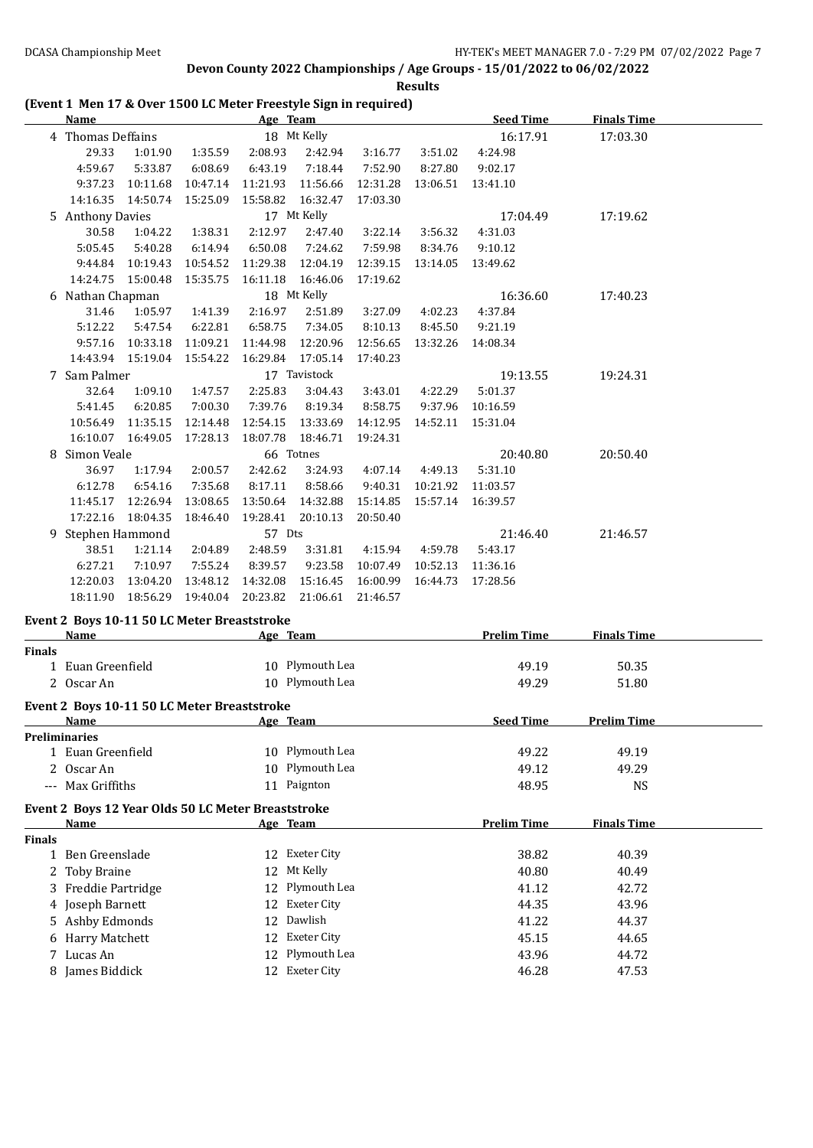**Results**

## **(Event 1 Men 17 & Over 1500 LC Meter Freestyle Sign in required)**

|        | Name                                               |          |                   | Age Team |                 |          |                   | <b>Seed Time</b>   | <b>Finals Time</b> |  |
|--------|----------------------------------------------------|----------|-------------------|----------|-----------------|----------|-------------------|--------------------|--------------------|--|
|        | 4 Thomas Deffains                                  |          |                   |          | 18 Mt Kelly     |          |                   | 16:17.91           | 17:03.30           |  |
|        | 29.33                                              | 1:01.90  | 1:35.59           | 2:08.93  | 2:42.94         | 3:16.77  | 3:51.02           | 4:24.98            |                    |  |
|        | 4:59.67                                            | 5:33.87  | 6:08.69           | 6:43.19  | 7:18.44         | 7:52.90  | 8:27.80           | 9:02.17            |                    |  |
|        | 9:37.23                                            | 10:11.68 | 10:47.14          | 11:21.93 | 11:56.66        | 12:31.28 | 13:06.51          | 13:41.10           |                    |  |
|        | 14:16.35                                           | 14:50.74 | 15:25.09          | 15:58.82 | 16:32.47        | 17:03.30 |                   |                    |                    |  |
|        | 5 Anthony Davies                                   |          |                   |          | 17 Mt Kelly     |          |                   | 17:04.49           | 17:19.62           |  |
|        | 30.58                                              | 1:04.22  | 1:38.31           | 2:12.97  | 2:47.40         | 3:22.14  | 3:56.32           | 4:31.03            |                    |  |
|        | 5:05.45                                            | 5:40.28  | 6:14.94           | 6:50.08  | 7:24.62         | 7:59.98  | 8:34.76           | 9:10.12            |                    |  |
|        | 9:44.84                                            | 10:19.43 | 10:54.52          | 11:29.38 | 12:04.19        | 12:39.15 | 13:14.05          | 13:49.62           |                    |  |
|        | 14:24.75                                           | 15:00.48 | 15:35.75          | 16:11.18 | 16:46.06        | 17:19.62 |                   |                    |                    |  |
|        | 6 Nathan Chapman                                   |          |                   |          | 18 Mt Kelly     |          |                   | 16:36.60           | 17:40.23           |  |
|        | 31.46                                              | 1:05.97  | 1:41.39           | 2:16.97  | 2:51.89         | 3:27.09  | 4:02.23           | 4:37.84            |                    |  |
|        | 5:12.22                                            | 5:47.54  | 6:22.81           | 6:58.75  | 7:34.05         | 8:10.13  | 8:45.50           | 9:21.19            |                    |  |
|        | 9:57.16                                            | 10:33.18 | 11:09.21          | 11:44.98 | 12:20.96        | 12:56.65 | 13:32.26          | 14:08.34           |                    |  |
|        | 14:43.94                                           | 15:19.04 | 15:54.22          | 16:29.84 | 17:05.14        | 17:40.23 |                   |                    |                    |  |
|        | 7 Sam Palmer                                       |          |                   |          | 17 Tavistock    |          |                   | 19:13.55           | 19:24.31           |  |
|        | 32.64                                              | 1:09.10  | 1:47.57           | 2:25.83  | 3:04.43         | 3:43.01  | 4:22.29           | 5:01.37            |                    |  |
|        | 5:41.45                                            | 6:20.85  | 7:00.30           | 7:39.76  | 8:19.34         | 8:58.75  | 9:37.96           | 10:16.59           |                    |  |
|        | 10:56.49                                           | 11:35.15 | 12:14.48          | 12:54.15 | 13:33.69        | 14:12.95 | 14:52.11 15:31.04 |                    |                    |  |
|        | 16:10.07                                           | 16:49.05 | 17:28.13          | 18:07.78 | 18:46.71        | 19:24.31 |                   |                    |                    |  |
|        | 8 Simon Veale                                      |          |                   |          | 66 Totnes       |          |                   | 20:40.80           | 20:50.40           |  |
|        | 36.97                                              | 1:17.94  | 2:00.57           | 2:42.62  | 3:24.93         | 4:07.14  | 4:49.13           | 5:31.10            |                    |  |
|        | 6:12.78                                            | 6:54.16  | 7:35.68           | 8:17.11  | 8:58.66         | 9:40.31  | 10:21.92          | 11:03.57           |                    |  |
|        | 11:45.17                                           | 12:26.94 | 13:08.65          | 13:50.64 | 14:32.88        | 15:14.85 | 15:57.14 16:39.57 |                    |                    |  |
|        | 17:22.16                                           | 18:04.35 | 18:46.40          | 19:28.41 | 20:10.13        | 20:50.40 |                   |                    |                    |  |
|        | 9 Stephen Hammond                                  |          |                   | 57 Dts   |                 |          |                   | 21:46.40           | 21:46.57           |  |
|        | 38.51                                              | 1:21.14  | 2:04.89           | 2:48.59  | 3:31.81         | 4:15.94  | 4:59.78           | 5:43.17            |                    |  |
|        | 6:27.21                                            | 7:10.97  | 7:55.24           | 8:39.57  | 9:23.58         | 10:07.49 | 10:52.13          | 11:36.16           |                    |  |
|        | 12:20.03                                           | 13:04.20 | 13:48.12          | 14:32.08 | 15:16.45        | 16:00.99 |                   | 16:44.73 17:28.56  |                    |  |
|        | 18:11.90                                           | 18:56.29 | 19:40.04 20:23.82 |          | 21:06.61        | 21:46.57 |                   |                    |                    |  |
|        |                                                    |          |                   |          |                 |          |                   |                    |                    |  |
|        | Event 2 Boys 10-11 50 LC Meter Breaststroke        |          |                   |          |                 |          |                   |                    |                    |  |
|        | Name                                               |          |                   | Age Team |                 |          |                   | <b>Prelim Time</b> | <b>Finals Time</b> |  |
| Finals | 1 Euan Greenfield                                  |          |                   |          | 10 Plymouth Lea |          |                   | 49.19              | 50.35              |  |
|        | 2 Oscar An                                         |          |                   |          | 10 Plymouth Lea |          |                   |                    |                    |  |
|        |                                                    |          |                   |          |                 |          |                   | 49.29              | 51.80              |  |
|        | Event 2 Boys 10-11 50 LC Meter Breaststroke        |          |                   |          |                 |          |                   |                    |                    |  |
|        | Name                                               |          |                   | Age Team |                 |          |                   | <b>Seed Time</b>   | <b>Prelim Time</b> |  |
|        | <b>Preliminaries</b>                               |          |                   |          |                 |          |                   |                    |                    |  |
|        | 1 Euan Greenfield                                  |          |                   |          | 10 Plymouth Lea |          |                   | 49.22              | 49.19              |  |
|        | 2 Oscar An                                         |          |                   |          | 10 Plymouth Lea |          |                   | 49.12              | 49.29              |  |
|        | --- Max Griffiths                                  |          |                   |          | 11 Paignton     |          |                   | 48.95              | <b>NS</b>          |  |
|        | Event 2 Boys 12 Year Olds 50 LC Meter Breaststroke |          |                   |          |                 |          |                   |                    |                    |  |
|        | <u>Name</u>                                        |          |                   | Age Team |                 |          |                   | <b>Prelim Time</b> | <b>Finals Time</b> |  |
| Finals |                                                    |          |                   |          |                 |          |                   |                    |                    |  |
|        | 1 Ben Greenslade                                   |          |                   |          | 12 Exeter City  |          |                   | 38.82              | 40.39              |  |
|        | 2 Toby Braine                                      |          |                   |          | 12 Mt Kelly     |          |                   | 40.80              | 40.49              |  |

3 Freddie Partridge 12 Plymouth Lea 41.12 42.72 4 Joseph Barnett 12 Exeter City 44.35 43.96 Ashby Edmonds 12 Dawlish 41.22 44.37 Harry Matchett 12 Exeter City 45.15 44.65 Lucas An 12 Plymouth Lea 43.96 44.72 James Biddick 12 Exeter City 46.28 47.53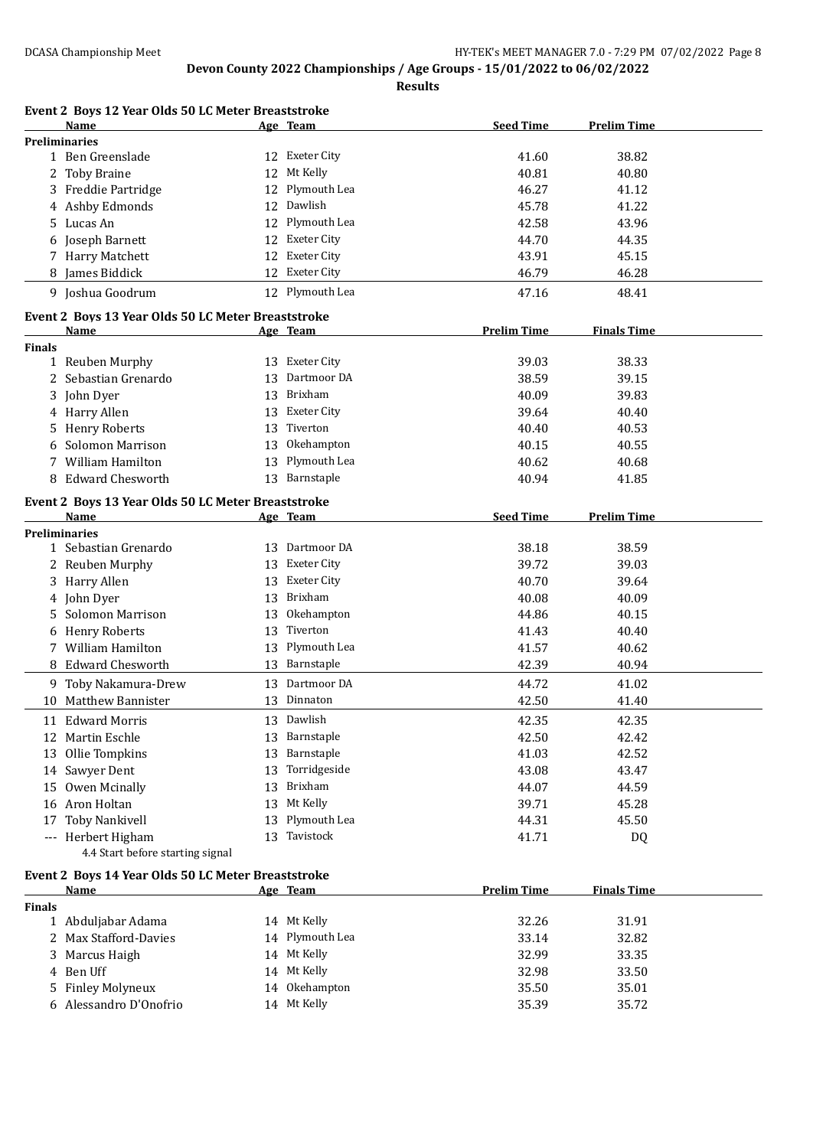**Results**

| Event 2 Boys 12 Year Olds 50 LC Meter Breaststroke<br>Name |    | Age Team           | <b>Seed Time</b>   | <b>Prelim Time</b> |
|------------------------------------------------------------|----|--------------------|--------------------|--------------------|
| <b>Preliminaries</b>                                       |    |                    |                    |                    |
| 1 Ben Greenslade                                           |    | 12 Exeter City     | 41.60              | 38.82              |
| <b>Toby Braine</b><br>2                                    | 12 | Mt Kelly           | 40.81              | 40.80              |
| 3 Freddie Partridge                                        | 12 | Plymouth Lea       | 46.27              | 41.12              |
| 4 Ashby Edmonds                                            | 12 | Dawlish            | 45.78              | 41.22              |
| 5 Lucas An                                                 | 12 | Plymouth Lea       | 42.58              | 43.96              |
| 6 Joseph Barnett                                           | 12 | <b>Exeter City</b> | 44.70              | 44.35              |
| 7 Harry Matchett                                           | 12 | <b>Exeter City</b> | 43.91              | 45.15              |
| 8 James Biddick                                            |    | 12 Exeter City     | 46.79              | 46.28              |
| 9 Joshua Goodrum                                           |    | 12 Plymouth Lea    | 47.16              | 48.41              |
| Event 2 Boys 13 Year Olds 50 LC Meter Breaststroke         |    |                    |                    |                    |
| Name                                                       |    | Age Team           | <b>Prelim Time</b> | <b>Finals Time</b> |
| <b>Finals</b>                                              |    |                    |                    |                    |
| 1 Reuben Murphy                                            |    | 13 Exeter City     | 39.03              | 38.33              |
| 2 Sebastian Grenardo                                       | 13 | Dartmoor DA        | 38.59              | 39.15              |
| 3 John Dyer                                                | 13 | Brixham            | 40.09              | 39.83              |
| 4 Harry Allen                                              | 13 | Exeter City        | 39.64              | 40.40              |
| 5 Henry Roberts                                            | 13 | Tiverton           | 40.40              | 40.53              |
| <b>Solomon Marrison</b>                                    | 13 | Okehampton         | 40.15              | 40.55              |
| William Hamilton<br>7                                      | 13 | Plymouth Lea       | 40.62              | 40.68              |
| <b>Edward Chesworth</b>                                    | 13 | Barnstaple         | 40.94              | 41.85              |
| Event 2 Boys 13 Year Olds 50 LC Meter Breaststroke         |    |                    |                    |                    |
| <b>Name</b>                                                |    | Age Team           | <b>Seed Time</b>   | <b>Prelim Time</b> |
| <b>Preliminaries</b>                                       |    |                    |                    |                    |
| 1 Sebastian Grenardo                                       |    | 13 Dartmoor DA     | 38.18              | 38.59              |
| 2 Reuben Murphy                                            | 13 | Exeter City        | 39.72              | 39.03              |
| 3 Harry Allen                                              | 13 | <b>Exeter City</b> | 40.70              | 39.64              |
| 4 John Dyer                                                | 13 | Brixham            | 40.08              | 40.09              |
| Solomon Marrison<br>5.                                     | 13 | Okehampton         | 44.86              | 40.15              |
| 6 Henry Roberts                                            | 13 | Tiverton           | 41.43              | 40.40              |
| 7 William Hamilton                                         | 13 | Plymouth Lea       | 41.57              | 40.62              |
| 8 Edward Chesworth                                         | 13 | Barnstaple         | 42.39              | 40.94              |
| 9 Toby Nakamura-Drew                                       | 13 | Dartmoor DA        | 44.72              | 41.02              |
| 10 Matthew Bannister                                       | 13 | Dinnaton           | 42.50              | 41.40              |
| 11 Edward Morris                                           |    | 13 Dawlish         | 42.35              | 42.35              |
| 12 Martin Eschle                                           | 13 | Barnstaple         | 42.50              | 42.42              |
| Ollie Tompkins<br>13                                       | 13 | Barnstaple         | 41.03              | 42.52              |
| 14 Sawyer Dent                                             | 13 | Torridgeside       | 43.08              | 43.47              |
| 15 Owen Mcinally                                           | 13 | Brixham            | 44.07              | 44.59              |
| 16 Aron Holtan                                             | 13 | Mt Kelly           | 39.71              | 45.28              |
|                                                            | 13 | Plymouth Lea       |                    |                    |
| <b>Toby Nankivell</b><br>17                                |    |                    | 44.31              | 45.50              |
| --- Herbert Higham<br>4.4 Start before starting signal     | 13 | Tavistock          | 41.71              | DQ                 |
| Event 2 Boys 14 Year Olds 50 LC Meter Breaststroke         |    |                    |                    |                    |
| Name                                                       |    | Age Team           | <b>Prelim Time</b> | <b>Finals Time</b> |
| <b>Finals</b>                                              |    |                    |                    |                    |
| 1 Abduljabar Adama                                         |    | 14 Mt Kelly        | 32.26              | 31.91              |

2 Max Stafford-Davies 14 Plymouth Lea 33.14 32.82<br>3 Marcus Haigh 14 Mt Kelly 32.99 33.35 3 Marcus Haigh 14 Mt Kelly 32.99 33.35 4 Ben Uff 14 Mt Kelly 32.98 33.50<br>
5 Finley Molyneux 14 Okehampton 35.50 35.01 Finley Molyneux 14 Okehampton 35.50 35.01 Alessandro D'Onofrio 14 Mt Kelly 35.39 35.72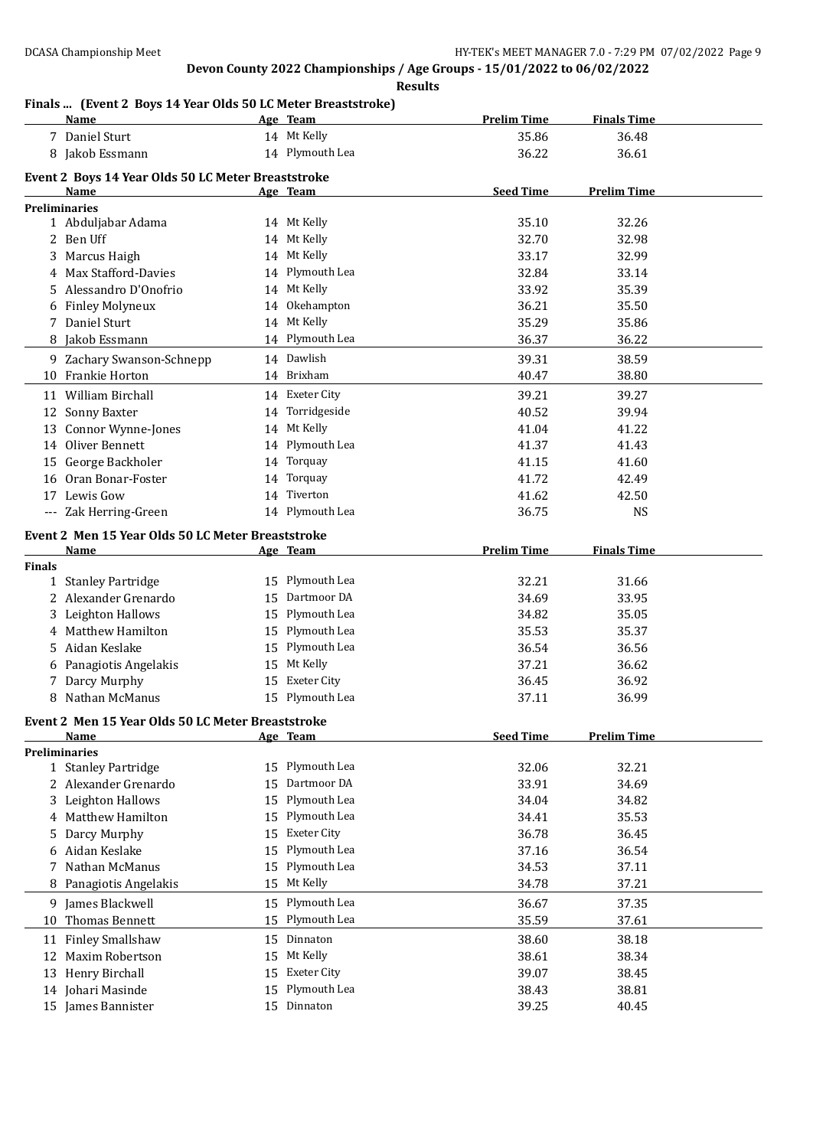**Results**

## **Finals ... (Event 2 Boys 14 Year Olds 50 LC Meter Breaststroke)**

|               | <u>Name</u>                                               |    | Age Team           | <b>Prelim Time</b> | <b>Finals Time</b> |  |
|---------------|-----------------------------------------------------------|----|--------------------|--------------------|--------------------|--|
|               | 7 Daniel Sturt                                            |    | 14 Mt Kelly        | 35.86              | 36.48              |  |
|               | 8 Jakob Essmann                                           |    | 14 Plymouth Lea    | 36.22              | 36.61              |  |
|               | Event 2 Boys 14 Year Olds 50 LC Meter Breaststroke        |    |                    |                    |                    |  |
|               | Name                                                      |    | Age Team           | <b>Seed Time</b>   | <b>Prelim Time</b> |  |
|               | <b>Preliminaries</b>                                      |    |                    |                    |                    |  |
|               | 1 Abduljabar Adama                                        |    | 14 Mt Kelly        | 35.10              | 32.26              |  |
|               | 2 Ben Uff                                                 |    | 14 Mt Kelly        | 32.70              | 32.98              |  |
|               | 3 Marcus Haigh                                            |    | 14 Mt Kelly        | 33.17              | 32.99              |  |
| 4             | Max Stafford-Davies                                       |    | 14 Plymouth Lea    | 32.84              | 33.14              |  |
| 5.            | Alessandro D'Onofrio                                      |    | 14 Mt Kelly        | 33.92              | 35.39              |  |
|               | Finley Molyneux                                           |    | 14 Okehampton      | 36.21              | 35.50              |  |
|               | 7 Daniel Sturt                                            |    | 14 Mt Kelly        | 35.29              | 35.86              |  |
| 8             | Jakob Essmann                                             |    | 14 Plymouth Lea    | 36.37              | 36.22              |  |
|               | 9 Zachary Swanson-Schnepp                                 |    | 14 Dawlish         | 39.31              | 38.59              |  |
|               | 10 Frankie Horton                                         |    | 14 Brixham         | 40.47              | 38.80              |  |
|               | 11 William Birchall                                       |    | 14 Exeter City     | 39.21              | 39.27              |  |
|               | 12 Sonny Baxter                                           |    | 14 Torridgeside    | 40.52              | 39.94              |  |
| 13            | Connor Wynne-Jones                                        |    | 14 Mt Kelly        | 41.04              | 41.22              |  |
|               | 14 Oliver Bennett                                         |    | 14 Plymouth Lea    | 41.37              | 41.43              |  |
|               | 15 George Backholer                                       | 14 | Torquay            | 41.15              | 41.60              |  |
|               | 16 Oran Bonar-Foster                                      | 14 | Torquay            | 41.72              | 42.49              |  |
|               | 17 Lewis Gow                                              | 14 | Tiverton           | 41.62              | 42.50              |  |
|               | --- Zak Herring-Green                                     |    | 14 Plymouth Lea    | 36.75              | <b>NS</b>          |  |
|               |                                                           |    |                    |                    |                    |  |
|               | Event 2 Men 15 Year Olds 50 LC Meter Breaststroke<br>Name |    | Age Team           | <b>Prelim Time</b> | <b>Finals Time</b> |  |
| <b>Finals</b> |                                                           |    |                    |                    |                    |  |
|               | 1 Stanley Partridge                                       |    | 15 Plymouth Lea    | 32.21              | 31.66              |  |
|               | 2 Alexander Grenardo                                      |    | 15 Dartmoor DA     | 34.69              | 33.95              |  |
|               | 3 Leighton Hallows                                        |    | 15 Plymouth Lea    | 34.82              | 35.05              |  |
|               | 4 Matthew Hamilton                                        |    | 15 Plymouth Lea    | 35.53              | 35.37              |  |
| 5.            | Aidan Keslake                                             | 15 | Plymouth Lea       | 36.54              | 36.56              |  |
| 6             | Panagiotis Angelakis                                      |    | 15 Mt Kelly        | 37.21              | 36.62              |  |
|               | 7 Darcy Murphy                                            | 15 | Exeter City        | 36.45              | 36.92              |  |
|               | 8 Nathan McManus                                          |    | 15 Plymouth Lea    | 37.11              | 36.99              |  |
|               | Event 2 Men 15 Year Olds 50 LC Meter Breaststroke         |    |                    |                    |                    |  |
|               | Name                                                      |    | Age Team           | <b>Seed Time</b>   | <b>Prelim Time</b> |  |
|               | <b>Preliminaries</b>                                      |    |                    |                    |                    |  |
|               | 1 Stanley Partridge                                       | 15 | Plymouth Lea       | 32.06              | 32.21              |  |
|               | 2 Alexander Grenardo                                      | 15 | Dartmoor DA        | 33.91              | 34.69              |  |
| 3             | Leighton Hallows                                          | 15 | Plymouth Lea       | 34.04              | 34.82              |  |
|               | 4 Matthew Hamilton                                        | 15 | Plymouth Lea       | 34.41              | 35.53              |  |
| 5.            | Darcy Murphy                                              | 15 | <b>Exeter City</b> | 36.78              | 36.45              |  |
| 6             | Aidan Keslake                                             | 15 | Plymouth Lea       | 37.16              | 36.54              |  |
| 7             | Nathan McManus                                            | 15 | Plymouth Lea       | 34.53              | 37.11              |  |
| 8             | Panagiotis Angelakis                                      | 15 | Mt Kelly           | 34.78              | 37.21              |  |
|               | 9 James Blackwell                                         | 15 | Plymouth Lea       | 36.67              | 37.35              |  |
| 10            | Thomas Bennett                                            | 15 | Plymouth Lea       | 35.59              | 37.61              |  |
| 11            | Finley Smallshaw                                          | 15 | Dinnaton           | 38.60              | 38.18              |  |
| 12            | Maxim Robertson                                           | 15 | Mt Kelly           | 38.61              | 38.34              |  |
| 13            | Henry Birchall                                            | 15 | <b>Exeter City</b> | 39.07              | 38.45              |  |
|               | 14 Johari Masinde                                         | 15 | Plymouth Lea       | 38.43              | 38.81              |  |
|               | 15 James Bannister                                        |    | 15 Dinnaton        | 39.25              | 40.45              |  |
|               |                                                           |    |                    |                    |                    |  |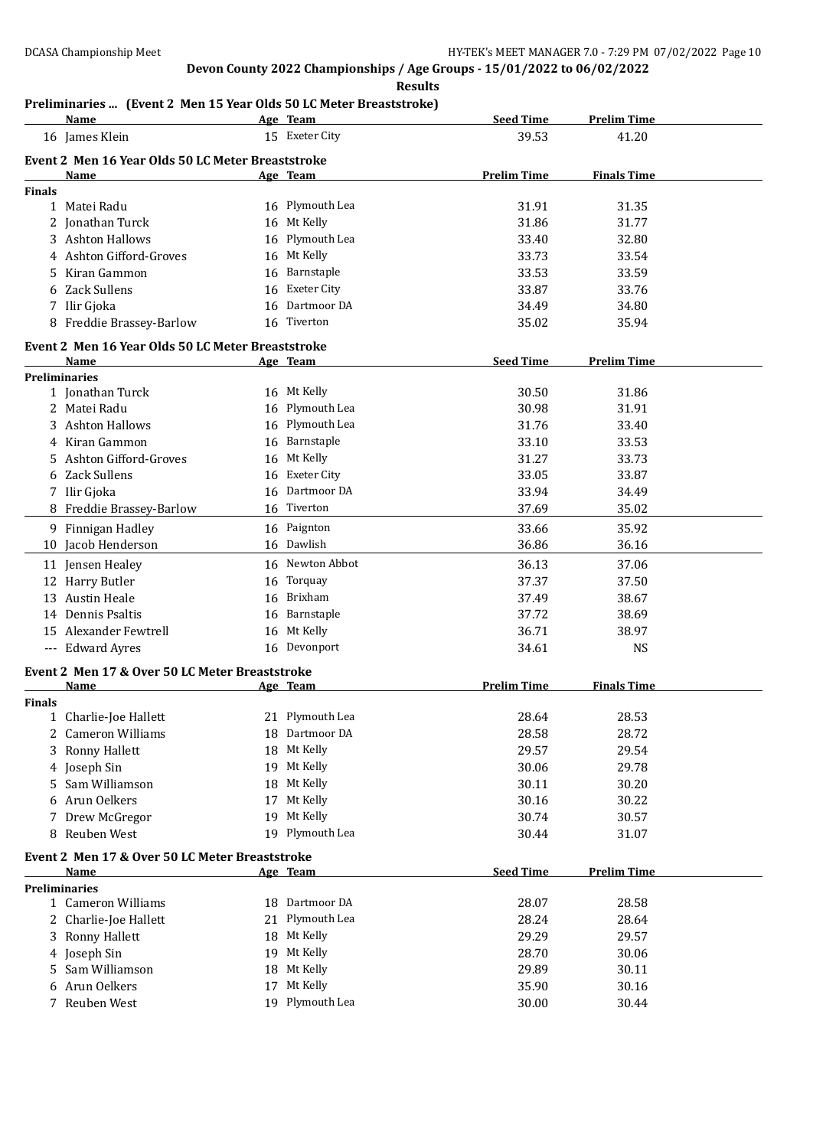**Results**

### **Preliminaries ... (Event 2 Men 15 Year Olds 50 LC Meter Breaststroke)**

|               | <b>Name</b>                                       |    | Age Team           | <b>Seed Time</b>   | <b>Prelim Time</b> |  |
|---------------|---------------------------------------------------|----|--------------------|--------------------|--------------------|--|
|               | 16 James Klein                                    |    | 15 Exeter City     | 39.53              | 41.20              |  |
|               | Event 2 Men 16 Year Olds 50 LC Meter Breaststroke |    |                    |                    |                    |  |
|               | Name                                              |    | Age Team           | <b>Prelim Time</b> | <b>Finals Time</b> |  |
| <b>Finals</b> |                                                   |    |                    |                    |                    |  |
|               | 1 Matei Radu                                      |    | 16 Plymouth Lea    | 31.91              | 31.35              |  |
|               | 2 Jonathan Turck                                  |    | 16 Mt Kelly        | 31.86              | 31.77              |  |
|               | 3 Ashton Hallows                                  | 16 | Plymouth Lea       | 33.40              | 32.80              |  |
|               | 4 Ashton Gifford-Groves                           | 16 | Mt Kelly           | 33.73              | 33.54              |  |
|               | Kiran Gammon                                      | 16 | Barnstaple         | 33.53              | 33.59              |  |
|               | 6 Zack Sullens                                    | 16 | <b>Exeter City</b> | 33.87              | 33.76              |  |
|               | 7 Ilir Gjoka                                      | 16 | Dartmoor DA        | 34.49              | 34.80              |  |
|               | 8 Freddie Brassey-Barlow                          |    | 16 Tiverton        | 35.02              | 35.94              |  |
|               |                                                   |    |                    |                    |                    |  |
|               | Event 2 Men 16 Year Olds 50 LC Meter Breaststroke |    |                    |                    |                    |  |
|               | Name                                              |    | Age Team           | <b>Seed Time</b>   | <b>Prelim Time</b> |  |
|               | <b>Preliminaries</b>                              |    |                    |                    |                    |  |
|               | 1 Jonathan Turck                                  |    | 16 Mt Kelly        | 30.50              | 31.86              |  |
|               | 2 Matei Radu                                      |    | 16 Plymouth Lea    | 30.98              | 31.91              |  |
|               | 3 Ashton Hallows                                  |    | 16 Plymouth Lea    | 31.76              | 33.40              |  |
|               | 4 Kiran Gammon                                    |    | 16 Barnstaple      | 33.10              | 33.53              |  |
| 5.            | Ashton Gifford-Groves                             |    | 16 Mt Kelly        | 31.27              | 33.73              |  |
|               | 6 Zack Sullens                                    |    | 16 Exeter City     | 33.05              | 33.87              |  |
|               | 7 Ilir Gjoka                                      | 16 | Dartmoor DA        | 33.94              | 34.49              |  |
|               | 8 Freddie Brassey-Barlow                          |    | 16 Tiverton        | 37.69              | 35.02              |  |
|               | 9 Finnigan Hadley                                 |    | 16 Paignton        | 33.66              | 35.92              |  |
|               | 10 Jacob Henderson                                |    | 16 Dawlish         | 36.86              | 36.16              |  |
|               | 11 Jensen Healey                                  |    | 16 Newton Abbot    | 36.13              | 37.06              |  |
|               | 12 Harry Butler                                   | 16 | Torquay            | 37.37              | 37.50              |  |
|               | 13 Austin Heale                                   | 16 | Brixham            | 37.49              | 38.67              |  |
|               | 14 Dennis Psaltis                                 |    | Barnstaple         |                    |                    |  |
|               |                                                   | 16 |                    | 37.72              | 38.69              |  |
|               | 15 Alexander Fewtrell                             | 16 | Mt Kelly           | 36.71              | 38.97              |  |
|               | --- Edward Ayres                                  |    | 16 Devonport       | 34.61              | <b>NS</b>          |  |
|               | Event 2 Men 17 & Over 50 LC Meter Breaststroke    |    |                    |                    |                    |  |
|               | <b>Name</b>                                       |    | Age Team           | <b>Prelim Time</b> | <b>Finals Time</b> |  |
| <b>Finals</b> |                                                   |    |                    |                    |                    |  |
|               | 1 Charlie-Joe Hallett                             |    | 21 Plymouth Lea    | 28.64              | 28.53              |  |
|               | 2 Cameron Williams                                | 18 | Dartmoor DA        | 28.58              | 28.72              |  |
|               | 3 Ronny Hallett                                   |    | 18 Mt Kelly        | 29.57              | 29.54              |  |
|               | 4 Joseph Sin                                      |    | 19 Mt Kelly        | 30.06              | 29.78              |  |
| 5.            | Sam Williamson                                    | 18 | Mt Kelly           | 30.11              | 30.20              |  |
|               | 6 Arun Oelkers                                    | 17 | Mt Kelly           | 30.16              | 30.22              |  |
| 7             | Drew McGregor                                     | 19 | Mt Kelly           | 30.74              | 30.57              |  |
|               | 8 Reuben West                                     |    | 19 Plymouth Lea    | 30.44              | 31.07              |  |
|               | Event 2 Men 17 & Over 50 LC Meter Breaststroke    |    |                    |                    |                    |  |
|               | Name                                              |    | Age Team           | <b>Seed Time</b>   | <b>Prelim Time</b> |  |
|               | <b>Preliminaries</b>                              |    |                    |                    |                    |  |
|               | 1 Cameron Williams                                |    | 18 Dartmoor DA     | 28.07              | 28.58              |  |
|               | 2 Charlie-Joe Hallett                             |    | 21 Plymouth Lea    | 28.24              | 28.64              |  |
|               | 3 Ronny Hallett                                   |    | 18 Mt Kelly        | 29.29              | 29.57              |  |
|               | 4 Joseph Sin                                      |    | 19 Mt Kelly        | 28.70              | 30.06              |  |
|               | 5 Sam Williamson                                  |    | 18 Mt Kelly        | 29.89              | 30.11              |  |
|               | 6 Arun Oelkers                                    |    | 17 Mt Kelly        | 35.90              | 30.16              |  |
|               | 7 Reuben West                                     |    | 19 Plymouth Lea    | 30.00              | 30.44              |  |
|               |                                                   |    |                    |                    |                    |  |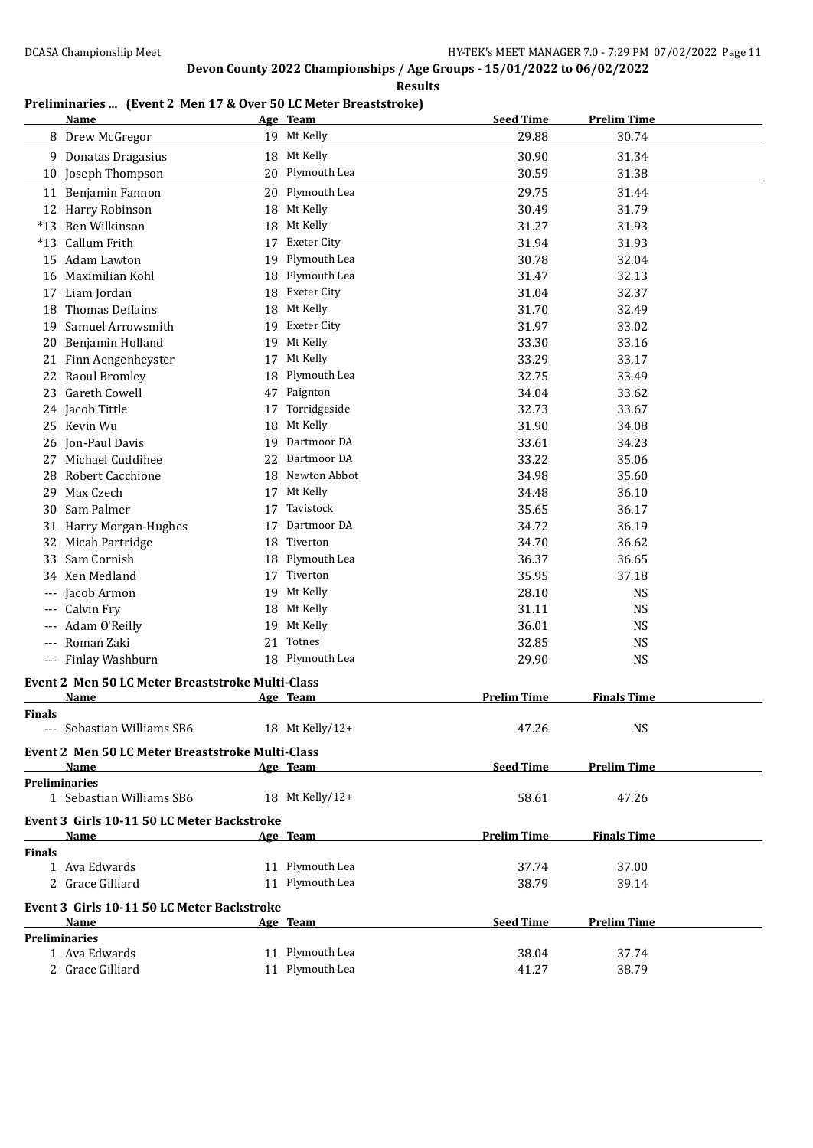**Results**

### **Preliminaries ... (Event 2 Men 17 & Over 50 LC Meter Breaststroke)**

|               | <b>Name</b>                                      |    | Age Team           | <b>Seed Time</b>   | <b>Prelim Time</b> |  |
|---------------|--------------------------------------------------|----|--------------------|--------------------|--------------------|--|
|               | 8 Drew McGregor                                  |    | 19 Mt Kelly        | 29.88              | 30.74              |  |
|               | 9 Donatas Dragasius                              |    | 18 Mt Kelly        | 30.90              | 31.34              |  |
| 10            | Joseph Thompson                                  |    | 20 Plymouth Lea    | 30.59              | 31.38              |  |
|               | 11 Benjamin Fannon                               | 20 | Plymouth Lea       | 29.75              | 31.44              |  |
|               | 12 Harry Robinson                                |    | 18 Mt Kelly        | 30.49              | 31.79              |  |
|               | *13 Ben Wilkinson                                |    | Mt Kelly           |                    |                    |  |
|               |                                                  | 18 |                    | 31.27              | 31.93              |  |
|               | *13 Callum Frith                                 | 17 | <b>Exeter City</b> | 31.94              | 31.93              |  |
|               | 15 Adam Lawton                                   | 19 | Plymouth Lea       | 30.78              | 32.04              |  |
|               | 16 Maximilian Kohl                               | 18 | Plymouth Lea       | 31.47              | 32.13              |  |
|               | 17 Liam Jordan                                   | 18 | <b>Exeter City</b> | 31.04              | 32.37              |  |
| 18            | <b>Thomas Deffains</b>                           |    | 18 Mt Kelly        | 31.70              | 32.49              |  |
| 19            | Samuel Arrowsmith                                |    | 19 Exeter City     | 31.97              | 33.02              |  |
|               | 20 Benjamin Holland                              |    | 19 Mt Kelly        | 33.30              | 33.16              |  |
|               | 21 Finn Aengenheyster                            |    | 17 Mt Kelly        | 33.29              | 33.17              |  |
|               | 22 Raoul Bromley                                 | 18 | Plymouth Lea       | 32.75              | 33.49              |  |
|               | 23 Gareth Cowell                                 |    | 47 Paignton        | 34.04              | 33.62              |  |
|               | 24 Jacob Tittle                                  | 17 | Torridgeside       | 32.73              | 33.67              |  |
| 25            | Kevin Wu                                         | 18 | Mt Kelly           | 31.90              | 34.08              |  |
| 26            | Jon-Paul Davis                                   | 19 | Dartmoor DA        | 33.61              | 34.23              |  |
| 27            | Michael Cuddihee                                 | 22 | Dartmoor DA        | 33.22              | 35.06              |  |
| 28            | Robert Cacchione                                 | 18 | Newton Abbot       | 34.98              | 35.60              |  |
| 29            | Max Czech                                        | 17 | Mt Kelly           | 34.48              | 36.10              |  |
| 30            | Sam Palmer                                       | 17 | Tavistock          | 35.65              | 36.17              |  |
|               | 31 Harry Morgan-Hughes                           | 17 | Dartmoor DA        | 34.72              | 36.19              |  |
|               | 32 Micah Partridge                               | 18 | Tiverton           | 34.70              | 36.62              |  |
| 33            | Sam Cornish                                      | 18 | Plymouth Lea       | 36.37              | 36.65              |  |
|               | 34 Xen Medland                                   |    | 17 Tiverton        | 35.95              | 37.18              |  |
|               | Jacob Armon                                      |    | 19 Mt Kelly        | 28.10              | <b>NS</b>          |  |
|               | Calvin Fry                                       |    | 18 Mt Kelly        | 31.11              | <b>NS</b>          |  |
|               | Adam O'Reilly                                    | 19 | Mt Kelly           | 36.01              | <b>NS</b>          |  |
| $---$         | Roman Zaki                                       | 21 | Totnes             | 32.85              | <b>NS</b>          |  |
|               | --- Finlay Washburn                              |    | 18 Plymouth Lea    | 29.90              | <b>NS</b>          |  |
|               |                                                  |    |                    |                    |                    |  |
|               | Event 2 Men 50 LC Meter Breaststroke Multi-Class |    |                    | <b>Prelim Time</b> | <b>Finals Time</b> |  |
|               | Name                                             |    | Age Team           |                    |                    |  |
| <b>Finals</b> | --- Sebastian Williams SB6                       |    | 18 Mt Kelly/12+    | 47.26              | <b>NS</b>          |  |
|               |                                                  |    |                    |                    |                    |  |
|               | Event 2 Men 50 LC Meter Breaststroke Multi-Class |    |                    |                    |                    |  |
|               | Name                                             |    | Age Team           | <b>Seed Time</b>   | <b>Prelim Time</b> |  |
|               | <b>Preliminaries</b>                             |    |                    |                    |                    |  |
|               | 1 Sebastian Williams SB6                         |    | 18 Mt Kelly/12+    | 58.61              | 47.26              |  |
|               | Event 3 Girls 10-11 50 LC Meter Backstroke       |    |                    |                    |                    |  |
|               | Name                                             |    | Age Team           | <b>Prelim Time</b> | <b>Finals Time</b> |  |
| <b>Finals</b> |                                                  |    |                    |                    |                    |  |
|               | 1 Ava Edwards                                    |    | 11 Plymouth Lea    | 37.74              | 37.00              |  |
|               | 2 Grace Gilliard                                 |    | 11 Plymouth Lea    | 38.79              | 39.14              |  |
|               | Event 3 Girls 10-11 50 LC Meter Backstroke       |    |                    |                    |                    |  |
|               | Name                                             |    | Age Team           | <b>Seed Time</b>   | <b>Prelim Time</b> |  |
|               | <b>Preliminaries</b>                             |    |                    |                    |                    |  |
|               | 1 Ava Edwards                                    |    | 11 Plymouth Lea    | 38.04              | 37.74              |  |
|               | 2 Grace Gilliard                                 |    | 11 Plymouth Lea    | 41.27              | 38.79              |  |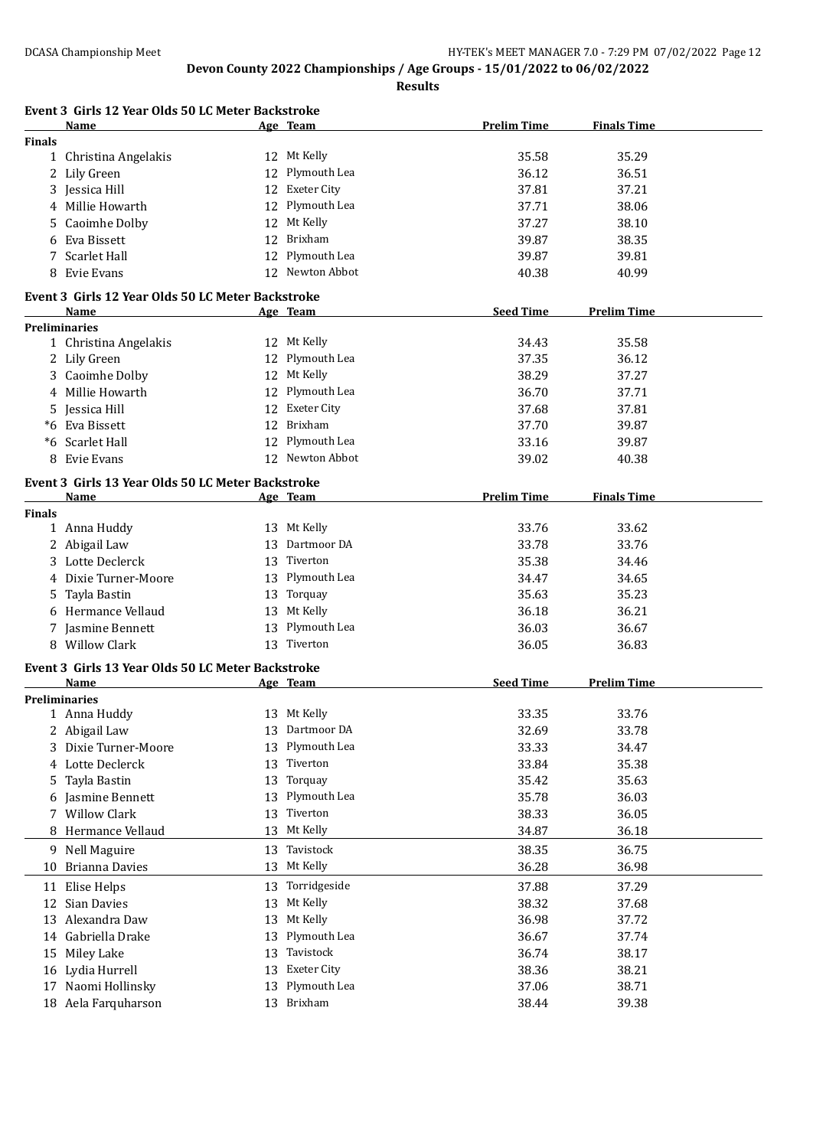|               | Event 3 Girls 12 Year Olds 50 LC Meter Backstroke<br>Name |    | Age Team             | <b>Prelim Time</b> | <b>Finals Time</b> |
|---------------|-----------------------------------------------------------|----|----------------------|--------------------|--------------------|
| <b>Finals</b> |                                                           |    |                      |                    |                    |
|               | 1 Christina Angelakis                                     |    | 12 Mt Kelly          | 35.58              | 35.29              |
|               | 2 Lily Green                                              | 12 | Plymouth Lea         | 36.12              | 36.51              |
|               | 3 Jessica Hill                                            | 12 | <b>Exeter City</b>   | 37.81              | 37.21              |
|               | 4 Millie Howarth                                          | 12 | Plymouth Lea         | 37.71              | 38.06              |
|               | <b>Caoimhe Dolby</b>                                      | 12 | Mt Kelly             | 37.27              | 38.10              |
| 6             | Eva Bissett                                               | 12 | Brixham              | 39.87              | 38.35              |
|               | 7 Scarlet Hall                                            | 12 | Plymouth Lea         | 39.87              | 39.81              |
|               | 8 Evie Evans                                              |    | 12 Newton Abbot      | 40.38              | 40.99              |
|               | Event 3 Girls 12 Year Olds 50 LC Meter Backstroke         |    |                      |                    |                    |
|               | Name                                                      |    | Age Team             | <b>Seed Time</b>   | <b>Prelim Time</b> |
|               | <b>Preliminaries</b>                                      |    |                      |                    |                    |
|               | 1 Christina Angelakis                                     |    | 12 Mt Kelly          | 34.43              | 35.58              |
|               | 2 Lily Green                                              |    | 12 Plymouth Lea      | 37.35              | 36.12              |
|               | 3 Caoimhe Dolby                                           |    | 12 Mt Kelly          | 38.29              | 37.27              |
|               | 4 Millie Howarth                                          |    | 12 Plymouth Lea      | 36.70              | 37.71              |
|               | 5 Jessica Hill                                            |    | 12 Exeter City       | 37.68              | 37.81              |
|               | *6 Eva Bissett                                            |    | 12 Brixham           | 37.70              | 39.87              |
|               | *6 Scarlet Hall                                           |    | 12 Plymouth Lea      | 33.16              | 39.87              |
| 8             | Evie Evans                                                |    | 12 Newton Abbot      | 39.02              | 40.38              |
|               | Event 3 Girls 13 Year Olds 50 LC Meter Backstroke         |    |                      |                    |                    |
|               | Name                                                      |    | Age Team             | <b>Prelim Time</b> | <b>Finals Time</b> |
| <b>Finals</b> |                                                           |    |                      |                    |                    |
|               | 1 Anna Huddy                                              |    | 13 Mt Kelly          | 33.76              | 33.62              |
|               | 2 Abigail Law                                             |    | 13 Dartmoor DA       | 33.78              | 33.76              |
|               | 3 Lotte Declerck                                          | 13 | Tiverton             | 35.38              | 34.46              |
| 4             | Dixie Turner-Moore                                        |    | 13 Plymouth Lea      | 34.47              | 34.65              |
| 5.            | Tayla Bastin                                              | 13 | Torquay              | 35.63              | 35.23              |
|               | 6 Hermance Vellaud                                        | 13 | Mt Kelly             | 36.18              | 36.21              |
|               | 7 Jasmine Bennett                                         | 13 | Plymouth Lea         | 36.03              | 36.67              |
|               | 8 Willow Clark                                            |    | 13 Tiverton          | 36.05              | 36.83              |
|               | Event 3 Girls 13 Year Olds 50 LC Meter Backstroke         |    |                      |                    |                    |
|               | Name                                                      |    | Age Team             | <b>Seed Time</b>   | <b>Prelim Time</b> |
|               | <b>Preliminaries</b>                                      |    | 13 Mt Kelly          | 33.35              | 33.76              |
|               | 1 Anna Huddy                                              | 13 | Dartmoor DA          | 32.69              | 33.78              |
|               | 2 Abigail Law<br>Dixie Turner-Moore                       |    | Plymouth Lea         | 33.33              |                    |
| 3             |                                                           | 13 | Tiverton             |                    | 34.47              |
| 4             | Lotte Declerck                                            | 13 | Torquay              | 33.84              | 35.38              |
| 5.            | Tayla Bastin                                              | 13 | Plymouth Lea         | 35.42              | 35.63              |
| 6             | Jasmine Bennett                                           | 13 |                      | 35.78              | 36.03              |
|               | 7 Willow Clark                                            | 13 | Tiverton<br>Mt Kelly | 38.33              | 36.05              |
|               | 8 Hermance Vellaud                                        | 13 |                      | 34.87              | 36.18              |
|               | 9 Nell Maguire                                            | 13 | Tavistock            | 38.35              | 36.75              |
| 10            | <b>Brianna Davies</b>                                     | 13 | Mt Kelly             | 36.28              | 36.98              |
| 11            | Elise Helps                                               |    | 13 Torridgeside      | 37.88              | 37.29              |
| 12            | Sian Davies                                               | 13 | Mt Kelly             | 38.32              | 37.68              |
|               | 13 Alexandra Daw                                          | 13 | Mt Kelly             | 36.98              | 37.72              |
|               | 14 Gabriella Drake                                        | 13 | Plymouth Lea         | 36.67              | 37.74              |
| 15            | Miley Lake                                                | 13 | Tavistock            | 36.74              | 38.17              |
| 16            | Lydia Hurrell                                             | 13 | <b>Exeter City</b>   | 38.36              | 38.21              |
| 17            | Naomi Hollinsky                                           | 13 | Plymouth Lea         | 37.06              | 38.71              |
|               | 18 Aela Farquharson                                       |    | 13 Brixham           | 38.44              | 39.38              |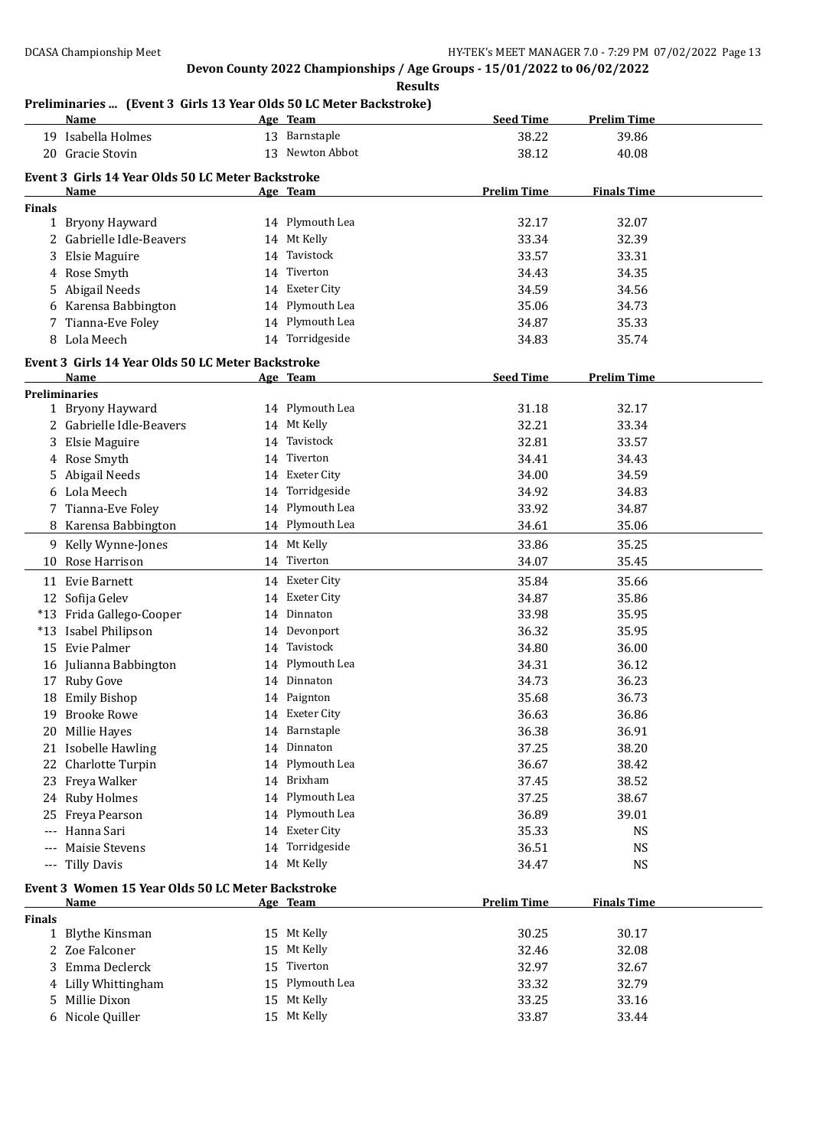**Results**

### **Preliminaries ... (Event 3 Girls 13 Year Olds 50 LC Meter Backstroke)**

|               | enning res  (Event 5 GHTs 15 Tear Olds 50 EG Meter Backströße)<br><u>Name</u> |    | Age Team        | <b>Seed Time</b>   | <b>Prelim Time</b> |
|---------------|-------------------------------------------------------------------------------|----|-----------------|--------------------|--------------------|
|               | 19 Isabella Holmes                                                            |    | 13 Barnstaple   | 38.22              | 39.86              |
|               | 20 Gracie Stovin                                                              |    | 13 Newton Abbot | 38.12              | 40.08              |
|               |                                                                               |    |                 |                    |                    |
|               | Event 3 Girls 14 Year Olds 50 LC Meter Backstroke                             |    |                 |                    |                    |
|               | Name                                                                          |    | Age Team        | <b>Prelim Time</b> | <b>Finals Time</b> |
| <b>Finals</b> |                                                                               |    |                 |                    |                    |
|               | 1 Bryony Hayward                                                              |    | 14 Plymouth Lea | 32.17              | 32.07              |
|               | 2 Gabrielle Idle-Beavers                                                      |    | 14 Mt Kelly     | 33.34              | 32.39              |
| 3             | Elsie Maguire                                                                 | 14 | Tavistock       | 33.57              | 33.31              |
|               | 4 Rose Smyth                                                                  |    | 14 Tiverton     | 34.43              | 34.35              |
| 5.            | Abigail Needs                                                                 |    | 14 Exeter City  | 34.59              | 34.56              |
|               | 6 Karensa Babbington                                                          |    | 14 Plymouth Lea | 35.06              | 34.73              |
|               | 7 Tianna-Eve Foley                                                            |    | 14 Plymouth Lea | 34.87              | 35.33              |
| 8             | Lola Meech                                                                    |    | 14 Torridgeside | 34.83              | 35.74              |
|               | Event 3 Girls 14 Year Olds 50 LC Meter Backstroke                             |    |                 |                    |                    |
|               | Name                                                                          |    | Age Team        | <b>Seed Time</b>   | <b>Prelim Time</b> |
|               | <b>Preliminaries</b>                                                          |    |                 |                    |                    |
|               | 1 Bryony Hayward                                                              |    | 14 Plymouth Lea | 31.18              | 32.17              |
|               | 2 Gabrielle Idle-Beavers                                                      |    | 14 Mt Kelly     | 32.21              | 33.34              |
|               | Elsie Maguire                                                                 | 14 | Tavistock       | 32.81              | 33.57              |
| 4             | Rose Smyth                                                                    | 14 | Tiverton        | 34.41              | 34.43              |
|               | 5 Abigail Needs                                                               | 14 | Exeter City     | 34.00              | 34.59              |
|               | 6 Lola Meech                                                                  | 14 | Torridgeside    | 34.92              | 34.83              |
|               | 7 Tianna-Eve Foley                                                            |    | 14 Plymouth Lea | 33.92              | 34.87              |
|               | 8 Karensa Babbington                                                          |    | 14 Plymouth Lea | 34.61              | 35.06              |
|               |                                                                               |    |                 |                    |                    |
|               | 9 Kelly Wynne-Jones                                                           |    | 14 Mt Kelly     | 33.86              | 35.25              |
| 10            | Rose Harrison                                                                 |    | 14 Tiverton     | 34.07              | 35.45              |
|               | 11 Evie Barnett                                                               |    | 14 Exeter City  | 35.84              | 35.66              |
|               | 12 Sofija Gelev                                                               |    | 14 Exeter City  | 34.87              | 35.86              |
|               | *13 Frida Gallego-Cooper                                                      | 14 | Dinnaton        | 33.98              | 35.95              |
|               | *13 Isabel Philipson                                                          |    | 14 Devonport    | 36.32              | 35.95              |
| 15            | Evie Palmer                                                                   | 14 | Tavistock       | 34.80              | 36.00              |
|               | 16 Julianna Babbington                                                        |    | 14 Plymouth Lea | 34.31              | 36.12              |
|               | 17 Ruby Gove                                                                  | 14 | Dinnaton        | 34.73              | 36.23              |
|               | 18 Emily Bishop                                                               |    | 14 Paignton     | 35.68              | 36.73              |
|               | 19 Brooke Rowe                                                                |    | 14 Exeter City  | 36.63              | 36.86              |
| 20.           | Millie Hayes                                                                  |    | 14 Barnstaple   | 36.38              | 36.91              |
| 21            | <b>Isobelle Hawling</b>                                                       |    | 14 Dinnaton     | 37.25              | 38.20              |
| 22            | Charlotte Turpin                                                              |    | 14 Plymouth Lea | 36.67              | 38.42              |
| 23            | Freya Walker                                                                  |    | 14 Brixham      | 37.45              | 38.52              |
|               | 24 Ruby Holmes                                                                |    | 14 Plymouth Lea | 37.25              | 38.67              |
| 25            | Freya Pearson                                                                 |    | 14 Plymouth Lea | 36.89              | 39.01              |
| $---$         | Hanna Sari                                                                    |    | 14 Exeter City  | 35.33              | <b>NS</b>          |
| $---$         | Maisie Stevens                                                                |    | 14 Torridgeside | 36.51              | <b>NS</b>          |
| $\cdots$      | Tilly Davis                                                                   |    | 14 Mt Kelly     | 34.47              | <b>NS</b>          |
|               |                                                                               |    |                 |                    |                    |
|               | Event 3 Women 15 Year Olds 50 LC Meter Backstroke                             |    |                 |                    |                    |
|               | <u>Name</u>                                                                   |    | Age Team        | <b>Prelim Time</b> | <b>Finals Time</b> |
| <b>Finals</b> |                                                                               |    |                 |                    |                    |
|               | 1 Blythe Kinsman                                                              |    | 15 Mt Kelly     | 30.25              | 30.17              |
|               | 2 Zoe Falconer                                                                | 15 | Mt Kelly        | 32.46              | 32.08              |
| 3             | Emma Declerck                                                                 | 15 | Tiverton        | 32.97              | 32.67              |
| 4             | Lilly Whittingham                                                             | 15 | Plymouth Lea    | 33.32              | 32.79              |
| 5             | Millie Dixon                                                                  |    | 15 Mt Kelly     | 33.25              | 33.16              |
|               | 6 Nicole Quiller                                                              |    | 15 Mt Kelly     | 33.87              | 33.44              |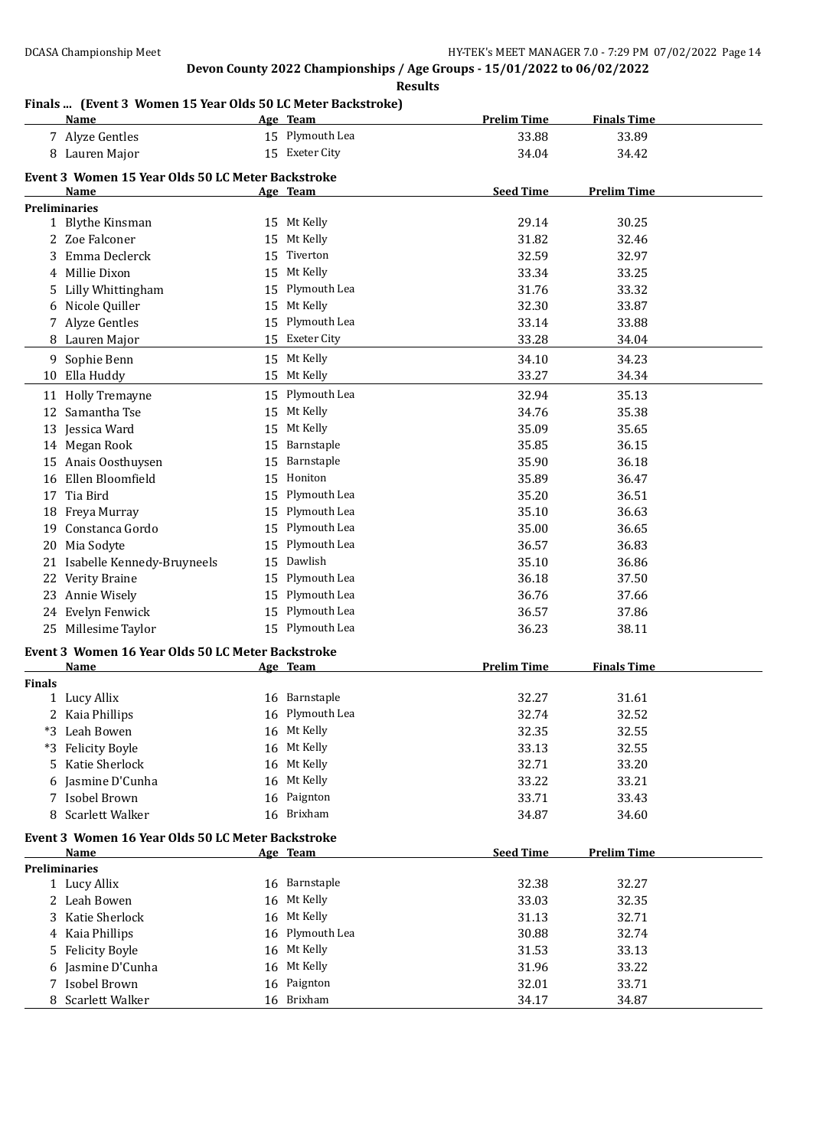**Results**

# **Finals ... (Event 3 Women 15 Year Olds 50 LC Meter Backstroke)**

|               | <u>Name</u>                                               |    | Age Team                | <b>Prelim Time</b> | <b>Finals Time</b> |  |
|---------------|-----------------------------------------------------------|----|-------------------------|--------------------|--------------------|--|
|               | 7 Alyze Gentles                                           |    | 15 Plymouth Lea         | 33.88              | 33.89              |  |
|               | 8 Lauren Major                                            |    | 15 Exeter City          | 34.04              | 34.42              |  |
|               |                                                           |    |                         |                    |                    |  |
|               | Event 3 Women 15 Year Olds 50 LC Meter Backstroke<br>Name |    | Age Team                | <b>Seed Time</b>   | <b>Prelim Time</b> |  |
|               | <b>Preliminaries</b>                                      |    |                         |                    |                    |  |
|               | 1 Blythe Kinsman                                          |    | 15 Mt Kelly             | 29.14              | 30.25              |  |
|               | 2 Zoe Falconer                                            | 15 | Mt Kelly                | 31.82              | 32.46              |  |
| 3             | Emma Declerck                                             | 15 | Tiverton                | 32.59              | 32.97              |  |
| 4             | Millie Dixon                                              | 15 | Mt Kelly                | 33.34              | 33.25              |  |
| 5.            | Lilly Whittingham                                         |    | 15 Plymouth Lea         | 31.76              | 33.32              |  |
| 6             | Nicole Quiller                                            | 15 | Mt Kelly                | 32.30              | 33.87              |  |
|               | 7 Alyze Gentles                                           | 15 | Plymouth Lea            | 33.14              | 33.88              |  |
|               | 8 Lauren Major                                            |    | 15 Exeter City          | 33.28              | 34.04              |  |
|               | 9 Sophie Benn                                             |    | 15 Mt Kelly             | 34.10              | 34.23              |  |
| 10            | Ella Huddy                                                |    | 15 Mt Kelly             | 33.27              | 34.34              |  |
|               |                                                           |    | 15 Plymouth Lea         | 32.94              | 35.13              |  |
|               | 11 Holly Tremayne                                         |    |                         |                    |                    |  |
|               | 12 Samantha Tse                                           | 15 | Mt Kelly<br>Mt Kelly    | 34.76              | 35.38              |  |
|               | 13 Jessica Ward                                           | 15 |                         | 35.09              | 35.65              |  |
|               | 14 Megan Rook                                             | 15 | Barnstaple              | 35.85              | 36.15              |  |
|               | 15 Anais Oosthuysen<br>Ellen Bloomfield                   | 15 | Barnstaple              | 35.90              | 36.18              |  |
| 16            |                                                           | 15 | Honiton<br>Plymouth Lea | 35.89              | 36.47              |  |
| 17            | Tia Bird                                                  | 15 |                         | 35.20              | 36.51              |  |
| 18            | Freya Murray                                              | 15 | Plymouth Lea            | 35.10              | 36.63              |  |
| 19            | Constanca Gordo                                           | 15 | Plymouth Lea            | 35.00              | 36.65              |  |
| 20            | Mia Sodyte                                                | 15 | Plymouth Lea            | 36.57              | 36.83              |  |
| 21            | Isabelle Kennedy-Bruyneels                                | 15 | Dawlish                 | 35.10              | 36.86              |  |
| 22            | Verity Braine                                             | 15 | Plymouth Lea            | 36.18              | 37.50              |  |
|               | 23 Annie Wisely                                           | 15 | Plymouth Lea            | 36.76              | 37.66              |  |
|               | 24 Evelyn Fenwick                                         | 15 | Plymouth Lea            | 36.57              | 37.86              |  |
|               | 25 Millesime Taylor                                       |    | 15 Plymouth Lea         | 36.23              | 38.11              |  |
|               | Event 3 Women 16 Year Olds 50 LC Meter Backstroke         |    |                         |                    |                    |  |
|               | <b>Name</b>                                               |    | Age Team                | <b>Prelim Time</b> | <b>Finals Time</b> |  |
| <b>Finals</b> |                                                           |    |                         |                    |                    |  |
|               | 1 Lucy Allix                                              | 16 | Barnstaple              | 32.27              | 31.61              |  |
|               | 2 Kaia Phillips                                           |    | 16 Plymouth Lea         | 32.74              | 32.52              |  |
|               | *3 Leah Bowen                                             |    | 16 Mt Kelly             | 32.35              | 32.55              |  |
|               | *3 Felicity Boyle                                         |    | 16 Mt Kelly             | 33.13              | 32.55              |  |
|               | 5 Katie Sherlock                                          | 16 | Mt Kelly                | 32.71              | 33.20              |  |
|               | Jasmine D'Cunha                                           | 16 | Mt Kelly                | 33.22              | 33.21              |  |
|               | 7 Isobel Brown                                            |    | 16 Paignton             | 33.71              | 33.43              |  |
| 8             | Scarlett Walker                                           |    | 16 Brixham              | 34.87              | 34.60              |  |
|               | Event 3 Women 16 Year Olds 50 LC Meter Backstroke         |    |                         |                    |                    |  |
|               | Name                                                      |    | Age Team                | <b>Seed Time</b>   | <b>Prelim Time</b> |  |
|               | <b>Preliminaries</b>                                      |    |                         |                    |                    |  |
|               | 1 Lucy Allix                                              |    | 16 Barnstaple           | 32.38              | 32.27              |  |
|               | 2 Leah Bowen                                              | 16 | Mt Kelly                | 33.03              | 32.35              |  |
|               | 3 Katie Sherlock                                          | 16 | Mt Kelly                | 31.13              | 32.71              |  |
|               | 4 Kaia Phillips                                           | 16 | Plymouth Lea            | 30.88              | 32.74              |  |
|               | 5 Felicity Boyle                                          | 16 | Mt Kelly                | 31.53              | 33.13              |  |
| 6             | Jasmine D'Cunha                                           | 16 | Mt Kelly                | 31.96              | 33.22              |  |
| 7             | Isobel Brown                                              |    | 16 Paignton             | 32.01              | 33.71              |  |
|               | 8 Scarlett Walker                                         |    | 16 Brixham              | 34.17              | 34.87              |  |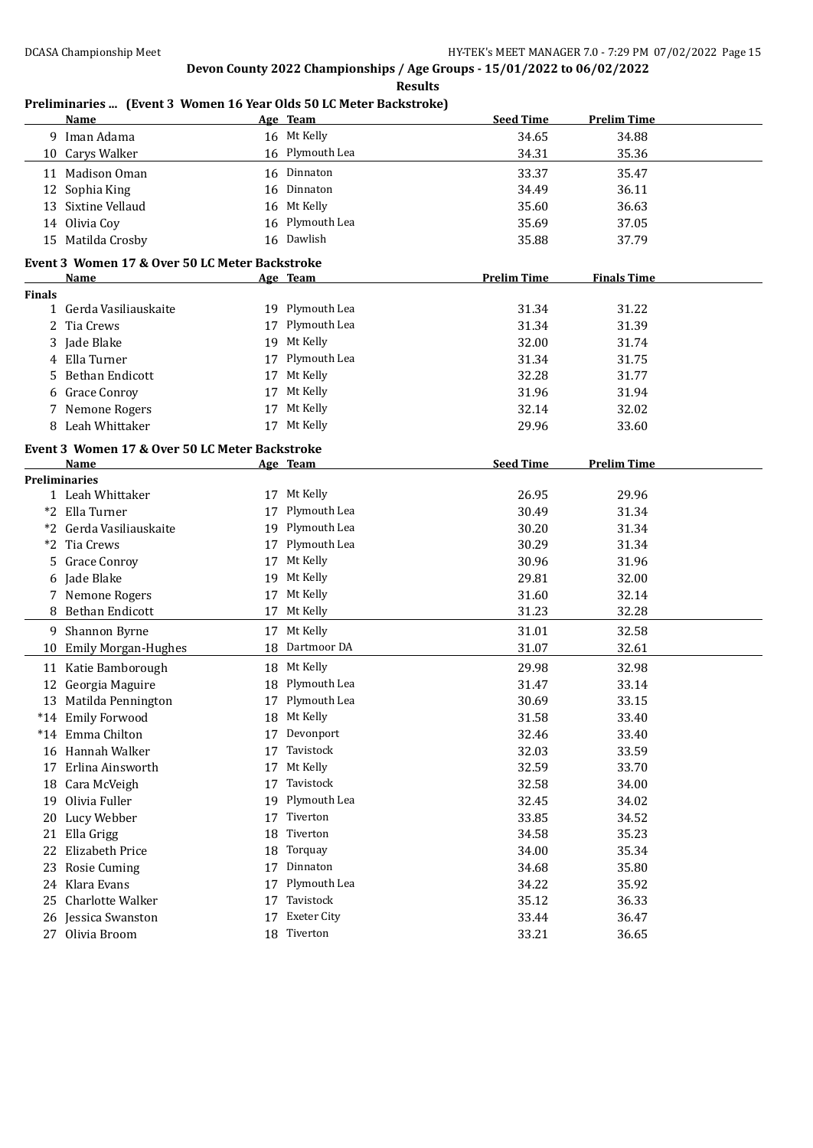### **Preliminaries ... (Event 3 Women 16 Year Olds 50 LC Meter Backstroke)**

|               | <b>Name</b>                                            |    | Age Team                       | <b>Seed Time</b>   | <b>Prelim Time</b> |
|---------------|--------------------------------------------------------|----|--------------------------------|--------------------|--------------------|
|               | 9 Iman Adama                                           |    | 16 Mt Kelly                    | 34.65              | 34.88              |
|               | 10 Carys Walker                                        |    | 16 Plymouth Lea                | 34.31              | 35.36              |
|               | 11 Madison Oman                                        |    | 16 Dinnaton                    | 33.37              | 35.47              |
|               | 12 Sophia King                                         |    | 16 Dinnaton                    | 34.49              | 36.11              |
|               | 13 Sixtine Vellaud                                     |    | 16 Mt Kelly                    | 35.60              | 36.63              |
|               | 14 Olivia Coy                                          |    | 16 Plymouth Lea                | 35.69              | 37.05              |
|               | 15 Matilda Crosby                                      |    | 16 Dawlish                     | 35.88              | 37.79              |
|               |                                                        |    |                                |                    |                    |
|               | Event 3 Women 17 & Over 50 LC Meter Backstroke<br>Name |    | Age Team                       | <b>Prelim Time</b> | <b>Finals Time</b> |
| <b>Finals</b> |                                                        |    |                                |                    |                    |
|               | 1 Gerda Vasiliauskaite                                 |    | 19 Plymouth Lea                | 31.34              | 31.22              |
|               | 2 Tia Crews                                            |    | 17 Plymouth Lea                | 31.34              | 31.39              |
|               | 3 Jade Blake                                           |    | 19 Mt Kelly                    | 32.00              | 31.74              |
|               | 4 Ella Turner                                          |    | 17 Plymouth Lea                | 31.34              | 31.75              |
| 5.            | <b>Bethan Endicott</b>                                 |    | 17 Mt Kelly                    | 32.28              | 31.77              |
|               | 6 Grace Conroy                                         |    | 17 Mt Kelly                    | 31.96              | 31.94              |
|               | 7 Nemone Rogers                                        |    | 17 Mt Kelly                    | 32.14              | 32.02              |
|               | 8 Leah Whittaker                                       |    | 17 Mt Kelly                    | 29.96              | 33.60              |
|               |                                                        |    |                                |                    |                    |
|               | Event 3 Women 17 & Over 50 LC Meter Backstroke         |    |                                |                    |                    |
|               | Name<br><b>Preliminaries</b>                           |    | Age Team                       | <b>Seed Time</b>   | <b>Prelim Time</b> |
|               | 1 Leah Whittaker                                       |    | 17 Mt Kelly                    | 26.95              | 29.96              |
|               | *2 Ella Turner                                         | 17 | Plymouth Lea                   | 30.49              | 31.34              |
|               | *2 Gerda Vasiliauskaite                                |    | 19 Plymouth Lea                | 30.20              | 31.34              |
|               | *2 Tia Crews                                           |    | 17 Plymouth Lea                | 30.29              | 31.34              |
|               | 5 Grace Conroy                                         | 17 | Mt Kelly                       | 30.96              | 31.96              |
|               | 6 Jade Blake                                           |    | 19 Mt Kelly                    | 29.81              | 32.00              |
|               | 7 Nemone Rogers                                        |    | 17 Mt Kelly                    | 31.60              | 32.14              |
|               | 8 Bethan Endicott                                      |    | 17 Mt Kelly                    | 31.23              | 32.28              |
|               | 9 Shannon Byrne                                        |    | 17 Mt Kelly                    | 31.01              | 32.58              |
|               | 10 Emily Morgan-Hughes                                 |    | 18 Dartmoor DA                 | 31.07              | 32.61              |
|               |                                                        |    |                                |                    |                    |
|               | 11 Katie Bamborough                                    |    | 18 Mt Kelly<br>18 Plymouth Lea | 29.98              | 32.98<br>33.14     |
|               | 12 Georgia Maguire                                     |    | 17 Plymouth Lea                | 31.47<br>30.69     | 33.15              |
|               | 13 Matilda Pennington<br>*14 Emily Forwood             |    | 18 Mt Kelly                    | 31.58              | 33.40              |
|               | *14 Emma Chilton                                       |    | 17 Devonport                   | 32.46              | 33.40              |
|               | 16 Hannah Walker                                       | 17 | Tavistock                      | 32.03              | 33.59              |
| 17            | Erlina Ainsworth                                       | 17 | Mt Kelly                       | 32.59              | 33.70              |
|               | 18 Cara McVeigh                                        | 17 | Tavistock                      | 32.58              | 34.00              |
| 19            | Olivia Fuller                                          | 19 | Plymouth Lea                   | 32.45              | 34.02              |
| 20            | Lucy Webber                                            | 17 | Tiverton                       | 33.85              | 34.52              |
| 21            | Ella Grigg                                             | 18 | Tiverton                       | 34.58              | 35.23              |
| 22            | Elizabeth Price                                        | 18 | Torquay                        | 34.00              | 35.34              |
|               | 23 Rosie Cuming                                        | 17 | Dinnaton                       | 34.68              | 35.80              |
|               | 24 Klara Evans                                         | 17 | Plymouth Lea                   | 34.22              | 35.92              |
| 25            | Charlotte Walker                                       | 17 | Tavistock                      | 35.12              | 36.33              |
|               | 26 Jessica Swanston                                    | 17 | <b>Exeter City</b>             | 33.44              | 36.47              |
|               | 27 Olivia Broom                                        |    | 18 Tiverton                    | 33.21              | 36.65              |
|               |                                                        |    |                                |                    |                    |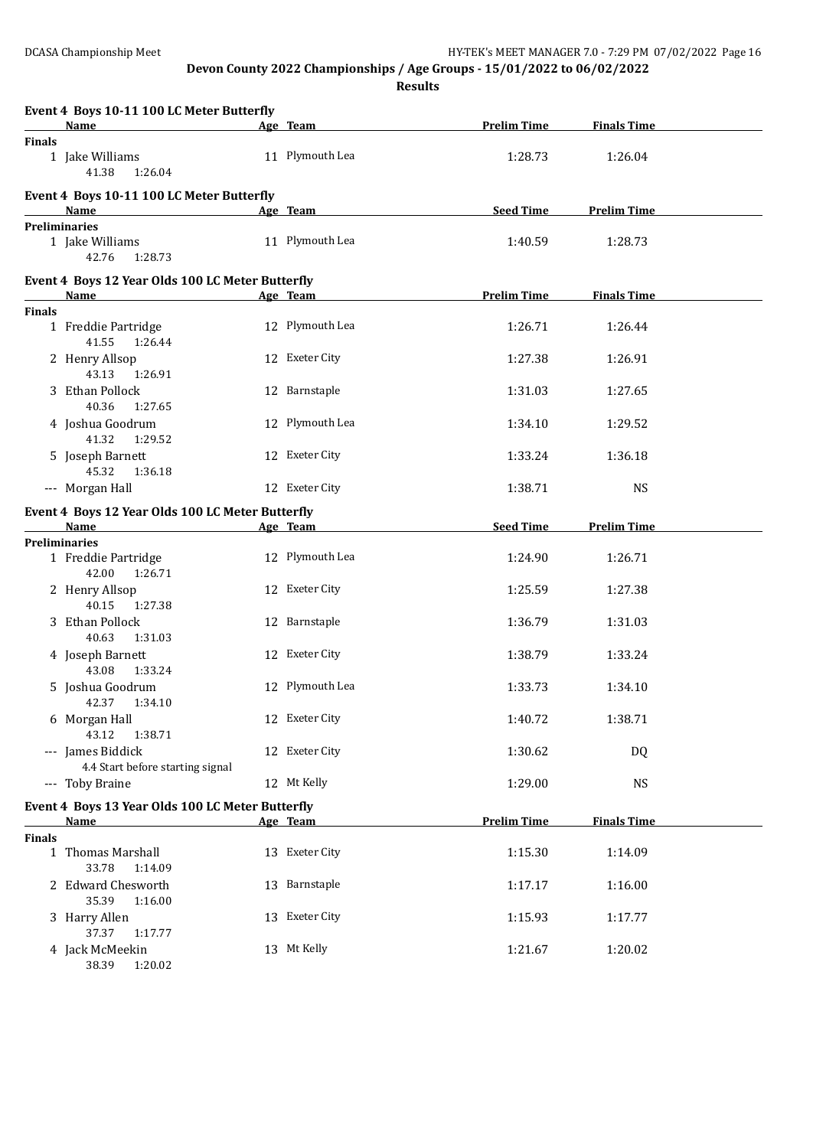|               | Event 4 Boys 10-11 100 LC Meter Butterfly                       |                 |                    |                    |  |
|---------------|-----------------------------------------------------------------|-----------------|--------------------|--------------------|--|
|               | Name                                                            | Age Team        | <b>Prelim Time</b> | <b>Finals Time</b> |  |
| <b>Finals</b> | 1 Jake Williams<br>41.38<br>1:26.04                             | 11 Plymouth Lea | 1:28.73            | 1:26.04            |  |
|               | Event 4 Boys 10-11 100 LC Meter Butterfly<br>Name               | Age Team        | <b>Seed Time</b>   | <b>Prelim Time</b> |  |
|               | <b>Preliminaries</b><br>1 Jake Williams<br>42.76<br>1:28.73     | 11 Plymouth Lea | 1:40.59            | 1:28.73            |  |
|               | Event 4 Boys 12 Year Olds 100 LC Meter Butterfly                |                 |                    |                    |  |
|               | <b>Name</b>                                                     | Age Team        | <b>Prelim Time</b> | <b>Finals Time</b> |  |
| <b>Finals</b> | 1 Freddie Partridge<br>41.55<br>1:26.44                         | 12 Plymouth Lea | 1:26.71            | 1:26.44            |  |
|               | 2 Henry Allsop<br>43.13<br>1:26.91                              | 12 Exeter City  | 1:27.38            | 1:26.91            |  |
|               | 3 Ethan Pollock<br>40.36<br>1:27.65                             | 12 Barnstaple   | 1:31.03            | 1:27.65            |  |
|               | 4 Joshua Goodrum<br>41.32<br>1:29.52                            | 12 Plymouth Lea | 1:34.10            | 1:29.52            |  |
|               | 5 Joseph Barnett<br>45.32<br>1:36.18                            | 12 Exeter City  | 1:33.24            | 1:36.18            |  |
|               | --- Morgan Hall                                                 | 12 Exeter City  | 1:38.71            | <b>NS</b>          |  |
|               | Event 4 Boys 12 Year Olds 100 LC Meter Butterfly                |                 |                    |                    |  |
|               | <b>Name</b>                                                     | Age Team        | <b>Seed Time</b>   | <b>Prelim Time</b> |  |
|               | <b>Preliminaries</b><br>1 Freddie Partridge<br>42.00<br>1:26.71 | 12 Plymouth Lea | 1:24.90            | 1:26.71            |  |
|               | 2 Henry Allsop<br>40.15<br>1:27.38                              | 12 Exeter City  | 1:25.59            | 1:27.38            |  |
|               | 3 Ethan Pollock<br>40.63<br>1:31.03                             | 12 Barnstaple   | 1:36.79            | 1:31.03            |  |
|               | 4 Joseph Barnett<br>43.08<br>1:33.24                            | 12 Exeter City  | 1:38.79            | 1:33.24            |  |
|               | 5 Joshua Goodrum<br>42.37<br>1:34.10                            | 12 Plymouth Lea | 1:33.73            | 1:34.10            |  |
|               | 6 Morgan Hall<br>43.12<br>1:38.71                               | 12 Exeter City  | 1:40.72            | 1:38.71            |  |
|               | --- James Biddick<br>4.4 Start before starting signal           | 12 Exeter City  | 1:30.62            | <b>DQ</b>          |  |
|               | --- Toby Braine                                                 | 12 Mt Kelly     | 1:29.00            | <b>NS</b>          |  |
|               | Event 4 Boys 13 Year Olds 100 LC Meter Butterfly<br><b>Name</b> | Age Team        | <b>Prelim Time</b> | <b>Finals Time</b> |  |
| <b>Finals</b> |                                                                 |                 |                    |                    |  |
|               | 1 Thomas Marshall<br>33.78<br>1:14.09                           | 13 Exeter City  | 1:15.30            | 1:14.09            |  |
|               | 2 Edward Chesworth<br>35.39<br>1:16.00                          | 13 Barnstaple   | 1:17.17            | 1:16.00            |  |
|               | 3 Harry Allen<br>37.37<br>1:17.77                               | 13 Exeter City  | 1:15.93            | 1:17.77            |  |
|               | 4 Jack McMeekin<br>38.39<br>1:20.02                             | 13 Mt Kelly     | 1:21.67            | 1:20.02            |  |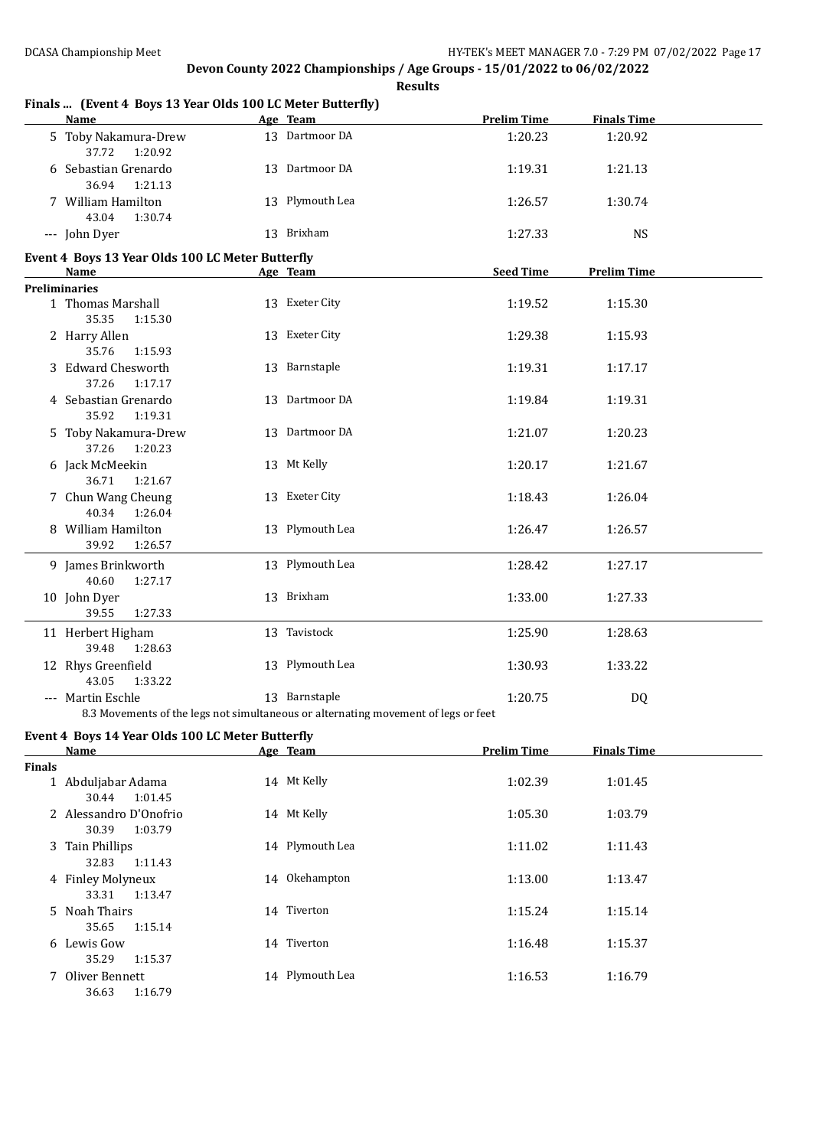|               | Finals  (Event 4 Boys 13 Year Olds 100 LC Meter Butterfly)      | ncəunə                                                                                              |                    |                    |  |
|---------------|-----------------------------------------------------------------|-----------------------------------------------------------------------------------------------------|--------------------|--------------------|--|
|               | <b>Name</b>                                                     | Age Team                                                                                            | <b>Prelim Time</b> | <b>Finals Time</b> |  |
|               | 5 Toby Nakamura-Drew<br>37.72<br>1:20.92                        | 13 Dartmoor DA                                                                                      | 1:20.23            | 1:20.92            |  |
|               | 6 Sebastian Grenardo<br>36.94<br>1:21.13                        | 13 Dartmoor DA                                                                                      | 1:19.31            | 1:21.13            |  |
|               | 7 William Hamilton<br>43.04<br>1:30.74                          | 13 Plymouth Lea                                                                                     | 1:26.57            | 1:30.74            |  |
|               | --- John Dyer                                                   | 13 Brixham                                                                                          | 1:27.33            | <b>NS</b>          |  |
|               | Event 4 Boys 13 Year Olds 100 LC Meter Butterfly                |                                                                                                     |                    |                    |  |
|               | <b>Name</b>                                                     | Age Team                                                                                            | <b>Seed Time</b>   | <b>Prelim Time</b> |  |
|               | <b>Preliminaries</b>                                            |                                                                                                     |                    |                    |  |
|               | 1 Thomas Marshall<br>35.35<br>1:15.30                           | 13 Exeter City                                                                                      | 1:19.52            | 1:15.30            |  |
|               | 2 Harry Allen<br>35.76<br>1:15.93                               | 13 Exeter City                                                                                      | 1:29.38            | 1:15.93            |  |
|               | 3 Edward Chesworth<br>37.26<br>1:17.17                          | 13 Barnstaple                                                                                       | 1:19.31            | 1:17.17            |  |
|               | 4 Sebastian Grenardo<br>35.92<br>1:19.31                        | 13 Dartmoor DA                                                                                      | 1:19.84            | 1:19.31            |  |
|               | 5 Toby Nakamura-Drew<br>37.26<br>1:20.23                        | 13 Dartmoor DA                                                                                      | 1:21.07            | 1:20.23            |  |
|               | 6 Jack McMeekin<br>36.71<br>1:21.67                             | 13 Mt Kelly                                                                                         | 1:20.17            | 1:21.67            |  |
|               | 7 Chun Wang Cheung<br>40.34<br>1:26.04                          | 13 Exeter City                                                                                      | 1:18.43            | 1:26.04            |  |
|               | 8 William Hamilton<br>39.92<br>1:26.57                          | 13 Plymouth Lea                                                                                     | 1:26.47            | 1:26.57            |  |
|               | 9 James Brinkworth                                              | 13 Plymouth Lea                                                                                     | 1:28.42            | 1:27.17            |  |
|               | 40.60<br>1:27.17<br>10 John Dyer                                | 13 Brixham                                                                                          | 1:33.00            | 1:27.33            |  |
|               | 39.55<br>1:27.33<br>11 Herbert Higham                           | 13 Tavistock                                                                                        | 1:25.90            |                    |  |
|               | 39.48<br>1:28.63                                                |                                                                                                     |                    | 1:28.63            |  |
|               | 12 Rhys Greenfield<br>43.05<br>1:33.22                          | 13 Plymouth Lea                                                                                     | 1:30.93            | 1:33.22            |  |
|               | --- Martin Eschle                                               | 13 Barnstaple<br>8.3 Movements of the legs not simultaneous or alternating movement of legs or feet | 1:20.75            | DQ                 |  |
|               |                                                                 |                                                                                                     |                    |                    |  |
|               | Event 4 Boys 14 Year Olds 100 LC Meter Butterfly<br><b>Name</b> | Age Team                                                                                            | <b>Prelim Time</b> | <b>Finals Time</b> |  |
| <b>Finals</b> |                                                                 |                                                                                                     |                    |                    |  |
|               | 1 Abduljabar Adama<br>30.44<br>1:01.45                          | 14 Mt Kelly                                                                                         | 1:02.39            | 1:01.45            |  |
|               | 2 Alessandro D'Onofrio<br>30.39<br>1:03.79                      | 14 Mt Kelly                                                                                         | 1:05.30            | 1:03.79            |  |
|               | 3 Tain Phillips<br>32.83<br>1:11.43                             | 14 Plymouth Lea                                                                                     | 1:11.02            | 1:11.43            |  |
|               | 4 Finley Molyneux<br>33.31<br>1:13.47                           | 14 Okehampton                                                                                       | 1:13.00            | 1:13.47            |  |
|               | 5 Noah Thairs<br>35.65<br>1:15.14                               | 14 Tiverton                                                                                         | 1:15.24            | 1:15.14            |  |
|               | 6 Lewis Gow<br>35.29<br>1:15.37                                 | 14 Tiverton                                                                                         | 1:16.48            | 1:15.37            |  |
|               | 7 Oliver Bennett<br>36.63<br>1:16.79                            | 14 Plymouth Lea                                                                                     | 1:16.53            | 1:16.79            |  |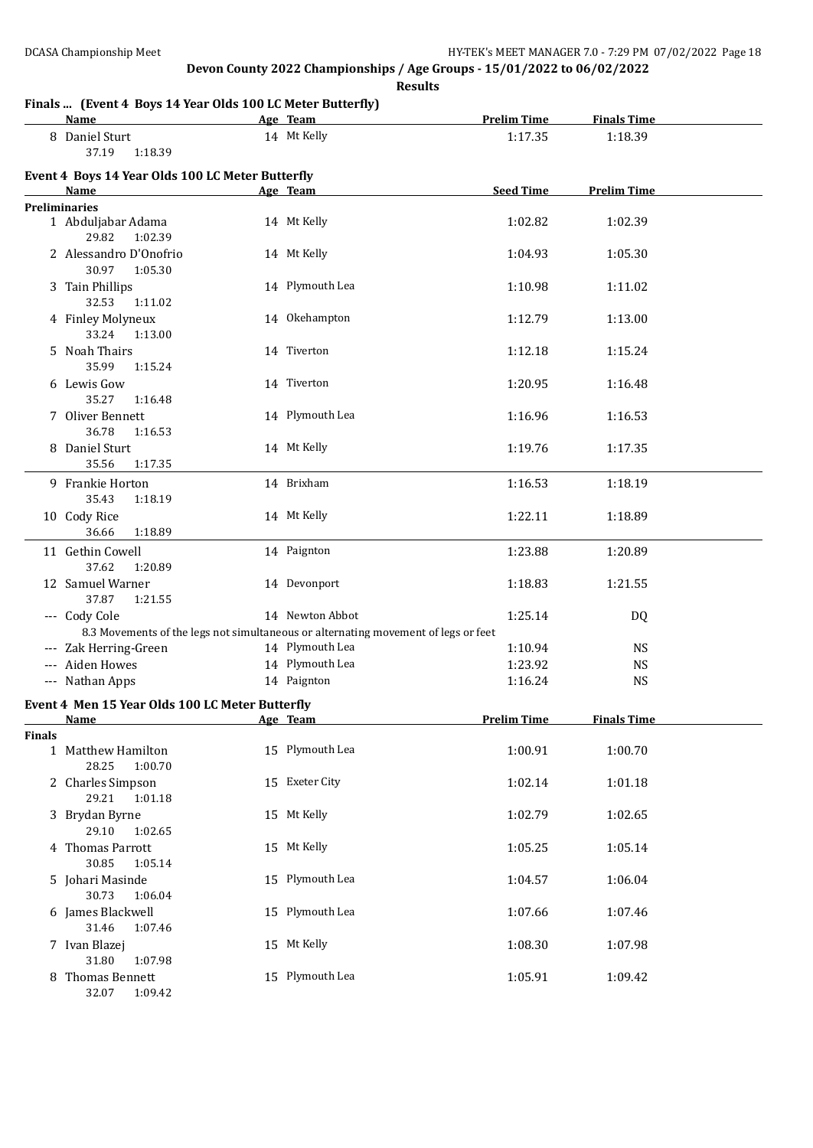**Results**

# **Finals ... (Event 4 Boys 14 Year Olds 100 LC Meter Butterfly)**

|               | rinais  (Event + Doys I+ Ical Olus Too Ec Meter Dutterny)<br><b>Name</b>           | Age Team        | <b>Prelim Time</b> | <b>Finals Time</b> |  |
|---------------|------------------------------------------------------------------------------------|-----------------|--------------------|--------------------|--|
|               | 8 Daniel Sturt<br>37.19<br>1:18.39                                                 | 14 Mt Kelly     | 1:17.35            | 1:18.39            |  |
|               | Event 4 Boys 14 Year Olds 100 LC Meter Butterfly                                   |                 |                    |                    |  |
|               | Name                                                                               | Age Team        | <b>Seed Time</b>   | <b>Prelim Time</b> |  |
|               | <b>Preliminaries</b>                                                               |                 |                    |                    |  |
|               | 1 Abduljabar Adama<br>29.82<br>1:02.39                                             | 14 Mt Kelly     | 1:02.82            | 1:02.39            |  |
|               | 2 Alessandro D'Onofrio<br>30.97<br>1:05.30                                         | 14 Mt Kelly     | 1:04.93            | 1:05.30            |  |
|               | 3 Tain Phillips<br>32.53<br>1:11.02                                                | 14 Plymouth Lea | 1:10.98            | 1:11.02            |  |
|               | 4 Finley Molyneux<br>33.24<br>1:13.00                                              | 14 Okehampton   | 1:12.79            | 1:13.00            |  |
|               | 5 Noah Thairs<br>35.99<br>1:15.24                                                  | 14 Tiverton     | 1:12.18            | 1:15.24            |  |
|               | 6 Lewis Gow<br>35.27<br>1:16.48                                                    | 14 Tiverton     | 1:20.95            | 1:16.48            |  |
|               | 7 Oliver Bennett<br>36.78<br>1:16.53                                               | 14 Plymouth Lea | 1:16.96            | 1:16.53            |  |
|               | 8 Daniel Sturt<br>35.56<br>1:17.35                                                 | 14 Mt Kelly     | 1:19.76            | 1:17.35            |  |
|               | 9 Frankie Horton<br>35.43<br>1:18.19                                               | 14 Brixham      | 1:16.53            | 1:18.19            |  |
|               | 10 Cody Rice<br>36.66<br>1:18.89                                                   | 14 Mt Kelly     | 1:22.11            | 1:18.89            |  |
|               | 11 Gethin Cowell<br>37.62<br>1:20.89                                               | 14 Paignton     | 1:23.88            | 1:20.89            |  |
|               | 12 Samuel Warner<br>37.87<br>1:21.55                                               | 14 Devonport    | 1:18.83            | 1:21.55            |  |
|               | --- Cody Cole                                                                      | 14 Newton Abbot | 1:25.14            | DQ                 |  |
|               | 8.3 Movements of the legs not simultaneous or alternating movement of legs or feet |                 |                    |                    |  |
|               | --- Zak Herring-Green                                                              | 14 Plymouth Lea | 1:10.94            | <b>NS</b>          |  |
|               | --- Aiden Howes                                                                    | 14 Plymouth Lea | 1:23.92            | <b>NS</b>          |  |
|               | --- Nathan Apps                                                                    | 14 Paignton     | 1:16.24            | <b>NS</b>          |  |
|               | Event 4 Men 15 Year Olds 100 LC Meter Butterfly                                    |                 |                    |                    |  |
|               | <b>Example 2</b> Age Team<br><u>Name</u>                                           |                 | <b>Prelim Time</b> | <b>Finals Time</b> |  |
| <b>Finals</b> |                                                                                    |                 |                    |                    |  |
|               | 1 Matthew Hamilton<br>28.25<br>1:00.70                                             | 15 Plymouth Lea | 1:00.91            | 1:00.70            |  |
|               | 2 Charles Simpson<br>29.21<br>1:01.18                                              | 15 Exeter City  | 1:02.14            | 1:01.18            |  |
|               | 3 Brydan Byrne<br>29.10<br>1:02.65                                                 | 15 Mt Kelly     | 1:02.79            | 1:02.65            |  |
|               | 4 Thomas Parrott<br>30.85<br>1:05.14                                               | 15 Mt Kelly     | 1:05.25            | 1:05.14            |  |
|               | 5 Johari Masinde<br>30.73<br>1:06.04                                               | 15 Plymouth Lea | 1:04.57            | 1:06.04            |  |
|               | 6 James Blackwell<br>31.46<br>1:07.46                                              | 15 Plymouth Lea | 1:07.66            | 1:07.46            |  |
|               | 7 Ivan Blazej<br>31.80<br>1:07.98                                                  | 15 Mt Kelly     | 1:08.30            | 1:07.98            |  |
|               | 8 Thomas Bennett<br>32.07<br>1:09.42                                               | 15 Plymouth Lea | 1:05.91            | 1:09.42            |  |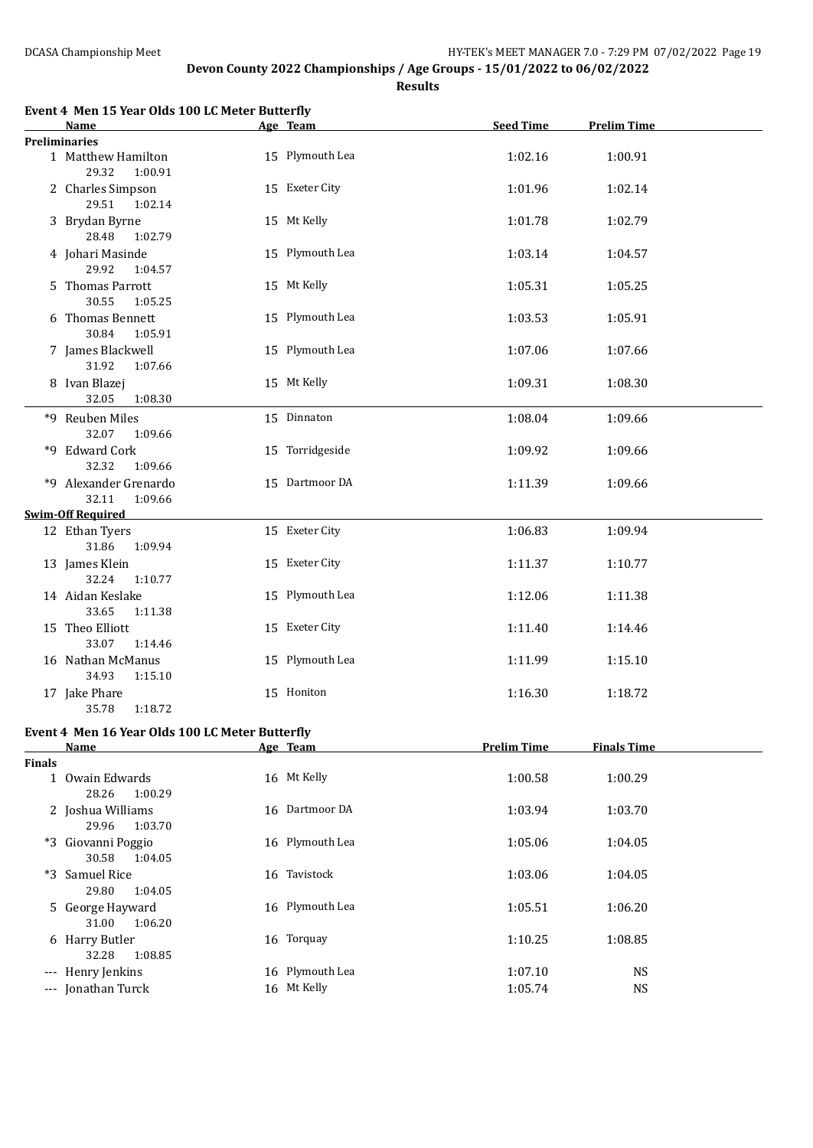|               | Event 4 Men 15 Year Olds 100 LC Meter Butterfly                |                 | <b>Seed Time</b>   |                    |  |
|---------------|----------------------------------------------------------------|-----------------|--------------------|--------------------|--|
|               | Name                                                           | Age Team        |                    | <b>Prelim Time</b> |  |
|               | <b>Preliminaries</b><br>1 Matthew Hamilton<br>29.32<br>1:00.91 | 15 Plymouth Lea | 1:02.16            | 1:00.91            |  |
|               | 2 Charles Simpson<br>29.51<br>1:02.14                          | 15 Exeter City  | 1:01.96            | 1:02.14            |  |
|               | 3 Brydan Byrne<br>28.48<br>1:02.79                             | 15 Mt Kelly     | 1:01.78            | 1:02.79            |  |
|               | 4 Johari Masinde<br>29.92<br>1:04.57                           | 15 Plymouth Lea | 1:03.14            | 1:04.57            |  |
|               | 5 Thomas Parrott<br>30.55<br>1:05.25                           | 15 Mt Kelly     | 1:05.31            | 1:05.25            |  |
|               | 6 Thomas Bennett<br>30.84<br>1:05.91                           | 15 Plymouth Lea | 1:03.53            | 1:05.91            |  |
|               | 7 James Blackwell<br>31.92<br>1:07.66                          | 15 Plymouth Lea | 1:07.06            | 1:07.66            |  |
|               | 8 Ivan Blazej<br>32.05<br>1:08.30                              | 15 Mt Kelly     | 1:09.31            | 1:08.30            |  |
|               | *9 Reuben Miles<br>32.07<br>1:09.66                            | 15 Dinnaton     | 1:08.04            | 1:09.66            |  |
|               | *9 Edward Cork<br>32.32<br>1:09.66                             | 15 Torridgeside | 1:09.92            | 1:09.66            |  |
|               | *9 Alexander Grenardo<br>32.11<br>1:09.66                      | 15 Dartmoor DA  | 1:11.39            | 1:09.66            |  |
|               | <b>Swim-Off Required</b>                                       |                 |                    |                    |  |
|               | 12 Ethan Tyers<br>31.86<br>1:09.94                             | 15 Exeter City  | 1:06.83            | 1:09.94            |  |
|               | 13 James Klein<br>32.24<br>1:10.77                             | 15 Exeter City  | 1:11.37            | 1:10.77            |  |
|               | 14 Aidan Keslake<br>33.65<br>1:11.38                           | 15 Plymouth Lea | 1:12.06            | 1:11.38            |  |
|               | 15 Theo Elliott<br>33.07<br>1:14.46                            | 15 Exeter City  | 1:11.40            | 1:14.46            |  |
|               | 16 Nathan McManus<br>34.93<br>1:15.10                          | 15 Plymouth Lea | 1:11.99            | 1:15.10            |  |
|               | 17 Jake Phare<br>35.78<br>1:18.72                              | 15 Honiton      | 1:16.30            | 1:18.72            |  |
|               | Event 4 Men 16 Year Olds 100 LC Meter Butterfly<br><b>Name</b> | Age Team        | <b>Prelim Time</b> | <b>Finals Time</b> |  |
| <b>Finals</b> |                                                                |                 |                    |                    |  |
|               | 1 Owain Edwards<br>28.26<br>1:00.29                            | 16 Mt Kelly     | 1:00.58            | 1:00.29            |  |
|               | 2 Joshua Williams<br>29.96<br>1:03.70                          | 16 Dartmoor DA  | 1:03.94            | 1:03.70            |  |
|               | *3 Giovanni Poggio<br>30.58<br>1:04.05                         | 16 Plymouth Lea | 1:05.06            | 1:04.05            |  |
|               | *3 Samuel Rice<br>29.80<br>1:04.05                             | 16 Tavistock    | 1:03.06            | 1:04.05            |  |
|               | 5 George Hayward<br>31.00<br>1:06.20                           | 16 Plymouth Lea | 1:05.51            | 1:06.20            |  |
|               | 6 Harry Butler<br>32.28<br>1:08.85                             | 16 Torquay      | 1:10.25            | 1:08.85            |  |
|               | --- Henry Jenkins                                              | 16 Plymouth Lea | 1:07.10            | <b>NS</b>          |  |
|               | --- Jonathan Turck                                             | 16 Mt Kelly     | 1:05.74            | <b>NS</b>          |  |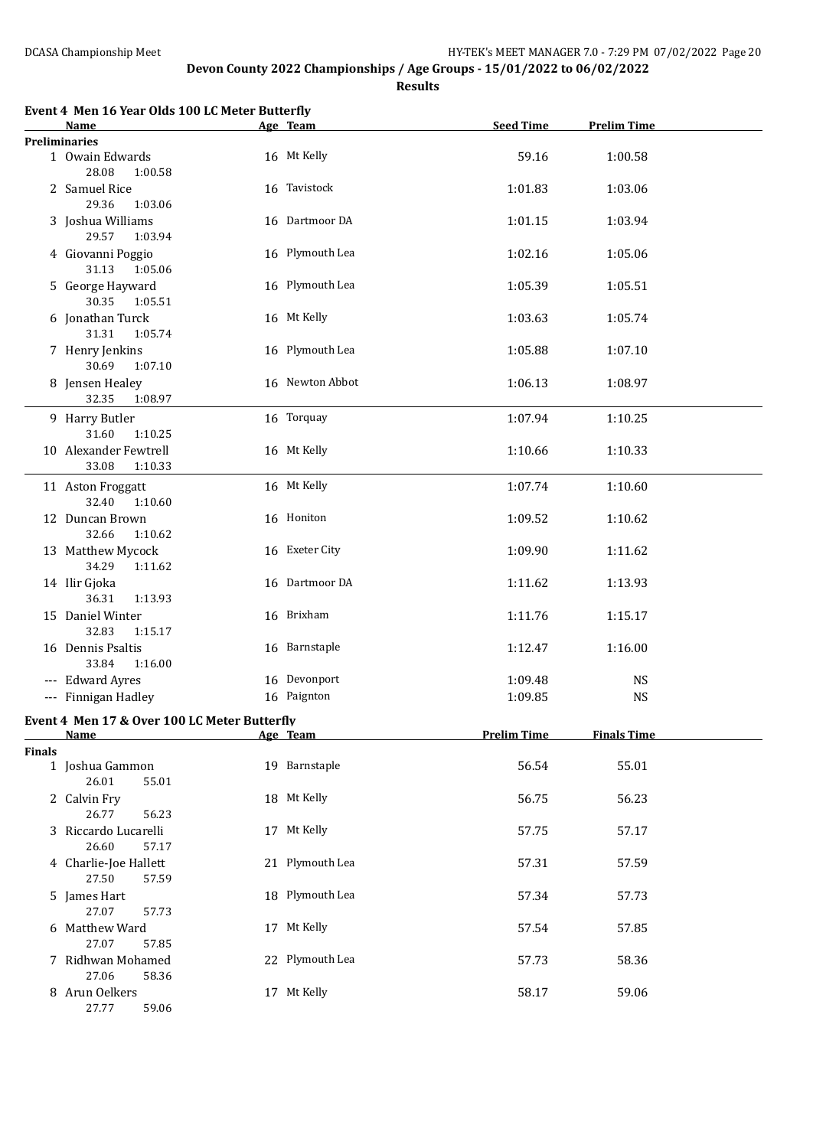|               | Event 4 Men 16 Year Olds 100 LC Meter Butterfly<br>Name | Age Team        | <b>Seed Time</b>   | <b>Prelim Time</b> |
|---------------|---------------------------------------------------------|-----------------|--------------------|--------------------|
|               | Preliminaries                                           |                 |                    |                    |
|               | 1 Owain Edwards<br>28.08<br>1:00.58                     | 16 Mt Kelly     | 59.16              | 1:00.58            |
|               | 2 Samuel Rice<br>29.36<br>1:03.06                       | 16 Tavistock    | 1:01.83            | 1:03.06            |
|               | 3 Joshua Williams<br>29.57<br>1:03.94                   | 16 Dartmoor DA  | 1:01.15            | 1:03.94            |
|               | 4 Giovanni Poggio<br>31.13<br>1:05.06                   | 16 Plymouth Lea | 1:02.16            | 1:05.06            |
|               | 5 George Hayward<br>30.35<br>1:05.51                    | 16 Plymouth Lea | 1:05.39            | 1:05.51            |
|               | 6 Jonathan Turck<br>31.31<br>1:05.74                    | 16 Mt Kelly     | 1:03.63            | 1:05.74            |
|               | 7 Henry Jenkins<br>30.69<br>1:07.10                     | 16 Plymouth Lea | 1:05.88            | 1:07.10            |
|               | 8 Jensen Healey<br>32.35<br>1:08.97                     | 16 Newton Abbot | 1:06.13            | 1:08.97            |
|               | 9 Harry Butler<br>31.60<br>1:10.25                      | 16 Torquay      | 1:07.94            | 1:10.25            |
|               | 10 Alexander Fewtrell<br>33.08<br>1:10.33               | 16 Mt Kelly     | 1:10.66            | 1:10.33            |
|               | 11 Aston Froggatt<br>32.40<br>1:10.60                   | 16 Mt Kelly     | 1:07.74            | 1:10.60            |
|               | 12 Duncan Brown<br>32.66<br>1:10.62                     | 16 Honiton      | 1:09.52            | 1:10.62            |
|               | 13 Matthew Mycock<br>34.29<br>1:11.62                   | 16 Exeter City  | 1:09.90            | 1:11.62            |
|               | 14 Ilir Gjoka<br>36.31<br>1:13.93                       | 16 Dartmoor DA  | 1:11.62            | 1:13.93            |
|               | 15 Daniel Winter<br>32.83<br>1:15.17                    | 16 Brixham      | 1:11.76            | 1:15.17            |
|               | 16 Dennis Psaltis<br>33.84<br>1:16.00                   | 16 Barnstaple   | 1:12.47            | 1:16.00            |
|               | --- Edward Ayres                                        | 16 Devonport    | 1:09.48            | <b>NS</b>          |
|               | --- Finnigan Hadley                                     | 16 Paignton     | 1:09.85            | <b>NS</b>          |
|               | Event 4 Men 17 & Over 100 LC Meter Butterfly<br>Name    | Age Team        | <b>Prelim Time</b> | <b>Finals Time</b> |
| <b>Finals</b> |                                                         |                 |                    |                    |
|               | 1 Joshua Gammon<br>26.01<br>55.01                       | 19 Barnstaple   | 56.54              | 55.01              |
|               | 2 Calvin Fry<br>26.77<br>56.23                          | 18 Mt Kelly     | 56.75              | 56.23              |
|               | 3 Riccardo Lucarelli<br>26.60<br>57.17                  | 17 Mt Kelly     | 57.75              | 57.17              |
|               | 4 Charlie-Joe Hallett<br>27.50<br>57.59                 | 21 Plymouth Lea | 57.31              | 57.59              |
|               | 5 James Hart<br>27.07<br>57.73                          | 18 Plymouth Lea | 57.34              | 57.73              |
|               | 6 Matthew Ward<br>27.07<br>57.85                        | 17 Mt Kelly     | 57.54              | 57.85              |
|               | 7 Ridhwan Mohamed<br>27.06<br>58.36                     | 22 Plymouth Lea | 57.73              | 58.36              |
|               | 8 Arun Oelkers<br>27.77<br>59.06                        | 17 Mt Kelly     | 58.17              | 59.06              |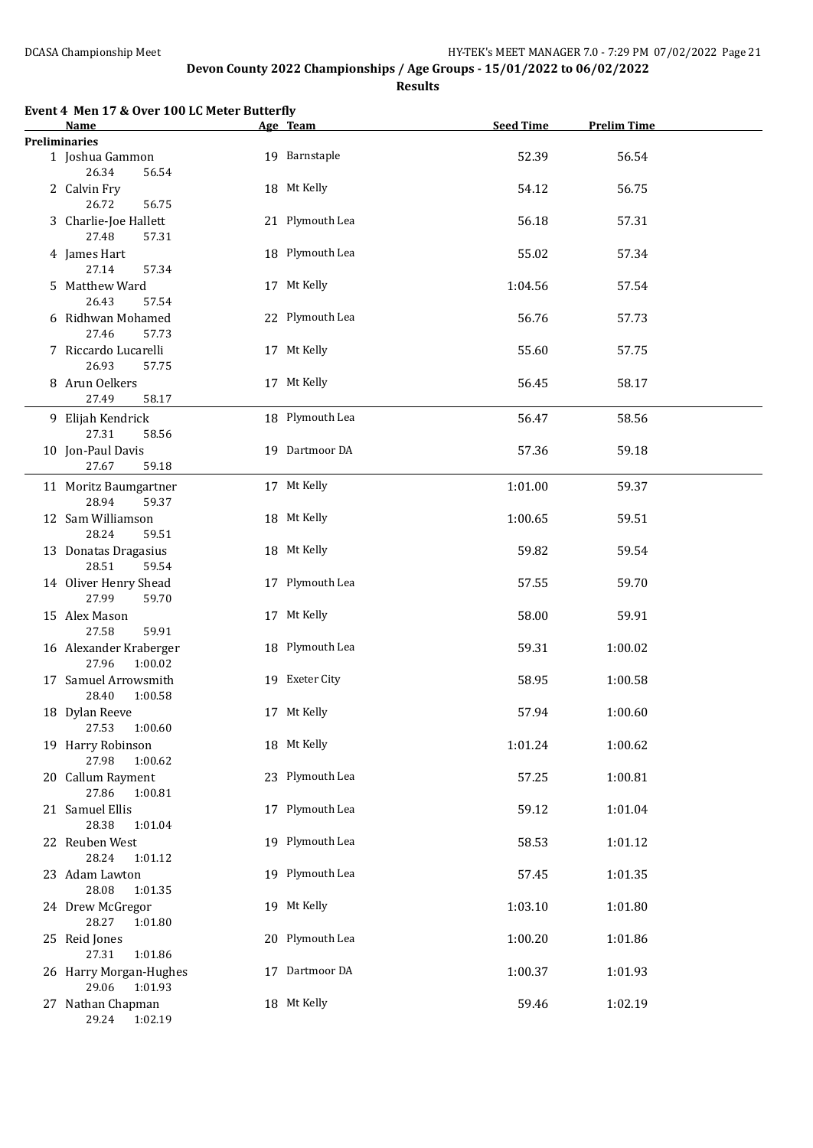| Event 4 Men 17 & Over 100 LC Meter Butterfly<br>Name | Age Team        | <b>Seed Time</b> | <b>Prelim Time</b> |  |
|------------------------------------------------------|-----------------|------------------|--------------------|--|
| <b>Preliminaries</b>                                 |                 |                  |                    |  |
| 1 Joshua Gammon<br>26.34<br>56.54                    | 19 Barnstaple   | 52.39            | 56.54              |  |
| 2 Calvin Fry<br>26.72<br>56.75                       | 18 Mt Kelly     | 54.12            | 56.75              |  |
| 3 Charlie-Joe Hallett<br>27.48<br>57.31              | 21 Plymouth Lea | 56.18            | 57.31              |  |
| 4 James Hart<br>27.14<br>57.34                       | 18 Plymouth Lea | 55.02            | 57.34              |  |
| 5 Matthew Ward<br>26.43<br>57.54                     | 17 Mt Kelly     | 1:04.56          | 57.54              |  |
| 6 Ridhwan Mohamed<br>27.46<br>57.73                  | 22 Plymouth Lea | 56.76            | 57.73              |  |
| 7 Riccardo Lucarelli<br>26.93<br>57.75               | 17 Mt Kelly     | 55.60            | 57.75              |  |
| 8 Arun Oelkers<br>27.49<br>58.17                     | 17 Mt Kelly     | 56.45            | 58.17              |  |
| 9 Elijah Kendrick<br>27.31<br>58.56                  | 18 Plymouth Lea | 56.47            | 58.56              |  |
| 10 Jon-Paul Davis<br>27.67<br>59.18                  | 19 Dartmoor DA  | 57.36            | 59.18              |  |
| 11 Moritz Baumgartner<br>28.94<br>59.37              | 17 Mt Kelly     | 1:01.00          | 59.37              |  |
| 12 Sam Williamson<br>28.24<br>59.51                  | 18 Mt Kelly     | 1:00.65          | 59.51              |  |
| 13 Donatas Dragasius<br>28.51<br>59.54               | 18 Mt Kelly     | 59.82            | 59.54              |  |
| 14 Oliver Henry Shead<br>27.99<br>59.70              | 17 Plymouth Lea | 57.55            | 59.70              |  |
| 15 Alex Mason<br>27.58<br>59.91                      | 17 Mt Kelly     | 58.00            | 59.91              |  |
| 16 Alexander Kraberger<br>27.96<br>1:00.02           | 18 Plymouth Lea | 59.31            | 1:00.02            |  |
| 17 Samuel Arrowsmith<br>28.40<br>1:00.58             | 19 Exeter City  | 58.95            | 1:00.58            |  |
| 18 Dylan Reeve<br>27.53<br>1:00.60                   | 17 Mt Kelly     | 57.94            | 1:00.60            |  |
| 19 Harry Robinson<br>27.98<br>1:00.62                | 18 Mt Kelly     | 1:01.24          | 1:00.62            |  |
| 20 Callum Rayment<br>27.86<br>1:00.81                | 23 Plymouth Lea | 57.25            | 1:00.81            |  |
| 21 Samuel Ellis<br>28.38<br>1:01.04                  | 17 Plymouth Lea | 59.12            | 1:01.04            |  |
| 22 Reuben West<br>28.24<br>1:01.12                   | 19 Plymouth Lea | 58.53            | 1:01.12            |  |
| 23 Adam Lawton<br>28.08<br>1:01.35                   | 19 Plymouth Lea | 57.45            | 1:01.35            |  |
| 24 Drew McGregor<br>28.27<br>1:01.80                 | 19 Mt Kelly     | 1:03.10          | 1:01.80            |  |
| 25 Reid Jones<br>27.31<br>1:01.86                    | 20 Plymouth Lea | 1:00.20          | 1:01.86            |  |
| 26 Harry Morgan-Hughes<br>29.06<br>1:01.93           | 17 Dartmoor DA  | 1:00.37          | 1:01.93            |  |
| 27 Nathan Chapman<br>29.24 1:02.19                   | 18 Mt Kelly     | 59.46            | 1:02.19            |  |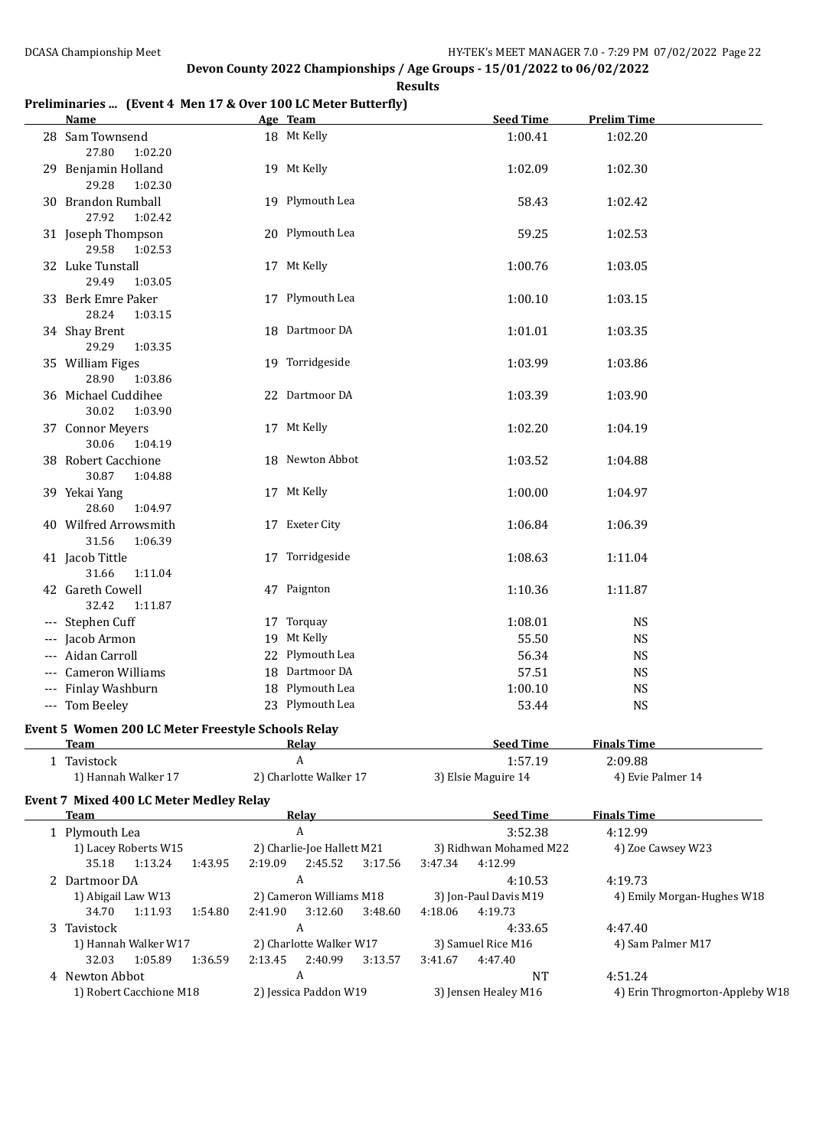#### **Results**

### **Preliminaries ... (Event 4 Men 17 & Over 100 LC Meter Butterfly)**

| <b>Name</b>                                                |         | Age Team                                                 | <b>Seed Time</b>                             | <b>Prelim Time</b>              |
|------------------------------------------------------------|---------|----------------------------------------------------------|----------------------------------------------|---------------------------------|
| 28 Sam Townsend<br>27.80<br>1:02.20                        |         | 18 Mt Kelly                                              | 1:00.41                                      | 1:02.20                         |
| 29 Benjamin Holland<br>29.28<br>1:02.30                    |         | 19 Mt Kelly                                              | 1:02.09                                      | 1:02.30                         |
| 30 Brandon Rumball<br>27.92<br>1:02.42                     |         | 19 Plymouth Lea                                          | 58.43                                        | 1:02.42                         |
| 31 Joseph Thompson<br>29.58<br>1:02.53                     |         | 20 Plymouth Lea                                          | 59.25                                        | 1:02.53                         |
| 32 Luke Tunstall<br>29.49<br>1:03.05                       |         | 17 Mt Kelly                                              | 1:00.76                                      | 1:03.05                         |
| 33 Berk Emre Paker<br>28.24<br>1:03.15                     |         | 17 Plymouth Lea                                          | 1:00.10                                      | 1:03.15                         |
| 34 Shay Brent<br>29.29<br>1:03.35                          |         | 18 Dartmoor DA                                           | 1:01.01                                      | 1:03.35                         |
| 35 William Figes<br>28.90<br>1:03.86                       |         | 19 Torridgeside                                          | 1:03.99                                      | 1:03.86                         |
| 36 Michael Cuddihee<br>30.02<br>1:03.90                    |         | 22 Dartmoor DA                                           | 1:03.39                                      | 1:03.90                         |
| 37 Connor Meyers<br>30.06<br>1:04.19                       |         | 17 Mt Kelly                                              | 1:02.20                                      | 1:04.19                         |
| 38 Robert Cacchione<br>30.87<br>1:04.88                    |         | 18 Newton Abbot                                          | 1:03.52                                      | 1:04.88                         |
| 39 Yekai Yang<br>28.60<br>1:04.97                          |         | 17 Mt Kelly                                              | 1:00.00                                      | 1:04.97                         |
| 40 Wilfred Arrowsmith<br>31.56<br>1:06.39                  |         | 17 Exeter City                                           | 1:06.84                                      | 1:06.39                         |
| 41 Jacob Tittle<br>31.66<br>1:11.04                        |         | 17 Torridgeside                                          | 1:08.63                                      | 1:11.04                         |
| 42 Gareth Cowell<br>32.42<br>1:11.87                       |         | 47 Paignton                                              | 1:10.36                                      | 1:11.87                         |
| --- Stephen Cuff                                           |         | 17 Torquay                                               | 1:08.01                                      | <b>NS</b>                       |
| --- Jacob Armon                                            |         | 19 Mt Kelly                                              | 55.50                                        | <b>NS</b>                       |
| --- Aidan Carroll                                          |         | 22 Plymouth Lea                                          | 56.34                                        | <b>NS</b>                       |
| --- Cameron Williams                                       |         | 18 Dartmoor DA                                           | 57.51                                        | <b>NS</b>                       |
| Finlay Washburn                                            |         | 18 Plymouth Lea                                          | 1:00.10                                      | <b>NS</b>                       |
| --- Tom Beeley                                             |         | 23 Plymouth Lea                                          | 53.44                                        | <b>NS</b>                       |
|                                                            |         |                                                          |                                              |                                 |
| Event 5 Women 200 LC Meter Freestyle Schools Relay<br>Team |         | <u>Relav</u>                                             | <b>Seed Time</b>                             | <b>Finals Time</b>              |
| 1 Tavistock                                                |         | A                                                        | 1:57.19                                      | 2:09.88                         |
| 1) Hannah Walker 17                                        |         | 2) Charlotte Walker 17                                   | 3) Elsie Maguire 14                          | 4) Evie Palmer 14               |
| <b>Event 7 Mixed 400 LC Meter Medley Relay</b>             |         |                                                          |                                              |                                 |
| <b>Team</b>                                                |         | <b>Relay</b>                                             | <b>Seed Time</b>                             | <b>Finals Time</b>              |
| 1 Plymouth Lea                                             |         | $\boldsymbol{A}$                                         | 3:52.38                                      | 4:12.99                         |
| 1) Lacey Roberts W15<br>1:13.24<br>35.18<br>1:43.95        |         | 2) Charlie-Joe Hallett M21<br>2:19.09 2:45.52<br>3:17.56 | 3) Ridhwan Mohamed M22<br>4:12.99<br>3:47.34 | 4) Zoe Cawsey W23               |
| 2 Dartmoor DA                                              |         | $\boldsymbol{A}$                                         | 4:10.53                                      | 4:19.73                         |
| 1) Abigail Law W13<br>34.70<br>1:11.93<br>1:54.80          | 2:41.90 | 2) Cameron Williams M18<br>3:12.60<br>3:48.60            | 3) Jon-Paul Davis M19<br>4:19.73<br>4:18.06  | 4) Emily Morgan-Hughes W18      |
| 3 Tavistock                                                |         | A                                                        | 4:33.65                                      | 4:47.40                         |
| 1) Hannah Walker W17<br>32.03<br>1:05.89<br>1:36.59        | 2:13.45 | 2) Charlotte Walker W17<br>2:40.99<br>3:13.57            | 3) Samuel Rice M16<br>3:41.67<br>4:47.40     | 4) Sam Palmer M17               |
| 4 Newton Abbot                                             |         | A                                                        | <b>NT</b>                                    | 4:51.24                         |
| 1) Robert Cacchione M18                                    |         | 2) Jessica Paddon W19                                    | 3) Jensen Healey M16                         | 4) Erin Throgmorton-Appleby W18 |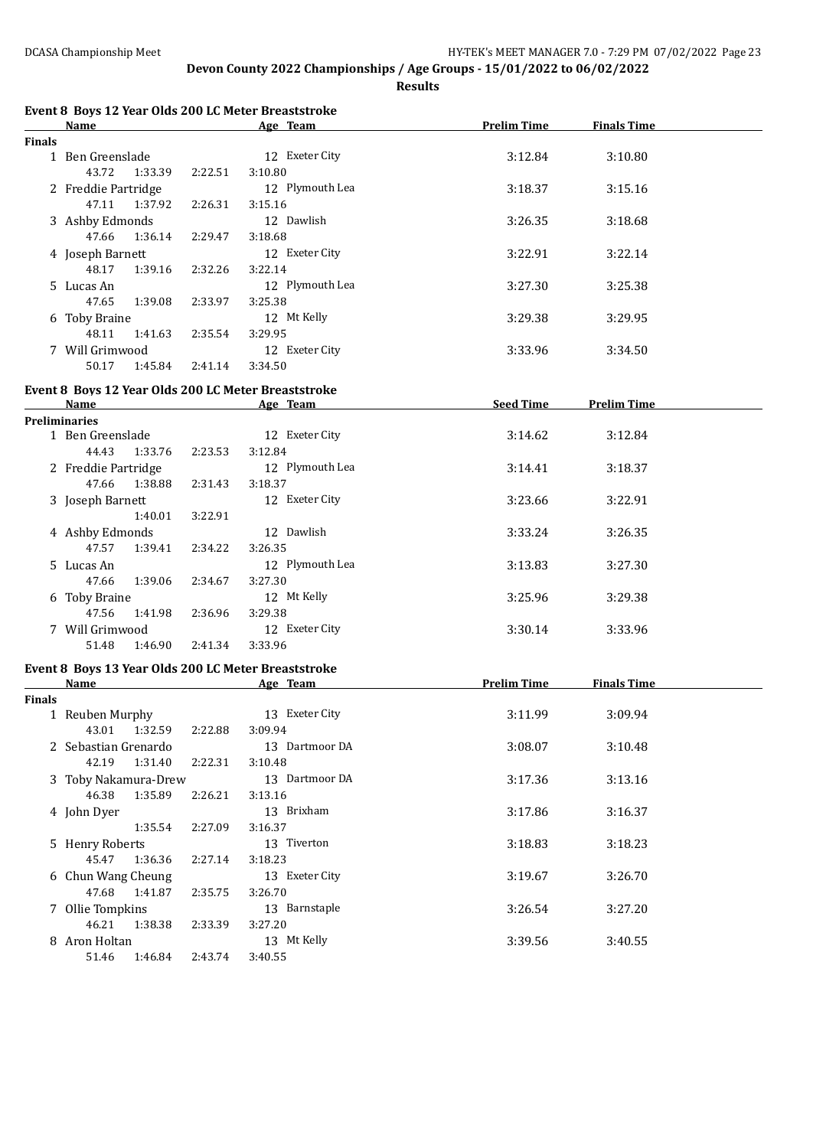|        | Event 8 Boys 12 Year Olds 200 LC Meter Breaststroke<br>Name |         | Age Team        | <b>Prelim Time</b> | <b>Finals Time</b> |  |
|--------|-------------------------------------------------------------|---------|-----------------|--------------------|--------------------|--|
| Finals |                                                             |         |                 |                    |                    |  |
|        | 1 Ben Greenslade                                            |         | 12 Exeter City  | 3:12.84            | 3:10.80            |  |
|        | 43.72<br>1:33.39                                            | 2:22.51 | 3:10.80         |                    |                    |  |
|        | 2 Freddie Partridge                                         |         | 12 Plymouth Lea | 3:18.37            | 3:15.16            |  |
|        | 47.11<br>1:37.92                                            | 2:26.31 | 3:15.16         |                    |                    |  |
|        | 3 Ashby Edmonds                                             |         | 12 Dawlish      | 3:26.35            | 3:18.68            |  |
|        | 47.66<br>1:36.14                                            | 2:29.47 | 3:18.68         |                    |                    |  |
|        | 4 Joseph Barnett                                            |         | 12 Exeter City  | 3:22.91            | 3:22.14            |  |
|        | 48.17<br>1:39.16                                            | 2:32.26 | 3:22.14         |                    |                    |  |
|        | 5 Lucas An                                                  |         | 12 Plymouth Lea | 3:27.30            | 3:25.38            |  |
|        | 47.65<br>1:39.08                                            | 2:33.97 | 3:25.38         |                    |                    |  |
|        | 6 Toby Braine                                               |         | 12 Mt Kelly     | 3:29.38            | 3:29.95            |  |
|        | 48.11<br>1:41.63                                            | 2:35.54 | 3:29.95         |                    |                    |  |
|        | 7 Will Grimwood                                             |         | 12 Exeter City  | 3:33.96            | 3:34.50            |  |
|        | 50.17<br>1:45.84                                            | 2:41.14 | 3:34.50         |                    |                    |  |
|        |                                                             |         |                 |                    |                    |  |
|        | Event 8 Boys 12 Year Olds 200 LC Meter Breaststroke         |         |                 |                    |                    |  |
|        | Name                                                        |         | Age Team        | <b>Seed Time</b>   | <b>Prelim Time</b> |  |
|        | <b>Preliminaries</b><br>1 Ben Greenslade                    |         |                 |                    |                    |  |
|        |                                                             |         | 12 Exeter City  | 3:14.62            | 3:12.84            |  |
|        | 44.43<br>1:33.76                                            | 2:23.53 | 3:12.84         |                    |                    |  |
|        | 2 Freddie Partridge                                         |         | 12 Plymouth Lea | 3:14.41            | 3:18.37            |  |
|        | 47.66<br>1:38.88                                            | 2:31.43 | 3:18.37         |                    |                    |  |
|        | 3 Joseph Barnett                                            |         | 12 Exeter City  | 3:23.66            | 3:22.91            |  |
|        | 1:40.01                                                     | 3:22.91 |                 |                    |                    |  |
|        | 4 Ashby Edmonds                                             |         | 12 Dawlish      | 3:33.24            | 3:26.35            |  |
|        | 47.57<br>1:39.41                                            | 2:34.22 | 3:26.35         |                    |                    |  |
|        | 5 Lucas An                                                  |         | 12 Plymouth Lea | 3:13.83            | 3:27.30            |  |
|        | 47.66<br>1:39.06                                            | 2:34.67 | 3:27.30         |                    |                    |  |
|        | 6 Toby Braine                                               |         | 12 Mt Kelly     | 3:25.96            | 3:29.38            |  |
|        | 47.56<br>1:41.98                                            | 2:36.96 | 3:29.38         |                    |                    |  |
|        | 7 Will Grimwood                                             |         | 12 Exeter City  | 3:30.14            | 3:33.96            |  |
|        | 51.48<br>1:46.90                                            | 2:41.34 | 3:33.96         |                    |                    |  |
|        |                                                             |         |                 |                    |                    |  |
|        | Event 8 Boys 13 Year Olds 200 LC Meter Breaststroke         |         |                 |                    |                    |  |
|        | <b>Name</b>                                                 |         | Age Team        | <b>Prelim Time</b> | <b>Finals Time</b> |  |
| Finals | 1 Reuben Murphy                                             |         | 13 Exeter City  | 3:11.99            | 3:09.94            |  |
|        | 43.01 1:32.59                                               | 2:22.88 | 3:09.94         |                    |                    |  |
|        |                                                             |         | 13 Dartmoor DA  |                    |                    |  |
|        | 2 Sebastian Grenardo                                        |         |                 | 3:08.07            | 3:10.48            |  |
|        | 42.19<br>1:31.40                                            | 2:22.31 | 3:10.48         |                    |                    |  |
|        | 3 Toby Nakamura-Drew                                        |         | 13 Dartmoor DA  | 3:17.36            | 3:13.16            |  |
|        | 46.38<br>1:35.89                                            | 2:26.21 | 3:13.16         |                    |                    |  |
|        | 4 John Dyer                                                 |         | 13 Brixham      | 3:17.86            | 3:16.37            |  |
|        | 1:35.54                                                     | 2:27.09 | 3:16.37         |                    |                    |  |
|        | 5 Henry Roberts                                             |         | 13 Tiverton     | 3:18.83            | 3:18.23            |  |
|        | 45.47<br>1:36.36                                            | 2:27.14 | 3:18.23         |                    |                    |  |
|        | 6 Chun Wang Cheung                                          |         | 13 Exeter City  | 3:19.67            | 3:26.70            |  |
|        | 47.68<br>1:41.87                                            | 2:35.75 | 3:26.70         |                    |                    |  |
|        | 7 Ollie Tompkins                                            |         | 13 Barnstaple   | 3:26.54            | 3:27.20            |  |
|        | 46.21  1:38.38                                              | 2:33.39 | 3:27.20         |                    |                    |  |
|        | 8 Aron Holtan                                               |         | 13 Mt Kelly     | 3:39.56            | 3:40.55            |  |
|        | 51.46 1:46.84                                               | 2:43.74 | 3:40.55         |                    |                    |  |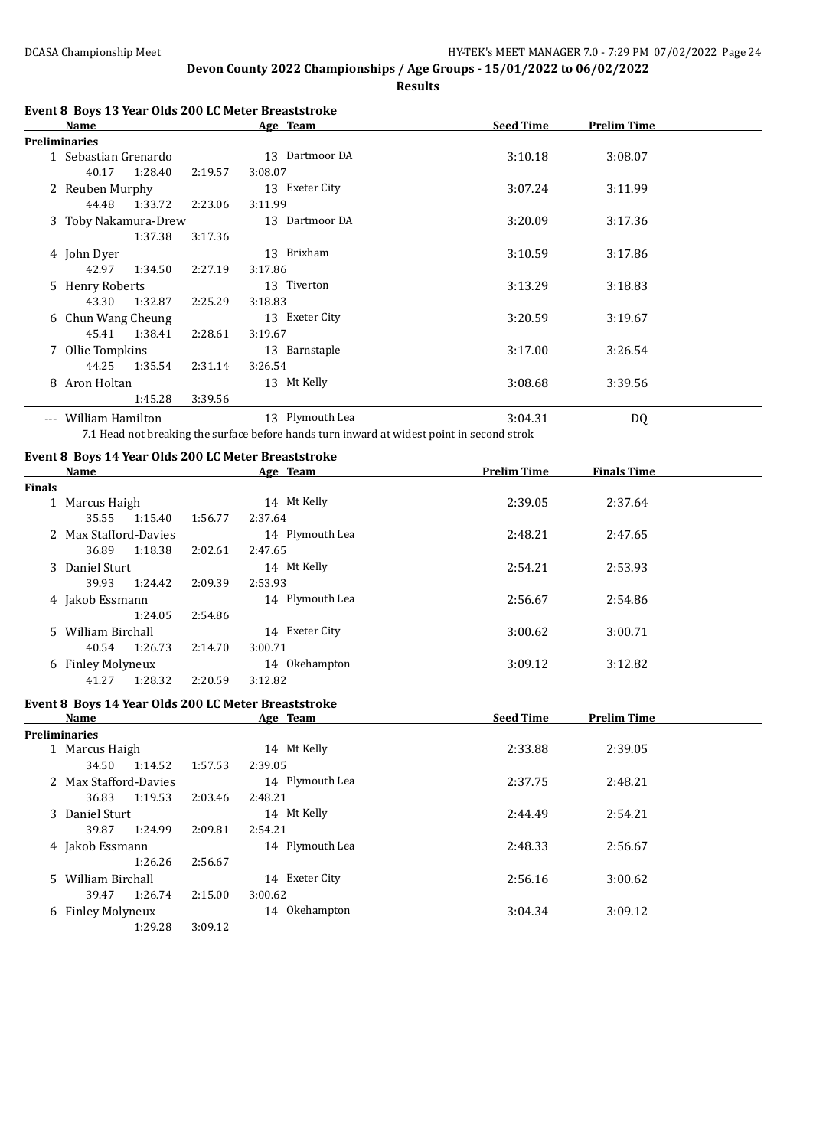**Results**

| Name                 |         |         | Age Team        | <b>Seed Time</b> | <b>Prelim Time</b> |  |
|----------------------|---------|---------|-----------------|------------------|--------------------|--|
| <b>Preliminaries</b> |         |         |                 |                  |                    |  |
| 1 Sebastian Grenardo |         |         | 13 Dartmoor DA  | 3:10.18          | 3:08.07            |  |
| 40.17                | 1:28.40 | 2:19.57 | 3:08.07         |                  |                    |  |
| 2 Reuben Murphy      |         |         | 13 Exeter City  | 3:07.24          | 3:11.99            |  |
| 44.48                | 1:33.72 | 2:23.06 | 3:11.99         |                  |                    |  |
| 3 Toby Nakamura-Drew |         |         | 13 Dartmoor DA  | 3:20.09          | 3:17.36            |  |
|                      | 1:37.38 | 3:17.36 |                 |                  |                    |  |
| 4 John Dyer          |         |         | 13 Brixham      | 3:10.59          | 3:17.86            |  |
| 42.97                | 1:34.50 | 2:27.19 | 3:17.86         |                  |                    |  |
| 5 Henry Roberts      |         |         | 13 Tiverton     | 3:13.29          | 3:18.83            |  |
| 43.30                | 1:32.87 | 2:25.29 | 3:18.83         |                  |                    |  |
| 6 Chun Wang Cheung   |         |         | 13 Exeter City  | 3:20.59          | 3:19.67            |  |
| 45.41                | 1:38.41 | 2:28.61 | 3:19.67         |                  |                    |  |
| 7 Ollie Tompkins     |         |         | 13 Barnstaple   | 3:17.00          | 3:26.54            |  |
| 44.25                | 1:35.54 | 2:31.14 | 3:26.54         |                  |                    |  |
| 8 Aron Holtan        |         |         | 13 Mt Kelly     | 3:08.68          | 3:39.56            |  |
|                      | 1:45.28 | 3:39.56 |                 |                  |                    |  |
| --- William Hamilton |         |         | 13 Plymouth Lea | 3:04.31          | DQ                 |  |

7.1 Head not breaking the surface before hands turn inward at widest point in second strok

### **Event 8 Boys 14 Year Olds 200 LC Meter Breaststroke**

| Name  |         |                                                                                                                         | Age Team        | <b>Prelim Time</b> | <b>Finals Time</b> |  |
|-------|---------|-------------------------------------------------------------------------------------------------------------------------|-----------------|--------------------|--------------------|--|
|       |         |                                                                                                                         |                 |                    |                    |  |
|       |         |                                                                                                                         | 14 Mt Kelly     | 2:39.05            | 2:37.64            |  |
| 35.55 | 1:15.40 | 1:56.77                                                                                                                 | 2:37.64         |                    |                    |  |
|       |         |                                                                                                                         | 14 Plymouth Lea | 2:48.21            | 2:47.65            |  |
| 36.89 | 1:18.38 | 2:02.61                                                                                                                 | 2:47.65         |                    |                    |  |
|       |         |                                                                                                                         | 14 Mt Kelly     | 2:54.21            | 2:53.93            |  |
| 39.93 | 1:24.42 | 2:09.39                                                                                                                 | 2:53.93         |                    |                    |  |
|       |         |                                                                                                                         | 14 Plymouth Lea | 2:56.67            | 2:54.86            |  |
|       | 1:24.05 | 2:54.86                                                                                                                 |                 |                    |                    |  |
|       |         |                                                                                                                         | 14 Exeter City  | 3:00.62            | 3:00.71            |  |
| 40.54 | 1:26.73 | 2:14.70                                                                                                                 | 3:00.71         |                    |                    |  |
|       |         |                                                                                                                         | 14 Okehampton   | 3:09.12            | 3:12.82            |  |
| 41.27 | 1:28.32 | 2:20.59                                                                                                                 | 3:12.82         |                    |                    |  |
|       |         | 1 Marcus Haigh<br>2 Max Stafford-Davies<br>3 Daniel Sturt<br>4 Jakob Essmann<br>5 William Birchall<br>6 Finley Molyneux |                 |                    |                    |  |

# **Event 8 Boys 14 Year Olds 200 LC Meter Breaststroke**

| Name                  |         | Age Team          | <b>Seed Time</b> | <b>Prelim Time</b> |  |
|-----------------------|---------|-------------------|------------------|--------------------|--|
| Preliminaries         |         |                   |                  |                    |  |
| 1 Marcus Haigh        |         | 14 Mt Kelly       | 2:33.88          | 2:39.05            |  |
| 1:14.52<br>34.50      | 1:57.53 | 2:39.05           |                  |                    |  |
| 2 Max Stafford-Davies |         | 14 Plymouth Lea   | 2:37.75          | 2:48.21            |  |
| 1:19.53<br>36.83      | 2:03.46 | 2:48.21           |                  |                    |  |
| 3 Daniel Sturt        |         | 14 Mt Kelly       | 2:44.49          | 2:54.21            |  |
| 1:24.99<br>39.87      | 2:09.81 | 2:54.21           |                  |                    |  |
| 4 Jakob Essmann       |         | 14 Plymouth Lea   | 2:48.33          | 2:56.67            |  |
| 1:26.26               | 2:56.67 |                   |                  |                    |  |
| 5 William Birchall    |         | Exeter City<br>14 | 2:56.16          | 3:00.62            |  |
| 1:26.74<br>39.47      | 2:15.00 | 3:00.62           |                  |                    |  |
| 6 Finley Molyneux     |         | 14 Okehampton     | 3:04.34          | 3:09.12            |  |
| 1:29.28               | 3:09.12 |                   |                  |                    |  |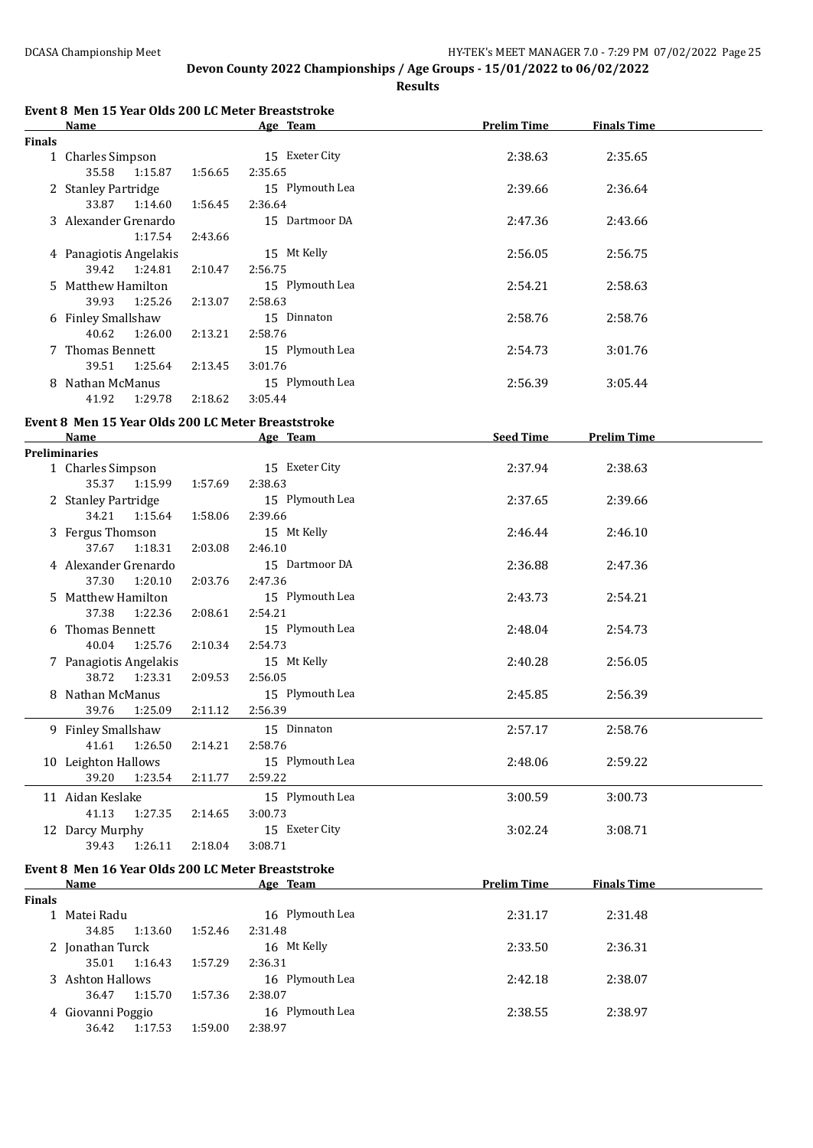|               | Event 8 Men 15 Year Olds 200 LC Meter Breaststroke         |         |                            |                    |                    |
|---------------|------------------------------------------------------------|---------|----------------------------|--------------------|--------------------|
|               | <b>Name</b>                                                |         | Age Team                   | <b>Prelim Time</b> | <b>Finals Time</b> |
| <b>Finals</b> | 1 Charles Simpson<br>35.58<br>1:15.87                      | 1:56.65 | 15 Exeter City<br>2:35.65  | 2:38.63            | 2:35.65            |
|               | 2 Stanley Partridge<br>33.87<br>1:14.60                    | 1:56.45 | 15 Plymouth Lea<br>2:36.64 | 2:39.66            | 2:36.64            |
|               | 3 Alexander Grenardo<br>1:17.54                            | 2:43.66 | 15 Dartmoor DA             | 2:47.36            | 2:43.66            |
|               | 4 Panagiotis Angelakis<br>39.42<br>1:24.81                 | 2:10.47 | 15 Mt Kelly<br>2:56.75     | 2:56.05            | 2:56.75            |
|               | 5 Matthew Hamilton<br>39.93<br>1:25.26                     | 2:13.07 | 15 Plymouth Lea<br>2:58.63 | 2:54.21            | 2:58.63            |
|               | 6 Finley Smallshaw<br>40.62<br>1:26.00                     | 2:13.21 | 15 Dinnaton<br>2:58.76     | 2:58.76            | 2:58.76            |
|               | 7 Thomas Bennett<br>39.51<br>1:25.64                       | 2:13.45 | 15 Plymouth Lea<br>3:01.76 | 2:54.73            | 3:01.76            |
|               | 8 Nathan McManus<br>41.92<br>1:29.78                       | 2:18.62 | 15 Plymouth Lea<br>3:05.44 | 2:56.39            | 3:05.44            |
|               | Event 8 Men 15 Year Olds 200 LC Meter Breaststroke         |         |                            |                    |                    |
|               | Name                                                       |         | Age Team                   | Seed Time          | <b>Prelim Time</b> |
|               | <b>Preliminaries</b><br>1 Charles Simpson<br>35.37 1:15.99 | 1:57.69 | 15 Exeter City<br>2:38.63  | 2:37.94            | 2:38.63            |
|               | 2 Stanley Partridge<br>34.21<br>1:15.64                    | 1:58.06 | 15 Plymouth Lea<br>2:39.66 | 2:37.65            | 2:39.66            |
|               | 3 Fergus Thomson<br>37.67<br>1:18.31                       | 2:03.08 | 15 Mt Kelly<br>2:46.10     | 2:46.44            | 2:46.10            |
|               | 4 Alexander Grenardo<br>37.30<br>1:20.10                   | 2:03.76 | 15 Dartmoor DA<br>2:47.36  | 2:36.88            | 2:47.36            |
|               | 5 Matthew Hamilton<br>37.38<br>1:22.36                     | 2:08.61 | 15 Plymouth Lea<br>2:54.21 | 2:43.73            | 2:54.21            |
|               | 6 Thomas Bennett<br>40.04<br>1:25.76                       | 2:10.34 | 15 Plymouth Lea<br>2:54.73 | 2:48.04            | 2:54.73            |
|               | 7 Panagiotis Angelakis<br>38.72<br>1:23.31                 | 2:09.53 | 15 Mt Kelly<br>2:56.05     | 2:40.28            | 2:56.05            |
|               | 8 Nathan McManus<br>39.76 1:25.09                          | 2:11.12 | 15 Plymouth Lea<br>2:56.39 | 2:45.85            | 2:56.39            |
|               | 9 Finley Smallshaw<br>41.61<br>1:26.50                     | 2:14.21 | 15 Dinnaton<br>2:58.76     | 2:57.17            | 2:58.76            |
|               | 10 Leighton Hallows<br>39.20<br>1:23.54                    | 2:11.77 | 15 Plymouth Lea<br>2:59.22 | 2:48.06            | 2:59.22            |
|               | 11 Aidan Keslake<br>41.13<br>1:27.35                       | 2:14.65 | 15 Plymouth Lea<br>3:00.73 | 3:00.59            | 3:00.73            |
|               | 12 Darcy Murphy<br>39.43<br>1:26.11                        | 2:18.04 | 15 Exeter City<br>3:08.71  | 3:02.24            | 3:08.71            |
|               | Event 8 Men 16 Year Olds 200 LC Meter Breaststroke<br>Name |         | Age Team                   | <b>Prelim Time</b> | <b>Finals Time</b> |
| <b>Finals</b> |                                                            |         |                            |                    |                    |
|               | 1 Matei Radu<br>34.85<br>1:13.60                           | 1:52.46 | 16 Plymouth Lea<br>2:31.48 | 2:31.17            | 2:31.48            |
|               | 2 Jonathan Turck<br>35.01<br>1:16.43                       | 1:57.29 | 16 Mt Kelly<br>2:36.31     | 2:33.50            | 2:36.31            |
|               | 3 Ashton Hallows<br>36.47<br>1:15.70                       | 1:57.36 | 16 Plymouth Lea<br>2:38.07 | 2:42.18            | 2:38.07            |
|               | 4 Giovanni Poggio<br>36.42<br>1:17.53                      | 1:59.00 | 16 Plymouth Lea<br>2:38.97 | 2:38.55            | 2:38.97            |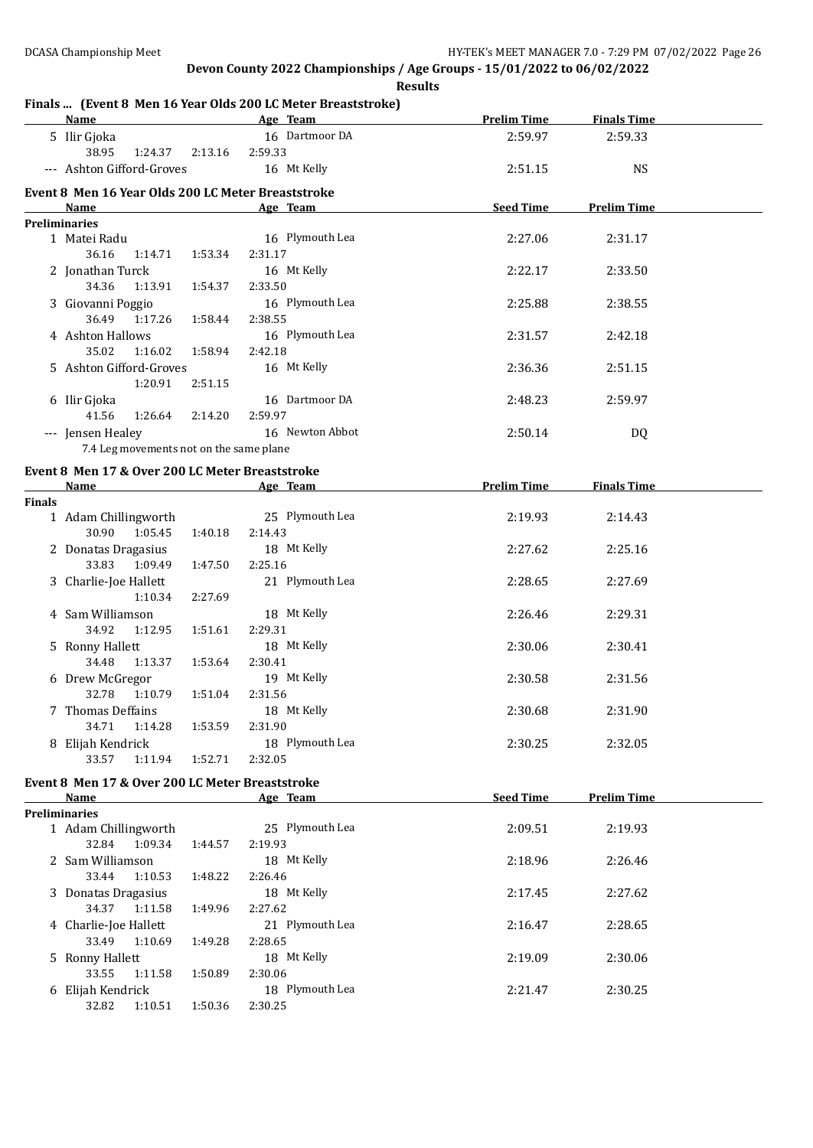**Results**

#### **Finals ... (Event 8 Men 16 Year Olds 200 LC Meter Breaststroke)**

|               | <b>Name</b>                                                       |         | Age Team 2008              | <b>Prelim Time</b> | <b>Finals Time</b> |  |
|---------------|-------------------------------------------------------------------|---------|----------------------------|--------------------|--------------------|--|
|               | 5 Ilir Gjoka<br>38.95<br>1:24.37                                  | 2:13.16 | 16 Dartmoor DA<br>2:59.33  | 2:59.97            | 2:59.33            |  |
|               | --- Ashton Gifford-Groves                                         |         | 16 Mt Kelly                | 2:51.15            | <b>NS</b>          |  |
|               | Event 8 Men 16 Year Olds 200 LC Meter Breaststroke<br><b>Name</b> |         | Age Team                   | <b>Seed Time</b>   | <b>Prelim Time</b> |  |
|               | <b>Preliminaries</b>                                              |         |                            |                    |                    |  |
|               | 1 Matei Radu<br>36.16<br>1:14.71                                  | 1:53.34 | 16 Plymouth Lea<br>2:31.17 | 2:27.06            | 2:31.17            |  |
|               | 2 Jonathan Turck<br>34.36<br>1:13.91                              | 1:54.37 | 16 Mt Kelly<br>2:33.50     | 2:22.17            | 2:33.50            |  |
|               | 3 Giovanni Poggio<br>36.49<br>1:17.26                             | 1:58.44 | 16 Plymouth Lea<br>2:38.55 | 2:25.88            | 2:38.55            |  |
|               | 4 Ashton Hallows<br>35.02<br>1:16.02                              | 1:58.94 | 16 Plymouth Lea<br>2:42.18 | 2:31.57            | 2:42.18            |  |
|               |                                                                   |         |                            |                    |                    |  |
|               | 5 Ashton Gifford-Groves<br>1:20.91                                | 2:51.15 | 16 Mt Kelly                | 2:36.36            | 2:51.15            |  |
|               | 6 Ilir Gjoka                                                      |         | 16 Dartmoor DA             | 2:48.23            | 2:59.97            |  |
|               | 41.56<br>1:26.64<br>--- Jensen Healey                             | 2:14.20 | 2:59.97<br>16 Newton Abbot | 2:50.14            |                    |  |
|               | 7.4 Leg movements not on the same plane                           |         |                            |                    | DQ                 |  |
|               |                                                                   |         |                            |                    |                    |  |
|               | Event 8 Men 17 & Over 200 LC Meter Breaststroke<br>Name           |         | Age Team                   | <b>Prelim Time</b> | <b>Finals Time</b> |  |
| <b>Finals</b> |                                                                   |         |                            |                    |                    |  |
|               | 1 Adam Chillingworth<br>30.90 1:05.45                             | 1:40.18 | 25 Plymouth Lea<br>2:14.43 | 2:19.93            | 2:14.43            |  |
|               | 2 Donatas Dragasius<br>33.83<br>1:09.49                           | 1:47.50 | 18 Mt Kelly<br>2:25.16     | 2:27.62            | 2:25.16            |  |
|               | 3 Charlie-Joe Hallett                                             |         | 21 Plymouth Lea            | 2:28.65            | 2:27.69            |  |
|               | 1:10.34                                                           | 2:27.69 |                            |                    |                    |  |
|               | 4 Sam Williamson                                                  |         | 18 Mt Kelly                | 2:26.46            | 2:29.31            |  |
|               | 34.92<br>1:12.95                                                  | 1:51.61 | 2:29.31                    |                    |                    |  |
|               | 5 Ronny Hallett                                                   |         | 18 Mt Kelly                | 2:30.06            | 2:30.41            |  |
|               | 34.48<br>1:13.37                                                  | 1:53.64 | 2:30.41                    |                    |                    |  |
|               | 6 Drew McGregor                                                   |         | 19 Mt Kelly                | 2:30.58            | 2:31.56            |  |
|               | 32.78 1:10.79                                                     | 1:51.04 | 2:31.56                    |                    |                    |  |
|               | 7 Thomas Deffains                                                 |         | 18 Mt Kelly                | 2:30.68            | 2:31.90            |  |
|               | 34.71   1:14.28   1:53.59   2:31.90                               |         | 18 Plymouth Lea            |                    |                    |  |
|               | 8 Elijah Kendrick<br>33.57<br>1:11.94                             | 1:52.71 | 2:32.05                    | 2:30.25            | 2:32.05            |  |
|               |                                                                   |         |                            |                    |                    |  |
|               | Event 8 Men 17 & Over 200 LC Meter Breaststroke                   |         |                            |                    |                    |  |
|               | Name<br>Preliminaries                                             |         | Age Team                   | <b>Seed Time</b>   | <b>Prelim Time</b> |  |
|               | 1 Adam Chillingworth                                              |         | 25 Plymouth Lea            | 2:09.51            | 2:19.93            |  |
|               | 32.84<br>1:09.34                                                  | 1:44.57 | 2:19.93                    |                    |                    |  |
|               | 2 Sam Williamson                                                  |         | 18 Mt Kelly                | 2:18.96            | 2:26.46            |  |
|               | 33.44<br>1:10.53                                                  | 1:48.22 | 2:26.46                    |                    |                    |  |
|               | 3 Donatas Dragasius                                               |         | 18 Mt Kelly                | 2:17.45            | 2:27.62            |  |
|               | 34.37<br>1:11.58                                                  | 1:49.96 | 2:27.62                    |                    |                    |  |
|               | 4 Charlie-Joe Hallett                                             |         | 21 Plymouth Lea            | 2:16.47            | 2:28.65            |  |
|               | 33.49<br>1:10.69                                                  | 1:49.28 | 2:28.65                    |                    |                    |  |
|               | 5 Ronny Hallett                                                   |         | 18 Mt Kelly                | 2:19.09            | 2:30.06            |  |
|               | 33.55<br>1:11.58                                                  | 1:50.89 | 2:30.06                    |                    |                    |  |
|               | 6 Elijah Kendrick                                                 |         | 18 Plymouth Lea            | 2:21.47            | 2:30.25            |  |
|               | 32.82<br>1:10.51                                                  | 1:50.36 | 2:30.25                    |                    |                    |  |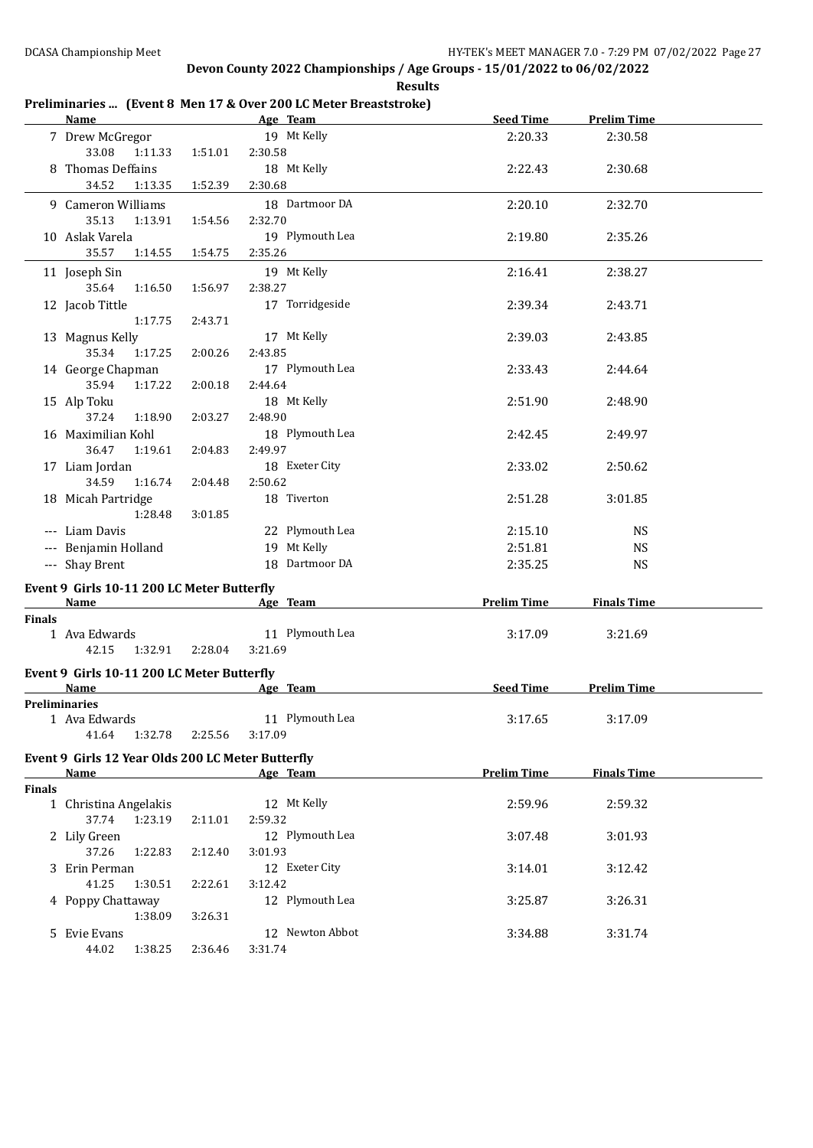#### **Age Team Seed Time Prelim Time** 7 Drew McGregor 19 Mt Kelly 2:20.33 2:30.58 33.08 1:11.33 1:51.01 2:30.58 8 Thomas Deffains 18 Mt Kelly 2:22.43 2:30.68 34.52 1:13.35 1:52.39 2:30.68 9 Cameron Williams 18 Dartmoor DA 2:20.10 2:32.70 35.13 1:13.91 1:54.56 2:32.70 10 Aslak Varela 19 Plymouth Lea 2:19.80 2:35.26 35.57 1:14.55 1:54.75 2:35.26 11 Joseph Sin 19 Mt Kelly 2:16.41 2:38.27 35.64 1:16.50 1:56.97 2:38.27 12 Jacob Tittle 17 Torridgeside 2:39.34 2:43.71 1:17.75 2:43.71 13 Magnus Kelly 17 Mt Kelly 2:39.03 2:43.85 35.34 1:17.25 2:00.26 2:43.85 14 George Chapman 17 Plymouth Lea 2:33.43 2:44.64 35.94 1:17.22 2:00.18 2:44.64 15 Alp Toku 18 Mt Kelly 2:51.90 2:48.90 37.24 1:18.90 2:03.27 2:48.90 16 Maximilian Kohl 18 Plymouth Lea 2:42.45 2:49.97 36.47 1:19.61 2:04.83 2:49.97 17 Liam Jordan 18 Exeter City 2:33.02 2:50.62 34.59 1:16.74 2:04.48 2:50.62 18 Micah Partridge 18 Tiverton 2:51.28 3:01.85 1:28.48 3:01.85 --- Liam Davis 1992 12 22 Plymouth Lea 2:15.10 NS --- Benjamin Holland 19 Mt Kelly 19 Mt Kelly 2:51.81 NS --- Shay Brent 18 Dartmoor DA 2:35.25 NS **Event 9 Girls 10-11 200 LC Meter Butterfly Age Team Prelim Time Finals Time Finals** 1 Ava Edwards 11 Plymouth Lea 3:17.09 3:21.69 42.15 1:32.91 2:28.04 3:21.69 **Event 9 Girls 10-11 200 LC Meter Butterfly Age Team Seed Time Prelim Time Preliminaries** 1 Ava Edwards 11 Plymouth Lea 3:17.65 3:17.09 41.64 1:32.78 2:25.56 3:17.09 **Event 9 Girls 12 Year Olds 200 LC Meter Butterfly Age Team Prelim Time Finals Time Finals** 1 Christina Angelakis 12 Mt Kelly 2:59.96 2:59.32 37.74 1:23.19 2:11.01 2:59.32 2 Lily Green 12 Plymouth Lea 3:07.48 3:01.93 37.26 1:22.83 2:12.40 3:01.93 3 Erin Perman 12 Exeter City 3:14.01 3:12.42 41.25 1:30.51 2:22.61 3:12.42 4 Poppy Chattaway 12 Plymouth Lea 3:25.87 3:26.31 1:38.09 3:26.31 5 Evie Evans 12 Newton Abbot 3:34.88 3:31.74 44.02 1:38.25 2:36.46 3:31.74

### **Preliminaries ... (Event 8 Men 17 & Over 200 LC Meter Breaststroke)**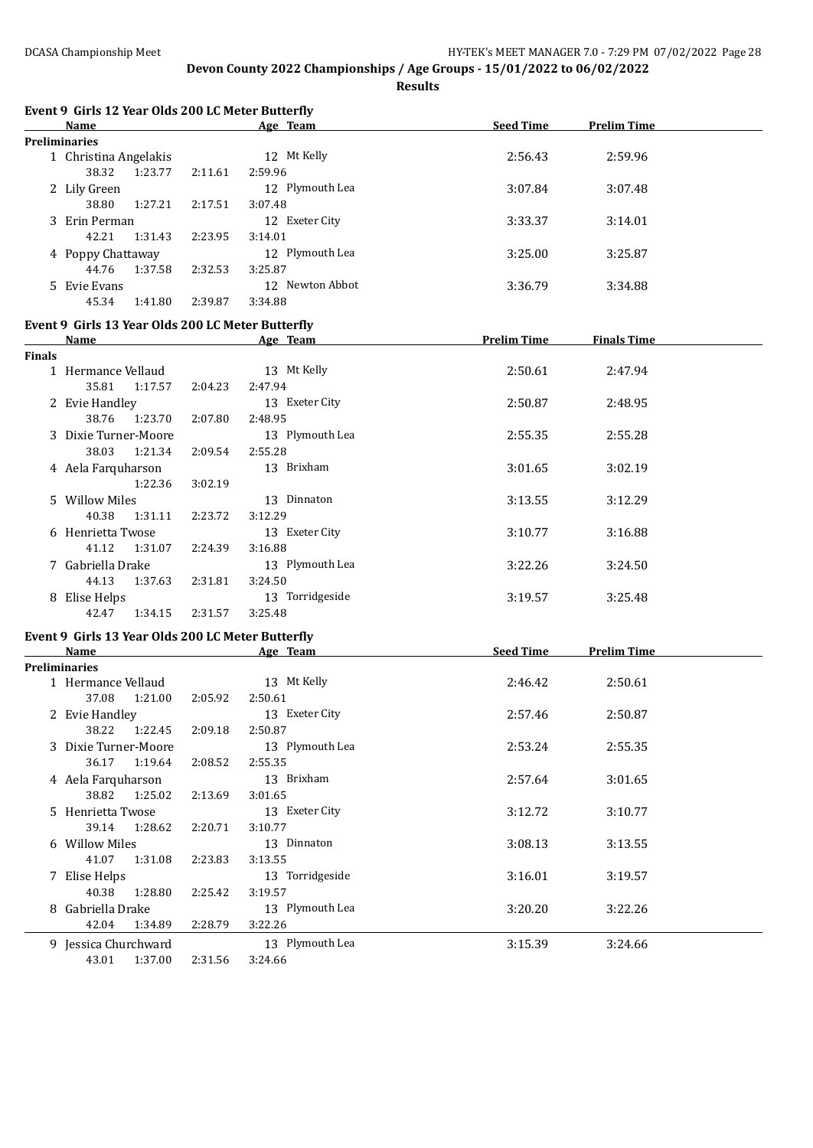|               | Event 9 Girls 12 Year Olds 200 LC Meter Butterfly |         |                 |                    |                    |  |
|---------------|---------------------------------------------------|---------|-----------------|--------------------|--------------------|--|
|               | Name                                              |         | Age Team        | <b>Seed Time</b>   | <b>Prelim Time</b> |  |
|               | <b>Preliminaries</b>                              |         |                 |                    |                    |  |
|               | 1 Christina Angelakis                             |         | 12 Mt Kelly     | 2:56.43            | 2:59.96            |  |
|               | 38.32<br>1:23.77                                  | 2:11.61 | 2:59.96         |                    |                    |  |
|               | 2 Lily Green                                      |         | 12 Plymouth Lea | 3:07.84            | 3:07.48            |  |
|               | 38.80<br>1:27.21                                  | 2:17.51 | 3:07.48         |                    |                    |  |
|               | 3 Erin Perman                                     |         | 12 Exeter City  | 3:33.37            | 3:14.01            |  |
|               | 42.21<br>1:31.43                                  | 2:23.95 | 3:14.01         |                    |                    |  |
|               | 4 Poppy Chattaway                                 |         | 12 Plymouth Lea | 3:25.00            | 3:25.87            |  |
|               | 44.76<br>1:37.58                                  | 2:32.53 | 3:25.87         |                    |                    |  |
|               | 5 Evie Evans                                      |         | 12 Newton Abbot | 3:36.79            | 3:34.88            |  |
|               | 45.34<br>1:41.80                                  | 2:39.87 | 3:34.88         |                    |                    |  |
|               | Event 9 Girls 13 Year Olds 200 LC Meter Butterfly |         |                 |                    |                    |  |
|               | Name                                              |         | Age Team        | <b>Prelim Time</b> | <b>Finals Time</b> |  |
| <b>Finals</b> |                                                   |         |                 |                    |                    |  |
|               | 1 Hermance Vellaud                                |         | 13 Mt Kelly     | 2:50.61            | 2:47.94            |  |
|               | 35.81 1:17.57                                     | 2:04.23 | 2:47.94         |                    |                    |  |
|               | 2 Evie Handley                                    |         | 13 Exeter City  | 2:50.87            | 2:48.95            |  |
|               | 38.76 1:23.70                                     | 2:07.80 | 2:48.95         |                    |                    |  |
|               | 3 Dixie Turner-Moore                              |         | 13 Plymouth Lea | 2:55.35            | 2:55.28            |  |
|               | 38.03<br>1:21.34                                  | 2:09.54 | 2:55.28         |                    |                    |  |
|               | 4 Aela Farquharson                                |         | 13 Brixham      | 3:01.65            | 3:02.19            |  |
|               | 1:22.36                                           | 3:02.19 |                 |                    |                    |  |
|               | 5 Willow Miles                                    |         | 13 Dinnaton     | 3:13.55            | 3:12.29            |  |
|               | 40.38<br>1:31.11                                  | 2:23.72 | 3:12.29         |                    |                    |  |
|               | 6 Henrietta Twose                                 |         | 13 Exeter City  | 3:10.77            | 3:16.88            |  |
|               | 41.12<br>1:31.07                                  | 2:24.39 | 3:16.88         |                    |                    |  |
|               | 7 Gabriella Drake                                 |         | 13 Plymouth Lea | 3:22.26            | 3:24.50            |  |
|               | 44.13<br>1:37.63                                  | 2:31.81 | 3:24.50         |                    |                    |  |
|               | 8 Elise Helps                                     |         | 13 Torridgeside | 3:19.57            | 3:25.48            |  |
|               | 42.47<br>1:34.15                                  | 2:31.57 | 3:25.48         |                    |                    |  |
|               |                                                   |         |                 |                    |                    |  |
|               | Event 9 Girls 13 Year Olds 200 LC Meter Butterfly |         |                 |                    |                    |  |
|               | Name<br><b>Preliminaries</b>                      |         | Age Team        | <b>Seed Time</b>   | <b>Prelim Time</b> |  |
|               | 1 Hermance Vellaud                                |         | 13 Mt Kelly     | 2:46.42            | 2:50.61            |  |
|               | 37.08<br>1:21.00                                  | 2:05.92 | 2:50.61         |                    |                    |  |
|               | 2 Evie Handley                                    |         | 13 Exeter City  | 2:57.46            | 2:50.87            |  |
|               | 38.22<br>1:22.45                                  | 2:09.18 | 2:50.87         |                    |                    |  |
|               | 3 Dixie Turner-Moore                              |         | 13 Plymouth Lea | 2:53.24            | 2:55.35            |  |
|               | 36.17<br>1:19.64                                  | 2:08.52 | 2:55.35         |                    |                    |  |
|               |                                                   |         | 13 Brixham      | 2:57.64            | 3:01.65            |  |
|               | 4 Aela Farquharson<br>38.82<br>1:25.02            | 2:13.69 | 3:01.65         |                    |                    |  |
|               |                                                   |         | 13 Exeter City  | 3:12.72            |                    |  |
|               | 5 Henrietta Twose                                 |         |                 |                    | 3:10.77            |  |
|               | 39.14<br>1:28.62                                  | 2:20.71 | 3:10.77         |                    |                    |  |
|               | 6 Willow Miles                                    |         | 13 Dinnaton     | 3:08.13            | 3:13.55            |  |
|               | 41.07<br>1:31.08                                  | 2:23.83 | 3:13.55         |                    |                    |  |
|               | 7 Elise Helps                                     |         | 13 Torridgeside | 3:16.01            | 3:19.57            |  |
|               | 40.38<br>1:28.80                                  | 2:25.42 | 3:19.57         |                    |                    |  |
|               | 8 Gabriella Drake                                 |         | 13 Plymouth Lea | 3:20.20            | 3:22.26            |  |
|               | 42.04<br>1:34.89                                  | 2:28.79 | 3:22.26         |                    |                    |  |
|               | 9 Jessica Churchward                              |         | 13 Plymouth Lea | 3:15.39            | 3:24.66            |  |
|               | 43.01<br>1:37.00                                  | 2:31.56 | 3:24.66         |                    |                    |  |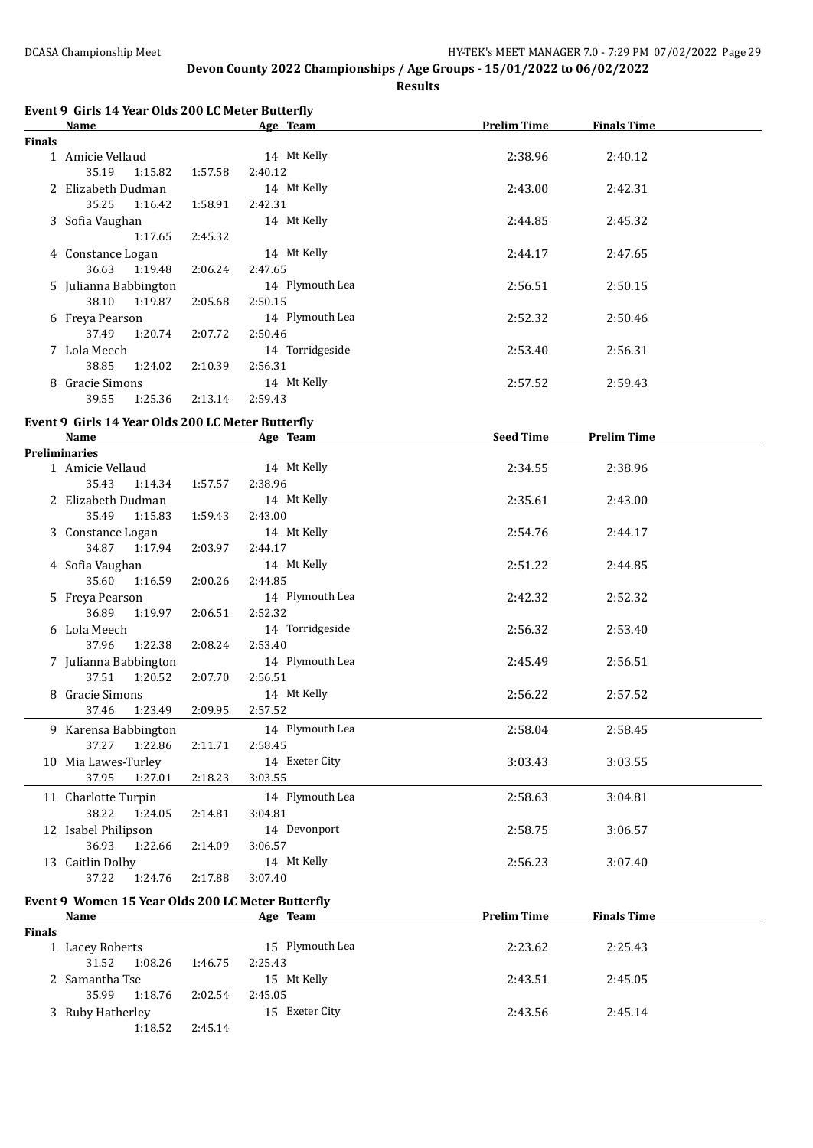|               | Event 9 Girls 14 Year Olds 200 LC Meter Butterfly<br>Name |         | Age Team        | <b>Prelim Time</b> | <b>Finals Time</b> |  |
|---------------|-----------------------------------------------------------|---------|-----------------|--------------------|--------------------|--|
| Finals        |                                                           |         |                 |                    |                    |  |
|               | 1 Amicie Vellaud                                          |         | 14 Mt Kelly     | 2:38.96            | 2:40.12            |  |
|               | 35.19<br>1:15.82                                          | 1:57.58 | 2:40.12         |                    |                    |  |
|               | 2 Elizabeth Dudman                                        |         | 14 Mt Kelly     | 2:43.00            | 2:42.31            |  |
|               | 35.25<br>1:16.42                                          | 1:58.91 | 2:42.31         |                    |                    |  |
|               | 3 Sofia Vaughan                                           |         | 14 Mt Kelly     | 2:44.85            | 2:45.32            |  |
|               | 1:17.65                                                   | 2:45.32 |                 |                    |                    |  |
|               | 4 Constance Logan                                         |         | 14 Mt Kelly     | 2:44.17            | 2:47.65            |  |
|               | 36.63<br>1:19.48                                          | 2:06.24 | 2:47.65         |                    |                    |  |
|               | 5 Julianna Babbington                                     |         | 14 Plymouth Lea | 2:56.51            | 2:50.15            |  |
|               | 38.10<br>1:19.87                                          | 2:05.68 | 2:50.15         |                    |                    |  |
|               | 6 Freya Pearson                                           |         | 14 Plymouth Lea | 2:52.32            | 2:50.46            |  |
|               | 37.49<br>1:20.74                                          | 2:07.72 | 2:50.46         |                    |                    |  |
|               | 7 Lola Meech                                              |         | 14 Torridgeside | 2:53.40            | 2:56.31            |  |
|               | 38.85<br>1:24.02                                          | 2:10.39 | 2:56.31         |                    |                    |  |
|               | 8 Gracie Simons                                           |         | 14 Mt Kelly     | 2:57.52            | 2:59.43            |  |
|               | 39.55<br>1:25.36                                          | 2:13.14 | 2:59.43         |                    |                    |  |
|               | Event 9 Girls 14 Year Olds 200 LC Meter Butterfly         |         |                 |                    |                    |  |
|               | <b>Name</b>                                               |         | Age Team        | Seed Time          | <b>Prelim Time</b> |  |
|               | <b>Preliminaries</b>                                      |         |                 |                    |                    |  |
|               | 1 Amicie Vellaud                                          |         | 14 Mt Kelly     | 2:34.55            | 2:38.96            |  |
|               | 35.43<br>1:14.34                                          | 1:57.57 | 2:38.96         |                    |                    |  |
|               | 2 Elizabeth Dudman                                        |         | 14 Mt Kelly     | 2:35.61            | 2:43.00            |  |
|               | 35.49<br>1:15.83                                          | 1:59.43 | 2:43.00         |                    |                    |  |
|               | 3 Constance Logan                                         |         | 14 Mt Kelly     | 2:54.76            | 2:44.17            |  |
|               | 34.87<br>1:17.94                                          | 2:03.97 | 2:44.17         |                    |                    |  |
|               | 4 Sofia Vaughan                                           |         | 14 Mt Kelly     | 2:51.22            | 2:44.85            |  |
|               | 35.60<br>1:16.59<br>2:00.26                               |         | 2:44.85         |                    |                    |  |
|               | 5 Freya Pearson                                           |         | 14 Plymouth Lea | 2:42.32            | 2:52.32            |  |
|               | 36.89<br>1:19.97                                          | 2:06.51 | 2:52.32         |                    |                    |  |
|               | 6 Lola Meech                                              |         | 14 Torridgeside | 2:56.32            | 2:53.40            |  |
|               | 37.96<br>1:22.38                                          | 2:08.24 | 2:53.40         |                    |                    |  |
|               | 7 Julianna Babbington                                     |         | 14 Plymouth Lea | 2:45.49            | 2:56.51            |  |
|               | 37.51<br>1:20.52                                          | 2:07.70 | 2:56.51         |                    |                    |  |
|               | 8 Gracie Simons                                           |         | 14 Mt Kelly     | 2:56.22            | 2:57.52            |  |
|               | 1:23.49<br>37.46                                          | 2:09.95 | 2:57.52         |                    |                    |  |
|               | 9 Karensa Babbington                                      |         | 14 Plymouth Lea | 2:58.04            | 2:58.45            |  |
|               | 37.27<br>1:22.86                                          | 2:11.71 | 2:58.45         |                    |                    |  |
|               | 10 Mia Lawes-Turley                                       |         | 14 Exeter City  | 3:03.43            | 3:03.55            |  |
|               | 37.95<br>1:27.01                                          | 2:18.23 | 3:03.55         |                    |                    |  |
|               | 11 Charlotte Turpin                                       |         | 14 Plymouth Lea | 2:58.63            | 3:04.81            |  |
|               | 38.22<br>1:24.05                                          | 2:14.81 | 3:04.81         |                    |                    |  |
|               | 12 Isabel Philipson                                       |         | 14 Devonport    | 2:58.75            | 3:06.57            |  |
|               | 36.93<br>1:22.66                                          | 2:14.09 | 3:06.57         |                    |                    |  |
|               | 13 Caitlin Dolby                                          |         | 14 Mt Kelly     | 2:56.23            | 3:07.40            |  |
|               | 37.22<br>1:24.76                                          | 2:17.88 | 3:07.40         |                    |                    |  |
|               | Event 9 Women 15 Year Olds 200 LC Meter Butterfly         |         |                 |                    |                    |  |
|               | Name                                                      |         | Age Team        | <b>Prelim Time</b> | <b>Finals Time</b> |  |
| <b>Finals</b> |                                                           |         |                 |                    |                    |  |
|               | 1 Lacey Roberts                                           |         | 15 Plymouth Lea | 2:23.62            | 2:25.43            |  |
|               | 31.52<br>1:08.26                                          | 1:46.75 | 2:25.43         |                    |                    |  |
|               | 2 Samantha Tse                                            |         | 15 Mt Kelly     | 2:43.51            | 2:45.05            |  |
|               | 35.99<br>1:18.76                                          | 2:02.54 | 2:45.05         |                    |                    |  |
|               | 3 Ruby Hatherley                                          |         | 15 Exeter City  | 2:43.56            | 2:45.14            |  |
|               | 1:18.52                                                   | 2:45.14 |                 |                    |                    |  |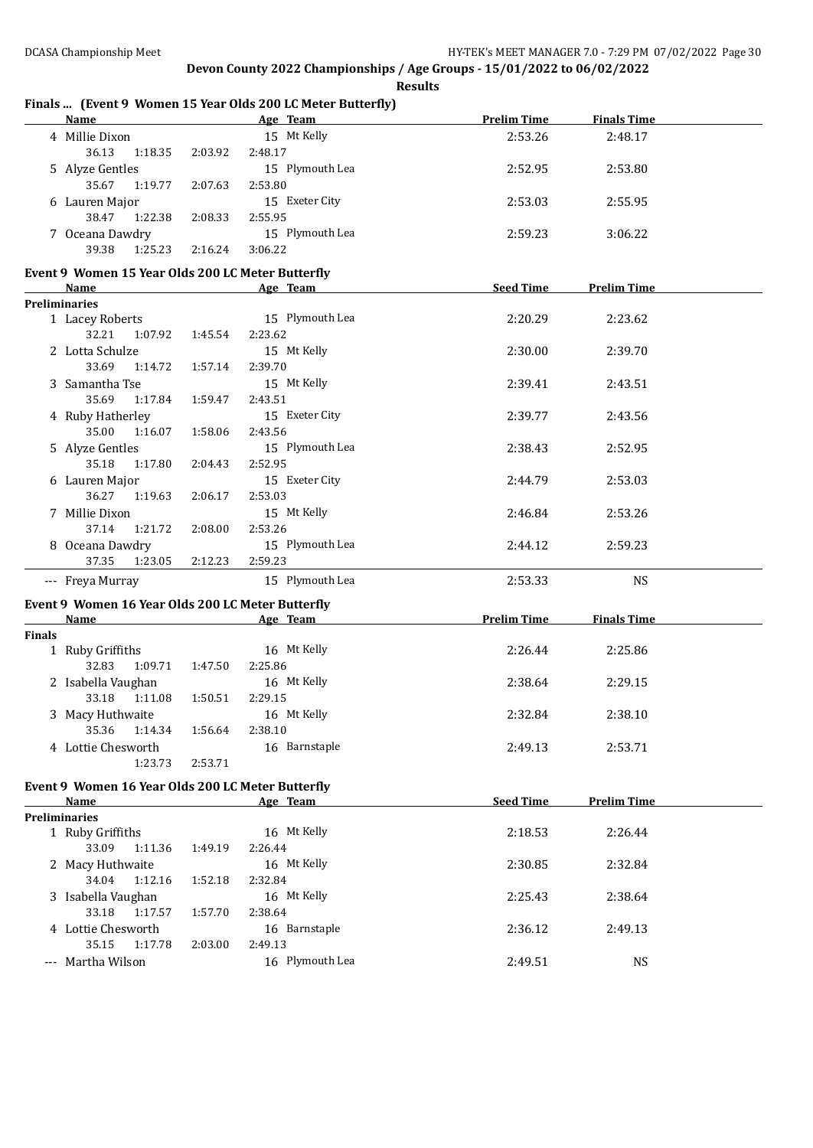**Finals ... (Event 9 Women 15 Year Olds 200 LC Meter Butterfly)**

**Devon County 2022 Championships / Age Groups - 15/01/2022 to 06/02/2022 Results**

|               | Name                                                                                                                                                                                                                           |         | Age Team and the Team and the Team and the Team and the Team and the Team and the Team and the Team and the Te | <b>Prelim Time</b> | <b>Finals Time</b> |  |
|---------------|--------------------------------------------------------------------------------------------------------------------------------------------------------------------------------------------------------------------------------|---------|----------------------------------------------------------------------------------------------------------------|--------------------|--------------------|--|
|               | 4 Millie Dixon                                                                                                                                                                                                                 |         | 15 Mt Kelly                                                                                                    | 2:53.26            | 2:48.17            |  |
|               | 36.13<br>1:18.35                                                                                                                                                                                                               | 2:03.92 | 2:48.17                                                                                                        |                    |                    |  |
|               | 5 Alyze Gentles                                                                                                                                                                                                                |         | 15 Plymouth Lea                                                                                                | 2:52.95            | 2:53.80            |  |
|               | 35.67<br>1:19.77                                                                                                                                                                                                               | 2:07.63 | 2:53.80                                                                                                        |                    |                    |  |
|               | 6 Lauren Major                                                                                                                                                                                                                 |         | 15 Exeter City                                                                                                 | 2:53.03            | 2:55.95            |  |
|               | 38.47<br>1:22.38                                                                                                                                                                                                               | 2:08.33 | 2:55.95                                                                                                        |                    |                    |  |
|               | 7 Oceana Dawdry                                                                                                                                                                                                                |         | 15 Plymouth Lea                                                                                                | 2:59.23            | 3:06.22            |  |
|               | 39.38<br>1:25.23                                                                                                                                                                                                               | 2:16.24 | 3:06.22                                                                                                        |                    |                    |  |
|               |                                                                                                                                                                                                                                |         |                                                                                                                |                    |                    |  |
|               | Event 9 Women 15 Year Olds 200 LC Meter Butterfly                                                                                                                                                                              |         |                                                                                                                |                    |                    |  |
|               | Name                                                                                                                                                                                                                           |         | Age Team                                                                                                       | <b>Seed Time</b>   | <b>Prelim Time</b> |  |
|               | <b>Preliminaries</b>                                                                                                                                                                                                           |         |                                                                                                                |                    |                    |  |
|               | 1 Lacey Roberts                                                                                                                                                                                                                |         | 15 Plymouth Lea                                                                                                | 2:20.29            | 2:23.62            |  |
|               | 32.21<br>1:07.92                                                                                                                                                                                                               | 1:45.54 | 2:23.62                                                                                                        |                    |                    |  |
|               | 2 Lotta Schulze                                                                                                                                                                                                                |         | 15 Mt Kelly                                                                                                    | 2:30.00            | 2:39.70            |  |
|               | 33.69<br>1:14.72                                                                                                                                                                                                               | 1:57.14 | 2:39.70                                                                                                        |                    |                    |  |
|               | 3 Samantha Tse                                                                                                                                                                                                                 |         | 15 Mt Kelly                                                                                                    | 2:39.41            | 2:43.51            |  |
|               | 35.69<br>1:17.84                                                                                                                                                                                                               | 1:59.47 | 2:43.51                                                                                                        |                    |                    |  |
|               | 4 Ruby Hatherley                                                                                                                                                                                                               |         | 15 Exeter City                                                                                                 | 2:39.77            | 2:43.56            |  |
|               | 35.00<br>1:16.07                                                                                                                                                                                                               | 1:58.06 | 2:43.56                                                                                                        |                    |                    |  |
|               | 5 Alyze Gentles                                                                                                                                                                                                                |         | 15 Plymouth Lea                                                                                                | 2:38.43            | 2:52.95            |  |
|               | 35.18<br>1:17.80                                                                                                                                                                                                               | 2:04.43 | 2:52.95                                                                                                        |                    |                    |  |
|               | 6 Lauren Major                                                                                                                                                                                                                 |         | 15 Exeter City                                                                                                 | 2:44.79            | 2:53.03            |  |
|               | 36.27<br>1:19.63                                                                                                                                                                                                               | 2:06.17 | 2:53.03                                                                                                        |                    |                    |  |
|               | 7 Millie Dixon                                                                                                                                                                                                                 |         | 15 Mt Kelly                                                                                                    | 2:46.84            | 2:53.26            |  |
|               | 37.14<br>1:21.72                                                                                                                                                                                                               | 2:08.00 | 2:53.26                                                                                                        |                    |                    |  |
|               | 8 Oceana Dawdry                                                                                                                                                                                                                |         | 15 Plymouth Lea                                                                                                | 2:44.12            | 2:59.23            |  |
|               | 37.35<br>1:23.05                                                                                                                                                                                                               | 2:12.23 | 2:59.23                                                                                                        |                    |                    |  |
|               | --- Freya Murray                                                                                                                                                                                                               |         | 15 Plymouth Lea                                                                                                | 2:53.33            | <b>NS</b>          |  |
|               |                                                                                                                                                                                                                                |         |                                                                                                                |                    |                    |  |
|               | Event 9 Women 16 Year Olds 200 LC Meter Butterfly                                                                                                                                                                              |         |                                                                                                                |                    |                    |  |
|               | Name and the state of the state of the state of the state of the state of the state of the state of the state of the state of the state of the state of the state of the state of the state of the state of the state of the s |         | Age Team                                                                                                       | <b>Prelim Time</b> | <b>Finals Time</b> |  |
| <b>Finals</b> |                                                                                                                                                                                                                                |         |                                                                                                                |                    |                    |  |
|               | 1 Ruby Griffiths                                                                                                                                                                                                               |         | 16 Mt Kelly                                                                                                    | 2:26.44            | 2:25.86            |  |
|               | 32.83<br>1:09.71                                                                                                                                                                                                               | 1:47.50 | 2:25.86                                                                                                        |                    |                    |  |
|               | 2 Isabella Vaughan                                                                                                                                                                                                             |         | 16 Mt Kelly                                                                                                    | 2:38.64            | 2:29.15            |  |
|               | 33.18<br>1:11.08                                                                                                                                                                                                               | 1:50.51 | 2:29.15                                                                                                        |                    |                    |  |
|               | 3 Macy Huthwaite                                                                                                                                                                                                               |         | 16 Mt Kelly                                                                                                    | 2:32.84            | 2:38.10            |  |
|               | 1:14.34<br>35.36                                                                                                                                                                                                               | 1:56.64 | 2:38.10                                                                                                        |                    |                    |  |
|               | 4 Lottie Chesworth                                                                                                                                                                                                             |         | 16 Barnstaple                                                                                                  | 2:49.13            | 2:53.71            |  |
|               | 1:23.73                                                                                                                                                                                                                        | 2:53.71 |                                                                                                                |                    |                    |  |
|               | Event 9 Women 16 Year Olds 200 LC Meter Butterfly                                                                                                                                                                              |         |                                                                                                                |                    |                    |  |
|               | Name                                                                                                                                                                                                                           |         | Age Team                                                                                                       | <b>Seed Time</b>   | <b>Prelim Time</b> |  |
|               | <b>Preliminaries</b>                                                                                                                                                                                                           |         |                                                                                                                |                    |                    |  |
|               | 1 Ruby Griffiths                                                                                                                                                                                                               |         | 16 Mt Kelly                                                                                                    | 2:18.53            | 2:26.44            |  |
|               | 33.09<br>1:11.36                                                                                                                                                                                                               | 1:49.19 | 2:26.44                                                                                                        |                    |                    |  |
|               | 2 Macy Huthwaite                                                                                                                                                                                                               |         | 16 Mt Kelly                                                                                                    | 2:30.85            | 2:32.84            |  |
|               | 1:12.16                                                                                                                                                                                                                        |         | 2:32.84                                                                                                        |                    |                    |  |
|               | 34.04                                                                                                                                                                                                                          | 1:52.18 |                                                                                                                |                    |                    |  |
|               | 3 Isabella Vaughan                                                                                                                                                                                                             |         | 16 Mt Kelly                                                                                                    | 2:25.43            | 2:38.64            |  |
|               | 33.18<br>1:17.57                                                                                                                                                                                                               | 1:57.70 | 2:38.64                                                                                                        |                    |                    |  |
|               | 4 Lottie Chesworth                                                                                                                                                                                                             |         | 16 Barnstaple                                                                                                  | 2:36.12            | 2:49.13            |  |
|               | 35.15<br>1:17.78                                                                                                                                                                                                               | 2:03.00 | 2:49.13                                                                                                        |                    |                    |  |
|               | --- Martha Wilson                                                                                                                                                                                                              |         | 16 Plymouth Lea                                                                                                | 2:49.51            | <b>NS</b>          |  |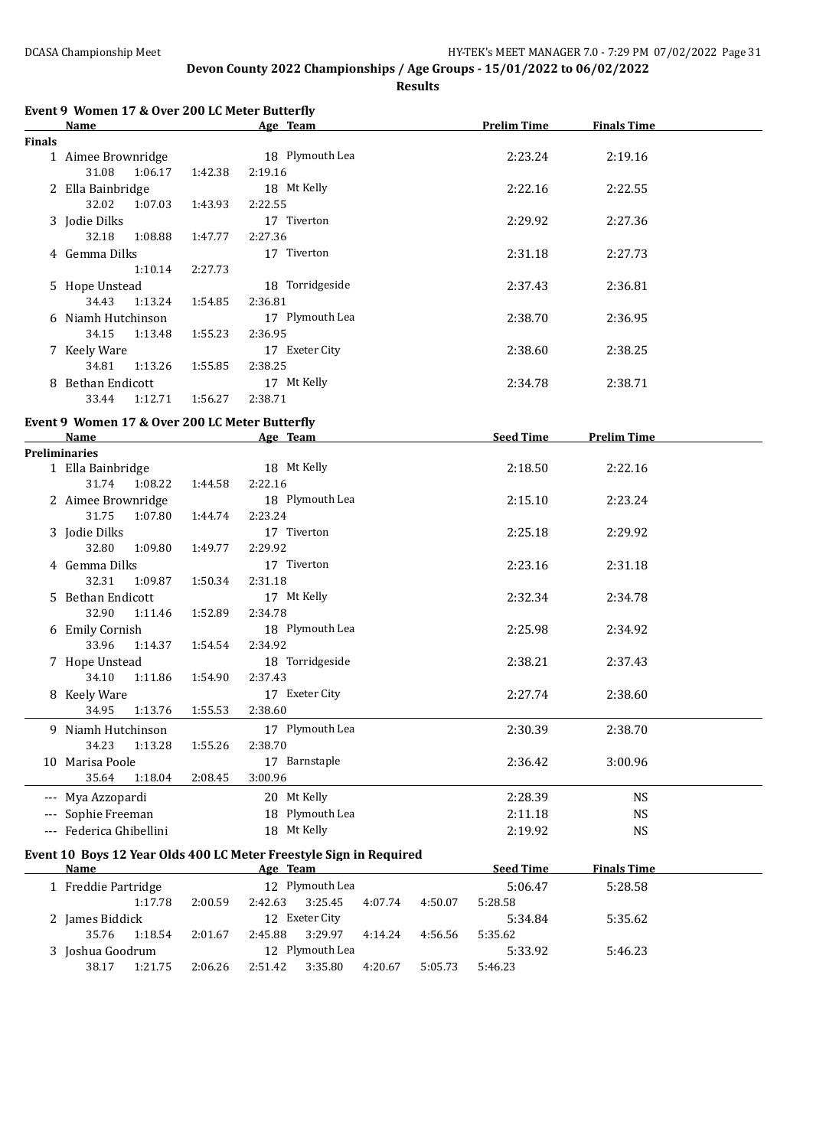|                                                              | Event 9 Women 17 & Over 200 LC Meter Butterfly<br>Name             |                 | Age Team                  |         |         | <b>Prelim Time</b> | <b>Finals Time</b> |  |
|--------------------------------------------------------------|--------------------------------------------------------------------|-----------------|---------------------------|---------|---------|--------------------|--------------------|--|
| <b>Finals</b>                                                |                                                                    |                 |                           |         |         |                    |                    |  |
|                                                              | 1 Aimee Brownridge                                                 |                 | 18 Plymouth Lea           |         |         | 2:23.24            | 2:19.16            |  |
|                                                              | 31.08<br>1:06.17                                                   | 1:42.38         | 2:19.16                   |         |         |                    |                    |  |
|                                                              | 2 Ella Bainbridge                                                  |                 | 18 Mt Kelly               |         |         | 2:22.16            | 2:22.55            |  |
|                                                              | 32.02<br>1:07.03                                                   | 1:43.93         | 2:22.55                   |         |         |                    |                    |  |
|                                                              | 3 Jodie Dilks                                                      |                 | 17 Tiverton               |         |         | 2:29.92            | 2:27.36            |  |
|                                                              | 32.18<br>1:08.88                                                   | 1:47.77         | 2:27.36                   |         |         |                    |                    |  |
|                                                              | 4 Gemma Dilks                                                      |                 | 17 Tiverton               |         |         | 2:31.18            | 2:27.73            |  |
|                                                              | 1:10.14                                                            | 2:27.73         |                           |         |         |                    |                    |  |
|                                                              | 5 Hope Unstead                                                     | 18 Torridgeside |                           |         | 2:37.43 | 2:36.81            |                    |  |
|                                                              | 34.43<br>1:13.24                                                   | 1:54.85         | 2:36.81                   |         |         |                    |                    |  |
|                                                              | 6 Niamh Hutchinson                                                 |                 | 17 Plymouth Lea           |         |         | 2:38.70            | 2:36.95            |  |
|                                                              | 34.15<br>1:13.48                                                   | 1:55.23         | 2:36.95                   |         |         |                    |                    |  |
|                                                              | 7 Keely Ware<br>34.81<br>1:13.26                                   |                 | 17 Exeter City<br>2:38.25 |         |         | 2:38.60            | 2:38.25            |  |
|                                                              | 8 Bethan Endicott                                                  | 1:55.85         | 17 Mt Kelly               |         |         | 2:34.78            | 2:38.71            |  |
|                                                              | 33.44<br>1:12.71                                                   | 1:56.27         | 2:38.71                   |         |         |                    |                    |  |
|                                                              |                                                                    |                 |                           |         |         |                    |                    |  |
|                                                              | Event 9 Women 17 & Over 200 LC Meter Butterfly                     |                 |                           |         |         |                    |                    |  |
|                                                              | Name                                                               |                 | Age Team                  |         |         | <b>Seed Time</b>   | <b>Prelim Time</b> |  |
|                                                              | <b>Preliminaries</b><br>1 Ella Bainbridge                          |                 | 18 Mt Kelly               |         |         | 2:18.50            | 2:22.16            |  |
|                                                              | 31.74<br>1:08.22                                                   | 1:44.58         | 2:22.16                   |         |         |                    |                    |  |
|                                                              | 2 Aimee Brownridge                                                 |                 | 18 Plymouth Lea           |         |         | 2:15.10            | 2:23.24            |  |
|                                                              | 31.75<br>1:07.80                                                   | 1:44.74         | 2:23.24                   |         |         |                    |                    |  |
|                                                              | 3 Jodie Dilks                                                      |                 | 17 Tiverton               |         |         | 2:25.18            | 2:29.92            |  |
|                                                              | 32.80<br>1:09.80                                                   | 1:49.77         | 2:29.92                   |         |         |                    |                    |  |
|                                                              | 4 Gemma Dilks                                                      |                 | 17 Tiverton               |         |         | 2:23.16            | 2:31.18            |  |
|                                                              | 32.31<br>1:09.87                                                   | 1:50.34         | 2:31.18                   |         |         |                    |                    |  |
|                                                              | 5 Bethan Endicott                                                  |                 | 17 Mt Kelly               |         |         | 2:32.34            | 2:34.78            |  |
|                                                              | 32.90<br>1:11.46                                                   | 1:52.89         | 2:34.78                   |         |         |                    |                    |  |
|                                                              | 6 Emily Cornish                                                    |                 | 18 Plymouth Lea           |         |         | 2:25.98            | 2:34.92            |  |
|                                                              | 33.96<br>1:14.37                                                   | 1:54.54         | 2:34.92                   |         |         |                    |                    |  |
|                                                              | 7 Hope Unstead                                                     |                 | 18 Torridgeside           |         |         | 2:38.21            | 2:37.43            |  |
|                                                              | 34.10<br>1:11.86                                                   | 1:54.90         | 2:37.43                   |         |         |                    |                    |  |
|                                                              | 8 Keely Ware                                                       |                 | 17 Exeter City            |         |         | 2:27.74            | 2:38.60            |  |
|                                                              | 1:13.76<br>34.95                                                   | 1:55.53         | 2:38.60                   |         |         |                    |                    |  |
|                                                              | 9 Niamh Hutchinson                                                 |                 | 17 Plymouth Lea           |         |         | 2:30.39            | 2:38.70            |  |
|                                                              | 34.23<br>1:13.28                                                   | 1:55.26         | 2:38.70                   |         |         |                    |                    |  |
|                                                              | 10 Marisa Poole                                                    |                 | 17 Barnstaple             |         |         | 2:36.42            | 3:00.96            |  |
|                                                              | 35.64<br>1:18.04                                                   | 2:08.45         | 3:00.96                   |         |         |                    |                    |  |
|                                                              | --- Mya Azzopardi                                                  |                 | 20 Mt Kelly               |         |         | 2:28.39            | <b>NS</b>          |  |
|                                                              | Sophie Freeman                                                     |                 | 18 Plymouth Lea           |         |         | 2:11.18            | <b>NS</b>          |  |
|                                                              | --- Federica Ghibellini                                            |                 | 18 Mt Kelly               |         |         | 2:19.92            | <b>NS</b>          |  |
|                                                              | Event 10 Boys 12 Year Olds 400 LC Meter Freestyle Sign in Required |                 |                           |         |         |                    |                    |  |
|                                                              | <b>Name</b>                                                        |                 | Age Team                  |         |         | <b>Seed Time</b>   | <b>Finals Time</b> |  |
|                                                              | 1 Freddie Partridge                                                |                 | 12 Plymouth Lea           |         |         | 5:06.47            | 5:28.58            |  |
|                                                              | 1:17.78                                                            | 2:00.59         | 2:42.63<br>3:25.45        | 4:07.74 | 4:50.07 | 5:28.58            |                    |  |
| 12 Exeter City<br>2 James Biddick                            |                                                                    |                 |                           |         |         | 5:34.84            | 5:35.62            |  |
| 35.76<br>2:45.88<br>3:29.97<br>1:18.54<br>2:01.67<br>4:14.24 |                                                                    |                 |                           | 4:56.56 | 5:35.62 |                    |                    |  |
| 3 Joshua Goodrum<br>12 Plymouth Lea                          |                                                                    |                 |                           |         | 5:33.92 | 5:46.23            |                    |  |
|                                                              | 1:21.75<br>38.17                                                   | 2:06.26         | 3:35.80<br>2:51.42        | 4:20.67 | 5:05.73 | 5:46.23            |                    |  |
|                                                              |                                                                    |                 |                           |         |         |                    |                    |  |
|                                                              |                                                                    |                 |                           |         |         |                    |                    |  |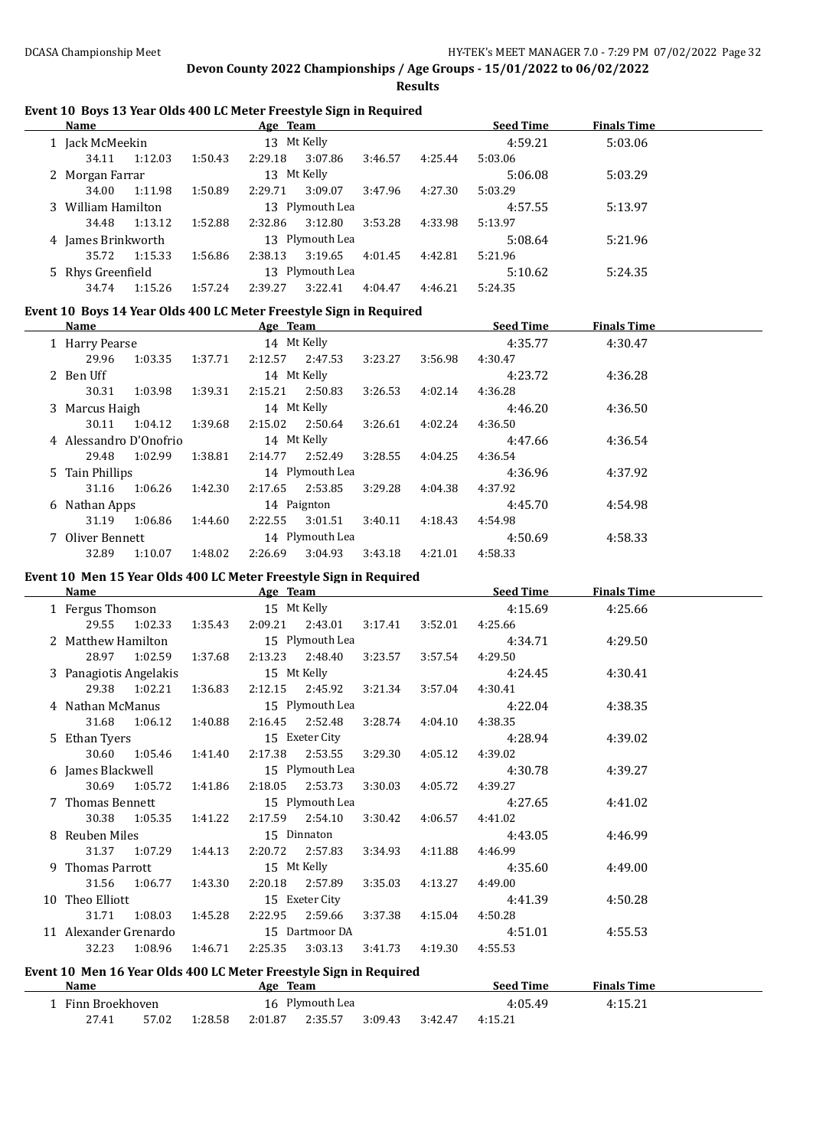**Results**

#### **Event 10 Boys 13 Year Olds 400 LC Meter Freestyle Sign in Required**

| Name                                 |         | Age Team    |         |                 |         |         | <b>Seed Time</b> | <b>Finals Time</b> |  |
|--------------------------------------|---------|-------------|---------|-----------------|---------|---------|------------------|--------------------|--|
| 1 Jack McMeekin                      |         | 13 Mt Kelly |         |                 |         |         | 4:59.21          | 5:03.06            |  |
| 34.11                                | 1:12.03 | 1:50.43     | 2:29.18 | 3:07.86         | 3:46.57 | 4:25.44 | 5:03.06          |                    |  |
| 2 Morgan Farrar                      |         |             |         | 13 Mt Kelly     |         |         | 5:06.08          | 5:03.29            |  |
| 34.00                                | 1:11.98 | 1:50.89     | 2:29.71 | 3:09.07         | 3:47.96 | 4:27.30 | 5:03.29          |                    |  |
| 3 William Hamilton                   |         |             |         | 13 Plymouth Lea |         |         | 4:57.55          | 5:13.97            |  |
| 34.48                                | 1:13.12 | 1:52.88     | 2:32.86 | 3:12.80         | 3:53.28 | 4:33.98 | 5:13.97          |                    |  |
| 4 James Brinkworth                   |         |             |         | 13 Plymouth Lea |         |         | 5:08.64          | 5:21.96            |  |
| 35.72                                | 1:15.33 | 1:56.86     | 2:38.13 | 3:19.65         | 4:01.45 | 4:42.81 | 5:21.96          |                    |  |
| 13 Plymouth Lea<br>5 Rhys Greenfield |         |             | 5:10.62 | 5:24.35         |         |         |                  |                    |  |
| 34.74                                | 1:15.26 | 1:57.24     | 2:39.27 | 3:22.41         | 4:04.47 | 4:46.21 | 5:24.35          |                    |  |

#### **Event 10 Boys 14 Year Olds 400 LC Meter Freestyle Sign in Required**

| Name                                |             |         | Age Team    |                 |         |         | <b>Seed Time</b> | <b>Finals Time</b> |  |
|-------------------------------------|-------------|---------|-------------|-----------------|---------|---------|------------------|--------------------|--|
| 1 Harry Pearse                      |             |         | 14 Mt Kelly |                 |         |         | 4:35.77          | 4:30.47            |  |
| 29.96                               | 1:03.35     | 1:37.71 | 2:12.57     | 2:47.53         | 3:23.27 | 3:56.98 | 4:30.47          |                    |  |
| 2 Ben Uff                           |             |         | 14 Mt Kelly |                 |         |         | 4:23.72          | 4:36.28            |  |
| 30.31                               | 1:03.98     | 1:39.31 | 2:15.21     | 2:50.83         | 3:26.53 | 4:02.14 | 4:36.28          |                    |  |
| 3 Marcus Haigh                      | 14 Mt Kelly |         |             |                 |         |         | 4:46.20          | 4:36.50            |  |
| 30.11                               | 1:04.12     | 1:39.68 | 2:15.02     | 2:50.64         | 3:26.61 | 4:02.24 | 4:36.50          |                    |  |
| 4 Alessandro D'Onofrio              |             |         | 14 Mt Kelly |                 |         |         | 4:47.66          | 4:36.54            |  |
| 29.48                               | 1:02.99     | 1:38.81 | 2:14.77     | 2:52.49         | 3:28.55 | 4:04.25 | 4:36.54          |                    |  |
| 5 Tain Phillips                     |             |         |             | 14 Plymouth Lea |         |         | 4:36.96          | 4:37.92            |  |
| 31.16                               | 1:06.26     | 1:42.30 | 2:17.65     | 2:53.85         | 3:29.28 | 4:04.38 | 4:37.92          |                    |  |
| 6 Nathan Apps                       |             |         |             | 14 Paignton     |         |         | 4:45.70          | 4:54.98            |  |
| 31.19                               | 1:06.86     | 1:44.60 | 2:22.55     | 3:01.51         | 3:40.11 | 4:18.43 | 4:54.98          |                    |  |
| 14 Plymouth Lea<br>7 Oliver Bennett |             |         |             |                 | 4:50.69 | 4:58.33 |                  |                    |  |
| 32.89                               | 1:10.07     | 1:48.02 | 2:26.69     | 3:04.93         | 3:43.18 | 4:21.01 | 4:58.33          |                    |  |

#### **Event 10 Men 15 Year Olds 400 LC Meter Freestyle Sign in Required**

| Name                             |                         |         |                 | Age Team and the Team and the Team and the Team and the Team and the Team and the Team and the Team and the Te |  |                 | <b>Seed Time</b>                                         | <b>Finals Time</b> |  |
|----------------------------------|-------------------------|---------|-----------------|----------------------------------------------------------------------------------------------------------------|--|-----------------|----------------------------------------------------------|--------------------|--|
| 1 Fergus Thomson                 |                         |         |                 |                                                                                                                |  |                 | 15 Mt Kelly 4:15.69                                      | 4:25.66            |  |
|                                  | 29.55 1:02.33           |         |                 |                                                                                                                |  |                 | 1:35.43  2:09.21  2:43.01  3:17.41  3:52.01  4:25.66     |                    |  |
| 2 Matthew Hamilton               |                         |         | 15 Plymouth Lea |                                                                                                                |  |                 | 4:34.71                                                  | 4:29.50            |  |
|                                  | 28.97 1:02.59           | 1:37.68 |                 | 2:13.23 2:48.40                                                                                                |  | 3:23.57 3:57.54 | 4:29.50                                                  |                    |  |
| 3 Panagiotis Angelakis           |                         |         |                 | 15 Mt Kelly                                                                                                    |  |                 | 4:24.45                                                  | 4:30.41            |  |
|                                  | 29.38 1:02.21           | 1:36.83 |                 | 2:12.15 2:45.92 3:21.34 3:57.04                                                                                |  |                 | 4:30.41                                                  |                    |  |
| 4 Nathan McManus                 |                         |         |                 | 15 Plymouth Lea                                                                                                |  |                 | 4:22.04                                                  | 4:38.35            |  |
|                                  | 31.68 1:06.12 1:40.88   |         |                 |                                                                                                                |  |                 | 2:16.45 2:52.48 3:28.74 4:04.10 4:38.35                  |                    |  |
| 5 Ethan Tyers 15 Exeter City     |                         |         |                 |                                                                                                                |  |                 | 4:28.94                                                  | 4:39.02            |  |
|                                  | 30.60 1:05.46 1:41.40   |         |                 | 2:17.38 2:53.55 3:29.30 4:05.12                                                                                |  |                 | 4:39.02                                                  |                    |  |
|                                  |                         |         |                 |                                                                                                                |  |                 | 6 James Blackwell <b>15</b> Plymouth Lea <b>15</b> 20078 | 4:39.27            |  |
|                                  | 30.69 1:05.72           |         |                 |                                                                                                                |  |                 | 1:41.86  2:18.05  2:53.73  3:30.03  4:05.72  4:39.27     |                    |  |
| 7 Thomas Bennett                 |                         |         |                 | 15 Plymouth Lea                                                                                                |  |                 | 4:27.65                                                  | 4:41.02            |  |
|                                  | 30.38 1:05.35           |         |                 | 1:41.22  2:17.59  2:54.10                                                                                      |  | 3:30.42 4:06.57 | 4:41.02                                                  |                    |  |
| 8 Reuben Miles 15 Dinnaton       |                         |         |                 |                                                                                                                |  |                 | 4:43.05                                                  | 4:46.99            |  |
|                                  | 31.37 1:07.29 1:44.13   |         |                 | 2:20.72 2:57.83                                                                                                |  | 3:34.93 4:11.88 | 4:46.99                                                  |                    |  |
| 9 Thomas Parrott                 |                         |         |                 | 15 Mt Kelly                                                                                                    |  |                 | 4:35.60                                                  | 4:49.00            |  |
|                                  | 31.56 1:06.77 1:43.30   |         |                 | 2:20.18 2:57.89                                                                                                |  | 3:35.03 4:13.27 | 4:49.00                                                  |                    |  |
| 10 Theo Elliott <b>Show Theo</b> |                         |         |                 | 15 Exeter City                                                                                                 |  |                 | 4:41.39                                                  | 4:50.28            |  |
|                                  | 31.71  1:08.03  1:45.28 |         |                 | 2:22.95 2:59.66                                                                                                |  | 3:37.38 4:15.04 | 4:50.28                                                  |                    |  |
| 11 Alexander Grenardo            |                         |         |                 | 15 Dartmoor DA                                                                                                 |  |                 | 4:51.01                                                  | 4:55.53            |  |
| 32.23                            | 1:08.96                 | 1:46.71 | 2:25.35         | 3:03.13                                                                                                        |  | 3:41.73 4:19.30 | 4:55.53                                                  |                    |  |
|                                  |                         |         |                 |                                                                                                                |  |                 |                                                          |                    |  |

#### **Event 10 Men 16 Year Olds 400 LC Meter Freestyle Sign in Required**

| Name            |                 |         | <u>Age</u> | <b>Team</b> |         |         | <b>Seed Time</b> | <b>Finals Time</b> |  |
|-----------------|-----------------|---------|------------|-------------|---------|---------|------------------|--------------------|--|
| Finn Broekhoven | 16 Plymouth Lea |         |            |             |         | 4:05.49 | 4:15.21          |                    |  |
| 27.41           | 57.02           | 1:28.58 | 2:01.87    | 2:35.57     | 3:09.43 | 3:42.47 | 4:15.21          |                    |  |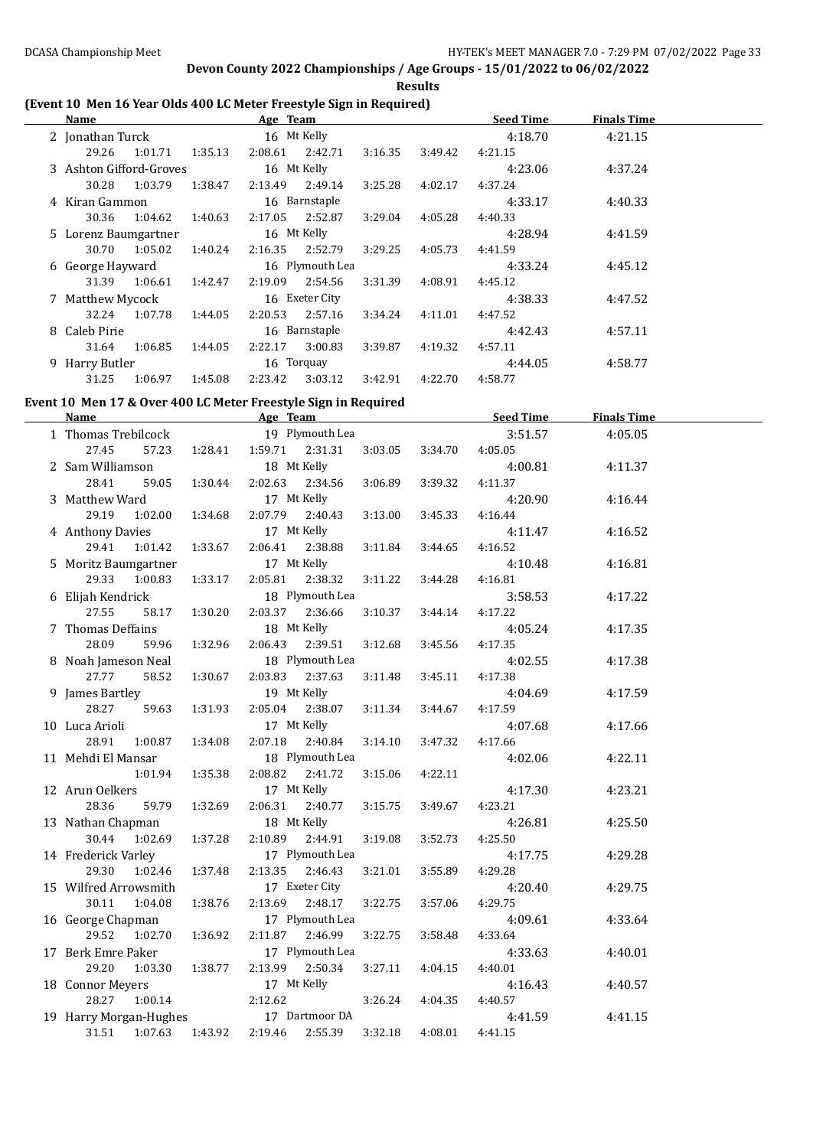**Results**

### **(Event 10 Men 16 Year Olds 400 LC Meter Freestyle Sign in Required)**

| Name                         |         |             | Age Team    |                 |         |         | <b>Seed Time</b> | <b>Finals Time</b> |  |
|------------------------------|---------|-------------|-------------|-----------------|---------|---------|------------------|--------------------|--|
| 2 Jonathan Turck             |         |             | 16 Mt Kelly |                 |         |         | 4:18.70          | 4:21.15            |  |
| 29.26                        | 1:01.71 | 1:35.13     | 2:08.61     | 2:42.71         | 3:16.35 | 3:49.42 | 4:21.15          |                    |  |
| 3 Ashton Gifford-Groves      |         | 16 Mt Kelly |             |                 |         |         | 4:23.06          | 4:37.24            |  |
| 30.28                        | 1:03.79 | 1:38.47     | 2:13.49     | 2:49.14         | 3:25.28 | 4:02.17 | 4:37.24          |                    |  |
| 4 Kiran Gammon               |         |             |             | 16 Barnstaple   |         |         | 4:33.17          | 4:40.33            |  |
| 30.36                        | 1:04.62 | 1:40.63     | 2:17.05     | 2:52.87         | 3:29.04 | 4:05.28 | 4:40.33          |                    |  |
| 5 Lorenz Baumgartner         |         |             | 16 Mt Kelly |                 |         |         | 4:28.94          | 4:41.59            |  |
| 30.70                        | 1:05.02 | 1:40.24     | 2:16.35     | 2:52.79         | 3:29.25 | 4:05.73 | 4:41.59          |                    |  |
| 6 George Hayward             |         |             |             | 16 Plymouth Lea |         |         | 4:33.24          | 4:45.12            |  |
| 31.39                        | 1:06.61 | 1:42.47     | 2:19.09     | 2:54.56         | 3:31.39 | 4:08.91 | 4:45.12          |                    |  |
| 7 Matthew Mycock             |         |             |             | 16 Exeter City  |         |         | 4:38.33          | 4:47.52            |  |
| 32.24                        | 1:07.78 | 1:44.05     | 2:20.53     | 2:57.16         | 3:34.24 | 4:11.01 | 4:47.52          |                    |  |
| 8 Caleb Pirie                |         |             |             | 16 Barnstaple   |         |         | 4:42.43          | 4:57.11            |  |
| 31.64                        | 1:06.85 | 1:44.05     | 2:22.17     | 3:00.83         | 3:39.87 | 4:19.32 | 4:57.11          |                    |  |
| 16 Torquay<br>9 Harry Butler |         |             |             |                 | 4:44.05 | 4:58.77 |                  |                    |  |
| 31.25                        | 1:06.97 | 1:45.08     | 2:23.42     | 3:03.12         | 3:42.91 | 4:22.70 | 4:58.77          |                    |  |

#### **Event 10 Men 17 & Over 400 LC Meter Freestyle Sign in Required**

| Name                   | Age Team    |                    |                 |         | <b>Seed Time</b> | <b>Finals Time</b> |         |  |
|------------------------|-------------|--------------------|-----------------|---------|------------------|--------------------|---------|--|
| 1 Thomas Trebilcock    |             |                    | 19 Plymouth Lea |         |                  | 3:51.57            | 4:05.05 |  |
| 57.23<br>27.45         | 1:28.41     | 1:59.71            | 2:31.31         | 3:03.05 | 3:34.70          | 4:05.05            |         |  |
| 2 Sam Williamson       |             | 18 Mt Kelly        |                 |         |                  | 4:00.81            | 4:11.37 |  |
| 28.41<br>59.05         | 1:30.44     | 2:02.63            | 2:34.56         | 3:06.89 | 3:39.32          | 4:11.37            |         |  |
| 3 Matthew Ward         |             | 17 Mt Kelly        |                 |         |                  | 4:20.90            | 4:16.44 |  |
| 1:02.00<br>29.19       | 1:34.68     | 2:07.79            | 2:40.43         | 3:13.00 | 3:45.33          | 4:16.44            |         |  |
| 4 Anthony Davies       |             | 17 Mt Kelly        |                 |         |                  | 4:11.47            | 4:16.52 |  |
| 1:01.42<br>29.41       | 1:33.67     | 2:06.41            | 2:38.88         | 3:11.84 | 3:44.65          | 4:16.52            |         |  |
| 5 Moritz Baumgartner   |             | 17 Mt Kelly        |                 |         |                  | 4:10.48            | 4:16.81 |  |
| 29.33<br>1:00.83       | 1:33.17     | 2:05.81            | 2:38.32         | 3:11.22 | 3:44.28          | 4:16.81            |         |  |
| 6 Elijah Kendrick      |             |                    | 18 Plymouth Lea |         |                  | 3:58.53            | 4:17.22 |  |
| 27.55<br>58.17         | 1:30.20     | 2:03.37            | 2:36.66         | 3:10.37 | 3:44.14          | 4:17.22            |         |  |
| 7 Thomas Deffains      |             | 18 Mt Kelly        |                 |         |                  | 4:05.24            | 4:17.35 |  |
| 28.09<br>59.96         | 1:32.96     | 2:06.43            | 2:39.51         | 3:12.68 | 3:45.56          | 4:17.35            |         |  |
| 8 Noah Jameson Neal    |             |                    | 18 Plymouth Lea |         |                  | 4:02.55            | 4:17.38 |  |
| 27.77<br>58.52         | 1:30.67     | 2:03.83            | 2:37.63         | 3:11.48 | 3:45.11          | 4:17.38            |         |  |
| 9 James Bartley        |             | 19 Mt Kelly        |                 |         |                  | 4:04.69            | 4:17.59 |  |
| 28.27<br>59.63         | 1:31.93     | 2:05.04            | 2:38.07         | 3:11.34 | 3:44.67          | 4:17.59            |         |  |
| 10 Luca Arioli         | 17 Mt Kelly |                    |                 |         | 4:07.68          | 4:17.66            |         |  |
| 28.91<br>1:00.87       | 1:34.08     | 2:07.18            | 2:40.84         | 3:14.10 | 3:47.32          | 4:17.66            |         |  |
| 11 Mehdi El Mansar     |             |                    | 18 Plymouth Lea |         |                  | 4:02.06            | 4:22.11 |  |
| 1:01.94                | 1:35.38     | 2:08.82            | 2:41.72         | 3:15.06 | 4:22.11          |                    |         |  |
| 12 Arun Oelkers        |             | 17 Mt Kelly        |                 |         |                  | 4:17.30            | 4:23.21 |  |
| 28.36<br>59.79         | 1:32.69     | 2:06.31            | 2:40.77         | 3:15.75 | 3:49.67          | 4:23.21            |         |  |
| 13 Nathan Chapman      |             | 18 Mt Kelly        |                 |         |                  | 4:26.81            | 4:25.50 |  |
| 30.44<br>1:02.69       | 1:37.28     | 2:10.89            | 2:44.91         | 3:19.08 | 3:52.73          | 4:25.50            |         |  |
| 14 Frederick Varley    |             |                    | 17 Plymouth Lea |         |                  | 4:17.75            | 4:29.28 |  |
| 29.30<br>1:02.46       | 1:37.48     | 2:13.35            | 2:46.43         | 3:21.01 | 3:55.89          | 4:29.28            |         |  |
| 15 Wilfred Arrowsmith  |             |                    | 17 Exeter City  |         |                  | 4:20.40            | 4:29.75 |  |
| 30.11<br>1:04.08       | 1:38.76     | 2:13.69            | 2:48.17         | 3:22.75 | 3:57.06          | 4:29.75            |         |  |
| 16 George Chapman      |             |                    | 17 Plymouth Lea |         |                  | 4:09.61            | 4:33.64 |  |
| 29.52<br>1:02.70       | 1:36.92     | 2:11.87            | 2:46.99         | 3:22.75 | 3:58.48          | 4:33.64            |         |  |
| 17 Berk Emre Paker     |             |                    | 17 Plymouth Lea |         |                  | 4:33.63            | 4:40.01 |  |
| 29.20<br>1:03.30       | 1:38.77     | 2:13.99            | 2:50.34         | 3:27.11 | 4:04.15          | 4:40.01            |         |  |
| 18 Connor Meyers       |             | 17 Mt Kelly        |                 |         |                  | 4:16.43            | 4:40.57 |  |
| 28.27<br>1:00.14       |             | 2:12.62<br>3:26.24 |                 |         | 4:04.35          | 4:40.57            |         |  |
| 19 Harry Morgan-Hughes |             |                    | 17 Dartmoor DA  |         |                  | 4:41.59            | 4:41.15 |  |
| 31.51<br>1:07.63       | 1:43.92     | 2:19.46            | 2:55.39         | 3:32.18 | 4:08.01          | 4:41.15            |         |  |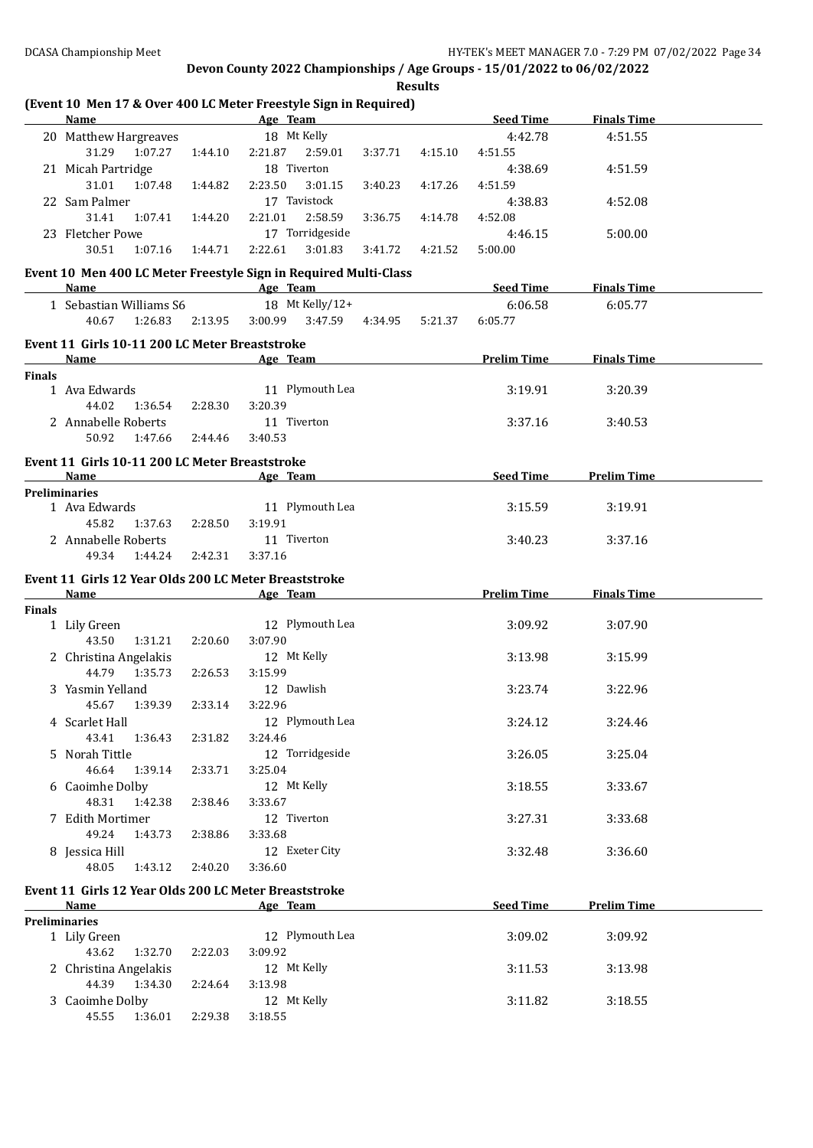|               | <b>Name</b>                                           |         | (Event 10 Men 17 & Over 400 LC Meter Freestyle Sign in Required)<br><b>Example 2018</b> Age Team <b>Age 2018</b> Age Team <b>Age 2018</b> |         |         | <b>Seed Time</b>   | <b>Finals Time</b> |  |
|---------------|-------------------------------------------------------|---------|-------------------------------------------------------------------------------------------------------------------------------------------|---------|---------|--------------------|--------------------|--|
|               | 20 Matthew Hargreaves                                 |         | 18 Mt Kelly                                                                                                                               |         |         | 4:42.78            | 4:51.55            |  |
|               | 31.29 1:07.27                                         | 1:44.10 | 2:21.87 2:59.01                                                                                                                           | 3:37.71 | 4:15.10 | 4:51.55            |                    |  |
|               | 21 Micah Partridge                                    |         | 18 Tiverton                                                                                                                               |         |         | 4:38.69            | 4:51.59            |  |
|               | 31.01 1:07.48                                         | 1:44.82 | 2:23.50<br>3:01.15                                                                                                                        | 3:40.23 | 4:17.26 | 4:51.59            |                    |  |
|               | 22 Sam Palmer                                         |         | 17 Tavistock                                                                                                                              |         |         | 4:38.83            | 4:52.08            |  |
|               | 31.41<br>1:07.41                                      | 1:44.20 | 2:58.59<br>2:21.01                                                                                                                        | 3:36.75 | 4:14.78 | 4:52.08            |                    |  |
|               | 23 Fletcher Powe                                      |         | 17 Torridgeside                                                                                                                           |         |         | 4:46.15            | 5:00.00            |  |
|               | 30.51<br>1:07.16                                      | 1:44.71 | 2:22.61<br>3:01.83                                                                                                                        | 3:41.72 | 4:21.52 | 5:00.00            |                    |  |
|               |                                                       |         |                                                                                                                                           |         |         |                    |                    |  |
|               | Name                                                  |         | Event 10 Men 400 LC Meter Freestyle Sign in Required Multi-Class<br><b>Example 2</b> Age Team                                             |         |         | <b>Seed Time</b>   | <b>Finals Time</b> |  |
|               |                                                       |         | 18 Mt Kelly/12+                                                                                                                           |         |         | 6:06.58            |                    |  |
|               | 1 Sebastian Williams S6<br>40.67<br>1:26.83           |         | 3:00.99 3:47.59 4:34.95                                                                                                                   |         |         | 6:05.77            | 6:05.77            |  |
|               |                                                       | 2:13.95 |                                                                                                                                           |         | 5:21.37 |                    |                    |  |
|               | Event 11 Girls 10-11 200 LC Meter Breaststroke        |         |                                                                                                                                           |         |         |                    |                    |  |
|               | Name                                                  |         | Age Team 2008                                                                                                                             |         |         | <b>Prelim Time</b> | <b>Finals Time</b> |  |
| <b>Finals</b> |                                                       |         |                                                                                                                                           |         |         |                    |                    |  |
|               | 1 Ava Edwards                                         |         | 11 Plymouth Lea                                                                                                                           |         |         | 3:19.91            | 3:20.39            |  |
|               | 44.02 1:36.54                                         | 2:28.30 | 3:20.39                                                                                                                                   |         |         |                    |                    |  |
|               | 2 Annabelle Roberts                                   |         | 11 Tiverton                                                                                                                               |         |         | 3:37.16            | 3:40.53            |  |
|               | 50.92 1:47.66                                         | 2:44.46 | 3:40.53                                                                                                                                   |         |         |                    |                    |  |
|               | Event 11 Girls 10-11 200 LC Meter Breaststroke        |         |                                                                                                                                           |         |         |                    |                    |  |
|               | Name                                                  |         | Age Team                                                                                                                                  |         |         | Seed Time          | <b>Prelim Time</b> |  |
|               | <b>Preliminaries</b>                                  |         |                                                                                                                                           |         |         |                    |                    |  |
|               | 1 Ava Edwards                                         |         | 11 Plymouth Lea                                                                                                                           |         |         | 3:15.59            | 3:19.91            |  |
|               | 45.82<br>1:37.63                                      | 2:28.50 | 3:19.91                                                                                                                                   |         |         |                    |                    |  |
|               | 2 Annabelle Roberts                                   |         | 11 Tiverton                                                                                                                               |         |         | 3:40.23            | 3:37.16            |  |
|               | 49.34 1:44.24                                         | 2:42.31 | 3:37.16                                                                                                                                   |         |         |                    |                    |  |
|               | Event 11 Girls 12 Year Olds 200 LC Meter Breaststroke |         |                                                                                                                                           |         |         |                    |                    |  |
|               | Name                                                  |         | <b>Example 2</b> Age Team                                                                                                                 |         |         | <b>Prelim Time</b> | <b>Finals Time</b> |  |
| <b>Finals</b> |                                                       |         |                                                                                                                                           |         |         |                    |                    |  |
|               |                                                       |         |                                                                                                                                           |         |         |                    |                    |  |
|               | 1 Lily Green                                          |         | 12 Plymouth Lea                                                                                                                           |         |         | 3:09.92            | 3:07.90            |  |
|               | 43.50<br>1:31.21                                      | 2:20.60 | 3:07.90                                                                                                                                   |         |         |                    |                    |  |
|               | 2 Christina Angelakis                                 |         | 12 Mt Kelly                                                                                                                               |         |         | 3:13.98            | 3:15.99            |  |
|               | 44.79 1:35.73                                         | 2:26.53 | 3:15.99                                                                                                                                   |         |         |                    |                    |  |
|               | 3 Yasmin Yelland                                      |         | 12 Dawlish                                                                                                                                |         |         | 3:23.74            | 3:22.96            |  |
|               | 45.67 1:39.39                                         | 2:33.14 | 3:22.96                                                                                                                                   |         |         |                    |                    |  |
|               | 4 Scarlet Hall                                        |         | 12 Plymouth Lea                                                                                                                           |         |         | 3:24.12            | 3:24.46            |  |
|               | 43.41<br>1:36.43                                      | 2:31.82 | 3:24.46                                                                                                                                   |         |         |                    |                    |  |
|               | 5 Norah Tittle                                        |         | 12 Torridgeside                                                                                                                           |         |         | 3:26.05            | 3:25.04            |  |
|               | 46.64<br>1:39.14                                      | 2:33.71 | 3:25.04                                                                                                                                   |         |         |                    |                    |  |
|               | 6 Caoimhe Dolby                                       |         | 12 Mt Kelly                                                                                                                               |         |         | 3:18.55            | 3:33.67            |  |
|               | 48.31<br>1:42.38                                      | 2:38.46 | 3:33.67                                                                                                                                   |         |         |                    |                    |  |
|               | 7 Edith Mortimer                                      |         | 12 Tiverton                                                                                                                               |         |         |                    | 3:33.68            |  |
|               | 1:43.73                                               | 2:38.86 |                                                                                                                                           |         |         | 3:27.31            |                    |  |
|               | 49.24                                                 |         | 3:33.68                                                                                                                                   |         |         |                    |                    |  |
|               | 8 Jessica Hill                                        |         | 12 Exeter City<br>3:36.60                                                                                                                 |         |         | 3:32.48            | 3:36.60            |  |
|               | 48.05<br>1:43.12                                      | 2:40.20 |                                                                                                                                           |         |         |                    |                    |  |
|               | Event 11 Girls 12 Year Olds 200 LC Meter Breaststroke |         |                                                                                                                                           |         |         |                    |                    |  |
|               | <b>Name</b>                                           |         | Age Team                                                                                                                                  |         |         | Seed Time          | <b>Prelim Time</b> |  |
|               | <b>Preliminaries</b>                                  |         |                                                                                                                                           |         |         |                    |                    |  |
|               | 1 Lily Green                                          |         | 12 Plymouth Lea                                                                                                                           |         |         | 3:09.02            | 3:09.92            |  |
|               | 43.62<br>1:32.70                                      | 2:22.03 | 3:09.92                                                                                                                                   |         |         |                    |                    |  |
|               | 2 Christina Angelakis                                 |         | 12 Mt Kelly                                                                                                                               |         |         | 3:11.53            | 3:13.98            |  |
|               | 44.39<br>1:34.30                                      | 2:24.64 | 3:13.98                                                                                                                                   |         |         |                    |                    |  |
|               | 3 Caoimhe Dolby<br>45.55<br>1:36.01                   | 2:29.38 | 12 Mt Kelly<br>3:18.55                                                                                                                    |         |         | 3:11.82            | 3:18.55            |  |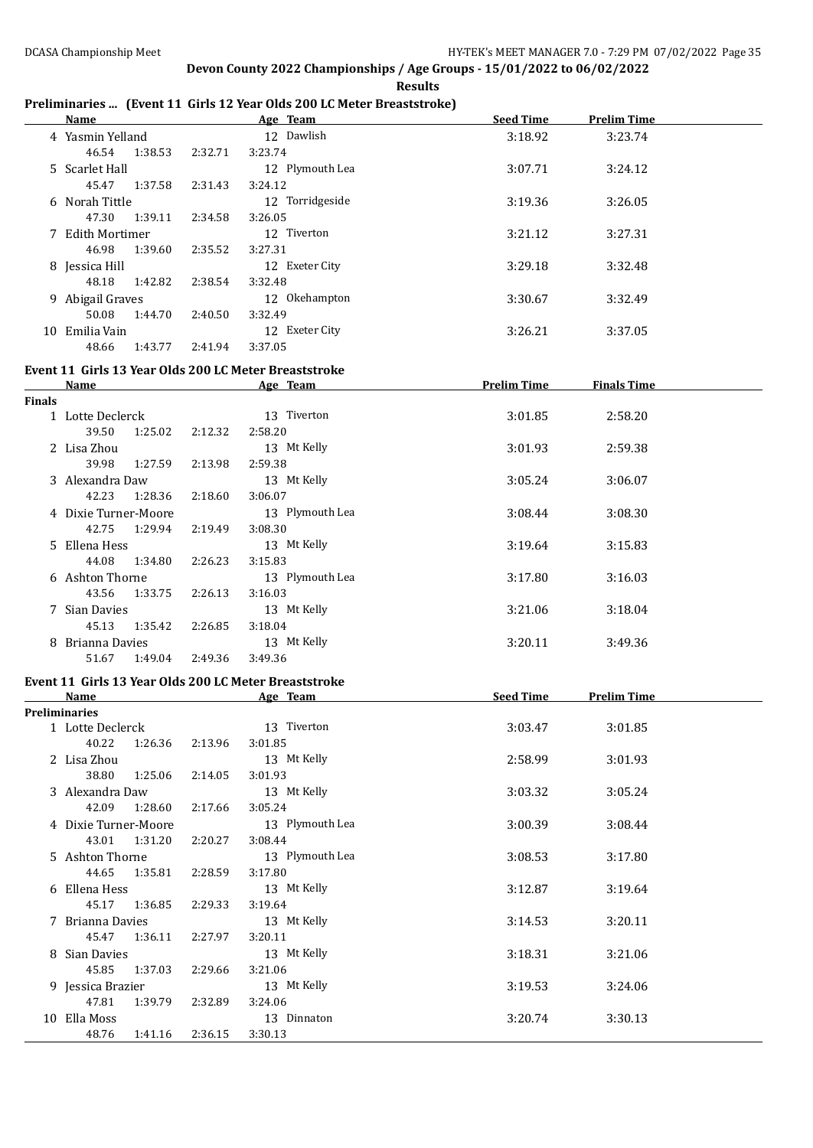## **Preliminaries ... (Event 11 Girls 12 Year Olds 200 LC Meter Breaststroke)**

|        |                                                       |         | Freminialies  (Event II unis 12 fear onts 200 LC meter breaststroke) |                    |                    |  |
|--------|-------------------------------------------------------|---------|----------------------------------------------------------------------|--------------------|--------------------|--|
|        | <u>Name</u>                                           |         | Age Team                                                             | Seed Time          | <b>Prelim Time</b> |  |
|        | 4 Yasmin Yelland                                      |         | 12 Dawlish                                                           | 3:18.92            | 3:23.74            |  |
|        | 46.54<br>1:38.53                                      | 2:32.71 | 3:23.74                                                              |                    |                    |  |
|        | 5 Scarlet Hall                                        |         | 12 Plymouth Lea                                                      | 3:07.71            | 3:24.12            |  |
|        | 45.47<br>1:37.58                                      | 2:31.43 | 3:24.12                                                              |                    |                    |  |
|        | 6 Norah Tittle                                        |         | 12 Torridgeside                                                      | 3:19.36            | 3:26.05            |  |
|        | 1:39.11<br>47.30                                      | 2:34.58 | 3:26.05                                                              |                    |                    |  |
|        |                                                       |         |                                                                      |                    |                    |  |
|        | 7 Edith Mortimer                                      |         | 12 Tiverton                                                          | 3:21.12            | 3:27.31            |  |
|        | 46.98<br>1:39.60                                      | 2:35.52 | 3:27.31                                                              |                    |                    |  |
|        | 8 Jessica Hill                                        |         | 12 Exeter City                                                       | 3:29.18            | 3:32.48            |  |
|        | 48.18<br>1:42.82                                      | 2:38.54 | 3:32.48                                                              |                    |                    |  |
|        | 9 Abigail Graves                                      |         | 12 Okehampton                                                        | 3:30.67            | 3:32.49            |  |
|        | 50.08<br>1:44.70                                      | 2:40.50 | 3:32.49                                                              |                    |                    |  |
|        | 10 Emilia Vain                                        |         | 12 Exeter City                                                       | 3:26.21            | 3:37.05            |  |
|        | 48.66<br>1:43.77                                      | 2:41.94 | 3:37.05                                                              |                    |                    |  |
|        |                                                       |         |                                                                      |                    |                    |  |
|        | Event 11 Girls 13 Year Olds 200 LC Meter Breaststroke |         |                                                                      |                    |                    |  |
|        | Name                                                  |         | Age Team                                                             | <b>Prelim Time</b> | <b>Finals Time</b> |  |
| Finals |                                                       |         |                                                                      |                    |                    |  |
|        | 1 Lotte Declerck                                      |         | 13 Tiverton                                                          | 3:01.85            | 2:58.20            |  |
|        | 39.50<br>1:25.02                                      | 2:12.32 | 2:58.20                                                              |                    |                    |  |
|        | 2 Lisa Zhou                                           |         | 13 Mt Kelly                                                          | 3:01.93            | 2:59.38            |  |
|        | 39.98<br>1:27.59                                      | 2:13.98 | 2:59.38                                                              |                    |                    |  |
|        | 3 Alexandra Daw                                       |         | 13 Mt Kelly                                                          | 3:05.24            | 3:06.07            |  |
|        | 42.23<br>1:28.36                                      | 2:18.60 | 3:06.07                                                              |                    |                    |  |
|        | 4 Dixie Turner-Moore                                  |         | 13 Plymouth Lea                                                      | 3:08.44            | 3:08.30            |  |
|        |                                                       |         |                                                                      |                    |                    |  |
|        | 42.75<br>1:29.94                                      | 2:19.49 | 3:08.30                                                              |                    |                    |  |
|        | 5 Ellena Hess                                         |         | 13 Mt Kelly                                                          | 3:19.64            | 3:15.83            |  |
|        | 44.08<br>1:34.80                                      | 2:26.23 | 3:15.83                                                              |                    |                    |  |
|        | 6 Ashton Thorne                                       |         | 13 Plymouth Lea                                                      | 3:17.80            | 3:16.03            |  |
|        | 43.56<br>1:33.75                                      | 2:26.13 | 3:16.03                                                              |                    |                    |  |
|        | 7 Sian Davies                                         |         | 13 Mt Kelly                                                          | 3:21.06            | 3:18.04            |  |
|        | 45.13<br>1:35.42                                      | 2:26.85 | 3:18.04                                                              |                    |                    |  |
|        | 8 Brianna Davies                                      |         | 13 Mt Kelly                                                          | 3:20.11            | 3:49.36            |  |
|        | 1:49.04<br>51.67                                      | 2:49.36 | 3:49.36                                                              |                    |                    |  |
|        |                                                       |         |                                                                      |                    |                    |  |
|        | Event 11 Girls 13 Year Olds 200 LC Meter Breaststroke |         |                                                                      |                    |                    |  |
|        | <b>Name</b>                                           |         | Age Team                                                             | Seed Time          | <b>Prelim Time</b> |  |
|        | Preliminaries                                         |         |                                                                      |                    |                    |  |
|        | 1 Lotte Declerck                                      |         | 13 Tiverton                                                          | 3:03.47            | 3:01.85            |  |
|        | 40.22<br>1:26.36                                      | 2:13.96 | 3:01.85                                                              |                    |                    |  |
|        | 2 Lisa Zhou                                           |         | 13 Mt Kelly                                                          | 2:58.99            | 3:01.93            |  |
|        | 38.80<br>1:25.06                                      | 2:14.05 | 3:01.93                                                              |                    |                    |  |
|        | 3 Alexandra Daw                                       |         | 13 Mt Kelly                                                          | 3:03.32            | 3:05.24            |  |
|        | 42.09<br>1:28.60                                      | 2:17.66 | 3:05.24                                                              |                    |                    |  |
|        | 4 Dixie Turner-Moore                                  |         | 13 Plymouth Lea                                                      |                    |                    |  |
|        |                                                       |         |                                                                      | 3:00.39            | 3:08.44            |  |
|        | 43.01<br>1:31.20                                      | 2:20.27 | 3:08.44                                                              |                    |                    |  |
|        | 5 Ashton Thorne                                       |         | 13 Plymouth Lea                                                      | 3:08.53            | 3:17.80            |  |
|        | 44.65<br>1:35.81                                      | 2:28.59 | 3:17.80                                                              |                    |                    |  |
|        | 6 Ellena Hess                                         |         | 13 Mt Kelly                                                          | 3:12.87            | 3:19.64            |  |
|        | 45.17<br>1:36.85                                      | 2:29.33 | 3:19.64                                                              |                    |                    |  |
|        | 7 Brianna Davies                                      |         | 13 Mt Kelly                                                          | 3:14.53            | 3:20.11            |  |
|        | 45.47<br>1:36.11                                      | 2:27.97 | 3:20.11                                                              |                    |                    |  |
|        | 8 Sian Davies                                         |         | 13 Mt Kelly                                                          | 3:18.31            | 3:21.06            |  |
|        | 45.85<br>1:37.03                                      | 2:29.66 | 3:21.06                                                              |                    |                    |  |
|        |                                                       |         |                                                                      |                    |                    |  |
|        | 9 Jessica Brazier                                     |         | 13 Mt Kelly                                                          | 3:19.53            | 3:24.06            |  |
|        | 47.81<br>1:39.79                                      | 2:32.89 | 3:24.06                                                              |                    |                    |  |
|        | 10 Ella Moss                                          |         | 13 Dinnaton                                                          | 3:20.74            | 3:30.13            |  |
|        | 48.76<br>1:41.16                                      | 2:36.15 | 3:30.13                                                              |                    |                    |  |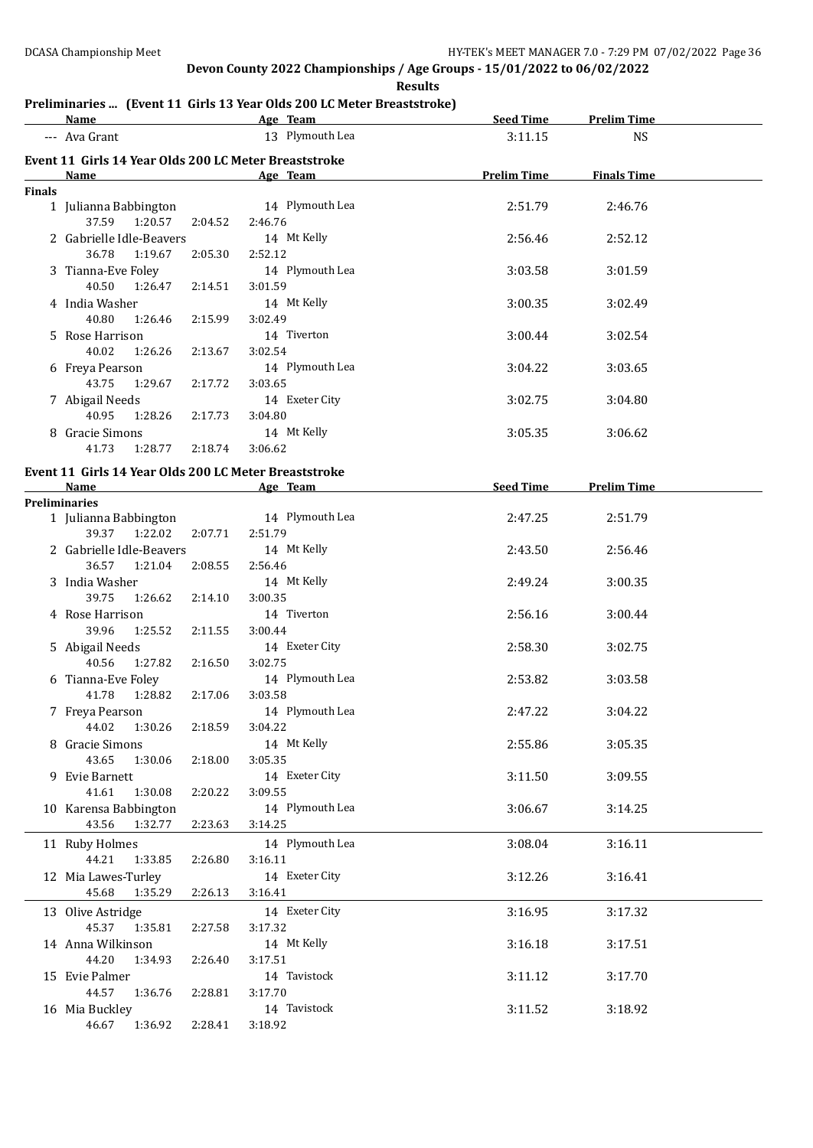**Results**

## **Preliminaries ... (Event 11 Girls 13 Year Olds 200 LC Meter Breaststroke)**

|               | <b>Name</b>                                           |         |         | Age Team and the Team and the Team and the Team and the Team and the Team and the Team and the Team and the Te | Seed Time          | <b>Prelim Time</b>    |  |
|---------------|-------------------------------------------------------|---------|---------|----------------------------------------------------------------------------------------------------------------|--------------------|-----------------------|--|
|               | --- Ava Grant                                         |         |         | 13 Plymouth Lea                                                                                                | 3:11.15            | <b>NS</b>             |  |
|               | Event 11 Girls 14 Year Olds 200 LC Meter Breaststroke |         |         |                                                                                                                |                    |                       |  |
|               | Name                                                  |         |         | Age Team                                                                                                       | <b>Prelim Time</b> | <b>Finals Time</b>    |  |
| <b>Finals</b> |                                                       |         |         |                                                                                                                |                    |                       |  |
|               | 1 Julianna Babbington                                 |         |         | 14 Plymouth Lea                                                                                                | 2:51.79            | 2:46.76               |  |
|               | 37.59 1:20.57                                         | 2:04.52 | 2:46.76 |                                                                                                                |                    |                       |  |
|               | 2 Gabrielle Idle-Beavers                              |         |         | 14 Mt Kelly                                                                                                    | 2:56.46            | 2:52.12               |  |
|               | 36.78<br>1:19.67                                      | 2:05.30 | 2:52.12 |                                                                                                                |                    |                       |  |
|               | 3 Tianna-Eve Foley                                    |         |         | 14 Plymouth Lea                                                                                                | 3:03.58            | 3:01.59               |  |
|               | 40.50 1:26.47                                         | 2:14.51 | 3:01.59 |                                                                                                                |                    |                       |  |
|               | 4 India Washer                                        |         |         | 14 Mt Kelly                                                                                                    | 3:00.35            | 3:02.49               |  |
|               | 40.80<br>1:26.46                                      | 2:15.99 | 3:02.49 |                                                                                                                |                    |                       |  |
|               | 5 Rose Harrison                                       |         |         | 14 Tiverton                                                                                                    | 3:00.44            | 3:02.54               |  |
|               | 40.02<br>1:26.26                                      | 2:13.67 | 3:02.54 |                                                                                                                |                    |                       |  |
|               | 6 Freya Pearson                                       |         |         | 14 Plymouth Lea                                                                                                | 3:04.22            | 3:03.65               |  |
|               | 43.75<br>1:29.67                                      | 2:17.72 | 3:03.65 |                                                                                                                |                    |                       |  |
|               | 7 Abigail Needs                                       |         |         | 14 Exeter City                                                                                                 | 3:02.75            | 3:04.80               |  |
|               | 40.95<br>1:28.26                                      | 2:17.73 | 3:04.80 |                                                                                                                |                    |                       |  |
|               | 8 Gracie Simons                                       |         |         | 14 Mt Kelly                                                                                                    | 3:05.35            | 3:06.62               |  |
|               | 41.73<br>1:28.77                                      | 2:18.74 | 3:06.62 |                                                                                                                |                    |                       |  |
|               | Event 11 Girls 14 Year Olds 200 LC Meter Breaststroke |         |         |                                                                                                                |                    |                       |  |
|               | Name                                                  |         |         | Age Team                                                                                                       |                    | Seed Time Prelim Time |  |
|               | <b>Preliminaries</b>                                  |         |         |                                                                                                                |                    |                       |  |
|               | 1 Julianna Babbington                                 |         |         | 14 Plymouth Lea                                                                                                | 2:47.25            | 2:51.79               |  |
|               | 39.37 1:22.02                                         | 2:07.71 | 2:51.79 |                                                                                                                |                    |                       |  |
|               | 2 Gabrielle Idle-Beavers                              |         |         | 14 Mt Kelly                                                                                                    | 2:43.50            | 2:56.46               |  |
|               | 36.57<br>1:21.04                                      | 2:08.55 | 2:56.46 |                                                                                                                |                    |                       |  |
|               | 3 India Washer                                        |         |         | 14 Mt Kelly                                                                                                    | 2:49.24            | 3:00.35               |  |
|               | 39.75<br>1:26.62                                      | 2:14.10 | 3:00.35 |                                                                                                                |                    |                       |  |
|               | 4 Rose Harrison                                       |         |         | 14 Tiverton                                                                                                    | 2:56.16            | 3:00.44               |  |
|               | 39.96<br>1:25.52                                      | 2:11.55 | 3:00.44 |                                                                                                                |                    |                       |  |
|               | 5 Abigail Needs                                       |         |         | 14 Exeter City                                                                                                 | 2:58.30            | 3:02.75               |  |
|               | 40.56<br>1:27.82                                      | 2:16.50 | 3:02.75 |                                                                                                                |                    |                       |  |
|               | 6 Tianna-Eve Foley                                    |         |         | 14 Plymouth Lea                                                                                                | 2:53.82            | 3:03.58               |  |
|               | 41.78  1:28.82  2:17.06                               |         | 3:03.58 |                                                                                                                |                    |                       |  |
|               | 7 Freya Pearson                                       |         |         | 14 Plymouth Lea                                                                                                | 2:47.22            | 3:04.22               |  |
|               | 44.02  1:30.26  2:18.59  3:04.22                      |         |         |                                                                                                                |                    |                       |  |
|               | 8 Gracie Simons                                       |         |         | 14 Mt Kelly                                                                                                    | 2:55.86            | 3:05.35               |  |
|               | 43.65<br>1:30.06                                      | 2:18.00 | 3:05.35 |                                                                                                                |                    |                       |  |
|               | 9 Evie Barnett                                        |         |         | 14 Exeter City                                                                                                 | 3:11.50            | 3:09.55               |  |
|               | 41.61<br>1:30.08                                      | 2:20.22 | 3:09.55 |                                                                                                                |                    |                       |  |
|               | 10 Karensa Babbington                                 |         |         | 14 Plymouth Lea                                                                                                | 3:06.67            | 3:14.25               |  |
|               | 43.56<br>1:32.77                                      | 2:23.63 | 3:14.25 |                                                                                                                |                    |                       |  |
|               | 11 Ruby Holmes                                        |         |         | 14 Plymouth Lea                                                                                                | 3:08.04            | 3:16.11               |  |
|               | 44.21<br>1:33.85                                      | 2:26.80 | 3:16.11 |                                                                                                                |                    |                       |  |
|               | 12 Mia Lawes-Turley                                   |         |         | 14 Exeter City                                                                                                 | 3:12.26            | 3:16.41               |  |
|               | 45.68<br>1:35.29                                      | 2:26.13 | 3:16.41 |                                                                                                                |                    |                       |  |
|               | 13 Olive Astridge                                     |         |         | 14 Exeter City                                                                                                 | 3:16.95            | 3:17.32               |  |
|               | 45.37<br>1:35.81                                      | 2:27.58 | 3:17.32 |                                                                                                                |                    |                       |  |
|               | 14 Anna Wilkinson                                     |         |         | 14 Mt Kelly                                                                                                    | 3:16.18            | 3:17.51               |  |
|               | 44.20<br>1:34.93                                      | 2:26.40 | 3:17.51 |                                                                                                                |                    |                       |  |
|               | 15 Evie Palmer                                        |         |         | 14 Tavistock                                                                                                   | 3:11.12            | 3:17.70               |  |
|               | 44.57<br>1:36.76                                      | 2:28.81 | 3:17.70 |                                                                                                                |                    |                       |  |
|               | 16 Mia Buckley                                        |         |         | 14 Tavistock                                                                                                   | 3:11.52            | 3:18.92               |  |
|               | 46.67<br>1:36.92                                      | 2:28.41 | 3:18.92 |                                                                                                                |                    |                       |  |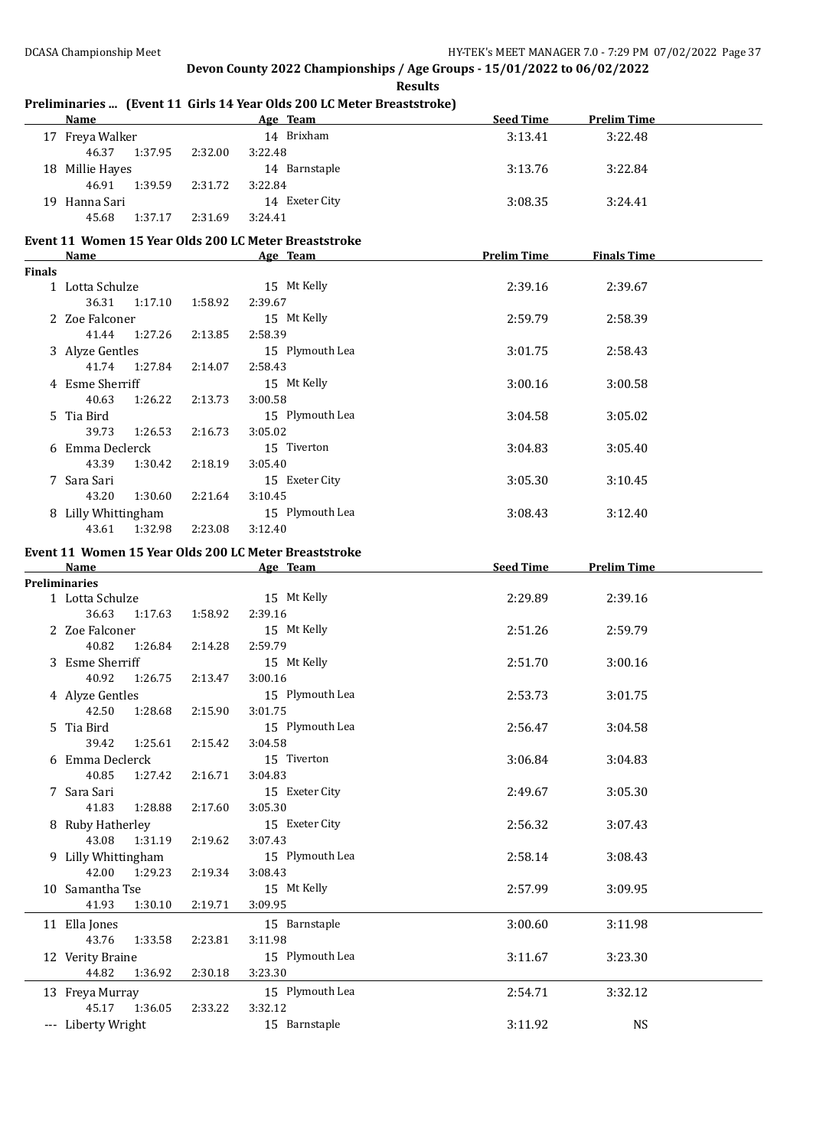**Results**

**Age Team Seed Time Prelim Time** 17 Freya Walker 14 Brixham 3:13.41 3:22.48 46.37 1:37.95 2:32.00 3:22.48 18 Millie Hayes 14 Barnstaple 3:13.76 3:22.84 46.91 1:39.59 2:31.72 3:22.84 19 Hanna Sari 14 Exeter City 3:08.35 3:24.41 45.68 1:37.17 2:31.69 3:24.41 **Event 11 Women 15 Year Olds 200 LC Meter Breaststroke Age Team Prelim Time Finals Time Finals** 1 Lotta Schulze 15 Mt Kelly 2:39.16 2:39.67 36.31 1:17.10 1:58.92 2:39.67 2 Zoe Falconer 15 Mt Kelly 2:59.79 2:58.39 41.44 1:27.26 2:13.85 2:58.39 3 Alyze Gentles 15 Plymouth Lea 3:01.75 2:58.43 41.74 1:27.84 2:14.07 2:58.43 4 Esme Sherriff 15 Mt Kelly 3:00.16 3:00.58 40.63 1:26.22 2:13.73 3:00.58 5 Tia Bird 15 Plymouth Lea 3:04.58 3:05.02 39.73 1:26.53 2:16.73 3:05.02 6 Emma Declerck 15 Tiverton 3:04.83 3:05.40 43.39 1:30.42 2:18.19 3:05.40 7 Sara Sari 15 Exeter City 3:05.30 3:10.45 43.20 1:30.60 2:21.64 3:10.45 8 Lilly Whittingham 15 Plymouth Lea 3:08.43 3:12.40 43.61 1:32.98 2:23.08 3:12.40 **Event 11 Women 15 Year Olds 200 LC Meter Breaststroke Name Age Team Seed Time Prelim Time Preliminaries** 1 Lotta Schulze 15 Mt Kelly 2:29.89 2:39.16 36.63 1:17.63 1:58.92 2:39.16 2 Zoe Falconer 15 Mt Kelly 2:51.26 2:59.79 40.82 1:26.84 2:14.28 2:59.79 3 Esme Sherriff 15 Mt Kelly 2:51.70 3:00.16 40.92 1:26.75 2:13.47 3:00.16 4 Alyze Gentles 15 Plymouth Lea 2:53.73 3:01.75 42.50 1:28.68 2:15.90 3:01.75 5 Tia Bird 15 Plymouth Lea 2:56.47 3:04.58 39.42 1:25.61 2:15.42 3:04.58 6 Emma Declerck 15 Tiverton 3:06.84 3:04.83 40.85 1:27.42 2:16.71 3:04.83 7 Sara Sari 15 Exeter City 2:49.67 3:05.30 41.83 1:28.88 2:17.60 3:05.30 8 Ruby Hatherley 15 Exeter City 2:56.32 3:07.43 43.08 1:31.19 2:19.62 3:07.43 9 Lilly Whittingham 15 Plymouth Lea 2:58.14 3:08.43 42.00 1:29.23 2:19.34 3:08.43 10 Samantha Tse 15 Mt Kelly 2:57.99 3:09.95 41.93 1:30.10 2:19.71 3:09.95 11 Ella Jones 15 Barnstaple 3:00.60 3:11.98 43.76 1:33.58 2:23.81 3:11.98 12 Verity Braine 15 Plymouth Lea 3:11.67 3:23.30 44.82 1:36.92 2:30.18 3:23.30 13 Freya Murray 15 Plymouth Lea 2:54.71 3:32.12 45.17 1:36.05 2:33.22 3:32.12 --- Liberty Wright 15 Barnstaple 15 Barnstaple 3:11.92 NS

### **Preliminaries ... (Event 11 Girls 14 Year Olds 200 LC Meter Breaststroke)**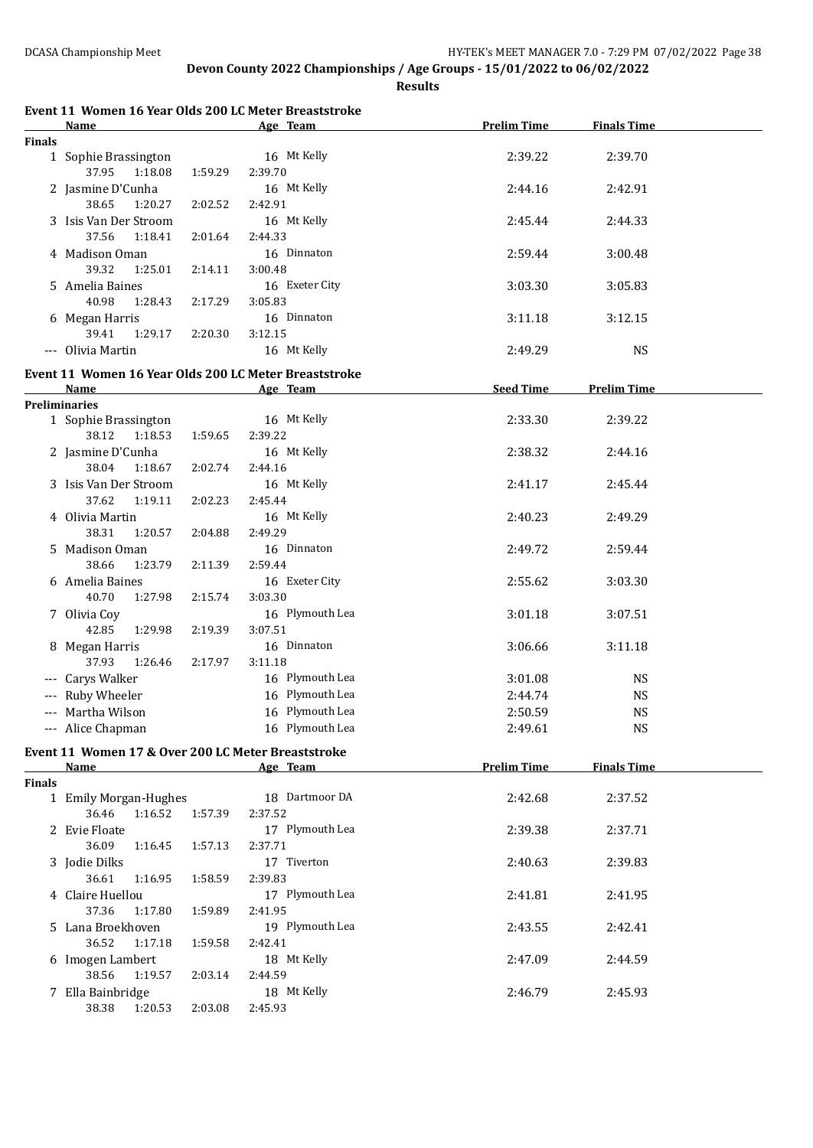**Results**

|               | Event 11 Women 16 Year Olds 200 LC Meter Breaststroke             |         |                            |                    |                    |
|---------------|-------------------------------------------------------------------|---------|----------------------------|--------------------|--------------------|
| <b>Finals</b> | Name                                                              |         | Age Team                   | <b>Prelim Time</b> | <b>Finals Time</b> |
|               | 1 Sophie Brassington                                              |         | 16 Mt Kelly                | 2:39.22            | 2:39.70            |
|               | 37.95<br>1:18.08                                                  | 1:59.29 | 2:39.70                    |                    |                    |
|               | 2 Jasmine D'Cunha                                                 |         | 16 Mt Kelly                | 2:44.16            | 2:42.91            |
|               | 38.65<br>1:20.27                                                  | 2:02.52 | 2:42.91                    |                    |                    |
|               | 3 Isis Van Der Stroom                                             |         | 16 Mt Kelly                | 2:45.44            | 2:44.33            |
|               | 37.56<br>1:18.41                                                  | 2:01.64 | 2:44.33                    |                    |                    |
|               | 4 Madison Oman                                                    |         | 16 Dinnaton                | 2:59.44            | 3:00.48            |
|               | 39.32<br>1:25.01                                                  | 2:14.11 | 3:00.48                    |                    |                    |
|               | 5 Amelia Baines                                                   |         | 16 Exeter City             | 3:03.30            | 3:05.83            |
|               | 40.98<br>1:28.43                                                  | 2:17.29 | 3:05.83                    |                    |                    |
|               | 6 Megan Harris                                                    |         | 16 Dinnaton                | 3:11.18            | 3:12.15            |
|               | 39.41<br>1:29.17<br>--- Olivia Martin                             | 2:20.30 | 3:12.15<br>16 Mt Kelly     | 2:49.29            | <b>NS</b>          |
|               |                                                                   |         |                            |                    |                    |
|               | Event 11 Women 16 Year Olds 200 LC Meter Breaststroke             |         |                            |                    |                    |
|               | Name                                                              |         | Age Team                   | <b>Seed Time</b>   | <b>Prelim Time</b> |
|               | <b>Preliminaries</b><br>1 Sophie Brassington                      |         | 16 Mt Kelly                | 2:33.30            | 2:39.22            |
|               | 38.12<br>1:18.53                                                  | 1:59.65 | 2:39.22                    |                    |                    |
|               | 2 Jasmine D'Cunha                                                 |         | 16 Mt Kelly                | 2:38.32            | 2:44.16            |
|               | 38.04<br>1:18.67                                                  | 2:02.74 | 2:44.16                    |                    |                    |
|               | 3 Isis Van Der Stroom                                             |         | 16 Mt Kelly                | 2:41.17            | 2:45.44            |
|               | 37.62<br>1:19.11                                                  | 2:02.23 | 2:45.44                    |                    |                    |
|               | 4 Olivia Martin                                                   |         | 16 Mt Kelly                | 2:40.23            | 2:49.29            |
|               | 38.31<br>1:20.57                                                  | 2:04.88 | 2:49.29                    |                    |                    |
|               | 5 Madison Oman                                                    |         | 16 Dinnaton                | 2:49.72            | 2:59.44            |
|               | 38.66<br>1:23.79                                                  | 2:11.39 | 2:59.44                    |                    |                    |
|               | 6 Amelia Baines                                                   |         | 16 Exeter City             | 2:55.62            | 3:03.30            |
|               | 40.70<br>1:27.98                                                  | 2:15.74 | 3:03.30                    |                    |                    |
|               | 7 Olivia Coy<br>42.85<br>1:29.98                                  | 2:19.39 | 16 Plymouth Lea<br>3:07.51 | 3:01.18            | 3:07.51            |
|               | 8 Megan Harris                                                    |         | 16 Dinnaton                | 3:06.66            | 3:11.18            |
|               | 37.93<br>1:26.46                                                  | 2:17.97 | 3:11.18                    |                    |                    |
|               | --- Carys Walker                                                  |         | 16 Plymouth Lea            | 3:01.08            | <b>NS</b>          |
|               | --- Ruby Wheeler                                                  |         | 16 Plymouth Lea            | 2:44.74            | <b>NS</b>          |
|               | --- Martha Wilson                                                 |         | 16 Plymouth Lea            | 2:50.59            | <b>NS</b>          |
|               | --- Alice Chapman                                                 |         | 16 Plymouth Lea            | 2:49.61            | <b>NS</b>          |
|               |                                                                   |         |                            |                    |                    |
|               | Event 11 Women 17 & Over 200 LC Meter Breaststroke<br><b>Name</b> |         | Age Team                   | <b>Prelim Time</b> | <b>Finals Time</b> |
| <b>Finals</b> |                                                                   |         |                            |                    |                    |
|               | 1 Emily Morgan-Hughes                                             |         | 18 Dartmoor DA             | 2:42.68            | 2:37.52            |
|               | 36.46<br>1:16.52                                                  | 1:57.39 | 2:37.52                    |                    |                    |
|               | 2 Evie Floate                                                     |         | 17 Plymouth Lea            | 2:39.38            | 2:37.71            |
|               | 36.09<br>1:16.45                                                  | 1:57.13 | 2:37.71                    |                    |                    |
|               | 3 Jodie Dilks                                                     |         | 17 Tiverton                | 2:40.63            | 2:39.83            |
|               | 36.61<br>1:16.95                                                  | 1:58.59 | 2:39.83                    |                    |                    |
|               | 4 Claire Huellou                                                  |         | 17 Plymouth Lea            | 2:41.81            | 2:41.95            |
|               | 37.36<br>1:17.80                                                  | 1:59.89 | 2:41.95                    |                    |                    |
|               | 5 Lana Broekhoven                                                 |         | 19 Plymouth Lea            | 2:43.55            | 2:42.41            |
|               | 36.52<br>1:17.18                                                  | 1:59.58 | 2:42.41                    |                    |                    |
|               | 6 Imogen Lambert<br>38.56                                         |         | 18 Mt Kelly                | 2:47.09            | 2:44.59            |
|               | 1:19.57                                                           | 2:03.14 | 2:44.59<br>18 Mt Kelly     | 2:46.79            | 2:45.93            |
|               | 7 Ella Bainbridge<br>38.38<br>1:20.53                             | 2:03.08 | 2:45.93                    |                    |                    |
|               |                                                                   |         |                            |                    |                    |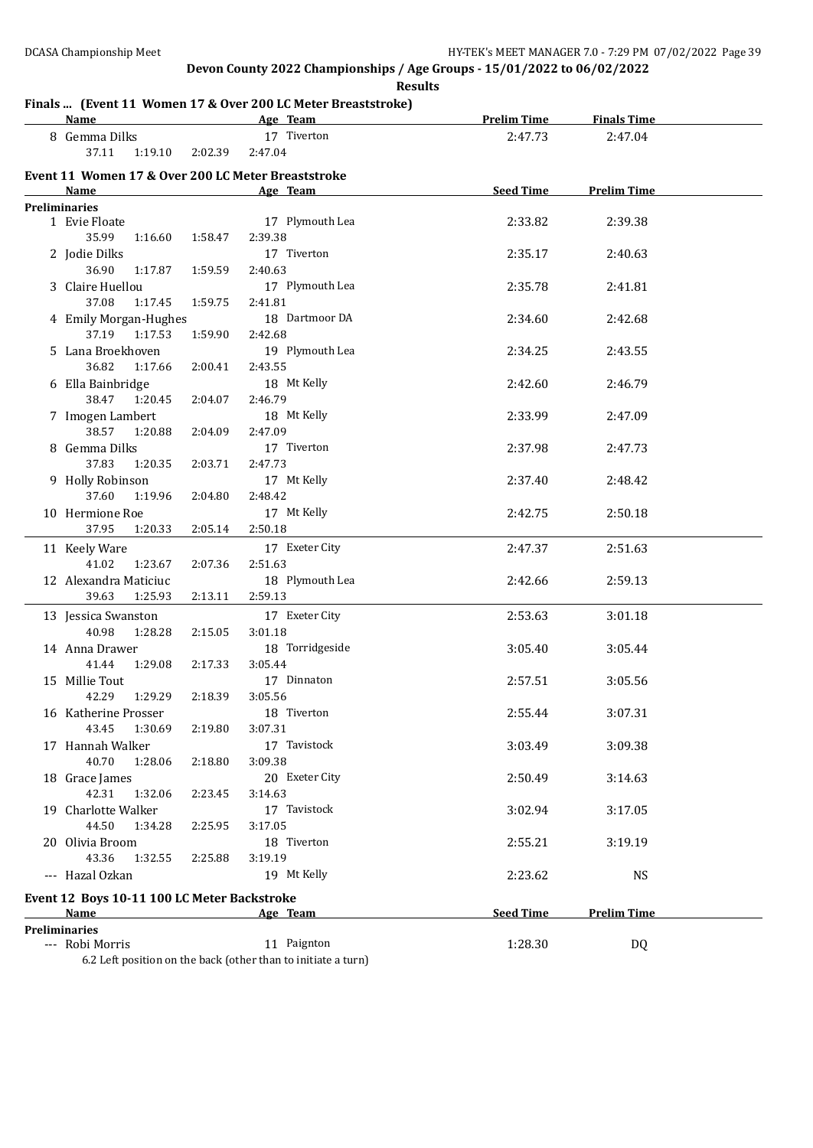#### **Results**

## **Finals ... (Event 11 Women 17 & Over 200 LC Meter Breaststroke)**

| <b>Name</b>                                        |         | Age Team        | <b>Prelim Time</b> | <b>Finals Time</b> |  |
|----------------------------------------------------|---------|-----------------|--------------------|--------------------|--|
| 8 Gemma Dilks                                      |         | 17 Tiverton     | 2:47.73            | 2:47.04            |  |
| 37.11<br>1:19.10                                   | 2:02.39 | 2:47.04         |                    |                    |  |
| Event 11 Women 17 & Over 200 LC Meter Breaststroke |         |                 |                    |                    |  |
| Name                                               |         | Age Team        | Seed Time          | <b>Prelim Time</b> |  |
| <b>Preliminaries</b>                               |         |                 |                    |                    |  |
| 1 Evie Floate                                      |         | 17 Plymouth Lea | 2:33.82            | 2:39.38            |  |
| 35.99<br>1:16.60                                   | 1:58.47 | 2:39.38         |                    |                    |  |
| 2 Jodie Dilks                                      |         | 17 Tiverton     | 2:35.17            | 2:40.63            |  |
| 36.90<br>1:17.87                                   | 1:59.59 | 2:40.63         |                    |                    |  |
| 3 Claire Huellou                                   |         | 17 Plymouth Lea | 2:35.78            | 2:41.81            |  |
| 37.08<br>1:17.45                                   | 1:59.75 | 2:41.81         |                    |                    |  |
| 4 Emily Morgan-Hughes                              |         | 18 Dartmoor DA  | 2:34.60            | 2:42.68            |  |
| 37.19<br>1:17.53                                   | 1:59.90 | 2:42.68         |                    |                    |  |
| 5 Lana Broekhoven                                  |         | 19 Plymouth Lea | 2:34.25            | 2:43.55            |  |
| 36.82<br>1:17.66                                   | 2:00.41 | 2:43.55         |                    |                    |  |
| 6 Ella Bainbridge                                  |         | 18 Mt Kelly     | 2:42.60            | 2:46.79            |  |
| 38.47<br>1:20.45                                   | 2:04.07 | 2:46.79         |                    |                    |  |
| 7 Imogen Lambert                                   |         | 18 Mt Kelly     | 2:33.99            | 2:47.09            |  |
| 38.57<br>1:20.88                                   | 2:04.09 | 2:47.09         |                    |                    |  |
| 8 Gemma Dilks                                      |         | 17 Tiverton     | 2:37.98            | 2:47.73            |  |
| 37.83<br>1:20.35                                   | 2:03.71 | 2:47.73         |                    |                    |  |
| 9 Holly Robinson                                   |         | 17 Mt Kelly     | 2:37.40            | 2:48.42            |  |
| 37.60<br>1:19.96                                   | 2:04.80 | 2:48.42         |                    |                    |  |
| 10 Hermione Roe                                    |         | 17 Mt Kelly     | 2:42.75            | 2:50.18            |  |
| 37.95<br>1:20.33                                   | 2:05.14 | 2:50.18         |                    |                    |  |
| 11 Keely Ware                                      |         | 17 Exeter City  | 2:47.37            | 2:51.63            |  |
| 41.02<br>1:23.67                                   | 2:07.36 | 2:51.63         |                    |                    |  |
| 12 Alexandra Maticiuc                              |         | 18 Plymouth Lea | 2:42.66            | 2:59.13            |  |
| 1:25.93<br>39.63                                   | 2:13.11 | 2:59.13         |                    |                    |  |
| 13 Jessica Swanston                                |         | 17 Exeter City  | 2:53.63            | 3:01.18            |  |
| 40.98<br>1:28.28                                   | 2:15.05 | 3:01.18         |                    |                    |  |
| 14 Anna Drawer                                     |         | 18 Torridgeside | 3:05.40            | 3:05.44            |  |
| 1:29.08<br>41.44                                   | 2:17.33 | 3:05.44         |                    |                    |  |
| 15 Millie Tout                                     |         | 17 Dinnaton     | 2:57.51            | 3:05.56            |  |
| 42.29<br>1:29.29                                   | 2:18.39 | 3:05.56         |                    |                    |  |
| 16 Katherine Prosser                               |         | 18 Tiverton     | 2:55.44            | 3:07.31            |  |
| 43.45<br>1:30.69                                   | 2:19.80 | 3:07.31         |                    |                    |  |
| 17 Hannah Walker                                   |         | 17 Tavistock    | 3:03.49            | 3:09.38            |  |
| 40.70<br>1:28.06                                   | 2:18.80 | 3:09.38         |                    |                    |  |
| 18 Grace James                                     |         | 20 Exeter City  | 2:50.49            | 3:14.63            |  |
| 42.31<br>1:32.06                                   | 2:23.45 | 3:14.63         |                    |                    |  |
| 19 Charlotte Walker                                |         | 17 Tavistock    | 3:02.94            | 3:17.05            |  |
| 44.50<br>1:34.28                                   | 2:25.95 | 3:17.05         |                    |                    |  |
| 20 Olivia Broom                                    |         | 18 Tiverton     | 2:55.21            | 3:19.19            |  |
| 43.36<br>1:32.55                                   | 2:25.88 | 3:19.19         |                    |                    |  |
| --- Hazal Ozkan                                    |         | 19 Mt Kelly     | 2:23.62            | <b>NS</b>          |  |
| Event 12 Boys 10-11 100 LC Meter Backstroke        |         |                 |                    |                    |  |
| Name                                               |         | Age Team        | <b>Seed Time</b>   | <b>Prelim Time</b> |  |
| <b>Preliminaries</b>                               |         |                 |                    |                    |  |
| --- Robi Morris                                    |         | 11 Paignton     | 1:28.30            | DQ                 |  |

6.2 Left position on the back (other than to initiate a turn)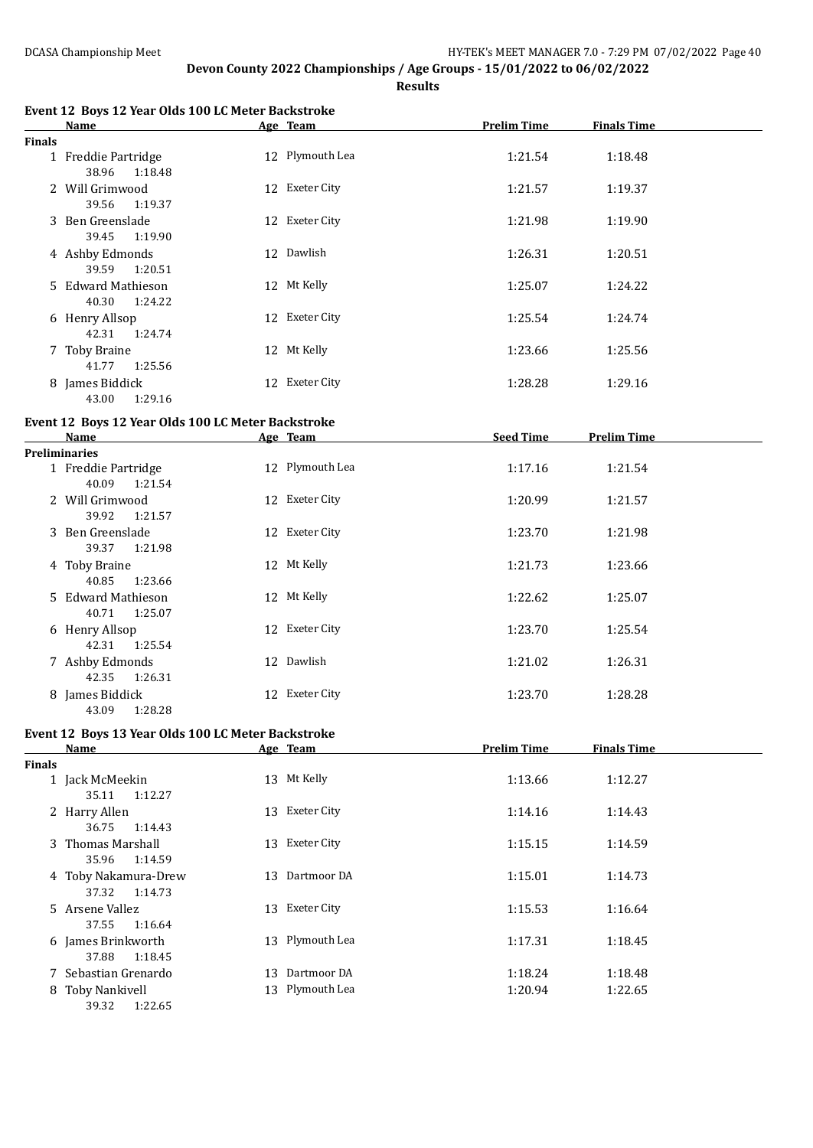**Results**

|        | Name                |    | Age Team        | <b>Prelim Time</b> | <b>Finals Time</b> |
|--------|---------------------|----|-----------------|--------------------|--------------------|
| Finals |                     |    |                 |                    |                    |
|        | 1 Freddie Partridge |    | 12 Plymouth Lea | 1:21.54            | 1:18.48            |
|        | 1:18.48<br>38.96    |    |                 |                    |                    |
|        | 2 Will Grimwood     |    | 12 Exeter City  | 1:21.57            | 1:19.37            |
|        | 39.56<br>1:19.37    |    |                 |                    |                    |
|        | 3 Ben Greenslade    |    | 12 Exeter City  | 1:21.98            | 1:19.90            |
|        | 1:19.90<br>39.45    |    |                 |                    |                    |
|        | 4 Ashby Edmonds     |    | 12 Dawlish      | 1:26.31            | 1:20.51            |
|        | 1:20.51<br>39.59    |    |                 |                    |                    |
|        | 5 Edward Mathieson  |    | 12 Mt Kelly     | 1:25.07            | 1:24.22            |
|        | 40.30<br>1:24.22    |    |                 |                    |                    |
|        | 6 Henry Allsop      |    | 12 Exeter City  | 1:25.54            | 1:24.74            |
|        | 1:24.74<br>42.31    |    |                 |                    |                    |
|        | 7 Toby Braine       | 12 | Mt Kelly        | 1:23.66            | 1:25.56            |
|        | 1:25.56<br>41.77    |    |                 |                    |                    |
|        | 8 James Biddick     | 12 | Exeter City     | 1:28.28            | 1:29.16            |
|        | 1:29.16<br>43.00    |    |                 |                    |                    |

#### **Event 12 Boys 12 Year Olds 100 LC Meter Backstroke**

| Name                | Age Team        | <b>Seed Time</b> | <b>Prelim Time</b> |
|---------------------|-----------------|------------------|--------------------|
| Preliminaries       |                 |                  |                    |
| 1 Freddie Partridge | 12 Plymouth Lea | 1:17.16          | 1:21.54            |
| 40.09<br>1:21.54    |                 |                  |                    |
| 2 Will Grimwood     | 12 Exeter City  | 1:20.99          | 1:21.57            |
| 39.92<br>1:21.57    |                 |                  |                    |
| 3 Ben Greenslade    | 12 Exeter City  | 1:23.70          | 1:21.98            |
| 39.37<br>1:21.98    |                 |                  |                    |
| 4 Toby Braine       | 12 Mt Kelly     | 1:21.73          | 1:23.66            |
| 1:23.66<br>40.85    |                 |                  |                    |
| 5 Edward Mathieson  | 12 Mt Kelly     | 1:22.62          | 1:25.07            |
| 1:25.07<br>40.71    |                 |                  |                    |
| 6 Henry Allsop      | 12 Exeter City  | 1:23.70          | 1:25.54            |
| 42.31<br>1:25.54    |                 |                  |                    |
| 7 Ashby Edmonds     | 12 Dawlish      | 1:21.02          | 1:26.31            |
| 42.35<br>1:26.31    |                 |                  |                    |
| 8 James Biddick     | 12 Exeter City  | 1:23.70          | 1:28.28            |
| 1:28.28<br>43.09    |                 |                  |                    |

# **Event 12 Boys 13 Year Olds 100 LC Meter Backstroke**

|               | Name                                     |    | Age Team        | <b>Prelim Time</b> | <b>Finals Time</b> |
|---------------|------------------------------------------|----|-----------------|--------------------|--------------------|
| <b>Finals</b> |                                          |    |                 |                    |                    |
|               | 1 Jack McMeekin<br>1:12.27<br>35.11      |    | 13 Mt Kelly     | 1:13.66            | 1:12.27            |
|               | 2 Harry Allen<br>36.75<br>1:14.43        |    | 13 Exeter City  | 1:14.16            | 1:14.43            |
|               | 3 Thomas Marshall<br>1:14.59<br>35.96    |    | 13 Exeter City  | 1:15.15            | 1:14.59            |
|               | 4 Toby Nakamura-Drew<br>1:14.73<br>37.32 | 13 | Dartmoor DA     | 1:15.01            | 1:14.73            |
|               | 5 Arsene Vallez<br>37.55<br>1:16.64      |    | 13 Exeter City  | 1:15.53            | 1:16.64            |
|               | 6 James Brinkworth<br>1:18.45<br>37.88   |    | 13 Plymouth Lea | 1:17.31            | 1:18.45            |
|               | 7 Sebastian Grenardo                     | 13 | Dartmoor DA     | 1:18.24            | 1:18.48            |
|               | 8 Toby Nankivell<br>---- ---             |    | 13 Plymouth Lea | 1:20.94            | 1:22.65            |

39.32 1:22.65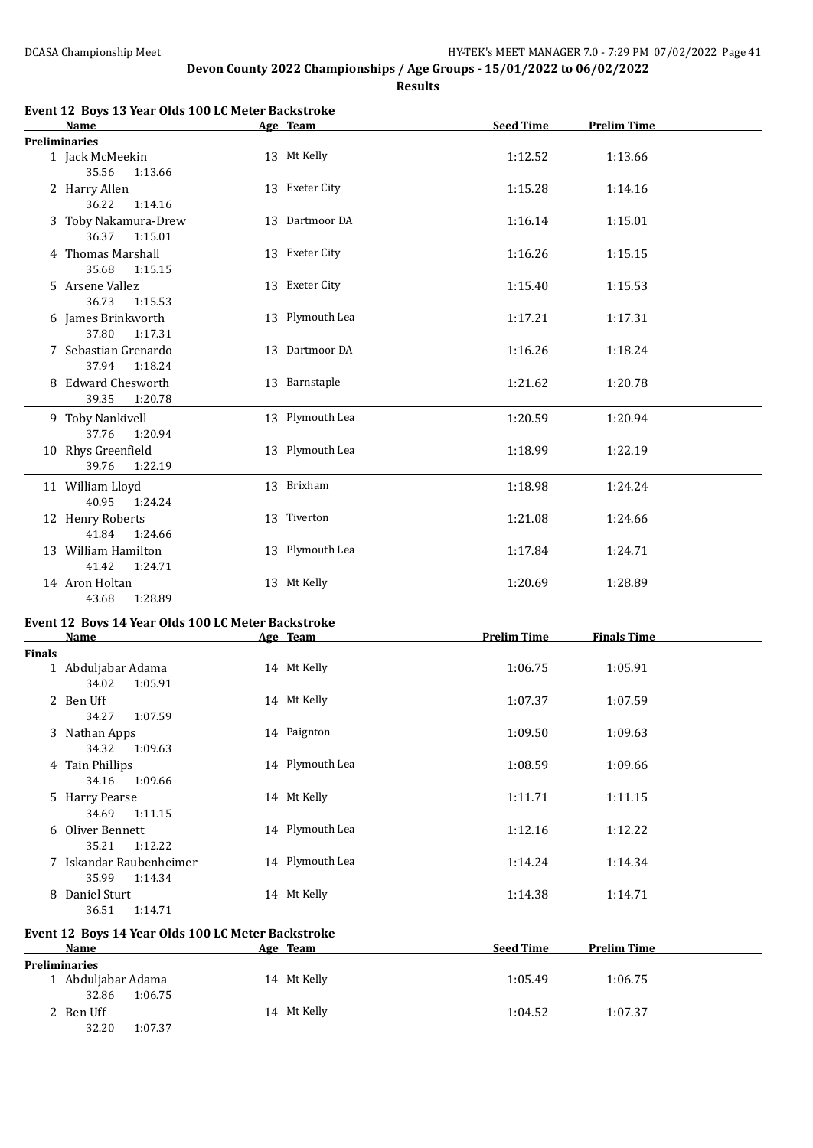**Results**

|               | Event 12 Boys 13 Year Olds 100 LC Meter Backstroke          |                 |                    |                    |
|---------------|-------------------------------------------------------------|-----------------|--------------------|--------------------|
|               | Name                                                        | Age Team        | <b>Seed Time</b>   | <b>Prelim Time</b> |
|               | <b>Preliminaries</b><br>1 Jack McMeekin<br>35.56<br>1:13.66 | 13 Mt Kelly     | 1:12.52            | 1:13.66            |
|               | 2 Harry Allen<br>36.22<br>1:14.16                           | 13 Exeter City  | 1:15.28            | 1:14.16            |
|               | 3 Toby Nakamura-Drew<br>36.37<br>1:15.01                    | 13 Dartmoor DA  | 1:16.14            | 1:15.01            |
|               | 4 Thomas Marshall<br>35.68<br>1:15.15                       | 13 Exeter City  | 1:16.26            | 1:15.15            |
|               | 5 Arsene Vallez<br>36.73<br>1:15.53                         | 13 Exeter City  | 1:15.40            | 1:15.53            |
|               | 6 James Brinkworth<br>37.80<br>1:17.31                      | 13 Plymouth Lea | 1:17.21            | 1:17.31            |
|               | 7 Sebastian Grenardo<br>37.94<br>1:18.24                    | 13 Dartmoor DA  | 1:16.26            | 1:18.24            |
|               | 8 Edward Chesworth<br>39.35<br>1:20.78                      | 13 Barnstaple   | 1:21.62            | 1:20.78            |
|               | 9 Toby Nankivell<br>37.76<br>1:20.94                        | 13 Plymouth Lea | 1:20.59            | 1:20.94            |
|               | 10 Rhys Greenfield<br>39.76<br>1:22.19                      | 13 Plymouth Lea | 1:18.99            | 1:22.19            |
|               | 11 William Lloyd<br>40.95<br>1:24.24                        | 13 Brixham      | 1:18.98            | 1:24.24            |
|               | 12 Henry Roberts<br>41.84<br>1:24.66                        | 13 Tiverton     | 1:21.08            | 1:24.66            |
|               | 13 William Hamilton<br>41.42<br>1:24.71                     | 13 Plymouth Lea | 1:17.84            | 1:24.71            |
|               | 14 Aron Holtan<br>43.68<br>1:28.89                          | 13 Mt Kelly     | 1:20.69            | 1:28.89            |
|               | Event 12 Boys 14 Year Olds 100 LC Meter Backstroke<br>Name  | Age Team        | <b>Prelim Time</b> | <b>Finals Time</b> |
| <b>Finals</b> |                                                             |                 |                    |                    |
|               | 1 Abduljabar Adama<br>34.02<br>1:05.91                      | 14 Mt Kelly     | 1:06.75            | 1:05.91            |
|               | 2 Ben Uff<br>1:07.59<br>34.27                               | 14 Mt Kelly     | 1:07.37            | 1:07.59            |
|               | 3 Nathan Apps<br>34.32<br>1:09.63                           | 14 Paignton     | 1:09.50            | 1:09.63            |
|               | 4 Tain Phillips<br>34.16<br>1:09.66                         | 14 Plymouth Lea | 1:08.59            | 1:09.66            |
|               | 5 Harry Pearse<br>34.69<br>1:11.15                          | 14 Mt Kelly     | 1:11.71            | 1:11.15            |
|               | 6 Oliver Bennett<br>35.21<br>1:12.22                        | 14 Plymouth Lea | 1:12.16            | 1:12.22            |
|               | 7 Iskandar Raubenheimer<br>35.99<br>1:14.34                 | 14 Plymouth Lea | 1:14.24            | 1:14.34            |
|               | 8 Daniel Sturt<br>36.51<br>1:14.71                          | 14 Mt Kelly     | 1:14.38            | 1:14.71            |
|               | Event 12 Boys 14 Year Olds 100 LC Meter Backstroke<br>Name  | Age Team        | <b>Seed Time</b>   | <b>Prelim Time</b> |
|               | <b>Preliminaries</b>                                        |                 |                    |                    |
|               | 1 Abduljabar Adama<br>32.86<br>1:06.75                      | 14 Mt Kelly     | 1:05.49            | 1:06.75            |
|               | 2 Ben Uff<br>32.20<br>1:07.37                               | 14 Mt Kelly     | 1:04.52            | 1:07.37            |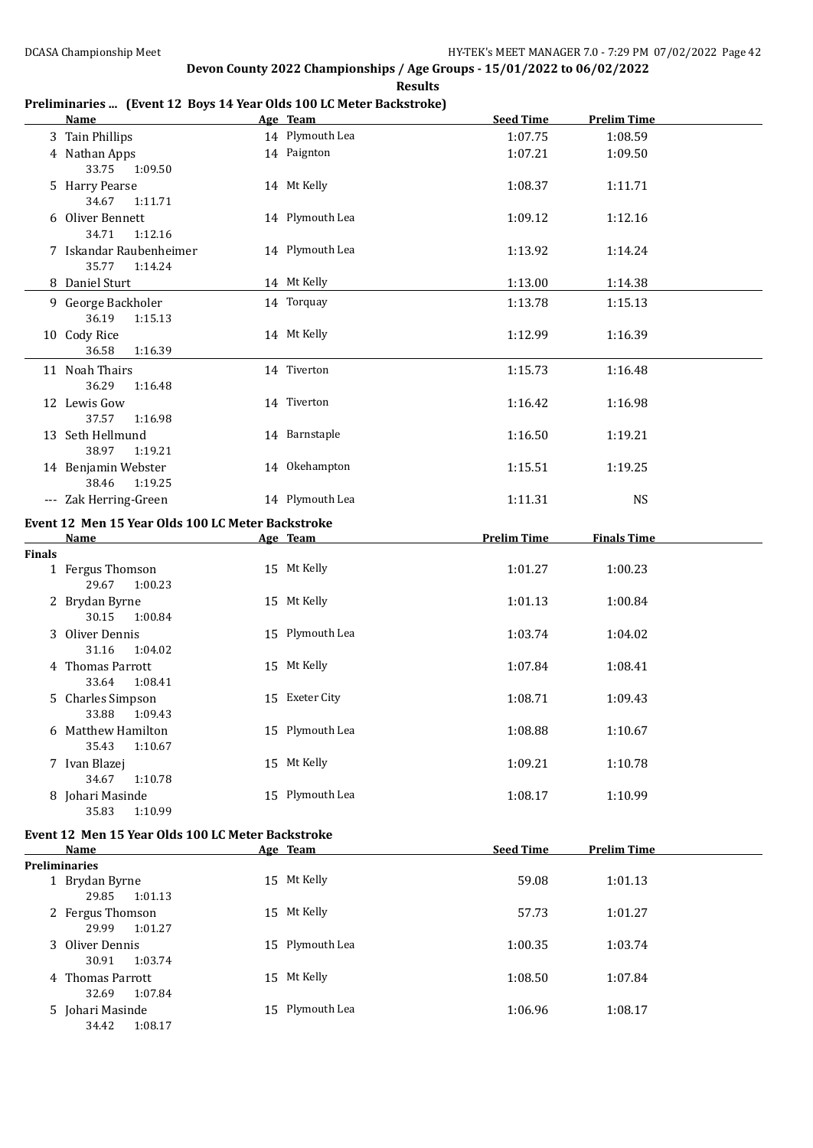## **Preliminaries ... (Event 12 Boys 14 Year Olds 100 LC Meter Backstroke)**

|               | <b>Name</b>                                       | Age Team        | <b>Seed Time</b>   | <b>Prelim Time</b> |  |
|---------------|---------------------------------------------------|-----------------|--------------------|--------------------|--|
|               | 3 Tain Phillips                                   | 14 Plymouth Lea | 1:07.75            | 1:08.59            |  |
|               | 4 Nathan Apps                                     | 14 Paignton     | 1:07.21            | 1:09.50            |  |
|               | 33.75<br>1:09.50                                  |                 |                    |                    |  |
|               | 5 Harry Pearse                                    | 14 Mt Kelly     | 1:08.37            | 1:11.71            |  |
|               | 34.67<br>1:11.71                                  |                 |                    |                    |  |
|               | 6 Oliver Bennett                                  | 14 Plymouth Lea | 1:09.12            | 1:12.16            |  |
|               | 34.71<br>1:12.16                                  |                 |                    |                    |  |
|               | 7 Iskandar Raubenheimer                           | 14 Plymouth Lea | 1:13.92            | 1:14.24            |  |
|               | 35.77<br>1:14.24                                  |                 |                    |                    |  |
|               | 8 Daniel Sturt                                    | 14 Mt Kelly     | 1:13.00            | 1:14.38            |  |
|               | 9 George Backholer                                | 14 Torquay      | 1:13.78            | 1:15.13            |  |
|               | 36.19<br>1:15.13                                  |                 |                    |                    |  |
|               | 10 Cody Rice                                      | 14 Mt Kelly     | 1:12.99            | 1:16.39            |  |
|               | 36.58<br>1:16.39                                  |                 |                    |                    |  |
|               |                                                   |                 |                    |                    |  |
|               | 11 Noah Thairs                                    | 14 Tiverton     | 1:15.73            | 1:16.48            |  |
|               | 36.29<br>1:16.48                                  |                 |                    |                    |  |
|               | 12 Lewis Gow                                      | 14 Tiverton     | 1:16.42            | 1:16.98            |  |
|               | 37.57<br>1:16.98                                  |                 |                    |                    |  |
|               | 13 Seth Hellmund                                  | 14 Barnstaple   | 1:16.50            | 1:19.21            |  |
|               | 38.97<br>1:19.21                                  |                 |                    |                    |  |
|               | 14 Benjamin Webster                               | 14 Okehampton   | 1:15.51            | 1:19.25            |  |
|               | 38.46<br>1:19.25                                  |                 |                    |                    |  |
|               | --- Zak Herring-Green                             | 14 Plymouth Lea | 1:11.31            | <b>NS</b>          |  |
|               |                                                   |                 |                    |                    |  |
|               | Event 12 Men 15 Year Olds 100 LC Meter Backstroke |                 |                    |                    |  |
|               | <b>Name</b>                                       | Age Team        | <b>Prelim Time</b> | <b>Finals Time</b> |  |
| <b>Finals</b> |                                                   |                 |                    |                    |  |
|               | 1 Fergus Thomson                                  | 15 Mt Kelly     | 1:01.27            | 1:00.23            |  |
|               | 29.67<br>1:00.23                                  |                 |                    |                    |  |
|               | 2 Brydan Byrne                                    | 15 Mt Kelly     | 1:01.13            | 1:00.84            |  |
|               | 30.15<br>1:00.84                                  |                 |                    |                    |  |
|               | 3 Oliver Dennis                                   | 15 Plymouth Lea | 1:03.74            | 1:04.02            |  |
|               | 31.16<br>1:04.02                                  |                 |                    |                    |  |
|               | 4 Thomas Parrott                                  | 15 Mt Kelly     | 1:07.84            | 1:08.41            |  |
|               | 33.64<br>1:08.41                                  |                 |                    |                    |  |
|               | 5 Charles Simpson                                 | 15 Exeter City  | 1:08.71            | 1:09.43            |  |
|               | 33.88<br>1:09.43                                  |                 |                    |                    |  |
|               | 6 Matthew Hamilton                                | 15 Plymouth Lea | 1:08.88            | 1:10.67            |  |
|               | 35.43<br>1:10.67                                  |                 |                    |                    |  |
|               | 7 Ivan Blazej                                     | 15 Mt Kelly     | 1:09.21            | 1:10.78            |  |
|               | 34.67<br>1:10.78                                  |                 |                    |                    |  |
|               | 8 Johari Masinde                                  | 15 Plymouth Lea | 1:08.17            | 1:10.99            |  |
|               | 35.83<br>1:10.99                                  |                 |                    |                    |  |
|               | Event 12 Men 15 Year Olds 100 LC Meter Backstroke |                 |                    |                    |  |
|               | Name                                              | Age Team        | <b>Seed Time</b>   | <b>Prelim Time</b> |  |
|               | <b>Preliminaries</b>                              |                 |                    |                    |  |
|               | 1 Brydan Byrne<br>29.85                           | 15 Mt Kelly     | 59.08              | 1:01.13            |  |

| 2 Fergus Thomson | 15 Mt Kelly     | 57.73   | 1:01.27 |
|------------------|-----------------|---------|---------|
| 29.99<br>1:01.27 |                 |         |         |
| 3 Oliver Dennis  | 15 Plymouth Lea | 1:00.35 | 1:03.74 |
| 30.91<br>1:03.74 |                 |         |         |
| 4 Thomas Parrott | 15 Mt Kelly     | 1:08.50 | 1:07.84 |
| 1:07.84<br>32.69 |                 |         |         |
| 5 Johari Masinde | 15 Plymouth Lea | 1:06.96 | 1:08.17 |

34.42 1:08.17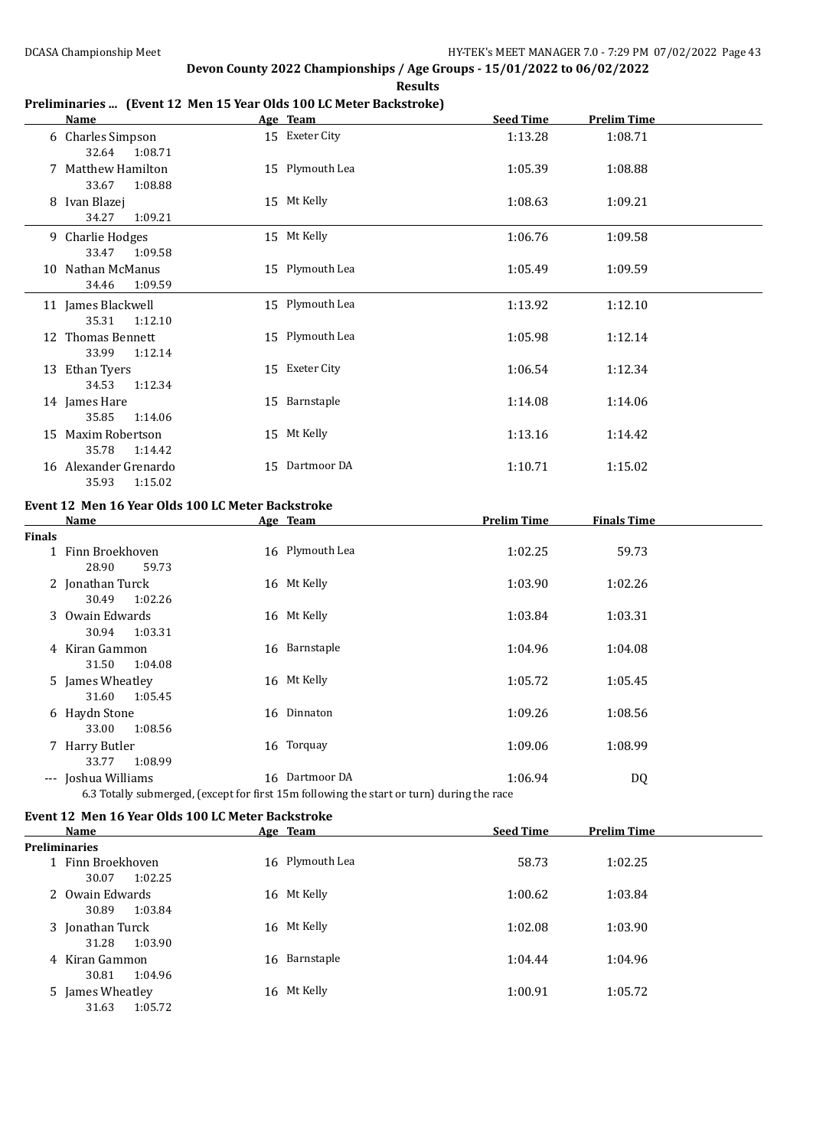30.81 1:04.96

31.63 1:05.72

## **Devon County 2022 Championships / Age Groups - 15/01/2022 to 06/02/2022**

**Results**

### **Preliminaries ... (Event 12 Men 15 Year Olds 100 LC Meter Backstroke)**

|               | Name                                                          | Age Team                                                                                                    | <b>Seed Time</b>   | <b>Prelim Time</b> |
|---------------|---------------------------------------------------------------|-------------------------------------------------------------------------------------------------------------|--------------------|--------------------|
|               | 6 Charles Simpson<br>32.64<br>1:08.71                         | 15 Exeter City                                                                                              | 1:13.28            | 1:08.71            |
|               | 7 Matthew Hamilton<br>33.67<br>1:08.88                        | 15 Plymouth Lea                                                                                             | 1:05.39            | 1:08.88            |
|               | 8 Ivan Blazej<br>34.27<br>1:09.21                             | 15 Mt Kelly                                                                                                 | 1:08.63            | 1:09.21            |
|               | 9 Charlie Hodges<br>33.47<br>1:09.58                          | 15 Mt Kelly                                                                                                 | 1:06.76            | 1:09.58            |
|               | 10 Nathan McManus<br>34.46<br>1:09.59                         | 15 Plymouth Lea                                                                                             | 1:05.49            | 1:09.59            |
|               | 11 James Blackwell<br>35.31<br>1:12.10                        | 15 Plymouth Lea                                                                                             | 1:13.92            | 1:12.10            |
|               | 12 Thomas Bennett<br>33.99<br>1:12.14                         | 15 Plymouth Lea                                                                                             | 1:05.98            | 1:12.14            |
|               | 13 Ethan Tyers<br>34.53<br>1:12.34                            | 15 Exeter City                                                                                              | 1:06.54            | 1:12.34            |
|               | 14 James Hare<br>35.85<br>1:14.06                             | 15 Barnstaple                                                                                               | 1:14.08            | 1:14.06            |
|               | 15 Maxim Robertson<br>35.78<br>1:14.42                        | 15 Mt Kelly                                                                                                 | 1:13.16            | 1:14.42            |
|               | 16 Alexander Grenardo<br>35.93<br>1:15.02                     | 15 Dartmoor DA                                                                                              | 1:10.71            | 1:15.02            |
|               | Event 12 Men 16 Year Olds 100 LC Meter Backstroke             |                                                                                                             |                    |                    |
|               | <b>Name</b>                                                   | Age Team                                                                                                    | <b>Prelim Time</b> | <b>Finals Time</b> |
| <b>Finals</b> | 1 Finn Broekhoven<br>28.90<br>59.73                           | 16 Plymouth Lea                                                                                             | 1:02.25            | 59.73              |
|               | 2 Jonathan Turck<br>30.49<br>1:02.26                          | 16 Mt Kelly                                                                                                 | 1:03.90            | 1:02.26            |
|               | 3 Owain Edwards<br>30.94<br>1:03.31                           | 16 Mt Kelly                                                                                                 | 1:03.84            | 1:03.31            |
|               | 4 Kiran Gammon<br>31.50<br>1:04.08                            | 16 Barnstaple                                                                                               | 1:04.96            | 1:04.08            |
|               | 5 James Wheatley<br>31.60<br>1:05.45                          | 16 Mt Kelly                                                                                                 | 1:05.72            | 1:05.45            |
|               | 6 Haydn Stone<br>33.00<br>1:08.56                             | 16 Dinnaton                                                                                                 | 1:09.26            | 1:08.56            |
|               | 7 Harry Butler<br>1:08.99<br>33.77                            | 16 Torquay                                                                                                  | 1:09.06            | 1:08.99            |
|               | --- Joshua Williams                                           | 16 Dartmoor DA<br>6.3 Totally submerged, (except for first 15m following the start or turn) during the race | 1:06.94            | <b>DQ</b>          |
|               | Event 12 Men 16 Year Olds 100 LC Meter Backstroke             |                                                                                                             |                    |                    |
|               | Name                                                          | Age Team                                                                                                    | <b>Seed Time</b>   | <b>Prelim Time</b> |
|               | <b>Preliminaries</b><br>1 Finn Broekhoven<br>30.07<br>1:02.25 | 16 Plymouth Lea                                                                                             | 58.73              | 1:02.25            |
|               | 2 Owain Edwards<br>30.89<br>1:03.84                           | 16 Mt Kelly                                                                                                 | 1:00.62            | 1:03.84            |
|               | 3 Jonathan Turck<br>31.28<br>1:03.90                          | 16 Mt Kelly                                                                                                 | 1:02.08            | 1:03.90            |
|               | 4 Kiran Gammon                                                | 16 Barnstaple                                                                                               | 1:04.44            | 1:04.96            |

5 James Wheatley 16 Mt Kelly 1:00.91 1:05.72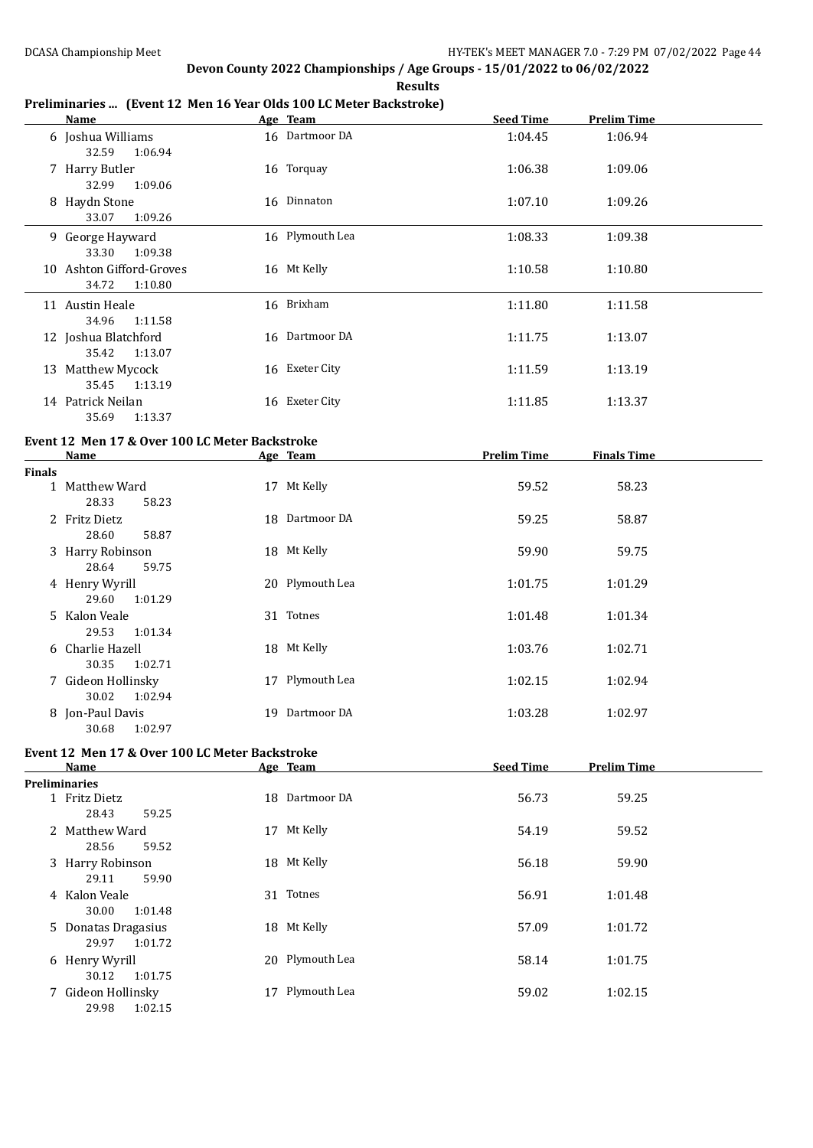**Results**

### **Preliminaries ... (Event 12 Men 16 Year Olds 100 LC Meter Backstroke)**

|               | <b>Name</b>                                                                                                                                                                                                                   | Age Team        | <b>Seed Time</b>   | <b>Prelim Time</b> |
|---------------|-------------------------------------------------------------------------------------------------------------------------------------------------------------------------------------------------------------------------------|-----------------|--------------------|--------------------|
|               | 6 Joshua Williams<br>32.59<br>1:06.94                                                                                                                                                                                         | 16 Dartmoor DA  | 1:04.45            | 1:06.94            |
|               | 7 Harry Butler<br>32.99<br>1:09.06                                                                                                                                                                                            | 16 Torquay      | 1:06.38            | 1:09.06            |
|               | 8 Haydn Stone<br>33.07<br>1:09.26                                                                                                                                                                                             | 16 Dinnaton     | 1:07.10            | 1:09.26            |
|               | 9 George Hayward<br>33.30<br>1:09.38                                                                                                                                                                                          | 16 Plymouth Lea | 1:08.33            | 1:09.38            |
|               | 10 Ashton Gifford-Groves<br>34.72<br>1:10.80                                                                                                                                                                                  | 16 Mt Kelly     | 1:10.58            | 1:10.80            |
|               | 11 Austin Heale<br>34.96<br>1:11.58                                                                                                                                                                                           | 16 Brixham      | 1:11.80            | 1:11.58            |
|               | 12 Joshua Blatchford<br>35.42<br>1:13.07                                                                                                                                                                                      | 16 Dartmoor DA  | 1:11.75            | 1:13.07            |
|               | 13 Matthew Mycock<br>35.45<br>1:13.19                                                                                                                                                                                         | 16 Exeter City  | 1:11.59            | 1:13.19            |
|               | 14 Patrick Neilan<br>35.69<br>1:13.37                                                                                                                                                                                         | 16 Exeter City  | 1:11.85            | 1:13.37            |
|               | Event 12 Men 17 & Over 100 LC Meter Backstroke                                                                                                                                                                                |                 |                    |                    |
|               | Name and the same state of the state of the state of the state of the state of the state of the state of the state of the state of the state of the state of the state of the state of the state of the state of the state of | Age Team        | <b>Prelim Time</b> | <b>Finals Time</b> |
| <b>Finals</b> | 1 Matthew Ward                                                                                                                                                                                                                | 17 Mt Kelly     | 59.52              | 58.23              |
|               | 28.33<br>58.23<br>2 Fritz Dietz<br>28.60<br>58.87                                                                                                                                                                             | 18 Dartmoor DA  | 59.25              | 58.87              |
|               | 3 Harry Robinson<br>28.64<br>59.75                                                                                                                                                                                            | 18 Mt Kelly     | 59.90              | 59.75              |
|               | 4 Henry Wyrill<br>29.60<br>1:01.29                                                                                                                                                                                            | 20 Plymouth Lea | 1:01.75            | 1:01.29            |
|               | 5 Kalon Veale<br>29.53<br>1:01.34                                                                                                                                                                                             | 31 Totnes       | 1:01.48            | 1:01.34            |
|               | 6 Charlie Hazell<br>30.35<br>1:02.71                                                                                                                                                                                          | 18 Mt Kelly     | 1:03.76            | 1:02.71            |
|               | 7 Gideon Hollinsky<br>30.02<br>1:02.94                                                                                                                                                                                        | 17 Plymouth Lea | 1:02.15            | 1:02.94            |
|               | 8 Jon-Paul Davis                                                                                                                                                                                                              | 19 Dartmoor DA  | 1:03.28            | 1:02.97            |

## **Event 12 Men 17 & Over 100 LC Meter Backstroke**

30.68 1:02.97

| Name                                    | Age Team           | <b>Seed Time</b> | <b>Prelim Time</b> |  |
|-----------------------------------------|--------------------|------------------|--------------------|--|
| <b>Preliminaries</b>                    |                    |                  |                    |  |
| 1 Fritz Dietz<br>28.43<br>59.25         | 18 Dartmoor DA     | 56.73            | 59.25              |  |
| Matthew Ward<br>2<br>28.56<br>59.52     | Mt Kelly<br>17     | 54.19            | 59.52              |  |
| 3 Harry Robinson<br>59.90<br>29.11      | 18 Mt Kelly        | 56.18            | 59.90              |  |
| 4 Kalon Veale<br>30.00<br>1:01.48       | 31 Totnes          | 56.91            | 1:01.48            |  |
| 5 Donatas Dragasius<br>1:01.72<br>29.97 | 18 Mt Kelly        | 57.09            | 1:01.72            |  |
| 6 Henry Wyrill<br>1:01.75<br>30.12      | 20 Plymouth Lea    | 58.14            | 1:01.75            |  |
| 7 Gideon Hollinsky<br>29.98<br>1:02.15  | Plymouth Lea<br>17 | 59.02            | 1:02.15            |  |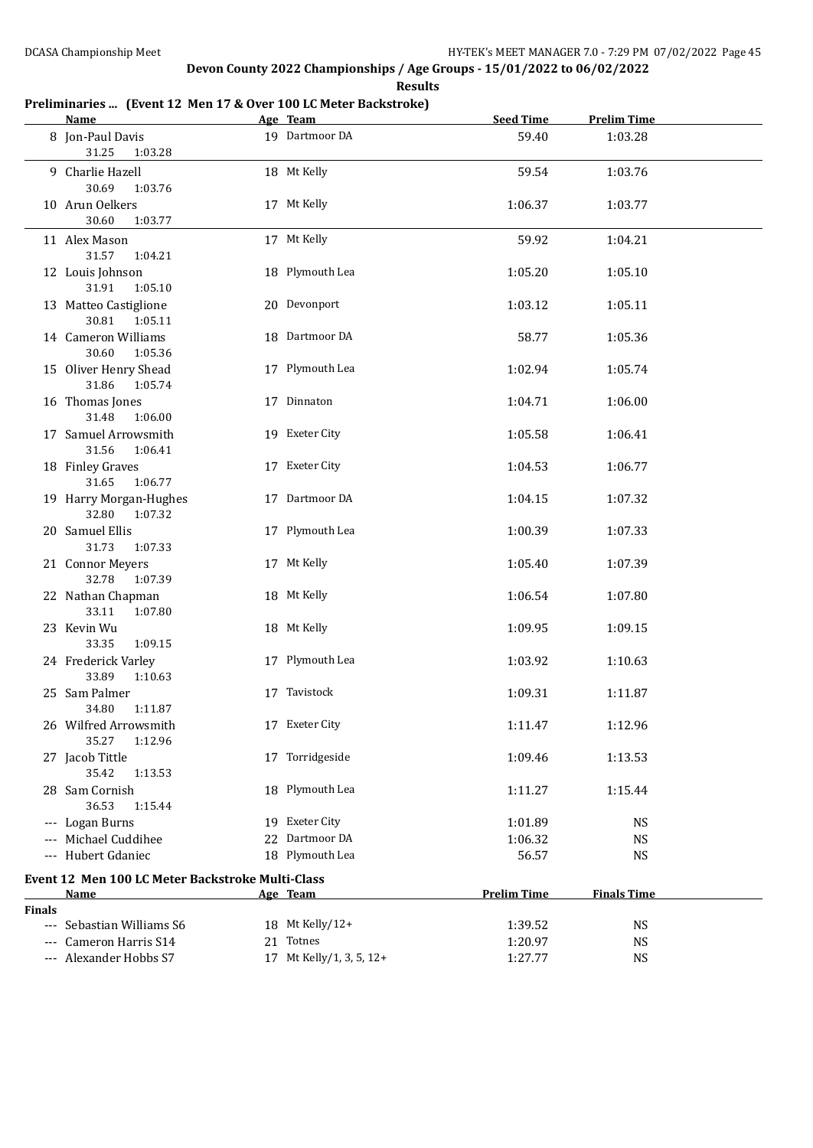## **Preliminaries ... (Event 12 Men 17 & Over 100 LC Meter Backstroke)**

|               | <b>Name</b>                                              | Age Team                 | <b>Seed Time</b>   | <b>Prelim Time</b> |  |
|---------------|----------------------------------------------------------|--------------------------|--------------------|--------------------|--|
|               | 8 Jon-Paul Davis<br>31.25<br>1:03.28                     | 19 Dartmoor DA           | 59.40              | 1:03.28            |  |
|               | 9 Charlie Hazell<br>30.69<br>1:03.76                     | 18 Mt Kelly              | 59.54              | 1:03.76            |  |
|               | 10 Arun Oelkers<br>30.60<br>1:03.77                      | 17 Mt Kelly              | 1:06.37            | 1:03.77            |  |
|               | 11 Alex Mason<br>31.57<br>1:04.21                        | 17 Mt Kelly              | 59.92              | 1:04.21            |  |
|               | 12 Louis Johnson<br>31.91<br>1:05.10                     | 18 Plymouth Lea          | 1:05.20            | 1:05.10            |  |
|               | 13 Matteo Castiglione<br>30.81<br>1:05.11                | 20 Devonport             | 1:03.12            | 1:05.11            |  |
|               | 14 Cameron Williams<br>30.60<br>1:05.36                  | 18 Dartmoor DA           | 58.77              | 1:05.36            |  |
|               | 15 Oliver Henry Shead<br>31.86<br>1:05.74                | 17 Plymouth Lea          | 1:02.94            | 1:05.74            |  |
|               | 16 Thomas Jones<br>31.48<br>1:06.00                      | 17 Dinnaton              | 1:04.71            | 1:06.00            |  |
|               | 17 Samuel Arrowsmith<br>31.56<br>1:06.41                 | 19 Exeter City           | 1:05.58            | 1:06.41            |  |
|               | 18 Finley Graves<br>31.65<br>1:06.77                     | 17 Exeter City           | 1:04.53            | 1:06.77            |  |
|               | 19 Harry Morgan-Hughes<br>32.80 1:07.32                  | 17 Dartmoor DA           | 1:04.15            | 1:07.32            |  |
|               | 20 Samuel Ellis<br>31.73<br>1:07.33                      | 17 Plymouth Lea          | 1:00.39            | 1:07.33            |  |
|               | 21 Connor Meyers<br>32.78<br>1:07.39                     | 17 Mt Kelly              | 1:05.40            | 1:07.39            |  |
|               | 22 Nathan Chapman<br>33.11<br>1:07.80                    | 18 Mt Kelly              | 1:06.54            | 1:07.80            |  |
|               | 23 Kevin Wu<br>33.35<br>1:09.15                          | 18 Mt Kelly              | 1:09.95            | 1:09.15            |  |
|               | 24 Frederick Varley<br>33.89<br>1:10.63                  | 17 Plymouth Lea          | 1:03.92            | 1:10.63            |  |
|               | 25 Sam Palmer<br>34.80<br>1:11.87                        | 17 Tavistock             | 1:09.31            | 1:11.87            |  |
|               | 26 Wilfred Arrowsmith<br>35.27<br>1:12.96                | 17 Exeter City           | 1:11.47            | 1:12.96            |  |
|               | 27 Jacob Tittle<br>35.42<br>1:13.53                      | 17 Torridgeside          | 1:09.46            | 1:13.53            |  |
|               | 28 Sam Cornish<br>36.53<br>1:15.44                       | 18 Plymouth Lea          | 1:11.27            | 1:15.44            |  |
|               | --- Logan Burns                                          | 19 Exeter City           | 1:01.89            | <b>NS</b>          |  |
|               | --- Michael Cuddihee                                     | 22 Dartmoor DA           | 1:06.32            | <b>NS</b>          |  |
|               | --- Hubert Gdaniec                                       | 18 Plymouth Lea          | 56.57              | <b>NS</b>          |  |
|               | Event 12 Men 100 LC Meter Backstroke Multi-Class<br>Name | Age Team                 | <b>Prelim Time</b> | <b>Finals Time</b> |  |
| <b>Finals</b> |                                                          |                          |                    |                    |  |
|               | --- Sebastian Williams S6                                | 18 Mt Kelly/12+          | 1:39.52            | <b>NS</b>          |  |
|               | --- Cameron Harris S14                                   | 21 Totnes                | 1:20.97            | <b>NS</b>          |  |
|               | --- Alexander Hobbs S7                                   | 17 Mt Kelly/1, 3, 5, 12+ | 1:27.77            | <b>NS</b>          |  |
|               |                                                          |                          |                    |                    |  |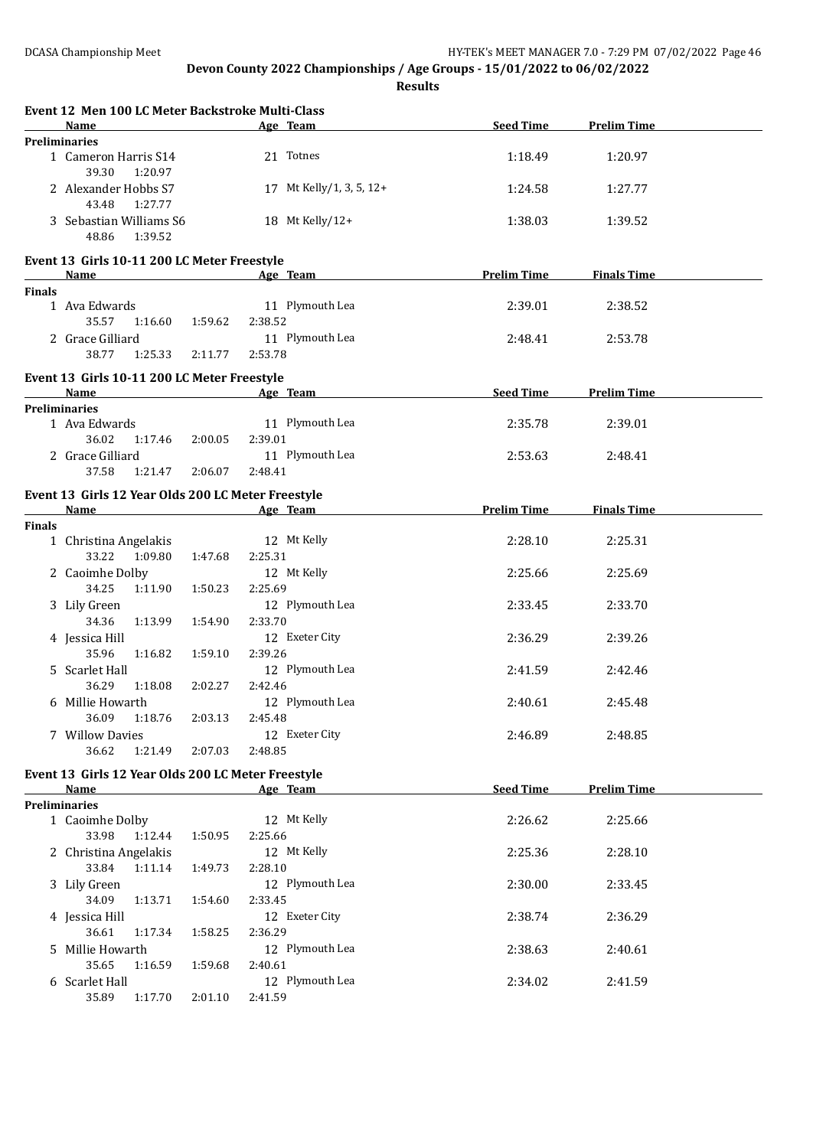**Results**

|               | Event 12 Men 100 LC Meter Backstroke Multi-Class                 |         |         |                          |                    |                    |
|---------------|------------------------------------------------------------------|---------|---------|--------------------------|--------------------|--------------------|
|               | Name                                                             |         |         | Age Team                 | <b>Seed Time</b>   | <b>Prelim Time</b> |
|               | <b>Preliminaries</b><br>1 Cameron Harris S14<br>39.30<br>1:20.97 |         |         | 21 Totnes                | 1:18.49            | 1:20.97            |
|               | 2 Alexander Hobbs S7<br>43.48<br>1:27.77                         |         |         | 17 Mt Kelly/1, 3, 5, 12+ | 1:24.58            | 1:27.77            |
|               | 3 Sebastian Williams S6<br>48.86<br>1:39.52                      |         |         | 18 Mt Kelly/12+          | 1:38.03            | 1:39.52            |
|               | Event 13 Girls 10-11 200 LC Meter Freestyle                      |         |         |                          |                    |                    |
|               | <b>Name</b>                                                      |         |         | Age Team                 | <b>Prelim Time</b> | <b>Finals Time</b> |
| <b>Finals</b> |                                                                  |         |         |                          |                    |                    |
|               | 1 Ava Edwards                                                    |         |         | 11 Plymouth Lea          | 2:39.01            | 2:38.52            |
|               | 35.57<br>1:16.60                                                 | 1:59.62 | 2:38.52 |                          |                    |                    |
|               | 2 Grace Gilliard                                                 |         |         | 11 Plymouth Lea          | 2:48.41            | 2:53.78            |
|               | 38.77<br>1:25.33                                                 | 2:11.77 | 2:53.78 |                          |                    |                    |
|               | Event 13 Girls 10-11 200 LC Meter Freestyle                      |         |         |                          |                    |                    |
|               | <b>Name</b>                                                      |         |         | Age Team                 | Seed Time          | <b>Prelim Time</b> |
|               | <b>Preliminaries</b>                                             |         |         |                          |                    |                    |
|               | 1 Ava Edwards                                                    |         |         | 11 Plymouth Lea          | 2:35.78            | 2:39.01            |
|               | 36.02<br>1:17.46                                                 | 2:00.05 | 2:39.01 |                          |                    |                    |
|               | 2 Grace Gilliard                                                 |         |         | 11 Plymouth Lea          | 2:53.63            | 2:48.41            |
|               | 37.58<br>1:21.47                                                 | 2:06.07 | 2:48.41 |                          |                    |                    |
|               | Event 13 Girls 12 Year Olds 200 LC Meter Freestyle               |         |         |                          |                    |                    |
|               | Name                                                             |         |         | Age Team                 | <b>Prelim Time</b> | <b>Finals Time</b> |
| <b>Finals</b> |                                                                  |         |         |                          |                    |                    |
|               | 1 Christina Angelakis                                            |         |         | 12 Mt Kelly              | 2:28.10            | 2:25.31            |
|               | 33.22<br>1:09.80                                                 | 1:47.68 | 2:25.31 |                          |                    |                    |
|               | 2 Caoimhe Dolby                                                  |         |         | 12 Mt Kelly              | 2:25.66            | 2:25.69            |
|               | 34.25<br>1:11.90                                                 | 1:50.23 | 2:25.69 |                          |                    |                    |
|               | 3 Lily Green                                                     |         |         | 12 Plymouth Lea          | 2:33.45            | 2:33.70            |
|               | 34.36<br>1:13.99                                                 | 1:54.90 | 2:33.70 |                          |                    |                    |
|               | 4 Jessica Hill                                                   |         |         | 12 Exeter City           | 2:36.29            | 2:39.26            |
|               | 35.96<br>1:16.82                                                 | 1:59.10 | 2:39.26 |                          |                    |                    |
|               | 5 Scarlet Hall                                                   |         |         | 12 Plymouth Lea          | 2:41.59            | 2:42.46            |
|               | 36.29<br>1:18.08                                                 | 2:02.27 | 2:42.46 |                          |                    |                    |
|               | 6 Millie Howarth                                                 |         |         | 12 Plymouth Lea          | 2:40.61            | 2:45.48            |
|               | 36.09<br>1:18.76                                                 | 2:03.13 | 2:45.48 |                          |                    |                    |
|               | 7 Willow Davies                                                  |         |         | 12 Exeter City           | 2:46.89            | 2:48.85            |
|               | 36.62<br>1:21.49                                                 | 2:07.03 | 2:48.85 |                          |                    |                    |
|               | Event 13 Girls 12 Year Olds 200 LC Meter Freestyle               |         |         |                          |                    |                    |
|               | <b>Name</b>                                                      |         |         | Age Team                 | <b>Seed Time</b>   | <b>Prelim Time</b> |
|               | <b>Preliminaries</b>                                             |         |         |                          |                    |                    |
|               | 1 Caoimhe Dolby                                                  |         |         | 12 Mt Kelly              | 2:26.62            | 2:25.66            |
|               | 33.98<br>1:12.44                                                 | 1:50.95 | 2:25.66 |                          |                    |                    |
|               | 2 Christina Angelakis                                            |         |         | 12 Mt Kelly              | 2:25.36            | 2:28.10            |
|               | 33.84<br>1:11.14                                                 | 1:49.73 | 2:28.10 |                          |                    |                    |
|               | 3 Lily Green                                                     |         |         | 12 Plymouth Lea          | 2:30.00            | 2:33.45            |
|               | 34.09<br>1:13.71                                                 | 1:54.60 | 2:33.45 |                          |                    |                    |
|               | 4 Jessica Hill                                                   |         |         | 12 Exeter City           | 2:38.74            | 2:36.29            |
|               | 36.61<br>1:17.34                                                 | 1:58.25 | 2:36.29 |                          |                    |                    |
|               | 5 Millie Howarth                                                 |         |         | 12 Plymouth Lea          | 2:38.63            | 2:40.61            |
|               | 35.65<br>1:16.59                                                 | 1:59.68 | 2:40.61 |                          |                    |                    |
|               | 6 Scarlet Hall                                                   |         |         | 12 Plymouth Lea          | 2:34.02            | 2:41.59            |
|               | 35.89<br>1:17.70                                                 | 2:01.10 | 2:41.59 |                          |                    |                    |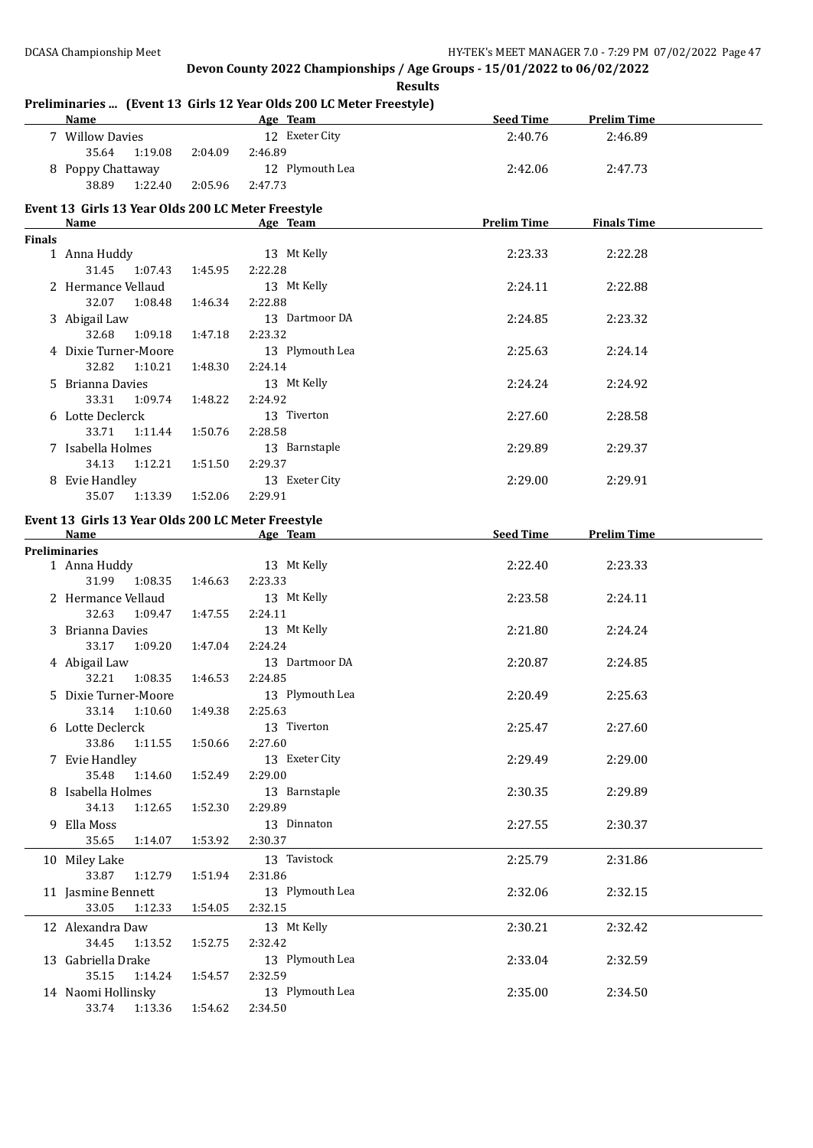## **Preliminaries ... (Event 13 Girls 12 Year Olds 200 LC Meter Freestyle)**

|               | <b>Name</b>                                        |         | <b>Example 2018</b> Age Team <b>Age 2018</b> | Seed Time | <b>Prelim Time</b>             |  |
|---------------|----------------------------------------------------|---------|----------------------------------------------|-----------|--------------------------------|--|
|               | 7 Willow Davies                                    |         | 12 Exeter City                               | 2:40.76   | 2:46.89                        |  |
|               | 35.64<br>1:19.08 2:04.09                           |         | 2:46.89                                      |           |                                |  |
|               | 8 Poppy Chattaway                                  |         | 12 Plymouth Lea                              | 2:42.06   | 2:47.73                        |  |
|               | 1:22.40 2:05.96<br>38.89                           |         | 2:47.73                                      |           |                                |  |
|               |                                                    |         |                                              |           |                                |  |
|               | Event 13 Girls 13 Year Olds 200 LC Meter Freestyle |         |                                              |           |                                |  |
|               | Name                                               |         | <b>Example 2</b> Age Team                    |           | <b>Prelim Time</b> Finals Time |  |
| <b>Finals</b> |                                                    |         | 13 Mt Kelly                                  |           |                                |  |
|               | 1 Anna Huddy<br>31.45 1:07.43 1:45.95              |         | 2:22.28                                      | 2:23.33   | 2:22.28                        |  |
|               |                                                    |         |                                              |           |                                |  |
|               | 2 Hermance Vellaud                                 |         | 13 Mt Kelly                                  | 2:24.11   | 2:22.88                        |  |
|               | 32.07 1:08.48                                      | 1:46.34 | 2:22.88                                      |           |                                |  |
|               | 3 Abigail Law                                      |         | 13 Dartmoor DA                               | 2:24.85   | 2:23.32                        |  |
|               | 32.68<br>1:09.18                                   | 1:47.18 | 2:23.32                                      |           |                                |  |
|               | 4 Dixie Turner-Moore                               |         | 13 Plymouth Lea                              | 2:25.63   | 2:24.14                        |  |
|               | 32.82<br>1:10.21                                   | 1:48.30 | 2:24.14                                      |           |                                |  |
|               | 5 Brianna Davies                                   |         | 13 Mt Kelly                                  | 2:24.24   | 2:24.92                        |  |
|               | 33.31<br>1:09.74                                   | 1:48.22 | 2:24.92                                      |           |                                |  |
|               | 6 Lotte Declerck                                   |         | 13 Tiverton                                  | 2:27.60   | 2:28.58                        |  |
|               | 33.71<br>1:11.44                                   | 1:50.76 | 2:28.58                                      |           |                                |  |
|               | 7 Isabella Holmes                                  |         | 13 Barnstaple                                | 2:29.89   | 2:29.37                        |  |
|               | 34.13<br>1:12.21                                   | 1:51.50 | 2:29.37                                      |           |                                |  |
|               | 8 Evie Handley                                     |         | 13 Exeter City                               | 2:29.00   | 2:29.91                        |  |
|               | 35.07   1:13.39   1:52.06                          |         | 2:29.91                                      |           |                                |  |
|               | Event 13 Girls 13 Year Olds 200 LC Meter Freestyle |         |                                              |           |                                |  |
|               | <b>Name</b>                                        |         | <b>Example 20</b> Age Team                   |           | Seed Time Prelim Time          |  |
|               | <b>Preliminaries</b>                               |         |                                              |           |                                |  |
|               | 1 Anna Huddy                                       |         | 13 Mt Kelly                                  | 2:22.40   | 2:23.33                        |  |
|               | 31.99 1:08.35 1:46.63                              |         | 2:23.33                                      |           |                                |  |
|               | 2 Hermance Vellaud                                 |         | 13 Mt Kelly                                  | 2:23.58   | 2:24.11                        |  |
|               | 32.63<br>1:09.47                                   | 1:47.55 | 2:24.11                                      |           |                                |  |
|               | 3 Brianna Davies                                   |         | 13 Mt Kelly                                  | 2:21.80   | 2:24.24                        |  |
|               | 33.17 1:09.20                                      | 1:47.04 | 2:24.24                                      |           |                                |  |
|               | 4 Abigail Law                                      |         | 13 Dartmoor DA                               | 2:20.87   | 2:24.85                        |  |
|               | 32.21 1:08.35                                      | 1:46.53 | 2:24.85                                      |           |                                |  |
|               | 5 Dixie Turner-Moore                               |         | 13 Plymouth Lea                              | 2:20.49   | 2:25.63                        |  |
|               | 33.14 1:10.60                                      | 1:49.38 | 2:25.63                                      |           |                                |  |
|               | 6 Lotte Declerck                                   |         | 13 Tiverton                                  | 2:25.47   | 2:27.60                        |  |
|               | 33.86<br>1:11.55                                   | 1:50.66 | 2:27.60                                      |           |                                |  |
|               | 7 Evie Handley                                     |         | 13 Exeter City                               | 2:29.49   | 2:29.00                        |  |
|               | 35.48<br>1:14.60                                   | 1:52.49 | 2:29.00                                      |           |                                |  |
|               | 8 Isabella Holmes                                  |         | 13 Barnstaple                                | 2:30.35   | 2:29.89                        |  |
|               | 34.13<br>1:12.65                                   | 1:52.30 | 2:29.89                                      |           |                                |  |
|               |                                                    |         | 13 Dinnaton                                  |           |                                |  |
|               | 9 Ella Moss<br>35.65<br>1:14.07                    |         | 2:30.37                                      | 2:27.55   | 2:30.37                        |  |
|               |                                                    | 1:53.92 |                                              |           |                                |  |
|               | 10 Miley Lake                                      |         | 13 Tavistock                                 | 2:25.79   | 2:31.86                        |  |
|               | 33.87<br>1:12.79                                   | 1:51.94 | 2:31.86                                      |           |                                |  |
|               | 11 Jasmine Bennett                                 |         | 13 Plymouth Lea                              | 2:32.06   | 2:32.15                        |  |
|               | 33.05<br>1:12.33                                   | 1:54.05 | 2:32.15                                      |           |                                |  |
|               | 12 Alexandra Daw                                   |         | 13 Mt Kelly                                  | 2:30.21   | 2:32.42                        |  |
|               | 34.45<br>1:13.52                                   | 1:52.75 | 2:32.42                                      |           |                                |  |
|               | 13 Gabriella Drake                                 |         | 13 Plymouth Lea                              | 2:33.04   | 2:32.59                        |  |
|               | 35.15<br>1:14.24                                   | 1:54.57 | 2:32.59                                      |           |                                |  |
|               | 14 Naomi Hollinsky                                 |         | 13 Plymouth Lea                              | 2:35.00   | 2:34.50                        |  |
|               | 33.74<br>1:13.36                                   | 1:54.62 | 2:34.50                                      |           |                                |  |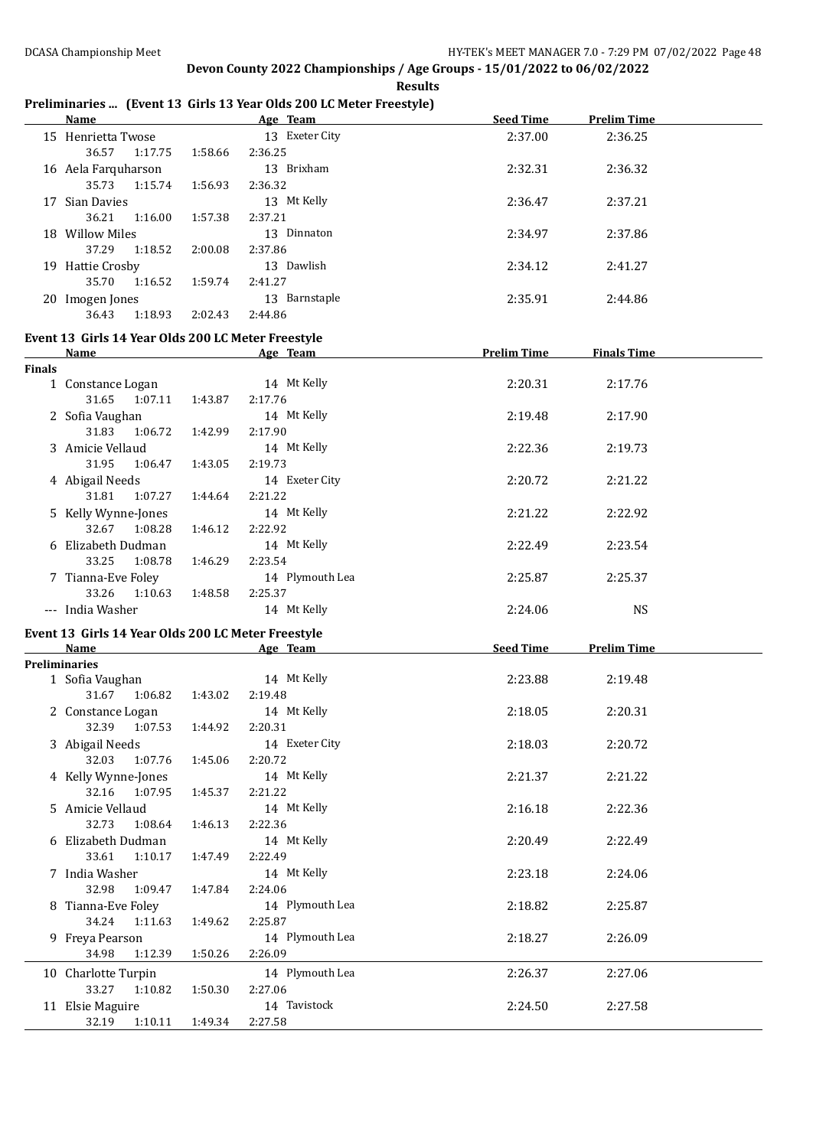#### **Results**

#### **Preliminaries ... (Event 13 Girls 13 Year Olds 200 LC Meter Freestyle) Name Age Team Seed Time Prelim Time**

|        | <u>Name</u>                                                                                                                                                                                                                    |         | Age Team                  | <b>Seed Time</b>   | <u>Prelim Time</u> |  |
|--------|--------------------------------------------------------------------------------------------------------------------------------------------------------------------------------------------------------------------------------|---------|---------------------------|--------------------|--------------------|--|
|        | 15 Henrietta Twose<br>36.57<br>1:17.75                                                                                                                                                                                         | 1:58.66 | 13 Exeter City<br>2:36.25 | 2:37.00            | 2:36.25            |  |
|        | 16 Aela Farquharson<br>35.73<br>1:15.74                                                                                                                                                                                        |         | 13 Brixham                | 2:32.31            | 2:36.32            |  |
|        | 17 Sian Davies                                                                                                                                                                                                                 | 1:56.93 | 2:36.32<br>13 Mt Kelly    | 2:36.47            | 2:37.21            |  |
|        | 36.21<br>1:16.00<br>18 Willow Miles                                                                                                                                                                                            | 1:57.38 | 2:37.21<br>13 Dinnaton    | 2:34.97            | 2:37.86            |  |
|        | 37.29<br>1:18.52                                                                                                                                                                                                               | 2:00.08 | 2:37.86                   |                    |                    |  |
|        | 19 Hattie Crosby                                                                                                                                                                                                               |         | 13 Dawlish                | 2:34.12            | 2:41.27            |  |
|        | 35.70<br>1:16.52                                                                                                                                                                                                               | 1:59.74 | 2:41.27                   |                    |                    |  |
|        | 20 Imogen Jones                                                                                                                                                                                                                |         | 13 Barnstaple             | 2:35.91            | 2:44.86            |  |
|        | 36.43<br>1:18.93                                                                                                                                                                                                               | 2:02.43 | 2:44.86                   |                    |                    |  |
|        | Event 13 Girls 14 Year Olds 200 LC Meter Freestyle                                                                                                                                                                             |         |                           |                    |                    |  |
|        | Name and the state of the state of the state of the state of the state of the state of the state of the state of the state of the state of the state of the state of the state of the state of the state of the state of the s |         | Age Team                  | <b>Prelim Time</b> | <b>Finals Time</b> |  |
| Finals |                                                                                                                                                                                                                                |         |                           |                    |                    |  |
|        | 1 Constance Logan                                                                                                                                                                                                              |         | 14 Mt Kelly               | 2:20.31            | 2:17.76            |  |
|        | 31.65<br>1:07.11                                                                                                                                                                                                               | 1:43.87 | 2:17.76                   |                    |                    |  |
|        | 2 Sofia Vaughan                                                                                                                                                                                                                |         | 14 Mt Kelly               | 2:19.48            | 2:17.90            |  |
|        | 31.83<br>1:06.72                                                                                                                                                                                                               | 1:42.99 | 2:17.90                   |                    |                    |  |
|        | 3 Amicie Vellaud                                                                                                                                                                                                               |         | 14 Mt Kelly               | 2:22.36            | 2:19.73            |  |
|        | 31.95<br>1:06.47                                                                                                                                                                                                               | 1:43.05 | 2:19.73                   |                    |                    |  |
|        | 4 Abigail Needs                                                                                                                                                                                                                |         | 14 Exeter City            | 2:20.72            | 2:21.22            |  |
|        | 31.81<br>1:07.27                                                                                                                                                                                                               | 1:44.64 | 2:21.22                   |                    |                    |  |
|        | 5 Kelly Wynne-Jones                                                                                                                                                                                                            |         | 14 Mt Kelly               | 2:21.22            | 2:22.92            |  |
|        | 32.67 1:08.28                                                                                                                                                                                                                  | 1:46.12 | 2:22.92                   |                    |                    |  |
|        | 6 Elizabeth Dudman<br>33.25<br>1:08.78                                                                                                                                                                                         | 1:46.29 | 14 Mt Kelly<br>2:23.54    | 2:22.49            | 2:23.54            |  |
|        | 7 Tianna-Eve Foley                                                                                                                                                                                                             |         | 14 Plymouth Lea           | 2:25.87            | 2:25.37            |  |
|        | 33.26<br>1:10.63                                                                                                                                                                                                               | 1:48.58 | 2:25.37                   |                    |                    |  |
|        | --- India Washer                                                                                                                                                                                                               |         | 14 Mt Kelly               | 2:24.06            | <b>NS</b>          |  |
|        |                                                                                                                                                                                                                                |         |                           |                    |                    |  |
|        | Event 13 Girls 14 Year Olds 200 LC Meter Freestyle<br><b>Name</b>                                                                                                                                                              |         | Age Team                  | Seed Time          | <b>Prelim Time</b> |  |
|        | <b>Preliminaries</b>                                                                                                                                                                                                           |         |                           |                    |                    |  |
|        | 1 Sofia Vaughan                                                                                                                                                                                                                |         | 14 Mt Kelly               | 2:23.88            | 2:19.48            |  |
|        | 31.67<br>1:06.82  1:43.02                                                                                                                                                                                                      |         | 2:19.48                   |                    |                    |  |
|        | 2 Constance Logan                                                                                                                                                                                                              |         | 14 Mt Kelly               | 2:18.05            | 2:20.31            |  |
|        | 32.39 1:07.53 1:44.92                                                                                                                                                                                                          |         | 2:20.31                   |                    |                    |  |
|        | 3 Abigail Needs<br>32.03<br>1:07.76                                                                                                                                                                                            | 1:45.06 | 14 Exeter City<br>2:20.72 | 2:18.03            | 2:20.72            |  |
|        | 4 Kelly Wynne-Jones                                                                                                                                                                                                            |         | 14 Mt Kelly               | 2:21.37            | 2:21.22            |  |
|        | 32.16<br>1:07.95                                                                                                                                                                                                               | 1:45.37 | 2:21.22                   |                    |                    |  |
|        | 5 Amicie Vellaud                                                                                                                                                                                                               |         | 14 Mt Kelly               | 2:16.18            | 2:22.36            |  |
|        | 32.73<br>1:08.64                                                                                                                                                                                                               | 1:46.13 | 2:22.36                   |                    |                    |  |
|        | 6 Elizabeth Dudman                                                                                                                                                                                                             |         | 14 Mt Kelly               | 2:20.49            | 2:22.49            |  |
|        | 33.61<br>1:10.17                                                                                                                                                                                                               | 1:47.49 | 2:22.49                   |                    |                    |  |
|        | 7 India Washer                                                                                                                                                                                                                 |         | 14 Mt Kelly               | 2:23.18            | 2:24.06            |  |
|        | 32.98<br>1:09.47                                                                                                                                                                                                               | 1:47.84 | 2:24.06                   |                    |                    |  |
|        | 8 Tianna-Eve Foley                                                                                                                                                                                                             |         | 14 Plymouth Lea           | 2:18.82            | 2:25.87            |  |
|        | 34.24<br>1:11.63                                                                                                                                                                                                               | 1:49.62 | 2:25.87                   |                    |                    |  |
|        | 9 Freya Pearson                                                                                                                                                                                                                |         | 14 Plymouth Lea           | 2:18.27            | 2:26.09            |  |
|        | 34.98<br>1:12.39                                                                                                                                                                                                               | 1:50.26 | 2:26.09                   |                    |                    |  |
|        | 10 Charlotte Turpin                                                                                                                                                                                                            |         | 14 Plymouth Lea           | 2:26.37            | 2:27.06            |  |
|        | 33.27<br>1:10.82                                                                                                                                                                                                               | 1:50.30 | 2:27.06                   |                    |                    |  |
|        | 11 Elsie Maguire                                                                                                                                                                                                               |         | 14 Tavistock              | 2:24.50            | 2:27.58            |  |
|        | 32.19<br>1:10.11                                                                                                                                                                                                               | 1:49.34 | 2:27.58                   |                    |                    |  |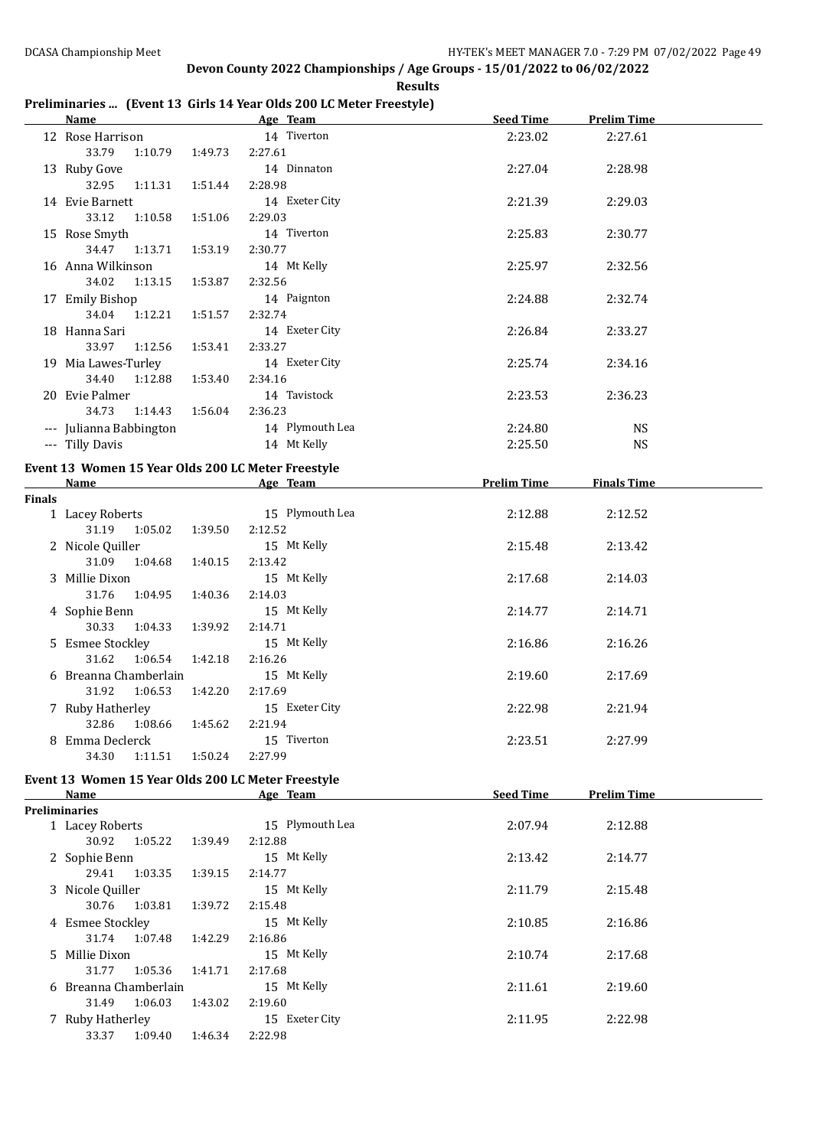#### **Results**

## **Preliminaries ... (Event 13 Girls 14 Year Olds 200 LC Meter Freestyle)**

|               | Name and the state of the state of the state of the state of the state of the state of the state of the state of the state of the state of the state of the state of the state of the state of the state of the state of the s |         | Age Team        | <b>Seed Time</b>   | <b>Prelim Time</b> |  |
|---------------|--------------------------------------------------------------------------------------------------------------------------------------------------------------------------------------------------------------------------------|---------|-----------------|--------------------|--------------------|--|
|               | 12 Rose Harrison                                                                                                                                                                                                               |         | 14 Tiverton     | 2:23.02            | 2:27.61            |  |
|               | 33.79<br>1:10.79                                                                                                                                                                                                               | 1:49.73 | 2:27.61         |                    |                    |  |
|               | 13 Ruby Gove                                                                                                                                                                                                                   |         | 14 Dinnaton     | 2:27.04            | 2:28.98            |  |
|               | 32.95<br>1:11.31                                                                                                                                                                                                               | 1:51.44 | 2:28.98         |                    |                    |  |
|               | 14 Evie Barnett                                                                                                                                                                                                                |         | 14 Exeter City  | 2:21.39            | 2:29.03            |  |
|               | 33.12<br>1:10.58                                                                                                                                                                                                               | 1:51.06 | 2:29.03         |                    |                    |  |
|               | 15 Rose Smyth                                                                                                                                                                                                                  |         | 14 Tiverton     | 2:25.83            | 2:30.77            |  |
|               | 34.47<br>1:13.71                                                                                                                                                                                                               | 1:53.19 | 2:30.77         |                    |                    |  |
|               | 16 Anna Wilkinson                                                                                                                                                                                                              |         | 14 Mt Kelly     | 2:25.97            | 2:32.56            |  |
|               | 34.02<br>1:13.15                                                                                                                                                                                                               | 1:53.87 | 2:32.56         |                    |                    |  |
|               | 17 Emily Bishop                                                                                                                                                                                                                |         | 14 Paignton     | 2:24.88            | 2:32.74            |  |
|               | 34.04<br>1:12.21                                                                                                                                                                                                               | 1:51.57 | 2:32.74         |                    |                    |  |
|               | 18 Hanna Sari                                                                                                                                                                                                                  |         | 14 Exeter City  | 2:26.84            | 2:33.27            |  |
|               | 33.97 1:12.56                                                                                                                                                                                                                  | 1:53.41 | 2:33.27         |                    |                    |  |
|               | 19 Mia Lawes-Turley                                                                                                                                                                                                            |         | 14 Exeter City  | 2:25.74            | 2:34.16            |  |
|               | 34.40<br>1:12.88                                                                                                                                                                                                               | 1:53.40 | 2:34.16         |                    |                    |  |
|               | 20 Evie Palmer                                                                                                                                                                                                                 |         | 14 Tavistock    | 2:23.53            | 2:36.23            |  |
|               | 34.73<br>1:14.43                                                                                                                                                                                                               | 1:56.04 | 2:36.23         |                    |                    |  |
|               | --- Julianna Babbington                                                                                                                                                                                                        |         | 14 Plymouth Lea | 2:24.80            | <b>NS</b>          |  |
|               | --- Tilly Davis                                                                                                                                                                                                                |         | 14 Mt Kelly     | 2:25.50            | <b>NS</b>          |  |
|               |                                                                                                                                                                                                                                |         |                 |                    |                    |  |
|               | Event 13 Women 15 Year Olds 200 LC Meter Freestyle                                                                                                                                                                             |         |                 | <b>Prelim Time</b> |                    |  |
| <b>Finals</b> |                                                                                                                                                                                                                                |         | Name Age Team   |                    | <b>Finals Time</b> |  |
|               | 1 Lacey Roberts                                                                                                                                                                                                                |         | 15 Plymouth Lea | 2:12.88            | 2:12.52            |  |
|               | 31.19 1:05.02                                                                                                                                                                                                                  | 1:39.50 | 2:12.52         |                    |                    |  |
|               | 2 Nicole Quiller                                                                                                                                                                                                               |         | 15 Mt Kelly     | 2:15.48            | 2:13.42            |  |
|               | 31.09<br>1:04.68                                                                                                                                                                                                               | 1:40.15 | 2:13.42         |                    |                    |  |
|               | 3 Millie Dixon                                                                                                                                                                                                                 |         | 15 Mt Kelly     | 2:17.68            | 2:14.03            |  |
|               | 31.76<br>1:04.95                                                                                                                                                                                                               | 1:40.36 | 2:14.03         |                    |                    |  |
|               | 4 Sophie Benn                                                                                                                                                                                                                  |         | 15 Mt Kelly     | 2:14.77            | 2:14.71            |  |
|               | 30.33<br>1:04.33                                                                                                                                                                                                               | 1:39.92 | 2:14.71         |                    |                    |  |
|               | 5 Esmee Stockley                                                                                                                                                                                                               |         | 15 Mt Kelly     | 2:16.86            | 2:16.26            |  |
|               | 31.62<br>1:06.54                                                                                                                                                                                                               | 1:42.18 | 2:16.26         |                    |                    |  |
|               | 6 Breanna Chamberlain                                                                                                                                                                                                          |         | 15 Mt Kelly     | 2:19.60            | 2:17.69            |  |
|               | 31.92<br>1:06.53                                                                                                                                                                                                               | 1:42.20 | 2:17.69         |                    |                    |  |
|               | 7 Ruby Hatherley                                                                                                                                                                                                               |         | 15 Exeter City  | 2:22.98            | 2:21.94            |  |
|               | 32.86 1:08.66 1:45.62                                                                                                                                                                                                          |         | 2:21.94         |                    |                    |  |
|               | 8 Emma Declerck                                                                                                                                                                                                                |         | 15 Tiverton     | 2:23.51            | 2:27.99            |  |
|               | 34.30<br>1:11.51                                                                                                                                                                                                               | 1:50.24 | 2:27.99         |                    |                    |  |
|               |                                                                                                                                                                                                                                |         |                 |                    |                    |  |
|               | Event 13 Women 15 Year Olds 200 LC Meter Freestyle                                                                                                                                                                             |         |                 |                    |                    |  |
|               | Name                                                                                                                                                                                                                           |         | Age Team        | <b>Seed Time</b>   | <b>Prelim Time</b> |  |
|               | <b>Preliminaries</b><br>1 Lacey Roberts                                                                                                                                                                                        |         | 15 Plymouth Lea | 2:07.94            | 2:12.88            |  |
|               | 30.92<br>1:05.22                                                                                                                                                                                                               | 1:39.49 | 2:12.88         |                    |                    |  |
|               | 2 Sophie Benn                                                                                                                                                                                                                  |         | 15 Mt Kelly     | 2:13.42            | 2:14.77            |  |
|               | 29.41<br>1:03.35                                                                                                                                                                                                               | 1:39.15 | 2:14.77         |                    |                    |  |
|               | 3 Nicole Quiller                                                                                                                                                                                                               |         | 15 Mt Kelly     | 2:11.79            | 2:15.48            |  |
|               | 30.76<br>1:03.81                                                                                                                                                                                                               | 1:39.72 | 2:15.48         |                    |                    |  |
|               | 4 Esmee Stockley                                                                                                                                                                                                               |         | 15 Mt Kelly     | 2:10.85            | 2:16.86            |  |
|               | 31.74<br>1:07.48                                                                                                                                                                                                               | 1:42.29 | 2:16.86         |                    |                    |  |
|               | 5 Millie Dixon                                                                                                                                                                                                                 |         | 15 Mt Kelly     | 2:10.74            | 2:17.68            |  |
|               | 31.77<br>1:05.36                                                                                                                                                                                                               | 1:41.71 | 2:17.68         |                    |                    |  |
|               | 6 Breanna Chamberlain                                                                                                                                                                                                          |         | 15 Mt Kelly     | 2:11.61            | 2:19.60            |  |
|               | 31.49<br>1:06.03                                                                                                                                                                                                               | 1:43.02 | 2:19.60         |                    |                    |  |
|               | 7 Ruby Hatherley                                                                                                                                                                                                               |         | 15 Exeter City  | 2:11.95            | 2:22.98            |  |
|               | 33.37<br>1:09.40                                                                                                                                                                                                               | 1:46.34 | 2:22.98         |                    |                    |  |
|               |                                                                                                                                                                                                                                |         |                 |                    |                    |  |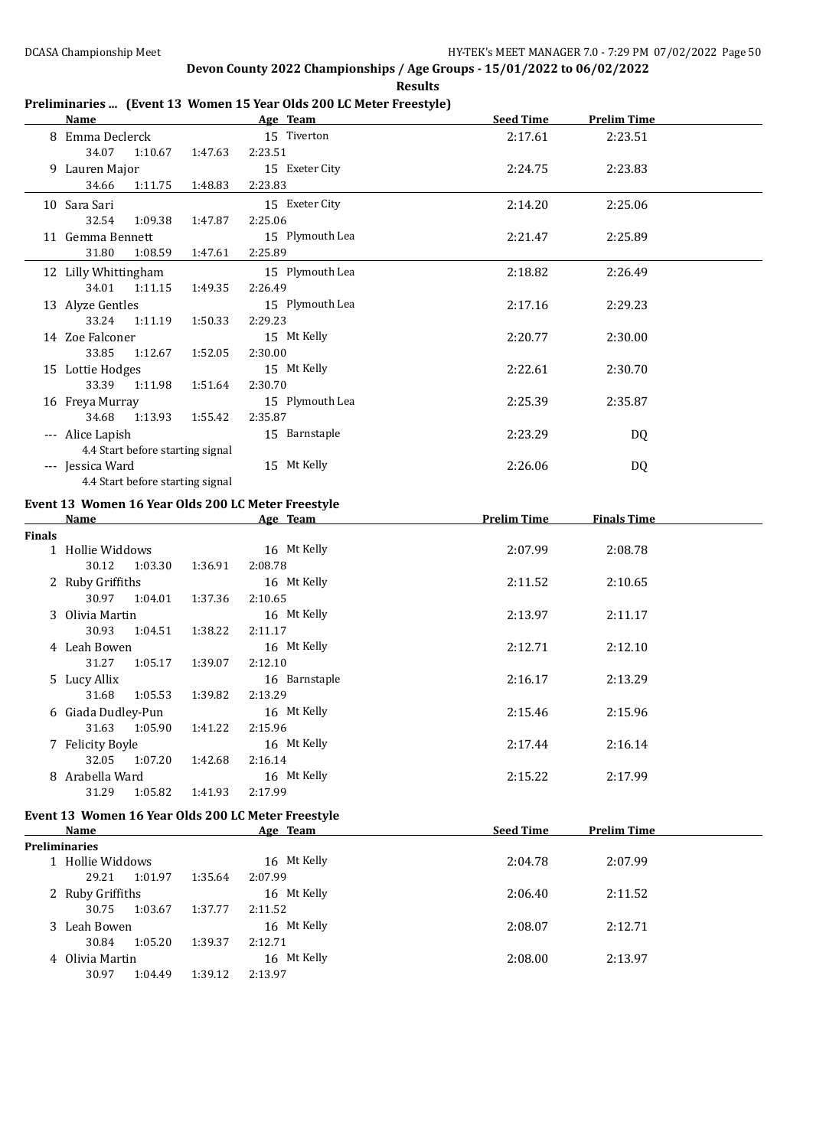**Results**

## **Preliminaries ... (Event 13 Women 15 Year Olds 200 LC Meter Freestyle)**

|        | <b>Name</b>                                          |         | Age Team                   | <b>Seed Time</b>   | <b>Prelim Time</b> |  |
|--------|------------------------------------------------------|---------|----------------------------|--------------------|--------------------|--|
|        | 8 Emma Declerck                                      |         | 15 Tiverton                | 2:17.61            | 2:23.51            |  |
|        | 34.07<br>1:10.67<br>9 Lauren Major                   | 1:47.63 | 2:23.51<br>15 Exeter City  | 2:24.75            | 2:23.83            |  |
|        | 34.66<br>1:11.75                                     | 1:48.83 | 2:23.83                    |                    |                    |  |
|        | 10 Sara Sari                                         |         | 15 Exeter City             | 2:14.20            | 2:25.06            |  |
|        | 32.54<br>1:09.38<br>11 Gemma Bennett                 | 1:47.87 | 2:25.06<br>15 Plymouth Lea | 2:21.47            | 2:25.89            |  |
|        | 31.80<br>1:08.59                                     | 1:47.61 | 2:25.89                    |                    |                    |  |
|        | 12 Lilly Whittingham                                 |         | 15 Plymouth Lea            | 2:18.82            | 2:26.49            |  |
|        | 34.01<br>1:11.15                                     | 1:49.35 | 2:26.49                    |                    |                    |  |
|        | 13 Alyze Gentles<br>33.24<br>1:11.19                 | 1:50.33 | 15 Plymouth Lea<br>2:29.23 | 2:17.16            | 2:29.23            |  |
|        | 14 Zoe Falconer                                      |         | 15 Mt Kelly                | 2:20.77            | 2:30.00            |  |
|        | 33.85<br>1:12.67                                     | 1:52.05 | 2:30.00                    |                    |                    |  |
|        | 15 Lottie Hodges                                     |         | 15 Mt Kelly                | 2:22.61            | 2:30.70            |  |
|        | 33.39 1:11.98                                        | 1:51.64 | 2:30.70                    |                    |                    |  |
|        |                                                      |         | 15 Plymouth Lea            |                    |                    |  |
|        | 16 Freya Murray                                      |         |                            | 2:25.39            | 2:35.87            |  |
|        | 34.68<br>1:13.93                                     | 1:55.42 | 2:35.87                    |                    |                    |  |
|        | --- Alice Lapish<br>4.4 Start before starting signal |         | 15 Barnstaple              | 2:23.29            | DQ                 |  |
|        | --- Jessica Ward                                     |         | 15 Mt Kelly                | 2:26.06            | DQ                 |  |
|        | 4.4 Start before starting signal                     |         |                            |                    |                    |  |
|        | Event 13 Women 16 Year Olds 200 LC Meter Freestyle   |         |                            |                    |                    |  |
|        | Name                                                 |         | Age Team                   | <b>Prelim Time</b> | <b>Finals Time</b> |  |
| Finals |                                                      |         |                            |                    |                    |  |
|        | 1 Hollie Widdows                                     |         | 16 Mt Kelly                | 2:07.99            | 2:08.78            |  |
|        | 30.12<br>1:03.30                                     | 1:36.91 | 2:08.78                    |                    |                    |  |
|        | 2 Ruby Griffiths                                     |         | 16 Mt Kelly                | 2:11.52            | 2:10.65            |  |
|        | 30.97<br>1:04.01                                     | 1:37.36 | 2:10.65                    |                    |                    |  |
|        |                                                      |         | 16 Mt Kelly                |                    |                    |  |
|        | 3 Olivia Martin                                      |         |                            | 2:13.97            | 2:11.17            |  |
|        | 30.93<br>1:04.51                                     | 1:38.22 | 2:11.17                    |                    |                    |  |
|        | 4 Leah Bowen                                         |         | 16 Mt Kelly                | 2:12.71            | 2:12.10            |  |
|        | 31.27<br>1:05.17                                     | 1:39.07 | 2:12.10                    |                    |                    |  |
|        |                                                      |         |                            |                    |                    |  |
|        | 5 Lucy Allix                                         |         | 16 Barnstaple              | 2:16.17            | 2:13.29            |  |
|        | 31.68<br>1:05.53                                     | 1:39.82 | 2:13.29                    |                    |                    |  |
|        | 6 Giada Dudley-Pun                                   |         | 16 Mt Kelly                | 2:15.46            | 2:15.96            |  |
|        | 31.63 1:05.90 1:41.22 2:15.96                        |         | 16 Mt Kelly                |                    |                    |  |
|        | 7 Felicity Boyle                                     | 1:42.68 | 2:16.14                    | 2:17.44            | 2:16.14            |  |
|        | 32.05<br>1:07.20                                     |         |                            |                    |                    |  |
|        | 8 Arabella Ward<br>31.29<br>1:05.82                  | 1:41.93 | 16 Mt Kelly<br>2:17.99     | 2:15.22            | 2:17.99            |  |
|        |                                                      |         |                            |                    |                    |  |
|        | Event 13 Women 16 Year Olds 200 LC Meter Freestyle   |         |                            |                    |                    |  |
|        | Name                                                 |         | Age Team                   | <b>Seed Time</b>   | <b>Prelim Time</b> |  |
|        | <b>Preliminaries</b>                                 |         |                            |                    |                    |  |
|        | 1 Hollie Widdows                                     |         | 16 Mt Kelly                | 2:04.78            | 2:07.99            |  |
|        | 29.21<br>1:01.97                                     | 1:35.64 | 2:07.99                    |                    |                    |  |
|        | 2 Ruby Griffiths                                     |         | 16 Mt Kelly                | 2:06.40            | 2:11.52            |  |
|        | 30.75<br>1:03.67                                     | 1:37.77 | 2:11.52                    |                    |                    |  |
|        | 3 Leah Bowen                                         |         | 16 Mt Kelly                | 2:08.07            | 2:12.71            |  |
|        | 30.84<br>1:05.20                                     | 1:39.37 | 2:12.71                    |                    |                    |  |
|        | 4 Olivia Martin<br>30.97<br>1:04.49                  | 1:39.12 | 16 Mt Kelly<br>2:13.97     | 2:08.00            | 2:13.97            |  |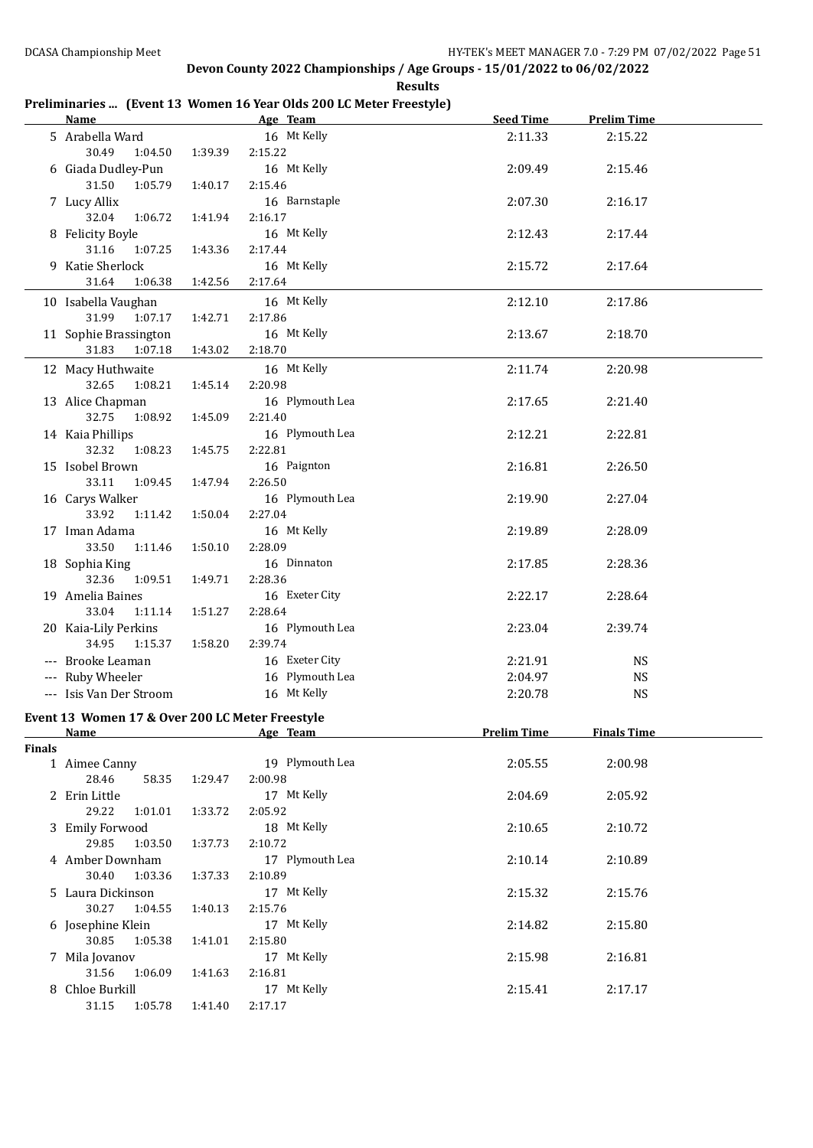## **Preliminaries ... (Event 13 Women 16 Year Olds 200 LC Meter Freestyle)**

|               | <b>Name</b>                                       |                    | Age Team                   | <b>Seed Time</b>   | <b>Prelim Time</b> |  |
|---------------|---------------------------------------------------|--------------------|----------------------------|--------------------|--------------------|--|
|               | 5 Arabella Ward<br>30.49<br>1:04.50               | 1:39.39            | 16 Mt Kelly<br>2:15.22     | 2:11.33            | 2:15.22            |  |
|               | 6 Giada Dudley-Pun<br>31.50<br>1:05.79            | 1:40.17            | 16 Mt Kelly<br>2:15.46     | 2:09.49            | 2:15.46            |  |
|               | 7 Lucy Allix                                      |                    | 16 Barnstaple              | 2:07.30            | 2:16.17            |  |
|               | 32.04<br>1:06.72<br>8 Felicity Boyle              | 1:41.94            | 2:16.17<br>16 Mt Kelly     | 2:12.43            | 2:17.44            |  |
|               | 31.16<br>1:07.25<br>9 Katie Sherlock              | 1:43.36            | 2:17.44<br>16 Mt Kelly     | 2:15.72            | 2:17.64            |  |
|               | 31.64<br>1:06.38                                  | 1:42.56            | 2:17.64                    |                    |                    |  |
|               | 10 Isabella Vaughan<br>31.99<br>1:07.17           | 1:42.71            | 16 Mt Kelly<br>2:17.86     | 2:12.10            | 2:17.86            |  |
|               | 11 Sophie Brassington<br>31.83<br>1:07.18         | 1:43.02            | 16 Mt Kelly<br>2:18.70     | 2:13.67            | 2:18.70            |  |
|               | 12 Macy Huthwaite<br>32.65<br>1:08.21             | 1:45.14            | 16 Mt Kelly<br>2:20.98     | 2:11.74            | 2:20.98            |  |
|               | 13 Alice Chapman<br>32.75<br>1:08.92              | 1:45.09            | 16 Plymouth Lea<br>2:21.40 | 2:17.65            | 2:21.40            |  |
|               | 14 Kaia Phillips<br>32.32<br>1:08.23              |                    | 16 Plymouth Lea<br>2:22.81 | 2:12.21            | 2:22.81            |  |
|               | 15 Isobel Brown<br>33.11                          | 1:45.75            | 16 Paignton<br>2:26.50     | 2:16.81            | 2:26.50            |  |
|               | 1:09.45<br>16 Carys Walker<br>33.92<br>1:11.42    | 1:47.94<br>1:50.04 | 16 Plymouth Lea<br>2:27.04 | 2:19.90            | 2:27.04            |  |
|               | 17 Iman Adama                                     |                    | 16 Mt Kelly                | 2:19.89            | 2:28.09            |  |
|               | 33.50<br>1:11.46<br>18 Sophia King                | 1:50.10            | 2:28.09<br>16 Dinnaton     | 2:17.85            | 2:28.36            |  |
|               | 32.36<br>1:09.51<br>19 Amelia Baines              | 1:49.71            | 2:28.36<br>16 Exeter City  | 2:22.17            | 2:28.64            |  |
|               | 33.04<br>1:11.14<br>20 Kaia-Lily Perkins<br>34.95 | 1:51.27            | 2:28.64<br>16 Plymouth Lea | 2:23.04            | 2:39.74            |  |
|               | 1:15.37                                           | 1:58.20            | 2:39.74                    |                    |                    |  |
|               | --- Brooke Leaman                                 |                    | 16 Exeter City             | 2:21.91            | <b>NS</b>          |  |
|               | --- Ruby Wheeler                                  |                    | 16 Plymouth Lea            | 2:04.97            | <b>NS</b>          |  |
|               | --- Isis Van Der Stroom                           |                    | 16 Mt Kelly                | 2:20.78            | <b>NS</b>          |  |
|               | Event 13 Women 17 & Over 200 LC Meter Freestyle   |                    |                            |                    |                    |  |
|               | <b>Name</b>                                       |                    | Age Team                   | <b>Prelim Time</b> | <b>Finals Time</b> |  |
| <b>Finals</b> |                                                   |                    |                            |                    |                    |  |
|               | 1 Aimee Canny<br>28.46<br>58.35                   | 1:29.47            | 19 Plymouth Lea<br>2:00.98 | 2:05.55            | 2:00.98            |  |
|               | 2 Erin Little                                     |                    | 17 Mt Kelly                | 2:04.69            | 2:05.92            |  |
|               | 29.22<br>1:01.01<br>3 Emily Forwood               | 1:33.72            | 2:05.92<br>18 Mt Kelly     | 2:10.65            | 2:10.72            |  |
|               | 29.85<br>1:03.50<br>4 Amber Downham               | 1:37.73            | 2:10.72<br>17 Plymouth Lea | 2:10.14            | 2:10.89            |  |
|               | 30.40<br>1:03.36                                  | 1:37.33            | 2:10.89                    |                    |                    |  |
|               | 5 Laura Dickinson<br>30.27<br>1:04.55             | 1:40.13            | 17 Mt Kelly<br>2:15.76     | 2:15.32            | 2:15.76            |  |
|               | 6 Josephine Klein<br>30.85<br>1:05.38             | 1:41.01            | 17 Mt Kelly<br>2:15.80     | 2:14.82            | 2:15.80            |  |
|               | 7 Mila Jovanov<br>31.56<br>1:06.09                | 1:41.63            | 17 Mt Kelly<br>2:16.81     | 2:15.98            | 2:16.81            |  |
|               | 8 Chloe Burkill<br>31.15<br>1:05.78               | 1:41.40            | 17 Mt Kelly<br>2:17.17     | 2:15.41            | 2:17.17            |  |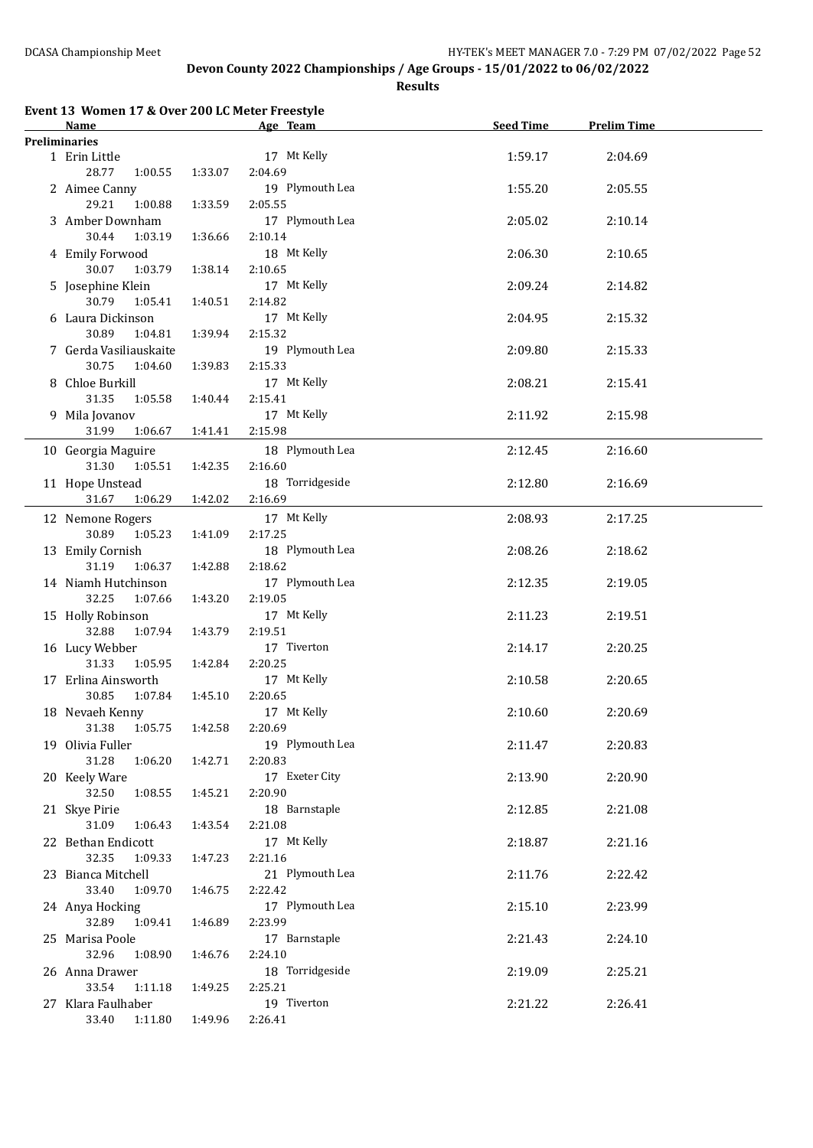**Results**

| Event 13 Women 17 & Over 200 LC Meter Freestyle |
|-------------------------------------------------|
|                                                 |

| Name                   |         | Age Team        | <b>Seed Time</b> | <b>Prelim Time</b> |  |
|------------------------|---------|-----------------|------------------|--------------------|--|
| <b>Preliminaries</b>   |         |                 |                  |                    |  |
| 1 Erin Little          |         | 17 Mt Kelly     | 1:59.17          | 2:04.69            |  |
| 28.77<br>1:00.55       | 1:33.07 | 2:04.69         |                  |                    |  |
| 2 Aimee Canny          |         | 19 Plymouth Lea | 1:55.20          | 2:05.55            |  |
| 29.21<br>1:00.88       | 1:33.59 | 2:05.55         |                  |                    |  |
| 3 Amber Downham        |         | 17 Plymouth Lea | 2:05.02          |                    |  |
| 30.44                  |         |                 |                  | 2:10.14            |  |
| 1:03.19                | 1:36.66 | 2:10.14         |                  |                    |  |
| 4 Emily Forwood        |         | 18 Mt Kelly     | 2:06.30          | 2:10.65            |  |
| 30.07<br>1:03.79       | 1:38.14 | 2:10.65         |                  |                    |  |
| 5 Josephine Klein      |         | 17 Mt Kelly     | 2:09.24          | 2:14.82            |  |
| 30.79<br>1:05.41       | 1:40.51 | 2:14.82         |                  |                    |  |
| 6 Laura Dickinson      |         | 17 Mt Kelly     | 2:04.95          | 2:15.32            |  |
| 30.89<br>1:04.81       | 1:39.94 | 2:15.32         |                  |                    |  |
| 7 Gerda Vasiliauskaite |         | 19 Plymouth Lea | 2:09.80          | 2:15.33            |  |
| 30.75<br>1:04.60       | 1:39.83 | 2:15.33         |                  |                    |  |
| 8 Chloe Burkill        |         | 17 Mt Kelly     | 2:08.21          | 2:15.41            |  |
| 31.35<br>1:05.58       | 1:40.44 | 2:15.41         |                  |                    |  |
| 9 Mila Jovanov         |         | 17 Mt Kelly     | 2:11.92          | 2:15.98            |  |
| 31.99<br>1:06.67       | 1:41.41 | 2:15.98         |                  |                    |  |
|                        |         |                 |                  |                    |  |
| 10 Georgia Maguire     |         | 18 Plymouth Lea | 2:12.45          | 2:16.60            |  |
| 31.30<br>1:05.51       | 1:42.35 | 2:16.60         |                  |                    |  |
| 11 Hope Unstead        |         | 18 Torridgeside | 2:12.80          | 2:16.69            |  |
| $31.67\,$<br>1:06.29   | 1:42.02 | 2:16.69         |                  |                    |  |
| 12 Nemone Rogers       |         | 17 Mt Kelly     | 2:08.93          | 2:17.25            |  |
| 30.89<br>1:05.23       | 1:41.09 | 2:17.25         |                  |                    |  |
| 13 Emily Cornish       |         | 18 Plymouth Lea | 2:08.26          | 2:18.62            |  |
| 31.19<br>1:06.37       | 1:42.88 | 2:18.62         |                  |                    |  |
| 14 Niamh Hutchinson    |         | 17 Plymouth Lea | 2:12.35          | 2:19.05            |  |
| 32.25<br>1:07.66       | 1:43.20 | 2:19.05         |                  |                    |  |
| 15 Holly Robinson      |         | 17 Mt Kelly     | 2:11.23          | 2:19.51            |  |
| 32.88<br>1:07.94       | 1:43.79 | 2:19.51         |                  |                    |  |
| 16 Lucy Webber         |         | 17 Tiverton     | 2:14.17          | 2:20.25            |  |
| 31.33<br>1:05.95       | 1:42.84 | 2:20.25         |                  |                    |  |
| 17 Erlina Ainsworth    |         | 17 Mt Kelly     |                  | 2:20.65            |  |
| 30.85<br>1:07.84       | 1:45.10 | 2:20.65         | 2:10.58          |                    |  |
|                        |         | 17 Mt Kelly     |                  |                    |  |
| 18 Nevaeh Kenny        |         |                 | 2:10.60          | 2:20.69            |  |
| 1:05.75<br>31.38       | 1:42.58 | 2:20.69         |                  |                    |  |
| 19 Olivia Fuller       |         | 19 Plymouth Lea | 2:11.47          | 2:20.83            |  |
| 31.28<br>1:06.20       | 1:42.71 | 2:20.83         |                  |                    |  |
| 20 Keely Ware          |         | 17 Exeter City  | 2:13.90          | 2:20.90            |  |
| 32.50<br>1:08.55       | 1:45.21 | 2:20.90         |                  |                    |  |
| 21 Skye Pirie          |         | 18 Barnstaple   | 2:12.85          | 2:21.08            |  |
| 31.09<br>1:06.43       | 1:43.54 | 2:21.08         |                  |                    |  |
| 22 Bethan Endicott     |         | 17 Mt Kelly     | 2:18.87          | 2:21.16            |  |
| 32.35<br>1:09.33       | 1:47.23 | 2:21.16         |                  |                    |  |
| 23 Bianca Mitchell     |         | 21 Plymouth Lea | 2:11.76          | 2:22.42            |  |
| 33.40<br>1:09.70       | 1:46.75 | 2:22.42         |                  |                    |  |
| 24 Anya Hocking        |         | 17 Plymouth Lea | 2:15.10          | 2:23.99            |  |
| 32.89<br>1:09.41       | 1:46.89 | 2:23.99         |                  |                    |  |
| 25 Marisa Poole        |         | 17 Barnstaple   | 2:21.43          | 2:24.10            |  |
| 32.96<br>1:08.90       | 1:46.76 | 2:24.10         |                  |                    |  |
| 26 Anna Drawer         |         | 18 Torridgeside | 2:19.09          | 2:25.21            |  |
| 33.54<br>1:11.18       | 1:49.25 | 2:25.21         |                  |                    |  |
|                        |         | 19 Tiverton     |                  |                    |  |
| 27 Klara Faulhaber     |         |                 | 2:21.22          | 2:26.41            |  |
| 33.40  1:11.80         | 1:49.96 | 2:26.41         |                  |                    |  |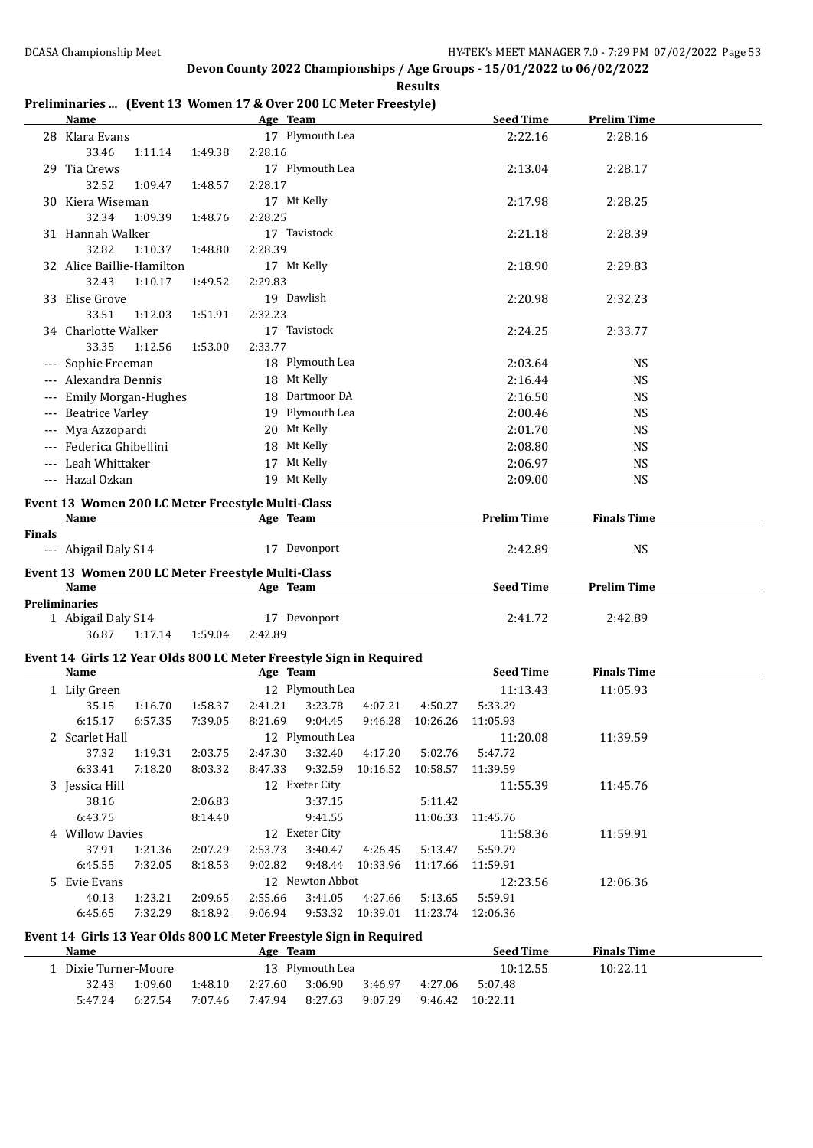## **Preliminaries ... (Event 13 Women 17 & Over 200 LC Meter Freestyle)**

|        | <b>Name</b>                                                                                                                                                                                                                    |         | Age Team           |                                    |          | <b>Seed Time</b>   | <b>Prelim Time</b> |  |
|--------|--------------------------------------------------------------------------------------------------------------------------------------------------------------------------------------------------------------------------------|---------|--------------------|------------------------------------|----------|--------------------|--------------------|--|
|        | 28 Klara Evans                                                                                                                                                                                                                 |         | 17 Plymouth Lea    |                                    |          | 2:22.16            | 2:28.16            |  |
|        | 33.46<br>1:11.14                                                                                                                                                                                                               | 1:49.38 | 2:28.16            |                                    |          |                    |                    |  |
|        | 29 Tia Crews                                                                                                                                                                                                                   |         | 17 Plymouth Lea    |                                    |          | 2:13.04            | 2:28.17            |  |
|        | 32.52<br>1:09.47                                                                                                                                                                                                               | 1:48.57 | 2:28.17            |                                    |          |                    |                    |  |
|        | 30 Kiera Wiseman                                                                                                                                                                                                               |         | 17 Mt Kelly        |                                    |          | 2:17.98            | 2:28.25            |  |
|        | 32.34<br>1:09.39                                                                                                                                                                                                               | 1:48.76 | 2:28.25            |                                    |          |                    |                    |  |
|        | 31 Hannah Walker                                                                                                                                                                                                               |         | 17 Tavistock       |                                    |          | 2:21.18            | 2:28.39            |  |
|        | 32.82<br>1:10.37                                                                                                                                                                                                               | 1:48.80 | 2:28.39            |                                    |          |                    |                    |  |
|        | 32 Alice Baillie-Hamilton                                                                                                                                                                                                      |         | 17 Mt Kelly        |                                    |          | 2:18.90            | 2:29.83            |  |
|        | 32.43<br>1:10.17                                                                                                                                                                                                               | 1:49.52 | 2:29.83            |                                    |          |                    |                    |  |
|        | 33 Elise Grove                                                                                                                                                                                                                 |         | 19 Dawlish         |                                    |          | 2:20.98            | 2:32.23            |  |
|        | 33.51<br>1:12.03                                                                                                                                                                                                               | 1:51.91 | 2:32.23            |                                    |          |                    |                    |  |
|        | 34 Charlotte Walker                                                                                                                                                                                                            |         | 17 Tavistock       |                                    |          | 2:24.25            | 2:33.77            |  |
|        | 33.35<br>1:12.56                                                                                                                                                                                                               | 1:53.00 | 2:33.77            |                                    |          |                    |                    |  |
|        | --- Sophie Freeman                                                                                                                                                                                                             |         | 18 Plymouth Lea    |                                    |          | 2:03.64            | <b>NS</b>          |  |
|        | --- Alexandra Dennis                                                                                                                                                                                                           |         | 18 Mt Kelly        |                                    |          | 2:16.44            | <b>NS</b>          |  |
|        | --- Emily Morgan-Hughes                                                                                                                                                                                                        |         | 18 Dartmoor DA     |                                    |          | 2:16.50            | <b>NS</b>          |  |
|        | --- Beatrice Varley                                                                                                                                                                                                            |         | 19 Plymouth Lea    |                                    |          | 2:00.46            | <b>NS</b>          |  |
|        | --- Mya Azzopardi                                                                                                                                                                                                              |         | 20 Mt Kelly        |                                    |          | 2:01.70            | <b>NS</b>          |  |
|        | --- Federica Ghibellini                                                                                                                                                                                                        |         | 18 Mt Kelly        |                                    |          | 2:08.80            | <b>NS</b>          |  |
|        | --- Leah Whittaker                                                                                                                                                                                                             |         | 17 Mt Kelly        |                                    |          | 2:06.97            | <b>NS</b>          |  |
|        | --- Hazal Ozkan                                                                                                                                                                                                                |         | 19 Mt Kelly        |                                    |          | 2:09.00            | <b>NS</b>          |  |
|        |                                                                                                                                                                                                                                |         |                    |                                    |          |                    |                    |  |
|        | Event 13 Women 200 LC Meter Freestyle Multi-Class                                                                                                                                                                              |         |                    |                                    |          |                    |                    |  |
|        | Name                                                                                                                                                                                                                           |         | Age Team           |                                    |          | <b>Prelim Time</b> | <b>Finals Time</b> |  |
| Finals |                                                                                                                                                                                                                                |         |                    |                                    |          |                    |                    |  |
|        | --- Abigail Daly S14                                                                                                                                                                                                           |         | 17 Devonport       |                                    |          | 2:42.89            | <b>NS</b>          |  |
|        | Event 13 Women 200 LC Meter Freestyle Multi-Class                                                                                                                                                                              |         |                    |                                    |          |                    |                    |  |
|        | Name and the state of the state of the state of the state of the state of the state of the state of the state of the state of the state of the state of the state of the state of the state of the state of the state of the s |         | Age Team           |                                    |          | Seed Time          | <b>Prelim Time</b> |  |
|        | <b>Preliminaries</b>                                                                                                                                                                                                           |         |                    |                                    |          |                    |                    |  |
|        | 1 Abigail Daly S14                                                                                                                                                                                                             |         | 17 Devonport       |                                    |          | 2:41.72            | 2:42.89            |  |
|        | 36.87<br>1:17.14                                                                                                                                                                                                               | 1:59.04 | 2:42.89            |                                    |          |                    |                    |  |
|        | Event 14 Girls 12 Year Olds 800 LC Meter Freestyle Sign in Required                                                                                                                                                            |         |                    |                                    |          |                    |                    |  |
|        | <b>Name</b>                                                                                                                                                                                                                    |         | Age Team           |                                    |          | <b>Seed Time</b>   | <b>Finals Time</b> |  |
|        | 1 Lily Green                                                                                                                                                                                                                   |         | 12 Plymouth Lea    |                                    |          | 11:13.43           | 11:05.93           |  |
|        | 35.15<br>1:16.70                                                                                                                                                                                                               | 1:58.37 | 2:41.21<br>3:23.78 | 4:07.21                            | 4:50.27  | 5:33.29            |                    |  |
|        | 6:15.17<br>6:57.35                                                                                                                                                                                                             | 7:39.05 | 8:21.69<br>9:04.45 | 9:46.28                            | 10:26.26 | 11:05.93           |                    |  |
|        | 2 Scarlet Hall                                                                                                                                                                                                                 |         | 12 Plymouth Lea    |                                    |          | 11:20.08           | 11:39.59           |  |
|        | 37.32<br>1:19.31                                                                                                                                                                                                               | 2:03.75 | 2:47.30<br>3:32.40 | 4:17.20                            | 5:02.76  | 5:47.72            |                    |  |
|        | 6:33.41<br>7:18.20                                                                                                                                                                                                             | 8:03.32 | 8:47.33            | 9:32.59 10:16.52 10:58.57 11:39.59 |          |                    |                    |  |
|        | 3 Jessica Hill                                                                                                                                                                                                                 |         | 12 Exeter City     |                                    |          | 11:55.39           | 11:45.76           |  |
|        | 38.16                                                                                                                                                                                                                          | 2:06.83 | 3:37.15            |                                    | 5:11.42  |                    |                    |  |
|        | 6:43.75                                                                                                                                                                                                                        | 8:14.40 | 9:41.55            |                                    | 11:06.33 | 11:45.76           |                    |  |
|        | 4 Willow Davies                                                                                                                                                                                                                |         | 12 Exeter City     |                                    |          | 11:58.36           | 11:59.91           |  |
|        | 37.91<br>1:21.36                                                                                                                                                                                                               | 2:07.29 | 2:53.73<br>3:40.47 | 4:26.45                            | 5:13.47  | 5:59.79            |                    |  |
|        | 7:32.05<br>6:45.55                                                                                                                                                                                                             | 8:18.53 | 9:02.82<br>9:48.44 | 10:33.96                           | 11:17.66 | 11:59.91           |                    |  |
|        | 5 Evie Evans                                                                                                                                                                                                                   |         | 12 Newton Abbot    |                                    |          | 12:23.56           | 12:06.36           |  |
|        | 1:23.21<br>40.13                                                                                                                                                                                                               | 2:09.65 | 3:41.05<br>2:55.66 | 4:27.66                            | 5:13.65  | 5:59.91            |                    |  |
|        | 6:45.65<br>7:32.29                                                                                                                                                                                                             | 8:18.92 | 9:06.94            | 9:53.32 10:39.01 11:23.74 12:06.36 |          |                    |                    |  |
|        | Event 14, Cirls 12 Year Olds 000 LC Motor Executive Sign in Dequired                                                                                                                                                           |         |                    |                                    |          |                    |                    |  |

## **Event 14 Girls 13 Year Olds 800 LC Meter Freestyle Sign in Required**

| <b>Name</b>             |                 |         | Age     | Team    |         |          | <b>Seed Time</b> | <b>Finals Time</b> |  |
|-------------------------|-----------------|---------|---------|---------|---------|----------|------------------|--------------------|--|
| .    Dixie Turner-Moore | 13 Plymouth Lea |         |         |         |         | 10:12.55 | 10:22.11         |                    |  |
| 32.43                   | 1:09.60         | 1:48.10 | 2:27.60 | 3:06.90 | 3:46.97 | 4:27.06  | 5:07.48          |                    |  |
| 5:47.24                 | 6:27.54         | 7:07.46 | 7:47.94 | 8:27.63 | 9:07.29 | 9:46.42  | 10:22.11         |                    |  |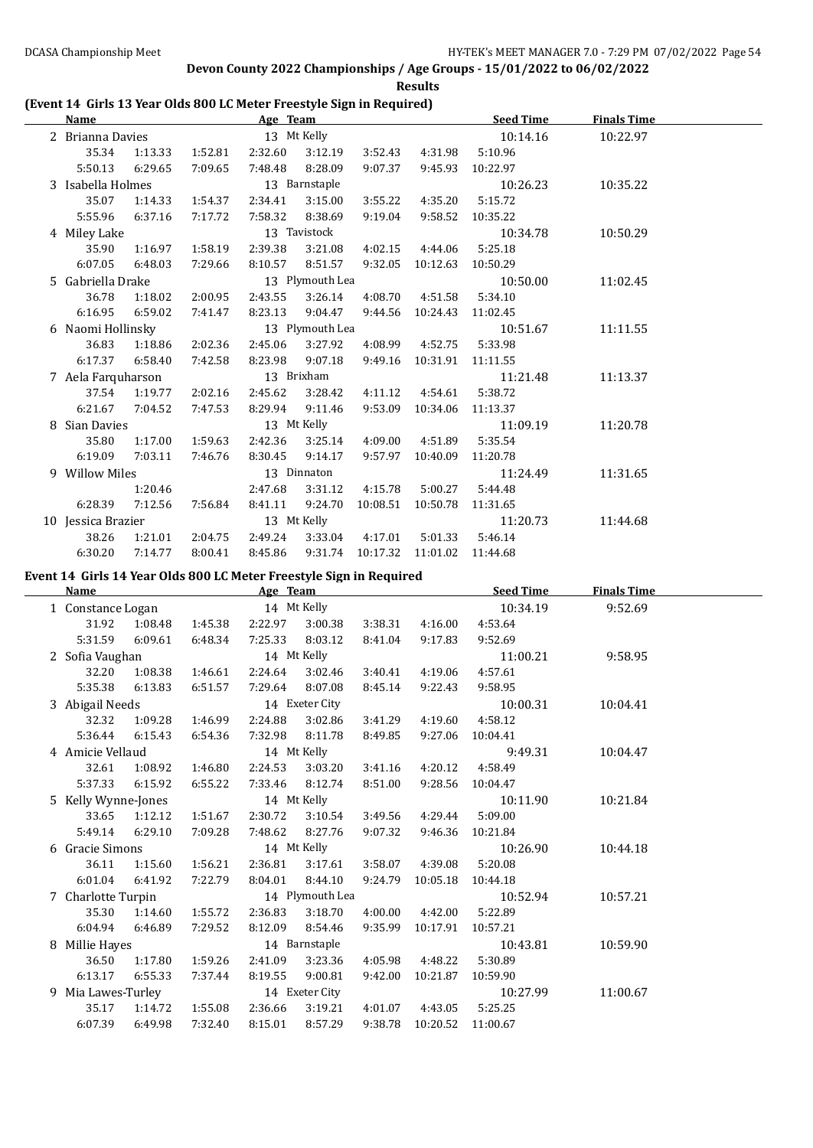**Results**

## **(Event 14 Girls 13 Year Olds 800 LC Meter Freestyle Sign in Required)**

|   | <b>Name</b>        |         |         | Age Team        |                 |                           |                           | <b>Seed Time</b>  | <b>Finals Time</b> |  |
|---|--------------------|---------|---------|-----------------|-----------------|---------------------------|---------------------------|-------------------|--------------------|--|
|   | 2 Brianna Davies   |         |         |                 | 13 Mt Kelly     |                           |                           | 10:14.16          | 10:22.97           |  |
|   | 35.34              | 1:13.33 | 1:52.81 | 2:32.60         | 3:12.19         | 3:52.43                   | 4:31.98                   | 5:10.96           |                    |  |
|   | 5:50.13            | 6:29.65 | 7:09.65 | 7:48.48         | 8:28.09         | 9:07.37                   |                           | 9:45.93 10:22.97  |                    |  |
|   | 3 Isabella Holmes  |         |         |                 | 13 Barnstaple   |                           |                           | 10:26.23          | 10:35.22           |  |
|   | 35.07              | 1:14.33 | 1:54.37 | 2:34.41         | 3:15.00         | 3:55.22                   | 4:35.20                   | 5:15.72           |                    |  |
|   | 5:55.96            | 6:37.16 | 7:17.72 | 7:58.32         | 8:38.69         | 9:19.04                   | 9:58.52                   | 10:35.22          |                    |  |
|   | 4 Miley Lake       |         |         |                 | 13 Tavistock    |                           |                           | 10:34.78          | 10:50.29           |  |
|   | 35.90              | 1:16.97 | 1:58.19 | 2:39.38         | 3:21.08         |                           | 4:02.15 4:44.06           | 5:25.18           |                    |  |
|   | 6:07.05            | 6:48.03 | 7:29.66 | 8:10.57         | 8:51.57         | 9:32.05                   | 10:12.63                  | 10:50.29          |                    |  |
|   | 5 Gabriella Drake  |         |         |                 | 13 Plymouth Lea |                           |                           | 10:50.00          | 11:02.45           |  |
|   | 36.78              | 1:18.02 | 2:00.95 | 2:43.55         | 3:26.14         |                           | 4:08.70 4:51.58           | 5:34.10           |                    |  |
|   | 6:16.95            | 6:59.02 | 7:41.47 | 8:23.13         | 9:04.47         |                           | 9:44.56 10:24.43 11:02.45 |                   |                    |  |
|   | 6 Naomi Hollinsky  |         |         | 13 Plymouth Lea |                 |                           |                           | 10:51.67          | 11:11.55           |  |
|   | 36.83              | 1:18.86 | 2:02.36 | 2:45.06         | 3:27.92         |                           | 4:08.99  4:52.75          | 5:33.98           |                    |  |
|   | 6:17.37            | 6:58.40 | 7:42.58 | 8:23.98         | 9:07.18         | 9:49.16                   | 10:31.91                  | 11:11.55          |                    |  |
|   | 7 Aela Farquharson |         |         | 13 Brixham      |                 |                           |                           | 11:21.48          | 11:13.37           |  |
|   | 37.54              | 1:19.77 | 2:02.16 | 2:45.62         | 3:28.42         |                           | 4:11.12  4:54.61          | 5:38.72           |                    |  |
|   | 6:21.67            | 7:04.52 | 7:47.53 | 8:29.94         | 9:11.46         | 9:53.09                   |                           | 10:34.06 11:13.37 |                    |  |
| 8 | Sian Davies        |         |         |                 | 13 Mt Kelly     |                           |                           | 11:09.19          | 11:20.78           |  |
|   | 35.80              | 1:17.00 | 1:59.63 | 2:42.36         | 3:25.14         |                           | 4:09.00 4:51.89           | 5:35.54           |                    |  |
|   | 6:19.09            | 7:03.11 | 7:46.76 | 8:30.45         | 9:14.17         | 9:57.97                   | 10:40.09                  | 11:20.78          |                    |  |
|   | 9 Willow Miles     |         |         |                 | 13 Dinnaton     |                           |                           | 11:24.49          | 11:31.65           |  |
|   |                    | 1:20.46 |         | 2:47.68         | 3:31.12         | 4:15.78                   | 5:00.27                   | 5:44.48           |                    |  |
|   | 6:28.39            | 7:12.56 | 7:56.84 | 8:41.11         | 9:24.70         | 10:08.51                  | 10:50.78                  | 11:31.65          |                    |  |
|   | 10 Jessica Brazier |         |         |                 | 13 Mt Kelly     |                           |                           | 11:20.73          | 11:44.68           |  |
|   | 38.26              | 1:21.01 | 2:04.75 | 2:49.24         |                 | 3:33.04  4:17.01  5:01.33 |                           | 5:46.14           |                    |  |
|   | 6:30.20            | 7:14.77 | 8:00.41 | 8:45.86         | 9:31.74         | 10:17.32                  | 11:01.02                  | 11:44.68          |                    |  |

#### **Event 14 Girls 14 Year Olds 800 LC Meter Freestyle Sign in Required**

| <b>Name</b> |                     |         |                               | Age Team and the state of the state of the state of the state of the state of the state of the state of the state of the state of the state of the state of the state of the state of the state of the state of the state of t |                |         | <b>Seed Time</b>            | <b>Finals Time</b>       |          |  |
|-------------|---------------------|---------|-------------------------------|--------------------------------------------------------------------------------------------------------------------------------------------------------------------------------------------------------------------------------|----------------|---------|-----------------------------|--------------------------|----------|--|
|             |                     |         | 1 Constance Logan 14 Mt Kelly |                                                                                                                                                                                                                                |                |         |                             | 10:34.19                 | 9:52.69  |  |
|             | 31.92               | 1:08.48 | 1:45.38                       | 2:22.97                                                                                                                                                                                                                        | 3:00.38        | 3:38.31 | 4:16.00                     | 4:53.64                  |          |  |
|             | 5:31.59             | 6:09.61 | 6:48.34                       | 7:25.33                                                                                                                                                                                                                        | 8:03.12        | 8:41.04 | 9:17.83                     | 9:52.69                  |          |  |
|             | 2 Sofia Vaughan     |         |                               |                                                                                                                                                                                                                                | 14 Mt Kelly    |         |                             | 11:00.21                 | 9:58.95  |  |
|             | 32.20               | 1:08.38 | 1:46.61                       | 2:24.64                                                                                                                                                                                                                        | 3:02.46        | 3:40.41 | 4:19.06                     | 4:57.61                  |          |  |
|             | 5:35.38             | 6:13.83 | 6:51.57                       | 7:29.64                                                                                                                                                                                                                        | 8:07.08        | 8:45.14 | 9:22.43                     | 9:58.95                  |          |  |
|             | 3 Abigail Needs     |         |                               |                                                                                                                                                                                                                                | 14 Exeter City |         |                             | 10:00.31                 | 10:04.41 |  |
|             | 32.32               | 1:09.28 | 1:46.99                       | 2:24.88                                                                                                                                                                                                                        | 3:02.86        | 3:41.29 | 4:19.60                     | 4:58.12                  |          |  |
|             | 5:36.44             | 6:15.43 | 6:54.36                       | 7:32.98                                                                                                                                                                                                                        | 8:11.78        | 8:49.85 |                             | 9:27.06 10:04.41         |          |  |
|             | 4 Amicie Vellaud    |         |                               |                                                                                                                                                                                                                                | 14 Mt Kelly    |         |                             | 9:49.31                  | 10:04.47 |  |
|             | 32.61               | 1:08.92 | 1:46.80                       | 2:24.53                                                                                                                                                                                                                        | 3:03.20        |         | 3:41.16  4:20.12  4:58.49   |                          |          |  |
|             | 5:37.33             | 6:15.92 | 6:55.22                       | 7:33.46                                                                                                                                                                                                                        | 8:12.74        | 8:51.00 |                             | 9:28.56 10:04.47         |          |  |
|             | 5 Kelly Wynne-Jones |         |                               |                                                                                                                                                                                                                                | 14 Mt Kelly    |         |                             | 10:11.90                 | 10:21.84 |  |
|             | 33.65               | 1:12.12 | 1:51.67                       | 2:30.72                                                                                                                                                                                                                        | 3:10.54        |         | 3:49.56 4:29.44             | 5:09.00                  |          |  |
|             | 5:49.14             | 6:29.10 | 7:09.28                       | 7:48.62                                                                                                                                                                                                                        | 8:27.76        | 9:07.32 |                             | 9:46.36 10:21.84         |          |  |
|             | 6 Gracie Simons     |         |                               |                                                                                                                                                                                                                                | 14 Mt Kelly    |         |                             | 10:26.90                 | 10:44.18 |  |
|             | 36.11               | 1:15.60 | 1:56.21                       | 2:36.81                                                                                                                                                                                                                        | 3:17.61        |         | 3:58.07 4:39.08             | 5:20.08                  |          |  |
|             | 6:01.04             | 6:41.92 | 7:22.79                       | 8:04.01                                                                                                                                                                                                                        | 8:44.10        |         | 9:24.79 10:05.18 10:44.18   |                          |          |  |
|             | 7 Charlotte Turpin  |         |                               |                                                                                                                                                                                                                                |                |         |                             | 14 Plymouth Lea 10:52.94 | 10:57.21 |  |
|             | 35.30               | 1:14.60 | 1:55.72                       | 2:36.83                                                                                                                                                                                                                        | 3:18.70        |         | 4:00.00 4:42.00             | 5:22.89                  |          |  |
|             | 6:04.94             | 6:46.89 | 7:29.52                       | 8:12.09                                                                                                                                                                                                                        | 8:54.46        |         | 9:35.99 10:17.91 10:57.21   |                          |          |  |
|             | 8 Millie Haves      |         |                               |                                                                                                                                                                                                                                | 14 Barnstaple  |         |                             | 10:43.81                 | 10:59.90 |  |
|             | 36.50               | 1:17.80 | 1:59.26                       | 2:41.09                                                                                                                                                                                                                        | 3:23.36        |         | 4:05.98 4:48.22             | 5:30.89                  |          |  |
|             | 6:13.17             | 6:55.33 | 7:37.44                       | 8:19.55                                                                                                                                                                                                                        | 9:00.81        |         | 9:42.00 10:21.87 10:59.90   |                          |          |  |
|             | 9 Mia Lawes-Turley  |         |                               | 14 Exeter City                                                                                                                                                                                                                 |                |         |                             | 10:27.99                 | 11:00.67 |  |
|             | 35.17               | 1:14.72 | 1:55.08                       | 2:36.66                                                                                                                                                                                                                        | 3:19.21        |         | 4:01.07 4:43.05             | 5:25.25                  |          |  |
|             | 6:07.39             | 6:49.98 | 7:32.40                       | 8:15.01                                                                                                                                                                                                                        | 8:57.29        |         | 9:38.78  10:20.52  11:00.67 |                          |          |  |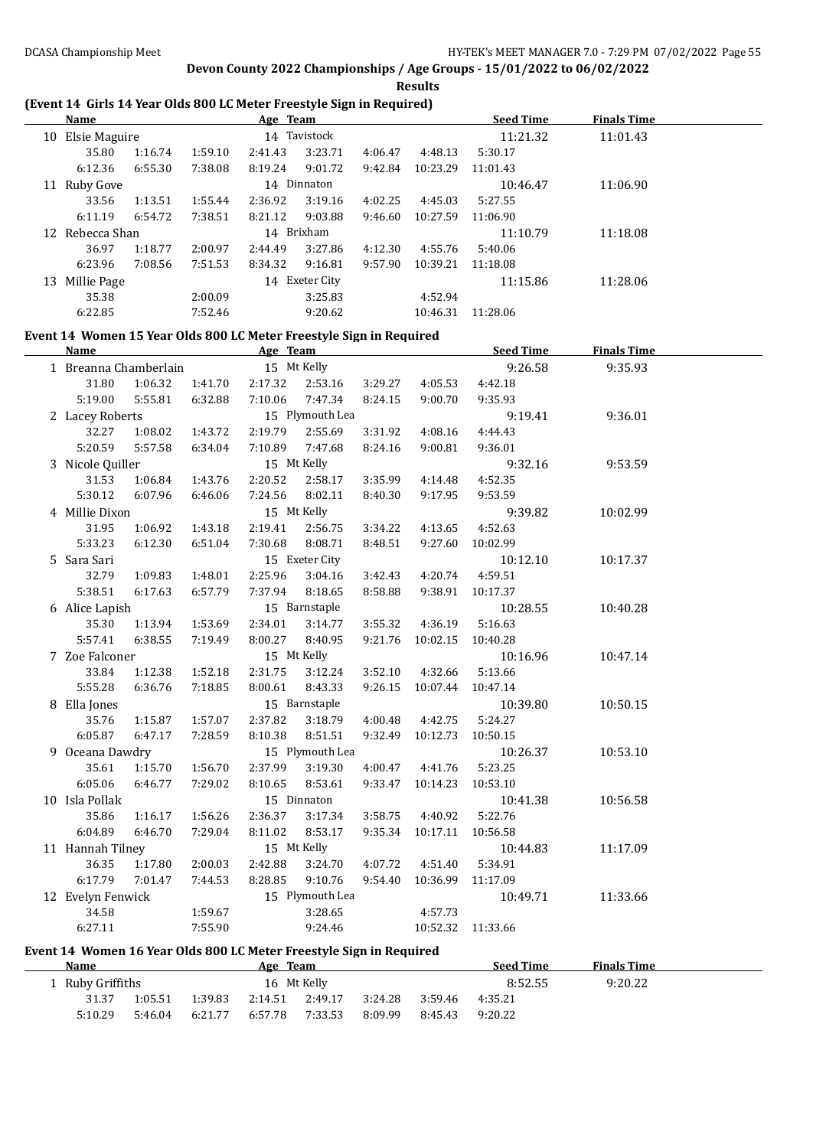**Results**

## **(Event 14 Girls 14 Year Olds 800 LC Meter Freestyle Sign in Required)**

|    | <b>Name</b>     |         |         | Age Team |                |         |          | <b>Seed Time</b> | <b>Finals Time</b> |  |
|----|-----------------|---------|---------|----------|----------------|---------|----------|------------------|--------------------|--|
| 10 | Elsie Maguire   |         |         |          | 14 Tavistock   |         |          | 11:21.32         | 11:01.43           |  |
|    | 35.80           | 1:16.74 | 1:59.10 | 2:41.43  | 3:23.71        | 4:06.47 | 4:48.13  | 5:30.17          |                    |  |
|    | 6:12.36         | 6:55.30 | 7:38.08 | 8:19.24  | 9:01.72        | 9:42.84 | 10:23.29 | 11:01.43         |                    |  |
| 11 | Ruby Gove       |         |         |          | 14 Dinnaton    |         |          | 10:46.47         | 11:06.90           |  |
|    | 33.56           | 1:13.51 | 1:55.44 | 2:36.92  | 3:19.16        | 4:02.25 | 4:45.03  | 5:27.55          |                    |  |
|    | 6:11.19         | 6:54.72 | 7:38.51 | 8:21.12  | 9:03.88        | 9:46.60 | 10:27.59 | 11:06.90         |                    |  |
|    | 12 Rebecca Shan |         |         |          | 14 Brixham     |         |          | 11:10.79         | 11:18.08           |  |
|    | 36.97           | 1:18.77 | 2:00.97 | 2:44.49  | 3:27.86        | 4:12.30 | 4:55.76  | 5:40.06          |                    |  |
|    | 6:23.96         | 7:08.56 | 7:51.53 | 8:34.32  | 9:16.81        | 9:57.90 | 10:39.21 | 11:18.08         |                    |  |
| 13 | Millie Page     |         |         |          | 14 Exeter City |         |          | 11:15.86         | 11:28.06           |  |
|    | 35.38           |         | 2:00.09 |          | 3:25.83        |         | 4:52.94  |                  |                    |  |
|    | 6:22.85         |         | 7:52.46 |          | 9:20.62        |         | 10:46.31 | 11:28.06         |                    |  |

#### **Event 14 Women 15 Year Olds 800 LC Meter Freestyle Sign in Required**

| <b>Name</b>           |         |         | Age Team |                 |         |          | <b>Seed Time</b> | <b>Finals Time</b> |  |
|-----------------------|---------|---------|----------|-----------------|---------|----------|------------------|--------------------|--|
| 1 Breanna Chamberlain |         |         |          | 15 Mt Kelly     |         |          | 9:26.58          | 9:35.93            |  |
| 31.80                 | 1:06.32 | 1:41.70 | 2:17.32  | 2:53.16         | 3:29.27 | 4:05.53  | 4:42.18          |                    |  |
| 5:19.00               | 5:55.81 | 6:32.88 | 7:10.06  | 7:47.34         | 8:24.15 | 9:00.70  | 9:35.93          |                    |  |
| 2 Lacey Roberts       |         |         |          | 15 Plymouth Lea |         |          | 9:19.41          | 9:36.01            |  |
| 32.27                 | 1:08.02 | 1:43.72 | 2:19.79  | 2:55.69         | 3:31.92 | 4:08.16  | 4:44.43          |                    |  |
| 5:20.59               | 5:57.58 | 6:34.04 | 7:10.89  | 7:47.68         | 8:24.16 | 9:00.81  | 9:36.01          |                    |  |
| 3 Nicole Quiller      |         |         |          | 15 Mt Kelly     |         |          | 9:32.16          | 9:53.59            |  |
| 31.53                 | 1:06.84 | 1:43.76 | 2:20.52  | 2:58.17         | 3:35.99 | 4:14.48  | 4:52.35          |                    |  |
| 5:30.12               | 6:07.96 | 6:46.06 | 7:24.56  | 8:02.11         | 8:40.30 | 9:17.95  | 9:53.59          |                    |  |
| 4 Millie Dixon        |         |         |          | 15 Mt Kelly     |         |          | 9:39.82          | 10:02.99           |  |
| 31.95                 | 1:06.92 | 1:43.18 | 2:19.41  | 2:56.75         | 3:34.22 | 4:13.65  | 4:52.63          |                    |  |
| 5:33.23               | 6:12.30 | 6:51.04 | 7:30.68  | 8:08.71         | 8:48.51 | 9:27.60  | 10:02.99         |                    |  |
| 5 Sara Sari           |         |         |          | 15 Exeter City  |         |          | 10:12.10         | 10:17.37           |  |
| 32.79                 | 1:09.83 | 1:48.01 | 2:25.96  | 3:04.16         | 3:42.43 | 4:20.74  | 4:59.51          |                    |  |
| 5:38.51               | 6:17.63 | 6:57.79 | 7:37.94  | 8:18.65         | 8:58.88 | 9:38.91  | 10:17.37         |                    |  |
| 6 Alice Lapish        |         |         |          | 15 Barnstaple   |         |          | 10:28.55         | 10:40.28           |  |
| 35.30                 | 1:13.94 | 1:53.69 | 2:34.01  | 3:14.77         | 3:55.32 | 4:36.19  | 5:16.63          |                    |  |
| 5:57.41               | 6:38.55 | 7:19.49 | 8:00.27  | 8:40.95         | 9:21.76 | 10:02.15 | 10:40.28         |                    |  |
| 7 Zoe Falconer        |         |         |          | 15 Mt Kelly     |         |          | 10:16.96         | 10:47.14           |  |
| 33.84                 | 1:12.38 | 1:52.18 | 2:31.75  | 3:12.24         | 3:52.10 | 4:32.66  | 5:13.66          |                    |  |
| 5:55.28               | 6:36.76 | 7:18.85 | 8:00.61  | 8:43.33         | 9:26.15 | 10:07.44 | 10:47.14         |                    |  |
| 8 Ella Jones          |         |         |          | 15 Barnstaple   |         |          | 10:39.80         | 10:50.15           |  |
| 35.76                 | 1:15.87 | 1:57.07 | 2:37.82  | 3:18.79         | 4:00.48 | 4:42.75  | 5:24.27          |                    |  |
| 6:05.87               | 6:47.17 | 7:28.59 | 8:10.38  | 8:51.51         | 9:32.49 | 10:12.73 | 10:50.15         |                    |  |
| 9 Oceana Dawdry       |         |         |          | 15 Plymouth Lea |         |          | 10:26.37         | 10:53.10           |  |
| 35.61                 | 1:15.70 | 1:56.70 | 2:37.99  | 3:19.30         | 4:00.47 | 4:41.76  | 5:23.25          |                    |  |
| 6:05.06               | 6:46.77 | 7:29.02 | 8:10.65  | 8:53.61         | 9:33.47 | 10:14.23 | 10:53.10         |                    |  |
| 10 Isla Pollak        |         |         |          | 15 Dinnaton     |         |          | 10:41.38         | 10:56.58           |  |
| 35.86                 | 1:16.17 | 1:56.26 | 2:36.37  | 3:17.34         | 3:58.75 | 4:40.92  | 5:22.76          |                    |  |
| 6:04.89               | 6:46.70 | 7:29.04 | 8:11.02  | 8:53.17         | 9:35.34 | 10:17.11 | 10:56.58         |                    |  |
| 11 Hannah Tilney      |         |         |          | 15 Mt Kelly     |         |          | 10:44.83         | 11:17.09           |  |
| 36.35                 | 1:17.80 | 2:00.03 | 2:42.88  | 3:24.70         | 4:07.72 | 4:51.40  | 5:34.91          |                    |  |
| 6:17.79               | 7:01.47 | 7:44.53 | 8:28.85  | 9:10.76         | 9:54.40 | 10:36.99 | 11:17.09         |                    |  |
| 12 Evelyn Fenwick     |         |         |          | 15 Plymouth Lea |         |          | 10:49.71         | 11:33.66           |  |
| 34.58                 |         | 1:59.67 |          | 3:28.65         |         | 4:57.73  |                  |                    |  |
| 6:27.11               |         | 7:55.90 |          | 9:24.46         |         | 10:52.32 | 11:33.66         |                    |  |

### **Event 14 Women 16 Year Olds 800 LC Meter Freestyle Sign in Required**

 $\overline{\phantom{a}}$ 

| <b>Name</b>    |         |         | Age Team |             |         |         | <b>Seed Time</b> | <b>Finals Time</b> |  |
|----------------|---------|---------|----------|-------------|---------|---------|------------------|--------------------|--|
| Ruby Griffiths |         |         |          | 16 Mt Kelly |         |         | 8:52.55          | 9:20.22            |  |
| 31.37          | 1:05.51 | 1:39.83 | 2:14.51  | 2:49.17     | 3:24.28 | 3:59.46 | 4:35.21          |                    |  |
| 5:10.29        | 5:46.04 | 6:21.77 | 6:57.78  | 7:33.53     | 8:09.99 | 8:45.43 | 9:20.22          |                    |  |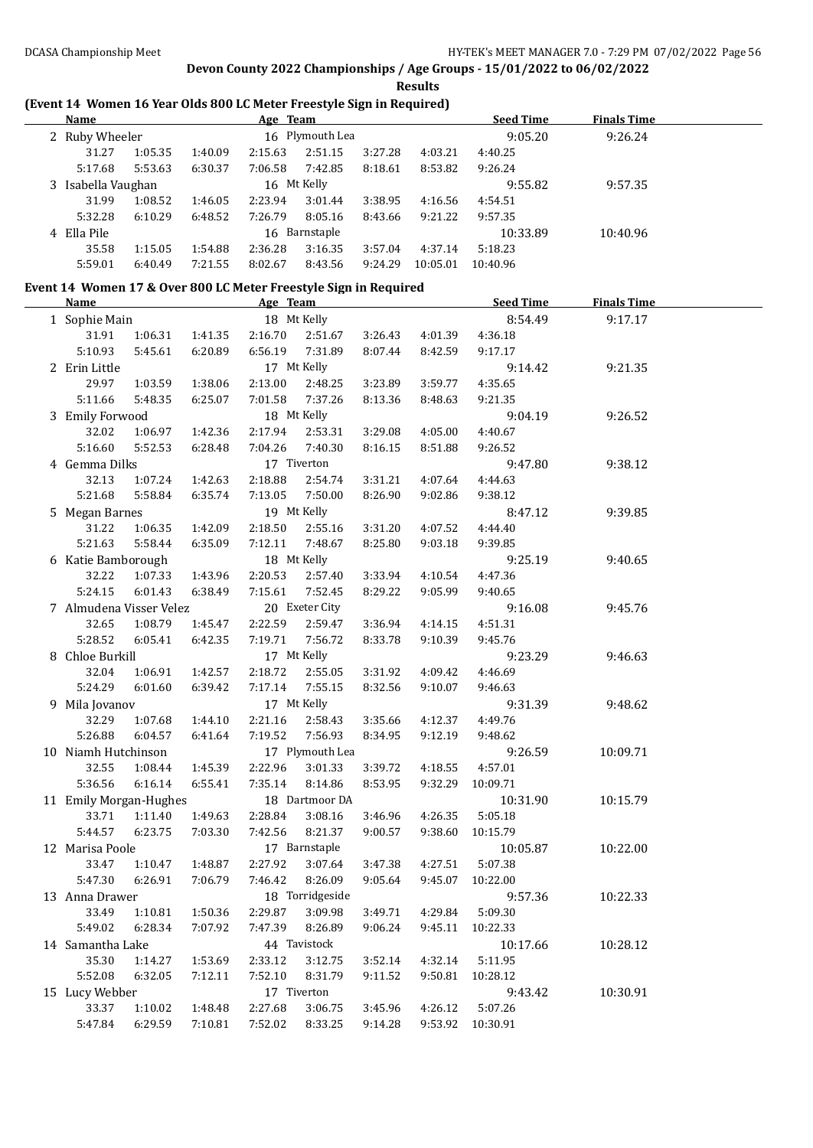**Results**

## **(Event 14 Women 16 Year Olds 800 LC Meter Freestyle Sign in Required)**

| Name               |         |         | Age Team |                 |         |          | <b>Seed Time</b> | <b>Finals Time</b> |  |
|--------------------|---------|---------|----------|-----------------|---------|----------|------------------|--------------------|--|
| 2 Ruby Wheeler     |         |         |          | 16 Plymouth Lea |         |          | 9:05.20          | 9:26.24            |  |
| 31.27              | 1:05.35 | 1:40.09 | 2:15.63  | 2:51.15         | 3:27.28 | 4:03.21  | 4:40.25          |                    |  |
| 5:17.68            | 5:53.63 | 6:30.37 | 7:06.58  | 7:42.85         | 8:18.61 | 8:53.82  | 9:26.24          |                    |  |
| 3 Isabella Vaughan |         |         |          | 16 Mt Kelly     |         |          | 9:55.82          | 9:57.35            |  |
| 31.99              | 1:08.52 | 1:46.05 | 2:23.94  | 3:01.44         | 3:38.95 | 4:16.56  | 4:54.51          |                    |  |
| 5:32.28            | 6:10.29 | 6:48.52 | 7:26.79  | 8:05.16         | 8:43.66 | 9:21.22  | 9:57.35          |                    |  |
| 4 Ella Pile        |         |         |          | 16 Barnstaple   |         |          | 10:33.89         | 10:40.96           |  |
| 35.58              | 1:15.05 | 1:54.88 | 2:36.28  | 3:16.35         | 3:57.04 | 4:37.14  | 5:18.23          |                    |  |
| 5:59.01            | 6:40.49 | 7:21.55 | 8:02.67  | 8:43.56         | 9:24.29 | 10:05.01 | 10:40.96         |                    |  |

# **Event 14 Women 17 & Over 800 LC Meter Freestyle Sign in Required**

| <b>Name</b>             |         |         | Age Team                                  |                 |                         |         | <b>Seed Time</b> | <b>Finals Time</b> |  |
|-------------------------|---------|---------|-------------------------------------------|-----------------|-------------------------|---------|------------------|--------------------|--|
| 1 Sophie Main           |         |         |                                           | 18 Mt Kelly     |                         |         | 8:54.49          | 9:17.17            |  |
| 31.91                   | 1:06.31 | 1:41.35 | 2:16.70                                   | 2:51.67         | 3:26.43                 | 4:01.39 | 4:36.18          |                    |  |
| 5:10.93                 | 5:45.61 | 6:20.89 | 6:56.19                                   | 7:31.89         | 8:07.44                 | 8:42.59 | 9:17.17          |                    |  |
| 2 Erin Little           |         |         | 17 Mt Kelly                               |                 |                         |         | 9:14.42          | 9:21.35            |  |
| 29.97                   | 1:03.59 | 1:38.06 | 2:13.00                                   | 2:48.25         | 3:23.89                 | 3:59.77 | 4:35.65          |                    |  |
| 5:11.66                 | 5:48.35 | 6:25.07 | 7:01.58                                   | 7:37.26         | 8:13.36                 | 8:48.63 | 9:21.35          |                    |  |
| 3 Emily Forwood         |         |         | 18 Mt Kelly                               |                 |                         |         | 9:04.19          | 9:26.52            |  |
| 32.02                   | 1:06.97 | 1:42.36 | 2:17.94                                   | 2:53.31         | 3:29.08                 | 4:05.00 | 4:40.67          |                    |  |
| 5:16.60                 | 5:52.53 | 6:28.48 | 7:04.26                                   | 7:40.30         | 8:16.15                 | 8:51.88 | 9:26.52          |                    |  |
| 4 Gemma Dilks           |         |         |                                           | 17 Tiverton     |                         |         | 9:47.80          | 9:38.12            |  |
| 32.13                   | 1:07.24 | 1:42.63 | 2:18.88                                   | 2:54.74         | 3:31.21                 | 4:07.64 | 4:44.63          |                    |  |
| 5:21.68                 | 5:58.84 | 6:35.74 | 7:13.05                                   | 7:50.00         | 8:26.90                 | 9:02.86 | 9:38.12          |                    |  |
| 5 Megan Barnes          |         |         | 19 Mt Kelly                               |                 |                         |         | 8:47.12          | 9:39.85            |  |
| 31.22                   | 1:06.35 | 1:42.09 | 2:18.50                                   | 2:55.16         | 3:31.20                 | 4:07.52 | 4:44.40          |                    |  |
| 5:21.63                 | 5:58.44 | 6:35.09 | 7:12.11                                   | 7:48.67         | 8:25.80                 | 9:03.18 | 9:39.85          |                    |  |
| 6 Katie Bamborough      |         |         | 18 Mt Kelly                               |                 |                         |         | 9:25.19          | 9:40.65            |  |
| 32.22                   | 1:07.33 | 1:43.96 | 2:20.53                                   | 2:57.40         | 3:33.94                 | 4:10.54 | 4:47.36          |                    |  |
| 5:24.15                 | 6:01.43 | 6:38.49 | 7:15.61                                   | 7:52.45         | 8:29.22                 | 9:05.99 | 9:40.65          |                    |  |
| 7 Almudena Visser Velez |         |         |                                           | 20 Exeter City  |                         |         | 9:16.08          | 9:45.76            |  |
| 32.65                   | 1:08.79 | 1:45.47 | 2:22.59                                   | 2:59.47         | 3:36.94                 | 4:14.15 | 4:51.31          |                    |  |
| 5:28.52                 | 6:05.41 | 6:42.35 | 7:19.71                                   | 7:56.72         | 8:33.78                 | 9:10.39 | 9:45.76          |                    |  |
| 8 Chloe Burkill         |         |         | 17 Mt Kelly                               |                 |                         |         | 9:23.29          | 9:46.63            |  |
| 32.04                   | 1:06.91 | 1:42.57 | 2:18.72                                   | 2:55.05         | 3:31.92                 | 4:09.42 | 4:46.69          |                    |  |
| 5:24.29                 | 6:01.60 | 6:39.42 | 7:17.14                                   | 7:55.15         | 8:32.56                 | 9:10.07 | 9:46.63          |                    |  |
| 9 Mila Jovanov          |         |         | 17 Mt Kelly                               |                 |                         |         | 9:31.39          | 9:48.62            |  |
| 32.29                   | 1:07.68 | 1:44.10 | 2:21.16                                   | 2:58.43         | 3:35.66                 | 4:12.37 | 4:49.76          |                    |  |
| 5:26.88                 | 6:04.57 | 6:41.64 | 7:19.52                                   | 7:56.93         | 8:34.95                 | 9:12.19 | 9:48.62          |                    |  |
| 10 Niamh Hutchinson     |         |         |                                           | 17 Plymouth Lea |                         |         | 9:26.59          | 10:09.71           |  |
| 32.55                   | 1:08.44 | 1:45.39 | 2:22.96                                   | 3:01.33         | 3:39.72                 | 4:18.55 | 4:57.01          |                    |  |
| 5:36.56                 | 6:16.14 | 6:55.41 | 7:35.14                                   | 8:14.86         | 8:53.95                 | 9:32.29 | 10:09.71         |                    |  |
| 11 Emily Morgan-Hughes  |         |         |                                           | 18 Dartmoor DA  |                         |         | 10:31.90         | 10:15.79           |  |
| 33.71                   | 1:11.40 | 1:49.63 | 2:28.84                                   | 3:08.16         | 3:46.96                 | 4:26.35 | 5:05.18          |                    |  |
| 5:44.57                 | 6:23.75 | 7:03.30 | 7:42.56                                   | 8:21.37         | 9:00.57                 | 9:38.60 | 10:15.79         |                    |  |
| 12 Marisa Poole         |         |         |                                           | 17 Barnstaple   |                         |         | 10:05.87         | 10:22.00           |  |
| 33.47                   | 1:10.47 | 1:48.87 | 2:27.92                                   | 3:07.64         | 3:47.38                 | 4:27.51 | 5:07.38          |                    |  |
| 5:47.30                 | 6:26.91 | 7:06.79 | 7:46.42                                   | 8:26.09         | 9:05.64                 | 9:45.07 | 10:22.00         |                    |  |
| 13 Anna Drawer          |         |         |                                           | 18 Torridgeside |                         |         | 9:57.36          | 10:22.33           |  |
|                         |         |         | 33.49  1:10.81  1:50.36  2:29.87  3:09.98 |                 | 3:49.71 4:29.84 5:09.30 |         |                  |                    |  |
| 5:49.02                 | 6:28.34 | 7:07.92 | 7:47.39                                   | 8:26.89         | 9:06.24                 | 9:45.11 | 10:22.33         |                    |  |
| 14 Samantha Lake        |         |         |                                           | 44 Tavistock    |                         |         | 10:17.66         | 10:28.12           |  |
| 35.30                   | 1:14.27 | 1:53.69 | 2:33.12                                   | 3:12.75         | 3:52.14                 | 4:32.14 | 5:11.95          |                    |  |
| 5:52.08                 | 6:32.05 | 7:12.11 | 7:52.10                                   | 8:31.79         | 9:11.52                 | 9:50.81 | 10:28.12         |                    |  |
| 15 Lucy Webber          |         |         |                                           | 17 Tiverton     |                         |         | 9:43.42          | 10:30.91           |  |
| 33.37                   | 1:10.02 | 1:48.48 | 2:27.68                                   | 3:06.75         | 3:45.96                 | 4:26.12 | 5:07.26          |                    |  |
| 5:47.84                 | 6:29.59 | 7:10.81 | 7:52.02                                   | 8:33.25         | 9:14.28                 | 9:53.92 | 10:30.91         |                    |  |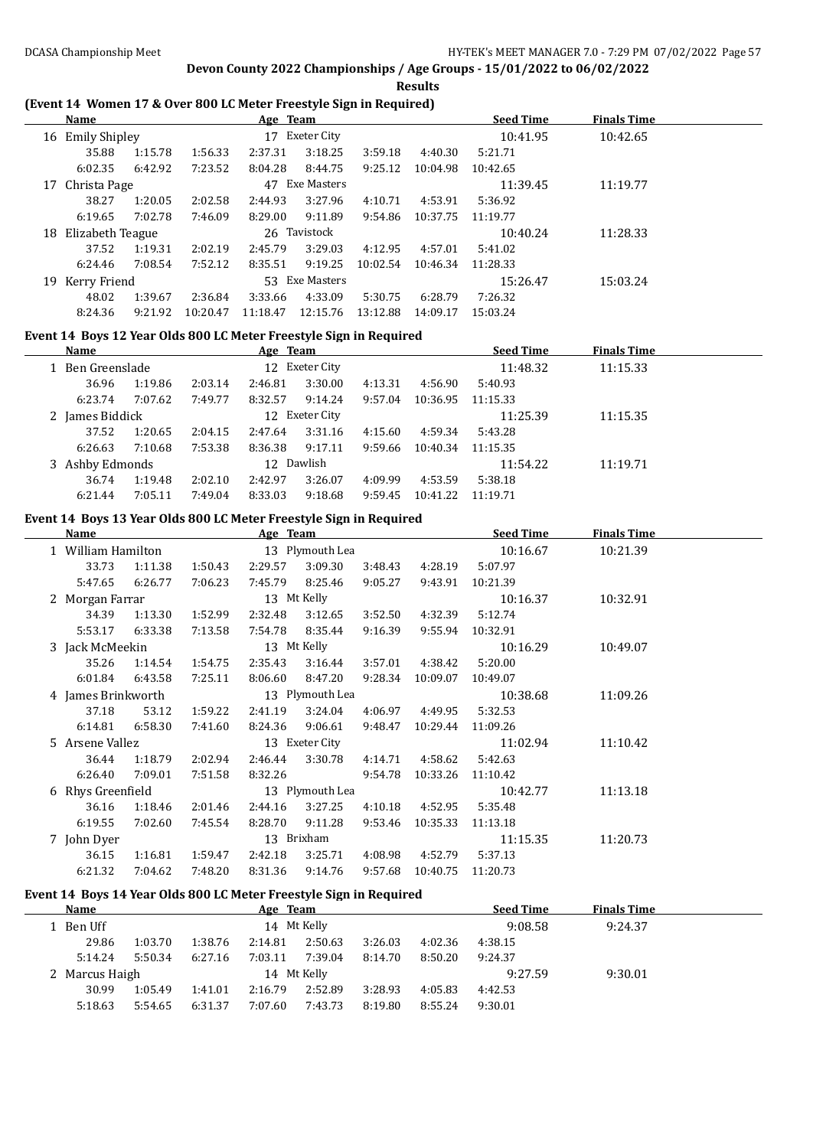**Results**

## **(Event 14 Women 17 & Over 800 LC Meter Freestyle Sign in Required)**

| <b>Name</b> |                  |         |          | Age Team |                |          |          | <b>Seed Time</b> | <b>Finals Time</b> |  |
|-------------|------------------|---------|----------|----------|----------------|----------|----------|------------------|--------------------|--|
| 16          | Emily Shipley    |         |          | 17       | Exeter City    |          |          | 10:41.95         | 10:42.65           |  |
|             | 35.88            | 1:15.78 | 1:56.33  | 2:37.31  | 3:18.25        | 3:59.18  | 4:40.30  | 5:21.71          |                    |  |
|             | 6:02.35          | 6:42.92 | 7:23.52  | 8:04.28  | 8:44.75        | 9:25.12  | 10:04.98 | 10:42.65         |                    |  |
|             | 17 Christa Page  |         |          | 47       | Exe Masters    |          |          | 11:39.45         | 11:19.77           |  |
|             | 38.27            | 1:20.05 | 2:02.58  | 2:44.93  | 3:27.96        | 4:10.71  | 4:53.91  | 5:36.92          |                    |  |
|             | 6:19.65          | 7:02.78 | 7:46.09  | 8:29.00  | 9:11.89        | 9:54.86  | 10:37.75 | 11:19.77         |                    |  |
| 18          | Elizabeth Teague |         |          |          | 26 Tavistock   |          |          | 10:40.24         | 11:28.33           |  |
|             | 37.52            | 1:19.31 | 2:02.19  | 2:45.79  | 3:29.03        | 4:12.95  | 4:57.01  | 5:41.02          |                    |  |
|             | 6:24.46          | 7:08.54 | 7:52.12  | 8:35.51  | 9:19.25        | 10:02.54 | 10:46.34 | 11:28.33         |                    |  |
| 19          | Kerry Friend     |         |          |          | 53 Exe Masters |          |          | 15:26.47         | 15:03.24           |  |
|             | 48.02            | 1:39.67 | 2:36.84  | 3:33.66  | 4:33.09        | 5:30.75  | 6:28.79  | 7:26.32          |                    |  |
|             | 8:24.36          | 9:21.92 | 10:20.47 | 11:18.47 | 12:15.76       | 13:12.88 | 14:09.17 | 15:03.24         |                    |  |

## **Event 14 Boys 12 Year Olds 800 LC Meter Freestyle Sign in Required**

| Name             |         |         | Age Team   |                |         |          | <b>Seed Time</b> | <b>Finals Time</b> |  |
|------------------|---------|---------|------------|----------------|---------|----------|------------------|--------------------|--|
| 1 Ben Greenslade |         |         |            | 12 Exeter City |         |          | 11:48.32         | 11:15.33           |  |
| 36.96            | 1:19.86 | 2:03.14 | 2:46.81    | 3:30.00        | 4:13.31 | 4:56.90  | 5:40.93          |                    |  |
| 6:23.74          | 7:07.62 | 7:49.77 | 8:32.57    | 9:14.24        | 9:57.04 | 10:36.95 | 11:15.33         |                    |  |
| 2 James Biddick  |         |         |            | 12 Exeter City |         |          | 11:25.39         | 11:15.35           |  |
| 37.52            | 1:20.65 | 2:04.15 | 2:47.64    | 3:31.16        | 4:15.60 | 4:59.34  | 5:43.28          |                    |  |
| 6:26.63          | 7:10.68 | 7:53.38 | 8:36.38    | 9:17.11        | 9:59.66 | 10:40.34 | 11:15.35         |                    |  |
| 3 Ashby Edmonds  |         |         | 12 Dawlish |                |         |          | 11:54.22         | 11:19.71           |  |
| 36.74            | 1:19.48 | 2:02.10 | 2:42.97    | 3:26.07        | 4:09.99 | 4:53.59  | 5:38.18          |                    |  |
| 6:21.44          | 7:05.11 | 7:49.04 | 8:33.03    | 9:18.68        | 9:59.45 | 10:41.22 | 11:19.71         |                    |  |
|                  |         |         |            |                |         |          |                  |                    |  |

## **Event 14 Boys 13 Year Olds 800 LC Meter Freestyle Sign in Required**

| Name                                  |         |         | Age Team |                 |         |          | <b>Seed Time</b> | <b>Finals Time</b> |  |
|---------------------------------------|---------|---------|----------|-----------------|---------|----------|------------------|--------------------|--|
| 13 Plymouth Lea<br>1 William Hamilton |         |         |          |                 |         |          | 10:16.67         | 10:21.39           |  |
| 33.73                                 | 1:11.38 | 1:50.43 | 2:29.57  | 3:09.30         | 3:48.43 | 4:28.19  | 5:07.97          |                    |  |
| 5:47.65                               | 6:26.77 | 7:06.23 | 7:45.79  | 8:25.46         | 9:05.27 | 9:43.91  | 10:21.39         |                    |  |
| 2 Morgan Farrar                       |         |         |          | 13 Mt Kelly     |         |          | 10:16.37         | 10:32.91           |  |
| 34.39                                 | 1:13.30 | 1:52.99 | 2:32.48  | 3:12.65         | 3:52.50 | 4:32.39  | 5:12.74          |                    |  |
| 5:53.17                               | 6:33.38 | 7:13.58 | 7:54.78  | 8:35.44         | 9:16.39 | 9:55.94  | 10:32.91         |                    |  |
| 3 Jack McMeekin                       |         |         |          | 13 Mt Kelly     |         |          | 10:16.29         | 10:49.07           |  |
| 35.26                                 | 1:14.54 | 1:54.75 | 2:35.43  | 3:16.44         | 3:57.01 | 4:38.42  | 5:20.00          |                    |  |
| 6:01.84                               | 6:43.58 | 7:25.11 | 8:06.60  | 8:47.20         | 9:28.34 | 10:09.07 | 10:49.07         |                    |  |
| 4 James Brinkworth                    |         |         |          | 13 Plymouth Lea |         |          | 10:38.68         | 11:09.26           |  |
| 37.18                                 | 53.12   | 1:59.22 | 2:41.19  | 3:24.04         | 4:06.97 | 4:49.95  | 5:32.53          |                    |  |
| 6:14.81                               | 6:58.30 | 7:41.60 | 8:24.36  | 9:06.61         | 9:48.47 | 10:29.44 | 11:09.26         |                    |  |
| 5 Arsene Vallez                       |         |         |          | 13 Exeter City  |         |          | 11:02.94         | 11:10.42           |  |
| 36.44                                 | 1:18.79 | 2:02.94 | 2:46.44  | 3:30.78         | 4:14.71 | 4:58.62  | 5:42.63          |                    |  |
| 6:26.40                               | 7:09.01 | 7:51.58 | 8:32.26  |                 | 9:54.78 | 10:33.26 | 11:10.42         |                    |  |
| 6 Rhys Greenfield                     |         |         |          | 13 Plymouth Lea |         |          | 10:42.77         | 11:13.18           |  |
| 36.16                                 | 1:18.46 | 2:01.46 | 2:44.16  | 3:27.25         | 4:10.18 | 4:52.95  | 5:35.48          |                    |  |
| 6:19.55                               | 7:02.60 | 7:45.54 | 8:28.70  | 9:11.28         | 9:53.46 | 10:35.33 | 11:13.18         |                    |  |
| 7 John Dyer                           |         |         |          | 13 Brixham      |         |          | 11:15.35         | 11:20.73           |  |
| 36.15                                 | 1:16.81 | 1:59.47 | 2:42.18  | 3:25.71         | 4:08.98 | 4:52.79  | 5:37.13          |                    |  |
| 6:21.32                               | 7:04.62 | 7:48.20 | 8:31.36  | 9:14.76         | 9:57.68 | 10:40.75 | 11:20.73         |                    |  |

## **Event 14 Boys 14 Year Olds 800 LC Meter Freestyle Sign in Required**

| Name           |         |         | Age Team |             |         |         | <b>Seed Time</b> | <b>Finals Time</b> |  |
|----------------|---------|---------|----------|-------------|---------|---------|------------------|--------------------|--|
| 1 Ben Uff      |         |         |          | 14 Mt Kelly |         |         | 9:08.58          | 9:24.37            |  |
| 29.86          | 1:03.70 | 1:38.76 | 2:14.81  | 2:50.63     | 3:26.03 | 4:02.36 | 4:38.15          |                    |  |
| 5:14.24        | 5:50.34 | 6:27.16 | 7:03.11  | 7:39.04     | 8:14.70 | 8:50.20 | 9:24.37          |                    |  |
| 2 Marcus Haigh |         |         |          | 14 Mt Kelly |         |         | 9:27.59          | 9:30.01            |  |
| 30.99          | 1:05.49 | 1:41.01 | 2:16.79  | 2:52.89     | 3:28.93 | 4:05.83 | 4:42.53          |                    |  |
| 5:18.63        | 5:54.65 | 6:31.37 | 7:07.60  | 7:43.73     | 8:19.80 | 8:55.24 | 9:30.01          |                    |  |
|                |         |         |          |             |         |         |                  |                    |  |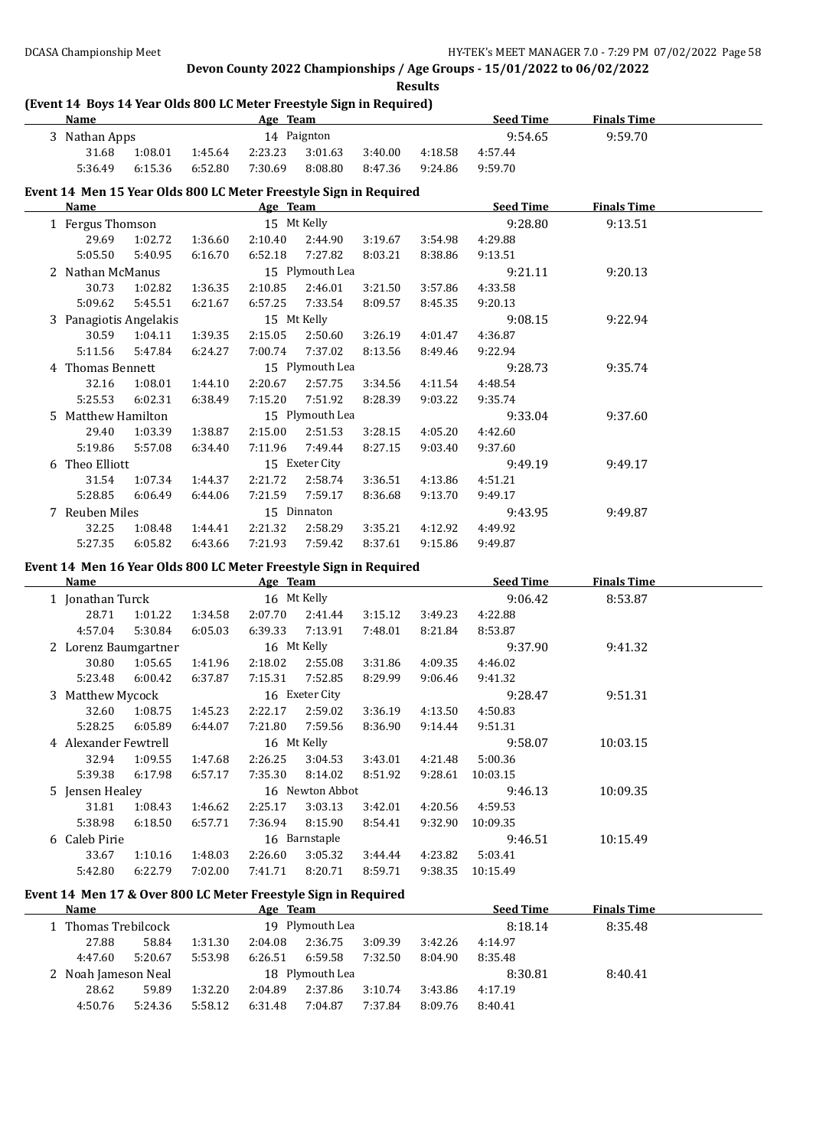**Results**

## **(Event 14 Boys 14 Year Olds 800 LC Meter Freestyle Sign in Required)**

| Name |                                                                   |         |         | Age Team |                 |         |         | <b>Seed Time</b> | <b>Finals Time</b> |  |
|------|-------------------------------------------------------------------|---------|---------|----------|-----------------|---------|---------|------------------|--------------------|--|
|      | 3 Nathan Apps                                                     |         |         |          | 14 Paignton     |         |         | 9:54.65          | 9:59.70            |  |
|      | 31.68                                                             | 1:08.01 | 1:45.64 | 2:23.23  | 3:01.63         | 3:40.00 | 4:18.58 | 4:57.44          |                    |  |
|      | 5:36.49                                                           | 6:15.36 | 6:52.80 | 7:30.69  | 8:08.80         | 8:47.36 | 9:24.86 | 9:59.70          |                    |  |
|      | Event 14 Men 15 Year Olds 800 LC Meter Freestyle Sign in Required |         |         |          |                 |         |         |                  |                    |  |
|      | <b>Name</b>                                                       |         |         | Age Team |                 |         |         | <b>Seed Time</b> | <b>Finals Time</b> |  |
|      | 1 Fergus Thomson                                                  |         |         |          | 15 Mt Kelly     |         |         | 9:28.80          | 9:13.51            |  |
|      | 29.69                                                             | 1:02.72 | 1:36.60 | 2:10.40  | 2:44.90         | 3:19.67 | 3:54.98 | 4:29.88          |                    |  |
|      | 5:05.50                                                           | 5:40.95 | 6:16.70 | 6:52.18  | 7:27.82         | 8:03.21 | 8:38.86 | 9:13.51          |                    |  |
|      | 2 Nathan McManus                                                  |         |         |          | 15 Plymouth Lea |         |         | 9:21.11          | 9:20.13            |  |

| 5:09.62                | 5:45.51 | 6:21.67 | 6:57.25     | 7:33.54         | 8:09.57 | 8:45.35 | 9:20.13 |         |
|------------------------|---------|---------|-------------|-----------------|---------|---------|---------|---------|
| 3 Panagiotis Angelakis |         |         | 15 Mt Kelly |                 |         |         | 9:08.15 | 9:22.94 |
| 30.59                  | 1:04.11 | 1:39.35 | 2:15.05     | 2:50.60         | 3:26.19 | 4:01.47 | 4:36.87 |         |
| 5:11.56                | 5:47.84 | 6:24.27 | 7:00.74     | 7:37.02         | 8:13.56 | 8:49.46 | 9:22.94 |         |
| 4 Thomas Bennett       |         |         |             | 15 Plymouth Lea |         |         | 9:28.73 | 9:35.74 |
| 32.16                  | 1:08.01 | 1:44.10 | 2:20.67     | 2:57.75         | 3:34.56 | 4:11.54 | 4:48.54 |         |
| 5:25.53                | 6:02.31 | 6:38.49 | 7:15.20     | 7:51.92         | 8:28.39 | 9:03.22 | 9:35.74 |         |
| 5 Matthew Hamilton     |         |         |             | 15 Plymouth Lea |         |         | 9:33.04 | 9:37.60 |
| 29.40                  | 1:03.39 | 1:38.87 | 2:15.00     | 2:51.53         | 3:28.15 | 4:05.20 | 4:42.60 |         |
| 5:19.86                | 5:57.08 | 6:34.40 | 7:11.96     | 7:49.44         | 8:27.15 | 9:03.40 | 9:37.60 |         |
| 6 Theo Elliott         |         |         |             | 15 Exeter City  |         |         | 9:49.19 | 9:49.17 |
| 31.54                  | 1:07.34 | 1:44.37 | 2:21.72     | 2:58.74         | 3:36.51 | 4:13.86 | 4:51.21 |         |
| 5:28.85                | 6:06.49 | 6:44.06 | 7:21.59     | 7:59.17         | 8:36.68 | 9:13.70 | 9:49.17 |         |
| 7 Reuben Miles         |         |         |             | 15 Dinnaton     |         |         | 9:43.95 | 9:49.87 |
| 32.25                  | 1:08.48 | 1:44.41 | 2:21.32     | 2:58.29         | 3:35.21 | 4:12.92 | 4:49.92 |         |
| 5:27.35                | 6:05.82 | 6:43.66 | 7:21.93     | 7:59.42         | 8:37.61 | 9:15.86 | 9:49.87 |         |

30.73 1:02.82 1:36.35 2:10.85 2:46.01 3:21.50 3:57.86 4:33.58

#### **Event 14 Men 16 Year Olds 800 LC Meter Freestyle Sign in Required**

| Name                 |         |         | Age Team |                 |         |         | <b>Seed Time</b> | <b>Finals Time</b> |  |
|----------------------|---------|---------|----------|-----------------|---------|---------|------------------|--------------------|--|
| 1 Jonathan Turck     |         |         |          | 16 Mt Kelly     |         |         | 9:06.42          | 8:53.87            |  |
| 28.71                | 1:01.22 | 1:34.58 | 2:07.70  | 2:41.44         | 3:15.12 | 3:49.23 | 4:22.88          |                    |  |
| 4:57.04              | 5:30.84 | 6:05.03 | 6:39.33  | 7:13.91         | 7:48.01 | 8:21.84 | 8:53.87          |                    |  |
| 2 Lorenz Baumgartner |         |         |          | 16 Mt Kelly     |         |         | 9:37.90          | 9:41.32            |  |
| 30.80                | 1:05.65 | 1:41.96 | 2:18.02  | 2:55.08         | 3:31.86 | 4:09.35 | 4:46.02          |                    |  |
| 5:23.48              | 6:00.42 | 6:37.87 | 7:15.31  | 7:52.85         | 8:29.99 | 9:06.46 | 9:41.32          |                    |  |
| 3 Matthew Mycock     |         |         |          | 16 Exeter City  |         |         | 9:28.47          | 9:51.31            |  |
| 32.60                | 1:08.75 | 1:45.23 | 2:22.17  | 2:59.02         | 3:36.19 | 4:13.50 | 4:50.83          |                    |  |
| 5:28.25              | 6:05.89 | 6:44.07 | 7:21.80  | 7:59.56         | 8:36.90 | 9:14.44 | 9:51.31          |                    |  |
| 4 Alexander Fewtrell |         |         |          | 16 Mt Kelly     |         |         | 9:58.07          | 10:03.15           |  |
| 32.94                | 1:09.55 | 1:47.68 | 2:26.25  | 3:04.53         | 3:43.01 | 4:21.48 | 5:00.36          |                    |  |
| 5:39.38              | 6:17.98 | 6:57.17 | 7:35.30  | 8:14.02         | 8:51.92 | 9:28.61 | 10:03.15         |                    |  |
| 5 Jensen Healey      |         |         |          | 16 Newton Abbot |         |         | 9:46.13          | 10:09.35           |  |
| 31.81                | 1:08.43 | 1:46.62 | 2:25.17  | 3:03.13         | 3:42.01 | 4:20.56 | 4:59.53          |                    |  |
| 5:38.98              | 6:18.50 | 6:57.71 | 7:36.94  | 8:15.90         | 8:54.41 | 9:32.90 | 10:09.35         |                    |  |
| 6 Caleb Pirie        |         |         |          | 16 Barnstaple   |         |         | 9:46.51          | 10:15.49           |  |
| 33.67                | 1:10.16 | 1:48.03 | 2:26.60  | 3:05.32         | 3:44.44 | 4:23.82 | 5:03.41          |                    |  |
| 5:42.80              | 6:22.79 | 7:02.00 | 7:41.71  | 8:20.71         | 8:59.71 | 9:38.35 | 10:15.49         |                    |  |

### **Event 14 Men 17 & Over 800 LC Meter Freestyle Sign in Required**

| Name    |                     |                 | Age Team |                 |         |         | <b>Seed Time</b> | <b>Finals Time</b> |  |
|---------|---------------------|-----------------|----------|-----------------|---------|---------|------------------|--------------------|--|
|         | 1 Thomas Trebilcock |                 |          | 19 Plymouth Lea |         |         | 8:18.14          | 8:35.48            |  |
| 27.88   | 58.84               | 1:31.30         | 2:04.08  | 2:36.75         | 3:09.39 | 3:42.26 | 4:14.97          |                    |  |
| 4:47.60 | 5:20.67             | 5:53.98         | 6:26.51  | 6:59.58         | 7:32.50 | 8:04.90 | 8:35.48          |                    |  |
|         | 2 Noah Jameson Neal | 18 Plymouth Lea |          |                 |         |         | 8:30.81          | 8:40.41            |  |
| 28.62   | 59.89               | 1:32.20         | 2:04.89  | 2:37.86         | 3:10.74 | 3:43.86 | 4:17.19          |                    |  |
| 4:50.76 | 5:24.36             | 5:58.12         | 6:31.48  | 7:04.87         | 7:37.84 | 8:09.76 | 8:40.41          |                    |  |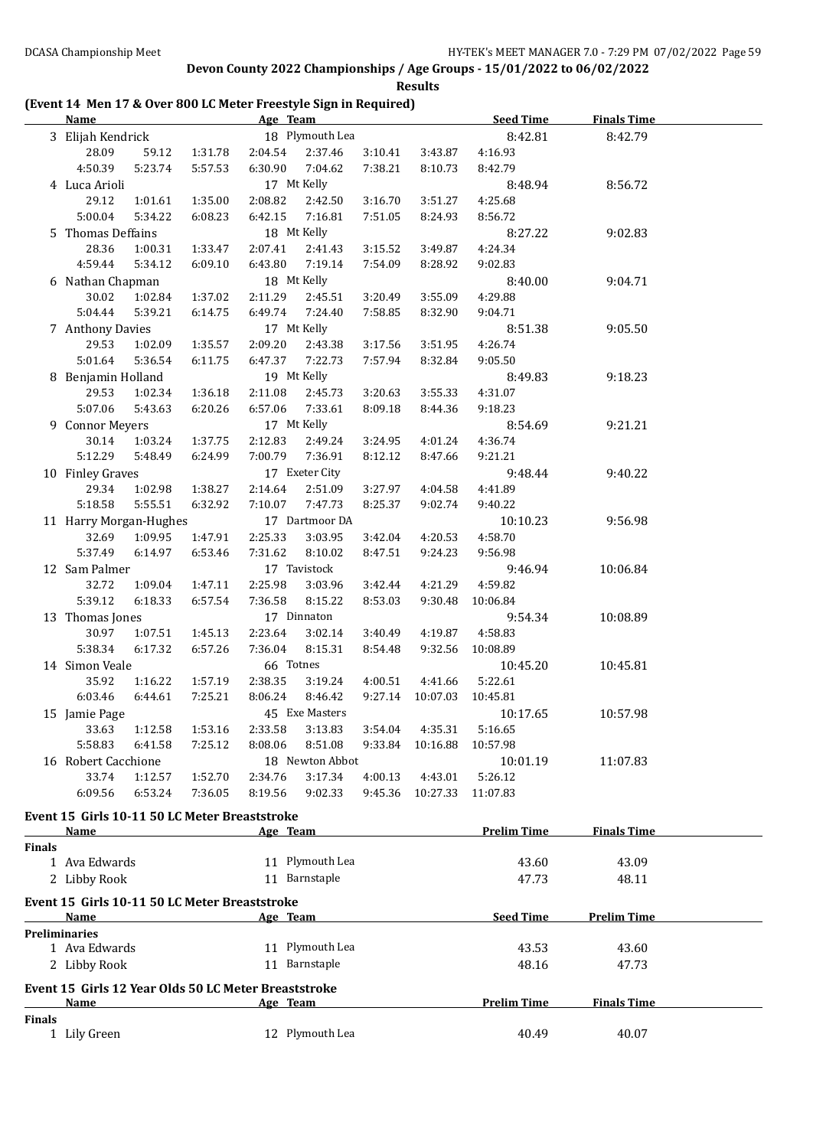**Results**

## **(Event 14 Men 17 & Over 800 LC Meter Freestyle Sign in Required)**

|        | <b>Name</b>                                                          |         |         | <b>Example 2018</b> The Superior Age Team <b>Age 2018</b> |         |                  | <b>Seed Time</b>   | <b>Finals Time</b> |  |
|--------|----------------------------------------------------------------------|---------|---------|-----------------------------------------------------------|---------|------------------|--------------------|--------------------|--|
|        | 3 Elijah Kendrick                                                    |         |         | 18 Plymouth Lea                                           |         |                  | 8:42.81            | 8:42.79            |  |
|        | 28.09<br>59.12                                                       | 1:31.78 | 2:04.54 | 2:37.46                                                   | 3:10.41 | 3:43.87          | 4:16.93            |                    |  |
|        | 4:50.39<br>5:23.74                                                   | 5:57.53 | 6:30.90 | 7:04.62                                                   | 7:38.21 | 8:10.73          | 8:42.79            |                    |  |
|        | 4 Luca Arioli                                                        |         |         | 17 Mt Kelly                                               |         |                  | 8:48.94            | 8:56.72            |  |
|        | 29.12<br>1:01.61                                                     | 1:35.00 | 2:08.82 | 2:42.50                                                   | 3:16.70 | 3:51.27          | 4:25.68            |                    |  |
|        | 5:00.04<br>5:34.22                                                   | 6:08.23 | 6:42.15 | 7:16.81                                                   | 7:51.05 | 8:24.93          | 8:56.72            |                    |  |
|        |                                                                      |         |         |                                                           |         |                  |                    |                    |  |
|        | 5 Thomas Deffains                                                    |         |         | 18 Mt Kelly                                               |         |                  | 8:27.22            | 9:02.83            |  |
|        | 28.36<br>1:00.31                                                     | 1:33.47 | 2:07.41 | 2:41.43                                                   | 3:15.52 | 3:49.87          | 4:24.34            |                    |  |
|        | 4:59.44<br>5:34.12                                                   | 6:09.10 | 6:43.80 | 7:19.14                                                   | 7:54.09 | 8:28.92          | 9:02.83            |                    |  |
|        | 6 Nathan Chapman                                                     |         |         | 18 Mt Kelly                                               |         |                  | 8:40.00            | 9:04.71            |  |
|        | 30.02<br>1:02.84                                                     | 1:37.02 | 2:11.29 | 2:45.51                                                   | 3:20.49 | 3:55.09          | 4:29.88            |                    |  |
|        | 5:04.44<br>5:39.21                                                   | 6:14.75 | 6:49.74 | 7:24.40                                                   | 7:58.85 | 8:32.90          | 9:04.71            |                    |  |
|        | 7 Anthony Davies                                                     |         |         | 17 Mt Kelly                                               |         |                  | 8:51.38            | 9:05.50            |  |
|        | 29.53<br>1:02.09                                                     | 1:35.57 | 2:09.20 | 2:43.38                                                   | 3:17.56 | 3:51.95          | 4:26.74            |                    |  |
|        | 5:01.64<br>5:36.54                                                   | 6:11.75 | 6:47.37 | 7:22.73                                                   | 7:57.94 | 8:32.84          | 9:05.50            |                    |  |
|        | 8 Benjamin Holland                                                   |         |         | 19 Mt Kelly                                               |         |                  | 8:49.83            | 9:18.23            |  |
|        | 29.53<br>1:02.34                                                     | 1:36.18 | 2:11.08 | 2:45.73                                                   | 3:20.63 | 3:55.33          | 4:31.07            |                    |  |
|        | 5:07.06<br>5:43.63                                                   | 6:20.26 | 6:57.06 | 7:33.61                                                   | 8:09.18 | 8:44.36          | 9:18.23            |                    |  |
|        | 9 Connor Meyers                                                      |         |         | 17 Mt Kelly                                               |         |                  | 8:54.69            | 9:21.21            |  |
|        | 30.14<br>1:03.24                                                     | 1:37.75 | 2:12.83 | 2:49.24                                                   | 3:24.95 | 4:01.24          | 4:36.74            |                    |  |
|        | 5:12.29<br>5:48.49                                                   | 6:24.99 | 7:00.79 | 7:36.91                                                   | 8:12.12 | 8:47.66          | 9:21.21            |                    |  |
|        | 10 Finley Graves                                                     |         |         | 17 Exeter City                                            |         |                  | 9:48.44            | 9:40.22            |  |
|        | 29.34<br>1:02.98                                                     | 1:38.27 | 2:14.64 | 2:51.09                                                   | 3:27.97 | 4:04.58          | 4:41.89            |                    |  |
|        | 5:18.58<br>5:55.51                                                   | 6:32.92 | 7:10.07 | 7:47.73                                                   | 8:25.37 | 9:02.74          | 9:40.22            |                    |  |
|        | 11 Harry Morgan-Hughes                                               |         |         | 17 Dartmoor DA                                            |         |                  | 10:10.23           | 9:56.98            |  |
|        | 32.69<br>1:09.95                                                     | 1:47.91 | 2:25.33 | 3:03.95                                                   | 3:42.04 | 4:20.53          | 4:58.70            |                    |  |
|        | 5:37.49<br>6:14.97                                                   | 6:53.46 | 7:31.62 | 8:10.02                                                   | 8:47.51 | 9:24.23          | 9:56.98            |                    |  |
|        | 12 Sam Palmer                                                        |         |         | 17 Tavistock                                              |         |                  | 9:46.94            | 10:06.84           |  |
|        | 32.72<br>1:09.04                                                     | 1:47.11 | 2:25.98 | 3:03.96                                                   | 3:42.44 | 4:21.29          | 4:59.82            |                    |  |
|        | 5:39.12<br>6:18.33                                                   | 6:57.54 | 7:36.58 | 8:15.22                                                   | 8:53.03 | 9:30.48          | 10:06.84           |                    |  |
|        | 13 Thomas Jones                                                      |         |         | 17 Dinnaton                                               |         |                  | 9:54.34            | 10:08.89           |  |
|        | 30.97<br>1:07.51                                                     | 1:45.13 | 2:23.64 | 3:02.14                                                   | 3:40.49 | 4:19.87          | 4:58.83            |                    |  |
|        | 5:38.34<br>6:17.32                                                   | 6:57.26 | 7:36.04 | 8:15.31                                                   | 8:54.48 | 9:32.56          | 10:08.89           |                    |  |
|        | 14 Simon Veale                                                       |         |         | 66 Totnes                                                 |         |                  | 10:45.20           | 10:45.81           |  |
|        | 35.92<br>1:16.22                                                     | 1:57.19 | 2:38.35 | 3:19.24                                                   | 4:00.51 | 4:41.66          | 5:22.61            |                    |  |
|        | 6:03.46<br>6:44.61                                                   | 7:25.21 | 8:06.24 | 8:46.42                                                   |         | 9:27.14 10:07.03 | 10:45.81           |                    |  |
|        | 15 Jamie Page                                                        |         |         | 45 Exe Masters                                            |         |                  | 10:17.65           | 10:57.98           |  |
|        | 33.63  1:12.58  1:53.16  2:33.58  3:13.83  3:54.04  4:35.31  5:16.65 |         |         |                                                           |         |                  |                    |                    |  |
|        | 5:58.83<br>6:41.58                                                   | 7:25.12 | 8:08.06 | 8:51.08                                                   | 9:33.84 | 10:16.88         | 10:57.98           |                    |  |
|        | 16 Robert Cacchione                                                  |         |         | 18 Newton Abbot                                           |         |                  | 10:01.19           | 11:07.83           |  |
|        | 33.74<br>1:12.57                                                     | 1:52.70 | 2:34.76 | 3:17.34                                                   | 4:00.13 | 4:43.01          | 5:26.12            |                    |  |
|        | 6:53.24<br>6:09.56                                                   | 7:36.05 | 8:19.56 | 9:02.33                                                   | 9:45.36 | 10:27.33         | 11:07.83           |                    |  |
|        |                                                                      |         |         |                                                           |         |                  |                    |                    |  |
|        | Event 15 Girls 10-11 50 LC Meter Breaststroke                        |         |         |                                                           |         |                  |                    |                    |  |
|        | Name                                                                 |         |         | Age Team                                                  |         |                  | <b>Prelim Time</b> | <b>Finals Time</b> |  |
| Finals |                                                                      |         |         |                                                           |         |                  |                    |                    |  |
|        | 1 Ava Edwards                                                        |         |         | 11 Plymouth Lea                                           |         |                  | 43.60              | 43.09              |  |
|        | 2 Libby Rook                                                         |         |         | 11 Barnstaple                                             |         |                  | 47.73              | 48.11              |  |
|        | Event 15 Girls 10-11 50 LC Meter Breaststroke                        |         |         |                                                           |         |                  |                    |                    |  |
|        | Name                                                                 |         |         | Age Team                                                  |         |                  | <b>Seed Time</b>   | <b>Prelim Time</b> |  |
|        | <b>Preliminaries</b>                                                 |         |         |                                                           |         |                  |                    |                    |  |
|        | 1 Ava Edwards                                                        |         |         | 11 Plymouth Lea                                           |         |                  | 43.53              | 43.60              |  |
|        | 2 Libby Rook                                                         |         |         | 11 Barnstaple                                             |         |                  | 48.16              | 47.73              |  |
|        |                                                                      |         |         |                                                           |         |                  |                    |                    |  |
|        | Event 15 Girls 12 Year Olds 50 LC Meter Breaststroke<br>Name         |         |         | Age Team                                                  |         |                  | <b>Prelim Time</b> | <b>Finals Time</b> |  |
| Finals |                                                                      |         |         |                                                           |         |                  |                    |                    |  |
|        | 1 Lily Green                                                         |         |         | 12 Plymouth Lea                                           |         |                  | 40.49              | 40.07              |  |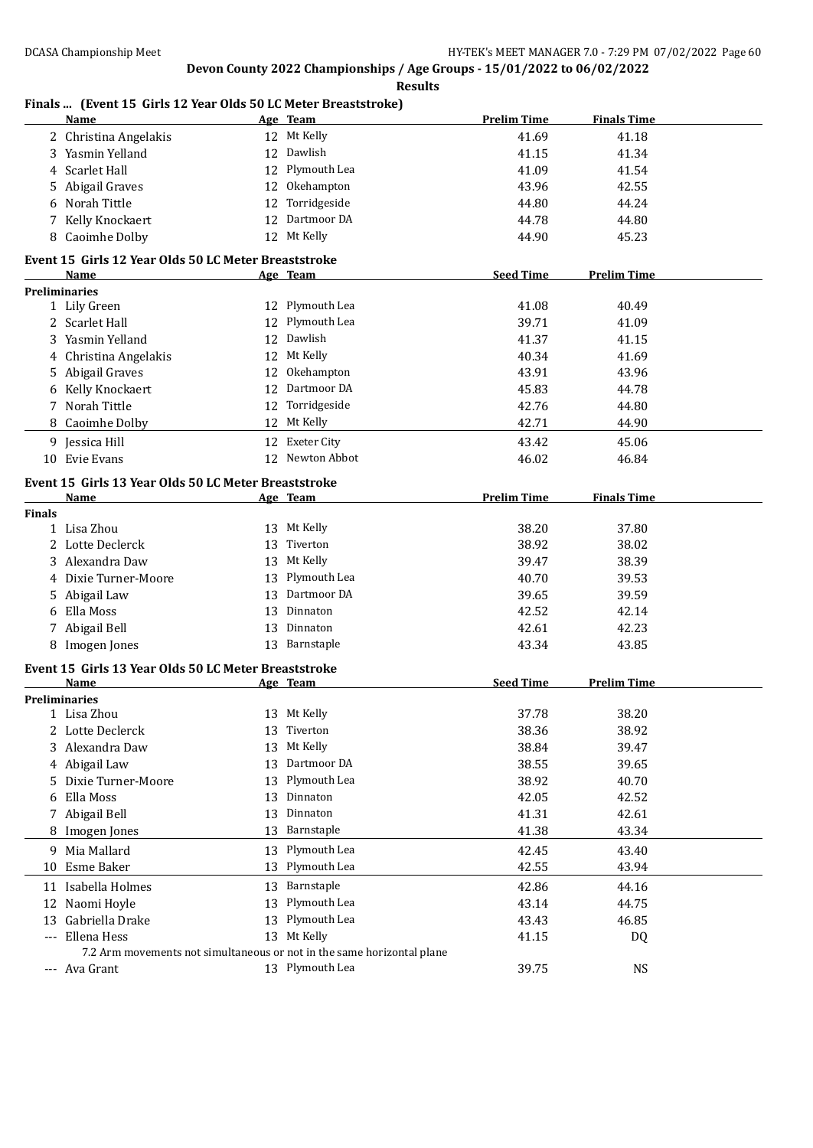|               | Finals  (Event 15 Girls 12 Year Olds 50 LC Meter Breaststroke)<br><b>Name</b> |    | Age Team        | <b>Prelim Time</b> | <b>Finals Time</b> |  |
|---------------|-------------------------------------------------------------------------------|----|-----------------|--------------------|--------------------|--|
|               | 2 Christina Angelakis                                                         |    | 12 Mt Kelly     | 41.69              | 41.18              |  |
|               | 3 Yasmin Yelland                                                              |    | 12 Dawlish      | 41.15              | 41.34              |  |
| 4             | Scarlet Hall                                                                  |    | 12 Plymouth Lea | 41.09              | 41.54              |  |
| 5             | Abigail Graves                                                                |    | 12 Okehampton   | 43.96              | 42.55              |  |
| 6             | Norah Tittle                                                                  |    | 12 Torridgeside | 44.80              | 44.24              |  |
| 7             | Kelly Knockaert                                                               |    | 12 Dartmoor DA  | 44.78              | 44.80              |  |
|               | 8 Caoimhe Dolby                                                               |    | 12 Mt Kelly     | 44.90              | 45.23              |  |
|               |                                                                               |    |                 |                    |                    |  |
|               | Event 15 Girls 12 Year Olds 50 LC Meter Breaststroke<br>Name                  |    | Age Team        | <b>Seed Time</b>   | <b>Prelim Time</b> |  |
|               | <b>Preliminaries</b>                                                          |    |                 |                    |                    |  |
|               | 1 Lily Green                                                                  |    | 12 Plymouth Lea | 41.08              | 40.49              |  |
|               | 2 Scarlet Hall                                                                |    | 12 Plymouth Lea | 39.71              | 41.09              |  |
|               | 3 Yasmin Yelland                                                              |    | 12 Dawlish      | 41.37              | 41.15              |  |
| 4             | Christina Angelakis                                                           |    | 12 Mt Kelly     | 40.34              | 41.69              |  |
|               | Abigail Graves                                                                |    | 12 Okehampton   | 43.91              | 43.96              |  |
| 5             | Kelly Knockaert                                                               |    | 12 Dartmoor DA  | 45.83              | 44.78              |  |
| 6             | 7 Norah Tittle                                                                |    | 12 Torridgeside |                    |                    |  |
|               |                                                                               |    |                 | 42.76              | 44.80              |  |
| 8             | Caoimhe Dolby                                                                 |    | 12 Mt Kelly     | 42.71              | 44.90              |  |
| 9             | Jessica Hill                                                                  |    | 12 Exeter City  | 43.42              | 45.06              |  |
|               | 10 Evie Evans                                                                 |    | 12 Newton Abbot | 46.02              | 46.84              |  |
|               | Event 15 Girls 13 Year Olds 50 LC Meter Breaststroke                          |    |                 |                    |                    |  |
|               | <b>Name</b>                                                                   |    | Age Team        | <b>Prelim Time</b> | <b>Finals Time</b> |  |
| <b>Finals</b> |                                                                               |    |                 |                    |                    |  |
|               | 1 Lisa Zhou                                                                   |    | 13 Mt Kelly     | 38.20              | 37.80              |  |
|               | 2 Lotte Declerck                                                              | 13 | Tiverton        | 38.92              | 38.02              |  |
|               | 3 Alexandra Daw                                                               |    | 13 Mt Kelly     | 39.47              | 38.39              |  |
| 4             | Dixie Turner-Moore                                                            | 13 | Plymouth Lea    | 40.70              | 39.53              |  |
| 5.            | Abigail Law                                                                   | 13 | Dartmoor DA     | 39.65              | 39.59              |  |
| 6             | Ella Moss                                                                     | 13 | Dinnaton        | 42.52              | 42.14              |  |
|               | 7 Abigail Bell                                                                | 13 | Dinnaton        | 42.61              | 42.23              |  |
|               | 8 Imogen Jones                                                                |    | 13 Barnstaple   | 43.34              | 43.85              |  |
|               | Event 15 Girls 13 Year Olds 50 LC Meter Breaststroke                          |    |                 |                    |                    |  |
|               | <b>Name</b>                                                                   |    | Age Team        | <b>Seed Time</b>   | <b>Prelim Time</b> |  |
|               | <b>Preliminaries</b>                                                          |    |                 |                    |                    |  |
|               | 1 Lisa Zhou                                                                   |    | 13 Mt Kelly     | 37.78              | 38.20              |  |
| 2             | Lotte Declerck                                                                | 13 | Tiverton        | 38.36              | 38.92              |  |
| 3             | Alexandra Daw                                                                 | 13 | Mt Kelly        | 38.84              | 39.47              |  |
| 4             | Abigail Law                                                                   | 13 | Dartmoor DA     | 38.55              | 39.65              |  |
| 5             | Dixie Turner-Moore                                                            | 13 | Plymouth Lea    | 38.92              | 40.70              |  |
| 6             | Ella Moss                                                                     | 13 | Dinnaton        | 42.05              | 42.52              |  |
| 7             | Abigail Bell                                                                  | 13 | Dinnaton        | 41.31              | 42.61              |  |
|               | 8 Imogen Jones                                                                | 13 | Barnstaple      | 41.38              | 43.34              |  |
| 9             | Mia Mallard                                                                   | 13 | Plymouth Lea    | 42.45              | 43.40              |  |
| 10            | Esme Baker                                                                    | 13 | Plymouth Lea    | 42.55              | 43.94              |  |
|               |                                                                               |    |                 |                    |                    |  |
| 11            | Isabella Holmes                                                               | 13 | Barnstaple      | 42.86              | 44.16              |  |
| 12            | Naomi Hoyle                                                                   | 13 | Plymouth Lea    | 43.14              | 44.75              |  |
| 13            | Gabriella Drake                                                               | 13 | Plymouth Lea    | 43.43              | 46.85              |  |
| $\cdots$      | Ellena Hess                                                                   |    | 13 Mt Kelly     | 41.15              | DQ                 |  |
|               | 7.2 Arm movements not simultaneous or not in the same horizontal plane        |    |                 |                    |                    |  |
|               | --- Ava Grant                                                                 |    | 13 Plymouth Lea | 39.75              | NS                 |  |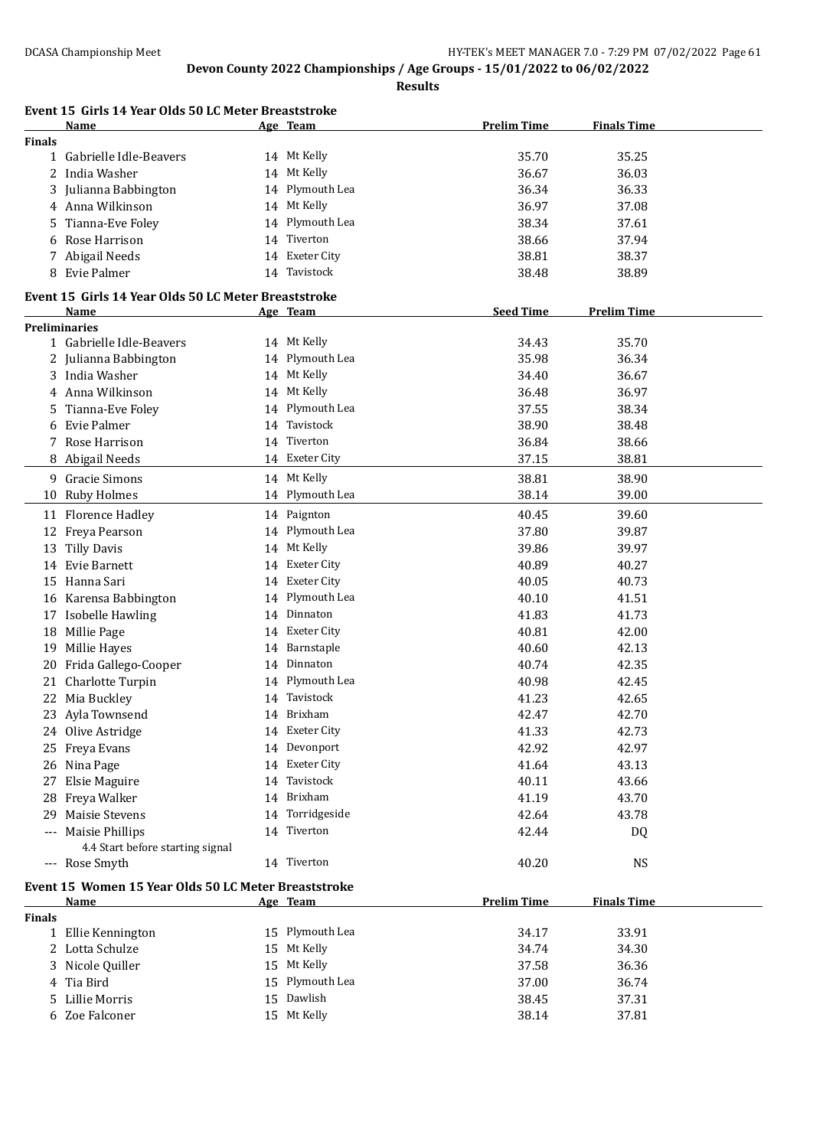**Results**

|                     | Event 15 Girls 14 Year Olds 50 LC Meter Breaststroke<br>Name |    | Age Team               | <b>Prelim Time</b> | <b>Finals Time</b> |  |
|---------------------|--------------------------------------------------------------|----|------------------------|--------------------|--------------------|--|
| <b>Finals</b>       |                                                              |    |                        |                    |                    |  |
|                     | 1 Gabrielle Idle-Beavers                                     |    | 14 Mt Kelly            | 35.70              | 35.25              |  |
| 2                   | India Washer                                                 |    | 14 Mt Kelly            | 36.67              | 36.03              |  |
|                     | Julianna Babbington                                          |    | 14 Plymouth Lea        | 36.34              | 36.33              |  |
| 4                   | Anna Wilkinson                                               |    | 14 Mt Kelly            | 36.97              | 37.08              |  |
| 5                   | Tianna-Eve Foley                                             |    | 14 Plymouth Lea        | 38.34              | 37.61              |  |
| 6                   | Rose Harrison                                                | 14 | Tiverton               | 38.66              | 37.94              |  |
| 7                   | Abigail Needs                                                | 14 | Exeter City            | 38.81              | 38.37              |  |
|                     | 8 Evie Palmer                                                |    | 14 Tavistock           | 38.48              | 38.89              |  |
|                     |                                                              |    |                        |                    |                    |  |
|                     | Event 15 Girls 14 Year Olds 50 LC Meter Breaststroke         |    |                        |                    |                    |  |
|                     | Name                                                         |    | Age Team               | <b>Seed Time</b>   | <b>Prelim Time</b> |  |
|                     | <b>Preliminaries</b>                                         |    |                        |                    |                    |  |
|                     | 1 Gabrielle Idle-Beavers                                     |    | 14 Mt Kelly            | 34.43              | 35.70              |  |
|                     | 2 Julianna Babbington                                        |    | 14 Plymouth Lea        | 35.98              | 36.34              |  |
|                     | 3 India Washer                                               |    | 14 Mt Kelly            | 34.40              | 36.67              |  |
| 4                   | Anna Wilkinson                                               |    | 14 Mt Kelly            | 36.48              | 36.97              |  |
| 5.                  | Tianna-Eve Foley                                             |    | 14 Plymouth Lea        | 37.55              | 38.34              |  |
|                     | 6 Evie Palmer                                                |    | 14 Tavistock           | 38.90              | 38.48              |  |
| 7                   | Rose Harrison                                                |    | 14 Tiverton            | 36.84              | 38.66              |  |
|                     | 8 Abigail Needs                                              |    | 14 Exeter City         | 37.15              | 38.81              |  |
|                     | 9 Gracie Simons                                              |    | 14 Mt Kelly            | 38.81              | 38.90              |  |
|                     | 10 Ruby Holmes                                               |    | 14 Plymouth Lea        | 38.14              | 39.00              |  |
|                     | 11 Florence Hadley                                           |    | 14 Paignton            | 40.45              | 39.60              |  |
| 12                  | Freya Pearson                                                |    | 14 Plymouth Lea        | 37.80              | 39.87              |  |
| 13                  | <b>Tilly Davis</b>                                           | 14 | Mt Kelly               | 39.86              | 39.97              |  |
| 14                  | <b>Evie Barnett</b>                                          | 14 | <b>Exeter City</b>     | 40.89              | 40.27              |  |
| 15                  | Hanna Sari                                                   | 14 | <b>Exeter City</b>     | 40.05              | 40.73              |  |
|                     | 16 Karensa Babbington                                        | 14 | Plymouth Lea           | 40.10              | 41.51              |  |
| 17                  | <b>Isobelle Hawling</b>                                      | 14 | Dinnaton               | 41.83              | 41.73              |  |
| 18                  | Millie Page                                                  | 14 | Exeter City            | 40.81              | 42.00              |  |
| 19                  | Millie Hayes                                                 |    | 14 Barnstaple          | 40.60              | 42.13              |  |
|                     | 20 Frida Gallego-Cooper                                      | 14 | Dinnaton               | 40.74              | 42.35              |  |
|                     | 21 Charlotte Turpin                                          |    | 14 Plymouth Lea        | 40.98              | 42.45              |  |
|                     | 22 Mia Buckley                                               |    | 14 Tavistock           | 41.23              | 42.65              |  |
|                     | 23 Ayla Townsend                                             |    | 14 Brixham             | 42.47              | 42.70              |  |
|                     | 24 Olive Astridge                                            |    | 14 Exeter City         | 41.33              | 42.73              |  |
|                     | 25 Freya Evans                                               |    | 14 Devonport           | 42.92              | 42.97              |  |
|                     | 26 Nina Page                                                 | 14 | Exeter City            | 41.64              | 43.13              |  |
| 27                  | Elsie Maguire                                                |    | 14 Tavistock           | 40.11              | 43.66              |  |
| 28                  | Freya Walker                                                 |    | 14 Brixham             | 41.19              | 43.70              |  |
| 29                  | Maisie Stevens                                               |    | 14 Torridgeside        | 42.64              | 43.78              |  |
| $\qquad \qquad - -$ | <b>Maisie Phillips</b>                                       |    | 14 Tiverton            | 42.44              | DQ                 |  |
|                     | 4.4 Start before starting signal                             |    |                        |                    |                    |  |
|                     | --- Rose Smyth                                               |    | 14 Tiverton            | 40.20              | <b>NS</b>          |  |
|                     | Event 15 Women 15 Year Olds 50 LC Meter Breaststroke         |    |                        |                    |                    |  |
|                     | Name                                                         |    | Age Team               | <b>Prelim Time</b> | <b>Finals Time</b> |  |
| <b>Finals</b>       |                                                              |    |                        |                    |                    |  |
|                     | 1 Ellie Kennington                                           |    | 15 Plymouth Lea        | 34.17              | 33.91              |  |
|                     | 2 Lotta Schulze                                              |    | 15 Mt Kelly            | 34.74              | 34.30              |  |
| 3                   | Nicole Quiller                                               |    | 15 Mt Kelly            | 37.58              | 36.36              |  |
| 4                   | Tia Bird                                                     | 15 | Plymouth Lea           | 37.00              | 36.74              |  |
| 5                   | Lillie Morris<br>6 Zoe Falconer                              | 15 | Dawlish<br>15 Mt Kelly | 38.45              | 37.31              |  |
|                     |                                                              |    |                        | 38.14              | 37.81              |  |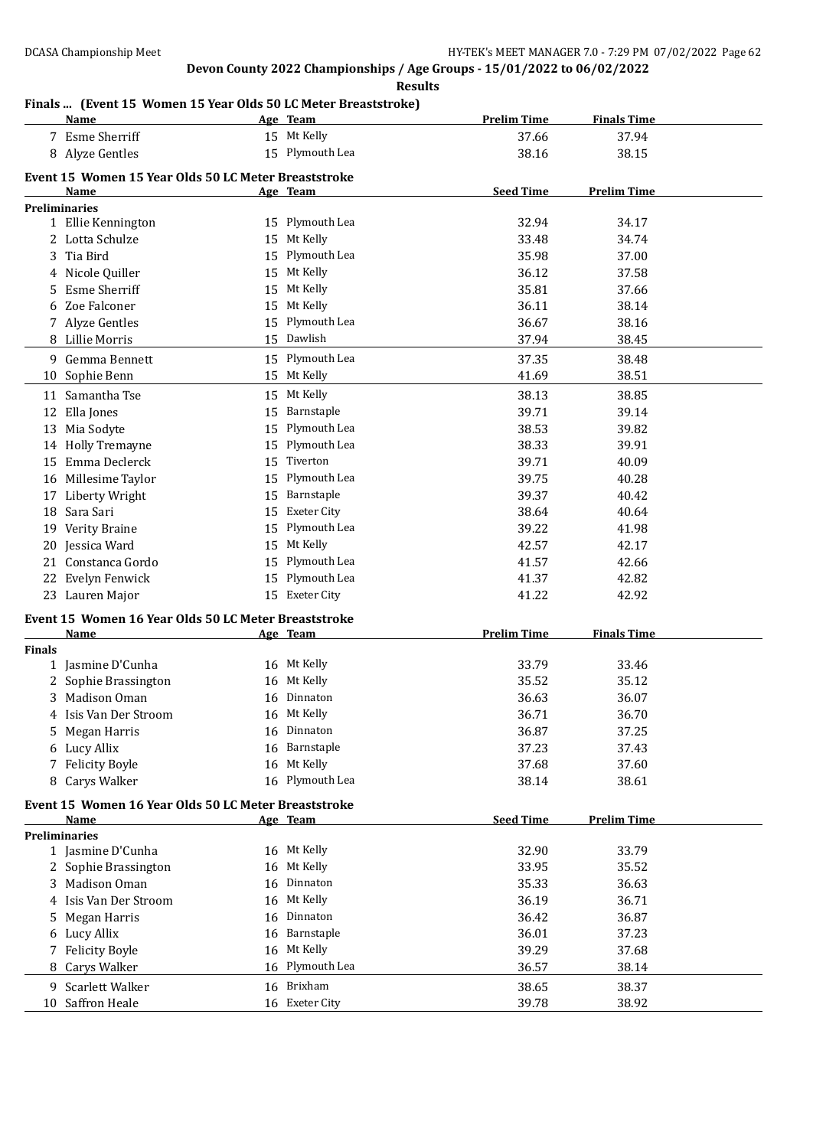**Results**

## **Finals ... (Event 15 Women 15 Year Olds 50 LC Meter Breaststroke)**

|               | <b>Name</b>                                          |          | Age Team           | <b>Prelim Time</b> | <b>Finals Time</b> |
|---------------|------------------------------------------------------|----------|--------------------|--------------------|--------------------|
|               | 7 Esme Sherriff                                      |          | 15 Mt Kelly        | 37.66              | 37.94              |
|               | 8 Alyze Gentles                                      |          | 15 Plymouth Lea    | 38.16              | 38.15              |
|               | Event 15 Women 15 Year Olds 50 LC Meter Breaststroke |          |                    |                    |                    |
|               | Name                                                 |          | Age Team           | <b>Seed Time</b>   | <b>Prelim Time</b> |
|               | <b>Preliminaries</b>                                 |          |                    |                    |                    |
|               | 1 Ellie Kennington                                   |          | 15 Plymouth Lea    | 32.94              | 34.17              |
|               | 2 Lotta Schulze                                      | 15       | Mt Kelly           | 33.48              | 34.74              |
| 3             | Tia Bird                                             | 15       | Plymouth Lea       | 35.98              | 37.00              |
| 4             | Nicole Quiller                                       | 15       | Mt Kelly           | 36.12              | 37.58              |
| 5             | <b>Esme Sherriff</b>                                 | 15       | Mt Kelly           | 35.81              | 37.66              |
| 6             | Zoe Falconer                                         | 15       | Mt Kelly           | 36.11              | 38.14              |
|               | 7 Alyze Gentles                                      | 15       | Plymouth Lea       | 36.67              | 38.16              |
|               | 8 Lillie Morris                                      |          | 15 Dawlish         | 37.94              | 38.45              |
|               | 9 Gemma Bennett                                      |          | 15 Plymouth Lea    | 37.35              | 38.48              |
|               | 10 Sophie Benn                                       |          | 15 Mt Kelly        | 41.69              | 38.51              |
|               | 11 Samantha Tse                                      | 15       | Mt Kelly           | 38.13              | 38.85              |
| 12            | Ella Jones                                           | 15       | Barnstaple         | 39.71              | 39.14              |
|               |                                                      | 15       | Plymouth Lea       | 38.53              | 39.82              |
|               | 13 Mia Sodyte<br>14 Holly Tremayne                   | 15       | Plymouth Lea       | 38.33              | 39.91              |
|               | 15 Emma Declerck                                     | 15       | Tiverton           | 39.71              |                    |
|               | 16 Millesime Taylor                                  | 15       | Plymouth Lea       | 39.75              | 40.09<br>40.28     |
|               | 17 Liberty Wright                                    | 15       | Barnstaple         | 39.37              | 40.42              |
|               | 18 Sara Sari                                         | 15       | <b>Exeter City</b> | 38.64              | 40.64              |
|               |                                                      | 15       | Plymouth Lea       | 39.22              |                    |
|               | 19 Verity Braine                                     |          | Mt Kelly           |                    | 41.98              |
|               | 20 Jessica Ward<br>Constanca Gordo                   | 15<br>15 | Plymouth Lea       | 42.57              | 42.17<br>42.66     |
| 21            |                                                      | 15       | Plymouth Lea       | 41.57<br>41.37     |                    |
| 22            | Evelyn Fenwick                                       |          | 15 Exeter City     | 41.22              | 42.82<br>42.92     |
|               | 23 Lauren Major                                      |          |                    |                    |                    |
|               | Event 15 Women 16 Year Olds 50 LC Meter Breaststroke |          |                    |                    |                    |
|               | <b>Name</b>                                          |          | Age Team           | <b>Prelim Time</b> | <b>Finals Time</b> |
| <b>Finals</b> | 1 Jasmine D'Cunha                                    |          | 16 Mt Kelly        | 33.79              | 33.46              |
|               |                                                      | 16       | Mt Kelly           | 35.52              | 35.12              |
| 2<br>3        | Sophie Brassington<br>Madison Oman                   |          | Dinnaton           | 36.63              | 36.07              |
|               |                                                      | 16       | 16 Mt Kelly        |                    |                    |
|               | 4 Isis Van Der Stroom<br>Megan Harris                |          | 16 Dinnaton        | 36.71<br>36.87     | 36.70<br>37.25     |
| 5.            |                                                      | 16       | Barnstaple         | 37.23              | 37.43              |
| 6             | Lucy Allix<br><b>Felicity Boyle</b>                  | 16       | Mt Kelly           | 37.68              | 37.60              |
| 7             | 8 Carys Walker                                       |          | 16 Plymouth Lea    | 38.14              | 38.61              |
|               |                                                      |          |                    |                    |                    |
|               | Event 15 Women 16 Year Olds 50 LC Meter Breaststroke |          |                    |                    |                    |
|               | Name                                                 |          | Age Team           | <b>Seed Time</b>   | <b>Prelim Time</b> |
|               | <b>Preliminaries</b><br>1 Jasmine D'Cunha            |          | 16 Mt Kelly        | 32.90              | 33.79              |
|               | 2 Sophie Brassington                                 | 16       | Mt Kelly           | 33.95              | 35.52              |
|               | 3 Madison Oman                                       | 16       | Dinnaton           | 35.33              | 36.63              |
|               | 4 Isis Van Der Stroom                                | 16       | Mt Kelly           | 36.19              | 36.71              |
| 5             | Megan Harris                                         | 16       | Dinnaton           | 36.42              | 36.87              |
| 6             | Lucy Allix                                           | 16       | Barnstaple         | 36.01              | 37.23              |
| 7             | <b>Felicity Boyle</b>                                | 16       | Mt Kelly           | 39.29              | 37.68              |
| 8             | Carys Walker                                         | 16       | Plymouth Lea       | 36.57              | 38.14              |
|               |                                                      |          | 16 Brixham         |                    |                    |
|               | 9 Scarlett Walker                                    |          |                    | 38.65              | 38.37              |
|               | 10 Saffron Heale                                     |          | 16 Exeter City     | 39.78              | 38.92              |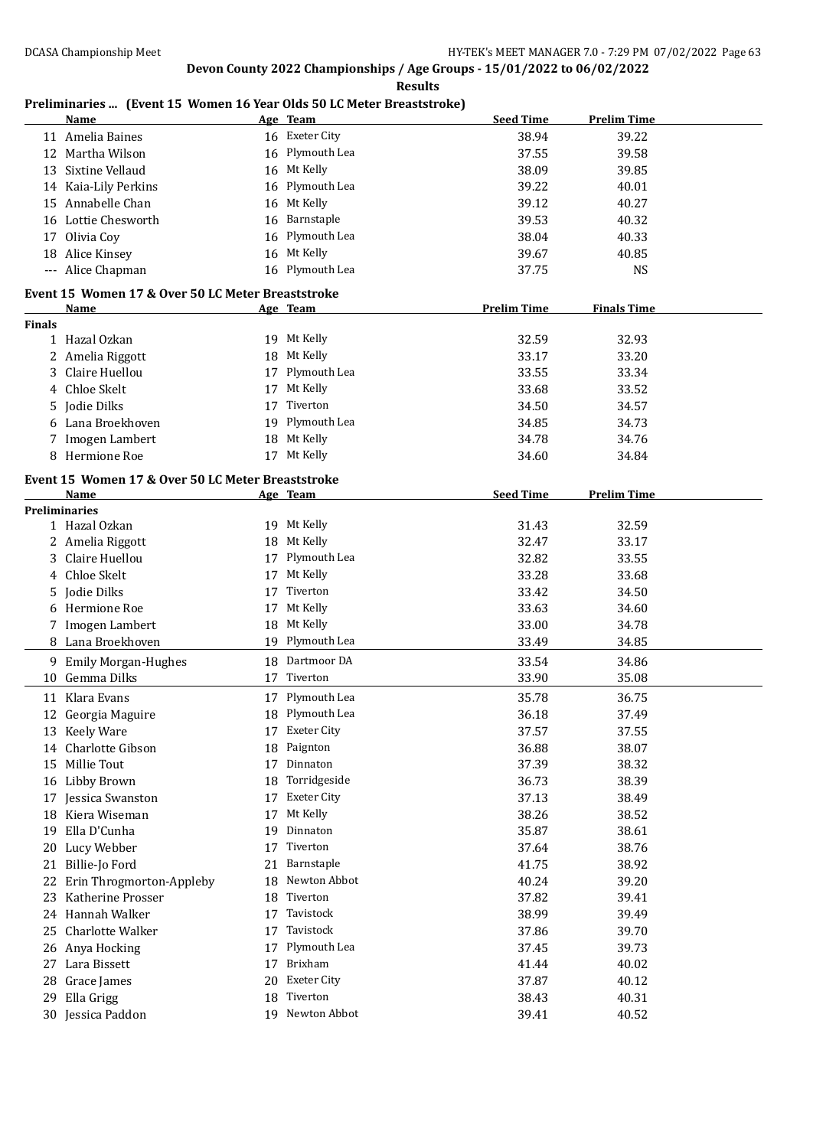#### **Results**

## **Preliminaries ... (Event 15 Women 16 Year Olds 50 LC Meter Breaststroke)**

|               | Name                                              |    | Age Team           | <b>Seed Time</b>   | <b>Prelim Time</b> |  |
|---------------|---------------------------------------------------|----|--------------------|--------------------|--------------------|--|
|               | 11 Amelia Baines                                  |    | 16 Exeter City     | 38.94              | 39.22              |  |
|               | 12 Martha Wilson                                  |    | 16 Plymouth Lea    | 37.55              | 39.58              |  |
|               | 13 Sixtine Vellaud                                | 16 | Mt Kelly           | 38.09              | 39.85              |  |
|               | 14 Kaia-Lily Perkins                              | 16 | Plymouth Lea       | 39.22              | 40.01              |  |
|               | 15 Annabelle Chan                                 | 16 | Mt Kelly           | 39.12              | 40.27              |  |
|               | 16 Lottie Chesworth                               | 16 | Barnstaple         | 39.53              | 40.32              |  |
| 17            | Olivia Coy                                        | 16 | Plymouth Lea       | 38.04              | 40.33              |  |
|               | 18 Alice Kinsey                                   |    | 16 Mt Kelly        | 39.67              | 40.85              |  |
|               | --- Alice Chapman                                 |    | 16 Plymouth Lea    | 37.75              | <b>NS</b>          |  |
|               |                                                   |    |                    |                    |                    |  |
|               | Event 15 Women 17 & Over 50 LC Meter Breaststroke |    |                    |                    |                    |  |
|               | Name                                              |    | Age Team           | <b>Prelim Time</b> | <b>Finals Time</b> |  |
| <b>Finals</b> | 1 Hazal Ozkan                                     |    | 19 Mt Kelly        | 32.59              | 32.93              |  |
|               |                                                   |    | 18 Mt Kelly        |                    |                    |  |
|               | 2 Amelia Riggott                                  |    |                    | 33.17              | 33.20              |  |
| 3             | Claire Huellou                                    |    | 17 Plymouth Lea    | 33.55              | 33.34              |  |
| 4             | Chloe Skelt                                       | 17 | Mt Kelly           | 33.68              | 33.52              |  |
| 5.            | Jodie Dilks                                       | 17 | Tiverton           | 34.50              | 34.57              |  |
|               | 6 Lana Broekhoven                                 | 19 | Plymouth Lea       | 34.85              | 34.73              |  |
|               | 7 Imogen Lambert                                  | 18 | Mt Kelly           | 34.78              | 34.76              |  |
|               | 8 Hermione Roe                                    |    | 17 Mt Kelly        | 34.60              | 34.84              |  |
|               | Event 15 Women 17 & Over 50 LC Meter Breaststroke |    |                    |                    |                    |  |
|               | Name                                              |    | Age Team           | <b>Seed Time</b>   | <b>Prelim Time</b> |  |
|               | <b>Preliminaries</b>                              |    |                    |                    |                    |  |
|               | 1 Hazal Ozkan                                     |    | 19 Mt Kelly        | 31.43              | 32.59              |  |
|               | 2 Amelia Riggott                                  | 18 | Mt Kelly           | 32.47              | 33.17              |  |
| 3             | Claire Huellou                                    | 17 | Plymouth Lea       | 32.82              | 33.55              |  |
|               | 4 Chloe Skelt                                     | 17 | Mt Kelly           | 33.28              | 33.68              |  |
|               | 5 Jodie Dilks                                     | 17 | Tiverton           | 33.42              | 34.50              |  |
|               | 6 Hermione Roe                                    | 17 | Mt Kelly           | 33.63              | 34.60              |  |
|               | 7 Imogen Lambert                                  | 18 | Mt Kelly           | 33.00              | 34.78              |  |
|               | 8 Lana Broekhoven                                 |    | 19 Plymouth Lea    | 33.49              | 34.85              |  |
|               | 9 Emily Morgan-Hughes                             |    | 18 Dartmoor DA     | 33.54              | 34.86              |  |
|               | 10 Gemma Dilks                                    | 17 | Tiverton           | 33.90              | 35.08              |  |
|               | 11 Klara Evans                                    |    | Plymouth Lea       | 35.78              | 36.75              |  |
|               |                                                   | 17 |                    |                    |                    |  |
|               | 12 Georgia Maguire                                | 18 | Plymouth Lea       | 36.18              | 37.49              |  |
|               | 13 Keely Ware                                     |    | 17 Exeter City     | 37.57              | 37.55              |  |
|               | 14 Charlotte Gibson                               | 18 | Paignton           | 36.88              | 38.07              |  |
|               | 15 Millie Tout                                    | 17 | Dinnaton           | 37.39              | 38.32              |  |
|               | 16 Libby Brown                                    | 18 | Torridgeside       | 36.73              | 38.39              |  |
|               | 17 Jessica Swanston                               | 17 | <b>Exeter City</b> | 37.13              | 38.49              |  |
|               | 18 Kiera Wiseman                                  | 17 | Mt Kelly           | 38.26              | 38.52              |  |
| 19            | Ella D'Cunha                                      | 19 | Dinnaton           | 35.87              | 38.61              |  |
| 20            | Lucy Webber                                       | 17 | Tiverton           | 37.64              | 38.76              |  |
| 21            | Billie-Jo Ford                                    | 21 | Barnstaple         | 41.75              | 38.92              |  |
| 22            | Erin Throgmorton-Appleby                          | 18 | Newton Abbot       | 40.24              | 39.20              |  |
| 23            | Katherine Prosser                                 | 18 | Tiverton           | 37.82              | 39.41              |  |
| 24            | Hannah Walker                                     | 17 | Tavistock          | 38.99              | 39.49              |  |
| 25            | Charlotte Walker                                  | 17 | Tavistock          | 37.86              | 39.70              |  |
|               | 26 Anya Hocking                                   | 17 | Plymouth Lea       | 37.45              | 39.73              |  |
| 27            | Lara Bissett                                      | 17 | Brixham            | 41.44              | 40.02              |  |
|               | 28 Grace James                                    | 20 | <b>Exeter City</b> | 37.87              | 40.12              |  |
| 29            | Ella Grigg                                        | 18 | Tiverton           | 38.43              | 40.31              |  |
|               | 30 Jessica Paddon                                 |    | 19 Newton Abbot    | 39.41              | 40.52              |  |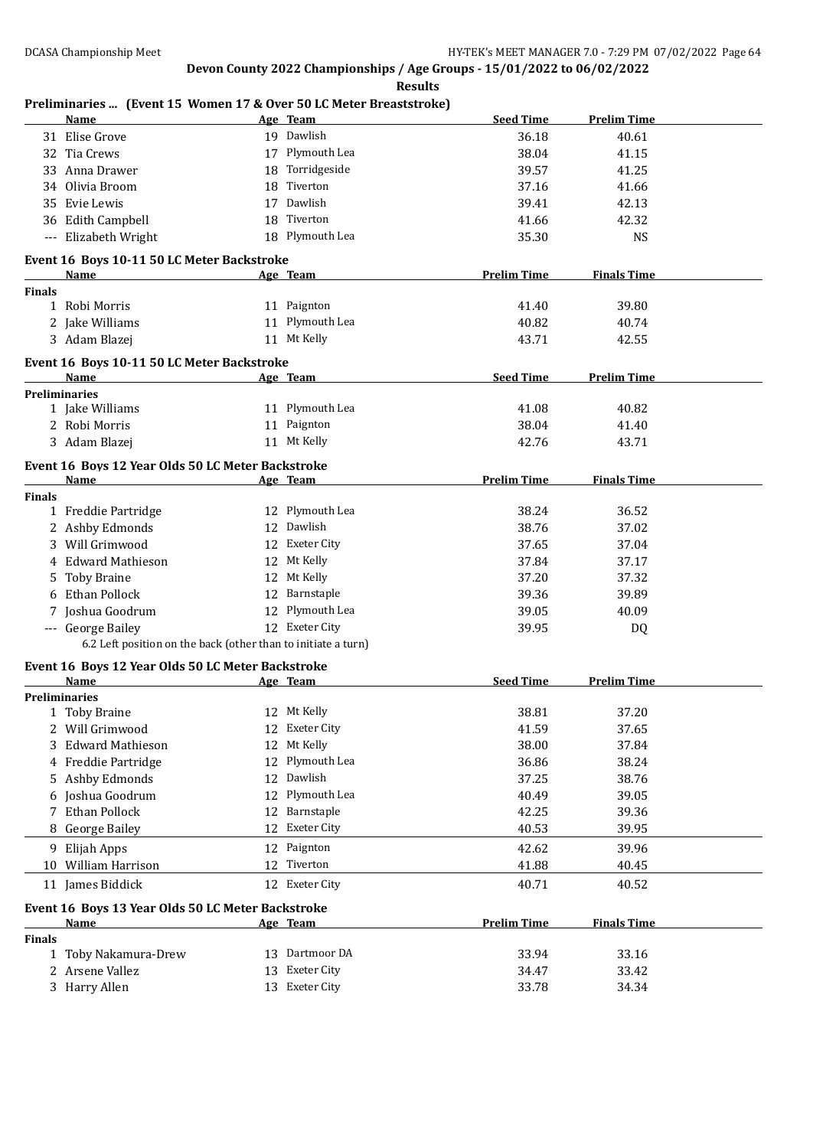|               | Name                                                          |    | Age Team        | <b>Seed Time</b>   | <b>Prelim Time</b> |
|---------------|---------------------------------------------------------------|----|-----------------|--------------------|--------------------|
|               | 31 Elise Grove                                                |    | 19 Dawlish      | 36.18              | 40.61              |
|               | 32 Tia Crews                                                  |    | 17 Plymouth Lea | 38.04              | 41.15              |
|               | 33 Anna Drawer                                                |    | 18 Torridgeside | 39.57              | 41.25              |
|               | 34 Olivia Broom                                               |    | 18 Tiverton     | 37.16              | 41.66              |
| 35            | Evie Lewis                                                    |    | 17 Dawlish      | 39.41              | 42.13              |
|               | 36 Edith Campbell                                             |    | 18 Tiverton     | 41.66              | 42.32              |
|               | --- Elizabeth Wright                                          |    | 18 Plymouth Lea | 35.30              | <b>NS</b>          |
|               |                                                               |    |                 |                    |                    |
|               | Event 16 Boys 10-11 50 LC Meter Backstroke                    |    |                 |                    |                    |
|               | Name                                                          |    | Age Team        | <b>Prelim Time</b> | <b>Finals Time</b> |
| <b>Finals</b> |                                                               |    | 11 Paignton     | 41.40              |                    |
|               | 1 Robi Morris                                                 |    |                 |                    | 39.80              |
|               | 2 Jake Williams                                               |    | 11 Plymouth Lea | 40.82              | 40.74              |
|               | 3 Adam Blazej                                                 |    | 11 Mt Kelly     | 43.71              | 42.55              |
|               | Event 16 Boys 10-11 50 LC Meter Backstroke                    |    |                 |                    |                    |
|               | Name                                                          |    | Age Team        | <b>Seed Time</b>   | <b>Prelim Time</b> |
|               | <b>Preliminaries</b>                                          |    |                 |                    |                    |
|               | 1 Jake Williams                                               |    | 11 Plymouth Lea | 41.08              | 40.82              |
|               | 2 Robi Morris                                                 |    | 11 Paignton     | 38.04              | 41.40              |
|               | 3 Adam Blazej                                                 |    | 11 Mt Kelly     | 42.76              | 43.71              |
|               | Event 16 Boys 12 Year Olds 50 LC Meter Backstroke             |    |                 |                    |                    |
|               | Name                                                          |    | Age Team        | <b>Prelim Time</b> | <b>Finals Time</b> |
| <b>Finals</b> |                                                               |    |                 |                    |                    |
|               | 1 Freddie Partridge                                           |    | 12 Plymouth Lea | 38.24              | 36.52              |
|               | 2 Ashby Edmonds                                               |    | 12 Dawlish      | 38.76              | 37.02              |
|               | 3 Will Grimwood                                               |    | 12 Exeter City  | 37.65              | 37.04              |
|               | 4 Edward Mathieson                                            |    | 12 Mt Kelly     | 37.84              | 37.17              |
| 5.            | <b>Toby Braine</b>                                            |    | 12 Mt Kelly     | 37.20              | 37.32              |
|               | 6 Ethan Pollock                                               |    | 12 Barnstaple   | 39.36              | 39.89              |
| 7             | Joshua Goodrum                                                |    | 12 Plymouth Lea | 39.05              | 40.09              |
|               | --- George Bailey                                             |    | 12 Exeter City  | 39.95              | DQ                 |
|               | 6.2 Left position on the back (other than to initiate a turn) |    |                 |                    |                    |
|               |                                                               |    |                 |                    |                    |
|               | Event 16 Boys 12 Year Olds 50 LC Meter Backstroke<br>Name     |    | <u>Age Team</u> | <b>Seed Time</b>   | <b>Prelim Time</b> |
|               | <b>Preliminaries</b>                                          |    |                 |                    |                    |
|               | 1 Toby Braine                                                 |    | 12 Mt Kelly     | 38.81              | 37.20              |
|               | 2 Will Grimwood                                               |    | 12 Exeter City  | 41.59              | 37.65              |
| 3             | <b>Edward Mathieson</b>                                       |    | 12 Mt Kelly     | 38.00              | 37.84              |
| 4             | Freddie Partridge                                             |    | 12 Plymouth Lea | 36.86              | 38.24              |
| 5             | Ashby Edmonds                                                 |    | 12 Dawlish      | 37.25              | 38.76              |
|               | Joshua Goodrum                                                | 12 | Plymouth Lea    | 40.49              | 39.05              |
|               | Ethan Pollock                                                 |    | 12 Barnstaple   | 42.25              | 39.36              |
|               | 8 George Bailey                                               | 12 | Exeter City     | 40.53              | 39.95              |
|               |                                                               |    |                 |                    |                    |
| 9             | Elijah Apps                                                   |    | 12 Paignton     | 42.62              | 39.96              |
| 10            | William Harrison                                              |    | 12 Tiverton     | 41.88              | 40.45              |
|               | 11 James Biddick                                              |    | 12 Exeter City  | 40.71              | 40.52              |
|               | Event 16 Boys 13 Year Olds 50 LC Meter Backstroke             |    |                 |                    |                    |
|               | Name                                                          |    | <u>Age Team</u> | <b>Prelim Time</b> | <b>Finals Time</b> |
| <b>Finals</b> |                                                               |    |                 |                    |                    |
|               | 1 Toby Nakamura-Drew                                          |    | 13 Dartmoor DA  | 33.94              | 33.16              |
|               | 2 Arsene Vallez                                               |    | 13 Exeter City  | 34.47              | 33.42              |
|               |                                                               |    |                 |                    |                    |
|               | 3 Harry Allen                                                 |    | 13 Exeter City  | 33.78              | 34.34              |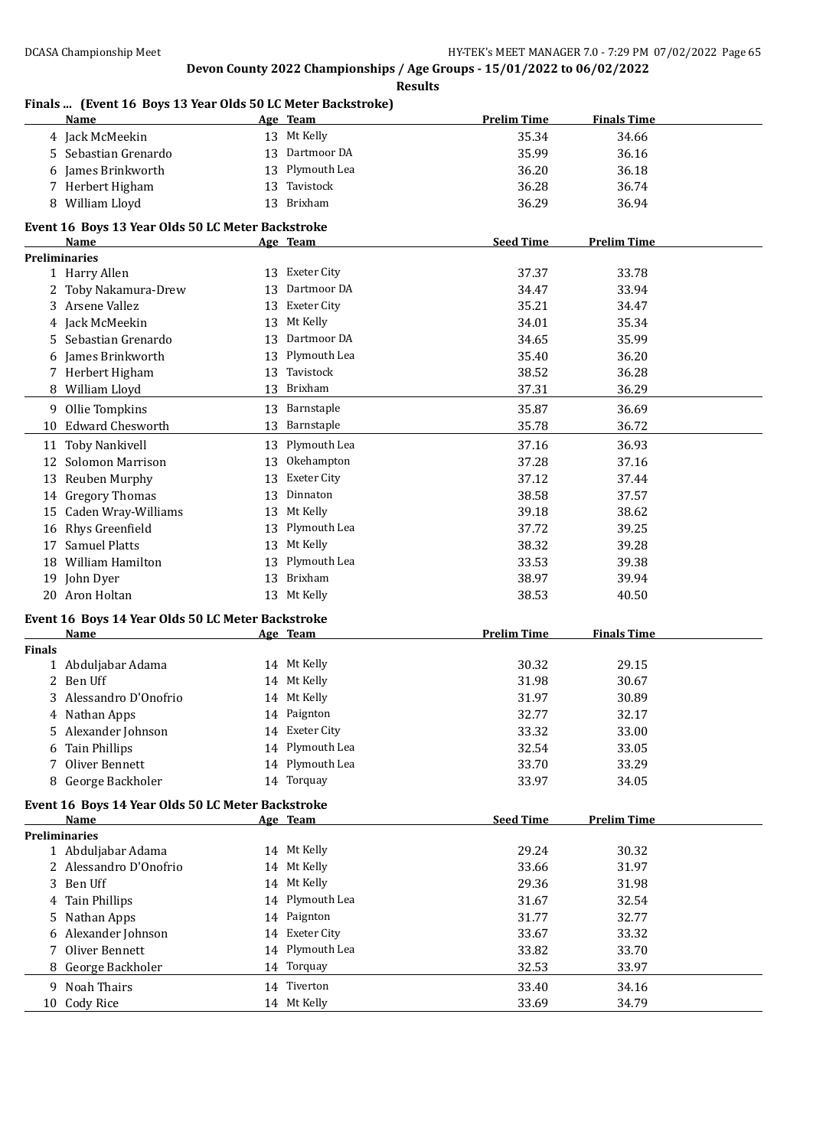|               | <b>Name</b>                                               |    | Age Team           | <b>Prelim Time</b> | <b>Finals Time</b> |  |
|---------------|-----------------------------------------------------------|----|--------------------|--------------------|--------------------|--|
|               | 4 Jack McMeekin                                           |    | 13 Mt Kelly        | 35.34              | 34.66              |  |
| 5.            | Sebastian Grenardo                                        |    | 13 Dartmoor DA     | 35.99              | 36.16              |  |
| 6             | James Brinkworth                                          | 13 | Plymouth Lea       | 36.20              | 36.18              |  |
|               | 7 Herbert Higham                                          | 13 | Tavistock          | 36.28              | 36.74              |  |
|               | 8 William Lloyd                                           |    | 13 Brixham         | 36.29              | 36.94              |  |
|               |                                                           |    |                    |                    |                    |  |
|               | Event 16 Boys 13 Year Olds 50 LC Meter Backstroke<br>Name |    | Age Team           | <b>Seed Time</b>   | <b>Prelim Time</b> |  |
|               | <b>Preliminaries</b>                                      |    |                    |                    |                    |  |
|               | 1 Harry Allen                                             |    | 13 Exeter City     | 37.37              | 33.78              |  |
|               | 2 Toby Nakamura-Drew                                      | 13 | Dartmoor DA        | 34.47              | 33.94              |  |
|               | 3 Arsene Vallez                                           | 13 | Exeter City        | 35.21              | 34.47              |  |
|               | 4 Jack McMeekin                                           | 13 | Mt Kelly           | 34.01              | 35.34              |  |
| 5             | Sebastian Grenardo                                        | 13 | Dartmoor DA        | 34.65              | 35.99              |  |
| 6             | James Brinkworth                                          | 13 | Plymouth Lea       | 35.40              | 36.20              |  |
|               | 7 Herbert Higham                                          | 13 | Tavistock          | 38.52              | 36.28              |  |
|               | 8 William Lloyd                                           |    | 13 Brixham         | 37.31              | 36.29              |  |
|               |                                                           |    | 13 Barnstaple      | 35.87              |                    |  |
|               | 9 Ollie Tompkins                                          |    | 13 Barnstaple      | 35.78              | 36.69<br>36.72     |  |
|               | 10 Edward Chesworth                                       |    |                    |                    |                    |  |
|               | 11 Toby Nankivell                                         |    | 13 Plymouth Lea    | 37.16              | 36.93              |  |
| 12            | Solomon Marrison                                          | 13 | Okehampton         | 37.28              | 37.16              |  |
| 13            | Reuben Murphy                                             | 13 | <b>Exeter City</b> | 37.12              | 37.44              |  |
|               | 14 Gregory Thomas                                         | 13 | Dinnaton           | 38.58              | 37.57              |  |
| 15            | Caden Wray-Williams                                       |    | 13 Mt Kelly        | 39.18              | 38.62              |  |
| 16            | Rhys Greenfield                                           |    | 13 Plymouth Lea    | 37.72              | 39.25              |  |
| 17            | <b>Samuel Platts</b>                                      | 13 | Mt Kelly           | 38.32              | 39.28              |  |
| 18            | William Hamilton                                          | 13 | Plymouth Lea       | 33.53              | 39.38              |  |
|               | 19 John Dyer                                              | 13 | Brixham            | 38.97              | 39.94              |  |
|               | 20 Aron Holtan                                            |    | 13 Mt Kelly        | 38.53              | 40.50              |  |
|               | Event 16 Boys 14 Year Olds 50 LC Meter Backstroke         |    |                    |                    |                    |  |
|               | <b>Name</b>                                               |    | Age Team           | <b>Prelim Time</b> | <b>Finals Time</b> |  |
| <b>Finals</b> |                                                           |    |                    |                    |                    |  |
|               | 1 Abduljabar Adama                                        |    | 14 Mt Kelly        | 30.32              | 29.15              |  |
| 2             | Ben Uff                                                   |    | 14 Mt Kelly        | 31.98              | 30.67              |  |
|               | 3 Alessandro D'Onofrio                                    |    | 14 Mt Kelly        | 31.97              | 30.89              |  |
|               | 4 Nathan Apps                                             |    | 14 Paignton        | 32.77              | 32.17              |  |
| 5.            | Alexander Johnson                                         |    | 14 Exeter City     | 33.32              | 33.00              |  |
| 6             | <b>Tain Phillips</b>                                      |    | 14 Plymouth Lea    | 32.54              | 33.05              |  |
| 7             | Oliver Bennett                                            | 14 | Plymouth Lea       | 33.70              | 33.29              |  |
|               | 8 George Backholer                                        |    | 14 Torquay         | 33.97              | 34.05              |  |
|               | Event 16 Boys 14 Year Olds 50 LC Meter Backstroke         |    |                    |                    |                    |  |
|               | Name                                                      |    | Age Team           | <b>Seed Time</b>   | <b>Prelim Time</b> |  |
|               | <b>Preliminaries</b>                                      |    |                    |                    |                    |  |
|               | 1 Abduljabar Adama                                        |    | 14 Mt Kelly        | 29.24              | 30.32              |  |
|               | 2 Alessandro D'Onofrio                                    |    | 14 Mt Kelly        | 33.66              | 31.97              |  |
|               | 3 Ben Uff                                                 |    | 14 Mt Kelly        | 29.36              | 31.98              |  |
|               | 4 Tain Phillips                                           |    | 14 Plymouth Lea    | 31.67              | 32.54              |  |
| 5             | Nathan Apps                                               |    | 14 Paignton        | 31.77              | 32.77              |  |
| 6             | Alexander Johnson                                         |    | 14 Exeter City     | 33.67              | 33.32              |  |
| 7             | Oliver Bennett                                            |    | 14 Plymouth Lea    | 33.82              | 33.70              |  |
|               | 8 George Backholer                                        |    | 14 Torquay         | 32.53              | 33.97              |  |
|               | 9 Noah Thairs                                             |    | 14 Tiverton        | 33.40              | 34.16              |  |
|               | 10 Cody Rice                                              |    | 14 Mt Kelly        | 33.69              | 34.79              |  |

## **Finals ... (Event 16 Boys 13 Year Olds 50 LC Meter Backstroke)**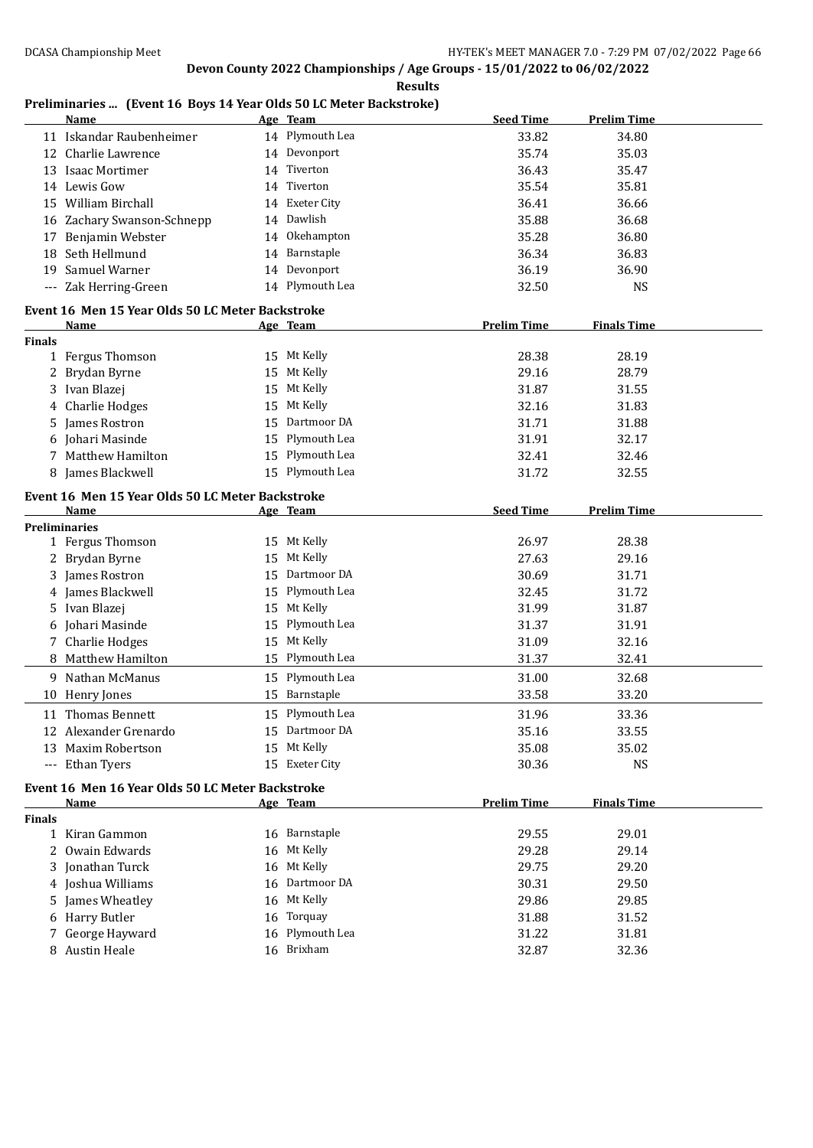**Results**

## **Preliminaries ... (Event 16 Boys 14 Year Olds 50 LC Meter Backstroke)**

|               | <b>Name</b>                                                     |    | Age Team                   | <b>Seed Time</b>   | <b>Prelim Time</b> |  |
|---------------|-----------------------------------------------------------------|----|----------------------------|--------------------|--------------------|--|
|               | 11 Iskandar Raubenheimer                                        |    | 14 Plymouth Lea            | 33.82              | 34.80              |  |
|               | 12 Charlie Lawrence                                             |    | 14 Devonport               | 35.74              | 35.03              |  |
|               | 13 Isaac Mortimer                                               |    | 14 Tiverton                | 36.43              | 35.47              |  |
|               | 14 Lewis Gow                                                    | 14 | Tiverton                   | 35.54              | 35.81              |  |
|               | 15 William Birchall                                             |    | 14 Exeter City             | 36.41              | 36.66              |  |
|               | 16 Zachary Swanson-Schnepp                                      |    | 14 Dawlish                 | 35.88              | 36.68              |  |
|               | 17 Benjamin Webster                                             |    | 14 Okehampton              | 35.28              | 36.80              |  |
|               | 18 Seth Hellmund                                                |    | 14 Barnstaple              | 36.34              | 36.83              |  |
| 19            | Samuel Warner                                                   |    | 14 Devonport               | 36.19              | 36.90              |  |
|               | --- Zak Herring-Green                                           |    | 14 Plymouth Lea            | 32.50              | <b>NS</b>          |  |
|               |                                                                 |    |                            |                    |                    |  |
|               | Event 16 Men 15 Year Olds 50 LC Meter Backstroke<br><b>Name</b> |    | Age Team                   | <b>Prelim Time</b> | <b>Finals Time</b> |  |
| <b>Finals</b> |                                                                 |    |                            |                    |                    |  |
|               | 1 Fergus Thomson                                                |    | 15 Mt Kelly                | 28.38              | 28.19              |  |
| 2             | Brydan Byrne                                                    |    | 15 Mt Kelly                | 29.16              | 28.79              |  |
| 3             | Ivan Blazej                                                     |    | 15 Mt Kelly                | 31.87              | 31.55              |  |
| 4             | Charlie Hodges                                                  | 15 | Mt Kelly                   | 32.16              | 31.83              |  |
| 5.            | James Rostron                                                   | 15 | Dartmoor DA                | 31.71              | 31.88              |  |
|               | 6 Johari Masinde                                                | 15 | Plymouth Lea               | 31.91              | 32.17              |  |
|               | <b>Matthew Hamilton</b>                                         | 15 | Plymouth Lea               |                    |                    |  |
| 7             |                                                                 |    | 15 Plymouth Lea            | 32.41              | 32.46              |  |
|               | 8 James Blackwell                                               |    |                            | 31.72              | 32.55              |  |
|               | Event 16 Men 15 Year Olds 50 LC Meter Backstroke                |    |                            |                    |                    |  |
|               | Name                                                            |    | Age Team                   | <b>Seed Time</b>   | <b>Prelim Time</b> |  |
|               | <b>Preliminaries</b>                                            |    |                            |                    |                    |  |
|               | 1 Fergus Thomson                                                |    | 15 Mt Kelly                | 26.97              | 28.38              |  |
|               | 2 Brydan Byrne                                                  | 15 | Mt Kelly                   | 27.63              | 29.16              |  |
| 3.            | James Rostron                                                   | 15 | Dartmoor DA                | 30.69              | 31.71              |  |
|               | 4 James Blackwell                                               | 15 | Plymouth Lea               | 32.45              | 31.72              |  |
|               | 5 Ivan Blazej                                                   |    | 15 Mt Kelly                | 31.99              | 31.87              |  |
| 6             | Johari Masinde                                                  | 15 | Plymouth Lea               | 31.37              | 31.91              |  |
|               | 7 Charlie Hodges                                                | 15 | Mt Kelly                   | 31.09              | 32.16              |  |
|               | 8 Matthew Hamilton                                              | 15 | Plymouth Lea               | 31.37              | 32.41              |  |
|               | 9 Nathan McManus                                                | 15 | Plymouth Lea               | 31.00              | 32.68              |  |
|               | 10 Henry Jones                                                  |    | 15 Barnstaple              | 33.58              | 33.20              |  |
|               | 11 Thomas Bennett                                               |    | 15 Plymouth Lea            | 31.96              | 33.36              |  |
|               | 12 Alexander Grenardo                                           |    | 15 Dartmoor DA             | 35.16              | 33.55              |  |
|               | 13 Maxim Robertson                                              |    | 15 Mt Kelly                | 35.08              | 35.02              |  |
|               | --- Ethan Tyers                                                 |    | 15 Exeter City             | 30.36              | <b>NS</b>          |  |
|               |                                                                 |    |                            |                    |                    |  |
|               | Event 16 Men 16 Year Olds 50 LC Meter Backstroke                |    |                            | <b>Prelim Time</b> |                    |  |
| <b>Finals</b> | Name                                                            |    | Age Team                   |                    | <b>Finals Time</b> |  |
|               | 1 Kiran Gammon                                                  |    | 16 Barnstaple              | 29.55              | 29.01              |  |
|               | 2 Owain Edwards                                                 |    | 16 Mt Kelly                | 29.28              | 29.14              |  |
|               | 3 Jonathan Turck                                                |    | 16 Mt Kelly                | 29.75              | 29.20              |  |
|               | 4 Joshua Williams                                               |    | 16 Dartmoor DA             | 30.31              | 29.50              |  |
|               | 5 James Wheatley                                                |    | 16 Mt Kelly                | 29.86              | 29.85              |  |
|               | <b>Harry Butler</b>                                             | 16 | Torquay                    | 31.88              | 31.52              |  |
| 6             |                                                                 |    |                            |                    |                    |  |
|               |                                                                 |    |                            |                    |                    |  |
| 7             | George Hayward<br>8 Austin Heale                                | 16 | Plymouth Lea<br>16 Brixham | 31.22<br>32.87     | 31.81<br>32.36     |  |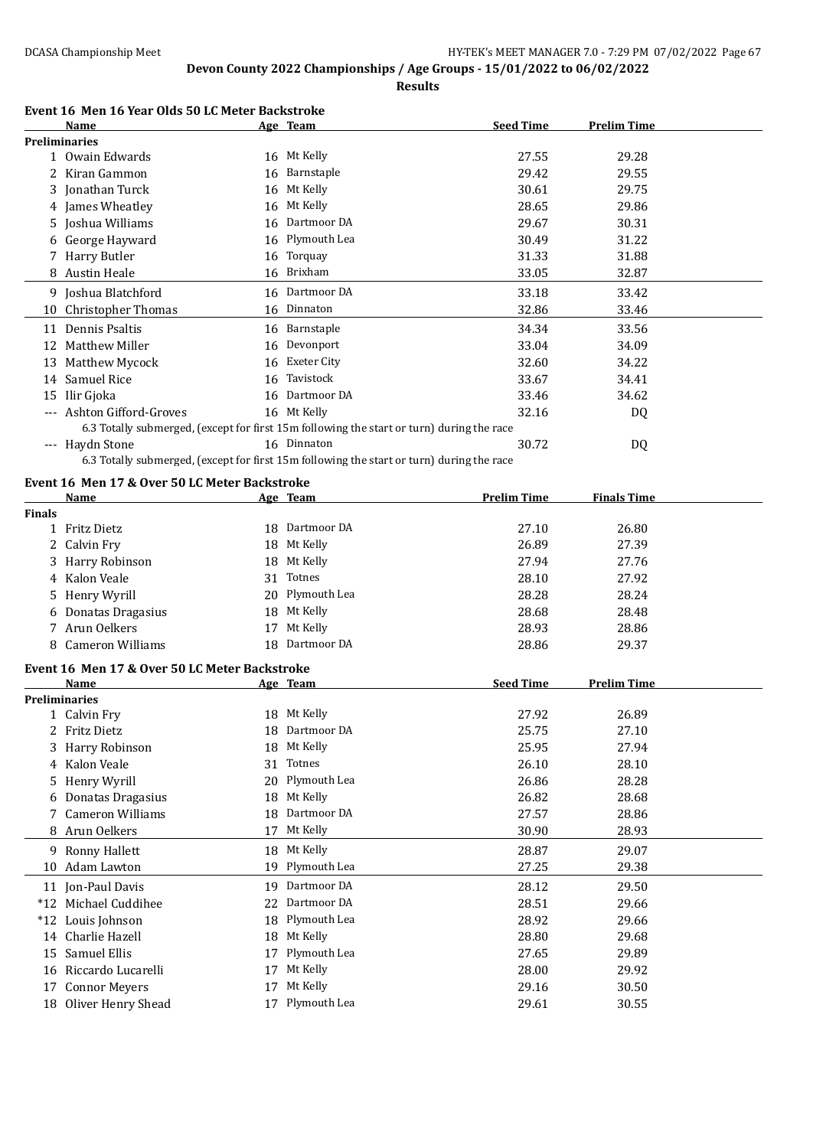**Results**

#### **Event 16 Men 16 Year Olds 50 LC Meter Backstroke**

|                      | Name                  |    | Age Team                                                                                  | <b>Seed Time</b> | <b>Prelim Time</b> |
|----------------------|-----------------------|----|-------------------------------------------------------------------------------------------|------------------|--------------------|
| <b>Preliminaries</b> |                       |    |                                                                                           |                  |                    |
|                      | 1 Owain Edwards       |    | 16 Mt Kelly                                                                               | 27.55            | 29.28              |
| 2                    | Kiran Gammon          |    | 16 Barnstaple                                                                             | 29.42            | 29.55              |
|                      | 3 Jonathan Turck      | 16 | Mt Kelly                                                                                  | 30.61            | 29.75              |
|                      | 4 James Wheatley      | 16 | Mt Kelly                                                                                  | 28.65            | 29.86              |
| 5                    | Joshua Williams       | 16 | Dartmoor DA                                                                               | 29.67            | 30.31              |
|                      | 6 George Hayward      |    | 16 Plymouth Lea                                                                           | 30.49            | 31.22              |
|                      | Harry Butler          |    | 16 Torquay                                                                                | 31.33            | 31.88              |
|                      | 8 Austin Heale        |    | 16 Brixham                                                                                | 33.05            | 32.87              |
|                      | 9 Joshua Blatchford   |    | 16 Dartmoor DA                                                                            | 33.18            | 33.42              |
| 10                   | Christopher Thomas    | 16 | Dinnaton                                                                                  | 32.86            | 33.46              |
| 11                   | Dennis Psaltis        |    | 16 Barnstaple                                                                             | 34.34            | 33.56              |
| 12                   | Matthew Miller        | 16 | Devonport                                                                                 | 33.04            | 34.09              |
| 13                   | Matthew Mycock        |    | 16 Exeter City                                                                            | 32.60            | 34.22              |
| 14                   | <b>Samuel Rice</b>    | 16 | Tavistock                                                                                 | 33.67            | 34.41              |
| 15                   | Ilir Gjoka            | 16 | Dartmoor DA                                                                               | 33.46            | 34.62              |
| $---$                | Ashton Gifford-Groves |    | 16 Mt Kelly                                                                               | 32.16            | DQ                 |
|                      |                       |    | 6.3 Totally submerged, (except for first 15m following the start or turn) during the race |                  |                    |
| $---$                | Haydn Stone           |    | 16 Dinnaton                                                                               | 30.72            | DQ                 |
|                      |                       |    | 6.3 Totally submerged, (except for first 15m following the start or turn) during the race |                  |                    |

## **Event 16 Men 17 & Over 50 LC Meter Backstroke**

|               | <b>Name</b>                                   |    | Age Team       | <b>Prelim Time</b> | <b>Finals Time</b> |  |
|---------------|-----------------------------------------------|----|----------------|--------------------|--------------------|--|
| <b>Finals</b> |                                               |    |                |                    |                    |  |
|               | 1 Fritz Dietz                                 |    | 18 Dartmoor DA | 27.10              | 26.80              |  |
|               | 2 Calvin Fry                                  | 18 | Mt Kelly       | 26.89              | 27.39              |  |
|               | Harry Robinson                                | 18 | Mt Kelly       | 27.94              | 27.76              |  |
| 4             | Kalon Veale                                   | 31 | Totnes         | 28.10              | 27.92              |  |
| 5.            | Henry Wyrill                                  | 20 | Plymouth Lea   | 28.28              | 28.24              |  |
| 6             | Donatas Dragasius                             | 18 | Mt Kelly       | 28.68              | 28.48              |  |
|               | Arun Oelkers                                  | 17 | Mt Kelly       | 28.93              | 28.86              |  |
| 8             | <b>Cameron Williams</b>                       | 18 | Dartmoor DA    | 28.86              | 29.37              |  |
|               | Event 16 Men 17 & Over 50 LC Meter Backstroke |    |                |                    |                    |  |
|               | <b>Name</b>                                   |    | Age Team       | <b>Seed Time</b>   | <b>Prelim Time</b> |  |
|               | <b>Preliminaries</b>                          |    |                |                    |                    |  |
|               | 1 Calvin Fry                                  | 18 | Mt Kelly       | 27.92              | 26.89              |  |
| 2             | <b>Fritz Dietz</b>                            | 18 | Dartmoor DA    | 25.75              | 27.10              |  |
|               | Harry Robinson                                | 18 | Mt Kelly       | 25.95              | 27.94              |  |
| 4             | Kalon Veale                                   | 31 | Totnes         | 26.10              | 28.10              |  |
| 5             | Henry Wyrill                                  | 20 | Plymouth Lea   | 26.86              | 28.28              |  |
| 6             | Donatas Dragasius                             | 18 | Mt Kelly       | 26.82              | 28.68              |  |
| 7             | <b>Cameron Williams</b>                       | 18 | Dartmoor DA    | 27.57              | 28.86              |  |
|               | Arun Oelkers                                  | 17 | Mt Kelly       | 30.90              | 28.93              |  |
|               | 9 Ronny Hallett                               | 18 | Mt Kelly       | 28.87              | 29.07              |  |
| 10            | <b>Adam Lawton</b>                            | 19 | Plymouth Lea   | 27.25              | 29.38              |  |
|               | 11 Jon-Paul Davis                             | 19 | Dartmoor DA    | 28.12              | 29.50              |  |
|               | *12 Michael Cuddihee                          | 22 | Dartmoor DA    | 28.51              | 29.66              |  |
|               | *12 Louis Johnson                             | 18 | Plymouth Lea   | 28.92              | 29.66              |  |
|               | 14 Charlie Hazell                             | 18 | Mt Kelly       | 28.80              | 29.68              |  |
| 15            | Samuel Ellis                                  | 17 | Plymouth Lea   | 27.65              | 29.89              |  |
| 16            | Riccardo Lucarelli                            | 17 | Mt Kelly       | 28.00              | 29.92              |  |
| 17            | <b>Connor Meyers</b>                          | 17 | Mt Kelly       | 29.16              | 30.50              |  |
|               | 18 Oliver Henry Shead                         | 17 | Plymouth Lea   | 29.61              | 30.55              |  |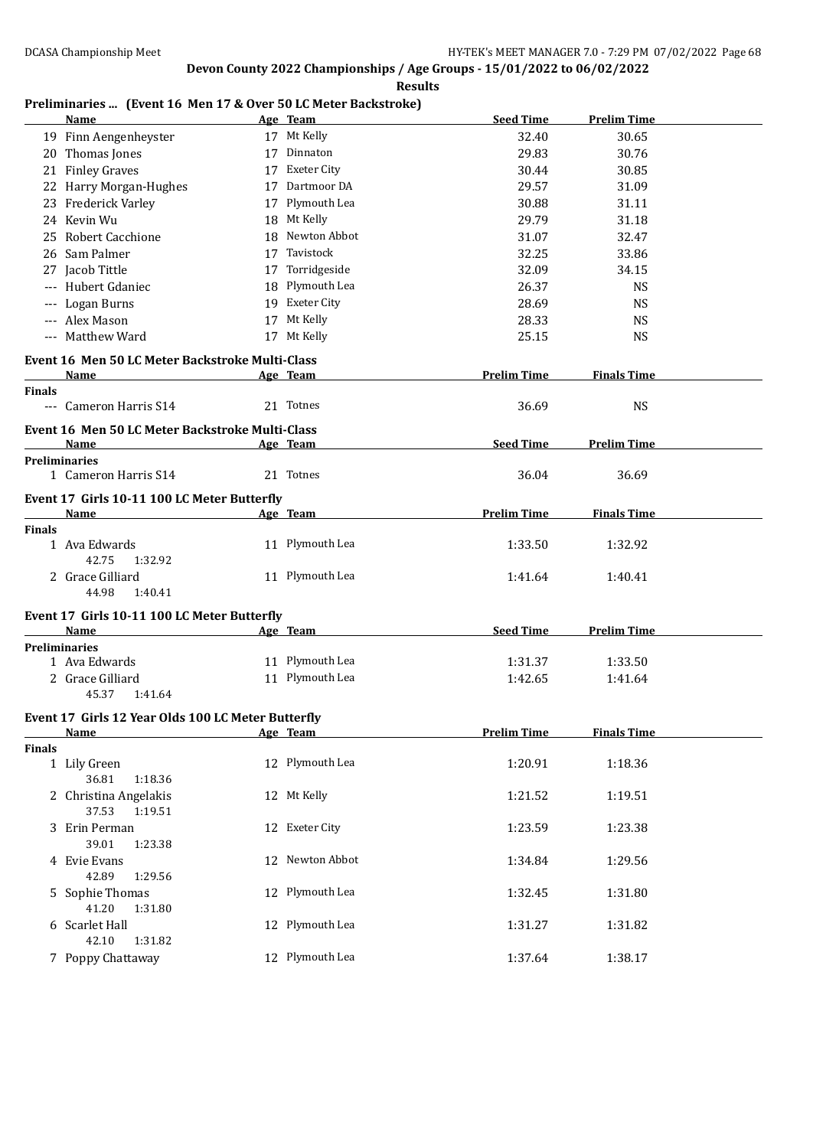**Results**

## **Preliminaries ... (Event 16 Men 17 & Over 50 LC Meter Backstroke)**

|                      | <u>Name</u>                                             | Age Team        | <b>Seed Time</b>   | <b>Prelim Time</b> |
|----------------------|---------------------------------------------------------|-----------------|--------------------|--------------------|
|                      | 19 Finn Aengenheyster                                   | 17 Mt Kelly     | 32.40              | 30.65              |
|                      | 20 Thomas Jones                                         | 17 Dinnaton     | 29.83              | 30.76              |
|                      | 21 Finley Graves                                        | 17 Exeter City  | 30.44              | 30.85              |
|                      | 22 Harry Morgan-Hughes                                  | 17 Dartmoor DA  | 29.57              | 31.09              |
|                      | 23 Frederick Varley                                     | 17 Plymouth Lea | 30.88              | 31.11              |
|                      | 24 Kevin Wu                                             | 18 Mt Kelly     | 29.79              | 31.18              |
|                      | 25 Robert Cacchione                                     | 18 Newton Abbot | 31.07              | 32.47              |
|                      | 26 Sam Palmer                                           | 17 Tavistock    | 32.25              | 33.86              |
|                      | 27 Jacob Tittle                                         | 17 Torridgeside | 32.09              | 34.15              |
|                      | --- Hubert Gdaniec                                      | 18 Plymouth Lea | 26.37              | <b>NS</b>          |
|                      | --- Logan Burns                                         | 19 Exeter City  | 28.69              | <b>NS</b>          |
|                      | --- Alex Mason                                          | 17 Mt Kelly     | 28.33              | <b>NS</b>          |
|                      | --- Matthew Ward                                        | 17 Mt Kelly     | 25.15              | <b>NS</b>          |
|                      |                                                         |                 |                    |                    |
|                      | Event 16 Men 50 LC Meter Backstroke Multi-Class<br>Name |                 | <b>Prelim Time</b> |                    |
| <b>Finals</b>        |                                                         | Age Team        |                    | <b>Finals Time</b> |
|                      | --- Cameron Harris S14                                  | 21 Totnes       | 36.69              | <b>NS</b>          |
|                      | Event 16 Men 50 LC Meter Backstroke Multi-Class         |                 |                    |                    |
|                      | Name                                                    | Age Team        | <b>Seed Time</b>   | <b>Prelim Time</b> |
| <b>Preliminaries</b> |                                                         |                 |                    |                    |
|                      | 1 Cameron Harris S14                                    | 21 Totnes       | 36.04              | 36.69              |
|                      | Event 17 Girls 10-11 100 LC Meter Butterfly             |                 |                    |                    |
|                      | Name                                                    | Age Team        | <b>Prelim Time</b> | <b>Finals Time</b> |
| <b>Finals</b>        |                                                         |                 |                    |                    |
|                      | 1 Ava Edwards                                           | 11 Plymouth Lea | 1:33.50            | 1:32.92            |
|                      | 42.75<br>1:32.92                                        |                 |                    |                    |
|                      | 2 Grace Gilliard                                        | 11 Plymouth Lea | 1:41.64            | 1:40.41            |
|                      | 44.98<br>1:40.41                                        |                 |                    |                    |
|                      | Event 17 Girls 10-11 100 LC Meter Butterfly             |                 |                    |                    |
|                      | <b>Name</b>                                             | Age Team        | <b>Seed Time</b>   | <b>Prelim Time</b> |
| <b>Preliminaries</b> |                                                         |                 |                    |                    |
|                      | 1 Ava Edwards                                           | 11 Plymouth Lea | 1:31.37            | 1:33.50            |
|                      | 2 Grace Gilliard                                        | 11 Plymouth Lea | 1:42.65            | 1:41.64            |
|                      | 45.37<br>1:41.64                                        |                 |                    |                    |
|                      | Event 17 Girls 12 Year Olds 100 LC Meter Butterfly      |                 |                    |                    |
|                      | <b>Name</b>                                             | Age Team        | <b>Prelim Time</b> | <b>Finals Time</b> |
| <b>Finals</b>        |                                                         |                 |                    |                    |
|                      | 1 Lily Green                                            | 12 Plymouth Lea | 1:20.91            | 1:18.36            |
|                      | 36.81<br>1:18.36                                        |                 |                    |                    |
|                      | 2 Christina Angelakis<br>37.53<br>1:19.51               | 12 Mt Kelly     | 1:21.52            | 1:19.51            |
|                      | 3 Erin Perman                                           | 12 Exeter City  | 1:23.59            | 1:23.38            |
|                      | 39.01<br>1:23.38                                        |                 |                    |                    |
|                      | 4 Evie Evans                                            | 12 Newton Abbot | 1:34.84            | 1:29.56            |
|                      | 42.89<br>1:29.56                                        |                 |                    |                    |
|                      | 5 Sophie Thomas                                         | 12 Plymouth Lea | 1:32.45            | 1:31.80            |
|                      | 41.20<br>1:31.80                                        |                 |                    |                    |
|                      | 6 Scarlet Hall                                          | 12 Plymouth Lea | 1:31.27            | 1:31.82            |
|                      | 42.10<br>1:31.82                                        |                 |                    |                    |
|                      | 7 Poppy Chattaway                                       | 12 Plymouth Lea | 1:37.64            | 1:38.17            |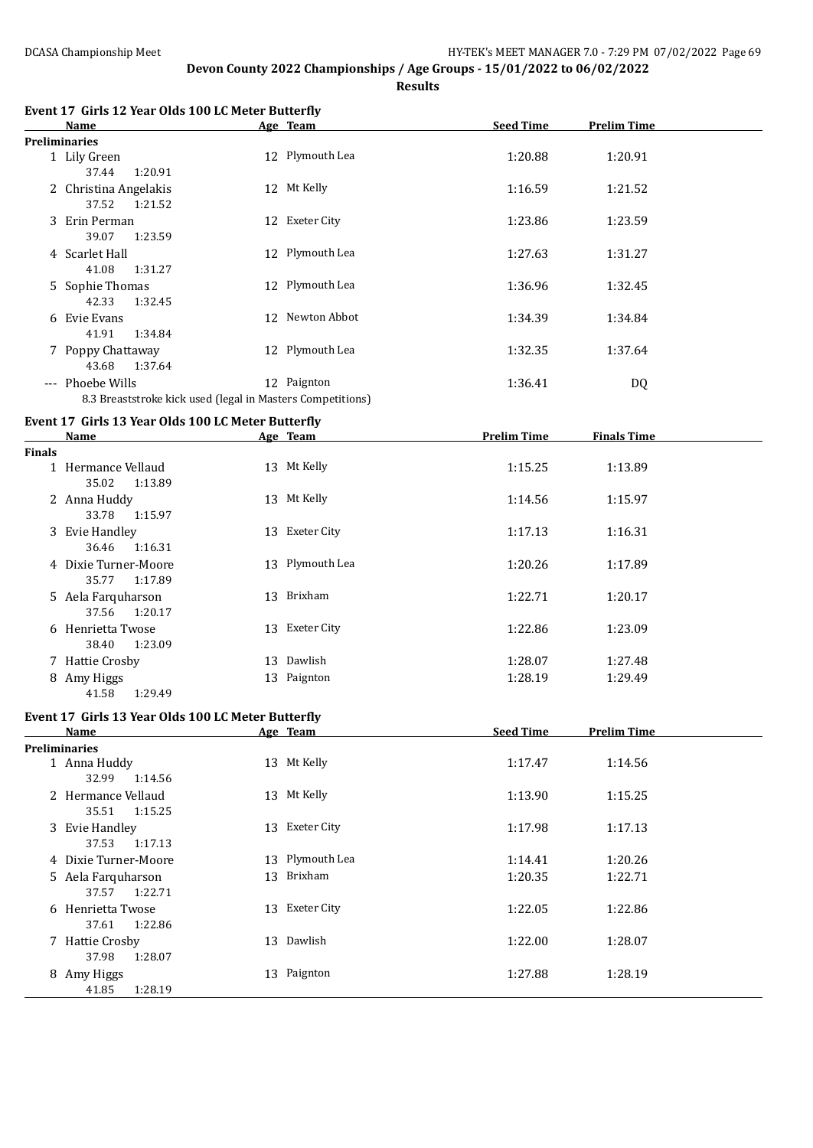**Results**

|               | Event 17 Girls 12 Year Olds 100 LC Meter Butterfly<br>Name | Age Team        | <b>Seed Time</b>   | <b>Prelim Time</b> |  |
|---------------|------------------------------------------------------------|-----------------|--------------------|--------------------|--|
|               | <b>Preliminaries</b>                                       |                 |                    |                    |  |
|               | 1 Lily Green<br>37.44<br>1:20.91                           | 12 Plymouth Lea | 1:20.88            | 1:20.91            |  |
|               | 2 Christina Angelakis<br>37.52<br>1:21.52                  | 12 Mt Kelly     | 1:16.59            | 1:21.52            |  |
|               | 3 Erin Perman<br>39.07<br>1:23.59                          | 12 Exeter City  | 1:23.86            | 1:23.59            |  |
|               | 4 Scarlet Hall<br>41.08<br>1:31.27                         | 12 Plymouth Lea | 1:27.63            | 1:31.27            |  |
|               | 5 Sophie Thomas<br>42.33<br>1:32.45                        | 12 Plymouth Lea | 1:36.96            | 1:32.45            |  |
|               | 6 Evie Evans<br>41.91<br>1:34.84                           | 12 Newton Abbot | 1:34.39            | 1:34.84            |  |
|               | 7 Poppy Chattaway<br>43.68<br>1:37.64                      | 12 Plymouth Lea | 1:32.35            | 1:37.64            |  |
|               | --- Phoebe Wills                                           | 12 Paignton     | 1:36.41            | DQ                 |  |
|               | 8.3 Breaststroke kick used (legal in Masters Competitions) |                 |                    |                    |  |
|               | Event 17 Girls 13 Year Olds 100 LC Meter Butterfly         |                 |                    |                    |  |
|               | Name                                                       | Age Team        | <b>Prelim Time</b> | <b>Finals Time</b> |  |
| <b>Finals</b> |                                                            |                 |                    |                    |  |
|               | 1 Hermance Vellaud<br>35.02<br>1:13.89                     | 13 Mt Kelly     | 1:15.25            | 1:13.89            |  |
|               | 2 Anna Huddy<br>33.78<br>1:15.97                           | 13 Mt Kelly     | 1:14.56            | 1:15.97            |  |
|               | 3 Evie Handley<br>36.46<br>1:16.31                         | 13 Exeter City  | 1:17.13            | 1:16.31            |  |
|               | 4 Dixie Turner-Moore<br>35.77<br>1:17.89                   | 13 Plymouth Lea | 1:20.26            | 1:17.89            |  |
|               | 5 Aela Farquharson<br>37.56<br>1:20.17                     | 13 Brixham      | 1:22.71            | 1:20.17            |  |
|               | 6 Henrietta Twose<br>1:23.09<br>38.40                      | 13 Exeter City  | 1:22.86            | 1:23.09            |  |
|               | 7 Hattie Crosby                                            | 13 Dawlish      | 1:28.07            | 1:27.48            |  |
|               | 8 Amy Higgs<br>1:29.49<br>41.58                            | 13 Paignton     | 1:28.19            | 1:29.49            |  |
|               | Event 17 Girls 13 Year Olds 100 LC Meter Butterfly         |                 |                    |                    |  |
|               | <b>Name</b>                                                | Age Team        | <b>Seed Time</b>   | <b>Prelim Time</b> |  |
|               | <b>Preliminaries</b>                                       |                 |                    |                    |  |
|               | 1 Anna Huddy<br>32.99<br>1:14.56                           | 13 Mt Kelly     | 1:17.47            | 1:14.56            |  |
|               | 2 Hermance Vellaud<br>35.51<br>1:15.25                     | 13 Mt Kelly     | 1:13.90            | 1:15.25            |  |
|               | 3 Evie Handley<br>37.53<br>1:17.13                         | 13 Exeter City  | 1:17.98            | 1:17.13            |  |
|               | 4 Dixie Turner-Moore                                       | 13 Plymouth Lea | 1:14.41            | 1:20.26            |  |
|               | 5 Aela Farquharson<br>37.57<br>1:22.71                     | 13 Brixham      | 1:20.35            | 1:22.71            |  |
|               | 6 Henrietta Twose<br>37.61<br>1:22.86                      | 13 Exeter City  | 1:22.05            | 1:22.86            |  |
|               | 7 Hattie Crosby<br>37.98<br>1:28.07                        | 13 Dawlish      | 1:22.00            | 1:28.07            |  |
|               | 8 Amy Higgs<br>1:28.19<br>41.85                            | 13 Paignton     | 1:27.88            | 1:28.19            |  |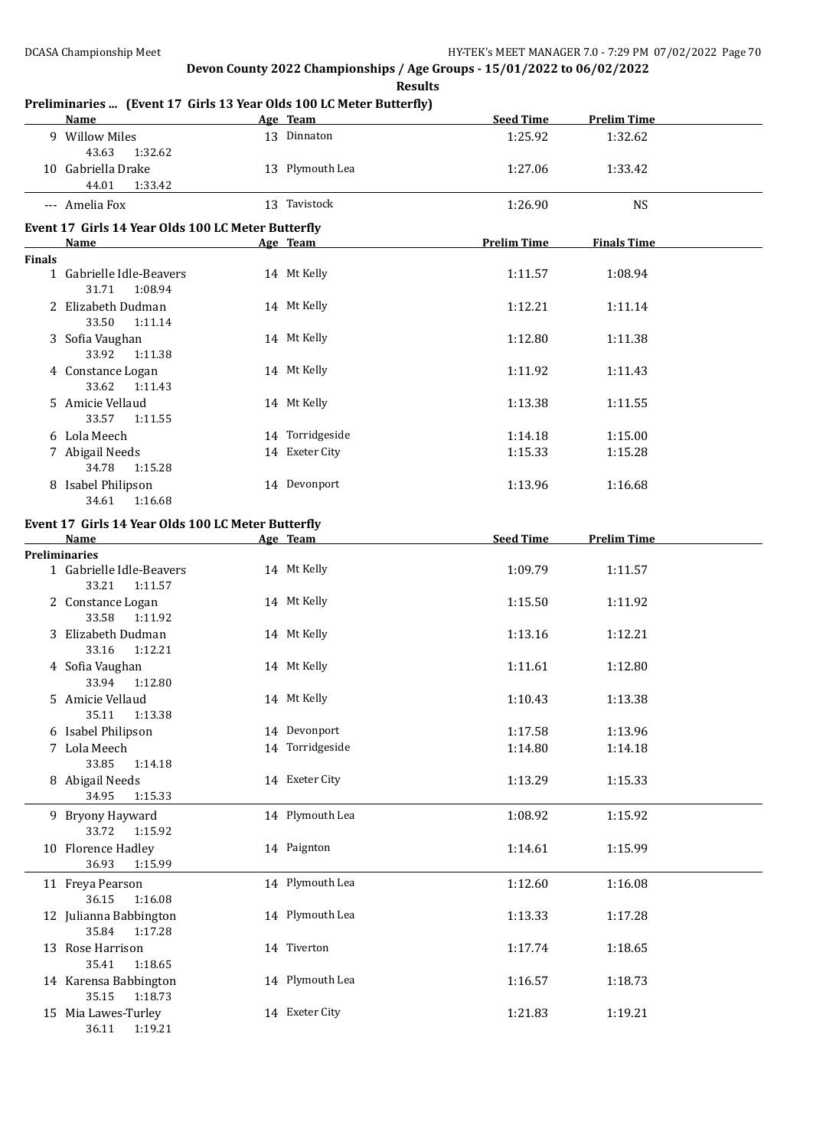#### **Preliminaries ... (Event 17 Girls 13 Year Olds 100 LC Meter Butterfly)**

|        | Name and the second state of the second state of the second state of the second state of the second state of the second state of the second state of the second state of the second state of the second state of the second st | Age Team        | <b>Seed Time</b>   | <b>Prelim Time</b> |  |
|--------|--------------------------------------------------------------------------------------------------------------------------------------------------------------------------------------------------------------------------------|-----------------|--------------------|--------------------|--|
|        | 9 Willow Miles<br>43.63<br>1:32.62                                                                                                                                                                                             | 13 Dinnaton     | 1:25.92            | 1:32.62            |  |
|        | 10 Gabriella Drake<br>44.01<br>1:33.42                                                                                                                                                                                         | 13 Plymouth Lea | 1:27.06            | 1:33.42            |  |
|        | --- Amelia Fox                                                                                                                                                                                                                 | 13 Tavistock    | 1:26.90            | <b>NS</b>          |  |
|        | Event 17 Girls 14 Year Olds 100 LC Meter Butterfly                                                                                                                                                                             |                 |                    |                    |  |
|        | <b>Name</b>                                                                                                                                                                                                                    | Age Team        | <b>Prelim Time</b> | <b>Finals Time</b> |  |
| Finals | 1 Gabrielle Idle-Beavers<br>31.71<br>1:08.94                                                                                                                                                                                   | 14 Mt Kelly     | 1:11.57            | 1:08.94            |  |
|        | 2 Elizabeth Dudman<br>33.50<br>1:11.14                                                                                                                                                                                         | 14 Mt Kelly     | 1:12.21            | 1:11.14            |  |
|        | 3 Sofia Vaughan<br>33.92<br>1:11.38                                                                                                                                                                                            | 14 Mt Kelly     | 1:12.80            | 1:11.38            |  |
|        | 4 Constance Logan<br>33.62<br>1:11.43                                                                                                                                                                                          | 14 Mt Kelly     | 1:11.92            | 1:11.43            |  |
|        | 5 Amicie Vellaud<br>33.57<br>1:11.55                                                                                                                                                                                           | 14 Mt Kelly     | 1:13.38            | 1:11.55            |  |
|        | 6 Lola Meech                                                                                                                                                                                                                   | 14 Torridgeside | 1:14.18            | 1:15.00            |  |
|        | 7 Abigail Needs                                                                                                                                                                                                                | 14 Exeter City  | 1:15.33            | 1:15.28            |  |
|        | 34.78<br>1:15.28<br>8 Isabel Philipson                                                                                                                                                                                         | 14 Devonport    | 1:13.96            | 1:16.68            |  |
|        | 1:16.68<br>34.61                                                                                                                                                                                                               |                 |                    |                    |  |
|        | Event 17 Girls 14 Year Olds 100 LC Meter Butterfly                                                                                                                                                                             |                 |                    |                    |  |
|        | Name                                                                                                                                                                                                                           | Age Team        | <b>Seed Time</b>   | <b>Prelim Time</b> |  |
|        | <b>Preliminaries</b>                                                                                                                                                                                                           |                 |                    |                    |  |
|        | 1 Gabrielle Idle-Beavers<br>33.21<br>1:11.57                                                                                                                                                                                   | 14 Mt Kelly     | 1:09.79            | 1:11.57            |  |
|        | 2 Constance Logan<br>33.58<br>1:11.92                                                                                                                                                                                          | 14 Mt Kelly     | 1:15.50            | 1:11.92            |  |
|        | 3 Elizabeth Dudman<br>33.16<br>1:12.21                                                                                                                                                                                         | 14 Mt Kelly     | 1:13.16            | 1:12.21            |  |
|        | 4 Sofia Vaughan<br>33.94<br>1:12.80                                                                                                                                                                                            | 14 Mt Kelly     | 1:11.61            | 1:12.80            |  |
|        | 5 Amicie Vellaud<br>35.11<br>1:13.38                                                                                                                                                                                           | 14 Mt Kelly     | 1:10.43            | 1:13.38            |  |
|        | 6 Isabel Philipson                                                                                                                                                                                                             | 14 Devonport    | 1:17.58            | 1:13.96            |  |
|        | 7 Lola Meech<br>33.85<br>1:14.18                                                                                                                                                                                               | 14 Torridgeside | 1:14.80            | 1:14.18            |  |
|        | 8 Abigail Needs<br>34.95<br>1:15.33                                                                                                                                                                                            | 14 Exeter City  | 1:13.29            | 1:15.33            |  |
|        | 9 Bryony Hayward<br>33.72<br>1:15.92                                                                                                                                                                                           | 14 Plymouth Lea | 1:08.92            | 1:15.92            |  |
|        | 10 Florence Hadley<br>36.93<br>1:15.99                                                                                                                                                                                         | 14 Paignton     | 1:14.61            | 1:15.99            |  |
|        | 11 Freya Pearson<br>36.15<br>1:16.08                                                                                                                                                                                           | 14 Plymouth Lea | 1:12.60            | 1:16.08            |  |
|        | 12 Julianna Babbington<br>35.84<br>1:17.28                                                                                                                                                                                     | 14 Plymouth Lea | 1:13.33            | 1:17.28            |  |
|        | 13 Rose Harrison<br>35.41<br>1:18.65                                                                                                                                                                                           | 14 Tiverton     | 1:17.74            | 1:18.65            |  |
|        | 14 Karensa Babbington<br>35.15<br>1:18.73                                                                                                                                                                                      | 14 Plymouth Lea | 1:16.57            | 1:18.73            |  |
|        | 15 Mia Lawes-Turley<br>1:19.21<br>36.11                                                                                                                                                                                        | 14 Exeter City  | 1:21.83            | 1:19.21            |  |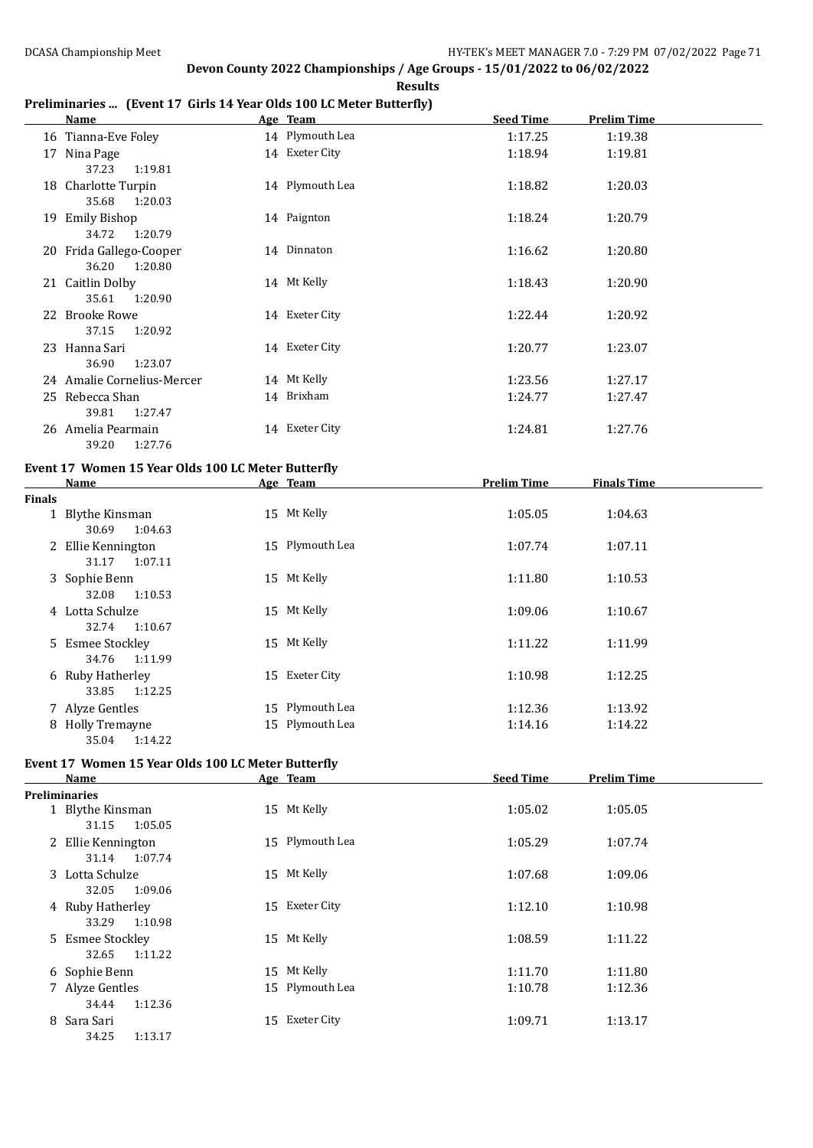#### **Preliminaries ... (Event 17 Girls 14 Year Olds 100 LC Meter Butterfly)**

|    | Name                       | Age Team        | <b>Seed Time</b> | <b>Prelim Time</b> |
|----|----------------------------|-----------------|------------------|--------------------|
|    | 16 Tianna-Eve Foley        | 14 Plymouth Lea | 1:17.25          | 1:19.38            |
| 17 | Nina Page                  | 14 Exeter City  | 1:18.94          | 1:19.81            |
|    | 37.23<br>1:19.81           |                 |                  |                    |
|    | 18 Charlotte Turpin        | 14 Plymouth Lea | 1:18.82          | 1:20.03            |
|    | 35.68<br>1:20.03           |                 |                  |                    |
|    | 19 Emily Bishop            | 14 Paignton     | 1:18.24          | 1:20.79            |
|    | 34.72<br>1:20.79           |                 |                  |                    |
|    | 20 Frida Gallego-Cooper    | 14 Dinnaton     | 1:16.62          | 1:20.80            |
|    | 36.20<br>1:20.80           |                 |                  |                    |
|    | 21 Caitlin Dolby           | 14 Mt Kelly     | 1:18.43          | 1:20.90            |
|    | 35.61<br>1:20.90           |                 |                  |                    |
|    | 22 Brooke Rowe             | 14 Exeter City  | 1:22.44          | 1:20.92            |
|    | 37.15<br>1:20.92           |                 |                  |                    |
|    | 23 Hanna Sari              | 14 Exeter City  | 1:20.77          | 1:23.07            |
|    | 36.90<br>1:23.07           |                 |                  |                    |
|    | 24 Amalie Cornelius-Mercer | 14 Mt Kelly     | 1:23.56          | 1:27.17            |
|    | 25 Rebecca Shan            | 14 Brixham      | 1:24.77          | 1:27.47            |
|    | 39.81<br>1:27.47           |                 |                  |                    |
|    | 26 Amelia Pearmain         | 14 Exeter City  | 1:24.81          | 1:27.76            |
|    | 39.20<br>1:27.76           |                 |                  |                    |

#### **Event 17 Women 15 Year Olds 100 LC Meter Butterfly**

|               | Name                                   | Age Team        | Prelim Time | <b>Finals Time</b> |  |
|---------------|----------------------------------------|-----------------|-------------|--------------------|--|
| <b>Finals</b> |                                        |                 |             |                    |  |
|               | 1 Blythe Kinsman<br>30.69<br>1:04.63   | 15 Mt Kelly     | 1:05.05     | 1:04.63            |  |
|               | 2 Ellie Kennington<br>1:07.11<br>31.17 | 15 Plymouth Lea | 1:07.74     | 1:07.11            |  |
|               | 3 Sophie Benn<br>32.08<br>1:10.53      | 15 Mt Kelly     | 1:11.80     | 1:10.53            |  |
|               | 4 Lotta Schulze<br>32.74 1:10.67       | 15 Mt Kelly     | 1:09.06     | 1:10.67            |  |
|               | 5 Esmee Stockley<br>1:11.99<br>34.76   | 15 Mt Kelly     | 1:11.22     | 1:11.99            |  |
|               | 6 Ruby Hatherley<br>1:12.25<br>33.85   | 15 Exeter City  | 1:10.98     | 1:12.25            |  |
|               | 7 Alyze Gentles                        | 15 Plymouth Lea | 1:12.36     | 1:13.92            |  |
|               | 8 Holly Tremayne<br>1:14.22<br>35.04   | 15 Plymouth Lea | 1:14.16     | 1:14.22            |  |

### **Event 17 Women 15 Year Olds 100 LC Meter Butterfly**

|                      | Name                                   | Age Team        | <b>Seed Time</b> | <b>Prelim Time</b> |
|----------------------|----------------------------------------|-----------------|------------------|--------------------|
| <b>Preliminaries</b> |                                        |                 |                  |                    |
|                      | 1 Blythe Kinsman<br>1:05.05<br>31.15   | 15 Mt Kelly     | 1:05.02          | 1:05.05            |
|                      | 2 Ellie Kennington<br>31.14<br>1:07.74 | 15 Plymouth Lea | 1:05.29          | 1:07.74            |
|                      | 3 Lotta Schulze<br>1:09.06<br>32.05    | 15 Mt Kelly     | 1:07.68          | 1:09.06            |
|                      | 4 Ruby Hatherley<br>1:10.98<br>33.29   | 15 Exeter City  | 1:12.10          | 1:10.98            |
|                      | 5 Esmee Stockley<br>1:11.22<br>32.65   | 15 Mt Kelly     | 1:08.59          | 1:11.22            |
|                      | 6 Sophie Benn                          | 15 Mt Kelly     | 1:11.70          | 1:11.80            |
|                      | 7 Alyze Gentles<br>1:12.36<br>34.44    | 15 Plymouth Lea | 1:10.78          | 1:12.36            |
|                      | 8 Sara Sari<br>34.25<br>1:13.17        | 15 Exeter City  | 1:09.71          | 1:13.17            |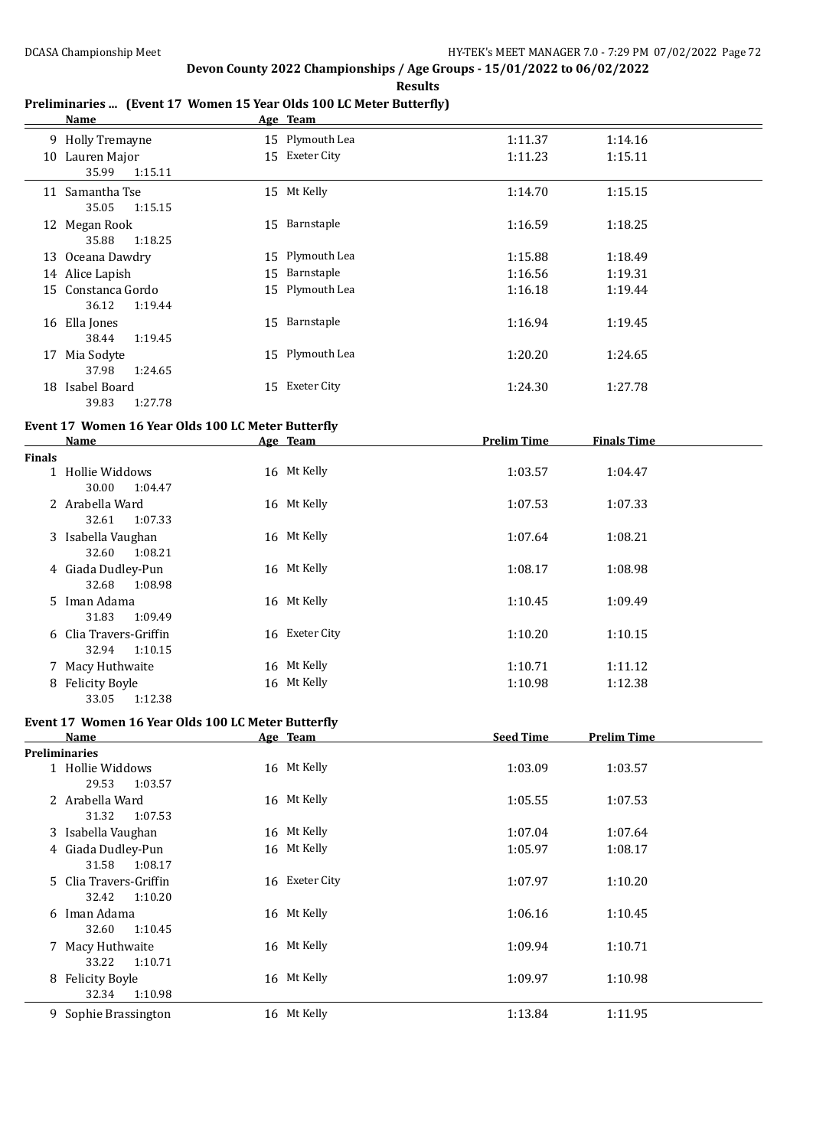### **Preliminaries ... (Event 17 Women 15 Year Olds 100 LC Meter Butterfly)**

|               | Name                                               |    | Age Team        |                    |                    |
|---------------|----------------------------------------------------|----|-----------------|--------------------|--------------------|
|               | 9 Holly Tremayne                                   |    | 15 Plymouth Lea | 1:11.37            | 1:14.16            |
|               | 10 Lauren Major                                    |    | 15 Exeter City  | 1:11.23            | 1:15.11            |
|               | 35.99<br>1:15.11                                   |    |                 |                    |                    |
|               | 11 Samantha Tse                                    |    | 15 Mt Kelly     | 1:14.70            | 1:15.15            |
|               | 35.05<br>1:15.15                                   |    |                 |                    |                    |
|               | 12 Megan Rook                                      |    | 15 Barnstaple   | 1:16.59            | 1:18.25            |
|               | 35.88<br>1:18.25                                   |    |                 |                    |                    |
|               | 13 Oceana Dawdry                                   |    | 15 Plymouth Lea | 1:15.88            | 1:18.49            |
|               | 14 Alice Lapish                                    | 15 | Barnstaple      | 1:16.56            | 1:19.31            |
|               | 15 Constanca Gordo                                 |    | 15 Plymouth Lea | 1:16.18            | 1:19.44            |
|               | 36.12<br>1:19.44                                   |    |                 |                    |                    |
|               | 16 Ella Jones                                      |    | 15 Barnstaple   | 1:16.94            | 1:19.45            |
|               | 38.44<br>1:19.45                                   |    |                 |                    |                    |
|               | 17 Mia Sodyte                                      |    | 15 Plymouth Lea | 1:20.20            | 1:24.65            |
|               | 37.98<br>1:24.65                                   |    |                 |                    |                    |
|               | 18 Isabel Board                                    |    | 15 Exeter City  | 1:24.30            | 1:27.78            |
|               | 39.83<br>1:27.78                                   |    |                 |                    |                    |
|               | Event 17 Women 16 Year Olds 100 LC Meter Butterfly |    |                 |                    |                    |
|               | Name                                               |    | Age Team        | <b>Prelim Time</b> | <b>Finals Time</b> |
| <b>Finals</b> |                                                    |    |                 |                    |                    |
|               | 1 Hollie Widdows                                   |    | 16 Mt Kelly     | 1:03.57            | 1:04.47            |
|               | 30.00<br>1:04.47                                   |    |                 |                    |                    |
|               | 2 Arabella Ward                                    |    | 16 Mt Kelly     | 1:07.53            | 1:07.33            |
|               | 32.61<br>1:07.33                                   |    |                 |                    |                    |
|               | 3 Isabella Vaughan                                 |    | 16 Mt Kelly     | 1:07.64            | 1:08.21            |
|               | 32.60<br>1:08.21                                   |    |                 |                    |                    |

| 4 Giada Dudley-Pun<br>32.68<br>1:08.98     | 16 Mt Kelly    | 1:08.17 | 1:08.98 |
|--------------------------------------------|----------------|---------|---------|
| 5 Iman Adama<br>1:09.49<br>31.83           | 16 Mt Kelly    | 1:10.45 | 1:09.49 |
| 6 Clia Travers-Griffin<br>1:10.15<br>32.94 | 16 Exeter City | 1:10.20 | 1:10.15 |
| 7 Macy Huthwaite                           | 16 Mt Kelly    | 1:10.71 | 1:11.12 |
| 8 Felicity Boyle<br>1:12.38<br>33.05       | 16 Mt Kelly    | 1:10.98 | 1:12.38 |

#### **Event 17 Women 16 Year Olds 100 LC Meter Butterfly**

| Name                   | Age Team       | <b>Seed Time</b> | <b>Prelim Time</b> |
|------------------------|----------------|------------------|--------------------|
| <b>Preliminaries</b>   |                |                  |                    |
| 1 Hollie Widdows       | 16 Mt Kelly    | 1:03.09          | 1:03.57            |
| 29.53<br>1:03.57       |                |                  |                    |
| 2 Arabella Ward        | 16 Mt Kelly    | 1:05.55          | 1:07.53            |
| 31.32<br>1:07.53       |                |                  |                    |
| 3 Isabella Vaughan     | 16 Mt Kelly    | 1:07.04          | 1:07.64            |
| 4 Giada Dudley-Pun     | 16 Mt Kelly    | 1:05.97          | 1:08.17            |
| 31.58<br>1:08.17       |                |                  |                    |
| 5 Clia Travers-Griffin | 16 Exeter City | 1:07.97          | 1:10.20            |
| 32.42<br>1:10.20       |                |                  |                    |
| Iman Adama<br>6        | 16 Mt Kelly    | 1:06.16          | 1:10.45            |
| 32.60<br>1:10.45       |                |                  |                    |
| 7 Macy Huthwaite       | 16 Mt Kelly    | 1:09.94          | 1:10.71            |
| 1:10.71<br>33.22       |                |                  |                    |
| 8 Felicity Boyle       | 16 Mt Kelly    | 1:09.97          | 1:10.98            |
| 1:10.98<br>32.34       |                |                  |                    |
| 9 Sophie Brassington   | 16 Mt Kelly    | 1:13.84          | 1:11.95            |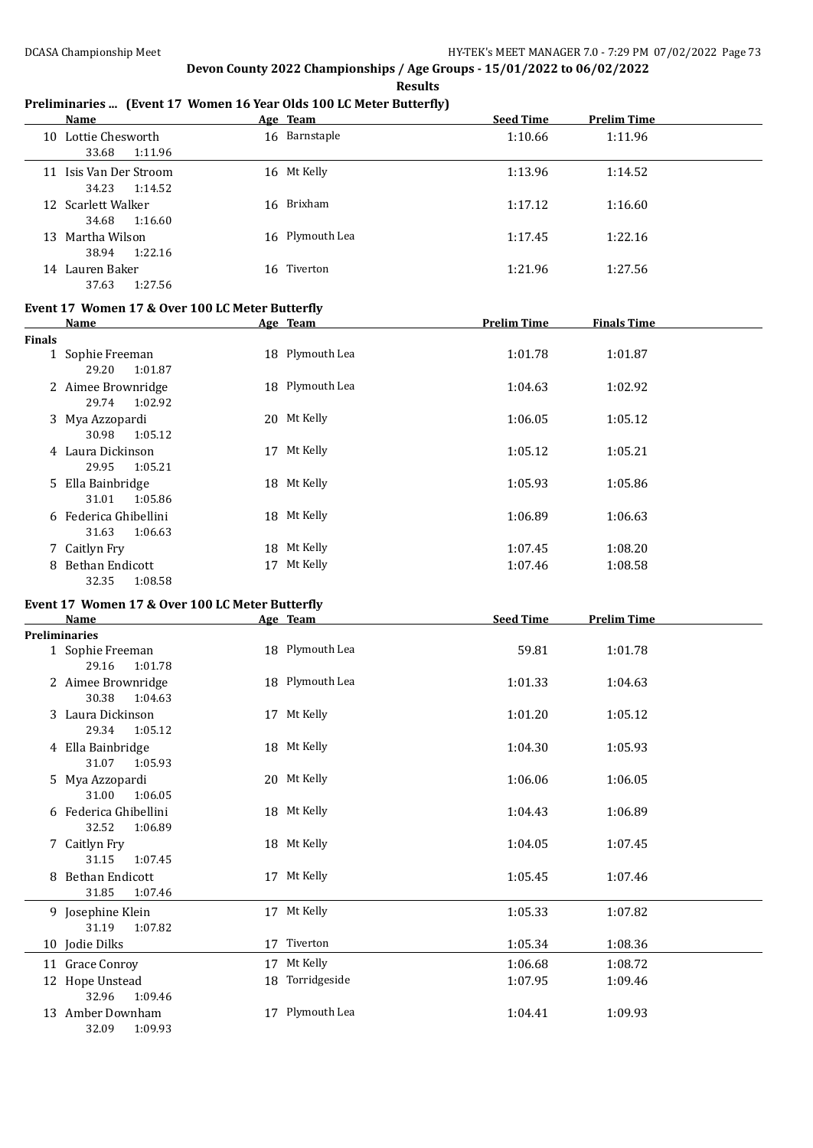**Results**

#### **Preliminaries ... (Event 17 Women 16 Year Olds 100 LC Meter Butterfly)**

|               | Name                                            | Age Team        | <b>Seed Time</b>   | <b>Prelim Time</b> |  |
|---------------|-------------------------------------------------|-----------------|--------------------|--------------------|--|
|               | 10 Lottie Chesworth<br>33.68<br>1:11.96         | 16 Barnstaple   | 1:10.66            | 1:11.96            |  |
|               | 11 Isis Van Der Stroom<br>34.23<br>1:14.52      | 16 Mt Kelly     | 1:13.96            | 1:14.52            |  |
|               | 12 Scarlett Walker<br>34.68<br>1:16.60          | 16 Brixham      | 1:17.12            | 1:16.60            |  |
|               | 13 Martha Wilson<br>38.94<br>1:22.16            | 16 Plymouth Lea | 1:17.45            | 1:22.16            |  |
|               | 14 Lauren Baker<br>37.63<br>1:27.56             | 16 Tiverton     | 1:21.96            | 1:27.56            |  |
|               | Event 17 Women 17 & Over 100 LC Meter Butterfly |                 |                    |                    |  |
|               | <b>Name</b>                                     | Age Team        | <b>Prelim Time</b> | <b>Finals Time</b> |  |
| <b>Finals</b> |                                                 |                 |                    |                    |  |
|               | 1 Sophie Freeman<br>29.20<br>1:01.87            | 18 Plymouth Lea | 1:01.78            | 1:01.87            |  |
|               | 2 Aimee Brownridge<br>29.74<br>1:02.92          | 18 Plymouth Lea | 1:04.63            | 1:02.92            |  |
|               | 3 Mya Azzopardi<br>30.98<br>1:05.12             | 20 Mt Kelly     | 1:06.05            | 1:05.12            |  |
|               | 4 Laura Dickinson<br>29.95<br>1:05.21           | 17 Mt Kelly     | 1:05.12            | 1:05.21            |  |
|               | 5 Ella Bainbridge<br>31.01<br>1:05.86           | 18 Mt Kelly     | 1:05.93            | 1:05.86            |  |
|               | 6 Federica Ghibellini<br>31.63<br>1:06.63       | 18 Mt Kelly     | 1:06.89            | 1:06.63            |  |
|               | 7 Caitlyn Fry                                   | 18 Mt Kelly     | 1:07.45            | 1:08.20            |  |
|               | 8 Bethan Endicott                               | 17 Mt Kelly     | 1:07.46            | 1:08.58            |  |

#### **Event 17 Women 17 & Over 100 LC Meter Butterfly**

32.35 1:08.58

| <b>Name</b>           |    | Age Team        | <b>Seed Time</b> | <b>Prelim Time</b> |  |
|-----------------------|----|-----------------|------------------|--------------------|--|
| <b>Preliminaries</b>  |    |                 |                  |                    |  |
| 1 Sophie Freeman      |    | 18 Plymouth Lea | 59.81            | 1:01.78            |  |
| 29.16<br>1:01.78      |    |                 |                  |                    |  |
| 2 Aimee Brownridge    |    | 18 Plymouth Lea | 1:01.33          | 1:04.63            |  |
| 1:04.63<br>30.38      |    |                 |                  |                    |  |
| 3 Laura Dickinson     |    | 17 Mt Kelly     | 1:01.20          | 1:05.12            |  |
| 29.34<br>1:05.12      |    |                 |                  |                    |  |
| 4 Ella Bainbridge     |    | 18 Mt Kelly     | 1:04.30          | 1:05.93            |  |
| 31.07<br>1:05.93      |    |                 |                  |                    |  |
| 5 Mya Azzopardi       |    | 20 Mt Kelly     | 1:06.06          | 1:06.05            |  |
| 31.00<br>1:06.05      |    |                 |                  |                    |  |
| 6 Federica Ghibellini |    | 18 Mt Kelly     | 1:04.43          | 1:06.89            |  |
| 32.52<br>1:06.89      |    |                 |                  |                    |  |
| 7 Caitlyn Fry         |    | 18 Mt Kelly     | 1:04.05          | 1:07.45            |  |
| 31.15<br>1:07.45      |    |                 |                  |                    |  |
| 8 Bethan Endicott     |    | 17 Mt Kelly     | 1:05.45          | 1:07.46            |  |
| 31.85<br>1:07.46      |    |                 |                  |                    |  |
| 9 Josephine Klein     |    | 17 Mt Kelly     | 1:05.33          | 1:07.82            |  |
| 31.19<br>1:07.82      |    |                 |                  |                    |  |
| 10 Jodie Dilks        |    | 17 Tiverton     | 1:05.34          | 1:08.36            |  |
| 11 Grace Conroy       | 17 | Mt Kelly        | 1:06.68          | 1:08.72            |  |
| 12 Hope Unstead       |    | 18 Torridgeside | 1:07.95          | 1:09.46            |  |
| 32.96<br>1:09.46      |    |                 |                  |                    |  |
| 13 Amber Downham      |    | 17 Plymouth Lea | 1:04.41          | 1:09.93            |  |
| 32.09<br>1:09.93      |    |                 |                  |                    |  |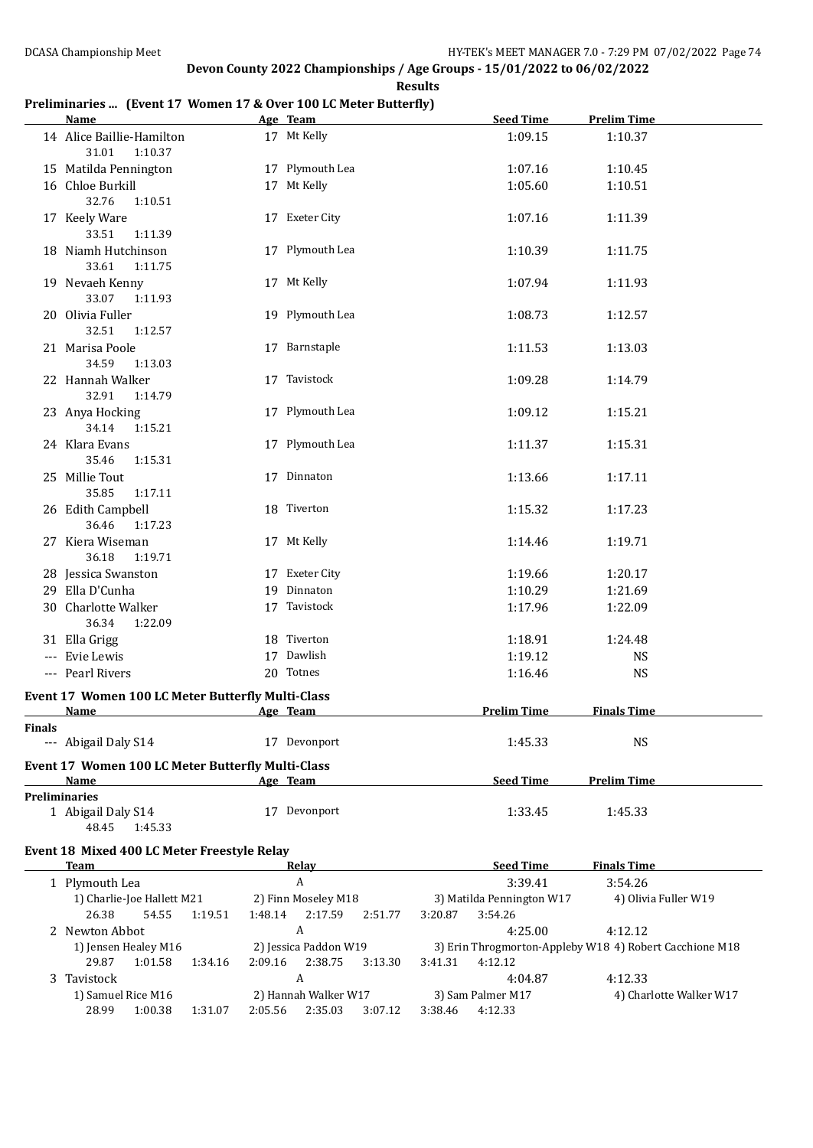#### **Preliminaries ... (Event 17 Women 17 & Over 100 LC Meter Butterfly)**

|        | <b>Name</b>                                              | Age Team                   | <b>Seed Time</b>          | <b>Prelim Time</b>                                      |
|--------|----------------------------------------------------------|----------------------------|---------------------------|---------------------------------------------------------|
|        | 14 Alice Baillie-Hamilton<br>31.01<br>1:10.37            | 17 Mt Kelly                | 1:09.15                   | 1:10.37                                                 |
|        | 15 Matilda Pennington                                    | 17 Plymouth Lea            | 1:07.16                   | 1:10.45                                                 |
|        | 16 Chloe Burkill                                         | 17 Mt Kelly                | 1:05.60                   | 1:10.51                                                 |
|        | 32.76<br>1:10.51                                         |                            |                           |                                                         |
|        | 17 Keely Ware                                            | 17 Exeter City             | 1:07.16                   | 1:11.39                                                 |
|        | 33.51<br>1:11.39                                         |                            |                           |                                                         |
|        | 18 Niamh Hutchinson                                      | 17 Plymouth Lea            | 1:10.39                   | 1:11.75                                                 |
|        | 33.61<br>1:11.75                                         |                            |                           |                                                         |
|        | 19 Nevaeh Kenny                                          | 17 Mt Kelly                | 1:07.94                   | 1:11.93                                                 |
|        | 33.07<br>1:11.93                                         |                            |                           |                                                         |
|        | 20 Olivia Fuller                                         | 19 Plymouth Lea            | 1:08.73                   | 1:12.57                                                 |
|        | 32.51<br>1:12.57                                         |                            |                           |                                                         |
|        | 21 Marisa Poole                                          | 17 Barnstaple              | 1:11.53                   | 1:13.03                                                 |
|        | 34.59<br>1:13.03                                         |                            |                           |                                                         |
|        | 22 Hannah Walker                                         | 17 Tavistock               | 1:09.28                   | 1:14.79                                                 |
|        | 32.91<br>1:14.79                                         |                            |                           |                                                         |
|        | 23 Anya Hocking                                          | 17 Plymouth Lea            | 1:09.12                   | 1:15.21                                                 |
|        | 34.14<br>1:15.21                                         |                            |                           |                                                         |
|        | 24 Klara Evans                                           | 17 Plymouth Lea            | 1:11.37                   | 1:15.31                                                 |
|        | 35.46<br>1:15.31                                         |                            |                           |                                                         |
|        | 25 Millie Tout                                           | 17 Dinnaton                | 1:13.66                   | 1:17.11                                                 |
|        | 35.85<br>1:17.11                                         |                            |                           |                                                         |
|        | 26 Edith Campbell                                        | 18 Tiverton                | 1:15.32                   | 1:17.23                                                 |
|        | 36.46<br>1:17.23                                         |                            |                           |                                                         |
|        | 27 Kiera Wiseman                                         | 17 Mt Kelly                | 1:14.46                   | 1:19.71                                                 |
|        | 36.18<br>1:19.71                                         |                            |                           |                                                         |
|        | 28 Jessica Swanston                                      | 17 Exeter City             | 1:19.66                   | 1:20.17                                                 |
|        | 29 Ella D'Cunha                                          | 19 Dinnaton                | 1:10.29                   | 1:21.69                                                 |
|        | 30 Charlotte Walker                                      | 17 Tavistock               | 1:17.96                   | 1:22.09                                                 |
|        | 36.34<br>1:22.09                                         |                            |                           |                                                         |
|        | 31 Ella Grigg                                            | 18 Tiverton                | 1:18.91                   | 1:24.48                                                 |
|        | --- Evie Lewis                                           | 17 Dawlish                 | 1:19.12                   | <b>NS</b>                                               |
|        | --- Pearl Rivers                                         | 20 Totnes                  | 1:16.46                   | <b>NS</b>                                               |
|        |                                                          |                            |                           |                                                         |
|        | <b>Event 17 Women 100 LC Meter Butterfly Multi-Class</b> |                            |                           |                                                         |
|        | Name                                                     | Age Team                   | <b>Prelim Time</b>        | <b>Finals Time</b>                                      |
| Finals | --- Abigail Daly S14                                     | 17 Devonport               | 1:45.33                   | <b>NS</b>                                               |
|        |                                                          |                            |                           |                                                         |
|        | Event 17 Women 100 LC Meter Butterfly Multi-Class        |                            |                           |                                                         |
|        | Name<br><b>Preliminaries</b>                             | Age Team                   | <b>Seed Time</b>          | <b>Prelim Time</b>                                      |
|        |                                                          | 17 Devonport               |                           |                                                         |
|        | 1 Abigail Daly S14<br>48.45                              |                            | 1:33.45                   | 1:45.33                                                 |
|        | 1:45.33                                                  |                            |                           |                                                         |
|        | Event 18 Mixed 400 LC Meter Freestyle Relay              |                            |                           |                                                         |
|        | <b>Team</b>                                              | Relay                      | <b>Seed Time</b>          | <b>Finals Time</b>                                      |
|        | 1 Plymouth Lea                                           | $\boldsymbol{A}$           | 3:39.41                   | 3:54.26                                                 |
|        | 1) Charlie-Joe Hallett M21                               | 2) Finn Moseley M18        | 3) Matilda Pennington W17 | 4) Olivia Fuller W19                                    |
|        | 1:19.51<br>26.38<br>54.55                                | 1:48.14 2:17.59<br>2:51.77 | 3:20.87<br>3:54.26        |                                                         |
|        | 2 Newton Abbot                                           | $\boldsymbol{A}$           | 4:25.00                   | 4:12.12                                                 |
|        | 1) Jensen Healey M16                                     | 2) Jessica Paddon W19      |                           | 3) Erin Throgmorton-Appleby W18 4) Robert Cacchione M18 |
|        | 29.87<br>1:34.16<br>1:01.58                              | 2:09.16 2:38.75<br>3:13.30 | 3:41.31<br>4:12.12        |                                                         |
|        | 3 Tavistock                                              | $\boldsymbol{A}$           | 4:04.87                   | 4:12.33                                                 |
|        | 1) Samuel Rice M16                                       | 2) Hannah Walker W17       | 3) Sam Palmer M17         | 4) Charlotte Walker W17                                 |

28.99 1:00.38 1:31.07 2:05.56 2:35.03 3:07.12 3:38.46 4:12.33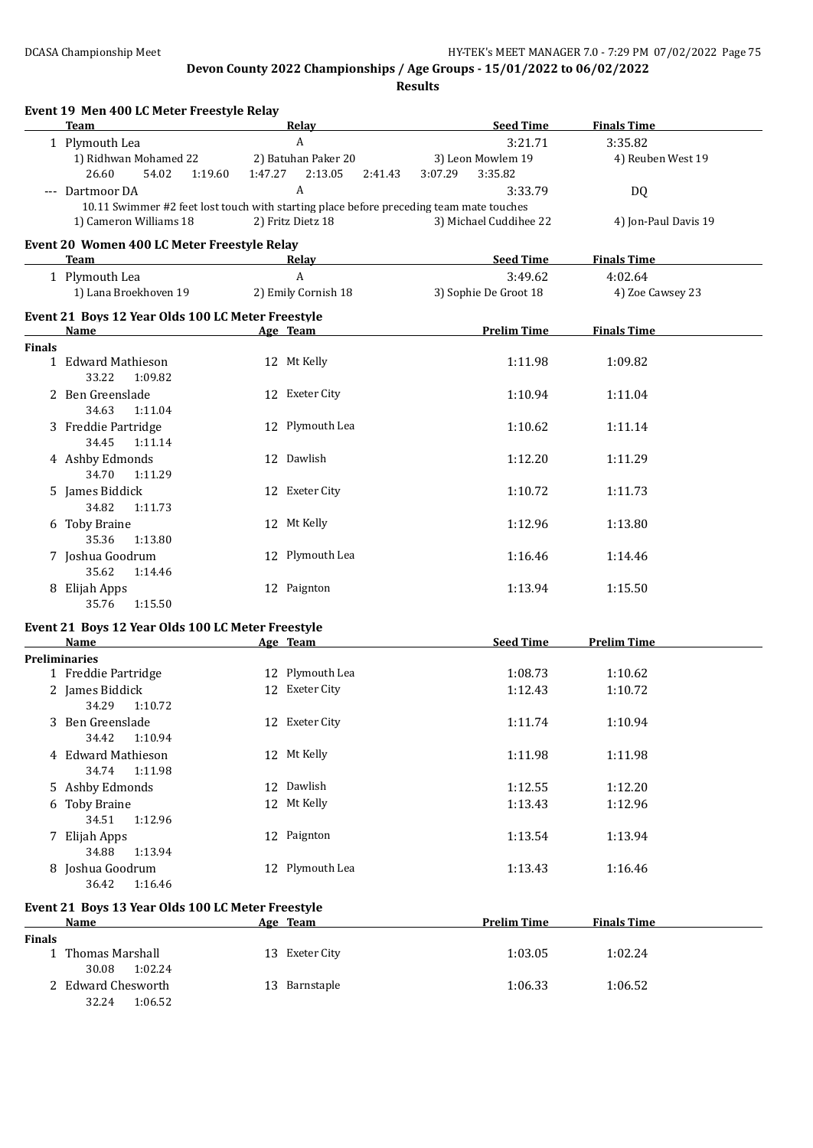**Results**

|               | <b>Team</b>                                                                             |         | <u>Relav</u>        | <b>Seed Time</b>       | <b>Finals Time</b>   |
|---------------|-----------------------------------------------------------------------------------------|---------|---------------------|------------------------|----------------------|
|               | 1 Plymouth Lea                                                                          |         | A                   | 3:21.71                | 3:35.82              |
|               | 1) Ridhwan Mohamed 22                                                                   |         | 2) Batuhan Paker 20 | 3) Leon Mowlem 19      | 4) Reuben West 19    |
|               | 26.60<br>54.02<br>1:19.60                                                               | 1:47.27 | 2:13.05<br>2:41.43  | 3:07.29<br>3:35.82     |                      |
|               | --- Dartmoor DA                                                                         |         | A                   | 3:33.79                | DQ                   |
|               | 10.11 Swimmer #2 feet lost touch with starting place before preceding team mate touches |         |                     |                        |                      |
|               | 1) Cameron Williams 18                                                                  |         | 2) Fritz Dietz 18   | 3) Michael Cuddihee 22 | 4) Jon-Paul Davis 19 |
|               | Event 20 Women 400 LC Meter Freestyle Relay                                             |         |                     |                        |                      |
|               | <b>Team</b>                                                                             |         | <b>Relay</b>        | <b>Seed Time</b>       | <b>Finals Time</b>   |
|               | 1 Plymouth Lea                                                                          |         | A                   | 3:49.62                | 4:02.64              |
|               | 1) Lana Broekhoven 19                                                                   |         | 2) Emily Cornish 18 | 3) Sophie De Groot 18  | 4) Zoe Cawsey 23     |
|               |                                                                                         |         |                     |                        |                      |
|               | Event 21 Boys 12 Year Olds 100 LC Meter Freestyle<br><b>Name</b>                        |         | Age Team            | <b>Prelim Time</b>     | <b>Finals Time</b>   |
| <b>Finals</b> |                                                                                         |         |                     |                        |                      |
|               | 1 Edward Mathieson                                                                      |         | 12 Mt Kelly         | 1:11.98                | 1:09.82              |
|               | 33.22<br>1:09.82                                                                        |         |                     |                        |                      |
|               | 2 Ben Greenslade                                                                        |         | 12 Exeter City      | 1:10.94                | 1:11.04              |
|               | 34.63<br>1:11.04                                                                        |         |                     |                        |                      |
|               | 3 Freddie Partridge                                                                     |         | 12 Plymouth Lea     | 1:10.62                | 1:11.14              |
|               | 34.45<br>1:11.14                                                                        |         |                     |                        |                      |
|               | 4 Ashby Edmonds                                                                         |         | 12 Dawlish          | 1:12.20                | 1:11.29              |
|               | 34.70<br>1:11.29                                                                        |         |                     |                        |                      |
|               | 5 James Biddick                                                                         |         | 12 Exeter City      | 1:10.72                | 1:11.73              |
|               | 34.82<br>1:11.73                                                                        |         |                     |                        |                      |
|               | 6 Toby Braine                                                                           |         | 12 Mt Kelly         | 1:12.96                | 1:13.80              |
|               | 35.36<br>1:13.80                                                                        |         |                     |                        |                      |
|               | 7 Joshua Goodrum                                                                        |         | 12 Plymouth Lea     | 1:16.46                | 1:14.46              |
|               | 35.62<br>1:14.46                                                                        |         |                     |                        |                      |
|               | 8 Elijah Apps                                                                           |         | 12 Paignton         | 1:13.94                | 1:15.50              |
|               | 35.76<br>1:15.50                                                                        |         |                     |                        |                      |
|               |                                                                                         |         |                     |                        |                      |
|               | Event 21 Boys 12 Year Olds 100 LC Meter Freestyle                                       |         |                     |                        |                      |
|               | Name                                                                                    |         | Age Team            | <b>Seed Time</b>       | <b>Prelim Time</b>   |
|               | <b>Preliminaries</b><br>1 Freddie Partridge                                             |         | 12 Plymouth Lea     | 1:08.73                | 1:10.62              |
|               | 2 James Biddick                                                                         |         | 12 Exeter City      | 1:12.43                | 1:10.72              |
|               | 34.29<br>1:10.72                                                                        |         |                     |                        |                      |
|               | 3 Ben Greenslade                                                                        |         | 12 Exeter City      | 1:11.74                | 1:10.94              |
|               | 34.42<br>1:10.94                                                                        |         |                     |                        |                      |
|               | 4 Edward Mathieson                                                                      |         | 12 Mt Kelly         | 1:11.98                | 1:11.98              |
|               | 34.74<br>1:11.98                                                                        |         |                     |                        |                      |
|               | 5 Ashby Edmonds                                                                         |         | 12 Dawlish          | 1:12.55                | 1:12.20              |
|               | 6 Toby Braine                                                                           |         | 12 Mt Kelly         | 1:13.43                | 1:12.96              |
|               | 34.51<br>1:12.96                                                                        |         |                     |                        |                      |
|               |                                                                                         |         |                     |                        |                      |
|               | 7 Elijah Apps<br>34.88<br>1:13.94                                                       |         | 12 Paignton         | 1:13.54                | 1:13.94              |
|               |                                                                                         |         |                     |                        |                      |
|               | 8 Joshua Goodrum                                                                        |         | 12 Plymouth Lea     | 1:13.43                | 1:16.46              |
|               | 36.42<br>1:16.46                                                                        |         |                     |                        |                      |
|               | Event 21 Boys 13 Year Olds 100 LC Meter Freestyle                                       |         |                     |                        |                      |
|               | <b>Name</b>                                                                             |         | Age Team            | <b>Prelim Time</b>     | <b>Finals Time</b>   |
| <b>Finals</b> |                                                                                         |         |                     |                        |                      |
|               | 1 Thomas Marshall                                                                       |         | 13 Exeter City      | 1:03.05                | 1:02.24              |
|               | 1:02.24<br>30.08                                                                        |         |                     |                        |                      |
|               | 2 Edward Chesworth                                                                      |         | 13 Barnstaple       | 1:06.33                | 1:06.52              |

32.24 1:06.52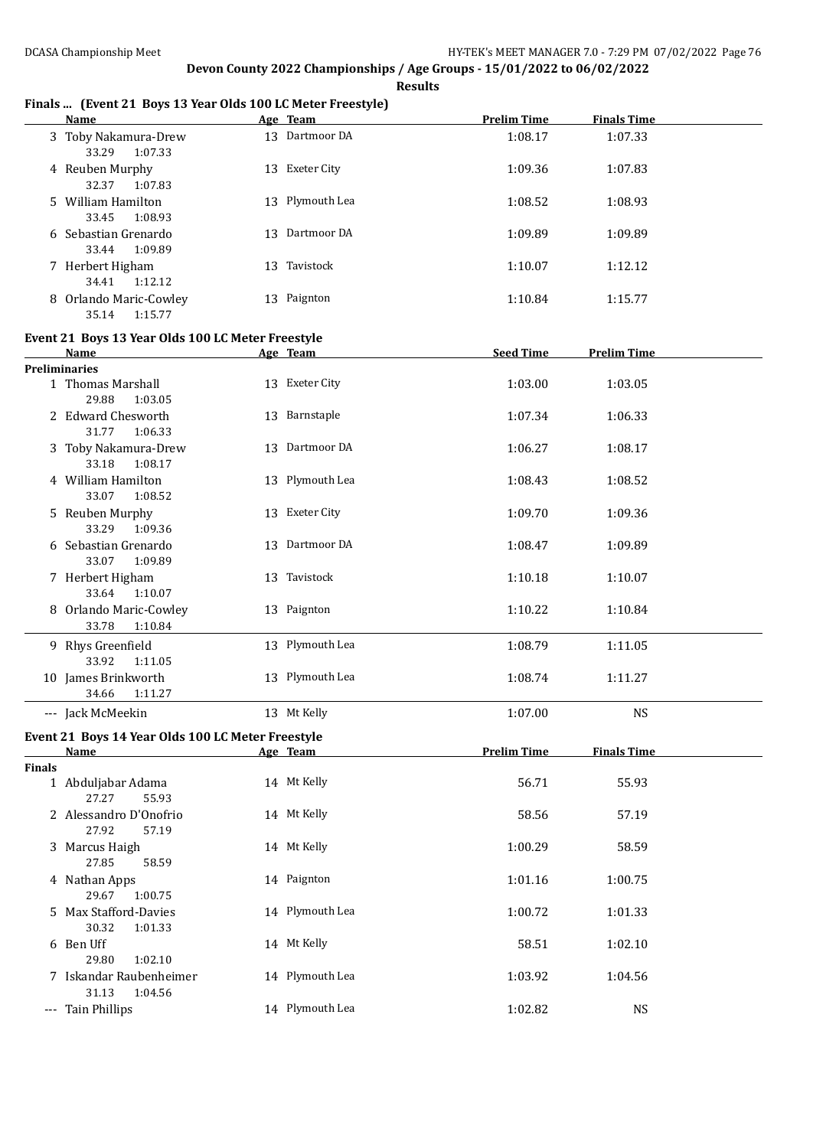|               | <b>Name</b>                                       | $\frac{1}{2}$ boys to real only foo be recent free style.<br>Age Team | <b>Prelim Time</b> | <b>Finals Time</b> |  |
|---------------|---------------------------------------------------|-----------------------------------------------------------------------|--------------------|--------------------|--|
|               | 3 Toby Nakamura-Drew<br>33.29<br>1:07.33          | 13 Dartmoor DA                                                        | 1:08.17            | 1:07.33            |  |
|               | 4 Reuben Murphy<br>32.37<br>1:07.83               | 13 Exeter City                                                        | 1:09.36            | 1:07.83            |  |
|               | 5 William Hamilton<br>33.45<br>1:08.93            | 13 Plymouth Lea                                                       | 1:08.52            | 1:08.93            |  |
|               | 6 Sebastian Grenardo<br>33.44<br>1:09.89          | 13 Dartmoor DA                                                        | 1:09.89            | 1:09.89            |  |
|               | 7 Herbert Higham<br>34.41<br>1:12.12              | 13 Tavistock                                                          | 1:10.07            | 1:12.12            |  |
|               | 8 Orlando Maric-Cowley<br>35.14<br>1:15.77        | 13 Paignton                                                           | 1:10.84            | 1:15.77            |  |
|               | Event 21 Boys 13 Year Olds 100 LC Meter Freestyle |                                                                       |                    |                    |  |
|               | Name                                              | Age Team                                                              | <b>Seed Time</b>   | <b>Prelim Time</b> |  |
|               | Preliminaries                                     |                                                                       |                    |                    |  |
|               | 1 Thomas Marshall<br>29.88<br>1:03.05             | 13 Exeter City                                                        | 1:03.00            | 1:03.05            |  |
|               | 2 Edward Chesworth<br>31.77<br>1:06.33            | 13 Barnstaple                                                         | 1:07.34            | 1:06.33            |  |
|               | 3 Toby Nakamura-Drew<br>33.18<br>1:08.17          | 13 Dartmoor DA                                                        | 1:06.27            | 1:08.17            |  |
|               | 4 William Hamilton<br>33.07<br>1:08.52            | 13 Plymouth Lea                                                       | 1:08.43            | 1:08.52            |  |
|               | 5 Reuben Murphy<br>33.29<br>1:09.36               | 13 Exeter City                                                        | 1:09.70            | 1:09.36            |  |
|               | 6 Sebastian Grenardo<br>33.07<br>1:09.89          | 13 Dartmoor DA                                                        | 1:08.47            | 1:09.89            |  |
|               | 7 Herbert Higham<br>33.64<br>1:10.07              | 13 Tavistock                                                          | 1:10.18            | 1:10.07            |  |
|               | 8 Orlando Maric-Cowley<br>33.78<br>1:10.84        | 13 Paignton                                                           | 1:10.22            | 1:10.84            |  |
|               | 9 Rhys Greenfield<br>33.92<br>1:11.05             | 13 Plymouth Lea                                                       | 1:08.79            | 1:11.05            |  |
|               | 10 James Brinkworth<br>34.66<br>1:11.27           | 13 Plymouth Lea                                                       | 1:08.74            | 1:11.27            |  |
|               | --- Jack McMeekin                                 | 13 Mt Kelly                                                           | 1:07.00            | <b>NS</b>          |  |
|               | Event 21 Boys 14 Year Olds 100 LC Meter Freestyle |                                                                       |                    |                    |  |
|               | Name                                              | Age Team                                                              | <b>Prelim Time</b> | <b>Finals Time</b> |  |
| <b>Finals</b> | 1 Abduljabar Adama<br>27.27<br>55.93              | 14 Mt Kelly                                                           | 56.71              | 55.93              |  |
|               | 2 Alessandro D'Onofrio<br>27.92<br>57.19          | 14 Mt Kelly                                                           | 58.56              | 57.19              |  |
|               | 3 Marcus Haigh<br>27.85<br>58.59                  | 14 Mt Kelly                                                           | 1:00.29            | 58.59              |  |
|               | 4 Nathan Apps<br>29.67<br>1:00.75                 | 14 Paignton                                                           | 1:01.16            | 1:00.75            |  |
|               | 5 Max Stafford-Davies<br>30.32<br>1:01.33         | 14 Plymouth Lea                                                       | 1:00.72            | 1:01.33            |  |
|               | 6 Ben Uff<br>29.80<br>1:02.10                     | 14 Mt Kelly                                                           | 58.51              | 1:02.10            |  |
|               | 7 Iskandar Raubenheimer<br>31.13<br>1:04.56       | 14 Plymouth Lea                                                       | 1:03.92            | 1:04.56            |  |
|               | --- Tain Phillips                                 | 14 Plymouth Lea                                                       | 1:02.82            | <b>NS</b>          |  |

### **Finals ... (Event 21 Boys 13 Year Olds 100 LC Meter Freestyle)**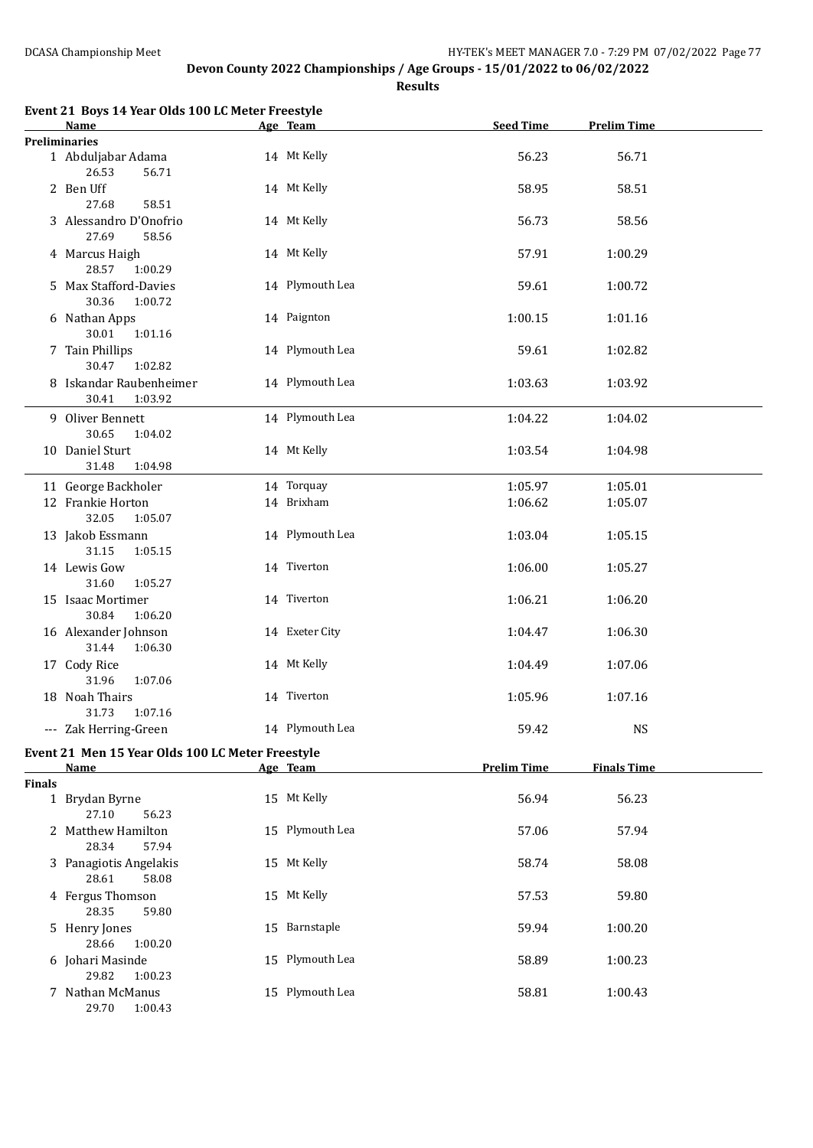**Results**

|        | Event 21 Boys 14 Year Olds 100 LC Meter Freestyle            |                 |                    |                    |  |
|--------|--------------------------------------------------------------|-----------------|--------------------|--------------------|--|
|        | Name                                                         | Age Team        | <b>Seed Time</b>   | <b>Prelim Time</b> |  |
|        | <b>Preliminaries</b><br>1 Abduljabar Adama<br>26.53<br>56.71 | 14 Mt Kelly     | 56.23              | 56.71              |  |
|        | 2 Ben Uff<br>27.68<br>58.51                                  | 14 Mt Kelly     | 58.95              | 58.51              |  |
|        | 3 Alessandro D'Onofrio<br>27.69<br>58.56                     | 14 Mt Kelly     | 56.73              | 58.56              |  |
|        | 4 Marcus Haigh<br>28.57<br>1:00.29                           | 14 Mt Kelly     | 57.91              | 1:00.29            |  |
|        | 5 Max Stafford-Davies<br>30.36<br>1:00.72                    | 14 Plymouth Lea | 59.61              | 1:00.72            |  |
|        | 6 Nathan Apps<br>30.01<br>1:01.16                            | 14 Paignton     | 1:00.15            | 1:01.16            |  |
|        | 7 Tain Phillips<br>30.47<br>1:02.82                          | 14 Plymouth Lea | 59.61              | 1:02.82            |  |
|        | 8 Iskandar Raubenheimer<br>30.41<br>1:03.92                  | 14 Plymouth Lea | 1:03.63            | 1:03.92            |  |
|        | 9 Oliver Bennett<br>30.65<br>1:04.02                         | 14 Plymouth Lea | 1:04.22            | 1:04.02            |  |
|        | 10 Daniel Sturt<br>31.48<br>1:04.98                          | 14 Mt Kelly     | 1:03.54            | 1:04.98            |  |
|        | 11 George Backholer                                          | 14 Torquay      | 1:05.97            | 1:05.01            |  |
|        | 12 Frankie Horton<br>32.05<br>1:05.07                        | 14 Brixham      | 1:06.62            | 1:05.07            |  |
|        | 13 Jakob Essmann<br>31.15<br>1:05.15                         | 14 Plymouth Lea | 1:03.04            | 1:05.15            |  |
|        | 14 Lewis Gow<br>31.60<br>1:05.27                             | 14 Tiverton     | 1:06.00            | 1:05.27            |  |
|        | 15 Isaac Mortimer<br>30.84<br>1:06.20                        | 14 Tiverton     | 1:06.21            | 1:06.20            |  |
|        | 16 Alexander Johnson<br>31.44<br>1:06.30                     | 14 Exeter City  | 1:04.47            | 1:06.30            |  |
|        | 17 Cody Rice<br>31.96<br>1:07.06                             | 14 Mt Kelly     | 1:04.49            | 1:07.06            |  |
|        | 18 Noah Thairs<br>31.73 1:07.16                              | 14 Tiverton     | 1:05.96            | 1:07.16            |  |
|        | --- Zak Herring-Green                                        | 14 Plymouth Lea | 59.42              | <b>NS</b>          |  |
|        | Event 21 Men 15 Year Olds 100 LC Meter Freestyle             | Age Team        | <b>Prelim Time</b> |                    |  |
| Finals | <b>Name</b>                                                  |                 |                    | <b>Finals Time</b> |  |
|        | 1 Brydan Byrne<br>27.10<br>56.23                             | 15 Mt Kelly     | 56.94              | 56.23              |  |
|        | 2 Matthew Hamilton<br>28.34<br>57.94                         | 15 Plymouth Lea | 57.06              | 57.94              |  |
|        | 3 Panagiotis Angelakis<br>28.61<br>58.08                     | 15 Mt Kelly     | 58.74              | 58.08              |  |
|        | 4 Fergus Thomson<br>28.35<br>59.80                           | 15 Mt Kelly     | 57.53              | 59.80              |  |
|        | 5 Henry Jones<br>28.66<br>1:00.20                            | 15 Barnstaple   | 59.94              | 1:00.20            |  |
|        | 6 Johari Masinde<br>29.82<br>1:00.23                         | 15 Plymouth Lea | 58.89              | 1:00.23            |  |
|        | 7 Nathan McManus<br>29.70<br>1:00.43                         | 15 Plymouth Lea | 58.81              | 1:00.43            |  |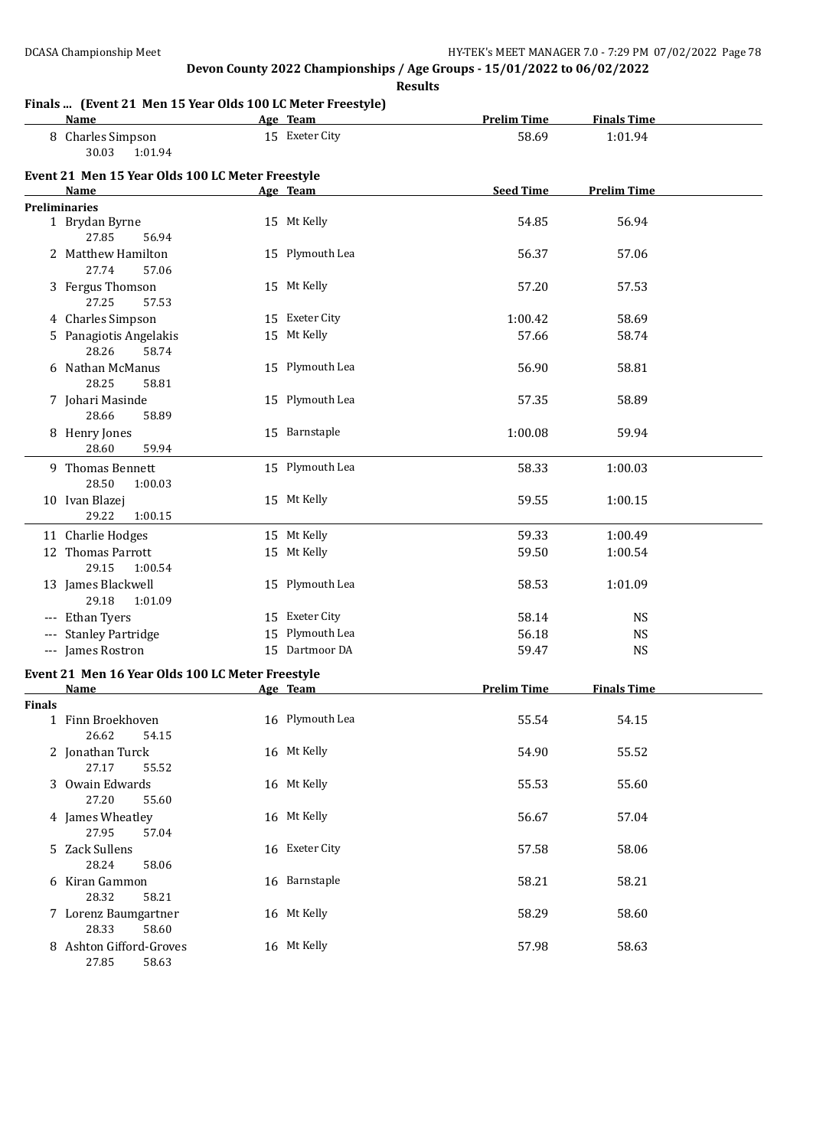**Results**

#### **Finals ... (Event 21 Men 15 Year Olds 100 LC Meter Freestyle)**

|                                          | Finals  (Event 21 Men 15 Year Olds 100 LC Meter Freestyle)<br><b>Name</b> | Age Team        | <b>Prelim Time</b> | <b>Finals Time</b> |  |
|------------------------------------------|---------------------------------------------------------------------------|-----------------|--------------------|--------------------|--|
|                                          | 8 Charles Simpson<br>30.03<br>1:01.94                                     | 15 Exeter City  | 58.69              | 1:01.94            |  |
|                                          | Event 21 Men 15 Year Olds 100 LC Meter Freestyle<br>Name                  | Age Team        | <b>Seed Time</b>   | <b>Prelim Time</b> |  |
|                                          | <b>Preliminaries</b>                                                      |                 |                    |                    |  |
|                                          | 1 Brydan Byrne<br>27.85<br>56.94                                          | 15 Mt Kelly     | 54.85              | 56.94              |  |
|                                          | 2 Matthew Hamilton<br>27.74<br>57.06                                      | 15 Plymouth Lea | 56.37              | 57.06              |  |
|                                          | 3 Fergus Thomson<br>27.25<br>57.53                                        | 15 Mt Kelly     | 57.20              | 57.53              |  |
|                                          | 4 Charles Simpson                                                         | 15 Exeter City  | 1:00.42            | 58.69              |  |
|                                          | 5 Panagiotis Angelakis<br>28.26<br>58.74                                  | 15 Mt Kelly     | 57.66              | 58.74              |  |
|                                          | 6 Nathan McManus<br>28.25<br>58.81                                        | 15 Plymouth Lea | 56.90              | 58.81              |  |
|                                          | 7 Johari Masinde<br>28.66<br>58.89                                        | 15 Plymouth Lea | 57.35              | 58.89              |  |
|                                          | 8 Henry Jones<br>28.60<br>59.94                                           | 15 Barnstaple   | 1:00.08            | 59.94              |  |
|                                          | 9 Thomas Bennett<br>28.50<br>1:00.03                                      | 15 Plymouth Lea | 58.33              | 1:00.03            |  |
|                                          | 10 Ivan Blazej<br>29.22<br>1:00.15                                        | 15 Mt Kelly     | 59.55              | 1:00.15            |  |
|                                          | 11 Charlie Hodges                                                         | 15 Mt Kelly     | 59.33              | 1:00.49            |  |
|                                          | 12 Thomas Parrott<br>29.15<br>1:00.54                                     | 15 Mt Kelly     | 59.50              | 1:00.54            |  |
|                                          | 13 James Blackwell<br>29.18<br>1:01.09                                    | 15 Plymouth Lea | 58.53              | 1:01.09            |  |
|                                          | --- Ethan Tyers                                                           | 15 Exeter City  | 58.14              | <b>NS</b>          |  |
| $\hspace{0.05cm} \ldots \hspace{0.05cm}$ | <b>Stanley Partridge</b>                                                  | 15 Plymouth Lea | 56.18              | <b>NS</b>          |  |
|                                          | --- James Rostron                                                         | 15 Dartmoor DA  | 59.47              | <b>NS</b>          |  |
|                                          | Event 21 Men 16 Year Olds 100 LC Meter Freestyle<br><b>Name</b>           | Age Team        | <b>Prelim Time</b> | <b>Finals Time</b> |  |
| Finals                                   |                                                                           |                 |                    |                    |  |
|                                          | 1 Finn Broekhoven<br>26.62<br>54.15                                       | 16 Plymouth Lea | 55.54              | 54.15              |  |
|                                          | 2 Jonathan Turck<br>27.17<br>55.52                                        | 16 Mt Kelly     | 54.90              | 55.52              |  |
|                                          | 3 Owain Edwards<br>27.20<br>55.60                                         | 16 Mt Kelly     | 55.53              | 55.60              |  |
|                                          | 4 James Wheatley<br>27.95<br>57.04                                        | 16 Mt Kelly     | 56.67              | 57.04              |  |
|                                          | 5 Zack Sullens<br>28.24<br>58.06                                          | 16 Exeter City  | 57.58              | 58.06              |  |
|                                          | 6 Kiran Gammon<br>28.32<br>58.21                                          | 16 Barnstaple   | 58.21              | 58.21              |  |
|                                          | 7 Lorenz Baumgartner<br>28.33<br>58.60                                    | 16 Mt Kelly     | 58.29              | 58.60              |  |
|                                          | 8 Ashton Gifford-Groves<br>27.85<br>58.63                                 | 16 Mt Kelly     | 57.98              | 58.63              |  |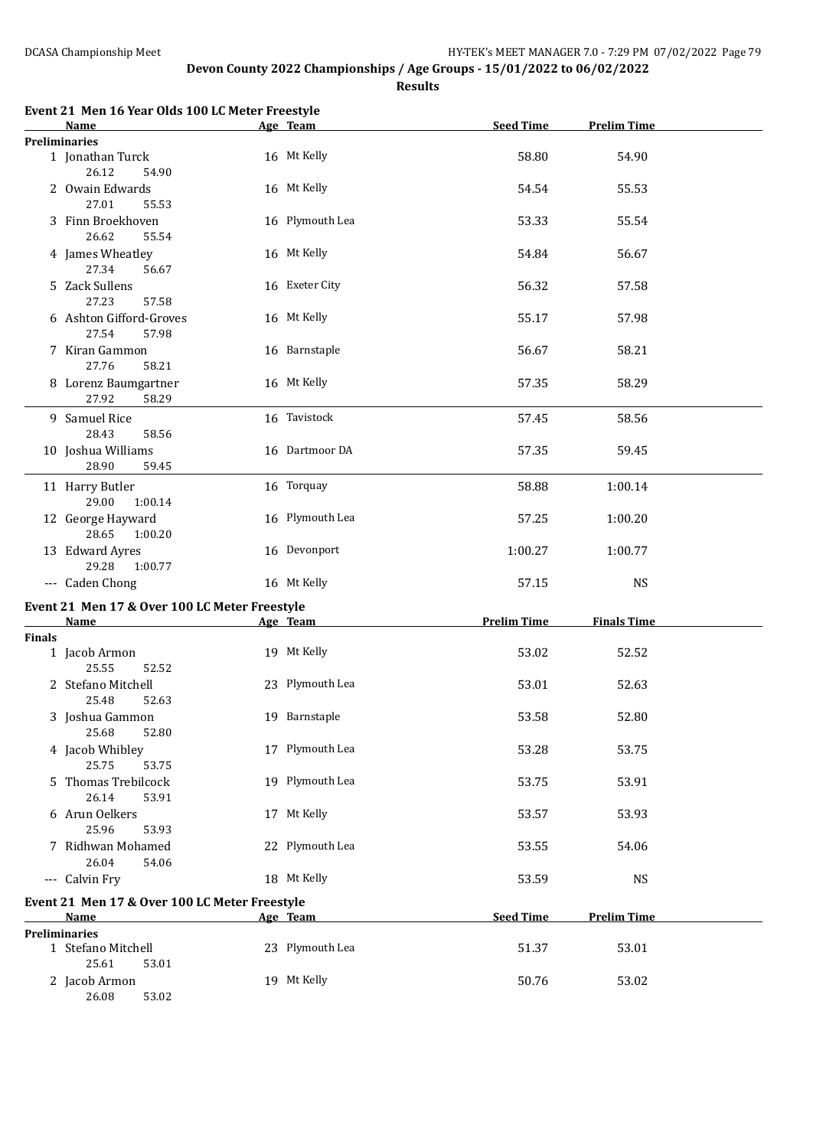**Results**

|        | Event 21 Men 16 Year Olds 100 LC Meter Freestyle<br>Name | Age Team        | <b>Seed Time</b>   | <b>Prelim Time</b> |  |
|--------|----------------------------------------------------------|-----------------|--------------------|--------------------|--|
|        | <b>Preliminaries</b>                                     |                 |                    |                    |  |
|        | 1 Jonathan Turck<br>26.12<br>54.90                       | 16 Mt Kelly     | 58.80              | 54.90              |  |
|        | 2 Owain Edwards<br>27.01<br>55.53                        | 16 Mt Kelly     | 54.54              | 55.53              |  |
|        | 3 Finn Broekhoven<br>26.62<br>55.54                      | 16 Plymouth Lea | 53.33              | 55.54              |  |
|        | 4 James Wheatley<br>27.34<br>56.67                       | 16 Mt Kelly     | 54.84              | 56.67              |  |
|        | 5 Zack Sullens<br>27.23<br>57.58                         | 16 Exeter City  | 56.32              | 57.58              |  |
|        | 6 Ashton Gifford-Groves<br>27.54<br>57.98                | 16 Mt Kelly     | 55.17              | 57.98              |  |
|        | 7 Kiran Gammon<br>58.21<br>27.76                         | 16 Barnstaple   | 56.67              | 58.21              |  |
|        | 8 Lorenz Baumgartner<br>27.92<br>58.29                   | 16 Mt Kelly     | 57.35              | 58.29              |  |
|        | 9 Samuel Rice<br>28.43<br>58.56                          | 16 Tavistock    | 57.45              | 58.56              |  |
|        | 10 Joshua Williams<br>28.90<br>59.45                     | 16 Dartmoor DA  | 57.35              | 59.45              |  |
|        | 11 Harry Butler<br>29.00<br>1:00.14                      | 16 Torquay      | 58.88              | 1:00.14            |  |
|        | 12 George Hayward<br>28.65<br>1:00.20                    | 16 Plymouth Lea | 57.25              | 1:00.20            |  |
|        | 13 Edward Ayres<br>29.28<br>1:00.77                      | 16 Devonport    | 1:00.27            | 1:00.77            |  |
|        | --- Caden Chong                                          | 16 Mt Kelly     | 57.15              | <b>NS</b>          |  |
|        | Event 21 Men 17 & Over 100 LC Meter Freestyle            |                 |                    |                    |  |
|        | Name                                                     | Age Team        | <b>Prelim Time</b> | <b>Finals Time</b> |  |
| Finals |                                                          |                 |                    |                    |  |
|        | 1 Jacob Armon<br>25.55<br>52.52                          | 19 Mt Kelly     | 53.02              | 52.52              |  |
|        | 2 Stefano Mitchell<br>25.48<br>52.63                     | 23 Plymouth Lea | 53.01              | 52.63              |  |
|        | 3 Joshua Gammon<br>25.68<br>52.80                        | 19 Barnstaple   | 53.58              | 52.80              |  |
|        | 4 Jacob Whibley<br>25.75<br>53.75                        | 17 Plymouth Lea | 53.28              | 53.75              |  |
|        | 5 Thomas Trebilcock<br>26.14<br>53.91                    | 19 Plymouth Lea | 53.75              | 53.91              |  |
|        | 6 Arun Oelkers<br>25.96<br>53.93                         | 17 Mt Kelly     | 53.57              | 53.93              |  |
|        | 7 Ridhwan Mohamed<br>26.04<br>54.06                      | 22 Plymouth Lea | 53.55              | 54.06              |  |
|        | --- Calvin Fry                                           | 18 Mt Kelly     | 53.59              | <b>NS</b>          |  |
|        | Event 21 Men 17 & Over 100 LC Meter Freestyle<br>Name    | Age Team        | <b>Seed Time</b>   | <b>Prelim Time</b> |  |
|        | Preliminaries                                            |                 |                    |                    |  |
|        | 1 Stefano Mitchell<br>25.61<br>53.01                     | 23 Plymouth Lea | 51.37              | 53.01              |  |
|        | 2 Jacob Armon<br>26.08<br>53.02                          | 19 Mt Kelly     | 50.76              | 53.02              |  |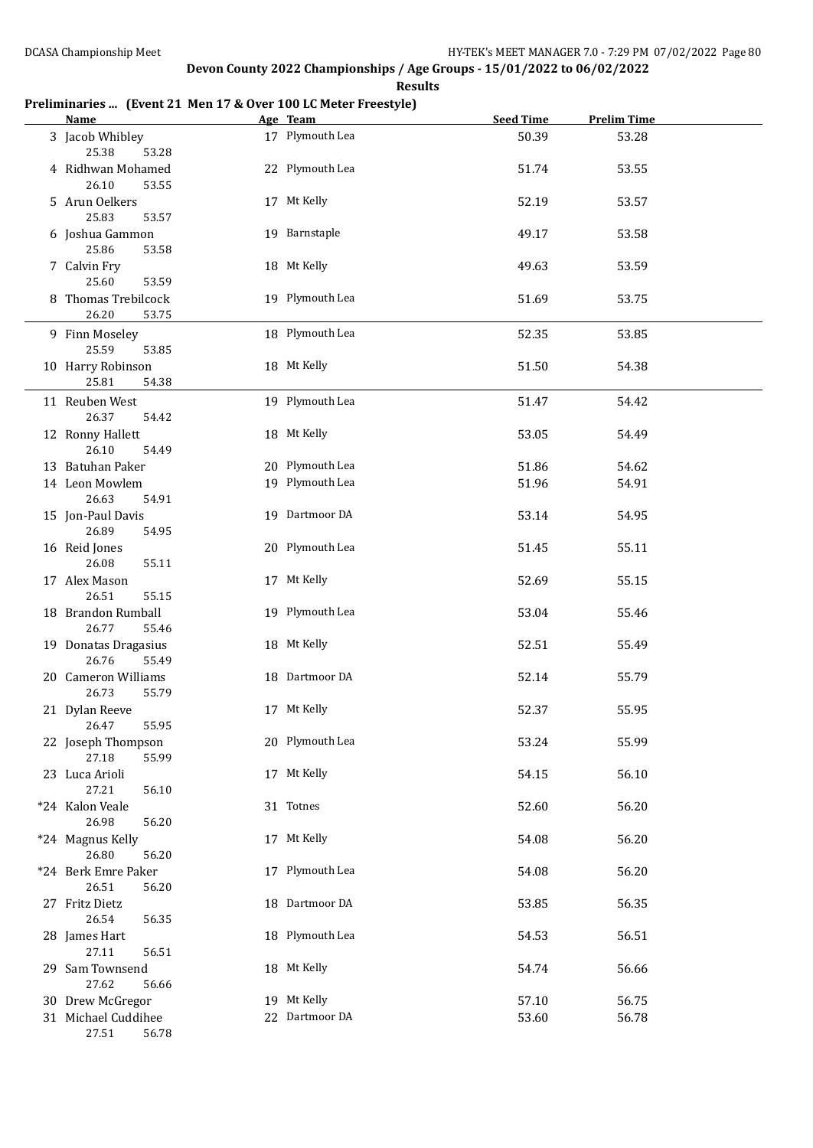### **Preliminaries ... (Event 21 Men 17 & Over 100 LC Meter Freestyle)**

| <b>Name</b>                                        | Age Team                       | <b>Seed Time</b> | <b>Prelim Time</b> |  |
|----------------------------------------------------|--------------------------------|------------------|--------------------|--|
| 3 Jacob Whibley<br>25.38<br>53.28                  | 17 Plymouth Lea                | 50.39            | 53.28              |  |
| 4 Ridhwan Mohamed<br>26.10<br>53.55                | 22 Plymouth Lea                | 51.74            | 53.55              |  |
| 5 Arun Oelkers<br>25.83<br>53.57                   | 17 Mt Kelly                    | 52.19            | 53.57              |  |
| 6 Joshua Gammon<br>25.86<br>53.58                  | 19 Barnstaple                  | 49.17            | 53.58              |  |
| 7 Calvin Fry<br>25.60<br>53.59                     | 18 Mt Kelly                    | 49.63            | 53.59              |  |
| 8 Thomas Trebilcock<br>26.20<br>53.75              | 19 Plymouth Lea                | 51.69            | 53.75              |  |
| 9 Finn Moseley<br>25.59<br>53.85                   | 18 Plymouth Lea                | 52.35            | 53.85              |  |
| 10 Harry Robinson<br>25.81<br>54.38                | 18 Mt Kelly                    | 51.50            | 54.38              |  |
| 11 Reuben West<br>26.37<br>54.42                   | 19 Plymouth Lea                | 51.47            | 54.42              |  |
| 12 Ronny Hallett<br>26.10<br>54.49                 | 18 Mt Kelly                    | 53.05            | 54.49              |  |
| 13 Batuhan Paker                                   | 20 Plymouth Lea                | 51.86            | 54.62              |  |
| 14 Leon Mowlem<br>26.63<br>54.91                   | 19 Plymouth Lea                | 51.96            | 54.91              |  |
| 15 Jon-Paul Davis<br>26.89<br>54.95                | 19 Dartmoor DA                 | 53.14            | 54.95              |  |
| 16 Reid Jones<br>26.08<br>55.11                    | 20 Plymouth Lea                | 51.45            | 55.11              |  |
| 17 Alex Mason<br>26.51<br>55.15                    | 17 Mt Kelly                    | 52.69            | 55.15              |  |
| 18 Brandon Rumball<br>26.77<br>55.46               | 19 Plymouth Lea                | 53.04            | 55.46              |  |
| 19 Donatas Dragasius<br>26.76<br>55.49             | 18 Mt Kelly                    | 52.51            | 55.49              |  |
| 20 Cameron Williams<br>26.73<br>55.79              | 18 Dartmoor DA                 | 52.14            | 55.79              |  |
| 21 Dylan Reeve<br>26.47<br>55.95                   | 17 Mt Kelly                    | 52.37            | 55.95              |  |
| 22 Joseph Thompson<br>27.18<br>55.99               | 20 Plymouth Lea                | 53.24            | 55.99              |  |
| 23 Luca Arioli<br>27.21<br>56.10                   | 17 Mt Kelly                    | 54.15            | 56.10              |  |
| *24 Kalon Veale<br>26.98<br>56.20                  | 31 Totnes                      | 52.60            | 56.20              |  |
| *24 Magnus Kelly<br>26.80<br>56.20                 | 17 Mt Kelly<br>17 Plymouth Lea | 54.08            | 56.20              |  |
| *24 Berk Emre Paker<br>26.51<br>56.20              | 18 Dartmoor DA                 | 54.08            | 56.20              |  |
| 27 Fritz Dietz<br>26.54<br>56.35                   | 18 Plymouth Lea                | 53.85            | 56.35<br>56.51     |  |
| 28 James Hart<br>27.11<br>56.51<br>29 Sam Townsend | 18 Mt Kelly                    | 54.53<br>54.74   | 56.66              |  |
| 27.62<br>56.66<br>30 Drew McGregor                 | 19 Mt Kelly                    | 57.10            | 56.75              |  |
|                                                    | 22 Dartmoor DA                 |                  |                    |  |
| 31 Michael Cuddihee<br>27.51<br>56.78              |                                | 53.60            | 56.78              |  |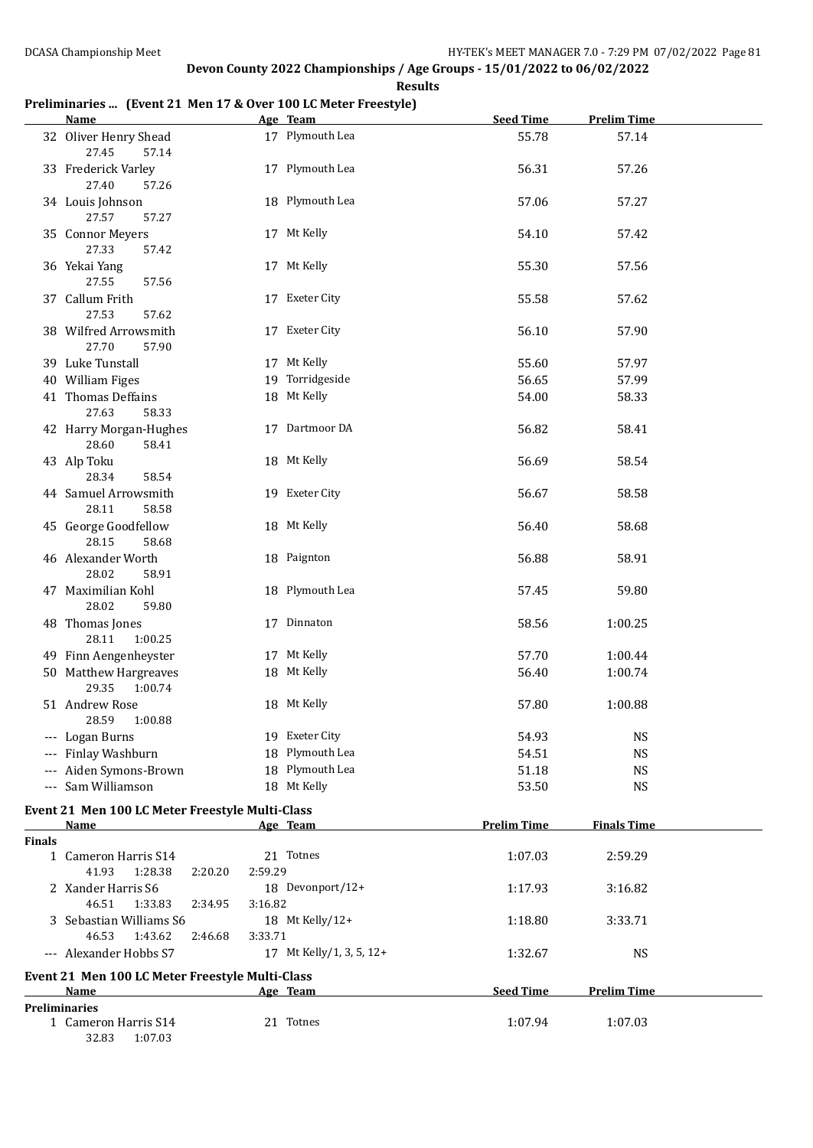### **Preliminaries ... (Event 21 Men 17 & Over 100 LC Meter Freestyle)**

|               | <b>Name</b>                                     |                    | Age Team                 | <b>Seed Time</b>   | <b>Prelim Time</b> |  |
|---------------|-------------------------------------------------|--------------------|--------------------------|--------------------|--------------------|--|
|               | 32 Oliver Henry Shead<br>27.45<br>57.14         |                    | 17 Plymouth Lea          | 55.78              | 57.14              |  |
|               | 33 Frederick Varley<br>27.40<br>57.26           |                    | 17 Plymouth Lea          | 56.31              | 57.26              |  |
|               | 34 Louis Johnson<br>27.57<br>57.27              |                    | 18 Plymouth Lea          | 57.06              | 57.27              |  |
|               | 35 Connor Meyers<br>27.33<br>57.42              |                    | 17 Mt Kelly              | 54.10              | 57.42              |  |
|               | 36 Yekai Yang<br>27.55<br>57.56                 |                    | 17 Mt Kelly              | 55.30              | 57.56              |  |
|               | 37 Callum Frith<br>27.53<br>57.62               |                    | 17 Exeter City           | 55.58              | 57.62              |  |
|               | 38 Wilfred Arrowsmith<br>27.70<br>57.90         |                    | 17 Exeter City           | 56.10              | 57.90              |  |
|               | 39 Luke Tunstall                                |                    | 17 Mt Kelly              | 55.60              | 57.97              |  |
|               | 40 William Figes                                |                    | 19 Torridgeside          | 56.65              | 57.99              |  |
|               |                                                 |                    |                          |                    |                    |  |
|               | 41 Thomas Deffains<br>27.63<br>58.33            |                    | 18 Mt Kelly              | 54.00              | 58.33              |  |
|               | 42 Harry Morgan-Hughes<br>28.60<br>58.41        |                    | 17 Dartmoor DA           | 56.82              | 58.41              |  |
|               | 43 Alp Toku<br>28.34<br>58.54                   |                    | 18 Mt Kelly              | 56.69              | 58.54              |  |
|               | 44 Samuel Arrowsmith<br>28.11<br>58.58          |                    | 19 Exeter City           | 56.67              | 58.58              |  |
|               | 45 George Goodfellow<br>28.15<br>58.68          |                    | 18 Mt Kelly              | 56.40              | 58.68              |  |
|               | 46 Alexander Worth<br>28.02<br>58.91            |                    | 18 Paignton              | 56.88              | 58.91              |  |
|               | 47 Maximilian Kohl<br>28.02<br>59.80            |                    | 18 Plymouth Lea          | 57.45              | 59.80              |  |
|               | 48 Thomas Jones<br>28.11<br>1:00.25             |                    | 17 Dinnaton              | 58.56              | 1:00.25            |  |
|               | 49 Finn Aengenheyster                           |                    | 17 Mt Kelly              | 57.70              | 1:00.44            |  |
|               | 50 Matthew Hargreaves<br>29.35<br>1:00.74       |                    | 18 Mt Kelly              | 56.40              | 1:00.74            |  |
|               | 51 Andrew Rose<br>28.59<br>1:00.88              |                    | 18 Mt Kelly              | 57.80              | 1:00.88            |  |
|               | --- Logan Burns                                 |                    | 19 Exeter City           | 54.93              | <b>NS</b>          |  |
|               | --- Finlay Washburn                             |                    | 18 Plymouth Lea          | 54.51              | <b>NS</b>          |  |
|               | --- Aiden Symons-Brown                          |                    | 18 Plymouth Lea          | 51.18              | <b>NS</b>          |  |
|               | --- Sam Williamson                              |                    | 18 Mt Kelly              | 53.50              | <b>NS</b>          |  |
|               |                                                 |                    |                          |                    |                    |  |
|               | Event 21 Men 100 LC Meter Freestyle Multi-Class |                    |                          |                    |                    |  |
| <b>Finals</b> | Name                                            |                    | Age Team                 | <b>Prelim Time</b> | <b>Finals Time</b> |  |
|               | 1 Cameron Harris S14<br>41.93<br>1:28.38        | 2:59.29<br>2:20.20 | 21 Totnes                | 1:07.03            | 2:59.29            |  |
|               | 2 Xander Harris S6                              |                    | 18 Devonport/12+         | 1:17.93            | 3:16.82            |  |
|               | 46.51<br>1:33.83<br>3 Sebastian Williams S6     | 3:16.82<br>2:34.95 | 18 Mt Kelly/12+          | 1:18.80            | 3:33.71            |  |
|               | 46.53<br>1:43.62<br>--- Alexander Hobbs S7      | 3:33.71<br>2:46.68 | 17 Mt Kelly/1, 3, 5, 12+ | 1:32.67            | <b>NS</b>          |  |
|               | Event 21 Men 100 LC Meter Freestyle Multi-Class |                    |                          |                    |                    |  |
|               | Name                                            |                    | Age Team                 | <b>Seed Time</b>   | <b>Prelim Time</b> |  |
|               | <b>Preliminaries</b>                            |                    |                          |                    |                    |  |
|               | 1 Cameron Harris S14<br>32.83<br>1:07.03        |                    | 21 Totnes                | 1:07.94            | 1:07.03            |  |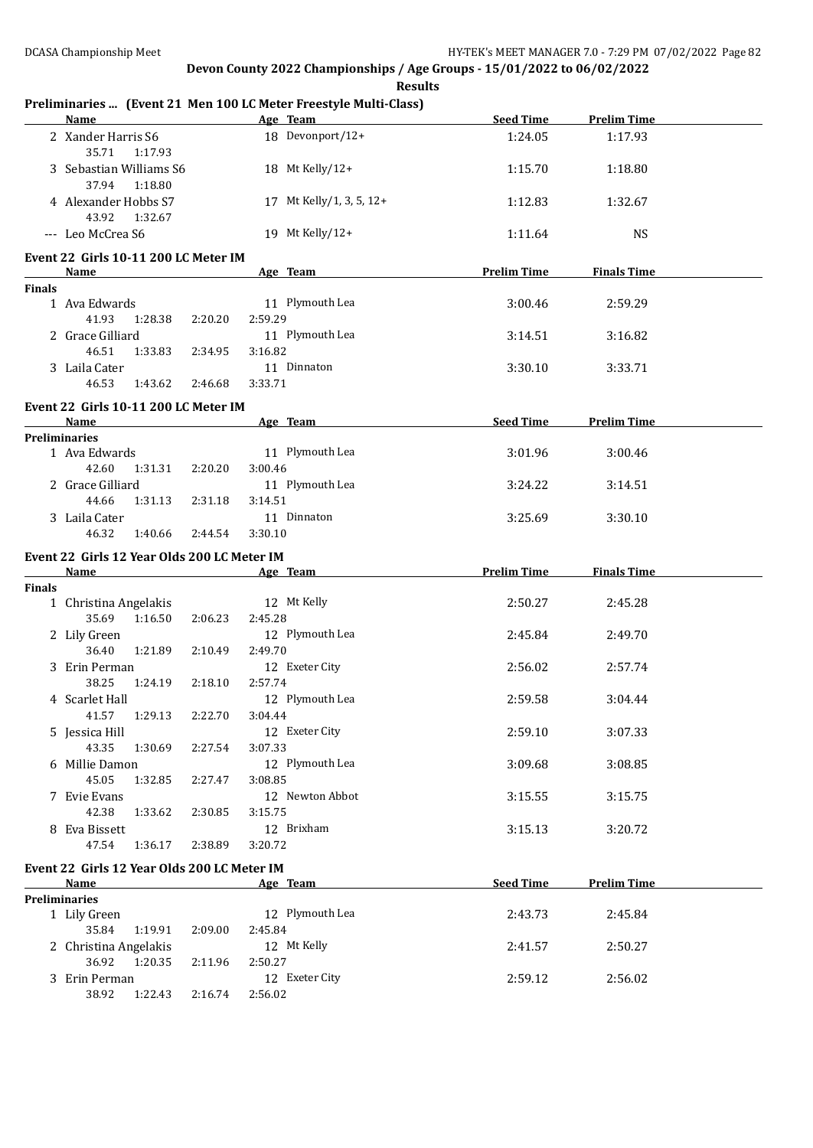|               | <b>Name</b>                                 |         | Age Team                   | <b>Seed Time</b>   | <b>Prelim Time</b> |  |
|---------------|---------------------------------------------|---------|----------------------------|--------------------|--------------------|--|
|               | 2 Xander Harris S6<br>35.71<br>1:17.93      |         | 18 Devonport/12+           | 1:24.05            | 1:17.93            |  |
|               | 3 Sebastian Williams S6<br>37.94<br>1:18.80 |         | 18 Mt Kelly/12+            | 1:15.70            | 1:18.80            |  |
|               | 4 Alexander Hobbs S7<br>43.92<br>1:32.67    |         | 17 Mt Kelly/1, 3, 5, 12+   | 1:12.83            | 1:32.67            |  |
|               | --- Leo McCrea S6                           |         | 19 Mt Kelly/12+            | 1:11.64            | <b>NS</b>          |  |
|               | Event 22 Girls 10-11 200 LC Meter IM        |         |                            |                    |                    |  |
|               | <b>Name</b>                                 |         | Age Team                   | <b>Prelim Time</b> | <b>Finals Time</b> |  |
| <b>Finals</b> |                                             |         | 11 Plymouth Lea            |                    | 2:59.29            |  |
|               | 1 Ava Edwards<br>41.93<br>1:28.38           | 2:20.20 | 2:59.29                    | 3:00.46            |                    |  |
|               | 2 Grace Gilliard                            |         | 11 Plymouth Lea            | 3:14.51            | 3:16.82            |  |
|               | 46.51<br>1:33.83                            | 2:34.95 | 3:16.82                    |                    |                    |  |
|               | 3 Laila Cater                               |         | 11 Dinnaton                | 3:30.10            | 3:33.71            |  |
|               | 46.53<br>1:43.62                            | 2:46.68 | 3:33.71                    |                    |                    |  |
|               | Event 22 Girls 10-11 200 LC Meter IM        |         |                            |                    |                    |  |
|               | Name                                        |         | Age Team                   | <b>Seed Time</b>   | <b>Prelim Time</b> |  |
|               | <b>Preliminaries</b>                        |         |                            |                    |                    |  |
|               | 1 Ava Edwards                               |         | 11 Plymouth Lea            | 3:01.96            | 3:00.46            |  |
|               | 42.60<br>1:31.31                            | 2:20.20 | 3:00.46<br>11 Plymouth Lea | 3:24.22            |                    |  |
|               | 2 Grace Gilliard<br>44.66<br>1:31.13        | 2:31.18 | 3:14.51                    |                    | 3:14.51            |  |
|               | 3 Laila Cater                               |         | 11 Dinnaton                | 3:25.69            | 3:30.10            |  |
|               | 46.32<br>1:40.66                            | 2:44.54 | 3:30.10                    |                    |                    |  |
|               | Event 22 Girls 12 Year Olds 200 LC Meter IM |         |                            |                    |                    |  |
|               |                                             |         |                            |                    |                    |  |
|               | <b>Name</b>                                 |         |                            |                    |                    |  |
| <b>Finals</b> |                                             |         | Age Team                   | <b>Prelim Time</b> | <b>Finals Time</b> |  |
|               | 1 Christina Angelakis                       |         | 12 Mt Kelly                | 2:50.27            | 2:45.28            |  |
|               | 35.69<br>1:16.50                            | 2:06.23 | 2:45.28                    |                    |                    |  |
|               | 2 Lily Green                                |         | 12 Plymouth Lea            | 2:45.84            | 2:49.70            |  |
|               | 36.40<br>1:21.89                            | 2:10.49 | 2:49.70                    |                    |                    |  |
|               | 3 Erin Perman                               |         | 12 Exeter City             | 2:56.02            | 2:57.74            |  |
|               | 38.25<br>1:24.19                            | 2:18.10 | 2:57.74                    |                    |                    |  |
|               | 4 Scarlet Hall                              |         | 12 Plymouth Lea            | 2:59.58            | 3:04.44            |  |
|               | 1:29.13<br>41.57                            | 2:22.70 | 3:04.44                    |                    |                    |  |
|               | 5 Jessica Hill<br>43.35<br>1:30.69          | 2:27.54 | 12 Exeter City<br>3:07.33  | 2:59.10            | 3:07.33            |  |
|               | 6 Millie Damon                              |         | 12 Plymouth Lea            | 3:09.68            | 3:08.85            |  |
|               | 45.05<br>1:32.85                            | 2:27.47 | 3:08.85                    |                    |                    |  |
|               | 7 Evie Evans                                |         | 12 Newton Abbot            | 3:15.55            | 3:15.75            |  |
|               | 42.38<br>1:33.62                            | 2:30.85 | 3:15.75                    |                    |                    |  |
|               | 8 Eva Bissett                               |         | 12 Brixham                 | 3:15.13            | 3:20.72            |  |
|               | 47.54<br>1:36.17                            | 2:38.89 | 3:20.72                    |                    |                    |  |
|               | Event 22 Girls 12 Year Olds 200 LC Meter IM |         |                            |                    |                    |  |
|               | Name                                        |         | Age Team                   | <b>Seed Time</b>   | <b>Prelim Time</b> |  |
|               | <b>Preliminaries</b>                        |         |                            |                    |                    |  |
|               | 1 Lily Green                                |         | 12 Plymouth Lea            | 2:43.73            | 2:45.84            |  |
|               | 35.84<br>1:19.91                            | 2:09.00 | 2:45.84                    |                    |                    |  |
|               | 2 Christina Angelakis<br>36.92 1:20.35      | 2:11.96 | 12 Mt Kelly<br>2:50.27     | 2:41.57            | 2:50.27            |  |
|               | 3 Erin Perman                               |         | 12 Exeter City             | 2:59.12            | 2:56.02            |  |

### **Preliminaries ... (Event 21 Men 100 LC Meter Freestyle Multi-Class)**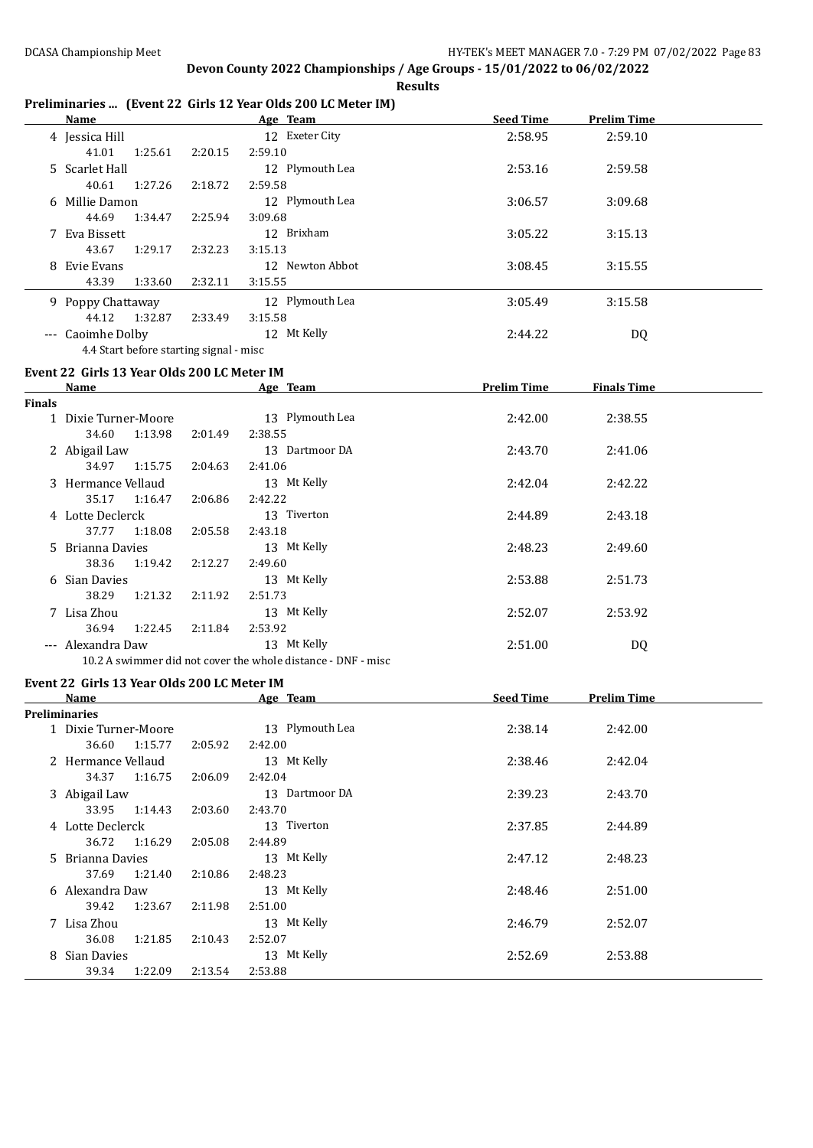**Results**

#### **Preliminaries ... (Event 22 Girls 12 Year Olds 200 LC Meter IM)**

| Name                                    |                    | Age Team        | <b>Seed Time</b> | <b>Prelim Time</b> |  |
|-----------------------------------------|--------------------|-----------------|------------------|--------------------|--|
| 4 Jessica Hill                          |                    | 12 Exeter City  | 2:58.95          | 2:59.10            |  |
| 41.01<br>1:25.61                        | 2:20.15<br>2:59.10 |                 |                  |                    |  |
| 5 Scarlet Hall                          |                    | 12 Plymouth Lea | 2:53.16          | 2:59.58            |  |
| 1:27.26<br>40.61                        | 2:18.72<br>2:59.58 |                 |                  |                    |  |
| 6 Millie Damon                          |                    | 12 Plymouth Lea | 3:06.57          | 3:09.68            |  |
| 44.69<br>1:34.47                        | 2:25.94<br>3:09.68 |                 |                  |                    |  |
| 7 Eva Bissett                           |                    | 12 Brixham      | 3:05.22          | 3:15.13            |  |
| 43.67<br>1:29.17                        | 2:32.23<br>3:15.13 |                 |                  |                    |  |
| 8 Evie Evans                            |                    | 12 Newton Abbot | 3:08.45          | 3:15.55            |  |
| 43.39<br>1:33.60                        | 2:32.11<br>3:15.55 |                 |                  |                    |  |
| 9 Poppy Chattaway                       |                    | 12 Plymouth Lea | 3:05.49          | 3:15.58            |  |
| 1:32.87<br>44.12                        | 2:33.49<br>3:15.58 |                 |                  |                    |  |
| --- Caoimhe Dolby                       |                    | 12 Mt Kelly     | 2:44.22          | DQ                 |  |
| 4.4 Start before starting signal - misc |                    |                 |                  |                    |  |

#### **Event 22 Girls 13 Year Olds 200 LC Meter IM**

|               | <b>Name</b>                 |         | Age Team                                                     | <b>Prelim Time</b> | <b>Finals Time</b> |  |
|---------------|-----------------------------|---------|--------------------------------------------------------------|--------------------|--------------------|--|
| <b>Finals</b> |                             |         |                                                              |                    |                    |  |
|               | 1 Dixie Turner-Moore        |         | 13 Plymouth Lea                                              | 2:42.00            | 2:38.55            |  |
|               | 1:13.98<br>34.60            | 2:01.49 | 2:38.55                                                      |                    |                    |  |
|               | 2 Abigail Law               |         | 13 Dartmoor DA                                               | 2:43.70            | 2:41.06            |  |
|               | 1:15.75<br>34.97            | 2:04.63 | 2:41.06                                                      |                    |                    |  |
|               | 3 Hermance Vellaud          |         | 13 Mt Kelly                                                  | 2:42.04            | 2:42.22            |  |
|               | 35.17<br>1:16.47            | 2:06.86 | 2:42.22                                                      |                    |                    |  |
|               | 4 Lotte Declerck            |         | 13 Tiverton                                                  | 2:44.89            | 2:43.18            |  |
|               | 37.77                       | 2:05.58 | 2:43.18                                                      |                    |                    |  |
|               | 1:18.08<br>5 Brianna Davies |         | 13 Mt Kelly                                                  | 2:48.23            | 2:49.60            |  |
|               | 1:19.42<br>38.36            | 2:12.27 | 2:49.60                                                      |                    |                    |  |
|               | 6 Sian Davies               |         | 13 Mt Kelly                                                  | 2:53.88            | 2:51.73            |  |
|               | 38.29<br>1:21.32            | 2:11.92 | 2:51.73                                                      |                    |                    |  |
|               | 7 Lisa Zhou                 |         | 13 Mt Kelly                                                  | 2:52.07            | 2:53.92            |  |
|               | 36.94<br>1:22.45            | 2:11.84 | 2:53.92                                                      |                    |                    |  |
|               | --- Alexandra Daw           |         | 13 Mt Kelly                                                  | 2:51.00            | DQ                 |  |
|               |                             |         | 10.2 A swimmer did not cover the whole distance - DNF - misc |                    |                    |  |

#### **Event 22 Girls 13 Year Olds 200 LC Meter IM**

|                      | Name                 |         |         | Age Team          | <b>Seed Time</b><br><b>Prelim Time</b> |         |  |
|----------------------|----------------------|---------|---------|-------------------|----------------------------------------|---------|--|
| <b>Preliminaries</b> |                      |         |         |                   |                                        |         |  |
|                      | 1 Dixie Turner-Moore |         |         | 13 Plymouth Lea   | 2:38.14                                | 2:42.00 |  |
|                      | 36.60                | 1:15.77 | 2:05.92 | 2:42.00           |                                        |         |  |
|                      | 2 Hermance Vellaud   |         |         | 13 Mt Kelly       | 2:38.46                                | 2:42.04 |  |
|                      | 34.37                | 1:16.75 | 2:06.09 | 2:42.04           |                                        |         |  |
|                      | 3 Abigail Law        |         |         | Dartmoor DA<br>13 | 2:39.23                                | 2:43.70 |  |
|                      | 33.95                | 1:14.43 | 2:03.60 | 2:43.70           |                                        |         |  |
|                      | 4 Lotte Declerck     |         |         | 13 Tiverton       | 2:37.85                                | 2:44.89 |  |
|                      | 36.72                | 1:16.29 | 2:05.08 | 2:44.89           |                                        |         |  |
|                      | 5 Brianna Davies     |         |         | 13 Mt Kelly       | 2:47.12                                | 2:48.23 |  |
|                      | 37.69                | 1:21.40 | 2:10.86 | 2:48.23           |                                        |         |  |
|                      | 6 Alexandra Daw      |         |         | 13 Mt Kelly       | 2:48.46                                | 2:51.00 |  |
|                      | 39.42                | 1:23.67 | 2:11.98 | 2:51.00           |                                        |         |  |
|                      | 7 Lisa Zhou          |         |         | 13 Mt Kelly       | 2:46.79                                | 2:52.07 |  |
|                      | 36.08                | 1:21.85 | 2:10.43 | 2:52.07           |                                        |         |  |
| 8                    | Sian Davies          |         |         | 13 Mt Kelly       | 2:52.69                                | 2:53.88 |  |
|                      | 39.34                | 1:22.09 | 2:13.54 | 2:53.88           |                                        |         |  |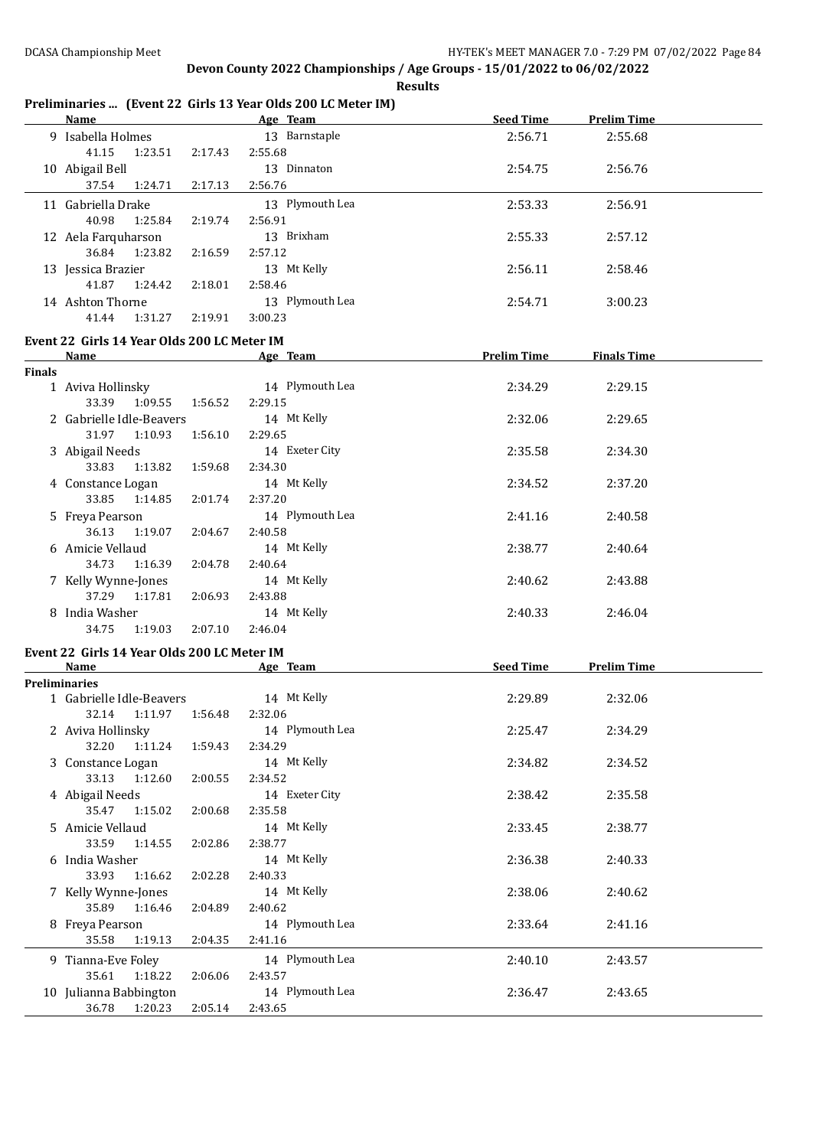**Results**

# **Preliminaries ... (Event 22 Girls 13 Year Olds 200 LC Meter IM)**

|               | <b>Name</b>                                 |         | <b>Example 2018</b> Age Team <b>Age 2018</b> | Seed Time | <b>Prelim Time</b>             |  |
|---------------|---------------------------------------------|---------|----------------------------------------------|-----------|--------------------------------|--|
|               | 9 Isabella Holmes                           |         | 13 Barnstaple                                | 2:56.71   | 2:55.68                        |  |
|               | 41.15<br>1:23.51                            | 2:17.43 | 2:55.68                                      |           |                                |  |
|               | 10 Abigail Bell                             |         | 13 Dinnaton                                  | 2:54.75   | 2:56.76                        |  |
|               | 37.54 1:24.71                               | 2:17.13 | 2:56.76                                      |           |                                |  |
|               | 11 Gabriella Drake                          |         | 13 Plymouth Lea                              | 2:53.33   | 2:56.91                        |  |
|               | 40.98<br>1:25.84                            | 2:19.74 | 2:56.91                                      |           |                                |  |
|               |                                             |         | 13 Brixham                                   |           |                                |  |
|               | 12 Aela Farquharson                         |         |                                              | 2:55.33   | 2:57.12                        |  |
|               | 36.84 1:23.82                               | 2:16.59 | 2:57.12                                      |           |                                |  |
|               | 13 Jessica Brazier                          |         | 13 Mt Kelly                                  | 2:56.11   | 2:58.46                        |  |
|               | 41.87<br>1:24.42                            | 2:18.01 | 2:58.46                                      |           |                                |  |
|               | 14 Ashton Thorne                            |         | 13 Plymouth Lea                              | 2:54.71   | 3:00.23                        |  |
|               | 41.44<br>1:31.27                            | 2:19.91 | 3:00.23                                      |           |                                |  |
|               | Event 22 Girls 14 Year Olds 200 LC Meter IM |         |                                              |           |                                |  |
|               | Name Age Team                               |         |                                              |           | <b>Prelim Time Finals Time</b> |  |
| <b>Finals</b> |                                             |         |                                              |           |                                |  |
|               | 1 Aviva Hollinsky                           |         | 14 Plymouth Lea                              | 2:34.29   | 2:29.15                        |  |
|               | 33.39 1:09.55 1:56.52                       |         | 2:29.15                                      |           |                                |  |
|               | 2 Gabrielle Idle-Beavers                    |         | 14 Mt Kelly                                  | 2:32.06   | 2:29.65                        |  |
|               | 31.97<br>1:10.93                            | 1:56.10 | 2:29.65                                      |           |                                |  |
|               | 3 Abigail Needs                             |         | 14 Exeter City                               | 2:35.58   | 2:34.30                        |  |
|               | 33.83<br>1:13.82  1:59.68                   |         | 2:34.30                                      |           |                                |  |
|               | 4 Constance Logan                           |         | 14 Mt Kelly                                  | 2:34.52   | 2:37.20                        |  |
|               | 33.85<br>1:14.85                            | 2:01.74 | 2:37.20                                      |           |                                |  |
|               | 5 Freya Pearson                             |         | 14 Plymouth Lea                              | 2:41.16   | 2:40.58                        |  |
|               | 36.13<br>1:19.07                            | 2:04.67 | 2:40.58                                      |           |                                |  |
|               | 6 Amicie Vellaud                            |         | 14 Mt Kelly                                  | 2:38.77   | 2:40.64                        |  |
|               | 34.73<br>1:16.39                            | 2:04.78 | 2:40.64                                      |           |                                |  |
|               | 7 Kelly Wynne-Jones                         |         | 14 Mt Kelly                                  | 2:40.62   | 2:43.88                        |  |
|               | 37.29 1:17.81                               | 2:06.93 | 2:43.88                                      |           |                                |  |
|               | 8 India Washer                              |         | 14 Mt Kelly                                  | 2:40.33   | 2:46.04                        |  |
|               | 34.75<br>1:19.03 2:07.10                    |         | 2:46.04                                      |           |                                |  |
|               |                                             |         |                                              |           |                                |  |
|               | Event 22 Girls 14 Year Olds 200 LC Meter IM |         |                                              |           |                                |  |
|               | Name                                        |         | <b>Example 2018 Age Team</b>                 |           | Seed Time Prelim Time          |  |
|               | <b>Preliminaries</b>                        |         |                                              |           |                                |  |
|               | 1 Gabrielle Idle-Beavers                    |         | 14 Mt Kelly                                  | 2:29.89   | 2:32.06                        |  |
|               | 32.14 1:11.97 1:56.48                       |         | 2:32.06                                      |           |                                |  |
|               | 2 Aviva Hollinsky                           |         | 14 Plymouth Lea                              | 2:25.47   | 2:34.29                        |  |
|               | 32.20<br>1:11.24                            | 1:59.43 | 2:34.29                                      |           |                                |  |
|               | 3 Constance Logan                           |         | 14 Mt Kelly                                  | 2:34.82   | 2:34.52                        |  |
|               | 33.13<br>1:12.60                            | 2:00.55 | 2:34.52                                      |           |                                |  |
|               | 4 Abigail Needs                             |         | 14 Exeter City                               | 2:38.42   | 2:35.58                        |  |
|               | 35.47<br>1:15.02                            | 2:00.68 | 2:35.58                                      |           |                                |  |
|               | 5 Amicie Vellaud                            |         | 14 Mt Kelly                                  | 2:33.45   | 2:38.77                        |  |
|               | 33.59<br>1:14.55                            | 2:02.86 | 2:38.77                                      |           |                                |  |
|               | 6 India Washer                              |         | 14 Mt Kelly                                  | 2:36.38   | 2:40.33                        |  |
|               | 33.93<br>1:16.62                            | 2:02.28 | 2:40.33                                      |           |                                |  |
|               | 7 Kelly Wynne-Jones                         |         | 14 Mt Kelly                                  | 2:38.06   | 2:40.62                        |  |
|               | 35.89<br>1:16.46                            | 2:04.89 | 2:40.62                                      |           |                                |  |
|               | 8 Freya Pearson                             |         | 14 Plymouth Lea                              | 2:33.64   | 2:41.16                        |  |
|               | 35.58<br>1:19.13                            | 2:04.35 | 2:41.16                                      |           |                                |  |
|               | 9 Tianna-Eve Foley                          |         | 14 Plymouth Lea                              | 2:40.10   | 2:43.57                        |  |
|               | 35.61<br>1:18.22                            | 2:06.06 | 2:43.57                                      |           |                                |  |
|               | 10 Julianna Babbington                      |         | 14 Plymouth Lea                              | 2:36.47   | 2:43.65                        |  |
|               | 1:20.23<br>36.78                            | 2:05.14 | 2:43.65                                      |           |                                |  |
|               |                                             |         |                                              |           |                                |  |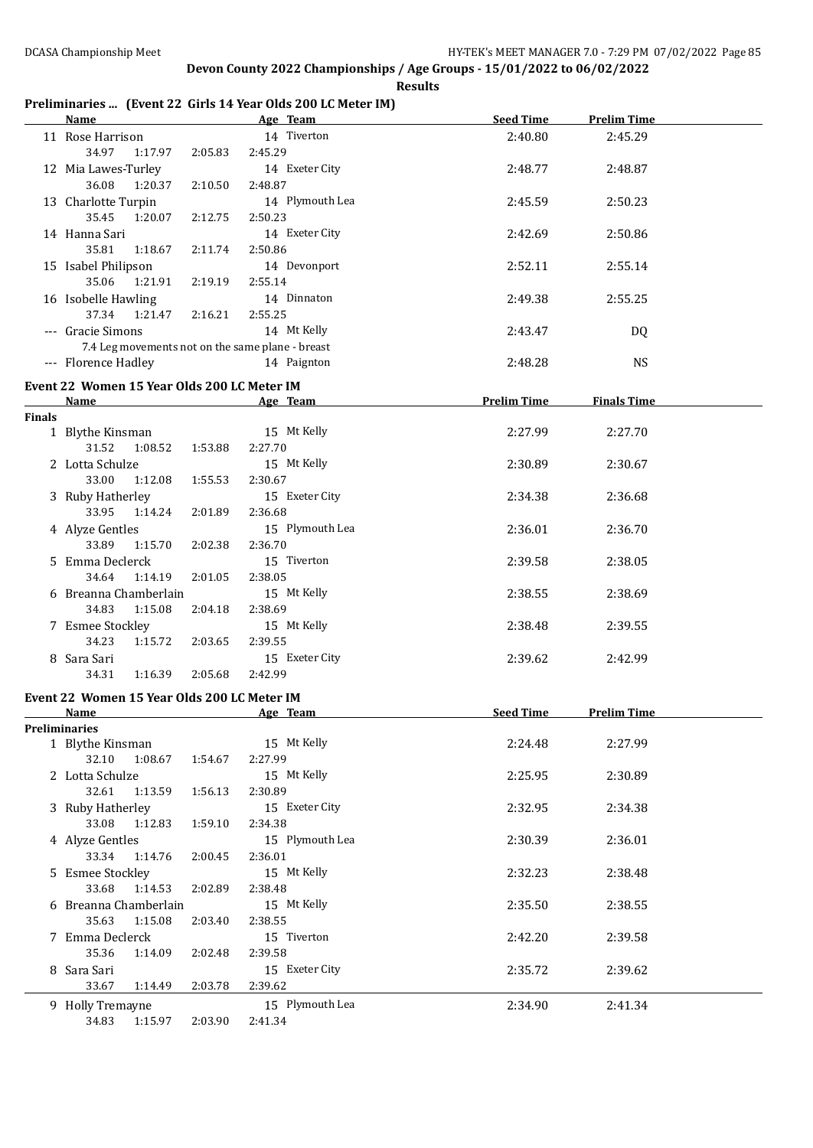**Results**

# **Preliminaries ... (Event 22 Girls 14 Year Olds 200 LC Meter IM)**

|               | <u>Name</u>                                      |         | communicant prentice and it ical one see former map<br>Age Team | <b>Seed Time</b>   | <b>Prelim Time</b> |  |
|---------------|--------------------------------------------------|---------|-----------------------------------------------------------------|--------------------|--------------------|--|
|               | 11 Rose Harrison                                 |         | 14 Tiverton                                                     | 2:40.80            | 2:45.29            |  |
|               | 34.97<br>1:17.97                                 | 2:05.83 | 2:45.29                                                         |                    |                    |  |
|               | 12 Mia Lawes-Turley                              |         | 14 Exeter City                                                  | 2:48.77            | 2:48.87            |  |
|               | 36.08<br>1:20.37                                 | 2:10.50 | 2:48.87                                                         |                    |                    |  |
|               | 13 Charlotte Turpin                              |         | 14 Plymouth Lea                                                 | 2:45.59            | 2:50.23            |  |
|               | 35.45<br>1:20.07                                 | 2:12.75 | 2:50.23                                                         |                    |                    |  |
|               | 14 Hanna Sari                                    |         | 14 Exeter City                                                  | 2:42.69            | 2:50.86            |  |
|               | 35.81<br>1:18.67                                 | 2:11.74 | 2:50.86                                                         |                    |                    |  |
|               | 15 Isabel Philipson                              |         | 14 Devonport                                                    | 2:52.11            | 2:55.14            |  |
|               | 35.06<br>1:21.91                                 | 2:19.19 | 2:55.14                                                         |                    |                    |  |
|               | 16 Isobelle Hawling                              |         | 14 Dinnaton                                                     | 2:49.38            | 2:55.25            |  |
|               | 37.34<br>1:21.47                                 | 2:16.21 | 2:55.25                                                         |                    |                    |  |
|               | --- Gracie Simons                                |         | 14 Mt Kelly                                                     | 2:43.47            | DQ                 |  |
|               | 7.4 Leg movements not on the same plane - breast |         |                                                                 |                    |                    |  |
|               | --- Florence Hadley                              |         | 14 Paignton                                                     | 2:48.28            | <b>NS</b>          |  |
|               |                                                  |         |                                                                 |                    |                    |  |
|               | Event 22 Women 15 Year Olds 200 LC Meter IM      |         |                                                                 |                    |                    |  |
|               | Name                                             |         | Age Team                                                        | <b>Prelim Time</b> | <b>Finals Time</b> |  |
| <b>Finals</b> |                                                  |         |                                                                 |                    |                    |  |
|               | 1 Blythe Kinsman                                 |         | 15 Mt Kelly                                                     | 2:27.99            | 2:27.70            |  |
|               | 31.52<br>1:08.52                                 | 1:53.88 | 2:27.70                                                         |                    |                    |  |
|               | 2 Lotta Schulze                                  |         | 15 Mt Kelly                                                     | 2:30.89            | 2:30.67            |  |
|               | 33.00<br>1:12.08                                 | 1:55.53 | 2:30.67                                                         |                    | 2:36.68            |  |
|               | 3 Ruby Hatherley<br>33.95                        |         | 15 Exeter City<br>2:36.68                                       | 2:34.38            |                    |  |
|               | 1:14.24                                          | 2:01.89 |                                                                 |                    |                    |  |
|               | 4 Alyze Gentles                                  |         | 15 Plymouth Lea                                                 | 2:36.01            | 2:36.70            |  |
|               | 33.89<br>1:15.70                                 | 2:02.38 | 2:36.70                                                         |                    |                    |  |
|               | 5 Emma Declerck                                  |         | 15 Tiverton                                                     | 2:39.58            | 2:38.05            |  |
|               | 34.64<br>1:14.19                                 | 2:01.05 | 2:38.05                                                         |                    |                    |  |
|               | 6 Breanna Chamberlain                            |         | 15 Mt Kelly                                                     | 2:38.55            | 2:38.69            |  |
|               | 34.83<br>1:15.08                                 | 2:04.18 | 2:38.69                                                         |                    |                    |  |
|               | 7 Esmee Stockley                                 |         | 15 Mt Kelly                                                     | 2:38.48            | 2:39.55            |  |
|               | 34.23<br>1:15.72                                 | 2:03.65 | 2:39.55                                                         |                    |                    |  |
|               | 8 Sara Sari                                      |         | 15 Exeter City                                                  | 2:39.62            | 2:42.99            |  |
|               | 34.31<br>1:16.39                                 | 2:05.68 | 2:42.99                                                         |                    |                    |  |
|               | Event 22 Women 15 Year Olds 200 LC Meter IM      |         |                                                                 |                    |                    |  |
|               | <u>Name</u>                                      |         | Age Team                                                        | <b>Seed Time</b>   | <b>Prelim Time</b> |  |
|               | Preliminaries                                    |         |                                                                 |                    |                    |  |
|               | 1 Blythe Kinsman                                 |         | 15 Mt Kelly                                                     | 2:24.48            | 2:27.99            |  |
|               | 32.10<br>1:08.67                                 | 1:54.67 | 2:27.99                                                         |                    |                    |  |
|               | 2 Lotta Schulze                                  |         | 15 Mt Kelly                                                     | 2:25.95            | 2:30.89            |  |
|               | 32.61<br>1:13.59                                 | 1:56.13 | 2:30.89                                                         |                    |                    |  |
|               | 3 Ruby Hatherley                                 |         | 15 Exeter City                                                  | 2:32.95            | 2:34.38            |  |
|               | 33.08<br>1:12.83                                 | 1:59.10 | 2:34.38                                                         |                    |                    |  |
|               | 4 Alyze Gentles                                  |         | 15 Plymouth Lea                                                 | 2:30.39            | 2:36.01            |  |
|               | 33.34<br>1:14.76                                 | 2:00.45 | 2:36.01                                                         |                    |                    |  |
|               | 5 Esmee Stockley                                 |         | 15 Mt Kelly                                                     | 2:32.23            | 2:38.48            |  |
|               | 33.68<br>1:14.53                                 | 2:02.89 | 2:38.48                                                         |                    |                    |  |
|               | 6 Breanna Chamberlain                            |         | 15 Mt Kelly                                                     | 2:35.50            | 2:38.55            |  |
|               | 35.63<br>1:15.08                                 | 2:03.40 | 2:38.55                                                         |                    |                    |  |
|               | 7 Emma Declerck                                  |         | 15 Tiverton                                                     | 2:42.20            | 2:39.58            |  |
|               | 35.36<br>1:14.09                                 | 2:02.48 | 2:39.58                                                         |                    |                    |  |
|               | 8 Sara Sari                                      |         | 15 Exeter City                                                  | 2:35.72            | 2:39.62            |  |
|               | 33.67<br>1:14.49                                 | 2:03.78 | 2:39.62                                                         |                    |                    |  |
|               | 9 Holly Tremayne                                 |         | 15 Plymouth Lea                                                 | 2:34.90            | 2:41.34            |  |
|               | 34.83<br>1:15.97                                 | 2:03.90 | 2:41.34                                                         |                    |                    |  |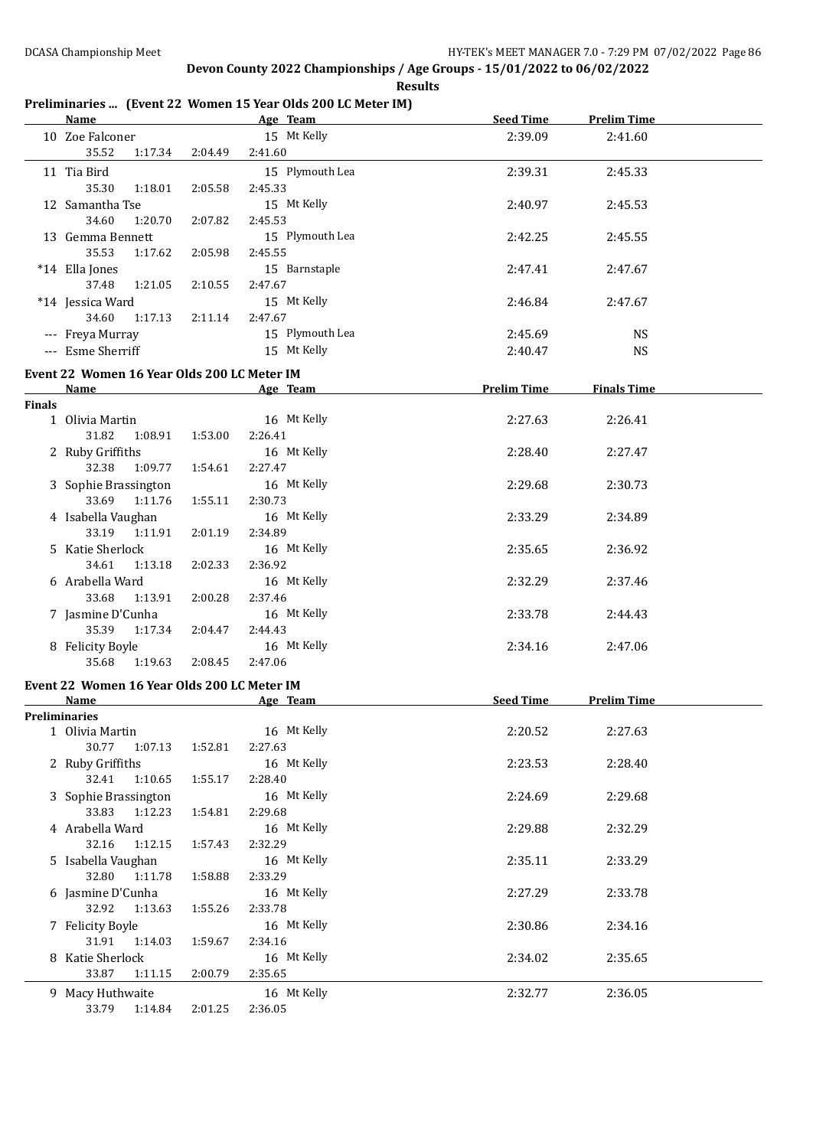**Results**

### **Preliminaries ... (Event 22 Women 15 Year Olds 200 LC Meter IM)**

|               | <b>Name</b>                                 |         | Age Team                       | <b>Seed Time</b>   | <b>Prelim Time</b>     |  |
|---------------|---------------------------------------------|---------|--------------------------------|--------------------|------------------------|--|
|               | 10 Zoe Falconer<br>35.52<br>1:17.34         | 2:04.49 | 15 Mt Kelly<br>2:41.60         | 2:39.09            | 2:41.60                |  |
|               | 11 Tia Bird<br>35.30<br>1:18.01             | 2:05.58 | 15 Plymouth Lea<br>2:45.33     | 2:39.31            | 2:45.33                |  |
|               | 12 Samantha Tse<br>34.60<br>1:20.70         | 2:07.82 | 15 Mt Kelly<br>2:45.53         | 2:40.97            | 2:45.53                |  |
|               | 13 Gemma Bennett<br>35.53<br>1:17.62        | 2:05.98 | 15 Plymouth Lea<br>2:45.55     | 2:42.25            | 2:45.55                |  |
|               | *14 Ella Jones<br>37.48<br>1:21.05          | 2:10.55 | 15 Barnstaple<br>2:47.67       | 2:47.41            | 2:47.67                |  |
|               | *14 Jessica Ward<br>34.60<br>1:17.13        | 2:11.14 | 15 Mt Kelly<br>2:47.67         | 2:46.84            | 2:47.67                |  |
|               | --- Freya Murray<br>--- Esme Sherriff       |         | 15 Plymouth Lea<br>15 Mt Kelly | 2:45.69<br>2:40.47 | <b>NS</b><br><b>NS</b> |  |
|               |                                             |         |                                |                    |                        |  |
|               | Event 22 Women 16 Year Olds 200 LC Meter IM |         |                                |                    |                        |  |
| <b>Finals</b> | Name                                        |         | Age Team                       | <b>Prelim Time</b> | <b>Finals Time</b>     |  |
|               | 1 Olivia Martin<br>31.82<br>1:08.91         | 1:53.00 | 16 Mt Kelly<br>2:26.41         | 2:27.63            | 2:26.41                |  |
|               | 2 Ruby Griffiths<br>32.38<br>1:09.77        | 1:54.61 | 16 Mt Kelly<br>2:27.47         | 2:28.40            | 2:27.47                |  |
|               | 3 Sophie Brassington<br>33.69<br>1:11.76    | 1:55.11 | 16 Mt Kelly<br>2:30.73         | 2:29.68            | 2:30.73                |  |
|               | 4 Isabella Vaughan<br>33.19<br>1:11.91      | 2:01.19 | 16 Mt Kelly<br>2:34.89         | 2:33.29            | 2:34.89                |  |
|               | 5 Katie Sherlock<br>34.61<br>1:13.18        | 2:02.33 | 16 Mt Kelly<br>2:36.92         | 2:35.65            | 2:36.92                |  |
|               | 6 Arabella Ward<br>33.68<br>1:13.91         | 2:00.28 | 16 Mt Kelly<br>2:37.46         | 2:32.29            | 2:37.46                |  |
|               | 7 Jasmine D'Cunha<br>35.39<br>1:17.34       | 2:04.47 | 16 Mt Kelly<br>2:44.43         | 2:33.78            | 2:44.43                |  |
|               | 8 Felicity Boyle<br>35.68 1:19.63           | 2:08.45 | 16 Mt Kelly<br>2:47.06         | 2:34.16            | 2:47.06                |  |
|               | Event 22 Women 16 Year Olds 200 LC Meter IM |         |                                |                    |                        |  |
|               | Name                                        |         | Age Team                       | <b>Seed Time</b>   | <b>Prelim Time</b>     |  |
|               | <b>Preliminaries</b>                        |         |                                |                    |                        |  |
|               | 1 Olivia Martin<br>30.77<br>1:07.13         | 1:52.81 | 16 Mt Kelly<br>2:27.63         | 2:20.52            | 2:27.63                |  |
|               | 2 Ruby Griffiths<br>32.41<br>1:10.65        | 1:55.17 | 16 Mt Kelly<br>2:28.40         | 2:23.53            | 2:28.40                |  |
|               | 3 Sophie Brassington<br>33.83<br>1:12.23    | 1:54.81 | 16 Mt Kelly<br>2:29.68         | 2:24.69            | 2:29.68                |  |
|               | 4 Arabella Ward<br>32.16<br>1:12.15         | 1:57.43 | 16 Mt Kelly<br>2:32.29         | 2:29.88            | 2:32.29                |  |
|               | 5 Isabella Vaughan<br>32.80<br>1:11.78      | 1:58.88 | 16 Mt Kelly<br>2:33.29         | 2:35.11            | 2:33.29                |  |
|               | 6 Jasmine D'Cunha<br>32.92<br>1:13.63       | 1:55.26 | 16 Mt Kelly<br>2:33.78         | 2:27.29            | 2:33.78                |  |
|               | 7 Felicity Boyle<br>31.91<br>1:14.03        | 1:59.67 | 16 Mt Kelly<br>2:34.16         | 2:30.86            | 2:34.16                |  |
|               | 8 Katie Sherlock<br>33.87<br>1:11.15        | 2:00.79 | 16 Mt Kelly<br>2:35.65         | 2:34.02            | 2:35.65                |  |
|               | 9 Macy Huthwaite<br>33.79<br>1:14.84        | 2:01.25 | 16 Mt Kelly<br>2:36.05         | 2:32.77            | 2:36.05                |  |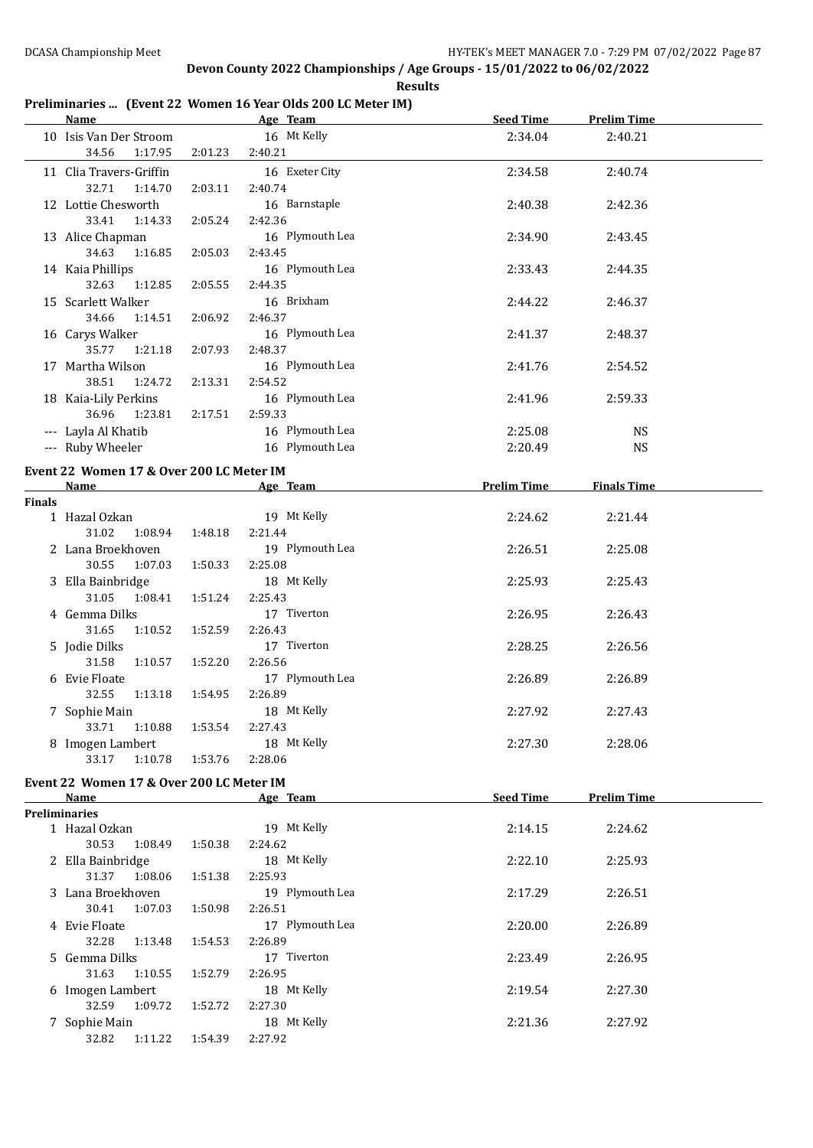**Results**

### **Preliminaries ... (Event 22 Women 16 Year Olds 200 LC Meter IM)**

|               | <u>Name </u>                             |         | Age Team 1999   | Seed Time          | <b>Prelim Time</b> |  |
|---------------|------------------------------------------|---------|-----------------|--------------------|--------------------|--|
|               | 10 Isis Van Der Stroom                   |         | 16 Mt Kelly     | 2:34.04            | 2:40.21            |  |
|               | 34.56<br>1:17.95                         | 2:01.23 | 2:40.21         |                    |                    |  |
|               | 11 Clia Travers-Griffin                  |         | 16 Exeter City  | 2:34.58            | 2:40.74            |  |
|               | 32.71<br>1:14.70                         | 2:03.11 | 2:40.74         |                    |                    |  |
|               | 12 Lottie Chesworth                      |         | 16 Barnstaple   | 2:40.38            | 2:42.36            |  |
|               | 33.41<br>1:14.33                         | 2:05.24 | 2:42.36         |                    |                    |  |
|               | 13 Alice Chapman                         |         | 16 Plymouth Lea | 2:34.90            | 2:43.45            |  |
|               | 34.63<br>1:16.85                         | 2:05.03 | 2:43.45         |                    |                    |  |
|               | 14 Kaia Phillips                         |         | 16 Plymouth Lea | 2:33.43            | 2:44.35            |  |
|               | 32.63<br>1:12.85                         | 2:05.55 | 2:44.35         |                    |                    |  |
|               | 15 Scarlett Walker                       |         | 16 Brixham      | 2:44.22            | 2:46.37            |  |
|               | 34.66<br>1:14.51                         | 2:06.92 | 2:46.37         |                    |                    |  |
|               | 16 Carys Walker                          |         | 16 Plymouth Lea | 2:41.37            | 2:48.37            |  |
|               | 35.77 1:21.18                            | 2:07.93 | 2:48.37         |                    |                    |  |
|               | 17 Martha Wilson                         |         | 16 Plymouth Lea | 2:41.76            | 2:54.52            |  |
|               | 38.51<br>1:24.72                         | 2:13.31 | 2:54.52         |                    |                    |  |
|               | 18 Kaia-Lily Perkins                     |         | 16 Plymouth Lea | 2:41.96            | 2:59.33            |  |
|               | 36.96<br>1:23.81                         | 2:17.51 | 2:59.33         |                    |                    |  |
|               | --- Layla Al Khatib                      |         | 16 Plymouth Lea | 2:25.08            | <b>NS</b>          |  |
|               | --- Ruby Wheeler                         |         | 16 Plymouth Lea | 2:20.49            | <b>NS</b>          |  |
|               | Event 22 Women 17 & Over 200 LC Meter IM |         |                 |                    |                    |  |
|               | <b>Name</b>                              |         | Age Team 1999   | <b>Prelim Time</b> | <b>Finals Time</b> |  |
| <b>Finals</b> |                                          |         |                 |                    |                    |  |
|               | 1 Hazal Ozkan                            |         | 19 Mt Kelly     | 2:24.62            | 2:21.44            |  |
|               | 31.02<br>1:08.94                         | 1:48.18 | 2:21.44         |                    |                    |  |
|               | 2 Lana Broekhoven                        |         | 19 Plymouth Lea | 2:26.51            | 2:25.08            |  |
|               | 30.55<br>1:07.03                         | 1:50.33 | 2:25.08         |                    |                    |  |
|               | 3 Ella Bainbridge                        |         | 18 Mt Kelly     | 2:25.93            | 2:25.43            |  |
|               | 31.05<br>1:08.41                         | 1:51.24 | 2:25.43         |                    |                    |  |
|               | 4 Gemma Dilks                            |         | 17 Tiverton     | 2:26.95            | 2:26.43            |  |
|               | 31.65<br>1:10.52                         | 1:52.59 | 2:26.43         |                    |                    |  |
|               | 5 Jodie Dilks                            |         | 17 Tiverton     | 2:28.25            | 2:26.56            |  |
|               | 31.58<br>1:10.57                         | 1:52.20 | 2:26.56         |                    |                    |  |
|               | 6 Evie Floate                            |         | 17 Plymouth Lea | 2:26.89            | 2:26.89            |  |
|               | 32.55<br>1:13.18                         | 1:54.95 | 2:26.89         |                    |                    |  |
|               | 7 Sophie Main                            |         | 18 Mt Kelly     | 2:27.92            | 2:27.43            |  |
|               | 33.71<br>1:10.88                         | 1:53.54 | 2:27.43         |                    |                    |  |
|               | 8 Imogen Lambert                         |         | 18 Mt Kelly     | 2:27.30            | 2:28.06            |  |
|               | 33.17<br>1:10.78                         | 1:53.76 | 2:28.06         |                    |                    |  |
|               | Event 22 Women 17 & Over 200 LC Meter IM |         |                 |                    |                    |  |
|               | Name                                     |         | Age Team        | <b>Seed Time</b>   | <b>Prelim Time</b> |  |
|               | <b>Preliminaries</b>                     |         |                 |                    |                    |  |
|               | 1 Hazal Ozkan                            |         | 19 Mt Kelly     | 2:14.15            | 2:24.62            |  |
|               | 30.53<br>1:08.49                         | 1:50.38 | 2:24.62         |                    |                    |  |
|               | 2 Ella Bainbridge                        |         | 18 Mt Kelly     | 2:22.10            | 2:25.93            |  |
|               | 31.37<br>1:08.06                         | 1:51.38 | 2:25.93         |                    |                    |  |
|               | 3 Lana Broekhoven                        |         | 19 Plymouth Lea | 2:17.29            | 2:26.51            |  |
|               | 30.41<br>1:07.03                         | 1:50.98 | 2:26.51         |                    |                    |  |
|               | 4 Evie Floate                            |         | 17 Plymouth Lea | 2:20.00            | 2:26.89            |  |
|               | 32.28<br>1:13.48                         | 1:54.53 | 2:26.89         |                    |                    |  |
|               | 5 Gemma Dilks                            |         | 17 Tiverton     | 2:23.49            | 2:26.95            |  |
|               | 31.63<br>1:10.55                         | 1:52.79 | 2:26.95         |                    |                    |  |
|               | 6 Imogen Lambert                         |         | 18 Mt Kelly     | 2:19.54            | 2:27.30            |  |
|               | 32.59<br>1:09.72                         | 1:52.72 | 2:27.30         |                    |                    |  |
|               | 7 Sophie Main                            |         | 18 Mt Kelly     | 2:21.36            | 2:27.92            |  |
|               | 32.82<br>1:11.22                         | 1:54.39 | 2:27.92         |                    |                    |  |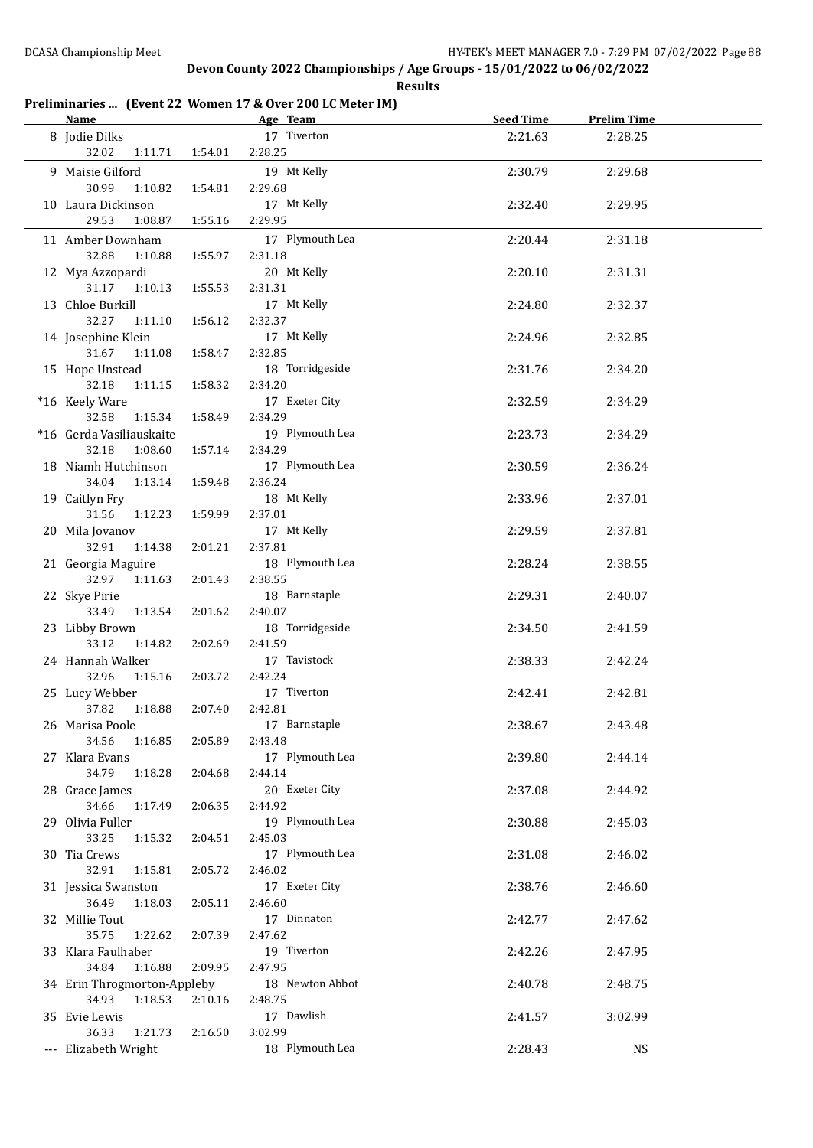**Results**

# **Preliminaries ... (Event 22 Women 17 & Over 200 LC Meter IM)**

| <b>Name</b>                 |         | Age Team        | <b>Seed Time</b> | <b>Prelim Time</b> |  |
|-----------------------------|---------|-----------------|------------------|--------------------|--|
| 8 Jodie Dilks               |         | 17 Tiverton     | 2:21.63          | 2:28.25            |  |
| 32.02<br>1:11.71            | 1:54.01 | 2:28.25         |                  |                    |  |
| 9 Maisie Gilford            |         | 19 Mt Kelly     | 2:30.79          |                    |  |
|                             |         |                 |                  | 2:29.68            |  |
| 30.99<br>1:10.82            | 1:54.81 | 2:29.68         |                  |                    |  |
| 10 Laura Dickinson          |         | 17 Mt Kelly     | 2:32.40          | 2:29.95            |  |
| 29.53<br>1:08.87            | 1:55.16 | 2:29.95         |                  |                    |  |
| 11 Amber Downham            |         | 17 Plymouth Lea | 2:20.44          | 2:31.18            |  |
| 32.88<br>1:10.88            | 1:55.97 | 2:31.18         |                  |                    |  |
| 12 Mya Azzopardi            |         | 20 Mt Kelly     | 2:20.10          | 2:31.31            |  |
| 31.17 1:10.13               | 1:55.53 | 2:31.31         |                  |                    |  |
| 13 Chloe Burkill            |         | 17 Mt Kelly     | 2:24.80          | 2:32.37            |  |
| 32.27<br>1:11.10            | 1:56.12 | 2:32.37         |                  |                    |  |
| 14 Josephine Klein          |         | 17 Mt Kelly     | 2:24.96          | 2:32.85            |  |
| 31.67<br>1:11.08            | 1:58.47 | 2:32.85         |                  |                    |  |
| 15 Hope Unstead             |         | 18 Torridgeside | 2:31.76          | 2:34.20            |  |
| 32.18<br>1:11.15            | 1:58.32 | 2:34.20         |                  |                    |  |
|                             |         |                 |                  |                    |  |
| *16 Keely Ware              |         | 17 Exeter City  | 2:32.59          | 2:34.29            |  |
| 32.58<br>1:15.34            | 1:58.49 | 2:34.29         |                  |                    |  |
| *16 Gerda Vasiliauskaite    |         | 19 Plymouth Lea | 2:23.73          | 2:34.29            |  |
| 32.18<br>1:08.60            | 1:57.14 | 2:34.29         |                  |                    |  |
| 18 Niamh Hutchinson         |         | 17 Plymouth Lea | 2:30.59          | 2:36.24            |  |
| 34.04<br>1:13.14            | 1:59.48 | 2:36.24         |                  |                    |  |
| 19 Caitlyn Fry              |         | 18 Mt Kelly     | 2:33.96          | 2:37.01            |  |
| 31.56<br>1:12.23            | 1:59.99 | 2:37.01         |                  |                    |  |
| 20 Mila Jovanov             |         | 17 Mt Kelly     | 2:29.59          | 2:37.81            |  |
| 32.91<br>1:14.38            | 2:01.21 | 2:37.81         |                  |                    |  |
| 21 Georgia Maguire          |         | 18 Plymouth Lea | 2:28.24          | 2:38.55            |  |
| 32.97<br>1:11.63            | 2:01.43 | 2:38.55         |                  |                    |  |
| 22 Skye Pirie               |         | 18 Barnstaple   | 2:29.31          | 2:40.07            |  |
| 33.49<br>1:13.54            | 2:01.62 | 2:40.07         |                  |                    |  |
| 23 Libby Brown              |         | 18 Torridgeside | 2:34.50          | 2:41.59            |  |
| 33.12<br>1:14.82            | 2:02.69 | 2:41.59         |                  |                    |  |
| 24 Hannah Walker            |         | 17 Tavistock    | 2:38.33          | 2:42.24            |  |
| 32.96<br>1:15.16            | 2:03.72 | 2:42.24         |                  |                    |  |
|                             |         | 17 Tiverton     |                  |                    |  |
| 25 Lucy Webber              |         |                 | 2:42.41          | 2:42.81            |  |
| 37.82<br>1:18.88            | 2:07.40 | 2:42.81         |                  |                    |  |
| 26 Marisa Poole             |         | 17 Barnstaple   | 2:38.67          | 2:43.48            |  |
| 34.56<br>1:16.85            | 2:05.89 | 2:43.48         |                  |                    |  |
| 27 Klara Evans              |         | 17 Plymouth Lea | 2:39.80          | 2:44.14            |  |
| 34.79<br>1:18.28            | 2:04.68 | 2:44.14         |                  |                    |  |
| 28 Grace James              |         | 20 Exeter City  | 2:37.08          | 2:44.92            |  |
| 34.66<br>1:17.49            | 2:06.35 | 2:44.92         |                  |                    |  |
| 29 Olivia Fuller            |         | 19 Plymouth Lea | 2:30.88          | 2:45.03            |  |
| 33.25<br>1:15.32            | 2:04.51 | 2:45.03         |                  |                    |  |
| 30 Tia Crews                |         | 17 Plymouth Lea | 2:31.08          | 2:46.02            |  |
| 32.91<br>1:15.81            | 2:05.72 | 2:46.02         |                  |                    |  |
| 31 Jessica Swanston         |         | 17 Exeter City  | 2:38.76          | 2:46.60            |  |
| 36.49<br>1:18.03            | 2:05.11 | 2:46.60         |                  |                    |  |
| 32 Millie Tout              |         | 17 Dinnaton     | 2:42.77          | 2:47.62            |  |
| 35.75<br>1:22.62            | 2:07.39 | 2:47.62         |                  |                    |  |
| 33 Klara Faulhaber          |         | 19 Tiverton     | 2:42.26          | 2:47.95            |  |
| 34.84<br>1:16.88            | 2:09.95 | 2:47.95         |                  |                    |  |
| 34 Erin Throgmorton-Appleby |         | 18 Newton Abbot | 2:40.78          | 2:48.75            |  |
|                             |         |                 |                  |                    |  |
| 34.93<br>1:18.53            | 2:10.16 | 2:48.75         |                  |                    |  |
| 35 Evie Lewis               |         | 17 Dawlish      | 2:41.57          | 3:02.99            |  |
| 36.33<br>1:21.73            | 2:16.50 | 3:02.99         |                  |                    |  |
| --- Elizabeth Wright        |         | 18 Plymouth Lea | 2:28.43          | <b>NS</b>          |  |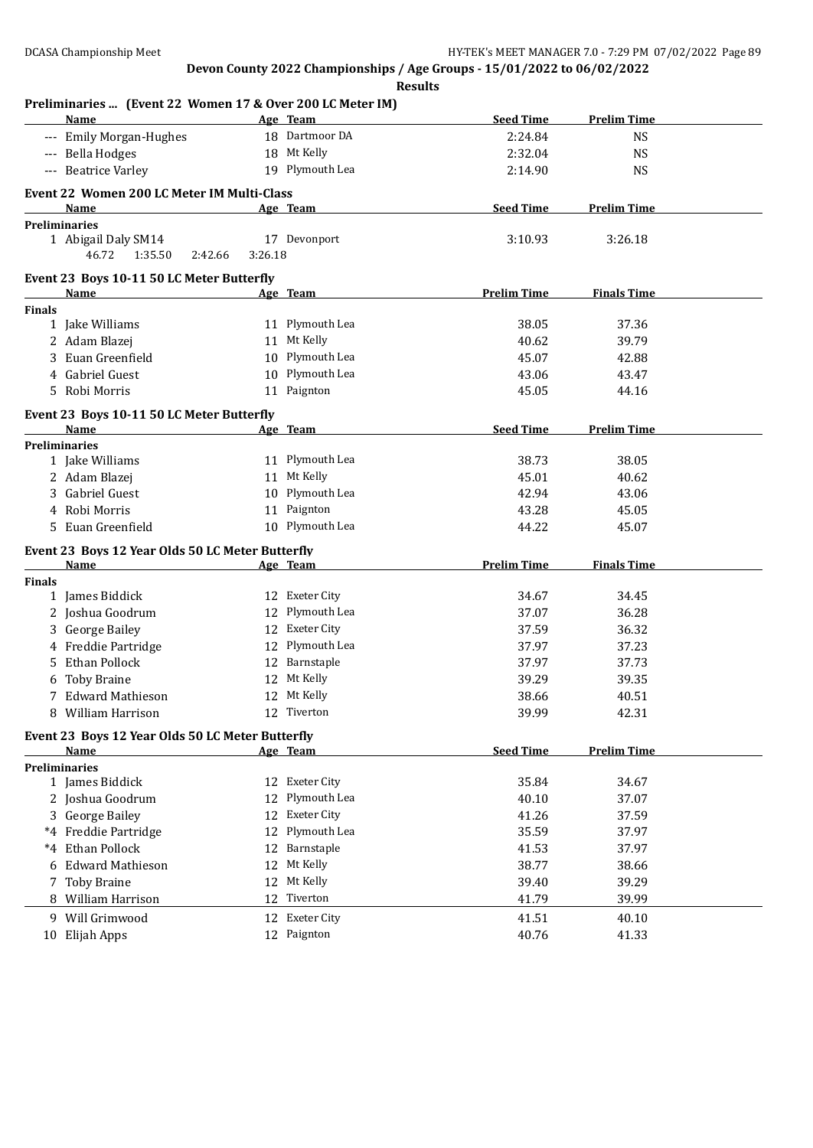| Preliminaries  (Event 22 Women 17 & Over 200 LC Meter IM)<br>Name | Age Team |                               | <b>Seed Time</b>   | <b>Prelim Time</b> |
|-------------------------------------------------------------------|----------|-------------------------------|--------------------|--------------------|
| --- Emily Morgan-Hughes                                           |          | 18 Dartmoor DA                | 2:24.84            | <b>NS</b>          |
| --- Bella Hodges                                                  |          | 18 Mt Kelly                   | 2:32.04            | <b>NS</b>          |
| --- Beatrice Varley                                               |          | 19 Plymouth Lea               | 2:14.90            | <b>NS</b>          |
|                                                                   |          |                               |                    |                    |
| Event 22 Women 200 LC Meter IM Multi-Class<br>Name                |          | Age Team                      | <b>Seed Time</b>   | <b>Prelim Time</b> |
| <b>Preliminaries</b>                                              |          |                               |                    |                    |
| 1 Abigail Daly SM14                                               |          | 17 Devonport                  | 3:10.93            | 3:26.18            |
| 2:42.66<br>46.72<br>1:35.50                                       | 3:26.18  |                               |                    |                    |
|                                                                   |          |                               |                    |                    |
| Event 23 Boys 10-11 50 LC Meter Butterfly<br>Name                 |          | Age Team                      | <b>Prelim Time</b> | <b>Finals Time</b> |
| Finals                                                            |          |                               |                    |                    |
| 1 Jake Williams                                                   |          | 11 Plymouth Lea               | 38.05              | 37.36              |
| 2 Adam Blazej                                                     |          | 11 Mt Kelly                   | 40.62              | 39.79              |
| 3 Euan Greenfield                                                 |          | 10 Plymouth Lea               | 45.07              | 42.88              |
| Gabriel Guest<br>4                                                |          | 10 Plymouth Lea               | 43.06              | 43.47              |
| 5 Robi Morris                                                     |          | 11 Paignton                   | 45.05              | 44.16              |
|                                                                   |          |                               |                    |                    |
| Event 23 Boys 10-11 50 LC Meter Butterfly<br>Name                 |          | Age Team                      | <b>Seed Time</b>   | <b>Prelim Time</b> |
| <b>Preliminaries</b>                                              |          |                               |                    |                    |
| 1 Jake Williams                                                   |          | 11 Plymouth Lea               | 38.73              | 38.05              |
| 2 Adam Blazej                                                     |          | 11 Mt Kelly                   | 45.01              | 40.62              |
| 3 Gabriel Guest                                                   |          | 10 Plymouth Lea               | 42.94              | 43.06              |
| Robi Morris<br>4                                                  |          | 11 Paignton                   | 43.28              | 45.05              |
| 5 Euan Greenfield                                                 |          | 10 Plymouth Lea               | 44.22              | 45.07              |
|                                                                   |          |                               |                    |                    |
| Event 23 Boys 12 Year Olds 50 LC Meter Butterfly<br>Name          |          |                               | <b>Prelim Time</b> | <b>Finals Time</b> |
| <b>Finals</b>                                                     | Age Team |                               |                    |                    |
| 1 James Biddick                                                   |          | 12 Exeter City                | 34.67              | 34.45              |
| 2 Joshua Goodrum                                                  |          | 12 Plymouth Lea               | 37.07              | 36.28              |
| 3 George Bailey                                                   |          | 12 Exeter City                | 37.59              | 36.32              |
| 4 Freddie Partridge                                               |          | 12 Plymouth Lea               | 37.97              | 37.23              |
| Ethan Pollock<br>5                                                |          | 12 Barnstaple                 | 37.97              | 37.73              |
| <b>Toby Braine</b><br>6                                           |          | 12 Mt Kelly                   | 39.29              | 39.35              |
| 7 Edward Mathieson                                                |          | 12 Mt Kelly                   | 38.66              | 40.51              |
| 8 William Harrison                                                |          | 12 Tiverton                   | 39.99              | 42.31              |
|                                                                   |          |                               |                    |                    |
| Event 23 Boys 12 Year Olds 50 LC Meter Butterfly<br>Name          |          |                               | <b>Seed Time</b>   | <b>Prelim Time</b> |
| <b>Preliminaries</b>                                              | Age Team |                               |                    |                    |
| 1 James Biddick                                                   |          | 12 Exeter City                | 35.84              | 34.67              |
| 2 Joshua Goodrum                                                  | 12       | Plymouth Lea                  | 40.10              | 37.07              |
| 3 George Bailey                                                   |          | 12 Exeter City                | 41.26              | 37.59              |
| *4 Freddie Partridge                                              |          | 12 Plymouth Lea               | 35.59              | 37.97              |
| Ethan Pollock<br>$*4$                                             |          | 12 Barnstaple                 | 41.53              | 37.97              |
| <b>Edward Mathieson</b><br>6                                      |          | 12 Mt Kelly                   | 38.77              | 38.66              |
| <b>Toby Braine</b><br>7                                           | 12       | Mt Kelly                      | 39.40              | 39.29              |
| 8 William Harrison                                                | 12       | Tiverton                      | 41.79              | 39.99              |
|                                                                   |          |                               |                    |                    |
| 9 Will Grimwood                                                   |          | 12 Exeter City<br>12 Paignton | 41.51              | 40.10              |
| 10 Elijah Apps                                                    |          |                               | 40.76              | 41.33              |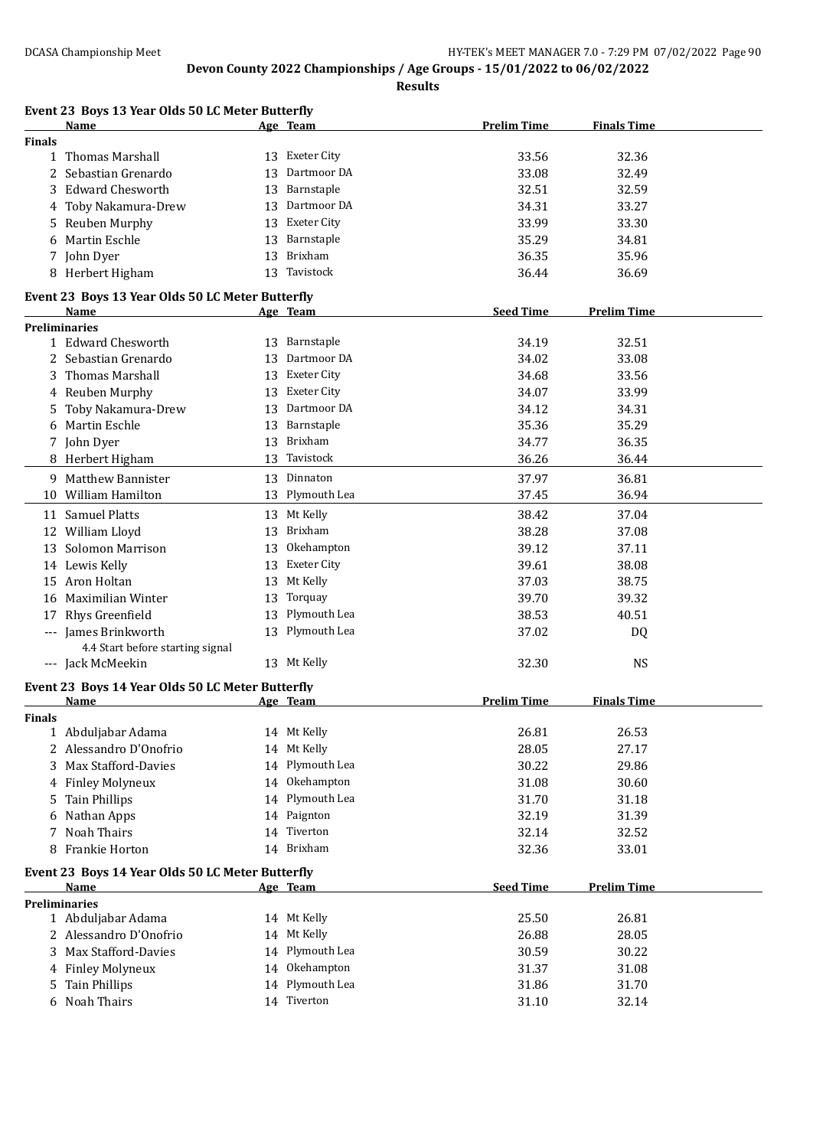**Results**

|               | Event 23 Boys 13 Year Olds 50 LC Meter Butterfly<br>Name |    | <u>Age Team</u>    | <b>Prelim Time</b> | <b>Finals Time</b> |
|---------------|----------------------------------------------------------|----|--------------------|--------------------|--------------------|
| <b>Finals</b> |                                                          |    |                    |                    |                    |
| $\mathbf{1}$  | Thomas Marshall                                          |    | 13 Exeter City     | 33.56              | 32.36              |
|               | Sebastian Grenardo                                       | 13 | Dartmoor DA        | 33.08              | 32.49              |
| 3             | <b>Edward Chesworth</b>                                  | 13 | Barnstaple         | 32.51              | 32.59              |
| 4             | Toby Nakamura-Drew                                       | 13 | Dartmoor DA        | 34.31              | 33.27              |
| 5             | Reuben Murphy                                            | 13 | <b>Exeter City</b> | 33.99              | 33.30              |
| 6             | Martin Eschle                                            | 13 | Barnstaple         | 35.29              | 34.81              |
| 7             | John Dyer                                                | 13 | Brixham            | 36.35              | 35.96              |
|               | 8 Herbert Higham                                         |    | 13 Tavistock       | 36.44              | 36.69              |
|               | Event 23 Boys 13 Year Olds 50 LC Meter Butterfly         |    |                    |                    |                    |
|               | Name                                                     |    | Age Team           | <b>Seed Time</b>   | <b>Prelim Time</b> |
|               | <b>Preliminaries</b>                                     |    |                    |                    |                    |
|               | 1 Edward Chesworth                                       |    | 13 Barnstaple      | 34.19              | 32.51              |
| 2             | Sebastian Grenardo                                       | 13 | Dartmoor DA        | 34.02              | 33.08              |
| 3             | <b>Thomas Marshall</b>                                   | 13 | Exeter City        | 34.68              | 33.56              |
| 4             | Reuben Murphy                                            | 13 | Exeter City        | 34.07              | 33.99              |
| 5             | Toby Nakamura-Drew                                       | 13 | Dartmoor DA        | 34.12              | 34.31              |
| 6             | Martin Eschle                                            | 13 | Barnstaple         | 35.36              | 35.29              |
|               | 7 John Dyer                                              | 13 | Brixham            | 34.77              | 36.35              |
|               | 8 Herbert Higham                                         | 13 | Tavistock          | 36.26              | 36.44              |
|               | 9 Matthew Bannister                                      | 13 | Dinnaton           | 37.97              | 36.81              |
|               | 10 William Hamilton                                      |    | 13 Plymouth Lea    | 37.45              | 36.94              |
|               | 11 Samuel Platts                                         | 13 | Mt Kelly           | 38.42              | 37.04              |
| 12            | William Lloyd                                            | 13 | Brixham            | 38.28              | 37.08              |
| 13            | <b>Solomon Marrison</b>                                  | 13 | Okehampton         | 39.12              | 37.11              |
|               | 14 Lewis Kelly                                           | 13 | Exeter City        | 39.61              | 38.08              |
| 15            | Aron Holtan                                              | 13 | Mt Kelly           | 37.03              | 38.75              |
| 16            | Maximilian Winter                                        | 13 | Torquay            | 39.70              | 39.32              |
| 17            | Rhys Greenfield                                          | 13 | Plymouth Lea       | 38.53              | 40.51              |
|               | James Brinkworth                                         |    | 13 Plymouth Lea    | 37.02              | DQ                 |
|               | 4.4 Start before starting signal                         |    |                    |                    |                    |
|               | --- Jack McMeekin                                        |    | 13 Mt Kelly        | 32.30              | <b>NS</b>          |
|               | Event 23 Boys 14 Year Olds 50 LC Meter Butterfly         |    |                    |                    |                    |
|               | Name                                                     |    | Age Team           | <b>Prelim Time</b> | <b>Finals Time</b> |
| <b>Finals</b> |                                                          |    |                    |                    |                    |
|               | 1 Abduljabar Adama                                       |    | 14 Mt Kelly        | 26.81              | 26.53              |
|               | 2 Alessandro D'Onofrio                                   |    | 14 Mt Kelly        | 28.05              | 27.17              |
| 3             | <b>Max Stafford-Davies</b>                               |    | 14 Plymouth Lea    | 30.22              | 29.86              |
|               | 4 Finley Molyneux                                        |    | 14 Okehampton      | 31.08              | 30.60              |
| 5             | Tain Phillips                                            |    | 14 Plymouth Lea    | 31.70              | 31.18              |
| 6             | Nathan Apps                                              |    | 14 Paignton        | 32.19              | 31.39              |
| 7             | <b>Noah Thairs</b>                                       |    | 14 Tiverton        | 32.14              | 32.52              |
| 8             | Frankie Horton                                           |    | 14 Brixham         | 32.36              | 33.01              |
|               | Event 23 Boys 14 Year Olds 50 LC Meter Butterfly         |    |                    |                    |                    |
|               | Name                                                     |    | Age Team           | <b>Seed Time</b>   | <b>Prelim Time</b> |
|               | <b>Preliminaries</b>                                     |    |                    |                    |                    |
|               | 1 Abduljabar Adama                                       |    | 14 Mt Kelly        | 25.50              | 26.81              |
|               | Alessandro D'Onofrio                                     | 14 | Mt Kelly           | 26.88              | 28.05              |
| 3             | Max Stafford-Davies                                      |    | 14 Plymouth Lea    | 30.59              | 30.22              |
| 4             | <b>Finley Molyneux</b>                                   | 14 | Okehampton         | 31.37              | 31.08              |
| 5             | <b>Tain Phillips</b>                                     | 14 | Plymouth Lea       | 31.86              | 31.70              |
|               | 6 Noah Thairs                                            |    | 14 Tiverton        | 31.10              | 32.14              |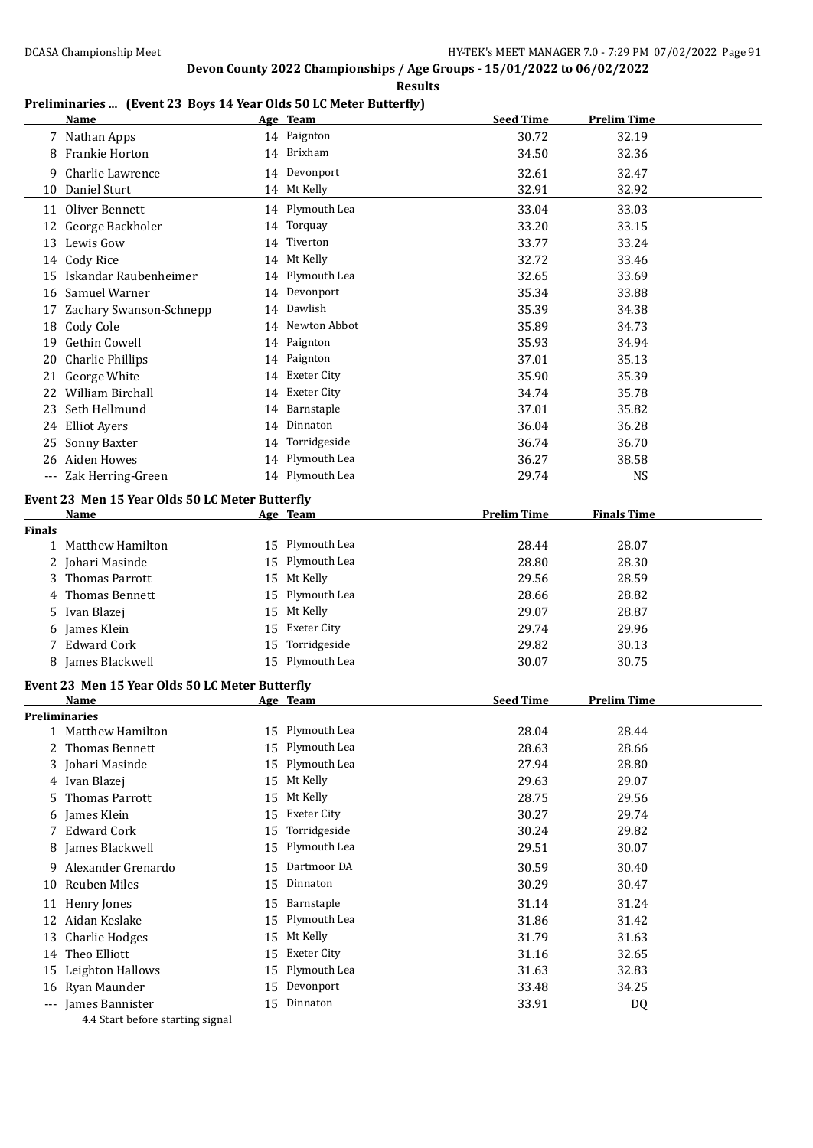**Results**

### **Preliminaries ... (Event 23 Boys 14 Year Olds 50 LC Meter Butterfly)**

|               | <b>Name</b>                                     |    | Age Team           | <b>Seed Time</b>   | <b>Prelim Time</b> |  |
|---------------|-------------------------------------------------|----|--------------------|--------------------|--------------------|--|
|               | 7 Nathan Apps                                   |    | 14 Paignton        | 30.72              | 32.19              |  |
|               | 8 Frankie Horton                                |    | 14 Brixham         | 34.50              | 32.36              |  |
|               | 9 Charlie Lawrence                              |    | 14 Devonport       | 32.61              | 32.47              |  |
| 10            | Daniel Sturt                                    |    | 14 Mt Kelly        | 32.91              | 32.92              |  |
|               | 11 Oliver Bennett                               |    | 14 Plymouth Lea    | 33.04              | 33.03              |  |
|               | 12 George Backholer                             |    | 14 Torquay         | 33.20              | 33.15              |  |
|               | 13 Lewis Gow                                    |    | 14 Tiverton        | 33.77              | 33.24              |  |
|               | 14 Cody Rice                                    |    | 14 Mt Kelly        | 32.72              | 33.46              |  |
|               | 15 Iskandar Raubenheimer                        | 14 | Plymouth Lea       | 32.65              | 33.69              |  |
|               | 16 Samuel Warner                                | 14 | Devonport          | 35.34              | 33.88              |  |
| 17            | Zachary Swanson-Schnepp                         | 14 | Dawlish            | 35.39              | 34.38              |  |
|               | 18 Cody Cole                                    |    | 14 Newton Abbot    | 35.89              | 34.73              |  |
|               | 19 Gethin Cowell                                |    | 14 Paignton        | 35.93              | 34.94              |  |
| 20            | <b>Charlie Phillips</b>                         |    | 14 Paignton        | 37.01              | 35.13              |  |
| 21            | George White                                    |    | 14 Exeter City     | 35.90              | 35.39              |  |
|               | 22 William Birchall                             |    | 14 Exeter City     | 34.74              | 35.78              |  |
|               | 23 Seth Hellmund                                | 14 | Barnstaple         | 37.01              | 35.82              |  |
|               | 24 Elliot Ayers                                 | 14 | Dinnaton           | 36.04              | 36.28              |  |
| 25            | Sonny Baxter                                    | 14 | Torridgeside       | 36.74              | 36.70              |  |
|               | 26 Aiden Howes                                  | 14 | Plymouth Lea       | 36.27              | 38.58              |  |
|               | Zak Herring-Green                               |    | 14 Plymouth Lea    | 29.74              | <b>NS</b>          |  |
|               |                                                 |    |                    |                    |                    |  |
|               | Event 23 Men 15 Year Olds 50 LC Meter Butterfly |    |                    | <b>Prelim Time</b> |                    |  |
| <b>Finals</b> | Name                                            |    | Age Team           |                    | <b>Finals Time</b> |  |
|               | 1 Matthew Hamilton                              |    | 15 Plymouth Lea    | 28.44              | 28.07              |  |
|               | 2 Johari Masinde                                | 15 | Plymouth Lea       | 28.80              | 28.30              |  |
| 3.            | <b>Thomas Parrott</b>                           | 15 | Mt Kelly           | 29.56              | 28.59              |  |
| 4             | Thomas Bennett                                  | 15 | Plymouth Lea       | 28.66              | 28.82              |  |
|               | 5 Ivan Blazej                                   | 15 | Mt Kelly           | 29.07              | 28.87              |  |
|               | 6 James Klein                                   | 15 | <b>Exeter City</b> | 29.74              | 29.96              |  |
|               | 7 Edward Cork                                   | 15 | Torridgeside       | 29.82              | 30.13              |  |
|               | 8 James Blackwell                               |    | 15 Plymouth Lea    | 30.07              | 30.75              |  |
|               | Event 23 Men 15 Year Olds 50 LC Meter Butterfly |    |                    |                    |                    |  |
|               | Name                                            |    | Age Team           | <b>Seed Time</b>   | <b>Prelim Time</b> |  |
|               | <b>Preliminaries</b>                            |    |                    |                    |                    |  |
| 1             | Matthew Hamilton                                |    | 15 Plymouth Lea    | 28.04              | 28.44              |  |
| 2             | Thomas Bennett                                  |    | 15 Plymouth Lea    | 28.63              | 28.66              |  |
| 3             | Johari Masinde                                  | 15 | Plymouth Lea       | 27.94              | 28.80              |  |
|               | 4 Ivan Blazej                                   | 15 | Mt Kelly           | 29.63              | 29.07              |  |
| 5.            | <b>Thomas Parrott</b>                           | 15 | Mt Kelly           | 28.75              | 29.56              |  |
| 6             | James Klein                                     | 15 | <b>Exeter City</b> | 30.27              | 29.74              |  |
| 7             | <b>Edward Cork</b>                              | 15 | Torridgeside       | 30.24              | 29.82              |  |
| 8             | James Blackwell                                 | 15 | Plymouth Lea       | 29.51              | 30.07              |  |
|               | 9 Alexander Grenardo                            | 15 | Dartmoor DA        | 30.59              | 30.40              |  |
| 10            | Reuben Miles                                    | 15 | Dinnaton           | 30.29              | 30.47              |  |
| 11            | Henry Jones                                     | 15 | Barnstaple         | 31.14              | 31.24              |  |
|               | 12 Aidan Keslake                                | 15 | Plymouth Lea       | 31.86              | 31.42              |  |
| 13            | <b>Charlie Hodges</b>                           | 15 | Mt Kelly           | 31.79              | 31.63              |  |
| 14            | Theo Elliott                                    | 15 | <b>Exeter City</b> | 31.16              | 32.65              |  |
| 15            | Leighton Hallows                                | 15 | Plymouth Lea       | 31.63              | 32.83              |  |
| 16            | Ryan Maunder                                    | 15 | Devonport          | 33.48              | 34.25              |  |
|               | --- James Bannister                             |    | 15 Dinnaton        | 33.91              | DQ                 |  |
|               |                                                 |    |                    |                    |                    |  |

4.4 Start before starting signal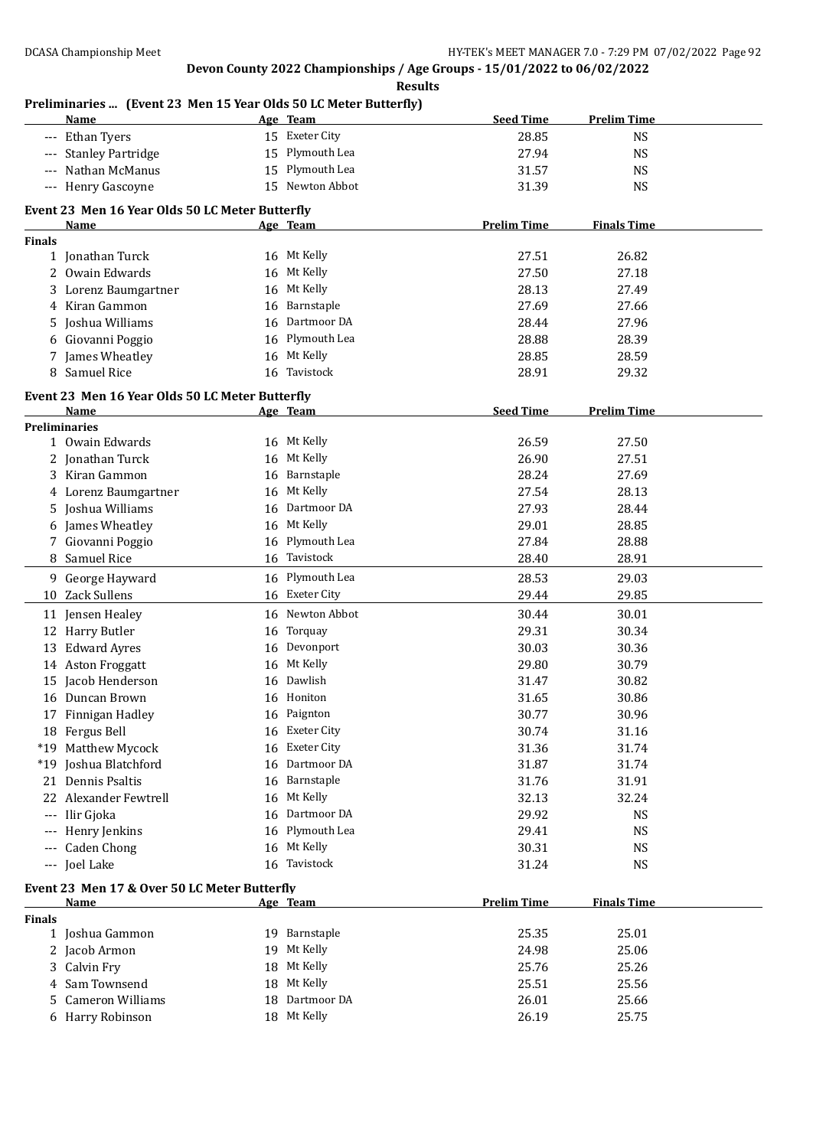**Results**

## **Preliminaries ... (Event 23 Men 15 Year Olds 50 LC Meter Butterfly)**

|               | <b>Name</b>                                     |    | Age Team        | <b>Seed Time</b>   | <b>Prelim Time</b> |
|---------------|-------------------------------------------------|----|-----------------|--------------------|--------------------|
|               | --- Ethan Tyers                                 |    | 15 Exeter City  | 28.85              | <b>NS</b>          |
| $---$         | <b>Stanley Partridge</b>                        | 15 | Plymouth Lea    | 27.94              | <b>NS</b>          |
|               | Nathan McManus                                  | 15 | Plymouth Lea    | 31.57              | <b>NS</b>          |
|               | --- Henry Gascoyne                              |    | 15 Newton Abbot | 31.39              | <b>NS</b>          |
|               |                                                 |    |                 |                    |                    |
|               | Event 23 Men 16 Year Olds 50 LC Meter Butterfly |    |                 |                    |                    |
| <b>Finals</b> | Name                                            |    | Age Team        | <b>Prelim Time</b> | <b>Finals Time</b> |
|               | 1 Jonathan Turck                                |    | 16 Mt Kelly     | 27.51              | 26.82              |
|               | 2 Owain Edwards                                 |    | 16 Mt Kelly     | 27.50              | 27.18              |
|               | 3 Lorenz Baumgartner                            |    | 16 Mt Kelly     | 28.13              | 27.49              |
| 4             | Kiran Gammon                                    | 16 | Barnstaple      | 27.69              | 27.66              |
| 5             | Joshua Williams                                 |    | 16 Dartmoor DA  | 28.44              | 27.96              |
| 6             | Giovanni Poggio                                 |    | 16 Plymouth Lea | 28.88              | 28.39              |
|               |                                                 |    | 16 Mt Kelly     | 28.85              | 28.59              |
| 7             | James Wheatley                                  |    | Tavistock       |                    |                    |
| 8             | Samuel Rice                                     | 16 |                 | 28.91              | 29.32              |
|               | Event 23 Men 16 Year Olds 50 LC Meter Butterfly |    |                 |                    |                    |
|               | Name                                            |    | Age Team        | <b>Seed Time</b>   | <b>Prelim Time</b> |
|               | <b>Preliminaries</b>                            |    |                 |                    |                    |
|               | 1 Owain Edwards                                 |    | 16 Mt Kelly     | 26.59              | 27.50              |
|               | 2 Jonathan Turck                                |    | 16 Mt Kelly     | 26.90              | 27.51              |
|               | 3 Kiran Gammon                                  | 16 | Barnstaple      | 28.24              | 27.69              |
| 4             | Lorenz Baumgartner                              | 16 | Mt Kelly        | 27.54              | 28.13              |
| 5             | Joshua Williams                                 | 16 | Dartmoor DA     | 27.93              | 28.44              |
| 6             | James Wheatley                                  |    | 16 Mt Kelly     | 29.01              | 28.85              |
|               | 7 Giovanni Poggio                               | 16 | Plymouth Lea    | 27.84              | 28.88              |
|               | 8 Samuel Rice                                   |    | 16 Tavistock    | 28.40              | 28.91              |
|               | 9 George Hayward                                |    | 16 Plymouth Lea | 28.53              | 29.03              |
|               | 10 Zack Sullens                                 | 16 | Exeter City     | 29.44              | 29.85              |
| 11            | Jensen Healey                                   |    | 16 Newton Abbot | 30.44              | 30.01              |
|               | 12 Harry Butler                                 | 16 | Torquay         | 29.31              | 30.34              |
| 13            | <b>Edward Ayres</b>                             | 16 | Devonport       | 30.03              | 30.36              |
|               | 14 Aston Froggatt                               | 16 | Mt Kelly        | 29.80              | 30.79              |
|               | 15 Jacob Henderson                              | 16 | Dawlish         | 31.47              | 30.82              |
| 16            | Duncan Brown                                    | 16 | Honiton         | 31.65              | 30.86              |
|               | 17 Finnigan Hadley                              |    | 16 Paignton     | 30.77              | 30.96              |
|               | 18 Fergus Bell                                  |    | 16 Exeter City  | 30.74              | 31.16              |
|               | *19 Matthew Mycock                              |    | 16 Exeter City  | 31.36              | 31.74              |
|               | *19 Joshua Blatchford                           | 16 | Dartmoor DA     | 31.87              | 31.74              |
|               | 21 Dennis Psaltis                               | 16 | Barnstaple      | 31.76              | 31.91              |
|               | 22 Alexander Fewtrell                           |    | 16 Mt Kelly     | 32.13              | 32.24              |
|               | --- Ilir Gjoka                                  | 16 | Dartmoor DA     | 29.92              | <b>NS</b>          |
|               | --- Henry Jenkins                               | 16 | Plymouth Lea    | 29.41              | <b>NS</b>          |
|               | --- Caden Chong                                 | 16 | Mt Kelly        | 30.31              | <b>NS</b>          |
|               | --- Joel Lake                                   |    | 16 Tavistock    | 31.24              | <b>NS</b>          |
|               |                                                 |    |                 |                    |                    |
|               | Event 23 Men 17 & Over 50 LC Meter Butterfly    |    |                 |                    |                    |
|               | <b>Name</b>                                     |    | Age Team        | <b>Prelim Time</b> | <b>Finals Time</b> |
| <b>Finals</b> |                                                 |    |                 |                    |                    |
|               | 1 Joshua Gammon                                 |    | 19 Barnstaple   | 25.35              | 25.01              |
|               | 2 Jacob Armon                                   | 19 | Mt Kelly        | 24.98              | 25.06              |
|               | 3 Calvin Fry                                    | 18 | Mt Kelly        | 25.76              | 25.26              |
| 4             | Sam Townsend                                    | 18 | Mt Kelly        | 25.51              | 25.56              |
| 5             | <b>Cameron Williams</b>                         | 18 | Dartmoor DA     | 26.01              | 25.66              |
|               | 6 Harry Robinson                                |    | 18 Mt Kelly     | 26.19              | 25.75              |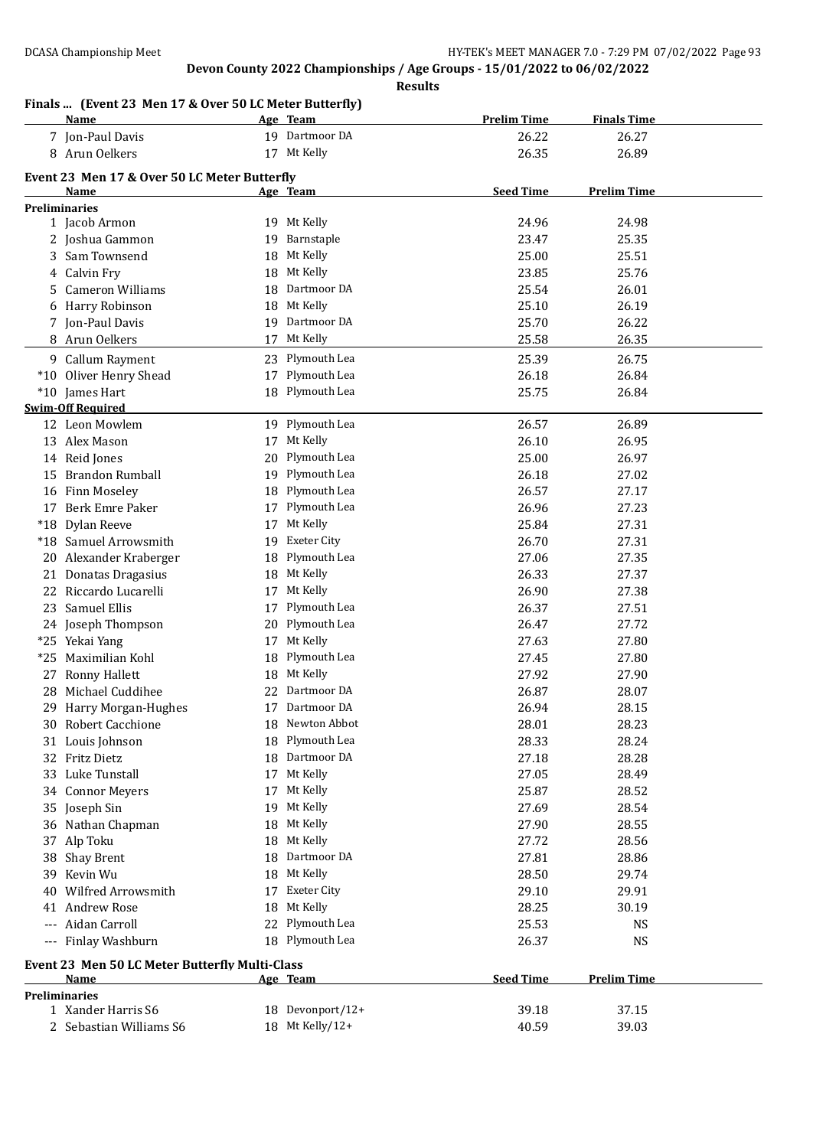**Results**

## **Finals ... (Event 23 Men 17 & Over 50 LC Meter Butterfly)**

|    | $\mathcal{L}$ . Then the cover you be field buttering<br><u>Name</u> |    | Age Team           | <b>Prelim Time</b> | <b>Finals Time</b> |  |
|----|----------------------------------------------------------------------|----|--------------------|--------------------|--------------------|--|
|    | 7 Jon-Paul Davis                                                     |    | 19 Dartmoor DA     | 26.22              | 26.27              |  |
|    | 8 Arun Oelkers                                                       |    | 17 Mt Kelly        | 26.35              | 26.89              |  |
|    |                                                                      |    |                    |                    |                    |  |
|    | Event 23 Men 17 & Over 50 LC Meter Butterfly<br>Name                 |    |                    | <b>Seed Time</b>   | <b>Prelim Time</b> |  |
|    | <b>Preliminaries</b>                                                 |    | Age Team           |                    |                    |  |
|    | 1 Jacob Armon                                                        |    | 19 Mt Kelly        | 24.96              | 24.98              |  |
|    | 2 Joshua Gammon                                                      | 19 | Barnstaple         | 23.47              | 25.35              |  |
|    | 3 Sam Townsend                                                       | 18 | Mt Kelly           | 25.00              | 25.51              |  |
|    | 4 Calvin Fry                                                         | 18 | Mt Kelly           | 23.85              | 25.76              |  |
| 5  | <b>Cameron Williams</b>                                              | 18 | Dartmoor DA        | 25.54              | 26.01              |  |
|    | 6 Harry Robinson                                                     | 18 | Mt Kelly           | 25.10              | 26.19              |  |
|    | 7 Jon-Paul Davis                                                     | 19 | Dartmoor DA        | 25.70              | 26.22              |  |
|    | 8 Arun Oelkers                                                       | 17 | Mt Kelly           | 25.58              | 26.35              |  |
|    |                                                                      |    |                    |                    |                    |  |
|    | 9 Callum Rayment                                                     |    | 23 Plymouth Lea    | 25.39              | 26.75              |  |
|    | *10 Oliver Henry Shead                                               | 17 | Plymouth Lea       | 26.18              | 26.84              |  |
|    | *10 James Hart                                                       |    | 18 Plymouth Lea    | 25.75              | 26.84              |  |
|    | <b>Swim-Off Required</b>                                             |    |                    |                    |                    |  |
|    | 12 Leon Mowlem                                                       |    | 19 Plymouth Lea    | 26.57              | 26.89              |  |
|    | 13 Alex Mason                                                        |    | 17 Mt Kelly        | 26.10              | 26.95              |  |
|    | 14 Reid Jones                                                        | 20 | Plymouth Lea       | 25.00              | 26.97              |  |
|    | 15 Brandon Rumball                                                   | 19 | Plymouth Lea       | 26.18              | 27.02              |  |
|    | 16 Finn Moseley                                                      | 18 | Plymouth Lea       | 26.57              | 27.17              |  |
|    | 17 Berk Emre Paker                                                   | 17 | Plymouth Lea       | 26.96              | 27.23              |  |
|    | *18 Dylan Reeve                                                      | 17 | Mt Kelly           | 25.84              | 27.31              |  |
|    | *18 Samuel Arrowsmith                                                | 19 | <b>Exeter City</b> | 26.70              | 27.31              |  |
|    | 20 Alexander Kraberger                                               | 18 | Plymouth Lea       | 27.06              | 27.35              |  |
| 21 | Donatas Dragasius                                                    | 18 | Mt Kelly           | 26.33              | 27.37              |  |
| 22 | Riccardo Lucarelli                                                   | 17 | Mt Kelly           | 26.90              | 27.38              |  |
| 23 | Samuel Ellis                                                         | 17 | Plymouth Lea       | 26.37              | 27.51              |  |
|    | 24 Joseph Thompson                                                   | 20 | Plymouth Lea       | 26.47              | 27.72              |  |
|    | *25 Yekai Yang                                                       | 17 | Mt Kelly           | 27.63              | 27.80              |  |
|    | *25 Maximilian Kohl                                                  | 18 | Plymouth Lea       | 27.45              | 27.80              |  |
| 27 | Ronny Hallett                                                        | 18 | Mt Kelly           | 27.92              | 27.90              |  |
|    | 28 Michael Cuddihee                                                  | 22 | Dartmoor DA        | 26.87              | 28.07              |  |
|    | 29 Harry Morgan-Hughes                                               |    | 17 Dartmoor DA     | 26.94              | 28.15              |  |
|    | 30 Robert Cacchione                                                  |    | 18 Newton Abbot    | 28.01              | 28.23              |  |
|    | 31 Louis Johnson                                                     | 18 | Plymouth Lea       | 28.33              | 28.24              |  |
|    | 32 Fritz Dietz                                                       |    | 18 Dartmoor DA     | 27.18              | 28.28              |  |
|    | 33 Luke Tunstall                                                     | 17 | Mt Kelly           | 27.05              | 28.49              |  |
|    | 34 Connor Meyers                                                     | 17 | Mt Kelly           | 25.87              | 28.52              |  |
|    | 35 Joseph Sin                                                        | 19 | Mt Kelly           | 27.69              | 28.54              |  |
|    | 36 Nathan Chapman                                                    | 18 | Mt Kelly           | 27.90              | 28.55              |  |
|    | 37 Alp Toku                                                          | 18 | Mt Kelly           | 27.72              | 28.56              |  |
|    | 38 Shay Brent                                                        | 18 | Dartmoor DA        | 27.81              | 28.86              |  |
|    | 39 Kevin Wu                                                          | 18 | Mt Kelly           | 28.50              | 29.74              |  |
|    | 40 Wilfred Arrowsmith                                                | 17 | <b>Exeter City</b> | 29.10              | 29.91              |  |
|    | 41 Andrew Rose                                                       | 18 | Mt Kelly           | 28.25              | 30.19              |  |
|    | --- Aidan Carroll                                                    | 22 | Plymouth Lea       | 25.53              | NS                 |  |
|    | --- Finlay Washburn                                                  |    | 18 Plymouth Lea    | 26.37              | <b>NS</b>          |  |
|    |                                                                      |    |                    |                    |                    |  |
|    | Event 23 Men 50 LC Meter Butterfly Multi-Class                       |    |                    |                    |                    |  |
|    | Name                                                                 |    | Age Team           | <b>Seed Time</b>   | <b>Prelim Time</b> |  |
|    | <b>Preliminaries</b><br>1 Xander Harris S6                           |    | 18 Devonport/12+   | 39.18              |                    |  |
|    |                                                                      |    | 18 Mt Kelly/12+    |                    | 37.15              |  |
|    | 2 Sebastian Williams S6                                              |    |                    | 40.59              | 39.03              |  |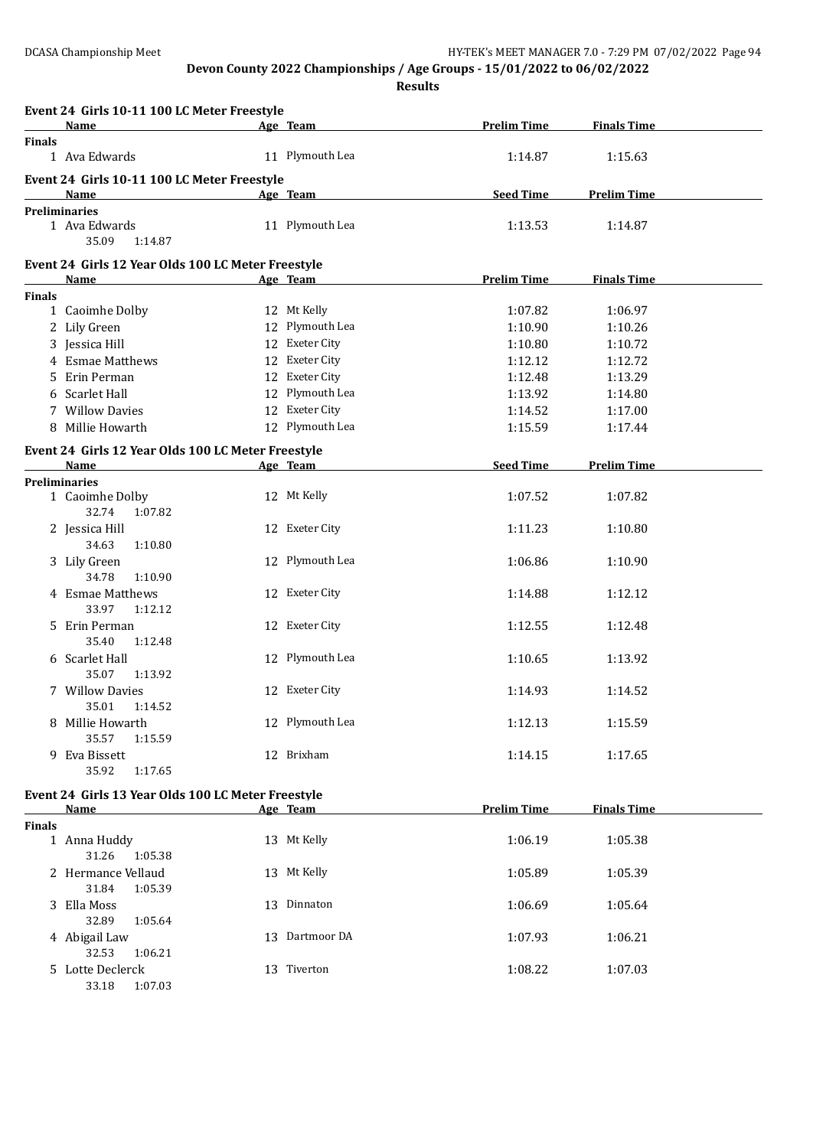**Results**

|               | Event 24 Girls 10-11 100 LC Meter Freestyle<br>Name        | Age Team        | <b>Prelim Time</b> | <b>Finals Time</b> |  |
|---------------|------------------------------------------------------------|-----------------|--------------------|--------------------|--|
| <b>Finals</b> |                                                            |                 |                    |                    |  |
|               | 1 Ava Edwards                                              | 11 Plymouth Lea | 1:14.87            | 1:15.63            |  |
|               | Event 24 Girls 10-11 100 LC Meter Freestyle<br><b>Name</b> | Age Team        | <b>Seed Time</b>   | <b>Prelim Time</b> |  |
|               | <b>Preliminaries</b>                                       |                 |                    |                    |  |
|               | 1 Ava Edwards<br>35.09<br>1:14.87                          | 11 Plymouth Lea | 1:13.53            | 1:14.87            |  |
|               | Event 24 Girls 12 Year Olds 100 LC Meter Freestyle         |                 |                    |                    |  |
|               | Name                                                       | Age Team        | <b>Prelim Time</b> | <b>Finals Time</b> |  |
| <b>Finals</b> | 1 Caoimhe Dolby                                            | 12 Mt Kelly     | 1:07.82            | 1:06.97            |  |
|               | 2 Lily Green                                               | 12 Plymouth Lea | 1:10.90            | 1:10.26            |  |
|               | 3 Jessica Hill                                             | 12 Exeter City  | 1:10.80            | 1:10.72            |  |
|               | 4 Esmae Matthews                                           | 12 Exeter City  |                    |                    |  |
|               |                                                            | 12 Exeter City  | 1:12.12            | 1:12.72            |  |
|               | 5 Erin Perman                                              |                 | 1:12.48            | 1:13.29            |  |
|               | 6 Scarlet Hall                                             | 12 Plymouth Lea | 1:13.92            | 1:14.80            |  |
|               | 7 Willow Davies                                            | 12 Exeter City  | 1:14.52            | 1:17.00            |  |
|               | 8 Millie Howarth                                           | 12 Plymouth Lea | 1:15.59            | 1:17.44            |  |
|               | Event 24 Girls 12 Year Olds 100 LC Meter Freestyle         |                 |                    |                    |  |
|               | <b>Name</b>                                                | Age Team        | <b>Seed Time</b>   | <b>Prelim Time</b> |  |
|               | Preliminaries                                              |                 |                    |                    |  |
|               | 1 Caoimhe Dolby<br>32.74<br>1:07.82                        | 12 Mt Kelly     | 1:07.52            | 1:07.82            |  |
|               | 2 Jessica Hill<br>34.63<br>1:10.80                         | 12 Exeter City  | 1:11.23            | 1:10.80            |  |
|               | 3 Lily Green<br>34.78<br>1:10.90                           | 12 Plymouth Lea | 1:06.86            | 1:10.90            |  |
|               | 4 Esmae Matthews<br>33.97<br>1:12.12                       | 12 Exeter City  | 1:14.88            | 1:12.12            |  |
|               | 5 Erin Perman<br>35.40<br>1:12.48                          | 12 Exeter City  | 1:12.55            | 1:12.48            |  |
|               | 6 Scarlet Hall<br>35.07<br>1:13.92                         | 12 Plymouth Lea | 1:10.65            | 1:13.92            |  |
|               | 7 Willow Davies<br>35.01<br>1:14.52                        | 12 Exeter City  | 1:14.93            | 1:14.52            |  |
|               | 8 Millie Howarth<br>35.57<br>1:15.59                       | 12 Plymouth Lea | 1:12.13            | 1:15.59            |  |
|               | 9 Eva Bissett<br>35.92<br>1:17.65                          | 12 Brixham      | 1:14.15            | 1:17.65            |  |
|               | Event 24 Girls 13 Year Olds 100 LC Meter Freestyle         |                 |                    |                    |  |
|               | <b>Name</b>                                                | Age Team        | <b>Prelim Time</b> | <b>Finals Time</b> |  |
| <b>Finals</b> |                                                            |                 |                    |                    |  |
|               | 1 Anna Huddy<br>31.26<br>1:05.38                           | 13 Mt Kelly     | 1:06.19            | 1:05.38            |  |
|               | 2 Hermance Vellaud<br>31.84<br>1:05.39                     | 13 Mt Kelly     | 1:05.89            | 1:05.39            |  |
|               | 3 Ella Moss<br>32.89<br>1:05.64                            | 13 Dinnaton     | 1:06.69            | 1:05.64            |  |
|               | 4 Abigail Law<br>32.53<br>1:06.21                          | 13 Dartmoor DA  | 1:07.93            | 1:06.21            |  |
|               | 5 Lotte Declerck<br>33.18<br>1:07.03                       | 13 Tiverton     | 1:08.22            | 1:07.03            |  |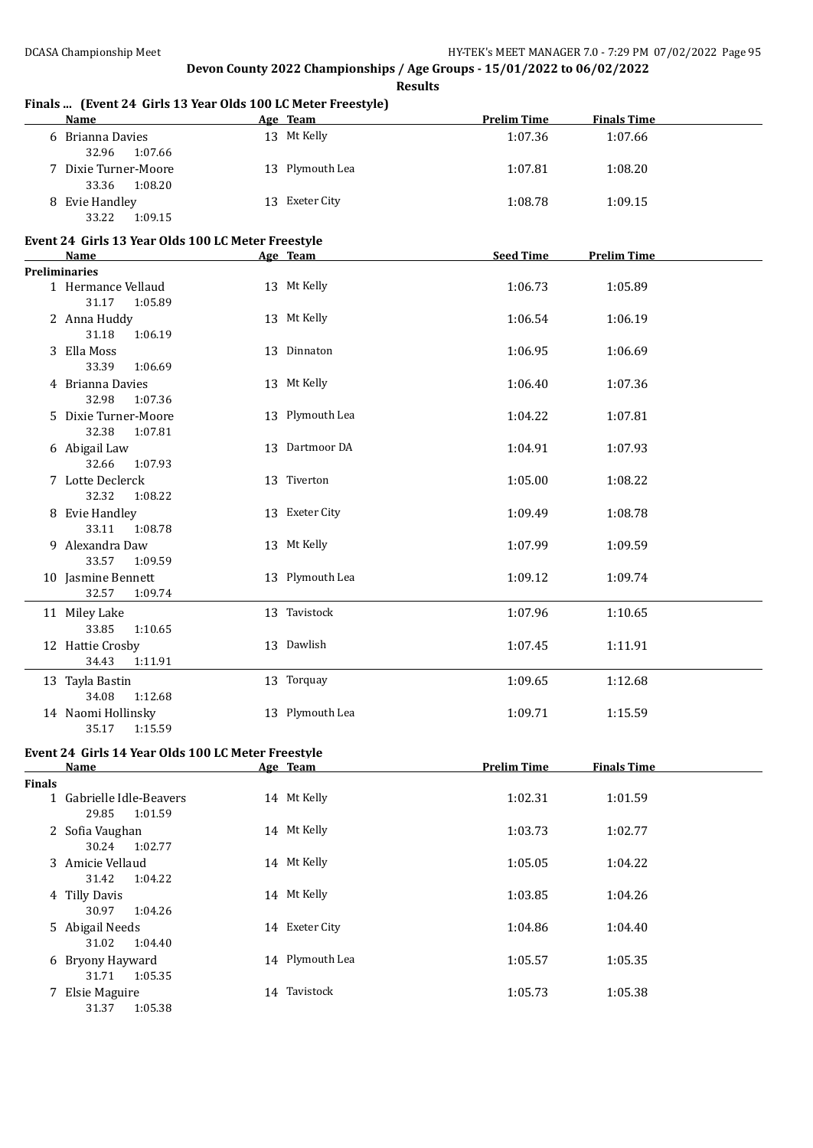|               | Finals  (Event 24 Girls 13 Year Olds 100 LC Meter Freestyle)<br><b>Name</b> | Age Team        | <b>Prelim Time</b> | <b>Finals Time</b> |  |
|---------------|-----------------------------------------------------------------------------|-----------------|--------------------|--------------------|--|
|               | 6 Brianna Davies<br>32.96<br>1:07.66                                        | 13 Mt Kelly     | 1:07.36            | 1:07.66            |  |
|               | 7 Dixie Turner-Moore<br>33.36<br>1:08.20                                    | 13 Plymouth Lea | 1:07.81            | 1:08.20            |  |
|               | 8 Evie Handley<br>33.22<br>1:09.15                                          | 13 Exeter City  | 1:08.78            | 1:09.15            |  |
|               | Event 24 Girls 13 Year Olds 100 LC Meter Freestyle                          |                 |                    |                    |  |
|               | Name<br><b>Preliminaries</b>                                                | Age Team        | <b>Seed Time</b>   | <b>Prelim Time</b> |  |
|               | 1 Hermance Vellaud<br>31.17<br>1:05.89                                      | 13 Mt Kelly     | 1:06.73            | 1:05.89            |  |
|               | 2 Anna Huddy<br>31.18<br>1:06.19                                            | 13 Mt Kelly     | 1:06.54            | 1:06.19            |  |
|               | 3 Ella Moss<br>33.39<br>1:06.69                                             | 13 Dinnaton     | 1:06.95            | 1:06.69            |  |
|               | 4 Brianna Davies<br>32.98<br>1:07.36                                        | 13 Mt Kelly     | 1:06.40            | 1:07.36            |  |
|               | 5 Dixie Turner-Moore<br>32.38<br>1:07.81                                    | 13 Plymouth Lea | 1:04.22            | 1:07.81            |  |
|               | 6 Abigail Law<br>32.66<br>1:07.93                                           | 13 Dartmoor DA  | 1:04.91            | 1:07.93            |  |
|               | 7 Lotte Declerck<br>32.32<br>1:08.22                                        | 13 Tiverton     | 1:05.00            | 1:08.22            |  |
|               | 8 Evie Handley<br>33.11<br>1:08.78                                          | 13 Exeter City  | 1:09.49            | 1:08.78            |  |
|               | 9 Alexandra Daw<br>33.57<br>1:09.59                                         | 13 Mt Kelly     | 1:07.99            | 1:09.59            |  |
|               | 10 Jasmine Bennett<br>32.57<br>1:09.74                                      | 13 Plymouth Lea | 1:09.12            | 1:09.74            |  |
|               | 11 Miley Lake<br>33.85<br>1:10.65                                           | 13 Tavistock    | 1:07.96            | 1:10.65            |  |
|               | 12 Hattie Crosby<br>34.43<br>1:11.91                                        | 13 Dawlish      | 1:07.45            | 1:11.91            |  |
|               | 13 Tayla Bastin<br>34.08<br>1:12.68                                         | 13 Torquay      | 1:09.65            | 1:12.68            |  |
|               | 14 Naomi Hollinsky<br>35.17<br>1:15.59                                      | 13 Plymouth Lea | 1:09.71            | 1:15.59            |  |
|               | Event 24 Girls 14 Year Olds 100 LC Meter Freestyle                          |                 |                    |                    |  |
|               | Name                                                                        | Age Team        | <b>Prelim Time</b> | <b>Finals Time</b> |  |
| <b>Finals</b> | 1 Gabrielle Idle-Beavers<br>29.85<br>1:01.59                                | 14 Mt Kelly     | 1:02.31            | 1:01.59            |  |
|               | 2 Sofia Vaughan<br>30.24<br>1:02.77                                         | 14 Mt Kelly     | 1:03.73            | 1:02.77            |  |
|               | 3 Amicie Vellaud<br>31.42<br>1:04.22                                        | 14 Mt Kelly     | 1:05.05            | 1:04.22            |  |
|               | 4 Tilly Davis<br>30.97<br>1:04.26                                           | 14 Mt Kelly     | 1:03.85            | 1:04.26            |  |
|               | 5 Abigail Needs<br>31.02<br>1:04.40                                         | 14 Exeter City  | 1:04.86            | 1:04.40            |  |
|               | 6 Bryony Hayward<br>31.71<br>1:05.35                                        | 14 Plymouth Lea | 1:05.57            | 1:05.35            |  |
|               | 7 Elsie Maguire                                                             | 14 Tavistock    | 1:05.73            | 1:05.38            |  |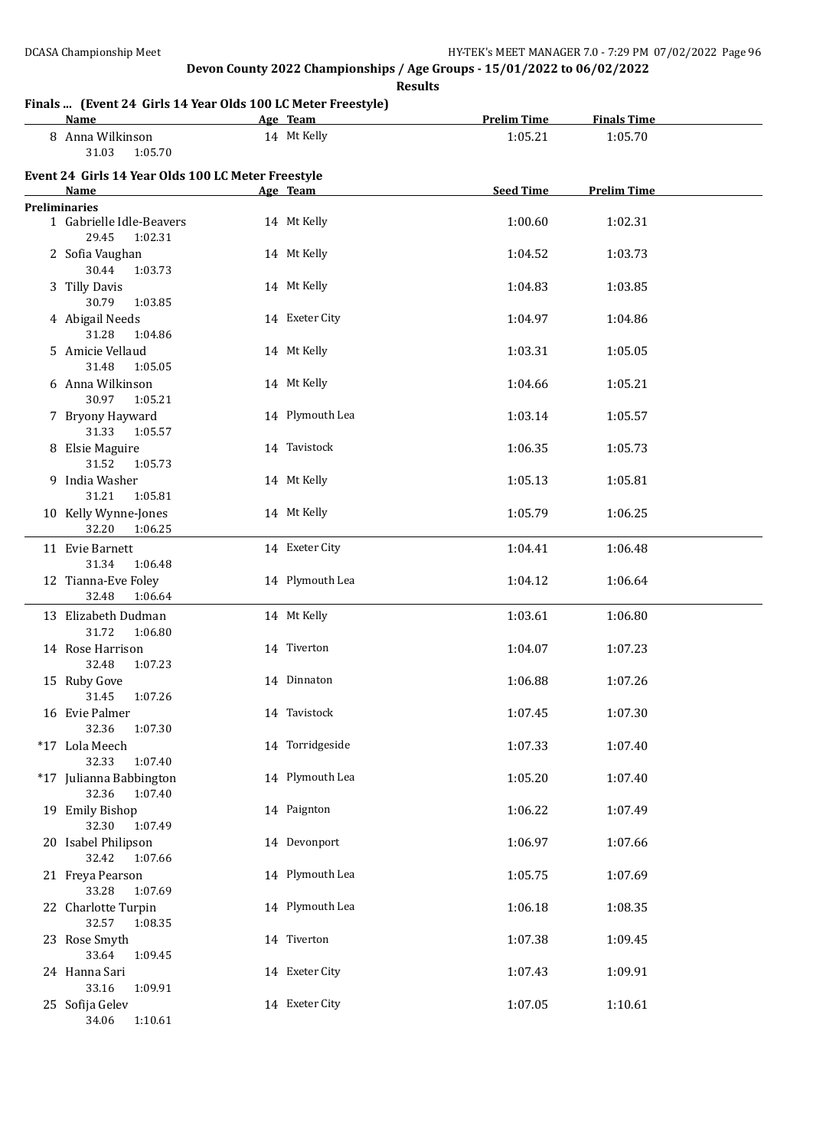**Results**

# **Finals ... (Event 24 Girls 14 Year Olds 100 LC Meter Freestyle)**

| Name                                                    | Age Team        | <b>Prelim Time</b> | <b>Finals Time</b> |  |
|---------------------------------------------------------|-----------------|--------------------|--------------------|--|
| 8 Anna Wilkinson<br>31.03<br>1:05.70                    | 14 Mt Kelly     | 1:05.21            | 1:05.70            |  |
| Event 24 Girls 14 Year Olds 100 LC Meter Freestyle      |                 |                    |                    |  |
| <b>Name</b>                                             | Age Team        | <b>Seed Time</b>   | <b>Prelim Time</b> |  |
| <b>Preliminaries</b>                                    |                 |                    |                    |  |
| 1 Gabrielle Idle-Beavers<br>29.45<br>1:02.31            | 14 Mt Kelly     | 1:00.60            | 1:02.31            |  |
| 2 Sofia Vaughan<br>30.44<br>1:03.73                     | 14 Mt Kelly     | 1:04.52            | 1:03.73            |  |
| 3 Tilly Davis<br>30.79<br>1:03.85                       | 14 Mt Kelly     | 1:04.83            | 1:03.85            |  |
| 4 Abigail Needs<br>31.28<br>1:04.86                     | 14 Exeter City  | 1:04.97            | 1:04.86            |  |
| 5 Amicie Vellaud<br>31.48<br>1:05.05                    | 14 Mt Kelly     | 1:03.31            | 1:05.05            |  |
| 6 Anna Wilkinson<br>30.97<br>1:05.21                    | 14 Mt Kelly     | 1:04.66            | 1:05.21            |  |
| 7 Bryony Hayward                                        | 14 Plymouth Lea | 1:03.14            | 1:05.57            |  |
| 31.33<br>1:05.57<br>8 Elsie Maguire                     | 14 Tavistock    | 1:06.35            | 1:05.73            |  |
| 31.52<br>1:05.73<br>9 India Washer                      | 14 Mt Kelly     | 1:05.13            | 1:05.81            |  |
| 31.21<br>1:05.81<br>10 Kelly Wynne-Jones                | 14 Mt Kelly     | 1:05.79            | 1:06.25            |  |
| 32.20<br>1:06.25                                        |                 |                    |                    |  |
| 11 Evie Barnett<br>31.34<br>1:06.48                     | 14 Exeter City  | 1:04.41            | 1:06.48            |  |
| 12 Tianna-Eve Foley<br>32.48<br>1:06.64                 | 14 Plymouth Lea | 1:04.12            | 1:06.64            |  |
| 13 Elizabeth Dudman<br>31.72<br>1:06.80                 | 14 Mt Kelly     | 1:03.61            | 1:06.80            |  |
| 14 Rose Harrison<br>32.48<br>1:07.23                    | 14 Tiverton     | 1:04.07            | 1:07.23            |  |
| 15 Ruby Gove<br>31.45<br>1:07.26                        | 14 Dinnaton     | 1:06.88            | 1:07.26            |  |
| 16 Evie Palmer<br>32.36<br>1:07.30                      | 14 Tavistock    | 1:07.45            | 1:07.30            |  |
| *17 Lola Meech<br>32.33<br>1:07.40                      | 14 Torridgeside | 1:07.33            | 1:07.40            |  |
| *17 Julianna Babbington<br>32.36<br>1:07.40             | 14 Plymouth Lea | 1:05.20            | 1:07.40            |  |
| 19 Emily Bishop<br>32.30<br>1:07.49                     | 14 Paignton     | 1:06.22            | 1:07.49            |  |
| 20 Isabel Philipson<br>32.42<br>1:07.66                 | 14 Devonport    | 1:06.97            | 1:07.66            |  |
| 21 Freya Pearson<br>33.28<br>1:07.69                    | 14 Plymouth Lea | 1:05.75            | 1:07.69            |  |
| 22 Charlotte Turpin<br>32.57<br>1:08.35                 | 14 Plymouth Lea | 1:06.18            | 1:08.35            |  |
| 23 Rose Smyth                                           | 14 Tiverton     | 1:07.38            | 1:09.45            |  |
| 33.64<br>1:09.45<br>24 Hanna Sari                       | 14 Exeter City  | 1:07.43            | 1:09.91            |  |
| 33.16<br>1:09.91<br>25 Sofija Gelev<br>34.06<br>1:10.61 | 14 Exeter City  | 1:07.05            | 1:10.61            |  |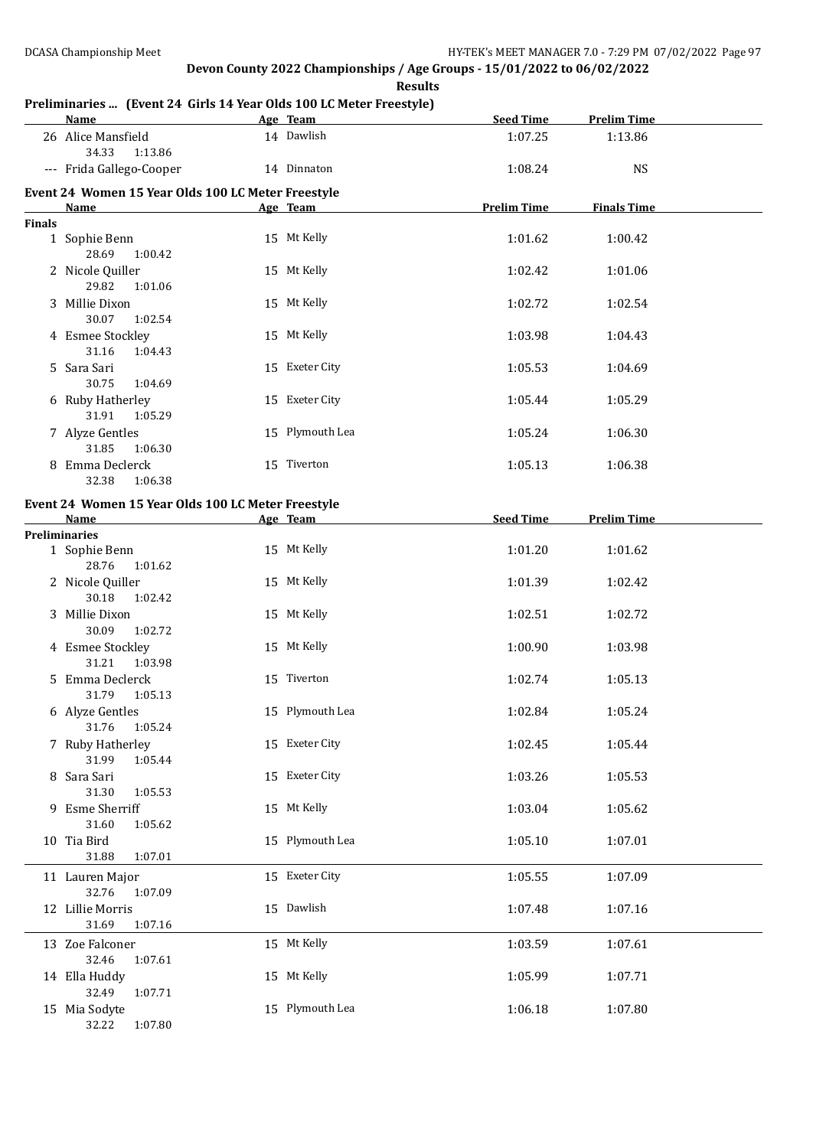**Results**

### **Preliminaries ... (Event 24 Girls 14 Year Olds 100 LC Meter Freestyle)**

|               | <b>Name</b>                                        | Age Team        | <b>Seed Time</b>   | <b>Prelim Time</b> |  |
|---------------|----------------------------------------------------|-----------------|--------------------|--------------------|--|
|               | 26 Alice Mansfield<br>34.33<br>1:13.86             | 14 Dawlish      | 1:07.25            | 1:13.86            |  |
|               | --- Frida Gallego-Cooper                           | 14 Dinnaton     | 1:08.24            | <b>NS</b>          |  |
|               | Event 24 Women 15 Year Olds 100 LC Meter Freestyle |                 |                    |                    |  |
|               | <b>Name</b>                                        | Age Team        | <b>Prelim Time</b> | <b>Finals Time</b> |  |
| <b>Finals</b> |                                                    |                 |                    |                    |  |
|               | 1 Sophie Benn<br>28.69<br>1:00.42                  | 15 Mt Kelly     | 1:01.62            | 1:00.42            |  |
|               | 2 Nicole Quiller<br>29.82<br>1:01.06               | 15 Mt Kelly     | 1:02.42            | 1:01.06            |  |
|               | 3 Millie Dixon<br>30.07<br>1:02.54                 | 15 Mt Kelly     | 1:02.72            | 1:02.54            |  |
|               | 4 Esmee Stockley<br>31.16<br>1:04.43               | 15 Mt Kelly     | 1:03.98            | 1:04.43            |  |
|               | 5 Sara Sari<br>30.75<br>1:04.69                    | 15 Exeter City  | 1:05.53            | 1:04.69            |  |
|               | 6 Ruby Hatherley<br>31.91<br>1:05.29               | 15 Exeter City  | 1:05.44            | 1:05.29            |  |
|               | 7 Alyze Gentles<br>31.85<br>1:06.30                | 15 Plymouth Lea | 1:05.24            | 1:06.30            |  |
|               | 8 Emma Declerck<br>32.38<br>1:06.38                | 15 Tiverton     | 1:05.13            | 1:06.38            |  |
|               | Event 24 Women 15 Year Olds 100 LC Meter Freestyle |                 |                    |                    |  |
|               | Name                                               | Age Team        | <b>Seed Time</b>   | <b>Prelim Time</b> |  |
|               | <b>Preliminaries</b>                               |                 |                    |                    |  |
|               | 1 Sophie Benn<br>28.76<br>1:01.62                  | 15 Mt Kelly     | 1:01.20            | 1:01.62            |  |
|               | 2 Nicole Quiller<br>30.18<br>1:02.42               | 15 Mt Kelly     | 1:01.39            | 1:02.42            |  |
|               | 3 Millie Dixon<br>30.09<br>1:02.72                 | 15 Mt Kelly     | 1:02.51            | 1:02.72            |  |
|               | 4 Esmee Stockley<br>31.21<br>1:03.98               | 15 Mt Kelly     | 1:00.90            | 1:03.98            |  |
|               | 5 Emma Declerck<br>31.79<br>1:05.13                | 15 Tiverton     | 1:02.74            | 1:05.13            |  |
|               | 6 Alyze Gentles<br>31.76 1:05.24                   | 15 Plymouth Lea | 1:02.84            | 1:05.24            |  |
|               | 7 Ruby Hatherley<br>31.99<br>1:05.44               | 15 Exeter City  | 1:02.45            | 1:05.44            |  |
|               | 8 Sara Sari<br>31.30<br>1:05.53                    | 15 Exeter City  | 1:03.26            | 1:05.53            |  |
|               | 9 Esme Sherriff<br>31.60<br>1:05.62                | 15 Mt Kelly     | 1:03.04            | 1:05.62            |  |
|               | 10 Tia Bird<br>31.88<br>1:07.01                    | 15 Plymouth Lea | 1:05.10            | 1:07.01            |  |
|               | 11 Lauren Major<br>32.76<br>1:07.09                | 15 Exeter City  | 1:05.55            | 1:07.09            |  |
|               | 12 Lillie Morris<br>1:07.16<br>31.69               | 15 Dawlish      | 1:07.48            | 1:07.16            |  |
|               | 13 Zoe Falconer<br>1:07.61<br>32.46                | 15 Mt Kelly     | 1:03.59            | 1:07.61            |  |
|               | 14 Ella Huddy<br>32.49<br>1:07.71                  | 15 Mt Kelly     | 1:05.99            | 1:07.71            |  |
|               | 15 Mia Sodyte<br>32.22<br>1:07.80                  | 15 Plymouth Lea | 1:06.18            | 1:07.80            |  |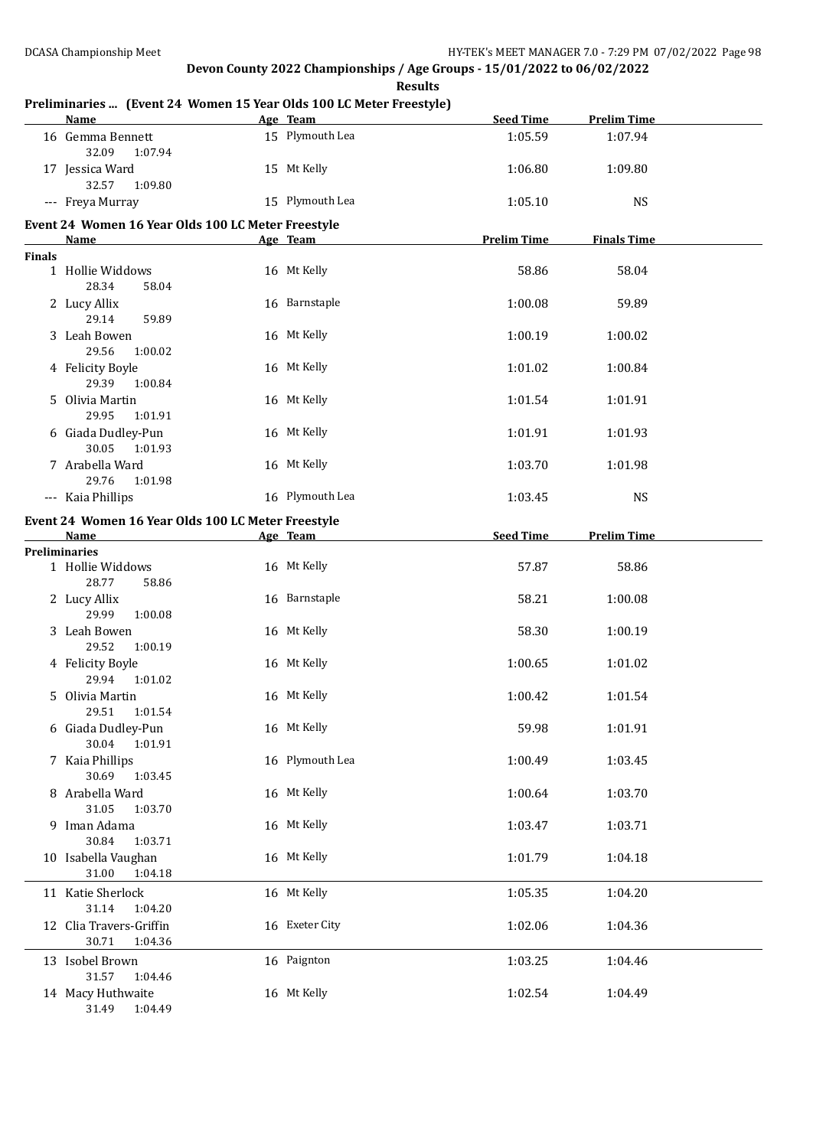**Preliminaries ... (Event 24 Women 15 Year Olds 100 LC Meter Freestyle) Name Age Team Seed Time Prelim Time** 16 Gemma Bennett 15 Plymouth Lea 1:05.59 1:07.94 32.09 1:07.94 17 Jessica Ward 15 Mt Kelly 1:06.80 1:09.80 32.57 1:09.80 --- Freya Murray 15 Plymouth Lea 1:05.10 NS **Event 24 Women 16 Year Olds 100 LC Meter Freestyle Name Age Team Prelim Time Finals Time Finals** 1 Hollie Widdows 16 Mt Kelly 19 and 58.86 58.04 28.34 58.04 2 Lucy Allix 16 Barnstaple 1:00.08 59.89 29.14 59.89 3 Leah Bowen 16 Mt Kelly 1:00.19 1:00.02 29.56 1:00.02 4 Felicity Boyle 16 Mt Kelly 1:01.02 1:00.84 29.39 1:00.84 5 Olivia Martin 16 Mt Kelly 1:01.54 1:01.91 29.95 1:01.91 6 Giada Dudley-Pun 16 Mt Kelly 1:01.91 1:01.93 30.05 1:01.93 7 Arabella Ward 16 Mt Kelly 1:03.70 1:01.98 29.76 1:01.98 -- Kaia Phillips 16 Plymouth Lea 1:03.45 NS **Event 24 Women 16 Year Olds 100 LC Meter Freestyle Name Age Team Seed Time Prelim Time Preliminaries** 1 Hollie Widdows **16 Mt Kelly 16 Mt Kelly** 57.87 58.86 28.77 58.86 2 Lucy Allix 16 Barnstaple 58.21 1:00.08 29.99 1:00.08 3 Leah Bowen 16 Mt Kelly 16 Mt Kelly 58.30 1:00.19 29.52 1:00.19 4 Felicity Boyle 1:01.02 16 Mt Kelly 1:00.65 1:01.02 29.94 1:01.02 5 Olivia Martin 16 Mt Kelly 1:00.42 1:01.54 29.51 1:01.54 6 Giada Dudley-Pun 16 Mt Kelly 59.98 1:01.91 30.04 1:01.91 7 Kaia Phillips 1:00.49 16 Plymouth Lea 1:00.49 1:03.45 30.69 1:03.45 8 Arabella Ward 16 Mt Kelly 1:00.64 1:03.70 31.05 1:03.70 9 Iman Adama 16 Mt Kelly 1:03.47 1:03.71 30.84 1:03.71 10 Isabella Vaughan 16 Mt Kelly 1:01.79 1:04.18 31.00 1:04.18 11 Katie Sherlock 16 Mt Kelly 1:05.35 1:04.20 31.14 1:04.20 12 Clia Travers-Griffin 16 Exeter City 1:02.06 1:04.36 30.71 1:04.36 13 Isobel Brown 16 Paignton 1:03.25 1:04.46 31.57 1:04.46 14 Macy Huthwaite 16 Mt Kelly 1:02.54 1:04.49 31.49 1:04.49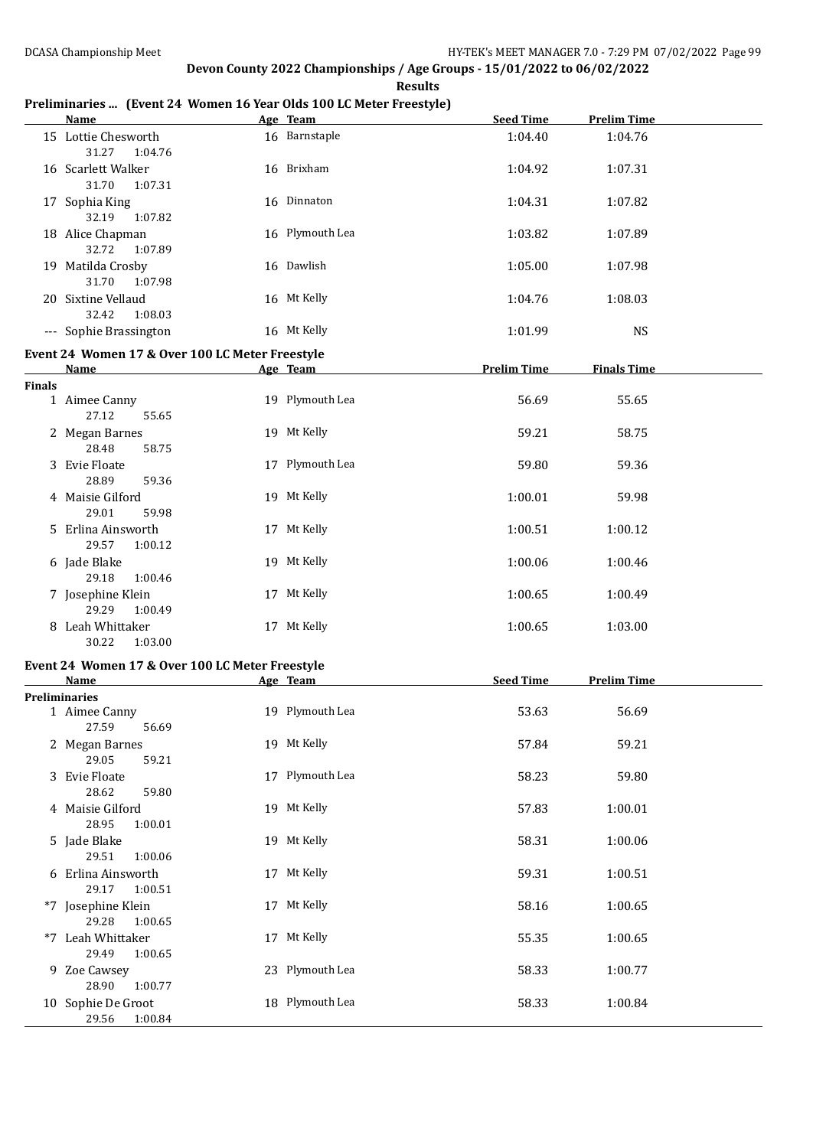**Results**

### **Preliminaries ... (Event 24 Women 16 Year Olds 100 LC Meter Freestyle)**

|               | <b>Name</b>                                     | Age Team        | <b>Seed Time</b>   | <b>Prelim Time</b> |  |
|---------------|-------------------------------------------------|-----------------|--------------------|--------------------|--|
|               | 15 Lottie Chesworth<br>31.27<br>1:04.76         | 16 Barnstaple   | 1:04.40            | 1:04.76            |  |
|               | 16 Scarlett Walker<br>31.70<br>1:07.31          | 16 Brixham      | 1:04.92            | 1:07.31            |  |
|               | 17 Sophia King<br>32.19<br>1:07.82              | 16 Dinnaton     | 1:04.31            | 1:07.82            |  |
|               | 18 Alice Chapman<br>32.72<br>1:07.89            | 16 Plymouth Lea | 1:03.82            | 1:07.89            |  |
|               | 19 Matilda Crosby<br>31.70<br>1:07.98           | 16 Dawlish      | 1:05.00            | 1:07.98            |  |
|               | 20 Sixtine Vellaud<br>32.42<br>1:08.03          | 16 Mt Kelly     | 1:04.76            | 1:08.03            |  |
|               | --- Sophie Brassington                          | 16 Mt Kelly     | 1:01.99            | <b>NS</b>          |  |
|               | Event 24 Women 17 & Over 100 LC Meter Freestyle |                 |                    |                    |  |
|               | Name                                            | Age Team        | <b>Prelim Time</b> | <b>Finals Time</b> |  |
| <b>Finals</b> |                                                 |                 |                    |                    |  |
|               | 1 Aimee Canny<br>27.12<br>55.65                 | 19 Plymouth Lea | 56.69              | 55.65              |  |
|               | 2 Megan Barnes<br>28.48<br>58.75                | 19 Mt Kelly     | 59.21              | 58.75              |  |
|               | 3 Evie Floate<br>28.89<br>59.36                 | 17 Plymouth Lea | 59.80              | 59.36              |  |
|               | 4 Maisie Gilford<br>29.01<br>59.98              | 19 Mt Kelly     | 1:00.01            | 59.98              |  |
|               | 5 Erlina Ainsworth<br>29.57<br>1:00.12          | 17 Mt Kelly     | 1:00.51            | 1:00.12            |  |
|               | 6 Jade Blake<br>29.18<br>1:00.46                | 19 Mt Kelly     | 1:00.06            | 1:00.46            |  |
|               | 7 Josephine Klein<br>29.29<br>1:00.49           | 17 Mt Kelly     | 1:00.65            | 1:00.49            |  |
|               | 8 Leah Whittaker<br>30.22<br>1:03.00            | 17 Mt Kelly     | 1:00.65            | 1:03.00            |  |
|               | Event 24 Women 17 & Over 100 LC Meter Freestyle |                 |                    |                    |  |
|               | Name                                            | Age Team        | <b>Seed Time</b>   | <b>Prelim Time</b> |  |
|               | <b>Preliminaries</b>                            |                 |                    |                    |  |
|               | 1 Aimee Canny<br>27.59 56.69                    | 19 Plymouth Lea | 53.63              | 56.69              |  |
|               | 2 Megan Barnes<br>29.05<br>59.21                | 19 Mt Kelly     | 57.84              | 59.21              |  |
|               | 3 Evie Floate<br>28.62<br>59.80                 | 17 Plymouth Lea | 58.23              | 59.80              |  |
|               | 4 Maisie Gilford<br>28.95<br>1:00.01            | 19 Mt Kelly     | 57.83              | 1:00.01            |  |
|               | 5 Jade Blake<br>29.51<br>1:00.06                | 19 Mt Kelly     | 58.31              | 1:00.06            |  |
|               | 6 Erlina Ainsworth<br>29.17<br>1:00.51          | 17 Mt Kelly     | 59.31              | 1:00.51            |  |
|               | *7 Josephine Klein<br>29.28<br>1:00.65          | 17 Mt Kelly     | 58.16              | 1:00.65            |  |
|               | *7 Leah Whittaker<br>29.49<br>1:00.65           | 17 Mt Kelly     | 55.35              | 1:00.65            |  |
|               | 9 Zoe Cawsey<br>28.90<br>1:00.77                | 23 Plymouth Lea | 58.33              | 1:00.77            |  |
|               | 10 Sophie De Groot<br>29.56<br>1:00.84          | 18 Plymouth Lea | 58.33              | 1:00.84            |  |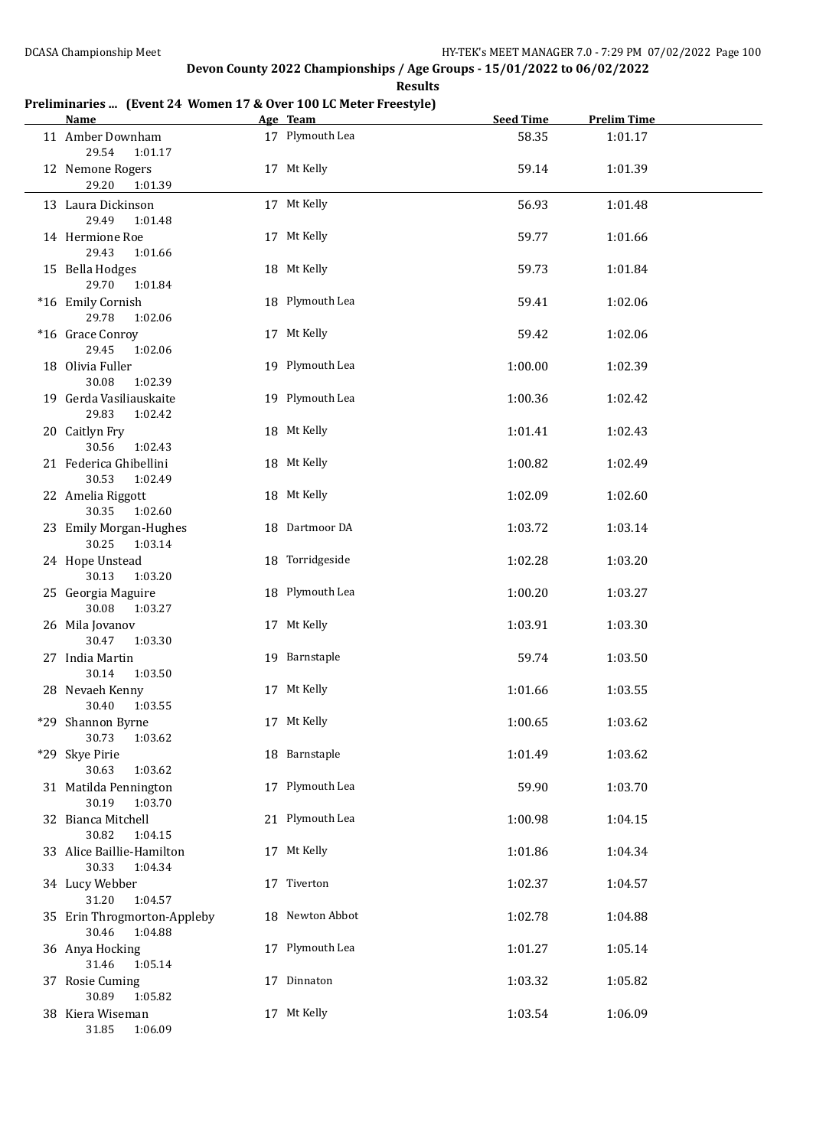#### **Results**

# **Preliminaries ... (Event 24 Women 17 & Over 100 LC Meter Freestyle)**

| <b>Name</b>                                     | Age Team        | <b>Seed Time</b> | <b>Prelim Time</b> |  |
|-------------------------------------------------|-----------------|------------------|--------------------|--|
| 11 Amber Downham<br>29.54<br>1:01.17            | 17 Plymouth Lea | 58.35            | 1:01.17            |  |
| 12 Nemone Rogers<br>29.20<br>1:01.39            | 17 Mt Kelly     | 59.14            | 1:01.39            |  |
| 13 Laura Dickinson<br>29.49<br>1:01.48          | 17 Mt Kelly     | 56.93            | 1:01.48            |  |
| 14 Hermione Roe<br>29.43<br>1:01.66             | 17 Mt Kelly     | 59.77            | 1:01.66            |  |
| 15 Bella Hodges<br>29.70<br>1:01.84             | 18 Mt Kelly     | 59.73            | 1:01.84            |  |
| *16 Emily Cornish<br>29.78<br>1:02.06           | 18 Plymouth Lea | 59.41            | 1:02.06            |  |
| *16 Grace Conroy<br>29.45<br>1:02.06            | 17 Mt Kelly     | 59.42            | 1:02.06            |  |
| 18 Olivia Fuller<br>30.08<br>1:02.39            | 19 Plymouth Lea | 1:00.00          | 1:02.39            |  |
| 19 Gerda Vasiliauskaite<br>29.83<br>1:02.42     | 19 Plymouth Lea | 1:00.36          | 1:02.42            |  |
| 20 Caitlyn Fry<br>30.56<br>1:02.43              | 18 Mt Kelly     | 1:01.41          | 1:02.43            |  |
| 21 Federica Ghibellini<br>30.53<br>1:02.49      | 18 Mt Kelly     | 1:00.82          | 1:02.49            |  |
| 22 Amelia Riggott<br>30.35<br>1:02.60           | 18 Mt Kelly     | 1:02.09          | 1:02.60            |  |
| 23 Emily Morgan-Hughes<br>30.25 1:03.14         | 18 Dartmoor DA  | 1:03.72          | 1:03.14            |  |
| 24 Hope Unstead<br>30.13<br>1:03.20             | 18 Torridgeside | 1:02.28          | 1:03.20            |  |
| 25 Georgia Maguire<br>30.08<br>1:03.27          | 18 Plymouth Lea | 1:00.20          | 1:03.27            |  |
| 26 Mila Jovanov<br>30.47<br>1:03.30             | 17 Mt Kelly     | 1:03.91          | 1:03.30            |  |
| 27 India Martin<br>1:03.50<br>30.14             | 19 Barnstaple   | 59.74            | 1:03.50            |  |
| 28 Nevaeh Kenny<br>30.40<br>1:03.55             | 17 Mt Kelly     | 1:01.66          | 1:03.55            |  |
| *29 Shannon Byrne<br>30.73<br>1:03.62           | 17 Mt Kelly     | 1:00.65          | 1:03.62            |  |
| *29 Skye Pirie<br>30.63<br>1:03.62              | 18 Barnstaple   | 1:01.49          | 1:03.62            |  |
| 31 Matilda Pennington<br>30.19<br>1:03.70       | 17 Plymouth Lea | 59.90            | 1:03.70            |  |
| 32 Bianca Mitchell<br>30.82<br>1:04.15          | 21 Plymouth Lea | 1:00.98          | 1:04.15            |  |
| 33 Alice Baillie-Hamilton<br>30.33<br>1:04.34   | 17 Mt Kelly     | 1:01.86          | 1:04.34            |  |
| 34 Lucy Webber<br>31.20<br>1:04.57              | 17 Tiverton     | 1:02.37          | 1:04.57            |  |
| 35 Erin Throgmorton-Appleby<br>30.46<br>1:04.88 | 18 Newton Abbot | 1:02.78          | 1:04.88            |  |
| 36 Anya Hocking<br>31.46<br>1:05.14             | 17 Plymouth Lea | 1:01.27          | 1:05.14            |  |
| 37 Rosie Cuming<br>30.89<br>1:05.82             | 17 Dinnaton     | 1:03.32          | 1:05.82            |  |
| 38 Kiera Wiseman<br>31.85<br>1:06.09            | 17 Mt Kelly     | 1:03.54          | 1:06.09            |  |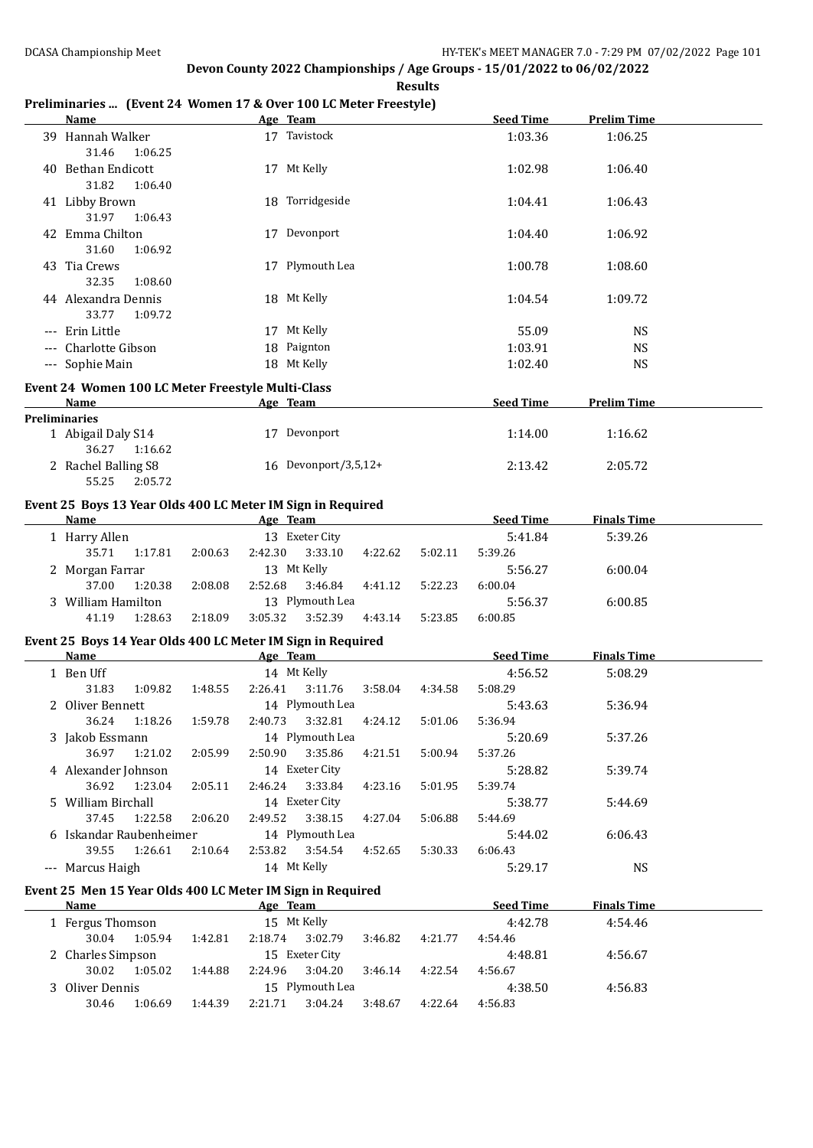### **Preliminaries ... (Event 24 Women 17 & Over 100 LC Meter Freestyle)**

| <b>Name</b>                                                         |                    | Age Team                             |         | <b>Seed Time</b>   | <b>Prelim Time</b> |  |
|---------------------------------------------------------------------|--------------------|--------------------------------------|---------|--------------------|--------------------|--|
| 39 Hannah Walker<br>31.46<br>1:06.25                                |                    | 17 Tavistock                         |         | 1:03.36            | 1:06.25            |  |
| 40 Bethan Endicott<br>31.82<br>1:06.40                              |                    | 17 Mt Kelly                          |         | 1:02.98            | 1:06.40            |  |
| 41 Libby Brown<br>31.97<br>1:06.43                                  |                    | 18 Torridgeside                      |         | 1:04.41            | 1:06.43            |  |
| 42 Emma Chilton<br>31.60<br>1:06.92                                 |                    | 17 Devonport                         |         | 1:04.40            | 1:06.92            |  |
| 43 Tia Crews<br>32.35<br>1:08.60                                    |                    | 17 Plymouth Lea                      |         | 1:00.78            | 1:08.60            |  |
| 44 Alexandra Dennis<br>33.77<br>1:09.72                             |                    | 18 Mt Kelly                          |         | 1:04.54            | 1:09.72            |  |
| --- Erin Little                                                     |                    | 17 Mt Kelly                          |         | 55.09              | <b>NS</b>          |  |
| --- Charlotte Gibson                                                |                    | 18 Paignton                          |         | 1:03.91            | <b>NS</b>          |  |
| --- Sophie Main                                                     |                    | 18 Mt Kelly                          |         | 1:02.40            | <b>NS</b>          |  |
|                                                                     |                    |                                      |         |                    |                    |  |
| Event 24 Women 100 LC Meter Freestyle Multi-Class                   |                    |                                      |         |                    |                    |  |
| Name<br><b>Preliminaries</b>                                        |                    | Age Team                             |         | <b>Seed Time</b>   | <b>Prelim Time</b> |  |
| 1 Abigail Daly S14                                                  |                    | 17 Devonport                         |         | 1:14.00            | 1:16.62            |  |
| 36.27<br>1:16.62                                                    |                    |                                      |         |                    |                    |  |
| 2 Rachel Balling S8<br>55.25<br>2:05.72                             |                    | 16 Devonport/3,5,12+                 |         | 2:13.42            | 2:05.72            |  |
|                                                                     |                    |                                      |         |                    |                    |  |
| Event 25 Boys 13 Year Olds 400 LC Meter IM Sign in Required<br>Name |                    | Age Team                             |         | <b>Seed Time</b>   | <b>Finals Time</b> |  |
|                                                                     |                    |                                      |         |                    |                    |  |
| 1 Harry Allen<br>35.71<br>1:17.81                                   | 2:42.30<br>2:00.63 | 13 Exeter City<br>3:33.10<br>4:22.62 | 5:02.11 | 5:41.84<br>5:39.26 | 5:39.26            |  |
|                                                                     |                    | 13 Mt Kelly                          |         | 5:56.27            | 6:00.04            |  |
| 2 Morgan Farrar<br>37.00<br>1:20.38                                 | 2:52.68            | 3:46.84                              |         |                    |                    |  |
|                                                                     | 2:08.08            | 4:41.12<br>13 Plymouth Lea           | 5:22.23 | 6:00.04            |                    |  |
| 3 William Hamilton                                                  |                    |                                      |         | 5:56.37            | 6:00.85            |  |
| 41.19<br>1:28.63                                                    | 2:18.09<br>3:05.32 | 3:52.39<br>4:43.14                   | 5:23.85 | 6:00.85            |                    |  |
| Event 25 Boys 14 Year Olds 400 LC Meter IM Sign in Required         |                    |                                      |         |                    |                    |  |
| Name                                                                |                    | Age Team                             |         | <b>Seed Time</b>   | <b>Finals Time</b> |  |
| 1 Ben Uff                                                           |                    | 14 Mt Kelly                          |         | 4:56.52            | 5:08.29            |  |
| 31.83<br>1:09.82                                                    | 2:26.41<br>1:48.55 | 3:11.76<br>3:58.04                   | 4:34.58 | 5:08.29            |                    |  |
| 2 Oliver Bennett                                                    |                    | 14 Plymouth Lea                      |         | 5:43.63            | 5:36.94            |  |
| 36.24<br>1:18.26                                                    | 1:59.78<br>2:40.73 | 3:32.81<br>4:24.12                   | 5:01.06 | 5:36.94            |                    |  |
| 3 Jakob Essmann                                                     |                    | 14 Plymouth Lea                      |         | 5:20.69            | 5:37.26            |  |
| 36.97<br>1:21.02                                                    | 2:05.99<br>2:50.90 | 3:35.86<br>4:21.51                   | 5:00.94 | 5:37.26            |                    |  |
| 4 Alexander Johnson                                                 |                    | 14 Exeter City                       |         | 5:28.82            | 5:39.74            |  |
| 36.92<br>1:23.04                                                    | 2:05.11<br>2:46.24 | 3:33.84<br>4:23.16                   | 5:01.95 | 5:39.74            |                    |  |
| 5 William Birchall                                                  |                    | 14 Exeter City                       |         | 5:38.77            | 5:44.69            |  |
| 37.45<br>1:22.58                                                    | 2:06.20<br>2:49.52 | 3:38.15<br>4:27.04                   | 5:06.88 | 5:44.69            |                    |  |
| 6 Iskandar Raubenheimer                                             |                    | 14 Plymouth Lea                      |         | 5:44.02            | 6:06.43            |  |
| 39.55<br>1:26.61                                                    | 2:10.64<br>2:53.82 | 3:54.54<br>4:52.65                   | 5:30.33 | 6:06.43            |                    |  |
| --- Marcus Haigh                                                    |                    | 14 Mt Kelly                          |         | 5:29.17            | <b>NS</b>          |  |
| Event 25 Men 15 Year Olds 400 LC Meter IM Sign in Required          |                    |                                      |         |                    |                    |  |
| <b>Name</b>                                                         |                    | Age Team                             |         | <b>Seed Time</b>   | <b>Finals Time</b> |  |
| 1 Fergus Thomson                                                    |                    | 15 Mt Kelly                          |         | 4:42.78            | 4:54.46            |  |
| 30.04<br>1:05.94                                                    | 1:42.81<br>2:18.74 | 3:02.79<br>3:46.82                   | 4:21.77 | 4:54.46            |                    |  |
| 2 Charles Simpson                                                   |                    | 15 Exeter City                       |         | 4:48.81            | 4:56.67            |  |
| 30.02<br>1:05.02                                                    | 2:24.96<br>1:44.88 | 3:04.20<br>3:46.14                   | 4:22.54 | 4:56.67            |                    |  |
| 3 Oliver Dennis                                                     |                    | 15 Plymouth Lea                      |         | 4:38.50            | 4:56.83            |  |
| 30.46<br>1:06.69                                                    | 1:44.39<br>2:21.71 | 3:04.24<br>3:48.67                   | 4:22.64 | 4:56.83            |                    |  |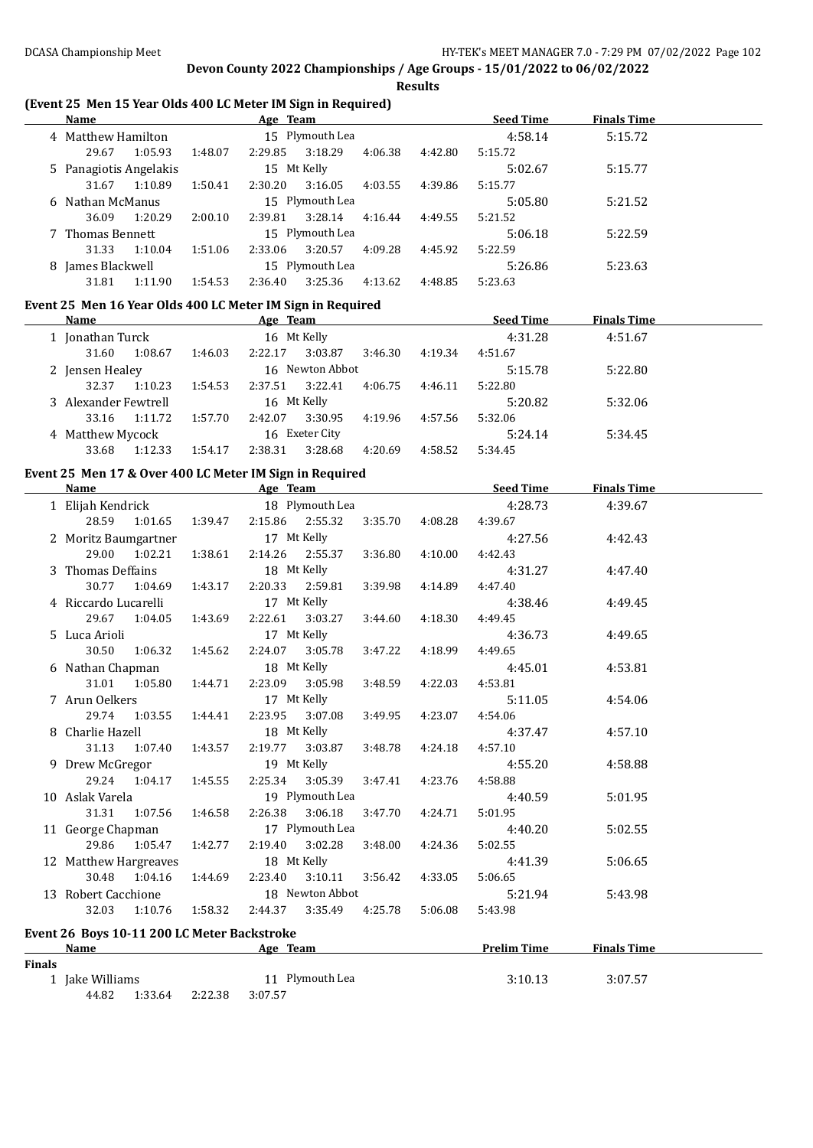#### **Results**

### **(Event 25 Men 15 Year Olds 400 LC Meter IM Sign in Required)**

| <b>Name</b>            |         |         | Age Team |                 |         |         | <b>Seed Time</b> | <b>Finals Time</b> |  |
|------------------------|---------|---------|----------|-----------------|---------|---------|------------------|--------------------|--|
| 4 Matthew Hamilton     |         |         |          | 15 Plymouth Lea |         |         | 4:58.14          | 5:15.72            |  |
| 29.67                  | 1:05.93 | 1:48.07 | 2:29.85  | 3:18.29         | 4:06.38 | 4:42.80 | 5:15.72          |                    |  |
| 5 Panagiotis Angelakis |         |         |          | 15 Mt Kelly     |         |         | 5:02.67          | 5:15.77            |  |
| 31.67                  | 1:10.89 | 1:50.41 | 2:30.20  | 3:16.05         | 4:03.55 | 4:39.86 | 5:15.77          |                    |  |
| 6 Nathan McManus       |         |         |          | 15 Plymouth Lea |         |         | 5:05.80          | 5:21.52            |  |
| 36.09                  | 1:20.29 | 2:00.10 | 2:39.81  | 3:28.14         | 4:16.44 | 4:49.55 | 5:21.52          |                    |  |
| 7 Thomas Bennett       |         |         |          | 15 Plymouth Lea |         |         | 5:06.18          | 5:22.59            |  |
| 31.33                  | 1:10.04 | 1:51.06 | 2:33.06  | 3:20.57         | 4:09.28 | 4:45.92 | 5:22.59          |                    |  |
| 8 James Blackwell      |         |         |          | 15 Plymouth Lea |         |         | 5:26.86          | 5:23.63            |  |
| 31.81                  | 1:11.90 | 1:54.53 | 2:36.40  | 3:25.36         | 4:13.62 | 4:48.85 | 5:23.63          |                    |  |

#### **Event 25 Men 16 Year Olds 400 LC Meter IM Sign in Required**

| Name                 |         |         | Age Team |                 |         |         | <b>Seed Time</b> | <b>Finals Time</b> |  |
|----------------------|---------|---------|----------|-----------------|---------|---------|------------------|--------------------|--|
| 1 Jonathan Turck     |         |         |          | 16 Mt Kelly     |         |         | 4:31.28          | 4:51.67            |  |
| 31.60                | 1:08.67 | 1:46.03 | 2:22.17  | 3:03.87         | 3:46.30 | 4:19.34 | 4:51.67          |                    |  |
| 2 Jensen Healey      |         |         |          | 16 Newton Abbot |         |         | 5:15.78          | 5:22.80            |  |
| 32.37                | 1:10.23 | 1:54.53 | 2:37.51  | 3:22.41         | 4:06.75 | 4:46.11 | 5:22.80          |                    |  |
| 3 Alexander Fewtrell |         |         |          | 16 Mt Kelly     |         |         | 5:20.82          | 5:32.06            |  |
| 33.16                | 1:11.72 | 1:57.70 | 2:42.07  | 3:30.95         | 4:19.96 | 4:57.56 | 5:32.06          |                    |  |
| 4 Matthew Mycock     |         |         |          | 16 Exeter City  |         |         | 5:24.14          | 5:34.45            |  |
| 33.68                | 1:12.33 | 1:54.17 | 2:38.31  | 3:28.68         | 4:20.69 | 4:58.52 | 5:34.45          |                    |  |

#### **Event 25 Men 17 & Over 400 LC Meter IM Sign in Required**

|               | Name and the state of the state of the state of the state of the state of the state of the state of the state of the state of the state of the state of the state of the state of the state of the state of the state of the s |             |         |                                         |         | Age Team and the state of the state of the state of the state of the state of the state of the state of the state of the state of the state of the state of the state of the state of the state of the state of the state of t | Seed Time          | <b>Finals Time</b> |  |
|---------------|--------------------------------------------------------------------------------------------------------------------------------------------------------------------------------------------------------------------------------|-------------|---------|-----------------------------------------|---------|--------------------------------------------------------------------------------------------------------------------------------------------------------------------------------------------------------------------------------|--------------------|--------------------|--|
|               | 1 Elijah Kendrick 18 Plymouth Lea                                                                                                                                                                                              |             |         |                                         |         |                                                                                                                                                                                                                                | 4:28.73            | 4:39.67            |  |
|               | 28.59                                                                                                                                                                                                                          |             |         | 1:01.65 1:39.47 2:15.86 2:55.32 3:35.70 |         | 4:08.28                                                                                                                                                                                                                        | 4:39.67            |                    |  |
|               | 2 Moritz Baumgartner                                                                                                                                                                                                           | 17 Mt Kelly |         |                                         |         |                                                                                                                                                                                                                                | 4:27.56            | 4:42.43            |  |
|               | 29.00<br>1:02.21                                                                                                                                                                                                               | 1:38.61     |         | 2:14.26 2:55.37                         | 3:36.80 | 4:10.00                                                                                                                                                                                                                        | 4:42.43            |                    |  |
|               | 3 Thomas Deffains                                                                                                                                                                                                              |             |         | 18 Mt Kelly                             |         |                                                                                                                                                                                                                                | 4:31.27            | 4:47.40            |  |
|               | 30.77<br>1:04.69                                                                                                                                                                                                               | 1:43.17     |         | 2:20.33 2:59.81                         | 3:39.98 | 4:14.89                                                                                                                                                                                                                        | 4:47.40            |                    |  |
|               | 4 Riccardo Lucarelli                                                                                                                                                                                                           |             |         | 17 Mt Kelly                             |         |                                                                                                                                                                                                                                | 4:38.46            | 4:49.45            |  |
|               | 29.67<br>1:04.05                                                                                                                                                                                                               | 1:43.69     |         | 2:22.61 3:03.27                         | 3:44.60 | 4:18.30                                                                                                                                                                                                                        | 4:49.45            |                    |  |
|               | 5 Luca Arioli                                                                                                                                                                                                                  |             |         | 17 Mt Kelly                             |         |                                                                                                                                                                                                                                | 4:36.73            | 4:49.65            |  |
|               | 30.50<br>1:06.32                                                                                                                                                                                                               | 1:45.62     |         | 2:24.07 3:05.78                         | 3:47.22 | 4:18.99                                                                                                                                                                                                                        | 4:49.65            |                    |  |
|               | 6 Nathan Chapman                                                                                                                                                                                                               |             |         | 18 Mt Kelly                             |         |                                                                                                                                                                                                                                | 4:45.01            | 4:53.81            |  |
|               | 31.01  1:05.80  1:44.71                                                                                                                                                                                                        |             | 2:23.09 | 3:05.98                                 | 3:48.59 | 4:22.03                                                                                                                                                                                                                        | 4:53.81            |                    |  |
|               | 7 Arun Oelkers                                                                                                                                                                                                                 | 17 Mt Kelly |         |                                         |         |                                                                                                                                                                                                                                | 5:11.05            | 4:54.06            |  |
|               | 29.74 1:03.55                                                                                                                                                                                                                  | 1:44.41     |         | 2:23.95 3:07.08                         | 3:49.95 | 4:23.07                                                                                                                                                                                                                        | 4:54.06            |                    |  |
|               | 8 Charlie Hazell                                                                                                                                                                                                               |             |         | 18 Mt Kelly                             |         |                                                                                                                                                                                                                                | 4:37.47            | 4:57.10            |  |
|               | 31.13<br>1:07.40                                                                                                                                                                                                               | 1:43.57     | 2:19.77 | 3:03.87                                 | 3:48.78 | 4:24.18                                                                                                                                                                                                                        | 4:57.10            |                    |  |
|               | 9 Drew McGregor                                                                                                                                                                                                                |             |         | 19 Mt Kelly                             |         |                                                                                                                                                                                                                                | 4:55.20            | 4:58.88            |  |
|               | 29.24 1:04.17                                                                                                                                                                                                                  | 1:45.55     | 2:25.34 | 3:05.39                                 | 3:47.41 | 4:23.76                                                                                                                                                                                                                        | 4:58.88            |                    |  |
|               | 10 Aslak Varela                                                                                                                                                                                                                |             |         | 19 Plymouth Lea                         |         |                                                                                                                                                                                                                                | 4:40.59            | 5:01.95            |  |
|               | 31.31 1:07.56 1:46.58                                                                                                                                                                                                          |             | 2:26.38 | 3:06.18                                 | 3:47.70 | 4:24.71                                                                                                                                                                                                                        | 5:01.95            |                    |  |
|               | 11 George Chapman                                                                                                                                                                                                              |             |         | 17 Plymouth Lea                         |         |                                                                                                                                                                                                                                | 4:40.20            | 5:02.55            |  |
|               | 29.86 1:05.47                                                                                                                                                                                                                  | 1:42.77     |         | 2:19.40 3:02.28                         | 3:48.00 | 4:24.36                                                                                                                                                                                                                        | 5:02.55            |                    |  |
|               | 12 Matthew Hargreaves 18 Mt Kelly                                                                                                                                                                                              |             |         |                                         |         |                                                                                                                                                                                                                                | 4:41.39            | 5:06.65            |  |
|               | 30.48<br>1:04.16 1:44.69                                                                                                                                                                                                       |             | 2:23.40 | 3:10.11                                 | 3:56.42 | 4:33.05                                                                                                                                                                                                                        | 5:06.65            |                    |  |
|               | 13 Robert Cacchione                                                                                                                                                                                                            |             |         | 18 Newton Abbot                         |         |                                                                                                                                                                                                                                | 5:21.94            | 5:43.98            |  |
|               | 32.03 1:10.76 1:58.32 2:44.37 3:35.49 4:25.78                                                                                                                                                                                  |             |         |                                         |         | 5:06.08                                                                                                                                                                                                                        | 5:43.98            |                    |  |
|               | Event 26 Boys 10-11 200 LC Meter Backstroke                                                                                                                                                                                    |             |         |                                         |         |                                                                                                                                                                                                                                |                    |                    |  |
|               | <b>Name</b>                                                                                                                                                                                                                    |             |         | Age Team                                |         |                                                                                                                                                                                                                                | <b>Prelim Time</b> | <b>Finals Time</b> |  |
| <b>Finals</b> | 1 Jake Williams                                                                                                                                                                                                                |             |         | 11 Plymouth Lea                         |         |                                                                                                                                                                                                                                | 3:10.13            | 3:07.57            |  |

44.82 1:33.64 2:22.38 3:07.57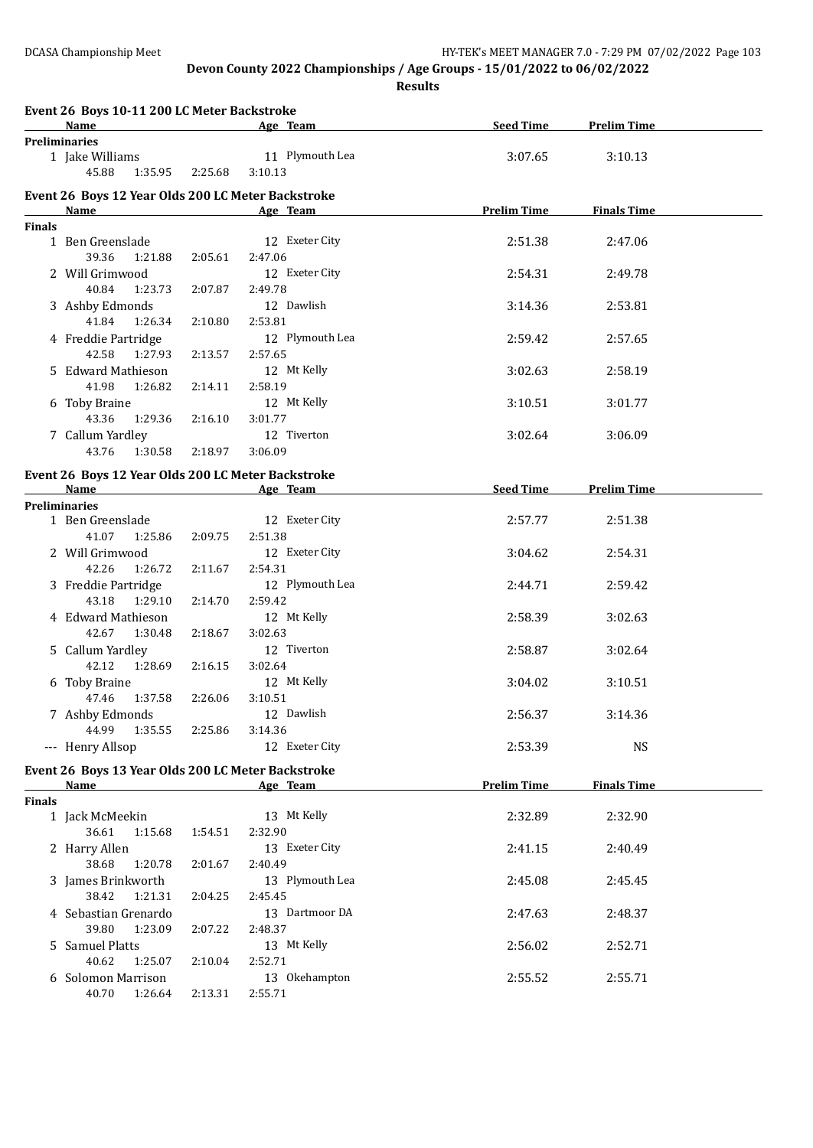**Results**

|               | Event 26 Boys 10-11 200 LC Meter Backstroke        |         |                                    |                    |                    |  |
|---------------|----------------------------------------------------|---------|------------------------------------|--------------------|--------------------|--|
|               | Name                                               |         | and the same state of the Age Team | <b>Seed Time</b>   | <b>Prelim Time</b> |  |
|               | <b>Preliminaries</b><br>1 Jake Williams            |         | 11 Plymouth Lea                    | 3:07.65            | 3:10.13            |  |
|               | 45.88<br>1:35.95                                   | 2:25.68 | 3:10.13                            |                    |                    |  |
|               |                                                    |         |                                    |                    |                    |  |
|               | Event 26 Boys 12 Year Olds 200 LC Meter Backstroke |         |                                    |                    |                    |  |
|               | Name                                               |         | Age Team                           | <b>Prelim Time</b> | <b>Finals Time</b> |  |
| <b>Finals</b> |                                                    |         |                                    |                    |                    |  |
|               | 1 Ben Greenslade                                   |         | 12 Exeter City                     | 2:51.38            | 2:47.06            |  |
|               | 39.36<br>1:21.88                                   | 2:05.61 | 2:47.06                            |                    |                    |  |
|               | 2 Will Grimwood                                    |         | 12 Exeter City                     | 2:54.31            | 2:49.78            |  |
|               | 40.84<br>1:23.73                                   | 2:07.87 | 2:49.78<br>12 Dawlish              |                    |                    |  |
|               | 3 Ashby Edmonds<br>41.84<br>1:26.34                |         | 2:53.81                            | 3:14.36            | 2:53.81            |  |
|               |                                                    | 2:10.80 | 12 Plymouth Lea                    |                    |                    |  |
|               | 4 Freddie Partridge<br>42.58<br>1:27.93            | 2:13.57 | 2:57.65                            | 2:59.42            | 2:57.65            |  |
|               | 5 Edward Mathieson                                 |         | 12 Mt Kelly                        | 3:02.63            | 2:58.19            |  |
|               | 41.98<br>1:26.82                                   | 2:14.11 | 2:58.19                            |                    |                    |  |
|               | 6 Toby Braine                                      |         | 12 Mt Kelly                        | 3:10.51            | 3:01.77            |  |
|               | 43.36<br>1:29.36                                   | 2:16.10 | 3:01.77                            |                    |                    |  |
|               | 7 Callum Yardley                                   |         | 12 Tiverton                        | 3:02.64            | 3:06.09            |  |
|               | 43.76<br>1:30.58                                   | 2:18.97 | 3:06.09                            |                    |                    |  |
|               |                                                    |         |                                    |                    |                    |  |
|               | Event 26 Boys 12 Year Olds 200 LC Meter Backstroke |         |                                    |                    |                    |  |
|               | Name                                               |         | Age Team                           | <b>Seed Time</b>   | <b>Prelim Time</b> |  |
|               | <b>Preliminaries</b><br>1 Ben Greenslade           |         | 12 Exeter City                     | 2:57.77            | 2:51.38            |  |
|               | 41.07<br>1:25.86                                   | 2:09.75 | 2:51.38                            |                    |                    |  |
|               | 2 Will Grimwood                                    |         | 12 Exeter City                     | 3:04.62            | 2:54.31            |  |
|               | 42.26<br>1:26.72                                   | 2:11.67 | 2:54.31                            |                    |                    |  |
|               | 3 Freddie Partridge                                |         | 12 Plymouth Lea                    | 2:44.71            | 2:59.42            |  |
|               | 43.18<br>1:29.10                                   | 2:14.70 | 2:59.42                            |                    |                    |  |
|               | 4 Edward Mathieson                                 |         | 12 Mt Kelly                        | 2:58.39            | 3:02.63            |  |
|               | 42.67<br>1:30.48                                   | 2:18.67 | 3:02.63                            |                    |                    |  |
|               | 5 Callum Yardley                                   |         | 12 Tiverton                        | 2:58.87            | 3:02.64            |  |
|               | 42.12<br>1:28.69                                   | 2:16.15 | 3:02.64                            |                    |                    |  |
|               | 6 Toby Braine                                      |         | 12 Mt Kelly                        | 3:04.02            | 3:10.51            |  |
|               | 47.46 1:37.58                                      | 2:26.06 | 3:10.51                            |                    |                    |  |
|               | 7 Ashby Edmonds                                    |         | 12 Dawlish                         | 2:56.37            | 3:14.36            |  |
|               | 44.99<br>1:35.55                                   | 2:25.86 | 3:14.36                            |                    |                    |  |
|               | --- Henry Allsop                                   |         | 12 Exeter City                     | 2:53.39            | <b>NS</b>          |  |
|               | Event 26 Boys 13 Year Olds 200 LC Meter Backstroke |         |                                    |                    |                    |  |
|               | Name                                               |         | Age Team                           | <b>Prelim Time</b> | <b>Finals Time</b> |  |
| <b>Finals</b> |                                                    |         |                                    |                    |                    |  |
|               | 1 Jack McMeekin                                    |         | 13 Mt Kelly                        | 2:32.89            | 2:32.90            |  |
|               | 36.61<br>1:15.68                                   | 1:54.51 | 2:32.90                            |                    |                    |  |
|               | 2 Harry Allen                                      |         | 13 Exeter City                     | 2:41.15            | 2:40.49            |  |
|               | 38.68<br>1:20.78                                   | 2:01.67 | 2:40.49                            |                    |                    |  |
|               | 3 James Brinkworth                                 |         | 13 Plymouth Lea                    | 2:45.08            | 2:45.45            |  |
|               | 38.42<br>1:21.31                                   | 2:04.25 | 2:45.45                            |                    |                    |  |
|               | 4 Sebastian Grenardo                               |         | 13 Dartmoor DA                     | 2:47.63            | 2:48.37            |  |
|               | 39.80<br>1:23.09                                   | 2:07.22 | 2:48.37                            |                    |                    |  |
|               | 5 Samuel Platts                                    |         | 13 Mt Kelly                        | 2:56.02            | 2:52.71            |  |
|               | 40.62<br>1:25.07                                   | 2:10.04 | 2:52.71                            |                    |                    |  |
|               | 6 Solomon Marrison                                 |         | 13 Okehampton                      | 2:55.52            | 2:55.71            |  |
|               | 40.70<br>1:26.64                                   | 2:13.31 | 2:55.71                            |                    |                    |  |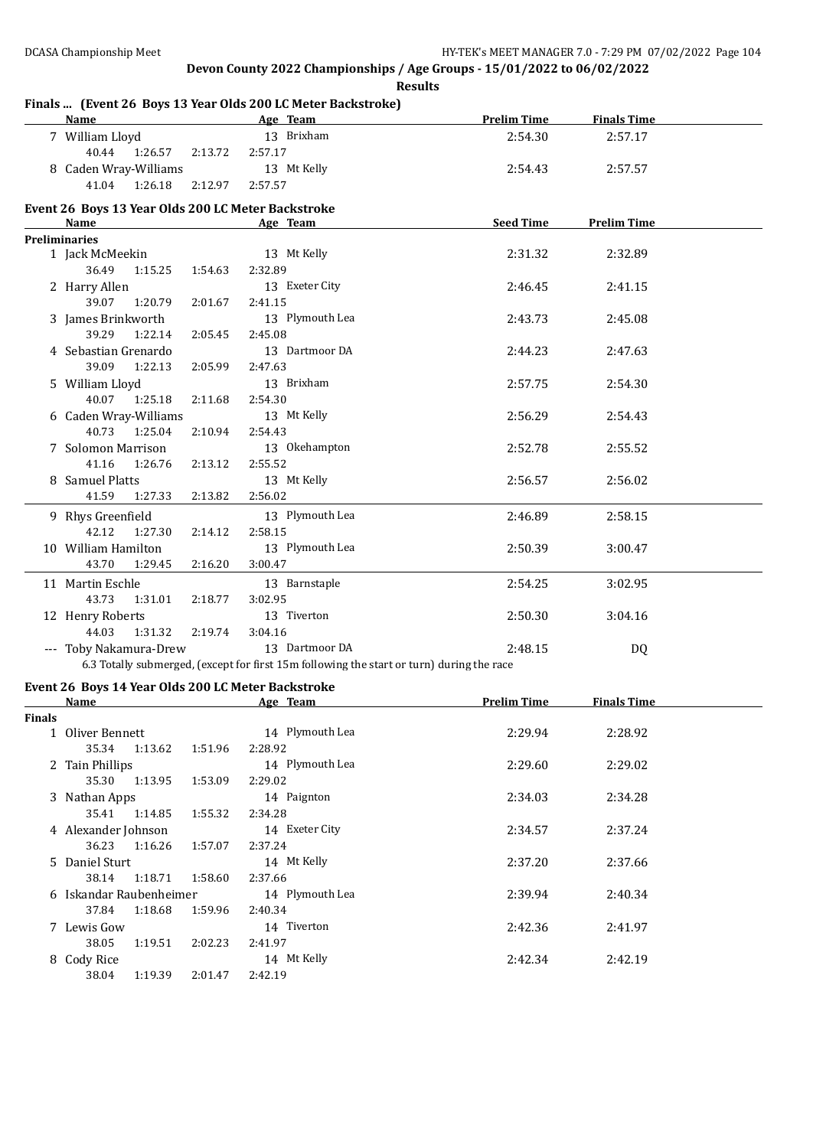### **Finals ... (Event 26 Boys 13 Year Olds 200 LC Meter Backstroke)**

36.23 1:16.26 1:57.07 2:37.24

38.14 1:18.71 1:58.60 2:37.66

37.84 1:18.68 1:59.96 2:40.34

38.05 1:19.51 2:02.23 2:41.97

38.04 1:19.39 2:01.47 2:42.19

|               | Name and the second service of the series of the series of the series of the series of the series of the series of the series of the series of the series of the series of the series of the series of the series of the serie | Age Team                                                                                  | <b>Prelim Time</b> | <b>Finals Time</b> |  |
|---------------|--------------------------------------------------------------------------------------------------------------------------------------------------------------------------------------------------------------------------------|-------------------------------------------------------------------------------------------|--------------------|--------------------|--|
|               | 7 William Lloyd                                                                                                                                                                                                                | 13 Brixham                                                                                | 2:54.30            | 2:57.17            |  |
|               | 40.44<br>1:26.57<br>2:13.72                                                                                                                                                                                                    | 2:57.17                                                                                   |                    |                    |  |
|               | 8 Caden Wray-Williams                                                                                                                                                                                                          | 13 Mt Kelly                                                                               | 2:54.43            | 2:57.57            |  |
|               | 41.04<br>1:26.18<br>2:12.97                                                                                                                                                                                                    | 2:57.57                                                                                   |                    |                    |  |
|               | Event 26 Boys 13 Year Olds 200 LC Meter Backstroke                                                                                                                                                                             |                                                                                           |                    |                    |  |
|               | Name                                                                                                                                                                                                                           | Age Team                                                                                  | Seed Time          | <b>Prelim Time</b> |  |
|               | Preliminaries                                                                                                                                                                                                                  |                                                                                           |                    |                    |  |
|               | 1 Jack McMeekin                                                                                                                                                                                                                | 13 Mt Kelly                                                                               | 2:31.32            | 2:32.89            |  |
|               | 36.49<br>1:15.25<br>1:54.63                                                                                                                                                                                                    | 2:32.89                                                                                   |                    |                    |  |
|               | 2 Harry Allen                                                                                                                                                                                                                  | 13 Exeter City                                                                            | 2:46.45            | 2:41.15            |  |
|               | 39.07<br>1:20.79<br>2:01.67                                                                                                                                                                                                    | 2:41.15                                                                                   |                    |                    |  |
|               | 3 James Brinkworth                                                                                                                                                                                                             | 13 Plymouth Lea                                                                           | 2:43.73            | 2:45.08            |  |
|               | 39.29<br>1:22.14<br>2:05.45                                                                                                                                                                                                    | 2:45.08                                                                                   |                    |                    |  |
|               | 4 Sebastian Grenardo                                                                                                                                                                                                           | 13 Dartmoor DA                                                                            | 2:44.23            | 2:47.63            |  |
|               | 39.09<br>1:22.13<br>2:05.99                                                                                                                                                                                                    | 2:47.63                                                                                   |                    |                    |  |
|               | 5 William Lloyd                                                                                                                                                                                                                | 13 Brixham                                                                                | 2:57.75            | 2:54.30            |  |
|               | 40.07<br>1:25.18<br>2:11.68                                                                                                                                                                                                    | 2:54.30                                                                                   |                    |                    |  |
|               | 6 Caden Wray-Williams                                                                                                                                                                                                          | 13 Mt Kelly                                                                               | 2:56.29            | 2:54.43            |  |
|               | 40.73<br>1:25.04<br>2:10.94                                                                                                                                                                                                    | 2:54.43                                                                                   |                    |                    |  |
|               | 7 Solomon Marrison                                                                                                                                                                                                             | 13 Okehampton                                                                             | 2:52.78            | 2:55.52            |  |
|               | 41.16<br>1:26.76<br>2:13.12                                                                                                                                                                                                    | 2:55.52                                                                                   |                    |                    |  |
|               | 8 Samuel Platts                                                                                                                                                                                                                | 13 Mt Kelly                                                                               | 2:56.57            | 2:56.02            |  |
|               | 41.59<br>1:27.33<br>2:13.82                                                                                                                                                                                                    | 2:56.02                                                                                   |                    |                    |  |
|               | 9 Rhys Greenfield                                                                                                                                                                                                              | 13 Plymouth Lea                                                                           | 2:46.89            | 2:58.15            |  |
|               | 42.12<br>1:27.30<br>2:14.12                                                                                                                                                                                                    | 2:58.15                                                                                   |                    |                    |  |
|               | 10 William Hamilton                                                                                                                                                                                                            | 13 Plymouth Lea                                                                           | 2:50.39            | 3:00.47            |  |
|               | 43.70<br>1:29.45<br>2:16.20                                                                                                                                                                                                    | 3:00.47                                                                                   |                    |                    |  |
|               | 11 Martin Eschle                                                                                                                                                                                                               | 13 Barnstaple                                                                             | 2:54.25            | 3:02.95            |  |
|               | 43.73<br>1:31.01<br>2:18.77                                                                                                                                                                                                    | 3:02.95                                                                                   |                    |                    |  |
|               | 12 Henry Roberts                                                                                                                                                                                                               | 13 Tiverton                                                                               | 2:50.30            | 3:04.16            |  |
|               | 44.03<br>1:31.32<br>2:19.74                                                                                                                                                                                                    | 3:04.16                                                                                   |                    |                    |  |
|               | --- Toby Nakamura-Drew                                                                                                                                                                                                         | 13 Dartmoor DA                                                                            | 2:48.15            | <b>DQ</b>          |  |
|               |                                                                                                                                                                                                                                | 6.3 Totally submerged, (except for first 15m following the start or turn) during the race |                    |                    |  |
|               | Event 26 Boys 14 Year Olds 200 LC Meter Backstroke                                                                                                                                                                             |                                                                                           |                    |                    |  |
|               | Name                                                                                                                                                                                                                           | Age Team                                                                                  | <b>Prelim Time</b> | <b>Finals Time</b> |  |
| <b>Finals</b> |                                                                                                                                                                                                                                |                                                                                           |                    |                    |  |
|               | 1 Oliver Bennett                                                                                                                                                                                                               | 14 Plymouth Lea                                                                           | 2:29.94            | 2:28.92            |  |
|               | 35.34<br>1:13.62<br>1:51.96                                                                                                                                                                                                    | 2:28.92                                                                                   |                    |                    |  |
|               | 2 Tain Phillips                                                                                                                                                                                                                | 14 Plymouth Lea                                                                           | 2:29.60            | 2:29.02            |  |
|               | 35.30 1:13.95<br>1:53.09                                                                                                                                                                                                       | 2:29.02                                                                                   |                    |                    |  |
|               | 3 Nathan Apps                                                                                                                                                                                                                  | 14 Paignton                                                                               | 2:34.03            | 2:34.28            |  |
|               | 35.41<br>1:14.85<br>1:55.32                                                                                                                                                                                                    | 2:34.28                                                                                   |                    |                    |  |
|               | 4 Alexander Johnson                                                                                                                                                                                                            | 14 Exeter City                                                                            | 2:34.57            | 2:37.24            |  |

5 Daniel Sturt 14 Mt Kelly 2:37.20 2:37.66

6 Iskandar Raubenheimer 14 Plymouth Lea 2:39.94 2:40.34

7 Lewis Gow 14 Tiverton 2:42.36 2:41.97

8 Cody Rice 14 Mt Kelly 2:42.34 2:42.19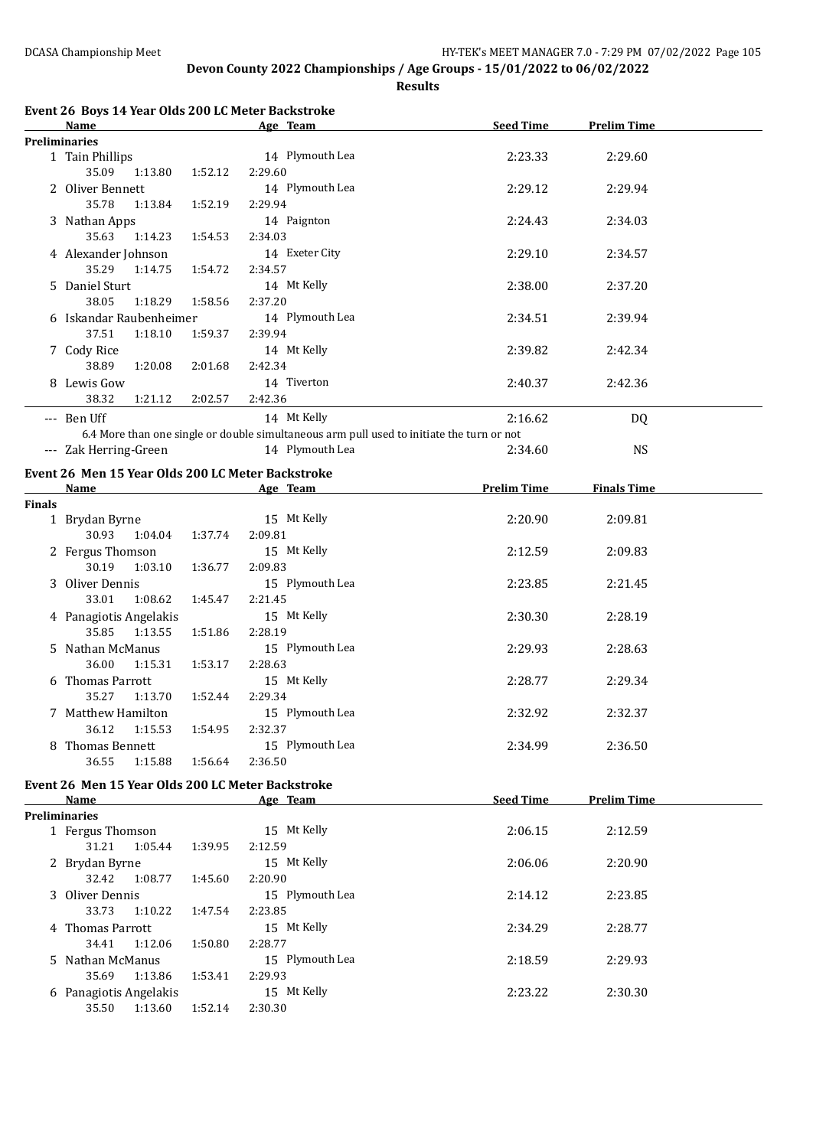**Results**

|               | Event 26 Boys 14 Year Olds 200 LC Meter Backstroke<br>Name |         | Age Team                                                                                  | <b>Seed Time</b>   | <b>Prelim Time</b> |  |
|---------------|------------------------------------------------------------|---------|-------------------------------------------------------------------------------------------|--------------------|--------------------|--|
|               | <b>Preliminaries</b>                                       |         |                                                                                           |                    |                    |  |
|               | 1 Tain Phillips                                            |         | 14 Plymouth Lea                                                                           | 2:23.33            | 2:29.60            |  |
|               | 35.09<br>1:13.80                                           | 1:52.12 | 2:29.60                                                                                   |                    |                    |  |
|               | 2 Oliver Bennett                                           |         | 14 Plymouth Lea                                                                           | 2:29.12            | 2:29.94            |  |
|               | 35.78<br>1:13.84                                           | 1:52.19 | 2:29.94                                                                                   |                    |                    |  |
|               | 3 Nathan Apps                                              |         | 14 Paignton                                                                               | 2:24.43            | 2:34.03            |  |
|               | 35.63<br>1:14.23                                           | 1:54.53 | 2:34.03                                                                                   |                    |                    |  |
|               | 4 Alexander Johnson                                        |         | 14 Exeter City                                                                            | 2:29.10            | 2:34.57            |  |
|               | 35.29<br>1:14.75                                           | 1:54.72 | 2:34.57                                                                                   |                    |                    |  |
|               | 5 Daniel Sturt                                             |         | 14 Mt Kelly                                                                               | 2:38.00            | 2:37.20            |  |
|               | 38.05<br>1:18.29                                           | 1:58.56 | 2:37.20                                                                                   |                    |                    |  |
|               | 6 Iskandar Raubenheimer                                    |         | 14 Plymouth Lea                                                                           | 2:34.51            | 2:39.94            |  |
|               | 37.51<br>1:18.10                                           | 1:59.37 | 2:39.94                                                                                   |                    |                    |  |
|               |                                                            |         | 14 Mt Kelly                                                                               | 2:39.82            | 2:42.34            |  |
|               | 7 Cody Rice<br>38.89<br>1:20.08                            | 2:01.68 | 2:42.34                                                                                   |                    |                    |  |
|               | 8 Lewis Gow                                                |         | 14 Tiverton                                                                               | 2:40.37            | 2:42.36            |  |
|               | 38.32                                                      |         |                                                                                           |                    |                    |  |
|               | 1:21.12                                                    | 2:02.57 | 2:42.36                                                                                   |                    |                    |  |
|               | --- Ben Uff                                                |         | 14 Mt Kelly                                                                               | 2:16.62            | DQ                 |  |
|               |                                                            |         | 6.4 More than one single or double simultaneous arm pull used to initiate the turn or not |                    |                    |  |
|               | --- Zak Herring-Green                                      |         | 14 Plymouth Lea                                                                           | 2:34.60            | <b>NS</b>          |  |
|               | Event 26 Men 15 Year Olds 200 LC Meter Backstroke          |         |                                                                                           |                    |                    |  |
|               | Name                                                       |         | Age Team                                                                                  | <b>Prelim Time</b> | <b>Finals Time</b> |  |
| <b>Finals</b> |                                                            |         |                                                                                           |                    |                    |  |
|               | 1 Brydan Byrne                                             |         | 15 Mt Kelly                                                                               | 2:20.90            | 2:09.81            |  |
|               | 30.93<br>1:04.04                                           | 1:37.74 | 2:09.81                                                                                   |                    |                    |  |
|               | 2 Fergus Thomson                                           |         | 15 Mt Kelly                                                                               | 2:12.59            | 2:09.83            |  |
|               | 30.19<br>1:03.10                                           | 1:36.77 | 2:09.83                                                                                   |                    |                    |  |
|               | 3 Oliver Dennis                                            |         | 15 Plymouth Lea                                                                           | 2:23.85            | 2:21.45            |  |
|               | 33.01<br>1:08.62                                           | 1:45.47 | 2:21.45                                                                                   |                    |                    |  |
|               | 4 Panagiotis Angelakis                                     |         | 15 Mt Kelly                                                                               | 2:30.30            | 2:28.19            |  |
|               | 35.85<br>1:13.55                                           | 1:51.86 | 2:28.19                                                                                   |                    |                    |  |
|               | 5 Nathan McManus                                           |         | 15 Plymouth Lea                                                                           | 2:29.93            | 2:28.63            |  |
|               | 36.00<br>1:15.31                                           | 1:53.17 | 2:28.63                                                                                   |                    |                    |  |
|               | 6 Thomas Parrott                                           |         | 15 Mt Kelly                                                                               | 2:28.77            | 2:29.34            |  |
|               | 35.27<br>1:13.70                                           | 1:52.44 | 2:29.34                                                                                   |                    |                    |  |
|               | 7 Matthew Hamilton                                         |         | 15 Plymouth Lea                                                                           | 2:32.92            | 2:32.37            |  |
|               | 36.12<br>1:15.53                                           | 1:54.95 | 2:32.37                                                                                   |                    |                    |  |
|               | 8 Thomas Bennett                                           |         | 15 Plymouth Lea                                                                           | 2:34.99            | 2:36.50            |  |
|               | 36.55<br>1:15.88                                           | 1:56.64 | 2:36.50                                                                                   |                    |                    |  |
|               |                                                            |         |                                                                                           |                    |                    |  |
|               | Event 26 Men 15 Year Olds 200 LC Meter Backstroke          |         |                                                                                           |                    |                    |  |
|               | Name                                                       |         | Age Team                                                                                  | <b>Seed Time</b>   | <b>Prelim Time</b> |  |
|               | <b>Preliminaries</b>                                       |         | 15 Mt Kelly                                                                               | 2:06.15            |                    |  |
|               | 1 Fergus Thomson<br>31.21<br>1:05.44                       | 1:39.95 | 2:12.59                                                                                   |                    | 2:12.59            |  |
|               |                                                            |         |                                                                                           |                    |                    |  |
|               | 2 Brydan Byrne                                             |         | 15 Mt Kelly                                                                               | 2:06.06            | 2:20.90            |  |
|               | 32.42<br>1:08.77                                           | 1:45.60 | 2:20.90                                                                                   |                    |                    |  |
|               | 3 Oliver Dennis                                            |         | 15 Plymouth Lea                                                                           | 2:14.12            | 2:23.85            |  |
|               | 33.73<br>1:10.22                                           | 1:47.54 | 2:23.85                                                                                   |                    |                    |  |
|               | 4 Thomas Parrott                                           |         | 15 Mt Kelly                                                                               | 2:34.29            | 2:28.77            |  |
|               | 34.41<br>1:12.06                                           | 1:50.80 | 2:28.77                                                                                   |                    |                    |  |
|               | 5 Nathan McManus                                           |         | 15 Plymouth Lea                                                                           | 2:18.59            | 2:29.93            |  |
|               | 35.69<br>1:13.86                                           | 1:53.41 | 2:29.93                                                                                   |                    |                    |  |
|               | 6 Panagiotis Angelakis                                     |         | 15 Mt Kelly                                                                               | 2:23.22            | 2:30.30            |  |
|               | 35.50  1:13.60                                             | 1:52.14 | 2:30.30                                                                                   |                    |                    |  |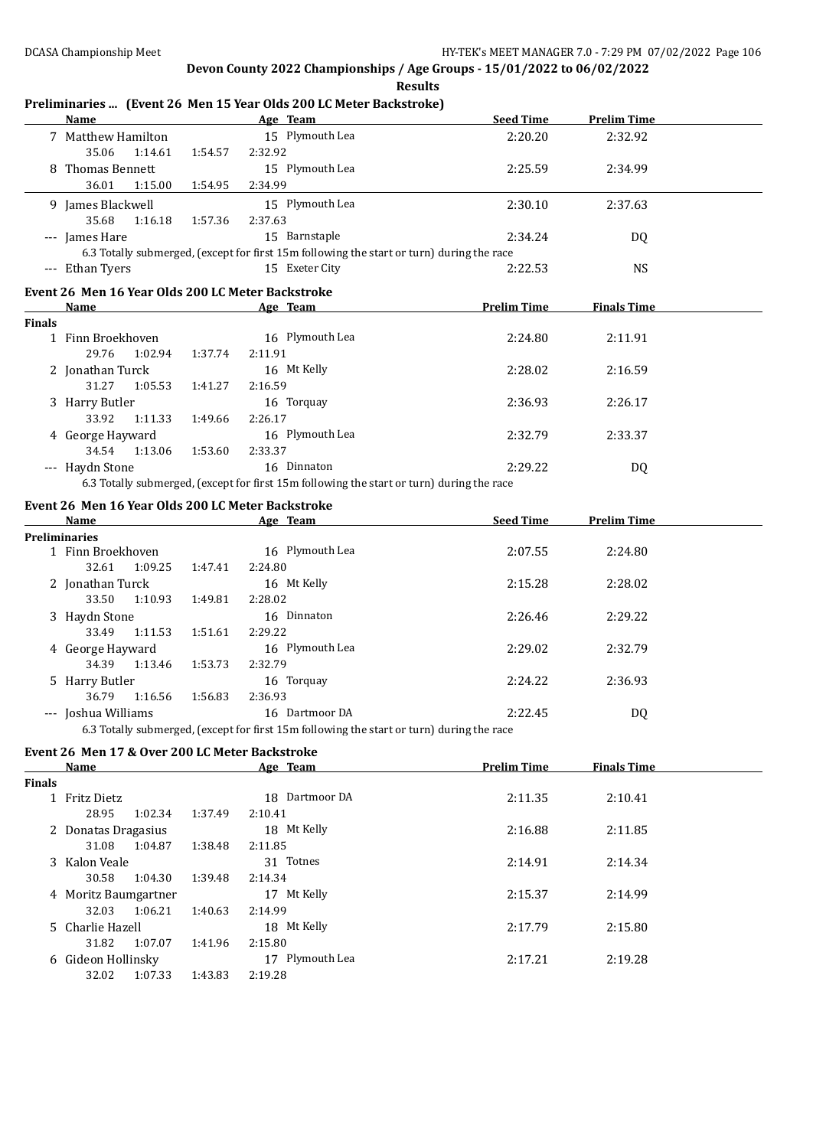### **Preliminaries ... (Event 26 Men 15 Year Olds 200 LC Meter Backstroke)**

|               | Name                                              |         | Age Team                                                                                                 | <b>Seed Time</b>   | <b>Prelim Time</b> |  |
|---------------|---------------------------------------------------|---------|----------------------------------------------------------------------------------------------------------|--------------------|--------------------|--|
|               | 7 Matthew Hamilton                                |         | 15 Plymouth Lea                                                                                          | 2:20.20            | 2:32.92            |  |
|               | 35.06<br>1:14.61                                  | 1:54.57 | 2:32.92                                                                                                  |                    |                    |  |
|               | 8 Thomas Bennett                                  |         | 15 Plymouth Lea                                                                                          | 2:25.59            | 2:34.99            |  |
|               | 36.01<br>1:15.00                                  | 1:54.95 | 2:34.99                                                                                                  |                    |                    |  |
|               | 9 James Blackwell                                 |         | 15 Plymouth Lea                                                                                          | 2:30.10            | 2:37.63            |  |
|               | 35.68<br>1:16.18                                  | 1:57.36 | 2:37.63                                                                                                  |                    |                    |  |
|               | --- James Hare                                    |         | 15 Barnstaple                                                                                            | 2:34.24            | DQ                 |  |
|               |                                                   |         | 6.3 Totally submerged, (except for first 15m following the start or turn) during the race                |                    |                    |  |
|               | --- Ethan Tyers                                   |         | 15 Exeter City                                                                                           | 2:22.53            | <b>NS</b>          |  |
|               |                                                   |         |                                                                                                          |                    |                    |  |
|               | Event 26 Men 16 Year Olds 200 LC Meter Backstroke |         |                                                                                                          |                    |                    |  |
|               |                                                   |         | Age Team                                                                                                 | <b>Prelim Time</b> | <b>Finals Time</b> |  |
| <b>Finals</b> | 1 Finn Broekhoven                                 |         | 16 Plymouth Lea                                                                                          | 2:24.80            | 2:11.91            |  |
|               | 29.76<br>1:02.94                                  | 1:37.74 | 2:11.91                                                                                                  |                    |                    |  |
|               |                                                   |         | 16 Mt Kelly                                                                                              |                    |                    |  |
|               | 2 Jonathan Turck<br>31.27<br>1:05.53              |         | 2:16.59                                                                                                  | 2:28.02            | 2:16.59            |  |
|               |                                                   | 1:41.27 |                                                                                                          | 2:36.93            | 2:26.17            |  |
|               | 3 Harry Butler<br>33.92                           |         | 16 Torquay<br>2:26.17                                                                                    |                    |                    |  |
|               | 1:11.33                                           | 1:49.66 | 16 Plymouth Lea                                                                                          |                    |                    |  |
|               | 4 George Hayward                                  |         |                                                                                                          | 2:32.79            | 2:33.37            |  |
|               | 34.54 1:13.06                                     | 1:53.60 | 2:33.37                                                                                                  |                    |                    |  |
|               | --- Haydn Stone                                   |         | 16 Dinnaton<br>6.3 Totally submerged, (except for first 15m following the start or turn) during the race | 2:29.22            | DQ                 |  |
|               |                                                   |         |                                                                                                          |                    |                    |  |
|               | Event 26 Men 16 Year Olds 200 LC Meter Backstroke |         |                                                                                                          |                    |                    |  |
|               | Name                                              |         | Age Team                                                                                                 | <b>Seed Time</b>   | <b>Prelim Time</b> |  |
|               | <b>Preliminaries</b>                              |         |                                                                                                          |                    |                    |  |
|               | 1 Finn Broekhoven                                 |         | 16 Plymouth Lea                                                                                          | 2:07.55            | 2:24.80            |  |
|               | 32.61<br>1:09.25                                  | 1:47.41 | 2:24.80                                                                                                  |                    |                    |  |
|               | 2 Jonathan Turck                                  |         | 16 Mt Kelly                                                                                              | 2:15.28            | 2:28.02            |  |
|               | 33.50<br>1:10.93                                  | 1:49.81 | 2:28.02                                                                                                  |                    |                    |  |
|               | 3 Haydn Stone                                     |         | 16 Dinnaton                                                                                              | 2:26.46            | 2:29.22            |  |
|               | 33.49<br>1:11.53                                  | 1:51.61 | 2:29.22                                                                                                  |                    |                    |  |
|               | 4 George Hayward                                  |         | 16 Plymouth Lea                                                                                          | 2:29.02            | 2:32.79            |  |
|               | 34.39<br>1:13.46                                  | 1:53.73 | 2:32.79                                                                                                  |                    |                    |  |
|               | 5 Harry Butler                                    |         | 16 Torquay                                                                                               | 2:24.22            | 2:36.93            |  |
|               | 36.79<br>1:16.56                                  | 1:56.83 | 2:36.93                                                                                                  |                    |                    |  |
|               | --- Joshua Williams                               |         | 16 Dartmoor DA                                                                                           | 2:22.45            | DQ                 |  |
|               |                                                   |         | 6.3 Totally submerged, (except for first 15m following the start or turn) during the race                |                    |                    |  |
|               | Event 26 Men 17 & Over 200 LC Meter Backstroke    |         |                                                                                                          |                    |                    |  |
|               | Name                                              |         | Age Team                                                                                                 | <b>Prelim Time</b> | <b>Finals Time</b> |  |
| <b>Finals</b> |                                                   |         |                                                                                                          |                    |                    |  |
|               | 1 Fritz Dietz                                     |         | 18 Dartmoor DA                                                                                           | 2:11.35            | 2:10.41            |  |
|               | 28.95<br>1:02.34                                  | 1:37.49 | 2:10.41                                                                                                  |                    |                    |  |
|               | 2 Donatas Dragasius                               |         | 18 Mt Kelly                                                                                              | 2:16.88            | 2:11.85            |  |
|               | 31.08<br>1:04.87                                  | 1:38.48 | 2:11.85                                                                                                  |                    |                    |  |
|               | 3 Kalon Veale                                     |         | 31 Totnes                                                                                                | 2:14.91            | 2:14.34            |  |
|               | 30.58<br>1:04.30                                  | 1:39.48 | 2:14.34                                                                                                  |                    |                    |  |
|               | 4 Moritz Baumgartner                              |         | 17 Mt Kelly                                                                                              | 2:15.37            | 2:14.99            |  |
|               | 32.03<br>1:06.21                                  | 1:40.63 | 2:14.99                                                                                                  |                    |                    |  |
|               | 5 Charlie Hazell                                  |         | 18 Mt Kelly                                                                                              | 2:17.79            | 2:15.80            |  |
|               | 31.82<br>1:07.07                                  | 1:41.96 | 2:15.80                                                                                                  |                    |                    |  |
|               | 6 Gideon Hollinsky                                |         | 17 Plymouth Lea                                                                                          | 2:17.21            | 2:19.28            |  |
|               | 32.02<br>1:07.33                                  | 1:43.83 | 2:19.28                                                                                                  |                    |                    |  |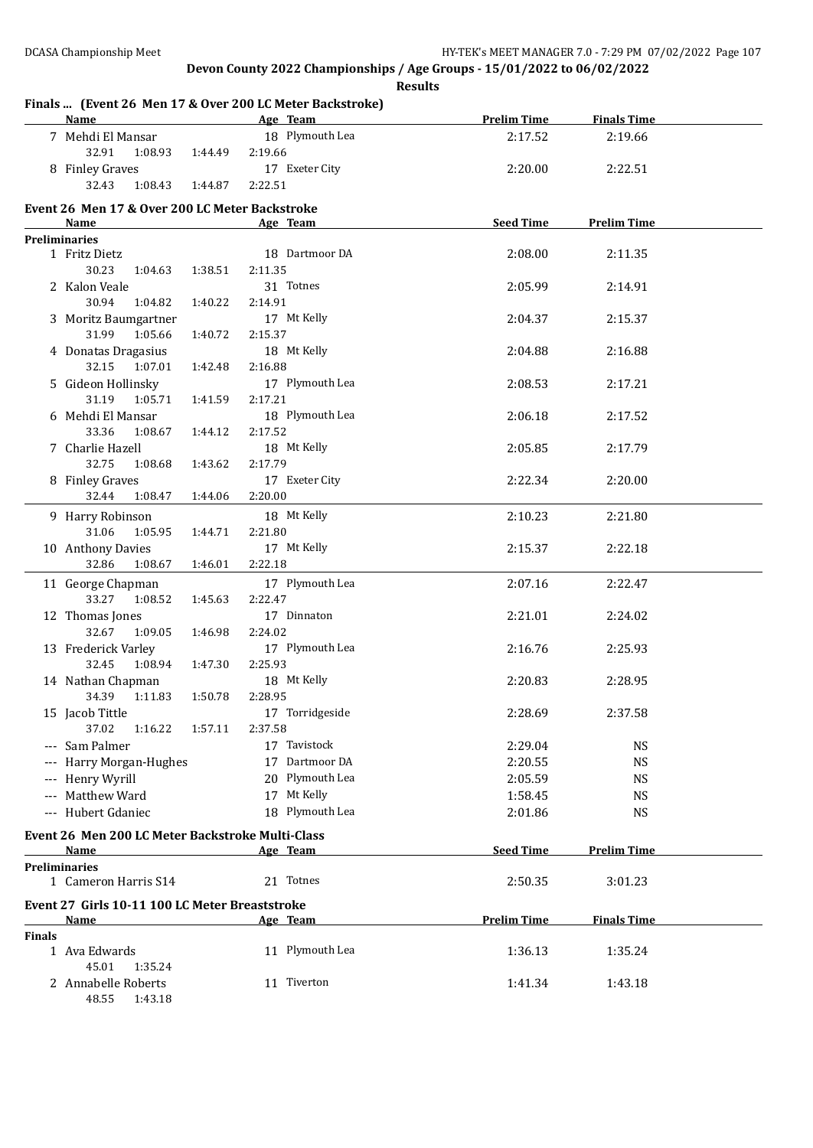#### **Finals ... (Event 26 Men 17 & Over 200 LC Meter Backstroke) Name Age Team Prelim Time Finals Time** 7 Mehdi El Mansar 18 Plymouth Lea 2:17.52 2:19.66 32.91 1:08.93 1:44.49 2:19.66 8 Finley Graves 17 Exeter City 2:20.00 2:22.51 32.43 1:08.43 1:44.87 2:22.51 **Event 26 Men 17 & Over 200 LC Meter Backstroke Name Age Team Seed Time Prelim Time Preliminaries** 1 Fritz Dietz 18 Dartmoor DA 2:08.00 2:11.35 30.23 1:04.63 1:38.51 2:11.35 2 Kalon Veale 31 Totnes 2:05.99 2:14.91 30.94 1:04.82 1:40.22 2:14.91 3 Moritz Baumgartner 17 Mt Kelly 2:04.37 2:15.37 31.99 1:05.66 1:40.72 2:15.37 4 Donatas Dragasius 18 Mt Kelly 2:04.88 2:16.88 32.15 1:07.01 1:42.48 2:16.88 5 Gideon Hollinsky 17 Plymouth Lea 2:08.53 2:17.21 31.19 1:05.71 1:41.59 2:17.21 6 Mehdi El Mansar 18 Plymouth Lea 2:06.18 2:17.52 33.36 1:08.67 1:44.12 2:17.52 7 Charlie Hazell 18 Mt Kelly 2:05.85 2:17.79 32.75 1:08.68 1:43.62 2:17.79 8 Finley Graves 17 Exeter City 2:22.34 2:20.00 32.44 1:08.47 1:44.06 2:20.00 9 Harry Robinson 18 Mt Kelly 2:10.23 2:21.80 31.06 1:05.95 1:44.71 2:21.80 10 Anthony Davies 17 Mt Kelly 2:15.37 2:22.18 32.86 1:08.67 1:46.01 2:22.18 11 George Chapman 17 Plymouth Lea 2:07.16 2:22.47 33.27 1:08.52 1:45.63 2:22.47 12 Thomas Jones 17 Dinnaton 2:21.01 2:24.02 32.67 1:09.05 1:46.98 2:24.02 13 Frederick Varley 17 Plymouth Lea 2:16.76 2:25.93 32.45 1:08.94 1:47.30 2:25.93 14 Nathan Chapman 18 Mt Kelly 2:20.83 2:28.95 34.39 1:11.83 1:50.78 2:28.95 15 Jacob Tittle 17 Torridgeside 2:28.69 2:37.58 37.02 1:16.22 1:57.11 2:37.58 --- Sam Palmer 17 Tavistock 2:29.04 NS --- Harry Morgan-Hughes 17 Dartmoor DA 2:20.55 NS --- Henry Wyrill 20 Plymouth Lea 2:05.59 NS -- Matthew Ward 17 Mt Kelly 1:58.45 NS --- Hubert Gdaniec 18 Plymouth Lea 2:01.86 NS **Event 26 Men 200 LC Meter Backstroke Multi-Class Age Team Seed Time Prelim Time Preliminaries** 1 Cameron Harris S14 21 Totnes 2:50.35 3:01.23 **Event 27 Girls 10-11 100 LC Meter Breaststroke Age Team Prelim Time Finals Time Finals** 1 Ava Edwards 11 Plymouth Lea 1:36.13 1:35.24 45.01 1:35.24 2 Annabelle Roberts 11 Tiverton 1:41.34 1:43.18 48.55 1:43.18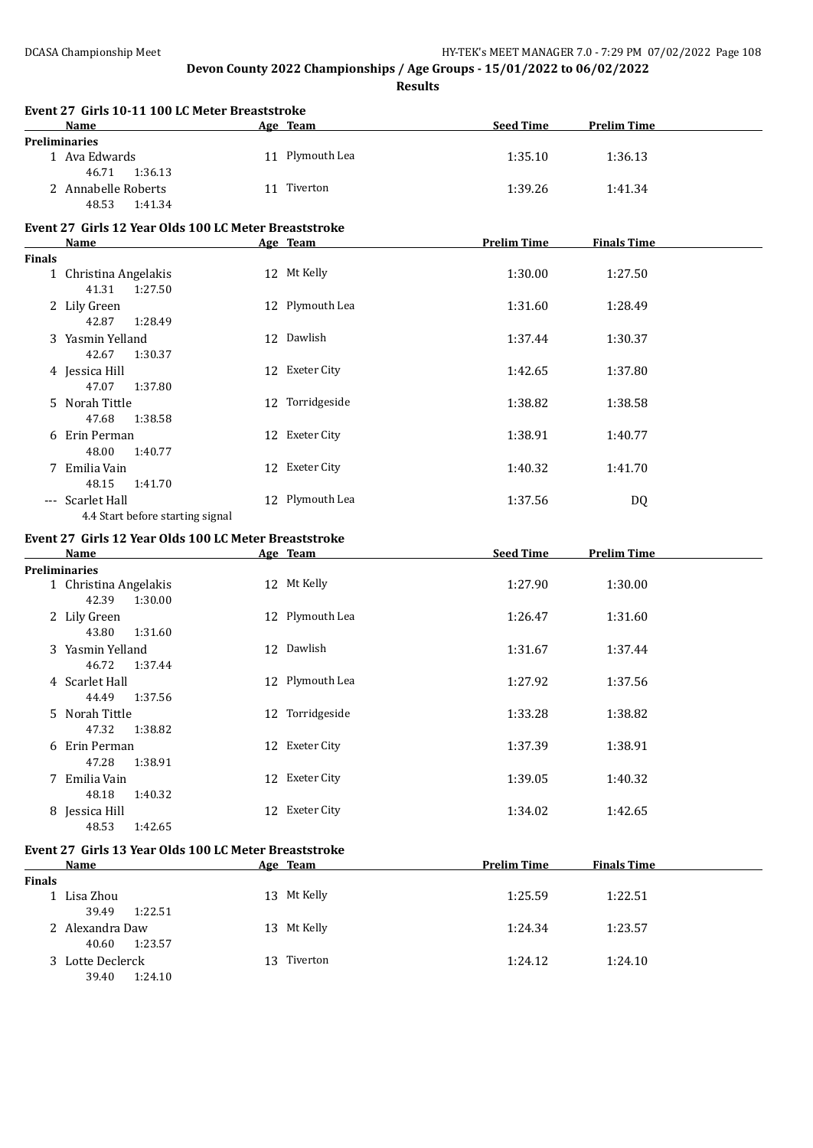**Results**

| Age Team<br><b>Seed Time</b><br><b>Prelim Time</b><br><b>Name</b><br><b>Preliminaries</b><br>11 Plymouth Lea<br>1 Ava Edwards<br>1:35.10<br>1:36.13<br>46.71<br>1:36.13<br>11 Tiverton<br>2 Annabelle Roberts<br>1:39.26<br>1:41.34<br>48.53<br>1:41.34<br>Event 27 Girls 12 Year Olds 100 LC Meter Breaststroke<br><b>Prelim Time</b><br><b>Finals Time</b><br>Name<br>Age Team |  |
|----------------------------------------------------------------------------------------------------------------------------------------------------------------------------------------------------------------------------------------------------------------------------------------------------------------------------------------------------------------------------------|--|
|                                                                                                                                                                                                                                                                                                                                                                                  |  |
|                                                                                                                                                                                                                                                                                                                                                                                  |  |
|                                                                                                                                                                                                                                                                                                                                                                                  |  |
|                                                                                                                                                                                                                                                                                                                                                                                  |  |
| <b>Finals</b>                                                                                                                                                                                                                                                                                                                                                                    |  |
| 12 Mt Kelly<br>1:30.00<br>1 Christina Angelakis<br>1:27.50<br>41.31<br>1:27.50                                                                                                                                                                                                                                                                                                   |  |
| 12 Plymouth Lea<br>2 Lily Green<br>1:31.60<br>1:28.49<br>42.87<br>1:28.49                                                                                                                                                                                                                                                                                                        |  |
| 12 Dawlish<br>3 Yasmin Yelland<br>1:37.44<br>1:30.37<br>42.67<br>1:30.37                                                                                                                                                                                                                                                                                                         |  |
| 12 Exeter City<br>4 Jessica Hill<br>1:42.65<br>1:37.80<br>47.07<br>1:37.80                                                                                                                                                                                                                                                                                                       |  |
| 12 Torridgeside<br>5 Norah Tittle<br>1:38.82<br>1:38.58<br>47.68<br>1:38.58                                                                                                                                                                                                                                                                                                      |  |
| 12 Exeter City<br>6 Erin Perman<br>1:38.91<br>1:40.77<br>48.00<br>1:40.77                                                                                                                                                                                                                                                                                                        |  |
| 12 Exeter City<br>7 Emilia Vain<br>1:40.32<br>1:41.70<br>48.15<br>1:41.70                                                                                                                                                                                                                                                                                                        |  |
| 12 Plymouth Lea<br>--- Scarlet Hall<br>1:37.56<br>DQ<br>4.4 Start before starting signal                                                                                                                                                                                                                                                                                         |  |
| Event 27 Girls 12 Year Olds 100 LC Meter Breaststroke                                                                                                                                                                                                                                                                                                                            |  |
| <b>Name</b><br><b>Seed Time</b><br><b>Prelim Time</b><br>Age Team                                                                                                                                                                                                                                                                                                                |  |
| <b>Preliminaries</b>                                                                                                                                                                                                                                                                                                                                                             |  |
| 12 Mt Kelly<br>1 Christina Angelakis<br>1:27.90<br>1:30.00<br>42.39<br>1:30.00                                                                                                                                                                                                                                                                                                   |  |
| 12 Plymouth Lea<br>2 Lily Green<br>1:26.47<br>1:31.60<br>43.80<br>1:31.60                                                                                                                                                                                                                                                                                                        |  |
| 12 Dawlish<br>3 Yasmin Yelland<br>1:31.67<br>1:37.44<br>46.72<br>1:37.44                                                                                                                                                                                                                                                                                                         |  |
| 12 Plymouth Lea<br>4 Scarlet Hall<br>1:27.92<br>1:37.56<br>44.49<br>1:37.56                                                                                                                                                                                                                                                                                                      |  |
| 12 Torridgeside<br>1:33.28<br>1:38.82<br>5 Norah Tittle<br>47.32<br>1:38.82                                                                                                                                                                                                                                                                                                      |  |
| 12 Exeter City<br>6 Erin Perman<br>1:37.39<br>1:38.91<br>47.28<br>1:38.91                                                                                                                                                                                                                                                                                                        |  |
| 12 Exeter City<br>7 Emilia Vain<br>1:39.05<br>1:40.32<br>48.18<br>1:40.32                                                                                                                                                                                                                                                                                                        |  |
| 12 Exeter City<br>8 Jessica Hill<br>1:34.02<br>1:42.65<br>48.53<br>1:42.65                                                                                                                                                                                                                                                                                                       |  |
| Event 27 Girls 13 Year Olds 100 LC Meter Breaststroke                                                                                                                                                                                                                                                                                                                            |  |
| <b>Prelim Time</b><br><b>Finals Time</b><br>Age Team<br><u>Name</u>                                                                                                                                                                                                                                                                                                              |  |
| <b>Finals</b><br>13 Mt Kelly<br>1 Lisa Zhou<br>1:22.51<br>1:25.59                                                                                                                                                                                                                                                                                                                |  |
| 39.49<br>1:22.51<br>13 Mt Kelly<br>2 Alexandra Daw<br>1:24.34<br>1:23.57                                                                                                                                                                                                                                                                                                         |  |
| 40.60<br>1:23.57<br>13 Tiverton<br>3 Lotte Declerck<br>1:24.12<br>1:24.10<br>39.40<br>1:24.10                                                                                                                                                                                                                                                                                    |  |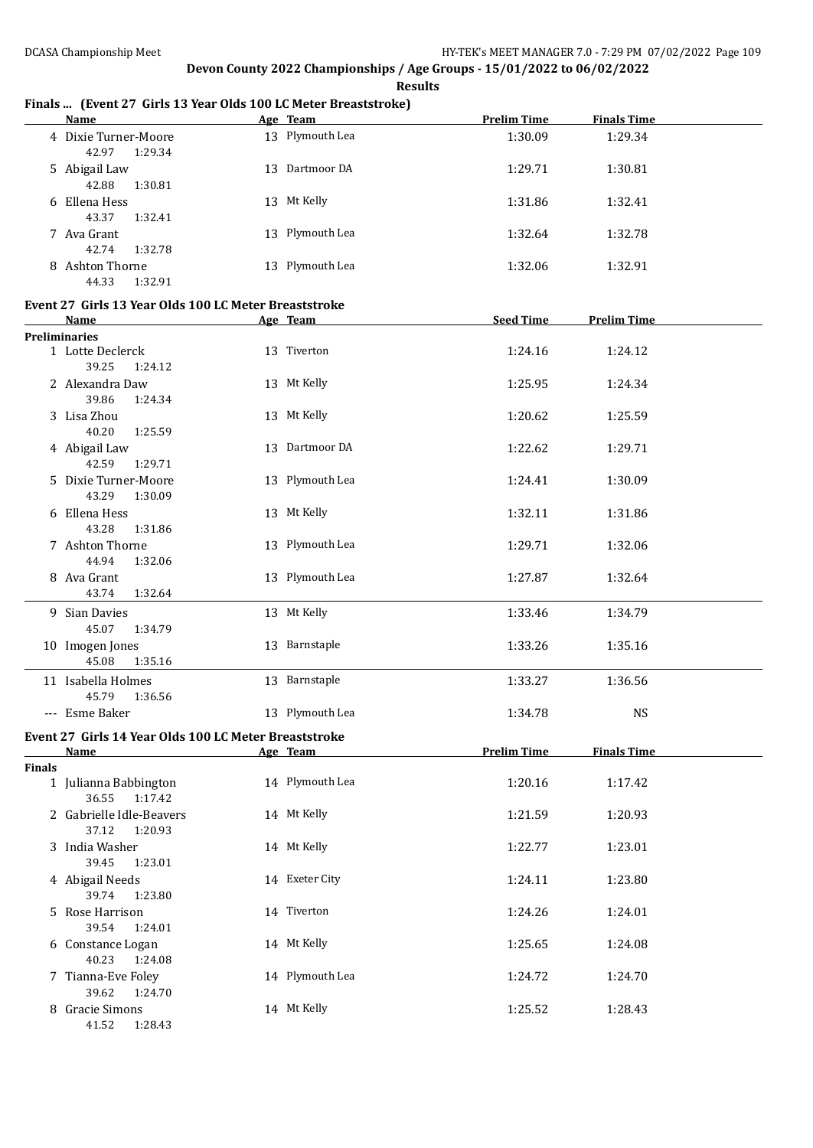#### **Name Age Team Prelim Time Finals Time** 4 Dixie Turner-Moore 13 Plymouth Lea 1:30.09 1:29.34 42.97 1:29.34 5 Abigail Law 13 Dartmoor DA 1:29.71 1:30.81 42.88 1:30.81 6 Ellena Hess 13 Mt Kelly 1:31.86 1:32.41 43.37 1:32.41 7 Ava Grant 1:32.78 13 Plymouth Lea 1:32.64 1:32.78 42.74 1:32.78 8 Ashton Thorne 13 Plymouth Lea 1:32.06 1:32.91 44.33 1:32.91 **Event 27 Girls 13 Year Olds 100 LC Meter Breaststroke Name Age Team Seed Time Prelim Time Preliminaries** 1 Lotte Declerck 13 Tiverton 1:24.16 1:24.12 39.25 1:24.12 2 Alexandra Daw 13 Mt Kelly 1:25.95 1:24.34 39.86 1:24.34 3 Lisa Zhou 13 Mt Kelly 1:20.62 1:25.59 40.20 1:25.59 4 Abigail Law 13 Dartmoor DA 1:22.62 1:29.71 42.59 1:29.71 5 Dixie Turner-Moore 13 Plymouth Lea 1:24.41 1:30.09 43.29 1:30.09 6 Ellena Hess 13 Mt Kelly 1:32.11 1:31.86 43.28 1:31.86 7 Ashton Thorne 13 Plymouth Lea 1:29.71 1:32.06 44.94 1:32.06 8 Ava Grant 13 Plymouth Lea 1:27.87 1:32.64 43.74 1:32.64 9 Sian Davies 13 Mt Kelly 11:33.46 1:34.79 45.07 1:34.79 10 Imogen Jones 13 Barnstaple 1:33.26 1:35.16 45.08 1:35.16 11 Isabella Holmes 13 Barnstaple 1:33.27 1:36.56 45.79 1:36.56 --- Esme Baker 13 Plymouth Lea 1:34.78 NS **Event 27 Girls 14 Year Olds 100 LC Meter Breaststroke Name Age Team Prelim Time Finals Time Finals** 1 Julianna Babbington 14 Plymouth Lea 1:20.16 1:17.42 36.55 1:17.42 2 Gabrielle Idle-Beavers 14 Mt Kelly 1:21.59 1:20.93 37.12 1:20.93 3 India Washer 14 Mt Kelly 1:22.77 1:23.01 39.45 1:23.01 4 Abigail Needs 14 Exeter City 1:24.11 1:23.80 39.74 1:23.80 5 Rose Harrison 14 Tiverton 1:24.26 1:24.01 39.54 1:24.01 6 Constance Logan 14 Mt Kelly 1:25.65 1:24.08 40.23 1:24.08 7 Tianna-Eve Foley 14 Plymouth Lea 1:24.72 1:24.70 39.62 1:24.70 8 Gracie Simons 14 Mt Kelly 1:25.52 1:28.43 41.52 1:28.43

#### **Finals ... (Event 27 Girls 13 Year Olds 100 LC Meter Breaststroke)**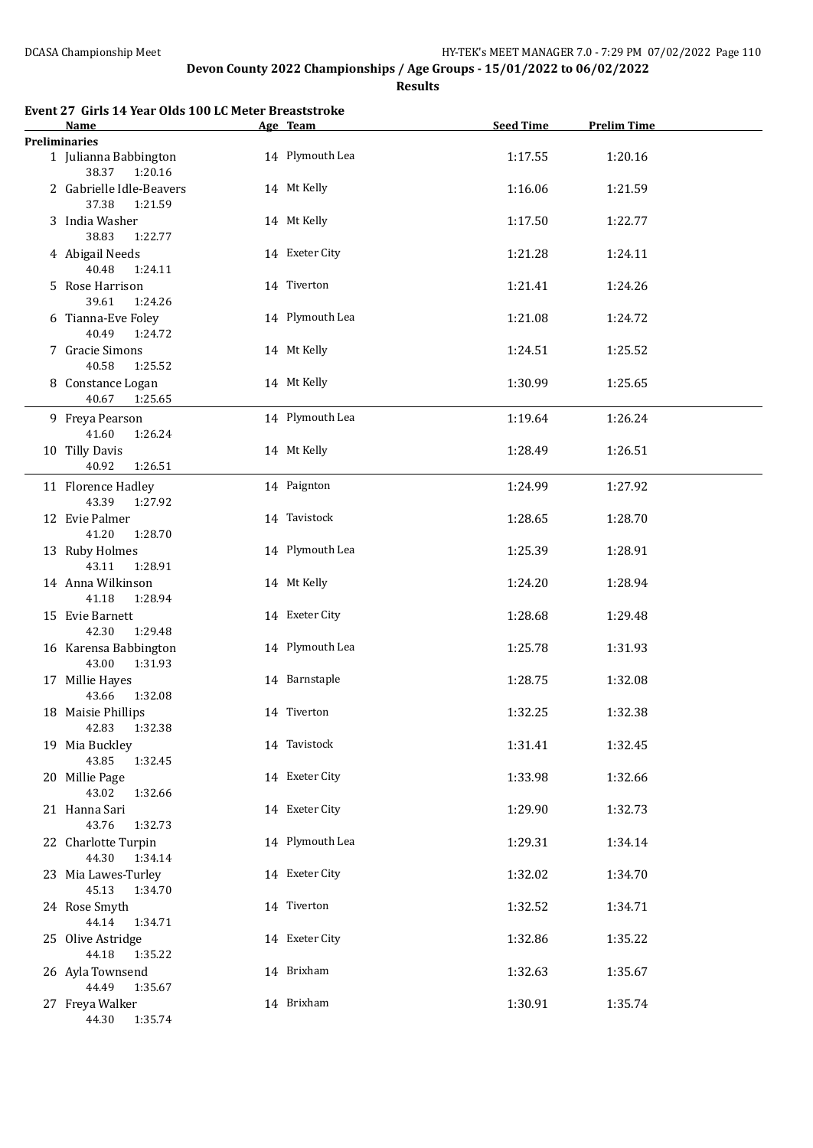**Results**

| <b>Name</b>                                  | Age Team        | <b>Seed Time</b> | <b>Prelim Time</b> |  |
|----------------------------------------------|-----------------|------------------|--------------------|--|
| <b>Preliminaries</b>                         |                 |                  |                    |  |
| 1 Julianna Babbington<br>38.37<br>1:20.16    | 14 Plymouth Lea | 1:17.55          | 1:20.16            |  |
| 2 Gabrielle Idle-Beavers<br>37.38<br>1:21.59 | 14 Mt Kelly     | 1:16.06          | 1:21.59            |  |
| 3 India Washer<br>38.83<br>1:22.77           | 14 Mt Kelly     | 1:17.50          | 1:22.77            |  |
| 4 Abigail Needs<br>40.48<br>1:24.11          | 14 Exeter City  | 1:21.28          | 1:24.11            |  |
| 5 Rose Harrison<br>39.61<br>1:24.26          | 14 Tiverton     | 1:21.41          | 1:24.26            |  |
| 6 Tianna-Eve Foley<br>40.49<br>1:24.72       | 14 Plymouth Lea | 1:21.08          | 1:24.72            |  |
| 7 Gracie Simons<br>40.58<br>1:25.52          | 14 Mt Kelly     | 1:24.51          | 1:25.52            |  |
| 8 Constance Logan<br>40.67<br>1:25.65        | 14 Mt Kelly     | 1:30.99          | 1:25.65            |  |
| 9 Freya Pearson<br>41.60<br>1:26.24          | 14 Plymouth Lea | 1:19.64          | 1:26.24            |  |
| 10 Tilly Davis<br>40.92<br>1:26.51           | 14 Mt Kelly     | 1:28.49          | 1:26.51            |  |
| 11 Florence Hadley<br>43.39<br>1:27.92       | 14 Paignton     | 1:24.99          | 1:27.92            |  |
| 12 Evie Palmer<br>41.20<br>1:28.70           | 14 Tavistock    | 1:28.65          | 1:28.70            |  |
| 13 Ruby Holmes<br>43.11<br>1:28.91           | 14 Plymouth Lea | 1:25.39          | 1:28.91            |  |
| 14 Anna Wilkinson<br>41.18<br>1:28.94        | 14 Mt Kelly     | 1:24.20          | 1:28.94            |  |
| 15 Evie Barnett<br>42.30<br>1:29.48          | 14 Exeter City  | 1:28.68          | 1:29.48            |  |
| 16 Karensa Babbington<br>43.00<br>1:31.93    | 14 Plymouth Lea | 1:25.78          | 1:31.93            |  |
| 17 Millie Hayes<br>43.66<br>1:32.08          | 14 Barnstaple   | 1:28.75          | 1:32.08            |  |
| 18 Maisie Phillips<br>42.83 1:32.38          | 14 Tiverton     | 1:32.25          | 1:32.38            |  |
| 19 Mia Buckley<br>43.85<br>1:32.45           | 14 Tavistock    | 1:31.41          | 1:32.45            |  |
| 20 Millie Page<br>43.02<br>1:32.66           | 14 Exeter City  | 1:33.98          | 1:32.66            |  |
| 21 Hanna Sari<br>43.76<br>1:32.73            | 14 Exeter City  | 1:29.90          | 1:32.73            |  |
| 22 Charlotte Turpin<br>44.30<br>1:34.14      | 14 Plymouth Lea | 1:29.31          | 1:34.14            |  |
| 23 Mia Lawes-Turley<br>45.13<br>1:34.70      | 14 Exeter City  | 1:32.02          | 1:34.70            |  |
| 24 Rose Smyth<br>44.14<br>1:34.71            | 14 Tiverton     | 1:32.52          | 1:34.71            |  |
| 25 Olive Astridge<br>44.18<br>1:35.22        | 14 Exeter City  | 1:32.86          | 1:35.22            |  |
| 26 Ayla Townsend<br>44.49<br>1:35.67         | 14 Brixham      | 1:32.63          | 1:35.67            |  |
| 27 Freya Walker<br>44.30<br>1:35.74          | 14 Brixham      | 1:30.91          | 1:35.74            |  |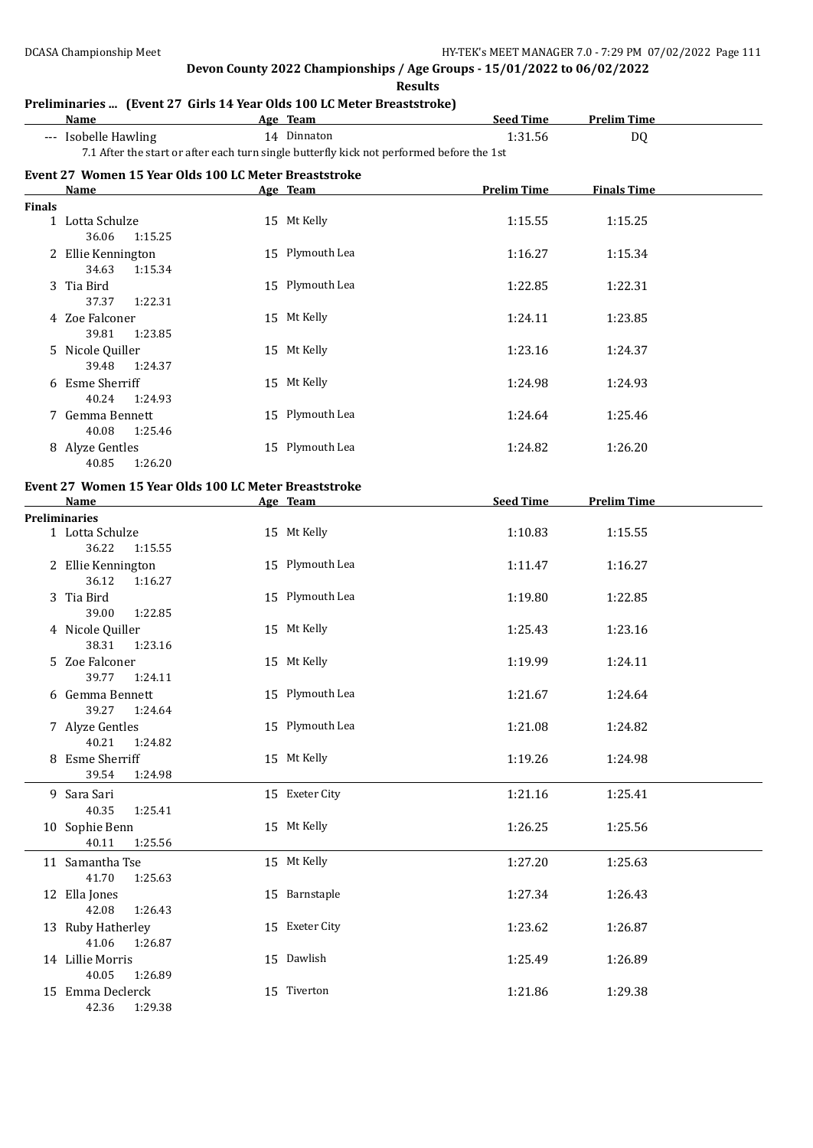**Results**

|        | Preliminaries  (Event 27 Girls 14 Year Olds 100 LC Meter Breaststroke)<br><b>Name</b>     | Age Team |                 | <b>Seed Time</b>   | <b>Prelim Time</b> |  |
|--------|-------------------------------------------------------------------------------------------|----------|-----------------|--------------------|--------------------|--|
|        | --- Isobelle Hawling                                                                      |          | 14 Dinnaton     | 1:31.56            | DQ                 |  |
|        | 7.1 After the start or after each turn single butterfly kick not performed before the 1st |          |                 |                    |                    |  |
|        | Event 27 Women 15 Year Olds 100 LC Meter Breaststroke                                     |          |                 |                    |                    |  |
|        | <b>Name</b>                                                                               | Age Team |                 | <b>Prelim Time</b> | <b>Finals Time</b> |  |
| Finals |                                                                                           |          |                 |                    |                    |  |
|        | 1 Lotta Schulze<br>36.06<br>1:15.25                                                       |          | 15 Mt Kelly     | 1:15.55            | 1:15.25            |  |
|        | 2 Ellie Kennington<br>34.63<br>1:15.34                                                    |          | 15 Plymouth Lea | 1:16.27            | 1:15.34            |  |
|        | 3 Tia Bird<br>37.37<br>1:22.31                                                            |          | 15 Plymouth Lea | 1:22.85            | 1:22.31            |  |
|        | 4 Zoe Falconer<br>39.81<br>1:23.85                                                        |          | 15 Mt Kelly     | 1:24.11            | 1:23.85            |  |
|        | 5 Nicole Quiller<br>39.48<br>1:24.37                                                      |          | 15 Mt Kelly     | 1:23.16            | 1:24.37            |  |
|        | 6 Esme Sherriff<br>40.24<br>1:24.93                                                       |          | 15 Mt Kelly     | 1:24.98            | 1:24.93            |  |
|        | 7 Gemma Bennett<br>40.08<br>1:25.46                                                       |          | 15 Plymouth Lea | 1:24.64            | 1:25.46            |  |
|        | 8 Alyze Gentles<br>40.85<br>1:26.20                                                       |          | 15 Plymouth Lea | 1:24.82            | 1:26.20            |  |
|        | Event 27 Women 15 Year Olds 100 LC Meter Breaststroke                                     |          |                 |                    |                    |  |
|        | Name                                                                                      | Age Team |                 | <b>Seed Time</b>   | <b>Prelim Time</b> |  |
|        | <b>Preliminaries</b>                                                                      |          |                 |                    |                    |  |
|        | 1 Lotta Schulze<br>36.22<br>1:15.55                                                       |          | 15 Mt Kelly     | 1:10.83            | 1:15.55            |  |
|        | 2 Ellie Kennington<br>36.12<br>1:16.27                                                    |          | 15 Plymouth Lea | 1:11.47            | 1:16.27            |  |
|        | 3 Tia Bird<br>39.00<br>1:22.85                                                            |          | 15 Plymouth Lea | 1:19.80            | 1:22.85            |  |
|        | 4 Nicole Quiller<br>38.31<br>1:23.16                                                      |          | 15 Mt Kelly     | 1:25.43            | 1:23.16            |  |
|        | 5 Zoe Falconer<br>39.77<br>1:24.11                                                        |          | 15 Mt Kelly     | 1:19.99            | 1:24.11            |  |
|        | 6 Gemma Bennett<br>39.27<br>1:24.64                                                       |          | 15 Plymouth Lea | 1:21.67            | 1:24.64            |  |
|        | 7 Alyze Gentles                                                                           |          | 15 Plymouth Lea | 1:21.08            | 1:24.82            |  |

8 Esme Sherriff 15 Mt Kelly 1:19.26 1:24.98

13 Ruby Hatherley 15 Exeter City 1:23.62 1:26.87

14 Lillie Morris 15 Dawlish 1:25.49 1:26.89

15 Emma Declerck 15 Tiverton 1:21.86 1:29.38

39.54 1:24.98 9 Sara Sari 1:25.41 15 Exeter City 1:21.16 1:25.41 40.35 1:25.41 10 Sophie Benn 15 Mt Kelly 1:26.25 1:25.56 40.11 1:25.56 11 Samantha Tse 15 Mt Kelly 1:27.20 1:25.63 41.70 1:25.63 12 Ella Jones 15 Barnstaple 1:27.34 1:26.43

40.21 1:24.82

42.08 1:26.43

41.06 1:26.87

40.05 1:26.89

42.36 1:29.38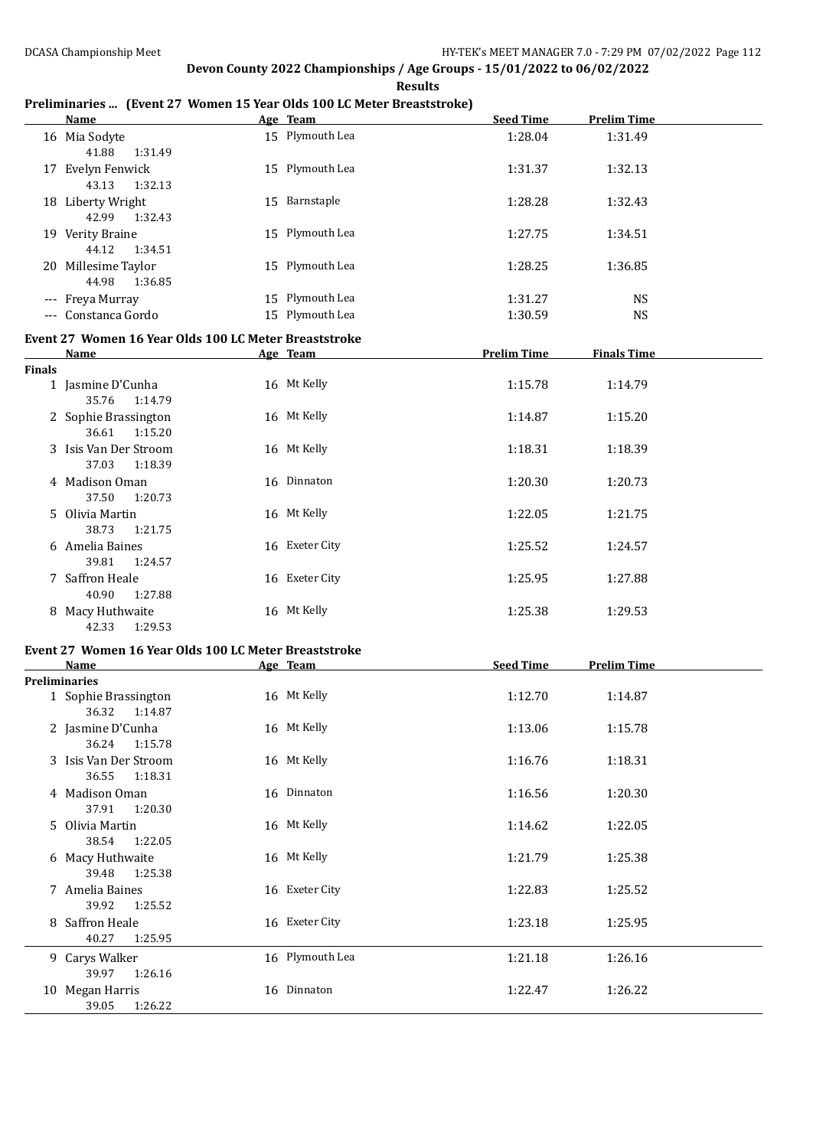**Results**

#### **Preliminaries ... (Event 27 Women 15 Year Olds 100 LC Meter Breaststroke)**

|               | <b>Name</b>                                           | Age Team        | <b>Seed Time</b>   | <b>Prelim Time</b> |  |
|---------------|-------------------------------------------------------|-----------------|--------------------|--------------------|--|
|               | 16 Mia Sodyte<br>41.88<br>1:31.49                     | 15 Plymouth Lea | 1:28.04            | 1:31.49            |  |
|               | 17 Evelyn Fenwick<br>43.13<br>1:32.13                 | 15 Plymouth Lea | 1:31.37            | 1:32.13            |  |
|               | 18 Liberty Wright<br>42.99<br>1:32.43                 | 15 Barnstaple   | 1:28.28            | 1:32.43            |  |
|               | 19 Verity Braine<br>44.12<br>1:34.51                  | 15 Plymouth Lea | 1:27.75            | 1:34.51            |  |
|               | 20 Millesime Taylor<br>44.98<br>1:36.85               | 15 Plymouth Lea | 1:28.25            | 1:36.85            |  |
|               | --- Freya Murray                                      | 15 Plymouth Lea | 1:31.27            | <b>NS</b>          |  |
|               | --- Constanca Gordo                                   | 15 Plymouth Lea | 1:30.59            | <b>NS</b>          |  |
|               | Event 27 Women 16 Year Olds 100 LC Meter Breaststroke |                 |                    |                    |  |
|               | <b>Name</b>                                           | Age Team        | <b>Prelim Time</b> | <b>Finals Time</b> |  |
| <b>Finals</b> |                                                       |                 |                    |                    |  |
|               | 1 Jasmine D'Cunha<br>35.76<br>1:14.79                 | 16 Mt Kelly     | 1:15.78            | 1:14.79            |  |
|               | 2 Sophie Brassington<br>36.61<br>1:15.20              | 16 Mt Kelly     | 1:14.87            | 1:15.20            |  |
|               | 3 Isis Van Der Stroom<br>37.03<br>1:18.39             | 16 Mt Kelly     | 1:18.31            | 1:18.39            |  |
|               | 4 Madison Oman<br>37.50<br>1:20.73                    | 16 Dinnaton     | 1:20.30            | 1:20.73            |  |
|               | 5 Olivia Martin<br>38.73<br>1:21.75                   | 16 Mt Kelly     | 1:22.05            | 1:21.75            |  |
|               | 6 Amelia Baines<br>39.81<br>1:24.57                   | 16 Exeter City  | 1:25.52            | 1:24.57            |  |
|               | 7 Saffron Heale<br>40.90<br>1:27.88                   | 16 Exeter City  | 1:25.95            | 1:27.88            |  |
|               | 8 Macy Huthwaite<br>1:29.53<br>42.33                  | 16 Mt Kelly     | 1:25.38            | 1:29.53            |  |

#### **Event 27 Women 16 Year Olds 100 LC Meter Breaststroke**

|   | <b>Name</b>           | Age Team        | <b>Seed Time</b> | <b>Prelim Time</b> |
|---|-----------------------|-----------------|------------------|--------------------|
|   | <b>Preliminaries</b>  |                 |                  |                    |
|   | 1 Sophie Brassington  | 16 Mt Kelly     | 1:12.70          | 1:14.87            |
|   | 1:14.87<br>36.32      |                 |                  |                    |
|   | 2 Jasmine D'Cunha     | 16 Mt Kelly     | 1:13.06          | 1:15.78            |
|   | 36.24<br>1:15.78      |                 |                  |                    |
|   | 3 Isis Van Der Stroom | 16 Mt Kelly     | 1:16.76          | 1:18.31            |
|   | 36.55<br>1:18.31      |                 |                  |                    |
|   | 4 Madison Oman        | 16 Dinnaton     | 1:16.56          | 1:20.30            |
|   | 37.91<br>1:20.30      |                 |                  |                    |
|   | 5 Olivia Martin       | 16 Mt Kelly     | 1:14.62          | 1:22.05            |
|   | 38.54<br>1:22.05      |                 |                  |                    |
|   | 6 Macy Huthwaite      | 16 Mt Kelly     | 1:21.79          | 1:25.38            |
|   | 1:25.38<br>39.48      |                 |                  |                    |
| 7 | Amelia Baines         | 16 Exeter City  | 1:22.83          | 1:25.52            |
|   | 39.92<br>1:25.52      |                 |                  |                    |
|   | 8 Saffron Heale       | 16 Exeter City  | 1:23.18          | 1:25.95            |
|   | 40.27<br>1:25.95      |                 |                  |                    |
|   | 9 Carys Walker        | 16 Plymouth Lea | 1:21.18          | 1:26.16            |
|   | 39.97<br>1:26.16      |                 |                  |                    |
|   | 10 Megan Harris       | 16 Dinnaton     | 1:22.47          | 1:26.22            |
|   | 39.05<br>1:26.22      |                 |                  |                    |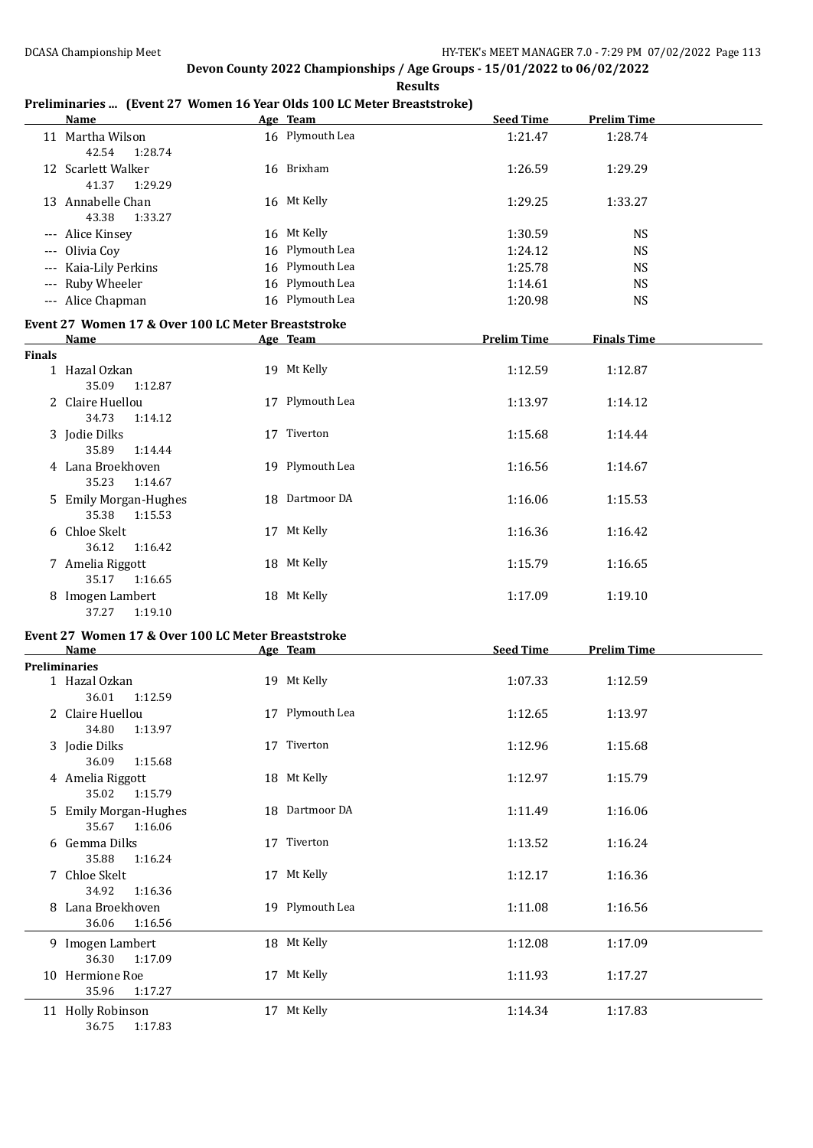**Results**

#### **Preliminaries ... (Event 27 Women 16 Year Olds 100 LC Meter Breaststroke)**

|               | <b>Name</b>                                                       | Age Team        | <b>Seed Time</b>   | <b>Prelim Time</b> |  |
|---------------|-------------------------------------------------------------------|-----------------|--------------------|--------------------|--|
|               | 11 Martha Wilson<br>42.54<br>1:28.74                              | 16 Plymouth Lea | 1:21.47            | 1:28.74            |  |
|               | 12 Scarlett Walker<br>41.37<br>1:29.29                            | 16 Brixham      | 1:26.59            | 1:29.29            |  |
|               | 13 Annabelle Chan<br>43.38<br>1:33.27                             | 16 Mt Kelly     | 1:29.25            | 1:33.27            |  |
|               | --- Alice Kinsey                                                  | 16 Mt Kelly     | 1:30.59            | <b>NS</b>          |  |
|               | --- Olivia Coy                                                    | 16 Plymouth Lea | 1:24.12            | <b>NS</b>          |  |
|               | --- Kaia-Lily Perkins                                             | 16 Plymouth Lea | 1:25.78            | <b>NS</b>          |  |
|               | --- Ruby Wheeler                                                  | 16 Plymouth Lea | 1:14.61            | <b>NS</b>          |  |
|               |                                                                   | 16 Plymouth Lea |                    |                    |  |
|               | --- Alice Chapman                                                 |                 | 1:20.98            | <b>NS</b>          |  |
|               | Event 27 Women 17 & Over 100 LC Meter Breaststroke                |                 |                    |                    |  |
|               | <b>Name</b>                                                       | Age Team        | <b>Prelim Time</b> | <b>Finals Time</b> |  |
| <b>Finals</b> |                                                                   |                 |                    |                    |  |
|               | 1 Hazal Ozkan<br>35.09<br>1:12.87                                 | 19 Mt Kelly     | 1:12.59            | 1:12.87            |  |
|               | 2 Claire Huellou<br>34.73<br>1:14.12                              | 17 Plymouth Lea | 1:13.97            | 1:14.12            |  |
|               | 3 Jodie Dilks<br>35.89<br>1:14.44                                 | 17 Tiverton     | 1:15.68            | 1:14.44            |  |
|               | 4 Lana Broekhoven<br>35.23<br>1:14.67                             | 19 Plymouth Lea | 1:16.56            | 1:14.67            |  |
|               | 5 Emily Morgan-Hughes<br>35.38 1:15.53                            | 18 Dartmoor DA  | 1:16.06            | 1:15.53            |  |
|               | 6 Chloe Skelt<br>36.12<br>1:16.42                                 | 17 Mt Kelly     | 1:16.36            | 1:16.42            |  |
|               | 7 Amelia Riggott<br>35.17<br>1:16.65                              | 18 Mt Kelly     | 1:15.79            | 1:16.65            |  |
|               | 8 Imogen Lambert<br>37.27<br>1:19.10                              | 18 Mt Kelly     | 1:17.09            | 1:19.10            |  |
|               |                                                                   |                 |                    |                    |  |
|               | Event 27 Women 17 & Over 100 LC Meter Breaststroke<br><b>Name</b> |                 | <b>Seed Time</b>   |                    |  |
|               | <b>Preliminaries</b>                                              | Age Team        |                    | <b>Prelim Time</b> |  |
|               | 1 Hazal Ozkan<br>36.01<br>1:12.59                                 | 19 Mt Kelly     | 1:07.33            | 1:12.59            |  |
|               | 2 Claire Huellou<br>34.80 1:13.97                                 | 17 Plymouth Lea | 1:12.65            | 1:13.97            |  |
|               | 3 Jodie Dilks<br>36.09<br>1:15.68                                 | 17 Tiverton     | 1:12.96            | 1:15.68            |  |
|               | 4 Amelia Riggott<br>35.02<br>1:15.79                              | 18 Mt Kelly     | 1:12.97            | 1:15.79            |  |
|               | 5 Emily Morgan-Hughes<br>35.67<br>1:16.06                         | 18 Dartmoor DA  | 1:11.49            | 1:16.06            |  |
|               | 6 Gemma Dilks<br>35.88<br>1:16.24                                 | 17 Tiverton     | 1:13.52            | 1:16.24            |  |
|               | 7 Chloe Skelt<br>34.92<br>1:16.36                                 | 17 Mt Kelly     | 1:12.17            | 1:16.36            |  |
|               | 8 Lana Broekhoven<br>36.06<br>1:16.56                             | 19 Plymouth Lea | 1:11.08            | 1:16.56            |  |
|               | 9 Imogen Lambert<br>36.30<br>1:17.09                              | 18 Mt Kelly     | 1:12.08            | 1:17.09            |  |
|               | 10 Hermione Roe<br>35.96<br>1:17.27                               | 17 Mt Kelly     | 1:11.93            | 1:17.27            |  |
|               | 11 Holly Robinson<br>36.75<br>1:17.83                             | 17 Mt Kelly     | 1:14.34            | 1:17.83            |  |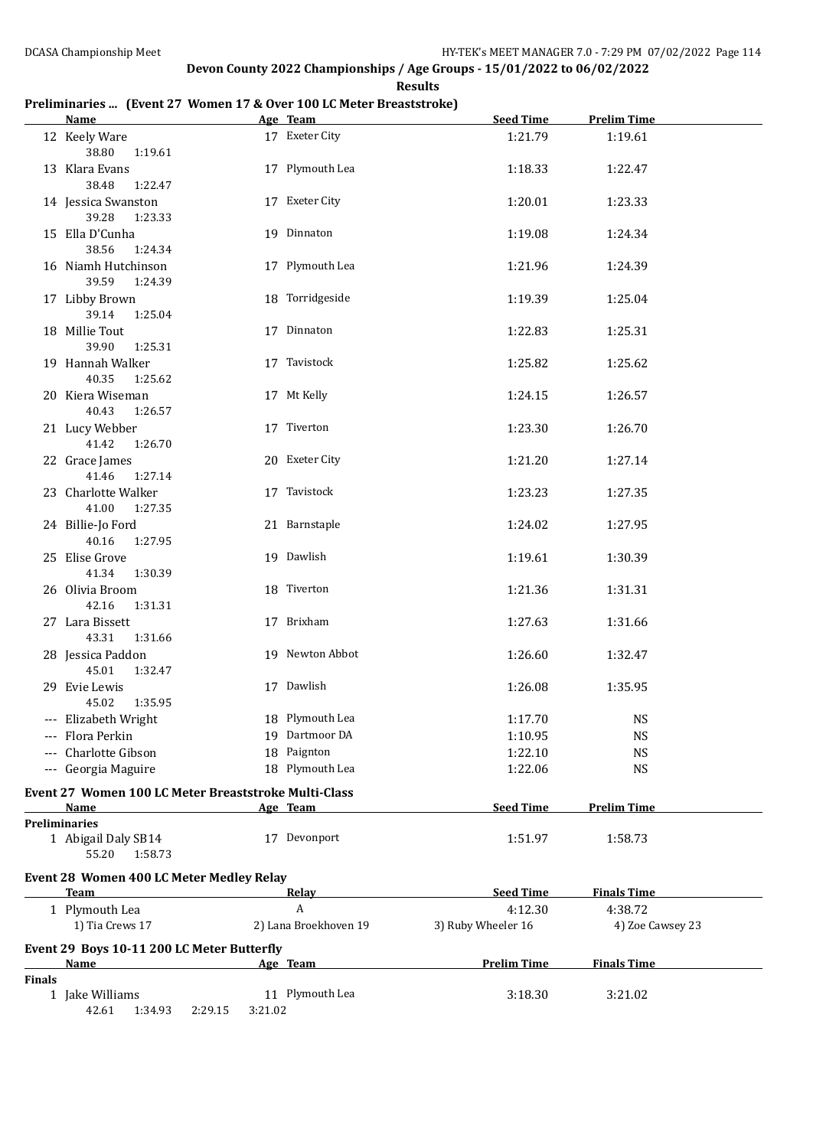**Results**

#### **Preliminaries ... (Event 27 Women 17 & Over 100 LC Meter Breaststroke)**

|               | <b>Name</b>                                          |         | Age Team                   | <b>Seed Time</b>              | <b>Prelim Time</b>          |
|---------------|------------------------------------------------------|---------|----------------------------|-------------------------------|-----------------------------|
|               | 12 Keely Ware<br>38.80<br>1:19.61                    |         | 17 Exeter City             | 1:21.79                       | 1:19.61                     |
|               | 13 Klara Evans<br>38.48<br>1:22.47                   |         | 17 Plymouth Lea            | 1:18.33                       | 1:22.47                     |
|               | 14 Jessica Swanston<br>39.28<br>1:23.33              |         | 17 Exeter City             | 1:20.01                       | 1:23.33                     |
|               | 15 Ella D'Cunha<br>38.56<br>1:24.34                  |         | 19 Dinnaton                | 1:19.08                       | 1:24.34                     |
|               | 16 Niamh Hutchinson<br>39.59<br>1:24.39              |         | 17 Plymouth Lea            | 1:21.96                       | 1:24.39                     |
|               | 17 Libby Brown<br>39.14<br>1:25.04                   |         | 18 Torridgeside            | 1:19.39                       | 1:25.04                     |
|               | 18 Millie Tout<br>39.90<br>1:25.31                   |         | 17 Dinnaton                | 1:22.83                       | 1:25.31                     |
|               | 19 Hannah Walker<br>40.35<br>1:25.62                 |         | 17 Tavistock               | 1:25.82                       | 1:25.62                     |
|               | 20 Kiera Wiseman<br>40.43<br>1:26.57                 |         | 17 Mt Kelly                | 1:24.15                       | 1:26.57                     |
|               | 21 Lucy Webber<br>41.42<br>1:26.70                   |         | 17 Tiverton                | 1:23.30                       | 1:26.70                     |
|               | 22 Grace James<br>41.46<br>1:27.14                   |         | 20 Exeter City             | 1:21.20                       | 1:27.14                     |
|               | 23 Charlotte Walker<br>41.00<br>1:27.35              |         | 17 Tavistock               | 1:23.23                       | 1:27.35                     |
|               | 24 Billie-Jo Ford<br>40.16<br>1:27.95                |         | 21 Barnstaple              | 1:24.02                       | 1:27.95                     |
|               | 25 Elise Grove<br>41.34<br>1:30.39                   |         | 19 Dawlish                 | 1:19.61                       | 1:30.39                     |
|               | 26 Olivia Broom<br>42.16<br>1:31.31                  |         | 18 Tiverton                | 1:21.36                       | 1:31.31                     |
|               | 27 Lara Bissett<br>43.31<br>1:31.66                  |         | 17 Brixham                 | 1:27.63                       | 1:31.66                     |
|               | 28 Jessica Paddon<br>45.01<br>1:32.47                |         | 19 Newton Abbot            | 1:26.60                       | 1:32.47                     |
|               | 29 Evie Lewis<br>45.02<br>1:35.95                    |         | 17 Dawlish                 | 1:26.08                       | 1:35.95                     |
|               | --- Elizabeth Wright                                 |         | 18 Plymouth Lea            | 1:17.70                       | <b>NS</b>                   |
|               | --- Flora Perkin                                     |         | 19 Dartmoor DA             | 1:10.95                       | <b>NS</b>                   |
|               | Charlotte Gibson                                     |         | 18 Paignton                | 1:22.10                       | <b>NS</b>                   |
|               | --- Georgia Maguire                                  |         | 18 Plymouth Lea            | 1:22.06                       | <b>NS</b>                   |
|               | Event 27 Women 100 LC Meter Breaststroke Multi-Class |         |                            |                               |                             |
|               | Name                                                 |         | Age Team                   | <b>Seed Time</b>              | <b>Prelim Time</b>          |
|               | <b>Preliminaries</b>                                 |         |                            |                               |                             |
|               | 1 Abigail Daly SB14<br>55.20<br>1:58.73              |         | 17 Devonport               | 1:51.97                       | 1:58.73                     |
|               | Event 28 Women 400 LC Meter Medley Relay             |         |                            |                               |                             |
|               | Team                                                 |         | Relay                      | <b>Seed Time</b>              | <b>Finals Time</b>          |
|               | 1 Plymouth Lea<br>1) Tia Crews 17                    |         | A<br>2) Lana Broekhoven 19 | 4:12.30<br>3) Ruby Wheeler 16 | 4:38.72<br>4) Zoe Cawsey 23 |
|               | Event 29 Boys 10-11 200 LC Meter Butterfly           |         |                            |                               |                             |
|               | <u>Name</u>                                          |         | Age Team                   | <b>Prelim Time</b>            | <b>Finals Time</b>          |
| <b>Finals</b> |                                                      |         |                            |                               |                             |
|               | 1 Jake Williams<br>42.61 1:34.93<br>2:29.15          | 3:21.02 | 11 Plymouth Lea            | 3:18.30                       | 3:21.02                     |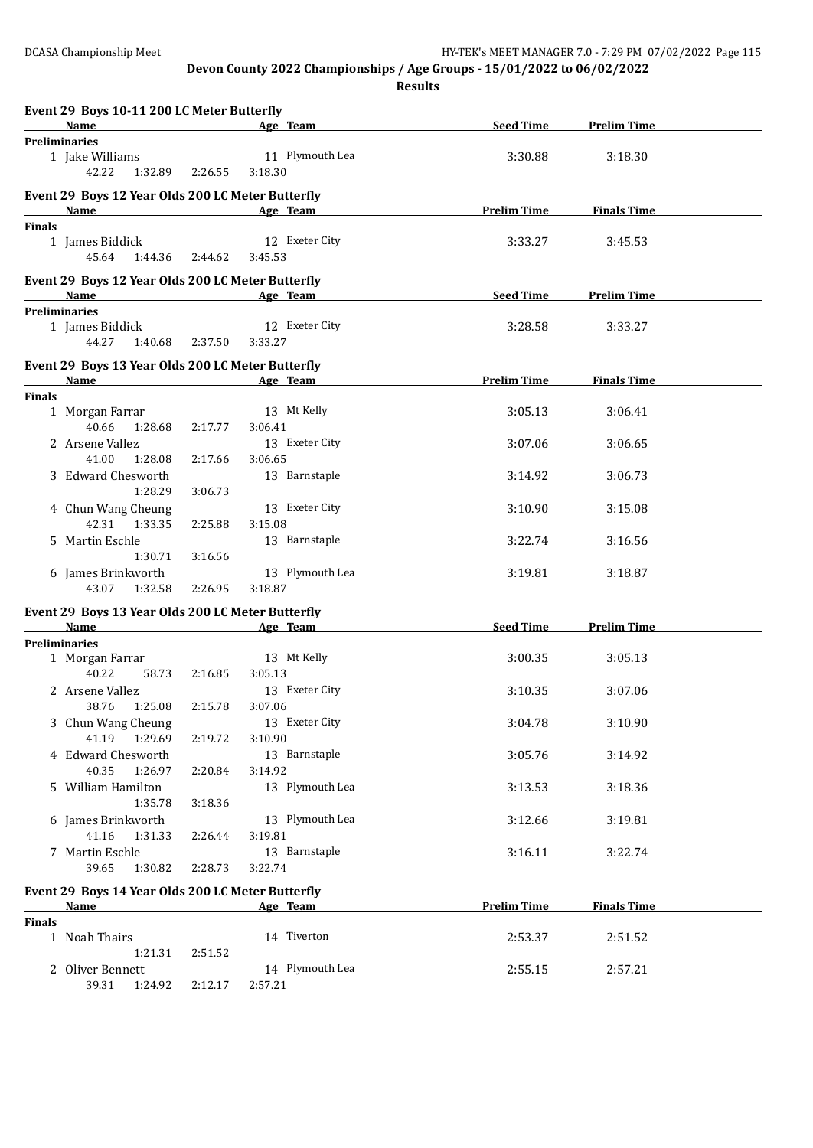**Results**

|               | Event 29 Boys 10-11 200 LC Meter Butterfly                  |                 |                            |                    |                    |  |
|---------------|-------------------------------------------------------------|-----------------|----------------------------|--------------------|--------------------|--|
|               | <b>Name</b>                                                 |                 | Age Team                   | <b>Seed Time</b>   | <b>Prelim Time</b> |  |
|               | <b>Preliminaries</b><br>1 Jake Williams<br>42.22<br>1:32.89 | 2:26.55         | 11 Plymouth Lea<br>3:18.30 | 3:30.88            | 3:18.30            |  |
|               | Event 29 Boys 12 Year Olds 200 LC Meter Butterfly<br>Name   |                 | Age Team                   | <b>Prelim Time</b> | <b>Finals Time</b> |  |
| <b>Finals</b> |                                                             |                 |                            |                    |                    |  |
|               | 1 James Biddick<br>45.64                                    | 1:44.36 2:44.62 | 12 Exeter City<br>3:45.53  | 3:33.27            | 3:45.53            |  |
|               | Event 29 Boys 12 Year Olds 200 LC Meter Butterfly<br>Name   |                 | Age Team                   | <b>Seed Time</b>   | <b>Prelim Time</b> |  |
|               | <b>Preliminaries</b>                                        |                 |                            |                    |                    |  |
|               | 1 James Biddick                                             |                 | 12 Exeter City             | 3:28.58            | 3:33.27            |  |
|               | 44.27<br>1:40.68                                            | 2:37.50         | 3:33.27                    |                    |                    |  |
|               | Event 29 Boys 13 Year Olds 200 LC Meter Butterfly           |                 |                            |                    |                    |  |
|               | Name                                                        |                 | Age Team                   | <b>Prelim Time</b> | <b>Finals Time</b> |  |
| <b>Finals</b> |                                                             |                 |                            |                    |                    |  |
|               | 1 Morgan Farrar                                             |                 | 13 Mt Kelly                | 3:05.13            | 3:06.41            |  |
|               | 40.66<br>1:28.68                                            | 2:17.77         | 3:06.41                    |                    |                    |  |
|               | 2 Arsene Vallez                                             |                 | 13 Exeter City             | 3:07.06            | 3:06.65            |  |
|               | 41.00<br>1:28.08                                            | 2:17.66         | 3:06.65                    |                    |                    |  |
|               | 3 Edward Chesworth<br>1:28.29                               | 3:06.73         | 13 Barnstaple              | 3:14.92            | 3:06.73            |  |
|               | 4 Chun Wang Cheung                                          |                 | 13 Exeter City             | 3:10.90            | 3:15.08            |  |
|               | 42.31<br>1:33.35                                            | 2:25.88         | 3:15.08                    |                    |                    |  |
|               | 5 Martin Eschle                                             |                 | 13 Barnstaple              | 3:22.74            | 3:16.56            |  |
|               | 1:30.71                                                     | 3:16.56         |                            |                    |                    |  |
|               | 6 James Brinkworth<br>43.07<br>1:32.58                      | 2:26.95         | 13 Plymouth Lea<br>3:18.87 | 3:19.81            | 3:18.87            |  |
|               |                                                             |                 |                            |                    |                    |  |
|               | Event 29 Boys 13 Year Olds 200 LC Meter Butterfly<br>Name   |                 | Age Team                   | <b>Seed Time</b>   | <b>Prelim Time</b> |  |
|               | <b>Preliminaries</b>                                        |                 |                            |                    |                    |  |
|               | 1 Morgan Farrar                                             |                 | 13 Mt Kelly                | 3:00.35            | 3:05.13            |  |
|               | 40.22<br>58.73                                              | 2:16.85         | 3:05.13                    |                    |                    |  |
|               | 2 Arsene Vallez                                             |                 | 13 Exeter City             | 3:10.35            | 3:07.06            |  |
|               | 38.76<br>1:25.08                                            | 2:15.78         | 3:07.06                    |                    |                    |  |
|               | 3 Chun Wang Cheung                                          |                 | 13 Exeter City             | 3:04.78            | 3:10.90            |  |
|               | 41.19 1:29.69                                               | 2:19.72         | 3:10.90                    |                    |                    |  |
|               | 4 Edward Chesworth                                          |                 | 13 Barnstaple              | 3:05.76            | 3:14.92            |  |
|               | 40.35<br>1:26.97                                            | 2:20.84         | 3:14.92                    |                    |                    |  |
|               | 5 William Hamilton                                          |                 | 13 Plymouth Lea            | 3:13.53            | 3:18.36            |  |
|               | 1:35.78                                                     | 3:18.36         |                            |                    |                    |  |
|               | 6 James Brinkworth                                          |                 | 13 Plymouth Lea            | 3:12.66            | 3:19.81            |  |
|               | 41.16<br>1:31.33                                            | 2:26.44         | 3:19.81                    |                    |                    |  |
|               | 7 Martin Eschle                                             |                 | 13 Barnstaple              | 3:16.11            | 3:22.74            |  |
|               | 39.65<br>1:30.82                                            | 2:28.73         | 3:22.74                    |                    |                    |  |
|               | Event 29 Boys 14 Year Olds 200 LC Meter Butterfly           |                 |                            |                    |                    |  |
|               | Name                                                        |                 | Age Team                   | <b>Prelim Time</b> | <b>Finals Time</b> |  |
| <b>Finals</b> |                                                             |                 |                            |                    |                    |  |
|               | 1 Noah Thairs                                               |                 | 14 Tiverton                | 2:53.37            | 2:51.52            |  |
|               | 1:21.31                                                     | 2:51.52         |                            |                    |                    |  |
|               | 2 Oliver Bennett                                            |                 | 14 Plymouth Lea            | 2:55.15            | 2:57.21            |  |
|               | 39.31<br>1:24.92                                            | 2:12.17         | 2:57.21                    |                    |                    |  |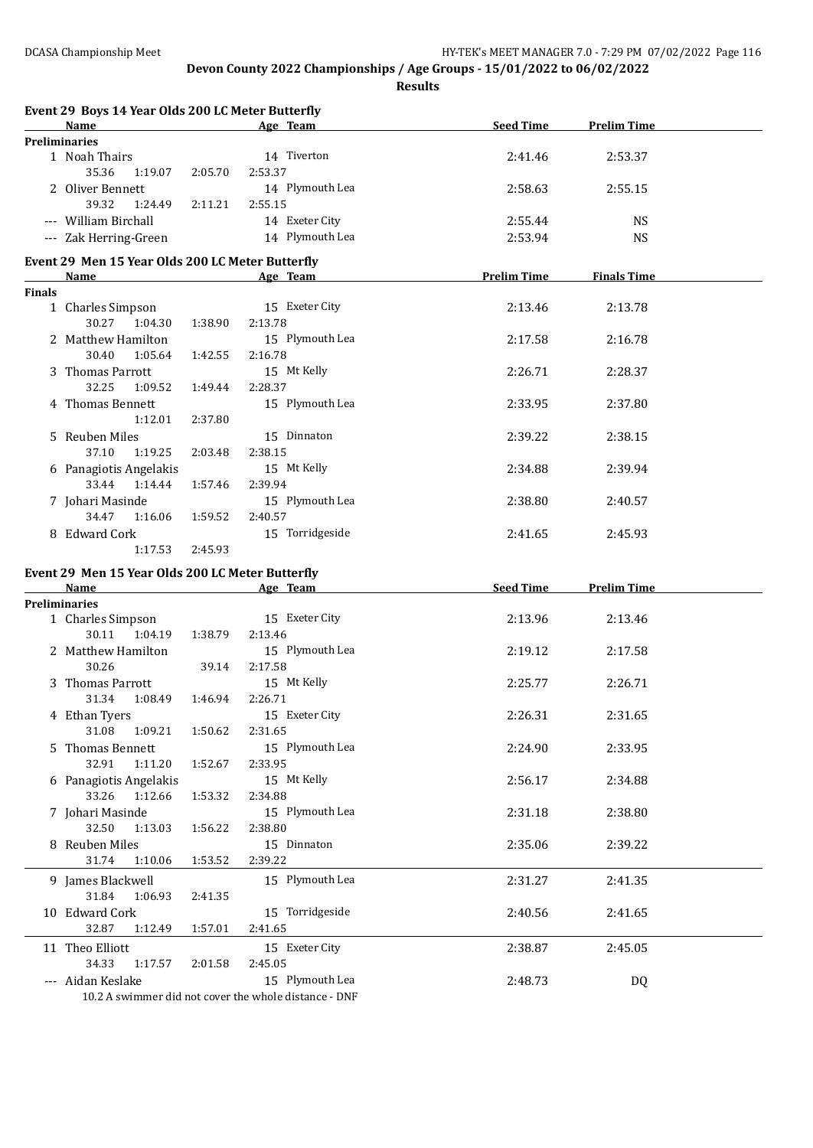**Results**

|               | Event 29 Boys 14 Year Olds 200 LC Meter Butterfly |         |                 |                    |                    |  |
|---------------|---------------------------------------------------|---------|-----------------|--------------------|--------------------|--|
|               | Name                                              |         | Age Team        | <b>Seed Time</b>   | <b>Prelim Time</b> |  |
|               | <b>Preliminaries</b>                              |         |                 |                    |                    |  |
|               | 1 Noah Thairs                                     |         | 14 Tiverton     | 2:41.46            | 2:53.37            |  |
|               | 35.36<br>1:19.07                                  | 2:05.70 | 2:53.37         |                    |                    |  |
|               | 2 Oliver Bennett                                  |         | 14 Plymouth Lea | 2:58.63            | 2:55.15            |  |
|               | 39.32<br>1:24.49                                  | 2:11.21 | 2:55.15         |                    |                    |  |
|               | --- William Birchall                              |         | 14 Exeter City  | 2:55.44            | <b>NS</b>          |  |
|               | --- Zak Herring-Green                             |         | 14 Plymouth Lea | 2:53.94            | <b>NS</b>          |  |
|               | Event 29 Men 15 Year Olds 200 LC Meter Butterfly  |         |                 |                    |                    |  |
|               | Name                                              |         | Age Team        | <b>Prelim Time</b> | <b>Finals Time</b> |  |
| <b>Finals</b> |                                                   |         |                 |                    |                    |  |
|               | 1 Charles Simpson                                 |         | 15 Exeter City  | 2:13.46            | 2:13.78            |  |
|               | 30.27<br>1:04.30                                  | 1:38.90 | 2:13.78         |                    |                    |  |
|               | 2 Matthew Hamilton                                |         | 15 Plymouth Lea | 2:17.58            | 2:16.78            |  |
|               | 30.40<br>1:05.64                                  | 1:42.55 | 2:16.78         |                    |                    |  |
|               | 3 Thomas Parrott                                  |         | 15 Mt Kelly     | 2:26.71            | 2:28.37            |  |
|               | 32.25<br>1:09.52                                  | 1:49.44 | 2:28.37         |                    |                    |  |
|               | 4 Thomas Bennett                                  |         | 15 Plymouth Lea | 2:33.95            | 2:37.80            |  |
|               | 1:12.01                                           | 2:37.80 |                 |                    |                    |  |
|               | 5 Reuben Miles                                    |         | 15 Dinnaton     | 2:39.22            | 2:38.15            |  |
|               | 37.10<br>1:19.25                                  | 2:03.48 | 2:38.15         |                    |                    |  |
|               | 6 Panagiotis Angelakis                            |         | 15 Mt Kelly     | 2:34.88            | 2:39.94            |  |
|               | 33.44 1:14.44                                     | 1:57.46 | 2:39.94         |                    |                    |  |
|               | 7 Johari Masinde                                  |         | 15 Plymouth Lea | 2:38.80            | 2:40.57            |  |
|               | 34.47<br>1:16.06                                  | 1:59.52 | 2:40.57         |                    |                    |  |
|               | 8 Edward Cork                                     |         | 15 Torridgeside | 2:41.65            | 2:45.93            |  |
|               | 1:17.53                                           | 2:45.93 |                 |                    |                    |  |
|               |                                                   |         |                 |                    |                    |  |
|               | Event 29 Men 15 Year Olds 200 LC Meter Butterfly  |         |                 |                    |                    |  |
|               | Name                                              |         | Age Team        | Seed Time          | <b>Prelim Time</b> |  |
|               | <b>Preliminaries</b>                              |         |                 |                    |                    |  |
|               | 1 Charles Simpson                                 |         | 15 Exeter City  | 2:13.96            | 2:13.46            |  |
|               | 30.11<br>1:04.19                                  | 1:38.79 | 2:13.46         |                    |                    |  |
|               | 2 Matthew Hamilton                                |         | 15 Plymouth Lea | 2:19.12            | 2:17.58            |  |
|               | 30.26                                             | 39.14   | 2:17.58         |                    |                    |  |
|               | 3 Thomas Parrott                                  |         | 15 Mt Kelly     | 2:25.77            | 2:26.71            |  |
|               | 31.34<br>1:08.49                                  | 1:46.94 | 2:26.71         |                    |                    |  |
|               | 4 Ethan Tyers                                     |         | 15 Exeter City  | 2:26.31            | 2:31.65            |  |
|               | 31.08<br>1:09.21                                  | 1:50.62 | 2:31.65         |                    |                    |  |
|               | 5 Thomas Bennett                                  |         | 15 Plymouth Lea | 2:24.90            | 2:33.95            |  |
|               | 32.91<br>1:11.20                                  | 1:52.67 | 2:33.95         |                    |                    |  |
|               | 6 Panagiotis Angelakis                            |         | 15 Mt Kelly     | 2:56.17            | 2:34.88            |  |
|               | 33.26<br>1:12.66                                  | 1:53.32 | 2:34.88         |                    |                    |  |
|               | 7 Johari Masinde                                  |         | 15 Plymouth Lea | 2:31.18            | 2:38.80            |  |
|               | 32.50<br>1:13.03                                  | 1:56.22 | 2:38.80         |                    |                    |  |
|               | 8 Reuben Miles                                    |         | 15 Dinnaton     | 2:35.06            | 2:39.22            |  |
|               | 31.74<br>1:10.06                                  | 1:53.52 | 2:39.22         |                    |                    |  |
|               | 9 James Blackwell                                 |         | 15 Plymouth Lea | 2:31.27            | 2:41.35            |  |
|               | 31.84<br>1:06.93                                  | 2:41.35 |                 |                    |                    |  |
|               | 10 Edward Cork                                    |         | 15 Torridgeside | 2:40.56            | 2:41.65            |  |
|               | 32.87<br>1:12.49                                  | 1:57.01 | 2:41.65         |                    |                    |  |
|               |                                                   |         | 15 Exeter City  |                    |                    |  |
|               | 11 Theo Elliott<br>34.33<br>1:17.57               | 2:01.58 | 2:45.05         | 2:38.87            | 2:45.05            |  |
|               | --- Aidan Keslake                                 |         | 15 Plymouth Lea | 2:48.73            | DQ                 |  |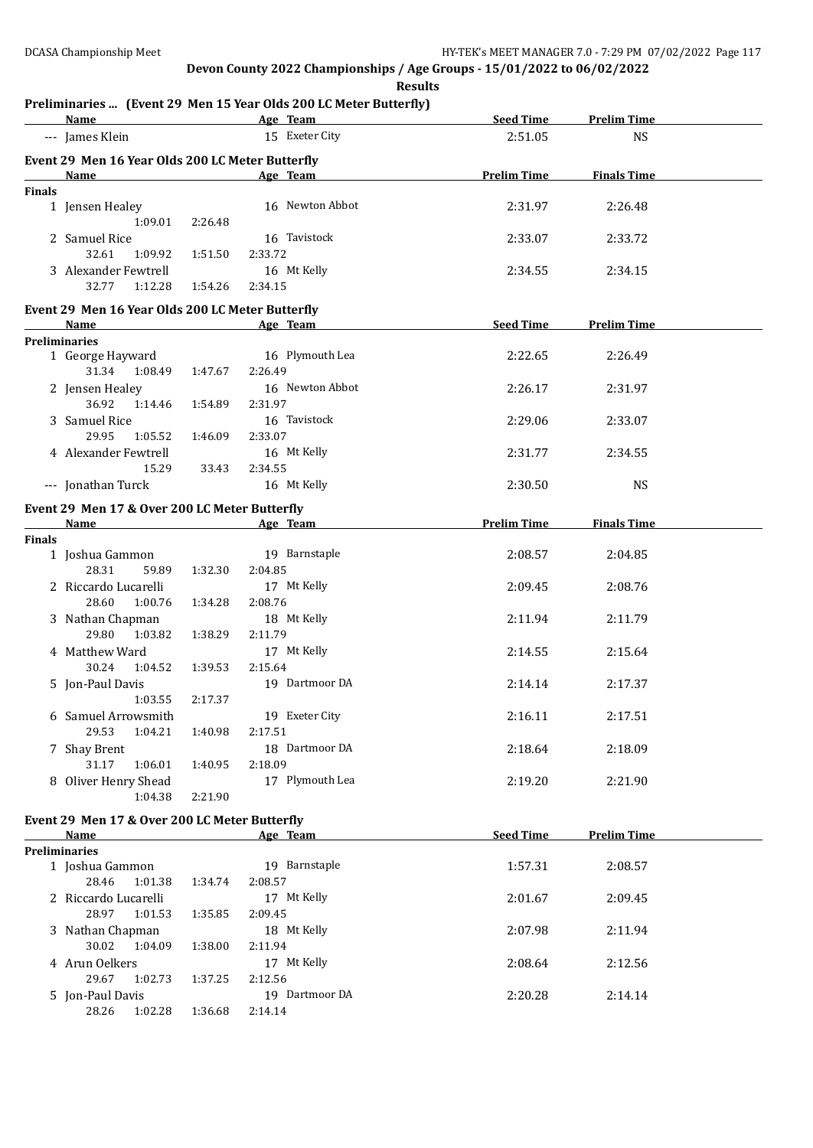**Results**

# **Preliminaries ... (Event 29 Men 15 Year Olds 200 LC Meter Butterfly)**

|               | <u>Name</u>                                                                                                                                                                                                                    |         | Freminiaries  (Event 29 Men 15 fear Olus 200 LC Meter Dutterny)<br><b>Example 2</b> Age Team                                                                                                                                   |                    | Seed Time Prelim Time |  |
|---------------|--------------------------------------------------------------------------------------------------------------------------------------------------------------------------------------------------------------------------------|---------|--------------------------------------------------------------------------------------------------------------------------------------------------------------------------------------------------------------------------------|--------------------|-----------------------|--|
|               | --- James Klein                                                                                                                                                                                                                |         | 15 Exeter City                                                                                                                                                                                                                 | 2:51.05            | <b>NS</b>             |  |
|               | Event 29 Men 16 Year Olds 200 LC Meter Butterfly                                                                                                                                                                               |         |                                                                                                                                                                                                                                |                    |                       |  |
|               | Name                                                                                                                                                                                                                           |         | Age Team                                                                                                                                                                                                                       | <b>Prelim Time</b> | <b>Finals Time</b>    |  |
| <b>Finals</b> |                                                                                                                                                                                                                                |         |                                                                                                                                                                                                                                |                    |                       |  |
|               | 1 Jensen Healey<br>1:09.01                                                                                                                                                                                                     | 2:26.48 | 16 Newton Abbot                                                                                                                                                                                                                | 2:31.97            | 2:26.48               |  |
|               | 2 Samuel Rice                                                                                                                                                                                                                  |         | 16 Tavistock                                                                                                                                                                                                                   | 2:33.07            | 2:33.72               |  |
|               | 32.61<br>1:09.92                                                                                                                                                                                                               | 1:51.50 | 2:33.72                                                                                                                                                                                                                        |                    |                       |  |
|               | 3 Alexander Fewtrell<br>32.77<br>1:12.28                                                                                                                                                                                       | 1:54.26 | 16 Mt Kelly<br>2:34.15                                                                                                                                                                                                         | 2:34.55            | 2:34.15               |  |
|               | Event 29 Men 16 Year Olds 200 LC Meter Butterfly                                                                                                                                                                               |         |                                                                                                                                                                                                                                |                    |                       |  |
|               | <b>Name</b>                                                                                                                                                                                                                    |         | Age Team and the state of the state of the state of the state of the state of the state of the state of the state of the state of the state of the state of the state of the state of the state of the state of the state of t | Seed Time          | <b>Prelim Time</b>    |  |
|               | <b>Preliminaries</b>                                                                                                                                                                                                           |         |                                                                                                                                                                                                                                |                    |                       |  |
|               | 1 George Hayward                                                                                                                                                                                                               |         | 16 Plymouth Lea                                                                                                                                                                                                                | 2:22.65            | 2:26.49               |  |
|               | 31.34 1:08.49                                                                                                                                                                                                                  | 1:47.67 | 2:26.49                                                                                                                                                                                                                        |                    |                       |  |
|               | 2 Jensen Healey                                                                                                                                                                                                                |         | 16 Newton Abbot                                                                                                                                                                                                                | 2:26.17            | 2:31.97               |  |
|               | 36.92<br>1:14.46                                                                                                                                                                                                               | 1:54.89 | 2:31.97                                                                                                                                                                                                                        |                    |                       |  |
|               | 3 Samuel Rice                                                                                                                                                                                                                  |         | 16 Tavistock                                                                                                                                                                                                                   | 2:29.06            | 2:33.07               |  |
|               | 29.95<br>1:05.52                                                                                                                                                                                                               | 1:46.09 | 2:33.07                                                                                                                                                                                                                        |                    |                       |  |
|               | 4 Alexander Fewtrell                                                                                                                                                                                                           |         | 16 Mt Kelly                                                                                                                                                                                                                    | 2:31.77            | 2:34.55               |  |
|               | 15.29                                                                                                                                                                                                                          | 33.43   | 2:34.55                                                                                                                                                                                                                        |                    |                       |  |
|               | --- Jonathan Turck                                                                                                                                                                                                             |         | 16 Mt Kelly                                                                                                                                                                                                                    | 2:30.50            | <b>NS</b>             |  |
|               | Event 29 Men 17 & Over 200 LC Meter Butterfly                                                                                                                                                                                  |         |                                                                                                                                                                                                                                |                    |                       |  |
|               | Name and the second state of the second state of the second state of the second state of the second state of the second state of the second state of the second state of the second state of the second state of the second st |         | Age Team                                                                                                                                                                                                                       | <b>Prelim Time</b> | <b>Finals Time</b>    |  |
| <b>Finals</b> |                                                                                                                                                                                                                                |         |                                                                                                                                                                                                                                |                    |                       |  |
|               | 1 Joshua Gammon                                                                                                                                                                                                                |         | 19 Barnstaple                                                                                                                                                                                                                  | 2:08.57            | 2:04.85               |  |
|               | 28.31<br>59.89                                                                                                                                                                                                                 | 1:32.30 | 2:04.85                                                                                                                                                                                                                        |                    |                       |  |
|               | 2 Riccardo Lucarelli                                                                                                                                                                                                           |         | 17 Mt Kelly                                                                                                                                                                                                                    | 2:09.45            | 2:08.76               |  |
|               | 28.60<br>1:00.76                                                                                                                                                                                                               | 1:34.28 | 2:08.76                                                                                                                                                                                                                        |                    |                       |  |
|               | 3 Nathan Chapman                                                                                                                                                                                                               |         | 18 Mt Kelly                                                                                                                                                                                                                    | 2:11.94            | 2:11.79               |  |
|               | 29.80<br>1:03.82                                                                                                                                                                                                               | 1:38.29 | 2:11.79                                                                                                                                                                                                                        |                    |                       |  |
|               | 4 Matthew Ward                                                                                                                                                                                                                 |         | 17 Mt Kelly                                                                                                                                                                                                                    | 2:14.55            | 2:15.64               |  |
|               | 30.24<br>1:04.52                                                                                                                                                                                                               | 1:39.53 | 2:15.64                                                                                                                                                                                                                        |                    |                       |  |
|               | 5 Jon-Paul Davis                                                                                                                                                                                                               |         | 19 Dartmoor DA                                                                                                                                                                                                                 | 2:14.14            | 2:17.37               |  |
|               | 1:03.55                                                                                                                                                                                                                        | 2:17.37 |                                                                                                                                                                                                                                |                    |                       |  |
|               | 6 Samuel Arrowsmith                                                                                                                                                                                                            |         | 19 Exeter City                                                                                                                                                                                                                 | 2:16.11            | 2:17.51               |  |
|               | 29.53<br>1:04.21                                                                                                                                                                                                               | 1:40.98 | 2:17.51                                                                                                                                                                                                                        |                    |                       |  |
|               | 7 Shay Brent                                                                                                                                                                                                                   |         | 18 Dartmoor DA                                                                                                                                                                                                                 | 2:18.64            | 2:18.09               |  |
|               | 31.17<br>1:06.01                                                                                                                                                                                                               | 1:40.95 | 2:18.09                                                                                                                                                                                                                        |                    |                       |  |
|               | 8 Oliver Henry Shead                                                                                                                                                                                                           |         | 17 Plymouth Lea                                                                                                                                                                                                                | 2:19.20            | 2:21.90               |  |
|               | 1:04.38                                                                                                                                                                                                                        | 2:21.90 |                                                                                                                                                                                                                                |                    |                       |  |
|               | Event 29 Men 17 & Over 200 LC Meter Butterfly                                                                                                                                                                                  |         |                                                                                                                                                                                                                                |                    |                       |  |
|               | Name                                                                                                                                                                                                                           |         | Age Team                                                                                                                                                                                                                       | <b>Seed Time</b>   | <b>Prelim Time</b>    |  |
|               | <b>Preliminaries</b>                                                                                                                                                                                                           |         |                                                                                                                                                                                                                                |                    |                       |  |
|               | 1 Joshua Gammon                                                                                                                                                                                                                |         | 19 Barnstaple                                                                                                                                                                                                                  | 1:57.31            | 2:08.57               |  |
|               | 28.46<br>1:01.38                                                                                                                                                                                                               | 1:34.74 | 2:08.57                                                                                                                                                                                                                        |                    |                       |  |
|               | 2 Riccardo Lucarelli                                                                                                                                                                                                           |         | 17 Mt Kelly                                                                                                                                                                                                                    | 2:01.67            | 2:09.45               |  |
|               | 28.97<br>1:01.53                                                                                                                                                                                                               | 1:35.85 | 2:09.45                                                                                                                                                                                                                        |                    |                       |  |
|               | 3 Nathan Chapman                                                                                                                                                                                                               |         | 18 Mt Kelly                                                                                                                                                                                                                    | 2:07.98            | 2:11.94               |  |
|               | 30.02<br>1:04.09                                                                                                                                                                                                               | 1:38.00 | 2:11.94                                                                                                                                                                                                                        |                    |                       |  |
|               | 4 Arun Oelkers                                                                                                                                                                                                                 |         | 17 Mt Kelly                                                                                                                                                                                                                    | 2:08.64            | 2:12.56               |  |
|               | 29.67<br>1:02.73                                                                                                                                                                                                               | 1:37.25 | 2:12.56                                                                                                                                                                                                                        |                    |                       |  |
|               | 5 Jon-Paul Davis                                                                                                                                                                                                               |         | 19 Dartmoor DA                                                                                                                                                                                                                 | 2:20.28            | 2:14.14               |  |
|               | 28.26<br>1:02.28                                                                                                                                                                                                               | 1:36.68 | 2:14.14                                                                                                                                                                                                                        |                    |                       |  |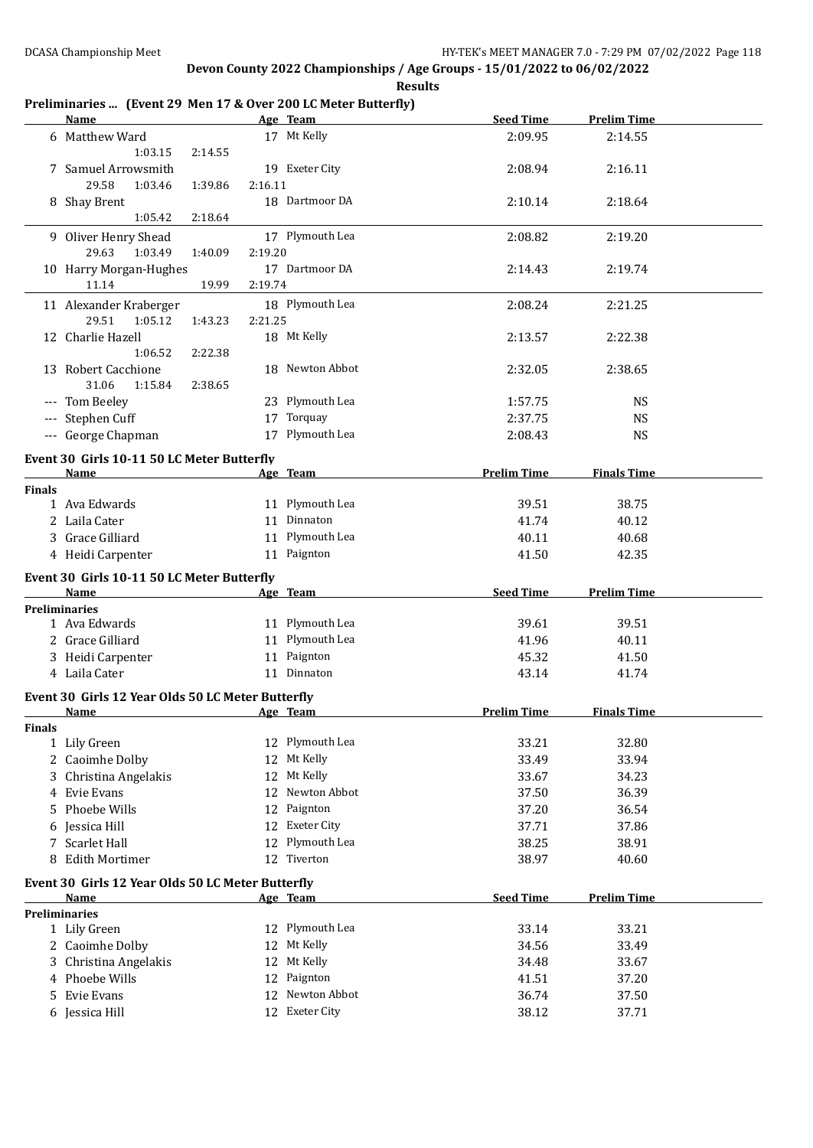#### **Preliminaries ... (Event 29 Men 17 & Over 200 LC Meter Butterfly)**

|               | Name                                               |         | Age Team        | <b>Seed Time</b>   | <b>Prelim Time</b> |  |
|---------------|----------------------------------------------------|---------|-----------------|--------------------|--------------------|--|
|               | 6 Matthew Ward                                     |         | 17 Mt Kelly     | 2:09.95            | 2:14.55            |  |
|               | 1:03.15<br>2:14.55                                 |         |                 |                    |                    |  |
|               | 7 Samuel Arrowsmith                                |         | 19 Exeter City  | 2:08.94            | 2:16.11            |  |
|               | 29.58<br>1:03.46<br>1:39.86                        | 2:16.11 |                 |                    |                    |  |
|               | 8 Shay Brent                                       |         | 18 Dartmoor DA  | 2:10.14            | 2:18.64            |  |
|               | 1:05.42<br>2:18.64                                 |         |                 |                    |                    |  |
|               | 9 Oliver Henry Shead                               |         | 17 Plymouth Lea | 2:08.82            | 2:19.20            |  |
|               | 29.63<br>1:03.49<br>1:40.09                        | 2:19.20 |                 |                    |                    |  |
|               | 10 Harry Morgan-Hughes                             |         | 17 Dartmoor DA  | 2:14.43            | 2:19.74            |  |
|               | 11.14<br>19.99                                     | 2:19.74 |                 |                    |                    |  |
|               | 11 Alexander Kraberger                             |         | 18 Plymouth Lea | 2:08.24            | 2:21.25            |  |
|               | 29.51<br>1:05.12<br>1:43.23                        | 2:21.25 |                 |                    |                    |  |
|               | 12 Charlie Hazell                                  |         | 18 Mt Kelly     | 2:13.57            | 2:22.38            |  |
|               | 1:06.52<br>2:22.38                                 |         |                 |                    |                    |  |
|               |                                                    |         | 18 Newton Abbot |                    |                    |  |
|               | 13 Robert Cacchione<br>31.06<br>1:15.84<br>2:38.65 |         |                 | 2:32.05            | 2:38.65            |  |
|               | --- Tom Beeley                                     |         | 23 Plymouth Lea |                    |                    |  |
|               |                                                    |         |                 | 1:57.75            | <b>NS</b>          |  |
|               | --- Stephen Cuff                                   |         | 17 Torquay      | 2:37.75            | <b>NS</b>          |  |
|               | --- George Chapman                                 |         | 17 Plymouth Lea | 2:08.43            | <b>NS</b>          |  |
|               | Event 30 Girls 10-11 50 LC Meter Butterfly         |         |                 |                    |                    |  |
|               | Name                                               |         | Age Team        | <b>Prelim Time</b> | <b>Finals Time</b> |  |
| <b>Finals</b> |                                                    |         |                 |                    |                    |  |
|               | 1 Ava Edwards                                      |         | 11 Plymouth Lea | 39.51              | 38.75              |  |
|               | 2 Laila Cater                                      |         | 11 Dinnaton     | 41.74              | 40.12              |  |
|               | 3 Grace Gilliard                                   |         | 11 Plymouth Lea | 40.11              | 40.68              |  |
|               | 4 Heidi Carpenter                                  |         | 11 Paignton     | 41.50              | 42.35              |  |
|               | Event 30 Girls 10-11 50 LC Meter Butterfly         |         |                 |                    |                    |  |
|               |                                                    |         |                 |                    |                    |  |
|               | Name                                               |         |                 | <b>Seed Time</b>   | <b>Prelim Time</b> |  |
|               | <b>Preliminaries</b>                               |         | Age Team        |                    |                    |  |
|               | 1 Ava Edwards                                      |         | 11 Plymouth Lea | 39.61              | 39.51              |  |
|               | 2 Grace Gilliard                                   |         | 11 Plymouth Lea | 41.96              | 40.11              |  |
|               | 3 Heidi Carpenter                                  |         | 11 Paignton     | 45.32              | 41.50              |  |
|               | 4 Laila Cater                                      |         | 11 Dinnaton     | 43.14              | 41.74              |  |
|               |                                                    |         |                 |                    |                    |  |
|               | Event 30 Girls 12 Year Olds 50 LC Meter Butterfly  |         |                 |                    |                    |  |
|               | Name                                               |         | Age Team        | <b>Prelim Time</b> | <b>Finals Time</b> |  |
| <b>Finals</b> |                                                    |         |                 |                    |                    |  |
|               | 1 Lily Green                                       |         | 12 Plymouth Lea | 33.21              | 32.80              |  |
|               | 2 Caoimhe Dolby                                    |         | 12 Mt Kelly     | 33.49              | 33.94              |  |
|               | 3 Christina Angelakis                              |         | 12 Mt Kelly     | 33.67              | 34.23              |  |
|               | 4 Evie Evans                                       | 12      | Newton Abbot    | 37.50              | 36.39              |  |
| 5.            | Phoebe Wills                                       |         | 12 Paignton     | 37.20              | 36.54              |  |
|               | 6 Jessica Hill                                     |         | 12 Exeter City  | 37.71              | 37.86              |  |
|               | 7 Scarlet Hall                                     |         | 12 Plymouth Lea | 38.25              | 38.91              |  |
|               | 8 Edith Mortimer                                   |         | 12 Tiverton     | 38.97              | 40.60              |  |
|               | Event 30 Girls 12 Year Olds 50 LC Meter Butterfly  |         |                 |                    |                    |  |
|               | Name                                               |         | Age Team        | <b>Seed Time</b>   | <b>Prelim Time</b> |  |
|               | <b>Preliminaries</b>                               |         |                 |                    |                    |  |
|               | 1 Lily Green                                       |         | 12 Plymouth Lea | 33.14              | 33.21              |  |
|               | 2 Caoimhe Dolby                                    | 12      | Mt Kelly        | 34.56              | 33.49              |  |
|               | 3 Christina Angelakis                              | 12      | Mt Kelly        | 34.48              | 33.67              |  |
|               | 4 Phoebe Wills                                     | 12      | Paignton        | 41.51              | 37.20              |  |
| 5             | Evie Evans                                         | 12      | Newton Abbot    | 36.74              | 37.50              |  |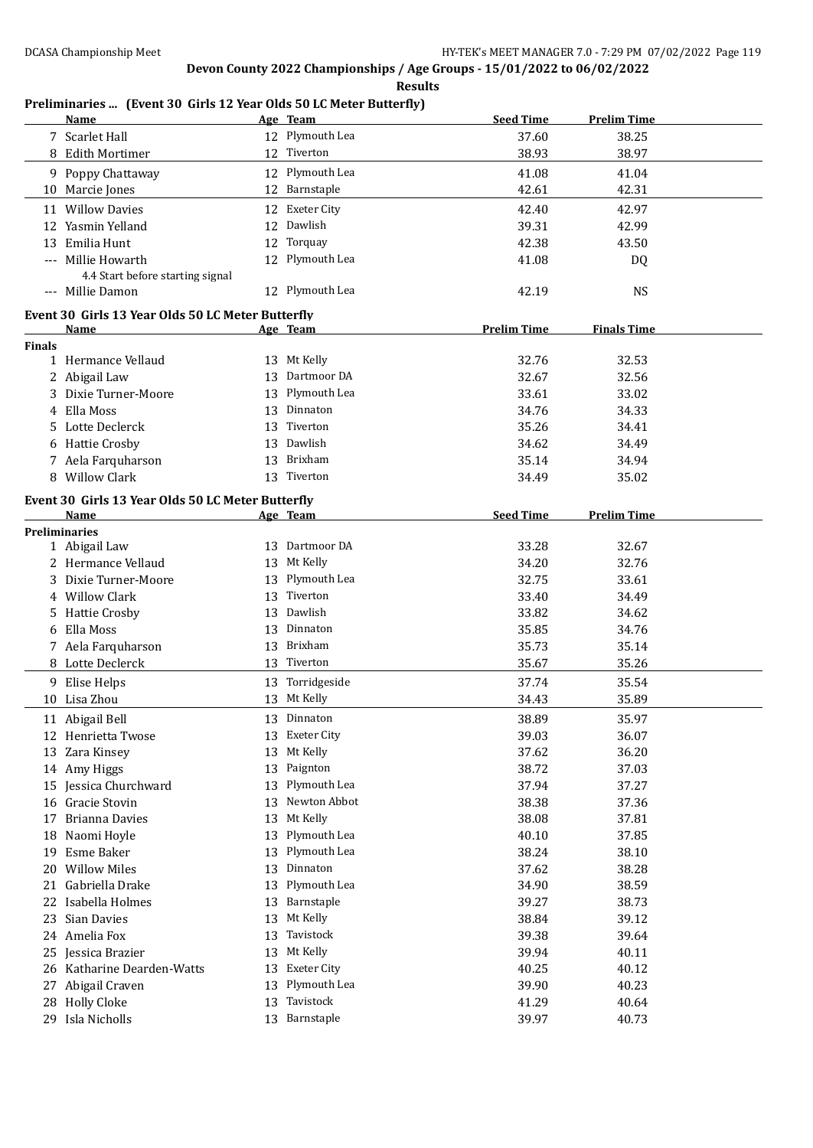#### **Preliminaries ... (Event 30 Girls 12 Year Olds 50 LC Meter Butterfly)**

|               | <b>Name</b>                                       |    | Age Team        | <b>Seed Time</b>   | <b>Prelim Time</b> |  |
|---------------|---------------------------------------------------|----|-----------------|--------------------|--------------------|--|
|               | 7 Scarlet Hall                                    |    | 12 Plymouth Lea | 37.60              | 38.25              |  |
|               | 8 Edith Mortimer                                  |    | 12 Tiverton     | 38.93              | 38.97              |  |
|               | 9 Poppy Chattaway                                 |    | 12 Plymouth Lea | 41.08              | 41.04              |  |
|               | 10 Marcie Jones                                   |    | 12 Barnstaple   | 42.61              | 42.31              |  |
|               |                                                   |    |                 |                    |                    |  |
|               | 11 Willow Davies                                  |    | 12 Exeter City  | 42.40              | 42.97              |  |
|               | 12 Yasmin Yelland                                 |    | 12 Dawlish      | 39.31              | 42.99              |  |
|               | 13 Emilia Hunt                                    |    | 12 Torquay      | 42.38              | 43.50              |  |
|               | --- Millie Howarth                                |    | 12 Plymouth Lea | 41.08              | DQ                 |  |
|               | 4.4 Start before starting signal                  |    |                 |                    |                    |  |
|               | --- Millie Damon                                  |    | 12 Plymouth Lea | 42.19              | <b>NS</b>          |  |
|               | Event 30 Girls 13 Year Olds 50 LC Meter Butterfly |    |                 |                    |                    |  |
|               | Name                                              |    | Age Team        | <b>Prelim Time</b> | <b>Finals Time</b> |  |
| <b>Finals</b> |                                                   |    |                 |                    |                    |  |
|               | 1 Hermance Vellaud                                |    | 13 Mt Kelly     | 32.76              | 32.53              |  |
|               | 2 Abigail Law                                     | 13 | Dartmoor DA     | 32.67              | 32.56              |  |
|               | 3 Dixie Turner-Moore                              | 13 | Plymouth Lea    | 33.61              | 33.02              |  |
| 4             | Ella Moss                                         | 13 | Dinnaton        | 34.76              | 34.33              |  |
|               | 5 Lotte Declerck                                  |    | 13 Tiverton     | 35.26              | 34.41              |  |
|               | 6 Hattie Crosby                                   | 13 | Dawlish         | 34.62              | 34.49              |  |
|               | 7 Aela Farquharson                                | 13 | Brixham         | 35.14              | 34.94              |  |
|               | 8 Willow Clark                                    |    | 13 Tiverton     |                    |                    |  |
|               |                                                   |    |                 | 34.49              | 35.02              |  |
|               | Event 30 Girls 13 Year Olds 50 LC Meter Butterfly |    |                 |                    |                    |  |
|               | Name                                              |    | Age Team        | <b>Seed Time</b>   | <b>Prelim Time</b> |  |
|               | <b>Preliminaries</b>                              |    |                 |                    |                    |  |
|               | 1 Abigail Law                                     |    | 13 Dartmoor DA  | 33.28              | 32.67              |  |
|               | 2 Hermance Vellaud                                |    | 13 Mt Kelly     | 34.20              | 32.76              |  |
|               | 3 Dixie Turner-Moore                              |    | 13 Plymouth Lea | 32.75              | 33.61              |  |
|               | 4 Willow Clark                                    | 13 | Tiverton        | 33.40              | 34.49              |  |
|               | 5 Hattie Crosby                                   | 13 | Dawlish         | 33.82              | 34.62              |  |
|               | Ella Moss                                         | 13 | Dinnaton        | 35.85              | 34.76              |  |
|               | 7 Aela Farquharson                                | 13 | Brixham         | 35.73              | 35.14              |  |
|               | 8 Lotte Declerck                                  |    | 13 Tiverton     | 35.67              | 35.26              |  |
|               | 9 Elise Helps                                     |    | 13 Torridgeside | 37.74              | 35.54              |  |
|               | 10 Lisa Zhou                                      |    | 13 Mt Kelly     | 34.43              | 35.89              |  |
|               |                                                   |    | 13 Dinnaton     |                    |                    |  |
|               | 11 Abigail Bell                                   |    |                 | 38.89              | 35.97              |  |
|               | 12 Henrietta Twose                                |    | 13 Exeter City  | 39.03              | 36.07              |  |
|               | 13 Zara Kinsey                                    | 13 | Mt Kelly        | 37.62              | 36.20              |  |
|               | 14 Amy Higgs                                      | 13 | Paignton        | 38.72              | 37.03              |  |
|               | 15 Jessica Churchward                             | 13 | Plymouth Lea    | 37.94              | 37.27              |  |
|               | 16 Gracie Stovin                                  | 13 | Newton Abbot    | 38.38              | 37.36              |  |
| 17            | <b>Brianna Davies</b>                             | 13 | Mt Kelly        | 38.08              | 37.81              |  |
|               | 18 Naomi Hoyle                                    | 13 | Plymouth Lea    | 40.10              | 37.85              |  |
| 19            | Esme Baker                                        | 13 | Plymouth Lea    | 38.24              | 38.10              |  |
|               | 20 Willow Miles                                   | 13 | Dinnaton        | 37.62              | 38.28              |  |
| 21            | Gabriella Drake                                   | 13 | Plymouth Lea    | 34.90              | 38.59              |  |
| 22            | Isabella Holmes                                   | 13 | Barnstaple      | 39.27              | 38.73              |  |
|               | 23 Sian Davies                                    | 13 | Mt Kelly        | 38.84              | 39.12              |  |
|               | 24 Amelia Fox                                     | 13 | Tavistock       | 39.38              | 39.64              |  |
| 25            | Jessica Brazier                                   | 13 | Mt Kelly        | 39.94              | 40.11              |  |
|               | 26 Katharine Dearden-Watts                        | 13 | Exeter City     | 40.25              | 40.12              |  |
| 27            | Abigail Craven                                    | 13 | Plymouth Lea    | 39.90              | 40.23              |  |
| 28            | <b>Holly Cloke</b>                                | 13 | Tavistock       | 41.29              | 40.64              |  |
| 29            | Isla Nicholls                                     |    | 13 Barnstaple   | 39.97              | 40.73              |  |
|               |                                                   |    |                 |                    |                    |  |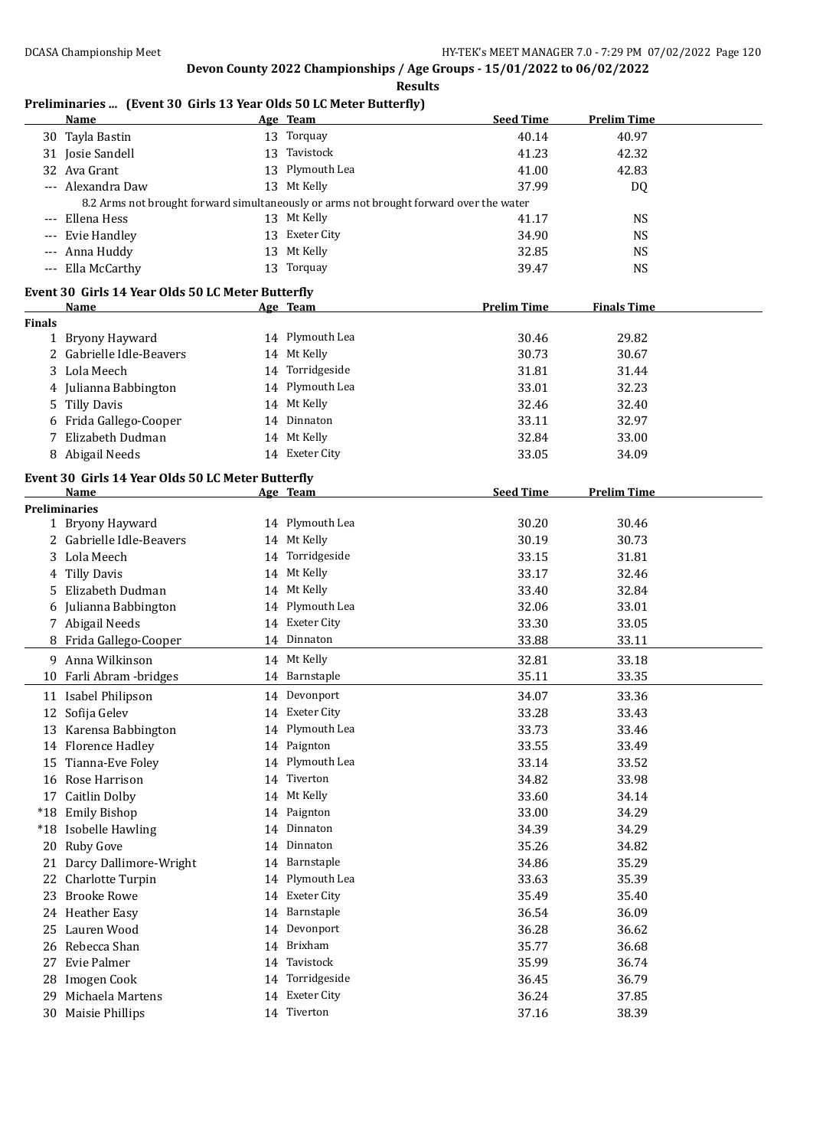#### **Preliminaries ... (Event 30 Girls 13 Year Olds 50 LC Meter Butterfly)**

|               | emmination prentso and to fear only so benefit batterny<br><u>Name</u> |    | Age Team                                                                               | <b>Seed Time</b>   | <b>Prelim Time</b> |
|---------------|------------------------------------------------------------------------|----|----------------------------------------------------------------------------------------|--------------------|--------------------|
|               | 30 Tayla Bastin                                                        |    | 13 Torquay                                                                             | 40.14              | 40.97              |
|               | 31 Josie Sandell                                                       |    | 13 Tavistock                                                                           | 41.23              | 42.32              |
|               | 32 Ava Grant                                                           |    | 13 Plymouth Lea                                                                        | 41.00              | 42.83              |
|               | --- Alexandra Daw                                                      |    | 13 Mt Kelly                                                                            | 37.99              | DQ                 |
|               |                                                                        |    | 8.2 Arms not brought forward simultaneously or arms not brought forward over the water |                    |                    |
|               | --- Ellena Hess                                                        |    | 13 Mt Kelly                                                                            | 41.17              | <b>NS</b>          |
|               | --- Evie Handley                                                       |    | 13 Exeter City                                                                         | 34.90              | <b>NS</b>          |
|               | --- Anna Huddy                                                         |    | 13 Mt Kelly                                                                            | 32.85              | <b>NS</b>          |
|               | --- Ella McCarthy                                                      |    | 13 Torquay                                                                             | 39.47              | <b>NS</b>          |
|               | Event 30 Girls 14 Year Olds 50 LC Meter Butterfly                      |    |                                                                                        |                    |                    |
|               | Name                                                                   |    | Age Team                                                                               | <b>Prelim Time</b> | <b>Finals Time</b> |
| <b>Finals</b> |                                                                        |    |                                                                                        |                    |                    |
|               | 1 Bryony Hayward                                                       |    | 14 Plymouth Lea                                                                        | 30.46              | 29.82              |
|               | 2 Gabrielle Idle-Beavers                                               |    | 14 Mt Kelly                                                                            | 30.73              | 30.67              |
| 3             | Lola Meech                                                             |    | 14 Torridgeside                                                                        | 31.81              | 31.44              |
|               | 4 Julianna Babbington                                                  |    | 14 Plymouth Lea                                                                        | 33.01              | 32.23              |
|               | 5 Tilly Davis                                                          |    | 14 Mt Kelly                                                                            | 32.46              | 32.40              |
|               | 6 Frida Gallego-Cooper                                                 |    | 14 Dinnaton                                                                            | 33.11              | 32.97              |
|               | 7 Elizabeth Dudman                                                     |    | 14 Mt Kelly                                                                            | 32.84              | 33.00              |
|               | 8 Abigail Needs                                                        |    | 14 Exeter City                                                                         | 33.05              | 34.09              |
|               | Event 30 Girls 14 Year Olds 50 LC Meter Butterfly                      |    |                                                                                        |                    |                    |
|               | Name                                                                   |    | Age Team                                                                               | <b>Seed Time</b>   | <b>Prelim Time</b> |
|               | <b>Preliminaries</b>                                                   |    |                                                                                        |                    |                    |
|               | 1 Bryony Hayward                                                       |    | 14 Plymouth Lea                                                                        | 30.20              | 30.46              |
|               | 2 Gabrielle Idle-Beavers                                               |    | 14 Mt Kelly                                                                            | 30.19              | 30.73              |
| 3             | Lola Meech                                                             |    | 14 Torridgeside                                                                        | 33.15              | 31.81              |
|               | 4 Tilly Davis                                                          |    | 14 Mt Kelly                                                                            | 33.17              | 32.46              |
| 5             | Elizabeth Dudman                                                       |    | 14 Mt Kelly                                                                            | 33.40              | 32.84              |
|               | 6 Julianna Babbington                                                  |    | 14 Plymouth Lea                                                                        | 32.06              | 33.01              |
|               | 7 Abigail Needs                                                        |    | 14 Exeter City                                                                         | 33.30              | 33.05              |
|               | 8 Frida Gallego-Cooper                                                 |    | 14 Dinnaton                                                                            | 33.88              | 33.11              |
|               | 9 Anna Wilkinson                                                       |    | 14 Mt Kelly                                                                            | 32.81              | 33.18              |
|               | 10 Farli Abram - bridges                                               |    | 14 Barnstaple                                                                          | 35.11              | 33.35              |
|               | 11 Isabel Philipson                                                    |    | 14 Devonport                                                                           | 34.07              | 33.36              |
|               | 12 Sofija Gelev                                                        |    | 14 Exeter City                                                                         | 33.28              | 33.43              |
|               | 13 Karensa Babbington                                                  |    | 14 Plymouth Lea                                                                        | 33.73              | 33.46              |
|               | 14 Florence Hadley                                                     |    | 14 Paignton                                                                            | 33.55              | 33.49              |
|               | 15 Tianna-Eve Foley                                                    | 14 | Plymouth Lea                                                                           | 33.14              | 33.52              |
|               | 16 Rose Harrison                                                       | 14 | Tiverton                                                                               | 34.82              | 33.98              |
|               | 17 Caitlin Dolby                                                       | 14 | Mt Kelly                                                                               | 33.60              | 34.14              |
|               | *18 Emily Bishop                                                       | 14 | Paignton                                                                               | 33.00              | 34.29              |
|               | *18 Isobelle Hawling                                                   | 14 | Dinnaton                                                                               | 34.39              | 34.29              |
| 20            | Ruby Gove                                                              | 14 | Dinnaton                                                                               | 35.26              | 34.82              |
| 21            | Darcy Dallimore-Wright                                                 | 14 | Barnstaple                                                                             | 34.86              | 35.29              |
| 22            | Charlotte Turpin                                                       | 14 | Plymouth Lea                                                                           | 33.63              | 35.39              |
| 23            | <b>Brooke Rowe</b>                                                     | 14 | <b>Exeter City</b>                                                                     | 35.49              | 35.40              |
|               | 24 Heather Easy                                                        | 14 | Barnstaple                                                                             | 36.54              | 36.09              |
|               | 25 Lauren Wood                                                         | 14 | Devonport                                                                              | 36.28              | 36.62              |
|               | 26 Rebecca Shan                                                        |    | 14 Brixham                                                                             | 35.77              | 36.68              |
| 27            | Evie Palmer                                                            | 14 | Tavistock                                                                              | 35.99              | 36.74              |
| 28            | Imogen Cook                                                            | 14 | Torridgeside                                                                           | 36.45              | 36.79              |
| 29            | Michaela Martens                                                       |    | 14 Exeter City                                                                         | 36.24              | 37.85              |
|               | 30 Maisie Phillips                                                     |    | 14 Tiverton                                                                            | 37.16              | 38.39              |
|               |                                                                        |    |                                                                                        |                    |                    |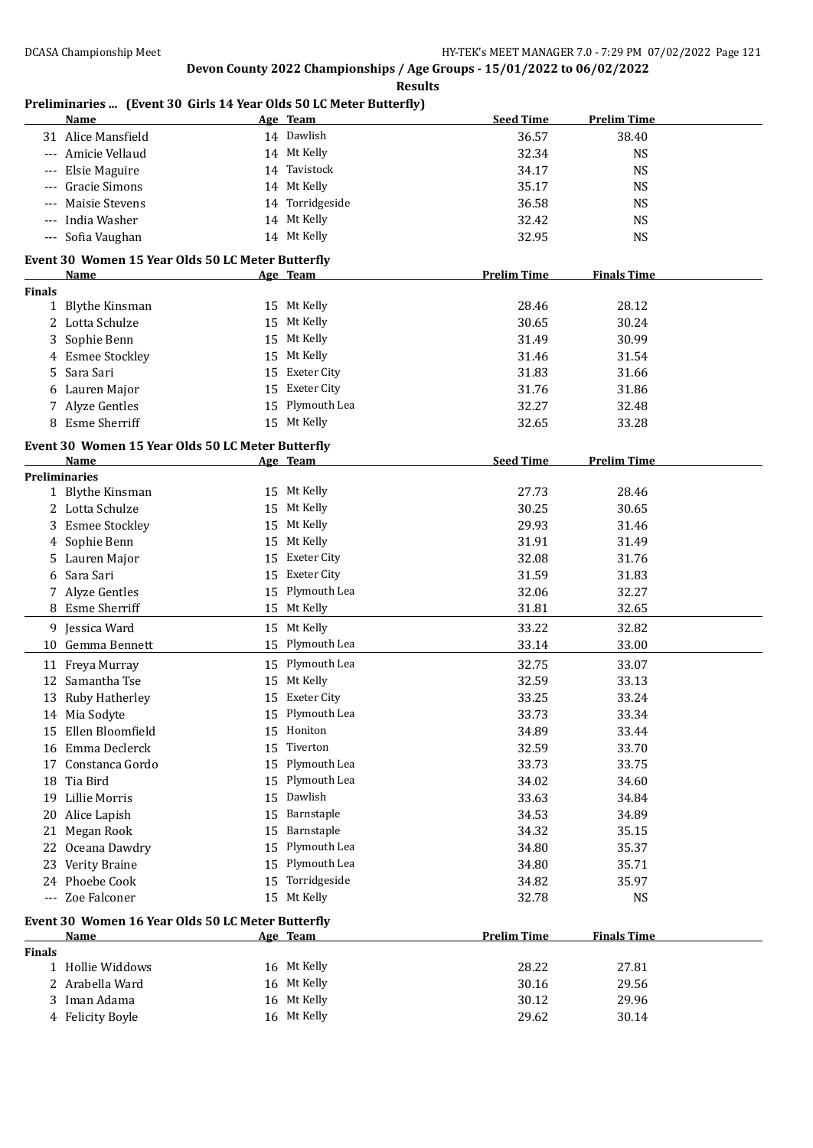**Results**

**Preliminaries ... (Event 30 Girls 14 Year Olds 50 LC Meter Butterfly)**

|               | Name                                              |    | Age Team           | <b>Seed Time</b>   | <b>Prelim Time</b> |
|---------------|---------------------------------------------------|----|--------------------|--------------------|--------------------|
|               | 31 Alice Mansfield                                |    | 14 Dawlish         | 36.57              | 38.40              |
|               | --- Amicie Vellaud                                |    | 14 Mt Kelly        | 32.34              | <b>NS</b>          |
| $---$         | Elsie Maguire                                     |    | 14 Tavistock       | 34.17              | <b>NS</b>          |
| $---$         | Gracie Simons                                     |    | 14 Mt Kelly        | 35.17              | <b>NS</b>          |
| $---$         | Maisie Stevens                                    |    | 14 Torridgeside    | 36.58              | <b>NS</b>          |
| $\cdots$      | India Washer                                      |    | 14 Mt Kelly        | 32.42              | <b>NS</b>          |
|               | --- Sofia Vaughan                                 |    | 14 Mt Kelly        | 32.95              | <b>NS</b>          |
|               |                                                   |    |                    |                    |                    |
|               | Event 30 Women 15 Year Olds 50 LC Meter Butterfly |    |                    |                    |                    |
| <b>Finals</b> | Name                                              |    | Age Team           | <b>Prelim Time</b> | <b>Finals Time</b> |
|               | 1 Blythe Kinsman                                  |    | 15 Mt Kelly        | 28.46              | 28.12              |
|               | 2 Lotta Schulze                                   |    | 15 Mt Kelly        | 30.65              | 30.24              |
| 3             | Sophie Benn                                       |    | 15 Mt Kelly        | 31.49              | 30.99              |
|               | 4 Esmee Stockley                                  | 15 | Mt Kelly           | 31.46              | 31.54              |
| 5.            | Sara Sari                                         | 15 | Exeter City        | 31.83              | 31.66              |
|               | 6 Lauren Major                                    | 15 | Exeter City        | 31.76              | 31.86              |
|               |                                                   |    | Plymouth Lea       |                    |                    |
|               | 7 Alyze Gentles                                   | 15 |                    | 32.27              | 32.48              |
|               | 8 Esme Sherriff                                   |    | 15 Mt Kelly        | 32.65              | 33.28              |
|               | Event 30 Women 15 Year Olds 50 LC Meter Butterfly |    |                    |                    |                    |
|               | Name                                              |    | Age Team           | <b>Seed Time</b>   | <b>Prelim Time</b> |
|               | Preliminaries                                     |    |                    |                    |                    |
|               | 1 Blythe Kinsman                                  |    | 15 Mt Kelly        | 27.73              | 28.46              |
|               | 2 Lotta Schulze                                   |    | 15 Mt Kelly        | 30.25              | 30.65              |
|               | 3 Esmee Stockley                                  | 15 | Mt Kelly           | 29.93              | 31.46              |
|               | 4 Sophie Benn                                     | 15 | Mt Kelly           | 31.91              | 31.49              |
| 5.            | Lauren Major                                      | 15 | Exeter City        | 32.08              | 31.76              |
| 6             | Sara Sari                                         | 15 | <b>Exeter City</b> | 31.59              | 31.83              |
|               | 7 Alyze Gentles                                   |    | 15 Plymouth Lea    | 32.06              | 32.27              |
|               | 8 Esme Sherriff                                   |    | 15 Mt Kelly        | 31.81              | 32.65              |
|               | 9 Jessica Ward                                    |    | 15 Mt Kelly        | 33.22              | 32.82              |
| 10            | Gemma Bennett                                     |    | 15 Plymouth Lea    | 33.14              | 33.00              |
|               | 11 Freya Murray                                   |    | 15 Plymouth Lea    | 32.75              | 33.07              |
|               | 12 Samantha Tse                                   | 15 | Mt Kelly           | 32.59              | 33.13              |
|               | 13 Ruby Hatherley                                 | 15 | <b>Exeter City</b> | 33.25              | 33.24              |
|               | 14 Mia Sodyte                                     | 15 | Plymouth Lea       | 33.73              | 33.34              |
|               | 15 Ellen Bloomfield                               | 15 | Honiton            | 34.89              | 33.44              |
| 16            | Emma Declerck                                     | 15 | Tiverton           | 32.59              | 33.70              |
| 17            | Constanca Gordo                                   | 15 | Plymouth Lea       | 33.73              | 33.75              |
| 18            | Tia Bird                                          | 15 | Plymouth Lea       | 34.02              | 34.60              |
| 19            | Lillie Morris                                     | 15 | Dawlish            | 33.63              | 34.84              |
| 20            | Alice Lapish                                      | 15 | Barnstaple         | 34.53              | 34.89              |
| 21            | Megan Rook                                        | 15 | Barnstaple         | 34.32              | 35.15              |
| 22            | Oceana Dawdry                                     | 15 | Plymouth Lea       | 34.80              | 35.37              |
|               | 23 Verity Braine                                  | 15 | Plymouth Lea       | 34.80              | 35.71              |
|               | 24 Phoebe Cook                                    | 15 | Torridgeside       | 34.82              | 35.97              |
|               | --- Zoe Falconer                                  |    | 15 Mt Kelly        | 32.78              | <b>NS</b>          |
|               |                                                   |    |                    |                    |                    |
|               | Event 30 Women 16 Year Olds 50 LC Meter Butterfly |    |                    |                    |                    |
|               | <u>Name</u>                                       |    | Age Team           | <b>Prelim Time</b> | <b>Finals Time</b> |
| <b>Finals</b> | 1 Hollie Widdows                                  |    | 16 Mt Kelly        | 28.22              | 27.81              |
|               | 2 Arabella Ward                                   |    | 16 Mt Kelly        | 30.16              | 29.56              |
|               | 3 Iman Adama                                      |    | 16 Mt Kelly        | 30.12              | 29.96              |
|               |                                                   |    | 16 Mt Kelly        |                    |                    |
|               | 4 Felicity Boyle                                  |    |                    | 29.62              | 30.14              |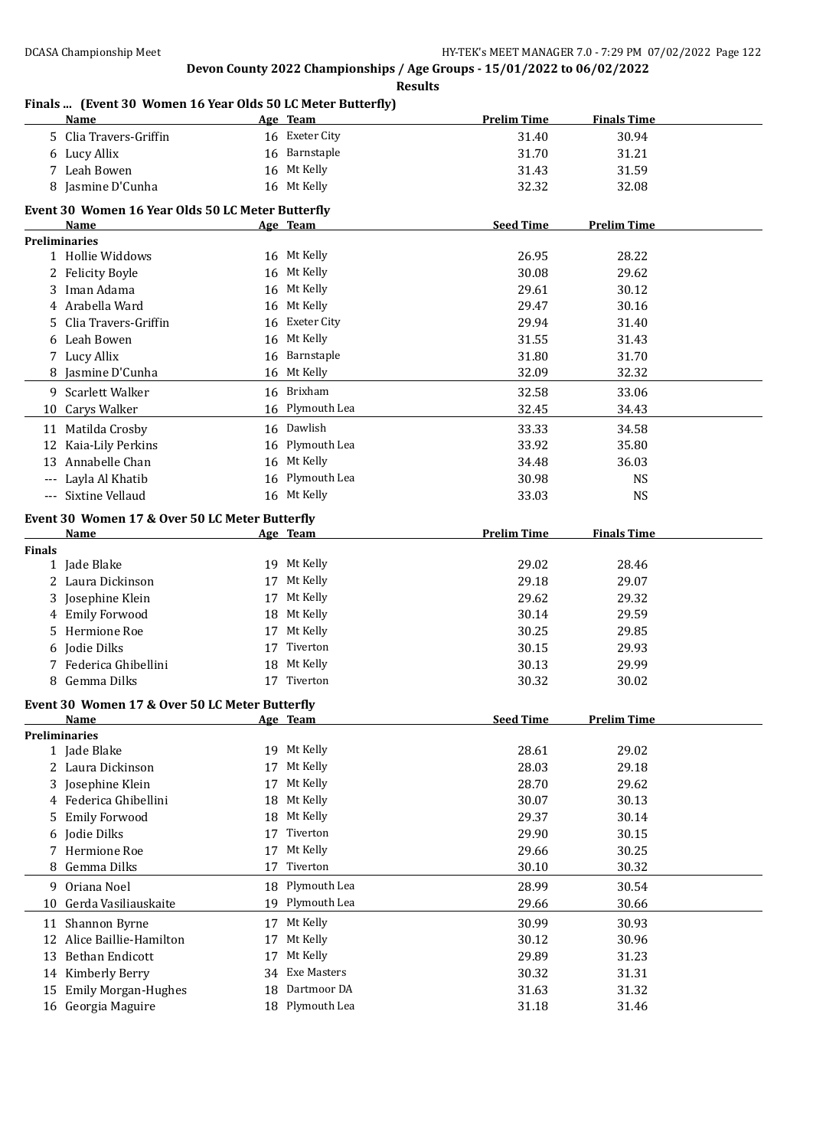#### **Results**

#### **Finals ... (Event 30 Women 16 Year Olds 50 LC Meter Butterfly)**

|               | <b>Name</b>                                       |    | Age Team           | <b>Prelim Time</b> | <b>Finals Time</b> |  |
|---------------|---------------------------------------------------|----|--------------------|--------------------|--------------------|--|
|               | 5 Clia Travers-Griffin                            |    | 16 Exeter City     | 31.40              | 30.94              |  |
|               | 6 Lucy Allix                                      |    | 16 Barnstaple      | 31.70              | 31.21              |  |
|               | 7 Leah Bowen                                      |    | 16 Mt Kelly        | 31.43              | 31.59              |  |
|               | 8 Jasmine D'Cunha                                 |    | 16 Mt Kelly        | 32.32              | 32.08              |  |
|               |                                                   |    |                    |                    |                    |  |
|               | Event 30 Women 16 Year Olds 50 LC Meter Butterfly |    |                    |                    |                    |  |
|               | Name                                              |    | Age Team           | <b>Seed Time</b>   | <b>Prelim Time</b> |  |
|               | <b>Preliminaries</b><br>1 Hollie Widdows          |    | 16 Mt Kelly        | 26.95              | 28.22              |  |
|               | 2 Felicity Boyle                                  |    | 16 Mt Kelly        | 30.08              | 29.62              |  |
|               | 3 Iman Adama                                      |    | 16 Mt Kelly        | 29.61              | 30.12              |  |
|               | 4 Arabella Ward                                   |    | 16 Mt Kelly        | 29.47              | 30.16              |  |
|               | 5 Clia Travers-Griffin                            |    | 16 Exeter City     | 29.94              | 31.40              |  |
|               |                                                   |    |                    |                    |                    |  |
|               | 6 Leah Bowen                                      |    | 16 Mt Kelly        | 31.55              | 31.43              |  |
|               | 7 Lucy Allix                                      |    | 16 Barnstaple      | 31.80              | 31.70              |  |
|               | 8 Jasmine D'Cunha                                 |    | 16 Mt Kelly        | 32.09              | 32.32              |  |
|               | 9 Scarlett Walker                                 |    | 16 Brixham         | 32.58              | 33.06              |  |
|               | 10 Carys Walker                                   |    | 16 Plymouth Lea    | 32.45              | 34.43              |  |
| 11            | Matilda Crosby                                    |    | 16 Dawlish         | 33.33              | 34.58              |  |
|               | 12 Kaia-Lily Perkins                              |    | 16 Plymouth Lea    | 33.92              | 35.80              |  |
|               | 13 Annabelle Chan                                 |    | 16 Mt Kelly        | 34.48              | 36.03              |  |
|               | --- Layla Al Khatib                               |    | 16 Plymouth Lea    | 30.98              | <b>NS</b>          |  |
|               | --- Sixtine Vellaud                               |    | 16 Mt Kelly        | 33.03              | <b>NS</b>          |  |
|               |                                                   |    |                    |                    |                    |  |
|               | Event 30 Women 17 & Over 50 LC Meter Butterfly    |    |                    |                    |                    |  |
|               | Name                                              |    | Age Team           | <b>Prelim Time</b> | <b>Finals Time</b> |  |
| <b>Finals</b> | 1 Jade Blake                                      |    | 19 Mt Kelly        | 29.02              | 28.46              |  |
|               | 2 Laura Dickinson                                 |    | 17 Mt Kelly        | 29.18              | 29.07              |  |
|               | 3 Josephine Klein                                 |    | 17 Mt Kelly        | 29.62              | 29.32              |  |
|               |                                                   |    | 18 Mt Kelly        | 30.14              | 29.59              |  |
|               | 4 Emily Forwood<br>5 Hermione Roe                 |    | 17 Mt Kelly        | 30.25              | 29.85              |  |
|               |                                                   |    | Tiverton           |                    |                    |  |
|               | 6 Jodie Dilks                                     | 17 |                    | 30.15              | 29.93              |  |
|               | 7 Federica Ghibellini                             |    | 18 Mt Kelly        | 30.13              | 29.99              |  |
|               | 8 Gemma Dilks                                     |    | 17 Tiverton        | 30.32              | 30.02              |  |
|               | Event 30 Women 17 & Over 50 LC Meter Butterfly    |    |                    |                    |                    |  |
|               | Name                                              |    | Age Team           | <b>Seed Time</b>   | <b>Prelim Time</b> |  |
|               | <b>Preliminaries</b>                              |    |                    |                    |                    |  |
|               | 1 Jade Blake                                      |    | 19 Mt Kelly        | 28.61              | 29.02              |  |
|               | 2 Laura Dickinson                                 | 17 | Mt Kelly           | 28.03              | 29.18              |  |
|               | 3 Josephine Klein                                 | 17 | Mt Kelly           | 28.70              | 29.62              |  |
|               | 4 Federica Ghibellini                             | 18 | Mt Kelly           | 30.07              | 30.13              |  |
| 5             | <b>Emily Forwood</b>                              | 18 | Mt Kelly           | 29.37              | 30.14              |  |
| 6             | Jodie Dilks                                       | 17 | Tiverton           | 29.90              | 30.15              |  |
| 7             | Hermione Roe                                      | 17 | Mt Kelly           | 29.66              | 30.25              |  |
| 8             | Gemma Dilks                                       | 17 | Tiverton           | 30.10              | 30.32              |  |
|               | 9 Oriana Noel                                     |    | 18 Plymouth Lea    | 28.99              | 30.54              |  |
| 10            | Gerda Vasiliauskaite                              | 19 | Plymouth Lea       | 29.66              | 30.66              |  |
| 11            | Shannon Byrne                                     |    | 17 Mt Kelly        | 30.99              | 30.93              |  |
|               | 12 Alice Baillie-Hamilton                         | 17 | Mt Kelly           | 30.12              | 30.96              |  |
| 13            | Bethan Endicott                                   | 17 | Mt Kelly           | 29.89              | 31.23              |  |
|               |                                                   | 34 | <b>Exe Masters</b> | 30.32              | 31.31              |  |
|               | 14 Kimberly Berry                                 |    | Dartmoor DA        |                    |                    |  |
| 15            | <b>Emily Morgan-Hughes</b>                        | 18 |                    | 31.63              | 31.32              |  |
|               | 16 Georgia Maguire                                |    | 18 Plymouth Lea    | 31.18              | 31.46              |  |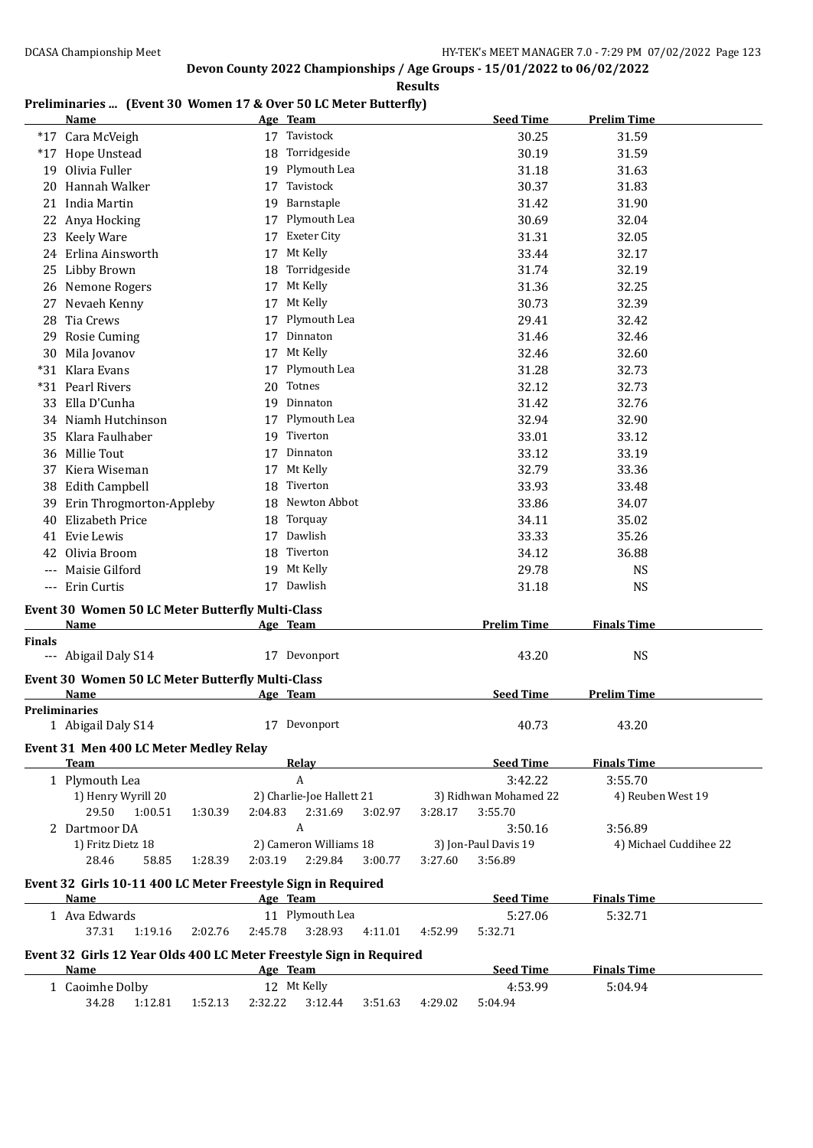**Results**

#### **Preliminaries ... (Event 30 Women 17 & Over 50 LC Meter Butterfly)**

|               | <b>Name</b>                                                         |                    | Age Team                  |         |         | <b>Seed Time</b>      | <b>Prelim Time</b>     |
|---------------|---------------------------------------------------------------------|--------------------|---------------------------|---------|---------|-----------------------|------------------------|
|               | *17 Cara McVeigh                                                    |                    | 17 Tavistock              |         |         | 30.25                 | 31.59                  |
|               | *17 Hope Unstead                                                    | 18                 | Torridgeside              |         |         | 30.19                 | 31.59                  |
| 19            | Olivia Fuller                                                       |                    | 19 Plymouth Lea           |         |         | 31.18                 | 31.63                  |
| 20            | Hannah Walker                                                       | 17                 | Tavistock                 |         |         | 30.37                 | 31.83                  |
|               | 21 India Martin                                                     | 19                 | Barnstaple                |         |         | 31.42                 | 31.90                  |
| 22            | Anya Hocking                                                        | 17                 | Plymouth Lea              |         |         | 30.69                 | 32.04                  |
|               | 23 Keely Ware                                                       | 17                 | <b>Exeter City</b>        |         |         | 31.31                 | 32.05                  |
|               | 24 Erlina Ainsworth                                                 | 17                 | Mt Kelly                  |         |         | 33.44                 | 32.17                  |
| 25            | Libby Brown                                                         | 18                 | Torridgeside              |         |         | 31.74                 | 32.19                  |
|               | 26 Nemone Rogers                                                    | 17                 | Mt Kelly                  |         |         | 31.36                 | 32.25                  |
|               | 27 Nevaeh Kenny                                                     | 17                 | Mt Kelly                  |         |         | 30.73                 | 32.39                  |
|               | 28 Tia Crews                                                        |                    | Plymouth Lea              |         |         | 29.41                 | 32.42                  |
|               | 29 Rosie Cuming                                                     | 17                 | Dinnaton                  |         |         | 31.46                 | 32.46                  |
|               | 30 Mila Jovanov                                                     | 17                 | Mt Kelly                  |         |         | 32.46                 | 32.60                  |
|               | *31 Klara Evans                                                     | 17                 | Plymouth Lea              |         |         | 31.28                 | 32.73                  |
|               | *31 Pearl Rivers                                                    | 20                 | Totnes                    |         |         | 32.12                 | 32.73                  |
|               | 33 Ella D'Cunha                                                     |                    | 19 Dinnaton               |         |         | 31.42                 | 32.76                  |
|               | 34 Niamh Hutchinson                                                 | 17                 | Plymouth Lea              |         |         | 32.94                 | 32.90                  |
|               | 35 Klara Faulhaber                                                  |                    | 19 Tiverton               |         |         | 33.01                 | 33.12                  |
|               | 36 Millie Tout                                                      |                    | 17 Dinnaton               |         |         | 33.12                 | 33.19                  |
|               | 37 Kiera Wiseman                                                    |                    | 17 Mt Kelly               |         |         | 32.79                 | 33.36                  |
|               | 38 Edith Campbell                                                   |                    | 18 Tiverton               |         |         | 33.93                 | 33.48                  |
|               | 39 Erin Throgmorton-Appleby                                         |                    | 18 Newton Abbot           |         |         | 33.86                 | 34.07                  |
| 40            | Elizabeth Price                                                     |                    | 18 Torquay                |         |         | 34.11                 | 35.02                  |
|               | 41 Evie Lewis                                                       |                    | 17 Dawlish                |         |         | 33.33                 | 35.26                  |
|               | 42 Olivia Broom                                                     |                    | 18 Tiverton               |         |         | 34.12                 | 36.88                  |
|               | --- Maisie Gilford                                                  |                    | 19 Mt Kelly               |         |         | 29.78                 | <b>NS</b>              |
|               | --- Erin Curtis                                                     |                    | 17 Dawlish                |         |         | 31.18                 | <b>NS</b>              |
|               |                                                                     |                    |                           |         |         |                       |                        |
|               | <b>Event 30 Women 50 LC Meter Butterfly Multi-Class</b>             |                    |                           |         |         |                       |                        |
|               | Name                                                                |                    | Age Team                  |         |         | <b>Prelim Time</b>    | <b>Finals Time</b>     |
| <b>Finals</b> |                                                                     |                    |                           |         |         |                       |                        |
|               | --- Abigail Daly S14                                                |                    | 17 Devonport              |         |         | 43.20                 | <b>NS</b>              |
|               | Event 30 Women 50 LC Meter Butterfly Multi-Class                    |                    |                           |         |         |                       |                        |
|               | Name                                                                |                    | Age Team                  |         |         | <b>Seed Time</b>      | <b>Prelim Time</b>     |
|               | <b>Preliminaries</b>                                                |                    |                           |         |         | 40.73                 |                        |
|               | 1 Abigail Daly S14                                                  |                    | 17 Devonport              |         |         |                       | 43.20                  |
|               | Event 31 Men 400 LC Meter Medley Relay                              |                    |                           |         |         |                       |                        |
|               | <b>Team</b>                                                         |                    | <b>Relay</b>              |         |         | <b>Seed Time</b>      | <b>Finals Time</b>     |
|               | 1 Plymouth Lea                                                      |                    | $\boldsymbol{A}$          |         |         | 3:42.22               | 3:55.70                |
|               | 1) Henry Wyrill 20                                                  |                    | 2) Charlie-Joe Hallett 21 |         |         | 3) Ridhwan Mohamed 22 | 4) Reuben West 19      |
|               | 29.50<br>1:00.51                                                    | 1:30.39<br>2:04.83 | 2:31.69                   | 3:02.97 | 3:28.17 | 3:55.70               |                        |
|               | 2 Dartmoor DA                                                       |                    | A                         |         |         | 3:50.16               | 3:56.89                |
|               | 1) Fritz Dietz 18                                                   |                    | 2) Cameron Williams 18    |         |         | 3) Jon-Paul Davis 19  | 4) Michael Cuddihee 22 |
|               | 28.46<br>58.85                                                      | 2:03.19<br>1:28.39 | 2:29.84                   | 3:00.77 | 3:27.60 | 3:56.89               |                        |
|               | Event 32 Girls 10-11 400 LC Meter Freestyle Sign in Required        |                    |                           |         |         |                       |                        |
|               | <b>Name</b>                                                         |                    | Age Team                  |         |         | <b>Seed Time</b>      | <b>Finals Time</b>     |
|               | 1 Ava Edwards                                                       |                    | 11 Plymouth Lea           |         |         | 5:27.06               | 5:32.71                |
|               | 37.31<br>1:19.16                                                    | 2:45.78<br>2:02.76 | 3:28.93                   | 4:11.01 | 4:52.99 | 5:32.71               |                        |
|               | Event 32 Girls 12 Year Olds 400 LC Meter Freestyle Sign in Required |                    |                           |         |         |                       |                        |
|               | Name                                                                |                    | Age Team                  |         |         | <b>Seed Time</b>      | <b>Finals Time</b>     |
|               | 1 Caoimhe Dolby                                                     |                    | 12 Mt Kelly               |         |         | 4:53.99               | 5:04.94                |
|               | 34.28<br>1:12.81                                                    | 1:52.13<br>2:32.22 | 3:12.44                   | 3:51.63 | 4:29.02 | 5:04.94               |                        |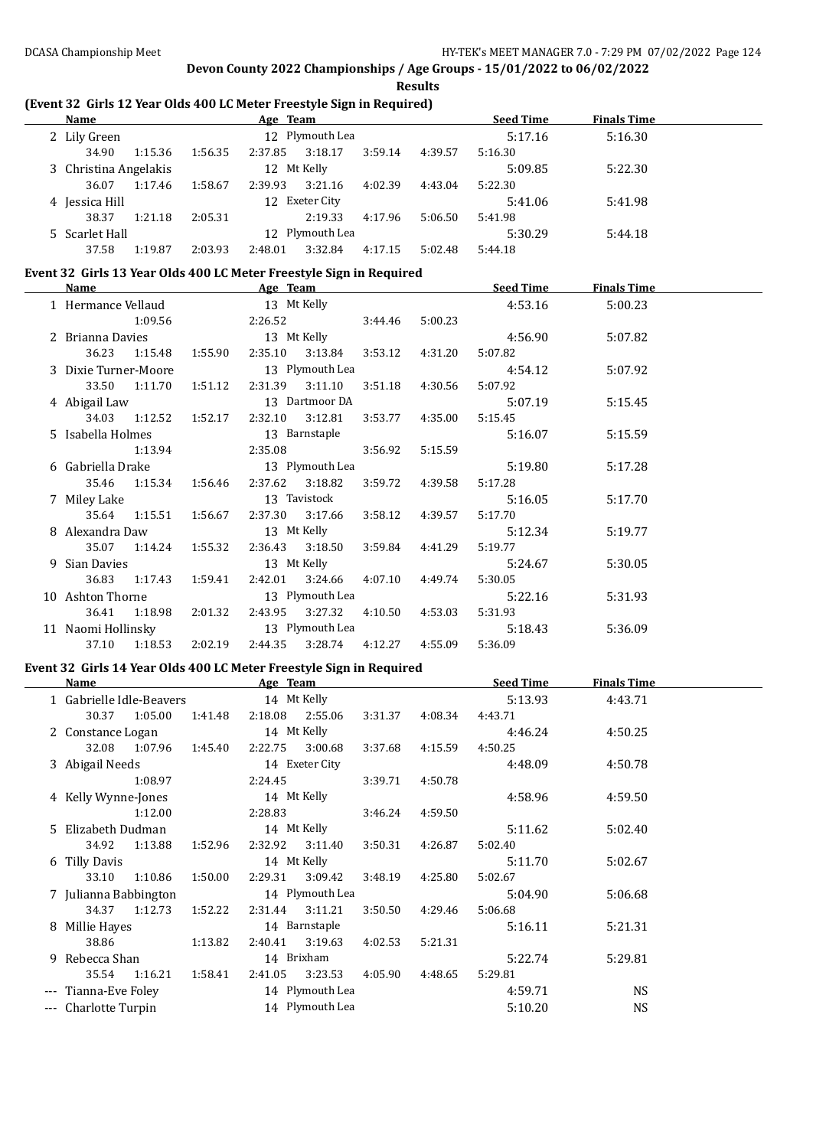$\overline{a}$ 

 $\overline{a}$ 

 $\overline{\phantom{a}}$ 

# **Devon County 2022 Championships / Age Groups - 15/01/2022 to 06/02/2022**

#### **Results**

### **(Event 32 Girls 12 Year Olds 400 LC Meter Freestyle Sign in Required)**

| Name                  |         |         | Age Team    |                 |         |         | <b>Seed Time</b> | <b>Finals Time</b> |  |
|-----------------------|---------|---------|-------------|-----------------|---------|---------|------------------|--------------------|--|
| 2 Lily Green          |         |         |             | 12 Plymouth Lea |         |         | 5:17.16          | 5:16.30            |  |
| 34.90                 | 1:15.36 | 1:56.35 | 2:37.85     | 3:18.17         | 3:59.14 | 4:39.57 | 5:16.30          |                    |  |
| 3 Christina Angelakis |         |         | 12 Mt Kelly |                 |         |         | 5:09.85          | 5:22.30            |  |
| 36.07                 | 1:17.46 | 1:58.67 | 2:39.93     | 3:21.16         | 4:02.39 | 4:43.04 | 5:22.30          |                    |  |
| 4 Jessica Hill        |         |         |             | 12 Exeter City  |         |         | 5:41.06          | 5:41.98            |  |
| 38.37                 | 1:21.18 | 2:05.31 |             | 2:19.33         | 4:17.96 | 5:06.50 | 5:41.98          |                    |  |
| 5 Scarlet Hall        |         |         |             | 12 Plymouth Lea |         |         | 5:30.29          | 5:44.18            |  |
| 37.58                 | 1:19.87 | 2:03.93 | 2:48.01     | 3:32.84         | 4:17.15 | 5:02.48 | 5:44.18          |                    |  |

#### **Event 32 Girls 13 Year Olds 400 LC Meter Freestyle Sign in Required**

| Name                               |               |                           | Age Team    |                                                       |         |                 | <b>Seed Time</b> | <b>Finals Time</b> |  |
|------------------------------------|---------------|---------------------------|-------------|-------------------------------------------------------|---------|-----------------|------------------|--------------------|--|
| 1 Hermance Vellaud                 |               |                           | 13 Mt Kelly |                                                       |         |                 | 4:53.16          | 5:00.23            |  |
|                                    | 1:09.56       |                           |             | 2:26.52                                               | 3:44.46 | 5:00.23         |                  |                    |  |
| 2 Brianna Davies 13 Mt Kelly       |               |                           |             |                                                       |         |                 | 4:56.90          | 5:07.82            |  |
|                                    |               | 36.23 1:15.48 1:55.90     |             | 2:35.10 3:13.84                                       | 3:53.12 | 4:31.20         | 5:07.82          |                    |  |
| 3 Dixie Turner-Moore               |               |                           |             | 13 Plymouth Lea                                       |         |                 | 4:54.12          | 5:07.92            |  |
|                                    |               |                           |             | 33.50 1:11.70 1:51.12 2:31.39 3:11.10 3:51.18 4:30.56 |         |                 | 5:07.92          |                    |  |
| 4 Abigail Law 13 Dartmoor DA       |               |                           |             |                                                       |         |                 | 5:07.19          | 5:15.45            |  |
|                                    |               |                           |             | 34.03 1:12.52 1:52.17 2:32.10 3:12.81                 |         | 3:53.77 4:35.00 | 5:15.45          |                    |  |
| 5 Isabella Holmes 13 Barnstaple    |               |                           |             |                                                       |         |                 | 5:16.07          | 5:15.59            |  |
|                                    |               | 1:13.94                   |             | 2:35.08 3:56.92                                       |         | 5:15.59         |                  |                    |  |
| 6 Gabriella Drake                  |               |                           |             | 13 Plymouth Lea                                       |         |                 | 5:19.80          | 5:17.28            |  |
|                                    |               | 35.46 1:15.34 1:56.46     |             |                                                       |         |                 | 5:17.28          |                    |  |
|                                    |               |                           |             |                                                       |         |                 | 5:16.05          | 5:17.70            |  |
|                                    |               | 35.64 1:15.51 1:56.67     |             | 2:37.30 3:17.66                                       |         | 3:58.12 4:39.57 | 5:17.70          |                    |  |
| 8 Alexandra Daw                    |               |                           |             | 13 Mt Kelly                                           |         |                 | 5:12.34          | 5:19.77            |  |
|                                    |               | 35.07   1:14.24   1:55.32 |             | 2:36.43 3:18.50                                       | 3:59.84 | 4:41.29         | 5:19.77          |                    |  |
| 9 Sian Davies                      |               |                           |             | 13 Mt Kelly                                           |         |                 | 5:24.67          | 5:30.05            |  |
|                                    | 36.83 1:17.43 | 1:59.41                   |             | 2:42.01 3:24.66                                       | 4:07.10 | 4:49.74         | 5:30.05          |                    |  |
| 10 Ashton Thorne                   |               |                           |             | 13 Plymouth Lea                                       |         |                 | 5:22.16          | 5:31.93            |  |
|                                    |               | 36.41 1:18.98 2:01.32     |             | 2:43.95 3:27.32 4:10.50 4:53.03                       |         |                 | 5:31.93          |                    |  |
| 11 Naomi Hollinsky 13 Plymouth Lea |               |                           |             |                                                       |         |                 | 5:18.43          | 5:36.09            |  |
|                                    | 37.10 1:18.53 | 2:02.19                   |             | 2:44.35 3:28.74                                       | 4:12.27 | 4:55.09         | 5:36.09          |                    |  |

#### **Event 32 Girls 14 Year Olds 400 LC Meter Freestyle Sign in Required**

| Name                     |               |         | Age Team |                 |         |         | <b>Seed Time</b> | <b>Finals Time</b> |  |
|--------------------------|---------------|---------|----------|-----------------|---------|---------|------------------|--------------------|--|
| 1 Gabrielle Idle-Beavers |               |         |          | 14 Mt Kelly     |         |         | 5:13.93          | 4:43.71            |  |
| 30.37                    | 1:05.00       | 1:41.48 | 2:18.08  | 2:55.06         | 3:31.37 | 4:08.34 | 4:43.71          |                    |  |
| 2 Constance Logan        |               |         |          | 14 Mt Kelly     |         |         | 4:46.24          | 4:50.25            |  |
| 32.08                    | 1:07.96       | 1:45.40 | 2:22.75  | 3:00.68         | 3:37.68 | 4:15.59 | 4:50.25          |                    |  |
| 3 Abigail Needs          |               |         |          | 14 Exeter City  |         |         | 4:48.09          | 4:50.78            |  |
|                          | 1:08.97       |         | 2:24.45  |                 | 3:39.71 | 4:50.78 |                  |                    |  |
| 4 Kelly Wynne-Jones      |               |         |          | 14 Mt Kelly     |         |         | 4:58.96          | 4:59.50            |  |
|                          | 1:12.00       |         | 2:28.83  |                 | 3:46.24 | 4:59.50 |                  |                    |  |
| 5 Elizabeth Dudman       |               |         |          | 14 Mt Kelly     |         |         | 5:11.62          | 5:02.40            |  |
| 34.92                    | 1:13.88       | 1:52.96 | 2:32.92  | 3:11.40         | 3:50.31 | 4:26.87 | 5:02.40          |                    |  |
| 6 Tilly Davis            |               |         |          | 14 Mt Kelly     |         |         | 5:11.70          | 5:02.67            |  |
| 33.10                    | 1:10.86       | 1:50.00 | 2:29.31  | 3:09.42         | 3:48.19 | 4:25.80 | 5:02.67          |                    |  |
| 7 Julianna Babbington    |               |         |          | 14 Plymouth Lea |         |         | 5:04.90          | 5:06.68            |  |
| 34.37                    | 1:12.73       | 1:52.22 | 2:31.44  | 3:11.21         | 3:50.50 | 4:29.46 | 5:06.68          |                    |  |
| 8 Millie Hayes           |               |         |          | 14 Barnstaple   |         |         | 5:16.11          | 5:21.31            |  |
| 38.86                    |               | 1:13.82 | 2:40.41  | 3:19.63         | 4:02.53 | 5:21.31 |                  |                    |  |
| 9 Rebecca Shan           |               |         |          | 14 Brixham      |         |         | 5:22.74          | 5:29.81            |  |
|                          | 35.54 1:16.21 | 1:58.41 | 2:41.05  | 3:23.53         | 4:05.90 | 4:48.65 | 5:29.81          |                    |  |
| --- Tianna-Eve Foley     |               |         |          | 14 Plymouth Lea |         |         | 4:59.71          | <b>NS</b>          |  |
| --- Charlotte Turpin     |               |         |          | 14 Plymouth Lea |         |         | 5:10.20          | <b>NS</b>          |  |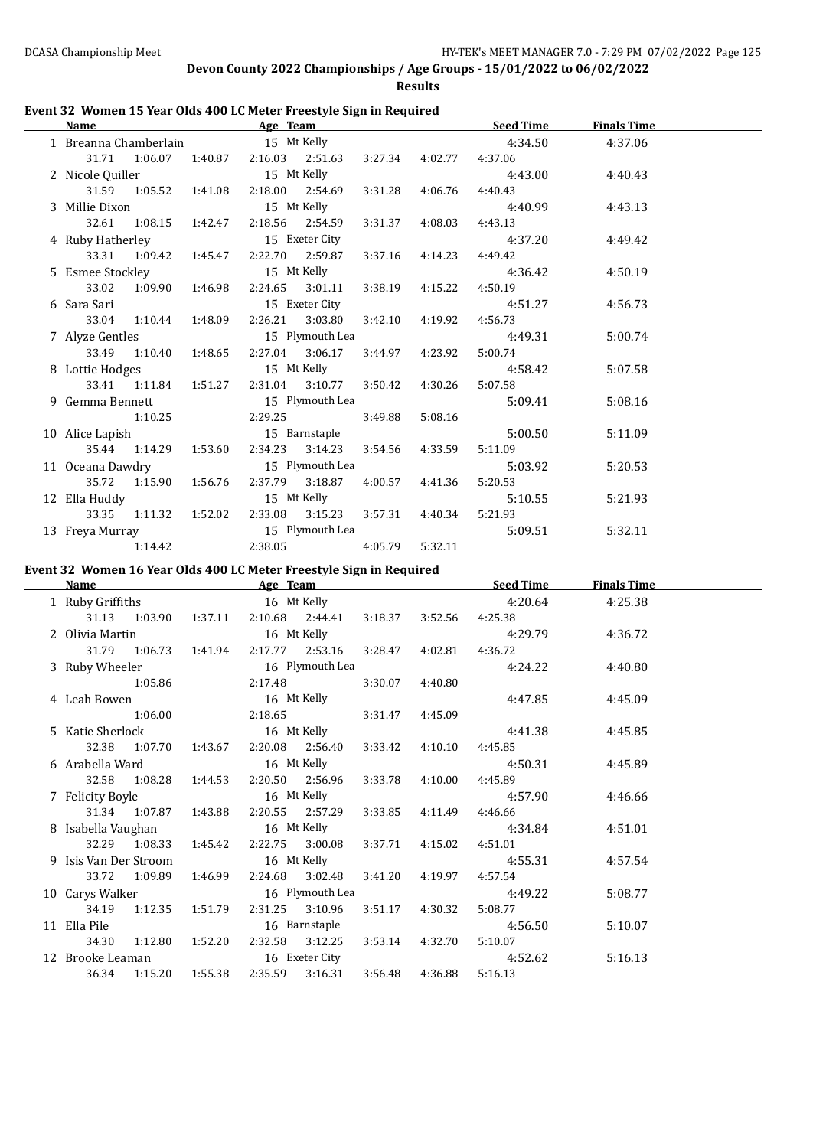**Results**

### **Event 32 Women 15 Year Olds 400 LC Meter Freestyle Sign in Required**

| Name                             |                           |  |                                                       |         |                 | Age Team Seed Time                              | <b>Finals Time</b> |  |
|----------------------------------|---------------------------|--|-------------------------------------------------------|---------|-----------------|-------------------------------------------------|--------------------|--|
|                                  |                           |  |                                                       |         |                 | 1 Breanna Chamberlain 15 Mt Kelly 10 10 4:34.50 | 4:37.06            |  |
|                                  |                           |  | 31.71 1:06.07 1:40.87 2:16.03 2:51.63 3:27.34 4:02.77 |         |                 | 4:37.06                                         |                    |  |
| 2 Nicole Quiller 15 Mt Kelly     |                           |  |                                                       |         |                 |                                                 | 4:43.00 4:40.43    |  |
|                                  | 31.59 1:05.52 1:41.08     |  | 2:18.00 2:54.69                                       | 3:31.28 | 4:06.76         | 4:40.43                                         |                    |  |
| 3 Millie Dixon 15 Mt Kelly       |                           |  |                                                       |         |                 | $4:40.99$ $4:43.13$                             |                    |  |
|                                  | 32.61 1:08.15 1:42.47     |  | 2:18.56 2:54.59                                       | 3:31.37 | 4:08.03         | 4:43.13                                         |                    |  |
| 4 Ruby Hatherley 15 Exeter City  |                           |  |                                                       |         |                 | 4:37.20                                         | 4:49.42            |  |
|                                  |                           |  | 33.31 1:09.42 1:45.47 2:22.70 2:59.87                 | 3:37.16 |                 | 4:14.23 4:49.42                                 |                    |  |
| 5 Esmee Stockley 15 Mt Kelly     |                           |  |                                                       |         |                 | 4:36.42                                         | 4:50.19            |  |
|                                  | 33.02 1:09.90 1:46.98     |  | 2:24.65 3:01.11                                       | 3:38.19 | 4:15.22         | 4:50.19                                         |                    |  |
|                                  |                           |  | 15 Exeter City                                        |         |                 | 4:51.27                                         | 4:56.73            |  |
|                                  | 33.04 1:10.44 1:48.09     |  | 2:26.21 3:03.80                                       |         | 3:42.10 4:19.92 | 4:56.73                                         |                    |  |
| 7 Alyze Gentles 15 Plymouth Lea  |                           |  |                                                       |         |                 | 4:49.31                                         | 5:00.74            |  |
|                                  |                           |  | 33.49 1:10.40 1:48.65 2:27.04 3:06.17                 |         | 3:44.97 4:23.92 | 5:00.74                                         |                    |  |
| 8 Lottie Hodges 15 Mt Kelly      |                           |  |                                                       |         |                 | 4:58.42                                         | 5:07.58            |  |
|                                  |                           |  | 33.41 1:11.84 1:51.27 2:31.04 3:10.77                 | 3:50.42 | 4:30.26         | 5:07.58                                         |                    |  |
| 9 Gemma Bennett 15 Plymouth Lea  |                           |  |                                                       |         |                 | 5:09.41                                         | 5:08.16            |  |
|                                  |                           |  | 1:10.25 2:29.25                                       | 3:49.88 | 5:08.16         |                                                 |                    |  |
| 10 Alice Lapish 15 Barnstaple    |                           |  |                                                       |         |                 | 5:00.50                                         | 5:11.09            |  |
|                                  | 35.44 1:14.29 1:53.60     |  | 2:34.23 3:14.23                                       | 3:54.56 | 4:33.59         | 5:11.09                                         |                    |  |
| 11 Oceana Dawdry 15 Plymouth Lea |                           |  |                                                       |         |                 | 5:03.92                                         | 5:20.53            |  |
|                                  | 35.72   1:15.90   1:56.76 |  | 2:37.79 3:18.87 4:00.57 4:41.36                       |         |                 | 5:20.53                                         |                    |  |
| 12 Ella Huddy 15 Mt Kelly        |                           |  |                                                       |         |                 | 5:10.55                                         | 5:21.93            |  |
|                                  |                           |  | 33.35 1:11.32 1:52.02 2:33.08 3:15.23                 | 3:57.31 | 4:40.34         | 5:21.93                                         |                    |  |
| 13 Freya Murray 15 Plymouth Lea  |                           |  |                                                       |         |                 | 5:09.51                                         | 5:32.11            |  |
|                                  | 1:14.42                   |  | 2:38.05 4:05.79                                       |         | 5:32.11         |                                                 |                    |  |

#### **Event 32 Women 16 Year Olds 400 LC Meter Freestyle Sign in Required**

|                                 | Name and the state of the state of the state of the state of the state of the state of the state of the state of the state of the state of the state of the state of the state of the state of the state of the state of the s |                                         |                                                      | Age Team and the state of the state of the state of the state of the state of the state of the state of the state of the state of the state of the state of the state of the state of the state of the state of the state of t |                 | <b>Seed Time</b>                                                     | <b>Finals Time</b> |  |
|---------------------------------|--------------------------------------------------------------------------------------------------------------------------------------------------------------------------------------------------------------------------------|-----------------------------------------|------------------------------------------------------|--------------------------------------------------------------------------------------------------------------------------------------------------------------------------------------------------------------------------------|-----------------|----------------------------------------------------------------------|--------------------|--|
| 1 Ruby Griffiths 16 Mt Kelly    |                                                                                                                                                                                                                                |                                         |                                                      |                                                                                                                                                                                                                                |                 | 4:20.64                                                              | 4:25.38            |  |
|                                 |                                                                                                                                                                                                                                |                                         |                                                      |                                                                                                                                                                                                                                |                 | 31.13 1:03.90 1:37.11 2:10.68 2:44.41 3:18.37 3:52.56 4:25.38        |                    |  |
| 2 Olivia Martin 16 Mt Kelly     |                                                                                                                                                                                                                                |                                         |                                                      |                                                                                                                                                                                                                                |                 | 4:29.79                                                              | 4:36.72            |  |
|                                 |                                                                                                                                                                                                                                |                                         |                                                      |                                                                                                                                                                                                                                |                 | 31.79  1:06.73  1:41.94  2:17.77  2:53.16  3:28.47  4:02.81  4:36.72 |                    |  |
| 3 Ruby Wheeler 16 Plymouth Lea  |                                                                                                                                                                                                                                |                                         |                                                      |                                                                                                                                                                                                                                |                 | 4:24.22                                                              | 4:40.80            |  |
|                                 |                                                                                                                                                                                                                                | $1:05.86$ $2:17.48$ $3:30.07$ $4:40.80$ |                                                      |                                                                                                                                                                                                                                |                 |                                                                      |                    |  |
| 4 Leah Bowen 16 Mt Kelly        |                                                                                                                                                                                                                                |                                         |                                                      |                                                                                                                                                                                                                                |                 | 4:47.85                                                              | 4:45.09            |  |
|                                 |                                                                                                                                                                                                                                | $1:06.00$ 2:18.65 3:31.47 4:45.09       |                                                      |                                                                                                                                                                                                                                |                 |                                                                      |                    |  |
| 5 Katie Sherlock 16 Mt Kelly    |                                                                                                                                                                                                                                |                                         |                                                      |                                                                                                                                                                                                                                |                 | 4:41.38                                                              | 4:45.85            |  |
|                                 |                                                                                                                                                                                                                                |                                         |                                                      |                                                                                                                                                                                                                                |                 | 32.38 1:07.70 1:43.67 2:20.08 2:56.40 3:33.42 4:10.10 4:45.85        |                    |  |
| 6 Arabella Ward 16 Mt Kelly     |                                                                                                                                                                                                                                |                                         |                                                      |                                                                                                                                                                                                                                |                 | 4:50.31                                                              | 4:45.89            |  |
|                                 |                                                                                                                                                                                                                                |                                         |                                                      |                                                                                                                                                                                                                                |                 | 32.58 1:08.28 1:44.53 2:20.50 2:56.96 3:33.78 4:10.00 4:45.89        |                    |  |
| 7 Felicity Boyle 16 Mt Kelly    |                                                                                                                                                                                                                                |                                         |                                                      |                                                                                                                                                                                                                                |                 | 4:57.90                                                              | 4:46.66            |  |
|                                 | 31.34 1:07.87 1:43.88 2:20.55 2:57.29 3:33.85 4:11.49 4:46.66                                                                                                                                                                  |                                         |                                                      |                                                                                                                                                                                                                                |                 |                                                                      |                    |  |
| 8 Isabella Vaughan 16 Mt Kelly  |                                                                                                                                                                                                                                |                                         |                                                      |                                                                                                                                                                                                                                |                 | 4:34.84                                                              | 4:51.01            |  |
|                                 |                                                                                                                                                                                                                                |                                         |                                                      |                                                                                                                                                                                                                                |                 | 32.29 1:08.33 1:45.42 2:22.75 3:00.08 3:37.71 4:15.02 4:51.01        |                    |  |
| 9 Isis Van Der Stroom           |                                                                                                                                                                                                                                | 16 Mt Kelly                             |                                                      |                                                                                                                                                                                                                                |                 | 4:55.31                                                              | 4:57.54            |  |
|                                 | 33.72 1:09.89                                                                                                                                                                                                                  |                                         | 1:46.99  2:24.68  3:02.48  3:41.20  4:19.97  4:57.54 |                                                                                                                                                                                                                                |                 |                                                                      |                    |  |
| 10 Carys Walker 16 Plymouth Lea |                                                                                                                                                                                                                                |                                         |                                                      |                                                                                                                                                                                                                                |                 | 4:49.22                                                              | 5:08.77            |  |
|                                 | 34.19 1:12.35 1:51.79                                                                                                                                                                                                          |                                         |                                                      | 2:31.25 3:10.96                                                                                                                                                                                                                | 3:51.17 4:30.32 | 5:08.77                                                              |                    |  |
| 11 Ella Pile                    |                                                                                                                                                                                                                                |                                         |                                                      | 16 Barnstaple and the Barnstaple                                                                                                                                                                                               |                 | 4:56.50                                                              | 5:10.07            |  |
|                                 | 34.30  1:12.80  1:52.20  2:32.58  3:12.25  3:53.14  4:32.70                                                                                                                                                                    |                                         |                                                      |                                                                                                                                                                                                                                |                 | 5:10.07                                                              |                    |  |
| 12 Brooke Leaman 16 Exeter City |                                                                                                                                                                                                                                |                                         |                                                      |                                                                                                                                                                                                                                |                 | 4:52.62                                                              | 5:16.13            |  |
|                                 | 36.34 1:15.20 1:55.38 2:35.59 3:16.31                                                                                                                                                                                          |                                         |                                                      |                                                                                                                                                                                                                                | 3:56.48 4:36.88 | 5:16.13                                                              |                    |  |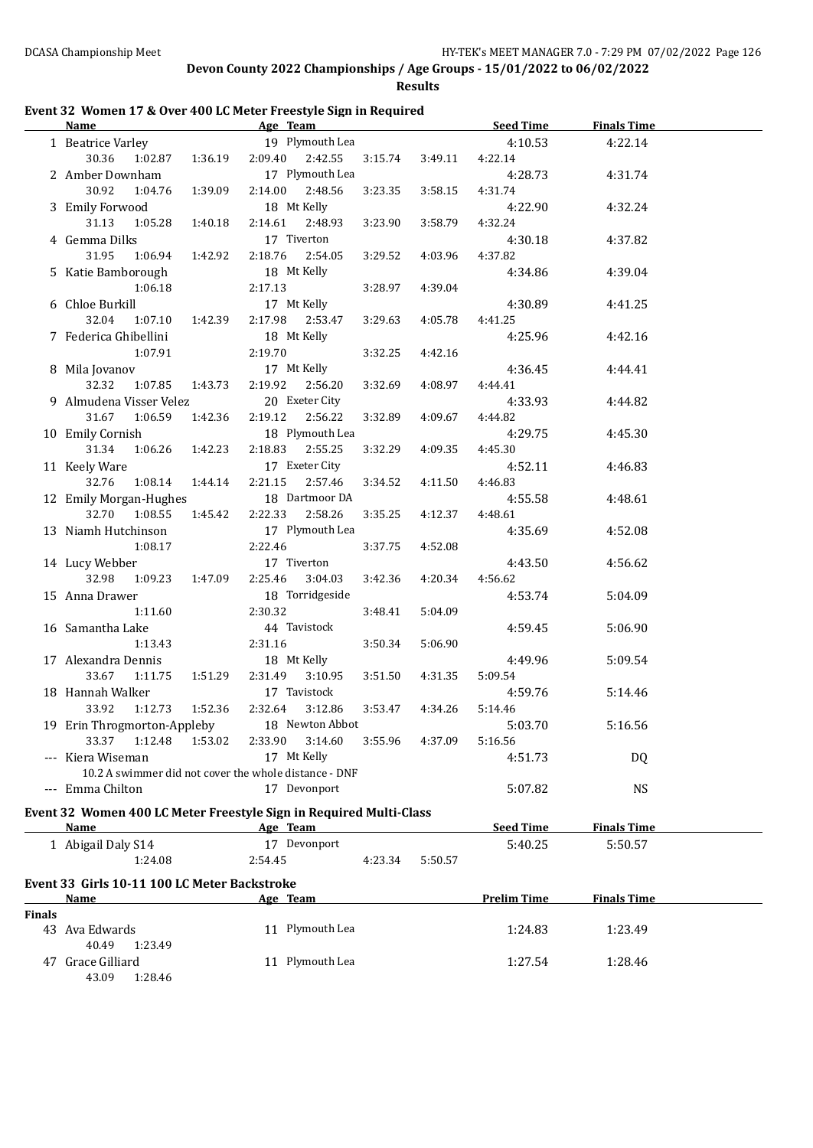40.49 1:23.49

43.09 1:28.46

**Devon County 2022 Championships / Age Groups - 15/01/2022 to 06/02/2022**

**Results**

#### **Event 32 Women 17 & Over 400 LC Meter Freestyle Sign in Required**

|               | Name Seed Time Age Team Age Seed Time                              |                           |                                    |                  |         |                  |                    | <b>Finals Time</b> |  |
|---------------|--------------------------------------------------------------------|---------------------------|------------------------------------|------------------|---------|------------------|--------------------|--------------------|--|
|               | 1 Beatrice Varley 19 Plymouth Lea                                  |                           |                                    |                  |         |                  | 4:10.53            | 4:22.14            |  |
|               | 30.36                                                              |                           | 1:02.87  1:36.19  2:09.40  2:42.55 |                  | 3:15.74 | 3:49.11          | 4:22.14            |                    |  |
|               | 2 Amber Downham                                                    |                           |                                    | 17 Plymouth Lea  |         |                  | 4:28.73            | 4:31.74            |  |
|               | 30.92<br>1:04.76                                                   | 1:39.09                   | 2:14.00                            | 2:48.56          | 3:23.35 | 3:58.15          | 4:31.74            |                    |  |
|               | 3 Emily Forwood                                                    |                           |                                    | 18 Mt Kelly      |         |                  | 4:22.90            | 4:32.24            |  |
|               | 31.13<br>1:05.28                                                   | 1:40.18                   | 2:14.61                            | 2:48.93          | 3:23.90 | 3:58.79          | 4:32.24            |                    |  |
|               | 4 Gemma Dilks                                                      |                           |                                    | 17 Tiverton      |         |                  | 4:30.18            | 4:37.82            |  |
|               | 31.95<br>1:06.94                                                   | 1:42.92                   | 2:18.76                            | 2:54.05          | 3:29.52 | 4:03.96          | 4:37.82            |                    |  |
|               | 5 Katie Bamborough                                                 |                           |                                    | 18 Mt Kelly      |         |                  | 4:34.86            | 4:39.04            |  |
|               | 1:06.18                                                            |                           | 2:17.13                            |                  | 3:28.97 | 4:39.04          |                    |                    |  |
|               | 6 Chloe Burkill                                                    |                           |                                    | 17 Mt Kelly      |         |                  | 4:30.89            | 4:41.25            |  |
|               | 32.04<br>1:07.10 1:42.39                                           |                           |                                    | 2:17.98 2:53.47  | 3:29.63 | 4:05.78          | 4:41.25            |                    |  |
|               | 7 Federica Ghibellini                                              |                           |                                    | 18 Mt Kelly      |         |                  | 4:25.96            | 4:42.16            |  |
|               | 1:07.91                                                            |                           | 2:19.70                            |                  | 3:32.25 | 4:42.16          |                    |                    |  |
|               | 8 Mila Jovanov                                                     |                           |                                    | 17 Mt Kelly      |         |                  | 4:36.45            | 4:44.41            |  |
|               | 32.32<br>1:07.85 1:43.73                                           |                           |                                    | 2:19.92  2:56.20 | 3:32.69 | 4:08.97          | 4:44.41            |                    |  |
|               | 9 Almudena Visser Velez                                            |                           |                                    | 20 Exeter City   |         |                  | 4:33.93            | 4:44.82            |  |
|               | 31.67<br>1:06.59                                                   | 1:42.36                   | 2:19.12                            | 2:56.22          | 3:32.89 | 4:09.67          | 4:44.82            |                    |  |
|               | 10 Emily Cornish                                                   |                           |                                    | 18 Plymouth Lea  |         |                  | 4:29.75            | 4:45.30            |  |
|               | 31.34 1:06.26 1:42.23                                              |                           |                                    | 2:18.83 2:55.25  | 3:32.29 | 4:09.35          | 4:45.30            |                    |  |
|               | 11 Keely Ware                                                      |                           |                                    | 17 Exeter City   |         |                  | 4:52.11            | 4:46.83            |  |
|               | 32.76 1:08.14 1:44.14                                              |                           | 2:21.15                            | 2:57.46          | 3:34.52 | 4:11.50          | 4:46.83            |                    |  |
|               | 12 Emily Morgan-Hughes                                             |                           |                                    | 18 Dartmoor DA   |         |                  | 4:55.58            | 4:48.61            |  |
|               | 32.70  1:08.55  1:45.42                                            |                           |                                    | 2:22.33 2:58.26  | 3:35.25 | 4:12.37          | 4:48.61            |                    |  |
|               | 13 Niamh Hutchinson                                                |                           | 17 Plymouth Lea                    |                  |         |                  | 4:35.69            | 4:52.08            |  |
|               | 1:08.17                                                            |                           | 2:22.46                            |                  | 3:37.75 | 4:52.08          |                    |                    |  |
|               | 14 Lucy Webber                                                     |                           | 17 Tiverton                        |                  |         |                  | 4:43.50            | 4:56.62            |  |
|               | 32.98                                                              | 1:09.23  1:47.09  2:25.46 |                                    | 3:04.03          | 3:42.36 | 4:20.34          | 4:56.62            |                    |  |
|               | 15 Anna Drawer                                                     |                           |                                    | 18 Torridgeside  |         |                  | 4:53.74            | 5:04.09            |  |
|               | 1:11.60                                                            |                           | 2:30.32                            |                  | 3:48.41 | 5:04.09          |                    |                    |  |
|               | 16 Samantha Lake                                                   |                           | 44 Tavistock                       |                  |         |                  | 4:59.45            | 5:06.90            |  |
|               | 1:13.43                                                            |                           | 2:31.16                            |                  | 3:50.34 | 5:06.90          |                    |                    |  |
|               | 17 Alexandra Dennis                                                |                           |                                    | 18 Mt Kelly      |         |                  | 4:49.96            | 5:09.54            |  |
|               | 33.67<br>1:11.75  1:51.29  2:31.49  3:10.95                        |                           |                                    |                  | 3:51.50 | 4:31.35          | 5:09.54            |                    |  |
|               | 18 Hannah Walker                                                   |                           |                                    | 17 Tavistock     |         |                  | 4:59.76            | 5:14.46            |  |
|               | 33.92<br>1:12.73   1:52.36                                         |                           | 2:32.64                            | 3:12.86          |         | 3:53.47  4:34.26 | 5:14.46            |                    |  |
|               | 19 Erin Throgmorton-Appleby 18 Newton Abbot                        |                           |                                    |                  |         |                  | 5:03.70            | 5:16.56            |  |
|               | 33.37 1:12.48 1:53.02                                              |                           | 2:33.90                            | 3:14.60          | 3:55.96 | 4:37.09          | 5:16.56            |                    |  |
|               | --- Kiera Wiseman                                                  |                           |                                    | 17 Mt Kelly      |         |                  | 4:51.73            | DQ                 |  |
|               | 10.2 A swimmer did not cover the whole distance - DNF              |                           |                                    |                  |         |                  |                    |                    |  |
|               | --- Emma Chilton                                                   |                           |                                    | 17 Devonport     |         |                  | 5:07.82            | <b>NS</b>          |  |
|               | Event 32 Women 400 LC Meter Freestyle Sign in Required Multi-Class |                           |                                    |                  |         |                  |                    |                    |  |
|               | <u>Name</u>                                                        |                           | Age Team                           |                  |         |                  | <b>Seed Time</b>   | <b>Finals Time</b> |  |
|               | 1 Abigail Daly S14                                                 |                           |                                    | 17 Devonport     |         |                  | 5:40.25            | 5:50.57            |  |
|               | 1:24.08                                                            |                           | 2:54.45                            |                  | 4:23.34 | 5:50.57          |                    |                    |  |
|               |                                                                    |                           |                                    |                  |         |                  |                    |                    |  |
|               | Event 33 Girls 10-11 100 LC Meter Backstroke                       |                           |                                    |                  |         |                  |                    |                    |  |
|               | Name                                                               |                           | Age Team                           |                  |         |                  | <b>Prelim Time</b> | <b>Finals Time</b> |  |
| <b>Finals</b> |                                                                    |                           |                                    | 11 Plymouth Lea  |         |                  |                    |                    |  |
|               | 43 Ava Edwards                                                     |                           |                                    |                  |         |                  | 1:24.83            | 1:23.49            |  |

47 Grace Gilliard 11 Plymouth Lea 1:27.54 1:28.46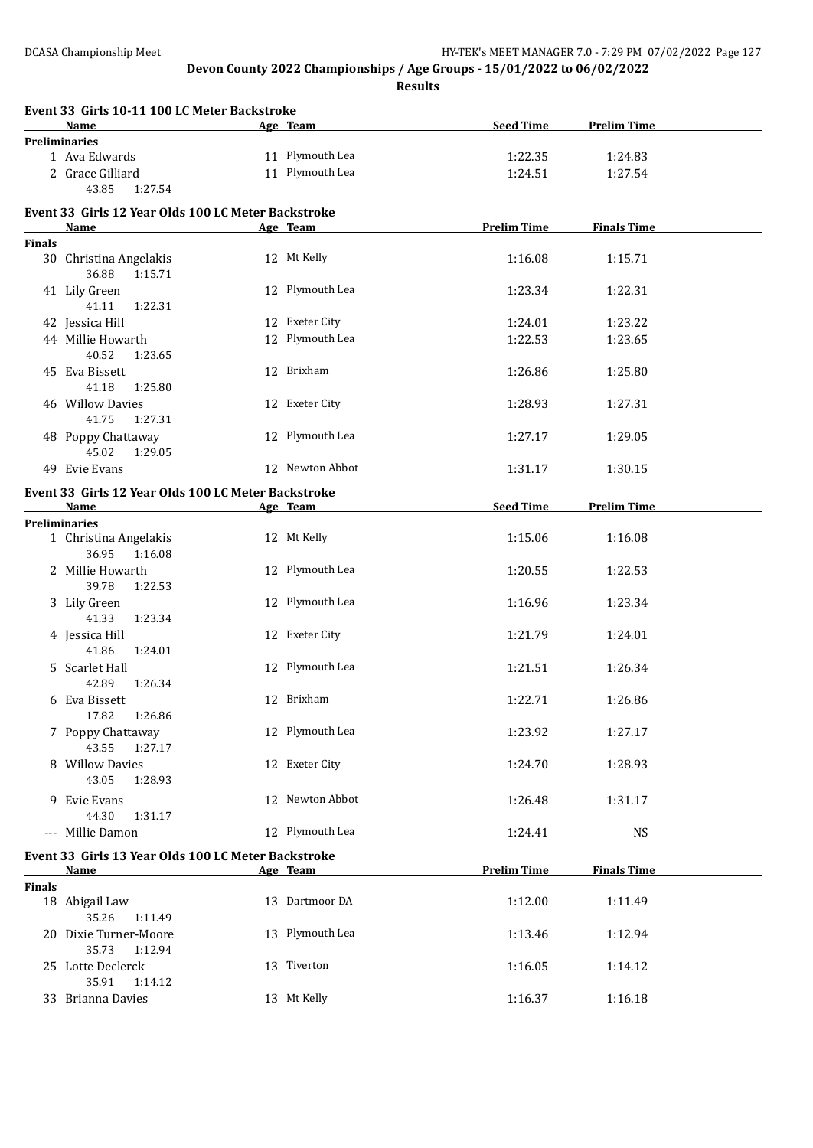**Results**

|               | Event 33 Girls 10-11 100 LC Meter Backstroke                |                 |                    |                    |  |
|---------------|-------------------------------------------------------------|-----------------|--------------------|--------------------|--|
|               | <b>Name</b><br><b>Preliminaries</b>                         | Age Team        | <b>Seed Time</b>   | <b>Prelim Time</b> |  |
|               | 1 Ava Edwards                                               | 11 Plymouth Lea | 1:22.35            | 1:24.83            |  |
|               | 2 Grace Gilliard<br>43.85<br>1:27.54                        | 11 Plymouth Lea | 1:24.51            | 1:27.54            |  |
|               | Event 33 Girls 12 Year Olds 100 LC Meter Backstroke         |                 |                    |                    |  |
|               | Name                                                        | Age Team        | <b>Prelim Time</b> | <b>Finals Time</b> |  |
| <b>Finals</b> |                                                             |                 |                    |                    |  |
|               | 30 Christina Angelakis<br>36.88<br>1:15.71                  | 12 Mt Kelly     | 1:16.08            | 1:15.71            |  |
|               | 41 Lily Green<br>41.11<br>1:22.31                           | 12 Plymouth Lea | 1:23.34            | 1:22.31            |  |
|               | 42 Jessica Hill                                             | 12 Exeter City  | 1:24.01            | 1:23.22            |  |
|               | 44 Millie Howarth<br>40.52<br>1:23.65                       | 12 Plymouth Lea | 1:22.53            | 1:23.65            |  |
|               | 45 Eva Bissett<br>41.18<br>1:25.80                          | 12 Brixham      | 1:26.86            | 1:25.80            |  |
|               | 46 Willow Davies<br>41.75<br>1:27.31                        | 12 Exeter City  | 1:28.93            | 1:27.31            |  |
|               | 48 Poppy Chattaway<br>45.02<br>1:29.05                      | 12 Plymouth Lea | 1:27.17            | 1:29.05            |  |
|               | 49 Evie Evans                                               | 12 Newton Abbot | 1:31.17            | 1:30.15            |  |
|               | Event 33 Girls 12 Year Olds 100 LC Meter Backstroke<br>Name | Age Team        | <b>Seed Time</b>   | <b>Prelim Time</b> |  |
|               | <b>Preliminaries</b>                                        |                 |                    |                    |  |
|               | 1 Christina Angelakis<br>36.95<br>1:16.08                   | 12 Mt Kelly     | 1:15.06            | 1:16.08            |  |
|               | 2 Millie Howarth<br>39.78<br>1:22.53                        | 12 Plymouth Lea | 1:20.55            | 1:22.53            |  |
|               | 3 Lily Green<br>41.33<br>1:23.34                            | 12 Plymouth Lea | 1:16.96            | 1:23.34            |  |
|               | 4 Jessica Hill<br>41.86<br>1:24.01                          | 12 Exeter City  | 1:21.79            | 1:24.01            |  |
|               | 5 Scarlet Hall<br>42.89<br>1:26.34                          | 12 Plymouth Lea | 1:21.51            | 1:26.34            |  |
|               | 6 Eva Bissett<br>17.82  1:26.86                             | 12 Brixham      | 1:22.71            | 1:26.86            |  |
|               | 7 Poppy Chattaway<br>43.55<br>1:27.17                       | 12 Plymouth Lea | 1:23.92            | 1:27.17            |  |
|               | 8 Willow Davies<br>43.05<br>1:28.93                         | 12 Exeter City  | 1:24.70            | 1:28.93            |  |
|               | 9 Evie Evans<br>44.30<br>1:31.17                            | 12 Newton Abbot | 1:26.48            | 1:31.17            |  |
|               | --- Millie Damon                                            | 12 Plymouth Lea | 1:24.41            | <b>NS</b>          |  |
|               | Event 33 Girls 13 Year Olds 100 LC Meter Backstroke         |                 |                    |                    |  |
|               | <b>Name</b>                                                 | Age Team        | <b>Prelim Time</b> | <b>Finals Time</b> |  |
| <b>Finals</b> | 18 Abigail Law<br>35.26<br>1:11.49                          | 13 Dartmoor DA  | 1:12.00            | 1:11.49            |  |
|               | 20 Dixie Turner-Moore<br>35.73<br>1:12.94                   | 13 Plymouth Lea | 1:13.46            | 1:12.94            |  |
|               | 25 Lotte Declerck<br>35.91<br>1:14.12                       | 13 Tiverton     | 1:16.05            | 1:14.12            |  |
|               | 33 Brianna Davies                                           | 13 Mt Kelly     | 1:16.37            | 1:16.18            |  |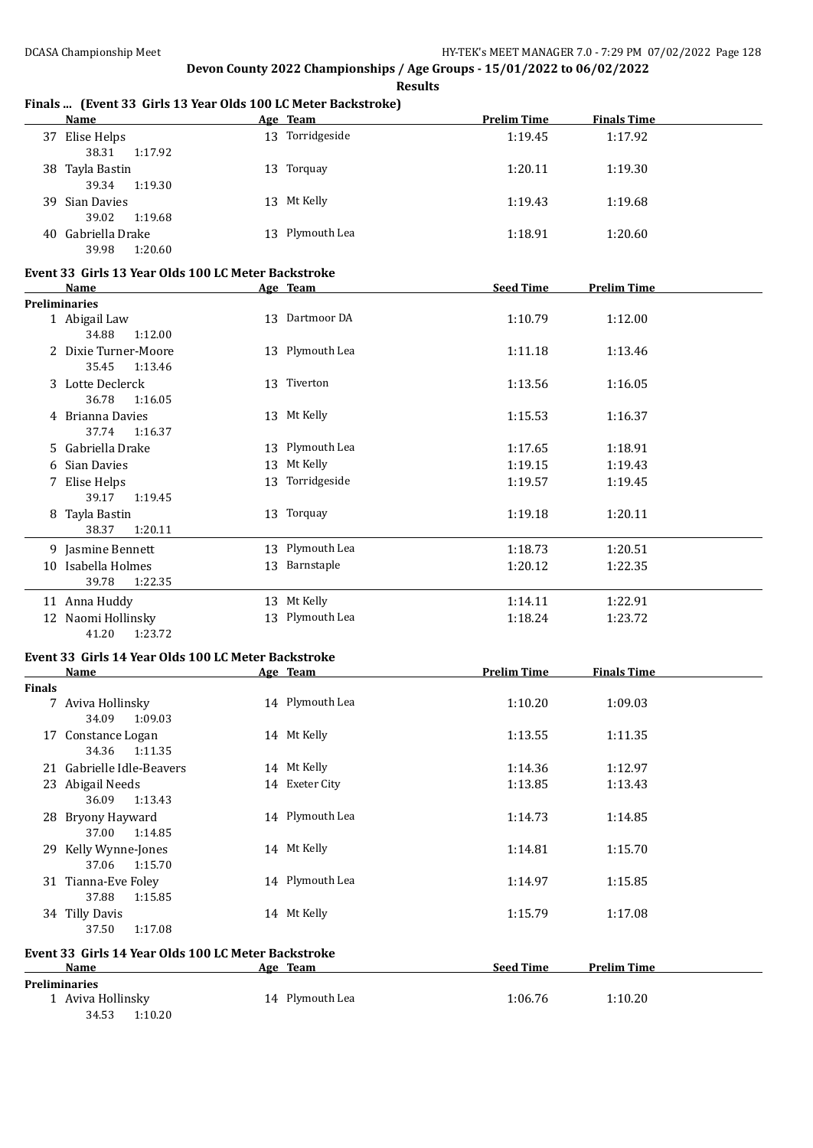|               | Finals  (Event 33 Girls 13 Year Olds 100 LC Meter Backstroke) |                 |                    |                    |  |
|---------------|---------------------------------------------------------------|-----------------|--------------------|--------------------|--|
|               | <b>Name</b>                                                   | Age Team        | <b>Prelim Time</b> | <b>Finals Time</b> |  |
|               | 37 Elise Helps<br>38.31<br>1:17.92                            | 13 Torridgeside | 1:19.45            | 1:17.92            |  |
|               | 38 Tayla Bastin<br>39.34<br>1:19.30                           | 13 Torquay      | 1:20.11            | 1:19.30            |  |
|               | 39 Sian Davies<br>39.02<br>1:19.68                            | 13 Mt Kelly     | 1:19.43            | 1:19.68            |  |
|               | 40 Gabriella Drake<br>39.98<br>1:20.60                        | 13 Plymouth Lea | 1:18.91            | 1:20.60            |  |
|               | Event 33 Girls 13 Year Olds 100 LC Meter Backstroke<br>Name   | Age Team        | <b>Seed Time</b>   | <b>Prelim Time</b> |  |
|               | <b>Preliminaries</b>                                          |                 |                    |                    |  |
|               | 1 Abigail Law<br>34.88<br>1:12.00                             | 13 Dartmoor DA  | 1:10.79            | 1:12.00            |  |
|               | 2 Dixie Turner-Moore<br>35.45<br>1:13.46                      | 13 Plymouth Lea | 1:11.18            | 1:13.46            |  |
|               | 3 Lotte Declerck<br>36.78<br>1:16.05                          | 13 Tiverton     | 1:13.56            | 1:16.05            |  |
|               | 4 Brianna Davies<br>37.74<br>1:16.37                          | 13 Mt Kelly     | 1:15.53            | 1:16.37            |  |
|               | 5 Gabriella Drake                                             | 13 Plymouth Lea | 1:17.65            | 1:18.91            |  |
|               | 6 Sian Davies                                                 | 13 Mt Kelly     | 1:19.15            | 1:19.43            |  |
|               | 7 Elise Helps<br>39.17<br>1:19.45                             | 13 Torridgeside | 1:19.57            | 1:19.45            |  |
|               | 8 Tayla Bastin<br>38.37<br>1:20.11                            | 13 Torquay      | 1:19.18            | 1:20.11            |  |
|               | 9 Jasmine Bennett                                             | 13 Plymouth Lea | 1:18.73            | 1:20.51            |  |
|               | 10 Isabella Holmes<br>39.78<br>1:22.35                        | 13 Barnstaple   | 1:20.12            | 1:22.35            |  |
|               | 11 Anna Huddy                                                 | 13 Mt Kelly     | 1:14.11            | 1:22.91            |  |
|               | 12 Naomi Hollinsky<br>41.20<br>1:23.72                        | 13 Plymouth Lea | 1:18.24            | 1:23.72            |  |
|               | Event 33 Girls 14 Year Olds 100 LC Meter Backstroke           |                 |                    |                    |  |
|               | Name                                                          | Age Team        | <b>Prelim Time</b> | <b>Finals Time</b> |  |
| <b>Finals</b> | 7 Aviva Hollinsky<br>34.09<br>1:09.03                         | 14 Plymouth Lea | 1:10.20            | 1:09.03            |  |
|               | 17 Constance Logan<br>34.36<br>1:11.35                        | 14 Mt Kelly     | 1:13.55            | 1:11.35            |  |
|               | 21 Gabrielle Idle-Beavers                                     | 14 Mt Kelly     | 1:14.36            | 1:12.97            |  |
|               | 23 Abigail Needs<br>36.09<br>1:13.43                          | 14 Exeter City  | 1:13.85            | 1:13.43            |  |
|               | 28 Bryony Hayward<br>37.00<br>1:14.85                         | 14 Plymouth Lea | 1:14.73            | 1:14.85            |  |
|               | 29 Kelly Wynne-Jones<br>37.06<br>1:15.70                      | 14 Mt Kelly     | 1:14.81            | 1:15.70            |  |
|               | 31 Tianna-Eve Foley<br>37.88<br>1:15.85                       | 14 Plymouth Lea | 1:14.97            | 1:15.85            |  |
|               | 34 Tilly Davis<br>37.50<br>1:17.08                            | 14 Mt Kelly     | 1:15.79            | 1:17.08            |  |

### **Event 33 Girls 14 Year Olds 100 LC Meter Backstroke**

| Name                 | Team<br>Age     | <b>Seed Time</b> | <b>Prelim Time</b> |
|----------------------|-----------------|------------------|--------------------|
| <b>Preliminaries</b> |                 |                  |                    |
| Aviva Hollinsky ،    | 14 Plymouth Lea | 1:06.76          | 1:10.20            |
| 1:10.20<br>34.53     |                 |                  |                    |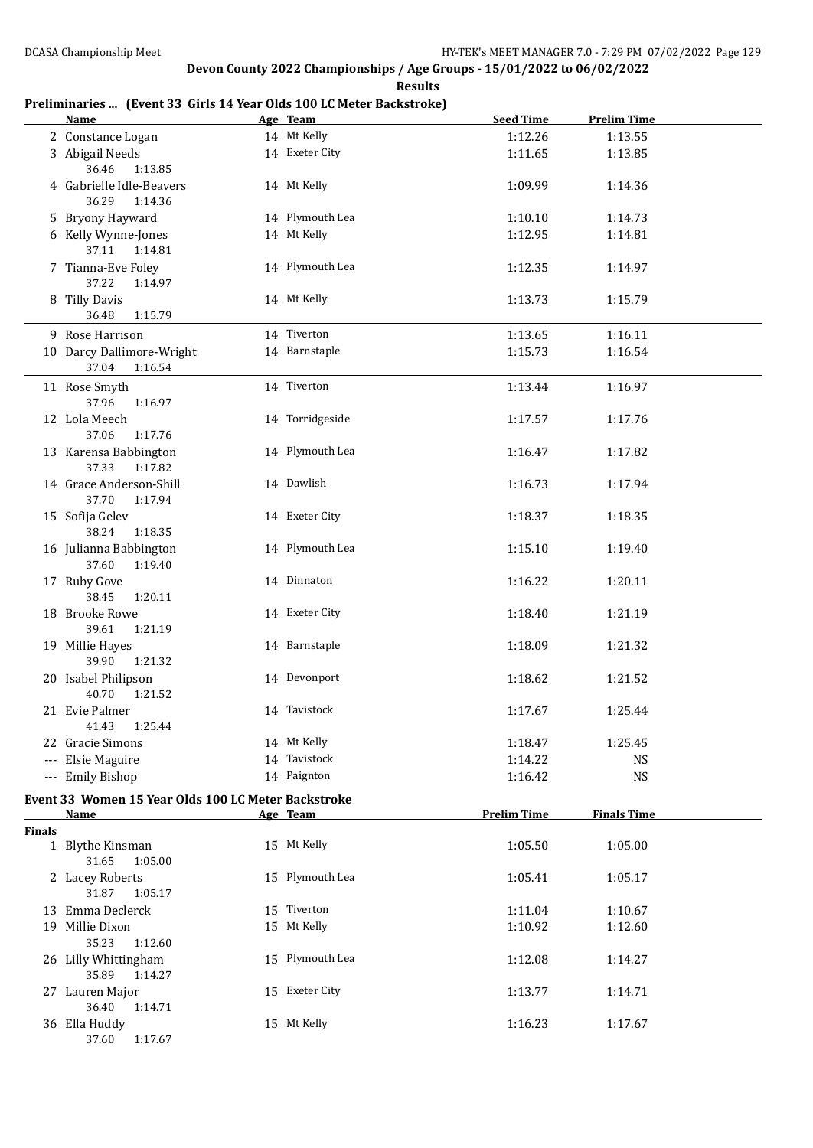#### **Preliminaries ... (Event 33 Girls 14 Year Olds 100 LC Meter Backstroke)**

|               | <b>Name</b>                                         | Age Team        | <b>Seed Time</b>   | <b>Prelim Time</b> |  |
|---------------|-----------------------------------------------------|-----------------|--------------------|--------------------|--|
|               | 2 Constance Logan                                   | 14 Mt Kelly     | 1:12.26            | 1:13.55            |  |
|               | 3 Abigail Needs                                     | 14 Exeter City  | 1:11.65            | 1:13.85            |  |
|               | 36.46<br>1:13.85                                    |                 |                    |                    |  |
|               | 4 Gabrielle Idle-Beavers<br>36.29<br>1:14.36        | 14 Mt Kelly     | 1:09.99            | 1:14.36            |  |
|               | 5 Bryony Hayward                                    | 14 Plymouth Lea | 1:10.10            | 1:14.73            |  |
|               | 6 Kelly Wynne-Jones                                 | 14 Mt Kelly     | 1:12.95            | 1:14.81            |  |
|               | 37.11<br>1:14.81                                    |                 |                    |                    |  |
|               | 7 Tianna-Eve Foley<br>37.22<br>1:14.97              | 14 Plymouth Lea | 1:12.35            | 1:14.97            |  |
|               | 8 Tilly Davis<br>36.48<br>1:15.79                   | 14 Mt Kelly     | 1:13.73            | 1:15.79            |  |
|               | 9 Rose Harrison                                     | 14 Tiverton     |                    |                    |  |
|               |                                                     |                 | 1:13.65            | 1:16.11            |  |
|               | 10 Darcy Dallimore-Wright                           | 14 Barnstaple   | 1:15.73            | 1:16.54            |  |
|               | 37.04<br>1:16.54                                    |                 |                    |                    |  |
|               | 11 Rose Smyth                                       | 14 Tiverton     | 1:13.44            | 1:16.97            |  |
|               | 37.96<br>1:16.97                                    |                 |                    |                    |  |
|               | 12 Lola Meech                                       | 14 Torridgeside | 1:17.57            | 1:17.76            |  |
|               | 37.06<br>1:17.76                                    |                 |                    |                    |  |
|               | 13 Karensa Babbington<br>37.33<br>1:17.82           | 14 Plymouth Lea | 1:16.47            | 1:17.82            |  |
|               | 14 Grace Anderson-Shill<br>37.70<br>1:17.94         | 14 Dawlish      | 1:16.73            | 1:17.94            |  |
|               | 15 Sofija Gelev                                     | 14 Exeter City  | 1:18.37            | 1:18.35            |  |
|               | 38.24<br>1:18.35                                    |                 |                    |                    |  |
|               | 16 Julianna Babbington<br>37.60<br>1:19.40          | 14 Plymouth Lea | 1:15.10            | 1:19.40            |  |
|               | 17 Ruby Gove<br>38.45<br>1:20.11                    | 14 Dinnaton     | 1:16.22            | 1:20.11            |  |
|               | 18 Brooke Rowe<br>39.61<br>1:21.19                  | 14 Exeter City  | 1:18.40            | 1:21.19            |  |
|               | 19 Millie Hayes<br>39.90<br>1:21.32                 | 14 Barnstaple   | 1:18.09            | 1:21.32            |  |
|               | 20 Isabel Philipson<br>40.70<br>1:21.52             | 14 Devonport    | 1:18.62            | 1:21.52            |  |
|               | 21 Evie Palmer                                      | 14 Tavistock    | 1:17.67            | 1:25.44            |  |
|               | 41.43 1:25.44                                       |                 |                    |                    |  |
|               | 22 Gracie Simons                                    | 14 Mt Kelly     | 1:18.47            | 1:25.45            |  |
|               | --- Elsie Maguire                                   | 14 Tavistock    | 1:14.22            | <b>NS</b>          |  |
|               | --- Emily Bishop                                    | 14 Paignton     | 1:16.42            | <b>NS</b>          |  |
|               | Event 33 Women 15 Year Olds 100 LC Meter Backstroke |                 |                    |                    |  |
|               | Name                                                | Age Team        | <b>Prelim Time</b> | <b>Finals Time</b> |  |
| <b>Finals</b> |                                                     |                 |                    |                    |  |
|               | 1 Blythe Kinsman                                    | 15 Mt Kelly     | 1:05.50            | 1:05.00            |  |
|               | 31.65<br>1:05.00                                    |                 |                    |                    |  |
|               | 2 Lacey Roberts                                     | 15 Plymouth Lea | 1:05.41            | 1:05.17            |  |
|               | 31.87<br>1:05.17                                    |                 |                    |                    |  |
|               | 13 Emma Declerck                                    | 15 Tiverton     | 1:11.04            | 1:10.67            |  |
|               | 19 Millie Dixon                                     | 15 Mt Kelly     | 1:10.92            | 1:12.60            |  |
|               | 35.23<br>1:12.60                                    |                 |                    |                    |  |
|               | 26 Lilly Whittingham                                | 15 Plymouth Lea | 1:12.08            | 1:14.27            |  |
|               | 35.89<br>1:14.27                                    |                 |                    |                    |  |
|               | 27 Lauren Major                                     | 15 Exeter City  | 1:13.77            | 1:14.71            |  |
|               | 36.40<br>1:14.71                                    |                 |                    |                    |  |
|               | 36 Ella Huddy                                       | 15 Mt Kelly     | 1:16.23            | 1:17.67            |  |
|               | 37.60<br>1:17.67                                    |                 |                    |                    |  |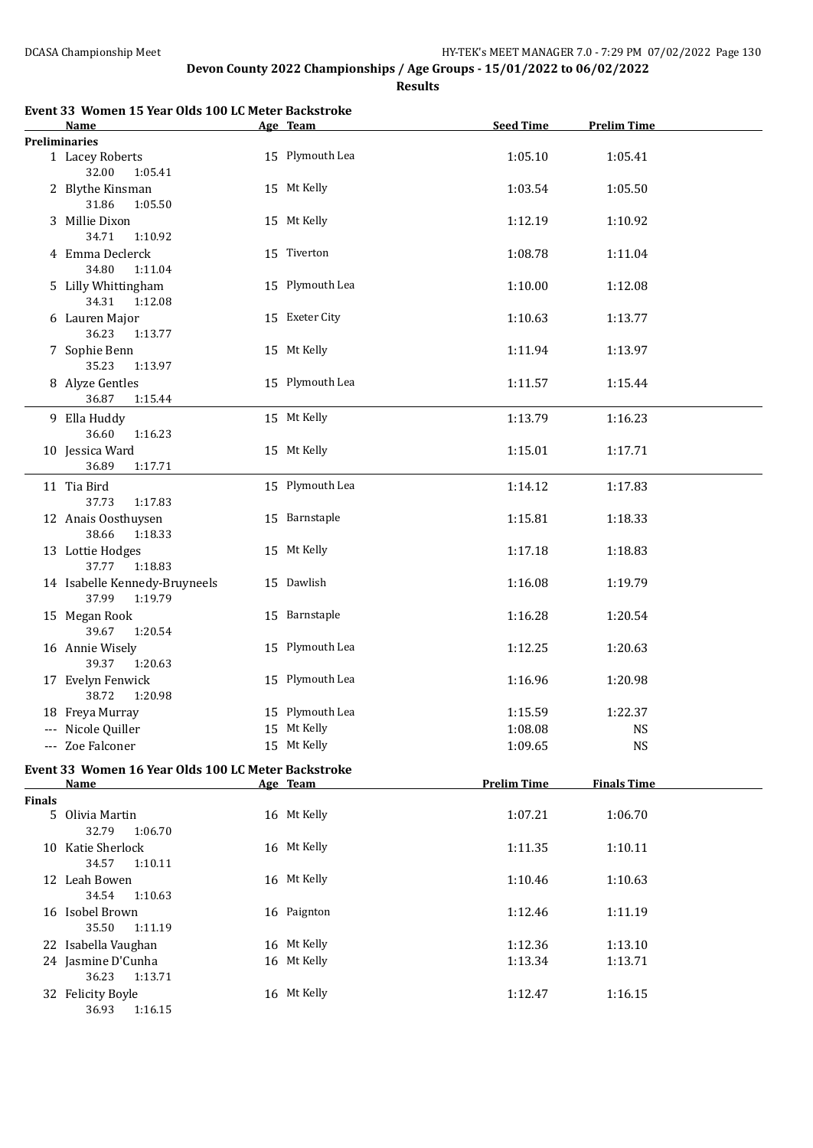**Results**

| Event 33 Women 15 Year Olds 100 LC Meter Backstroke |
|-----------------------------------------------------|
|-----------------------------------------------------|

|               | <b>Name</b>                                         | Age Team        | <b>Seed Time</b>   | <b>Prelim Time</b> |  |
|---------------|-----------------------------------------------------|-----------------|--------------------|--------------------|--|
|               | <b>Preliminaries</b>                                |                 |                    |                    |  |
|               | 1 Lacey Roberts<br>32.00<br>1:05.41                 | 15 Plymouth Lea | 1:05.10            | 1:05.41            |  |
|               | 2 Blythe Kinsman<br>31.86<br>1:05.50                | 15 Mt Kelly     | 1:03.54            | 1:05.50            |  |
|               | 3 Millie Dixon<br>34.71<br>1:10.92                  | 15 Mt Kelly     | 1:12.19            | 1:10.92            |  |
|               | 4 Emma Declerck<br>34.80<br>1:11.04                 | 15 Tiverton     | 1:08.78            | 1:11.04            |  |
|               | 5 Lilly Whittingham<br>34.31<br>1:12.08             | 15 Plymouth Lea | 1:10.00            | 1:12.08            |  |
|               | 6 Lauren Major<br>36.23<br>1:13.77                  | 15 Exeter City  | 1:10.63            | 1:13.77            |  |
|               | 7 Sophie Benn<br>35.23<br>1:13.97                   | 15 Mt Kelly     | 1:11.94            | 1:13.97            |  |
|               | 8 Alyze Gentles<br>36.87<br>1:15.44                 | 15 Plymouth Lea | 1:11.57            | 1:15.44            |  |
|               | 9 Ella Huddy<br>36.60<br>1:16.23                    | 15 Mt Kelly     | 1:13.79            | 1:16.23            |  |
|               | 10 Jessica Ward<br>1:17.71<br>36.89                 | 15 Mt Kelly     | 1:15.01            | 1:17.71            |  |
|               | 11 Tia Bird<br>37.73<br>1:17.83                     | 15 Plymouth Lea | 1:14.12            | 1:17.83            |  |
|               | 12 Anais Oosthuysen<br>38.66<br>1:18.33             | 15 Barnstaple   | 1:15.81            | 1:18.33            |  |
|               | 13 Lottie Hodges<br>37.77<br>1:18.83                | 15 Mt Kelly     | 1:17.18            | 1:18.83            |  |
|               | 14 Isabelle Kennedy-Bruyneels<br>37.99<br>1:19.79   | 15 Dawlish      | 1:16.08            | 1:19.79            |  |
|               | 15 Megan Rook<br>39.67<br>1:20.54                   | 15 Barnstaple   | 1:16.28            | 1:20.54            |  |
|               | 16 Annie Wisely<br>39.37<br>1:20.63                 | 15 Plymouth Lea | 1:12.25            | 1:20.63            |  |
|               | 17 Evelyn Fenwick<br>38.72<br>1:20.98               | 15 Plymouth Lea | 1:16.96            | 1:20.98            |  |
|               | 18 Freya Murray                                     | 15 Plymouth Lea | 1:15.59            | 1:22.37            |  |
|               | --- Nicole Quiller                                  | 15 Mt Kelly     | 1:08.08            | <b>NS</b>          |  |
|               | --- Zoe Falconer                                    | 15 Mt Kelly     | 1:09.65            | <b>NS</b>          |  |
|               | Event 33 Women 16 Year Olds 100 LC Meter Backstroke |                 |                    |                    |  |
|               | <u>Name</u>                                         | Age Team        | <b>Prelim Time</b> | <b>Finals Time</b> |  |
| <b>Finals</b> |                                                     |                 |                    |                    |  |
|               | 5 Olivia Martin<br>32.79<br>1:06.70                 | 16 Mt Kelly     | 1:07.21            | 1:06.70            |  |
|               | 10 Katie Sherlock<br>34.57<br>1:10.11               | 16 Mt Kelly     | 1:11.35            | 1:10.11            |  |
|               | 12 Leah Bowen<br>34.54<br>1:10.63                   | 16 Mt Kelly     | 1:10.46            | 1:10.63            |  |
|               | 16 Isobel Brown<br>35.50<br>1:11.19                 | 16 Paignton     | 1:12.46            | 1:11.19            |  |
|               | 22 Isabella Vaughan                                 | 16 Mt Kelly     | 1:12.36            | 1:13.10            |  |
|               | 24 Jasmine D'Cunha<br>36.23<br>1:13.71              | 16 Mt Kelly     | 1:13.34            | 1:13.71            |  |
|               | 32 Felicity Boyle<br>36.93 1:16.15                  | 16 Mt Kelly     | 1:12.47            | 1:16.15            |  |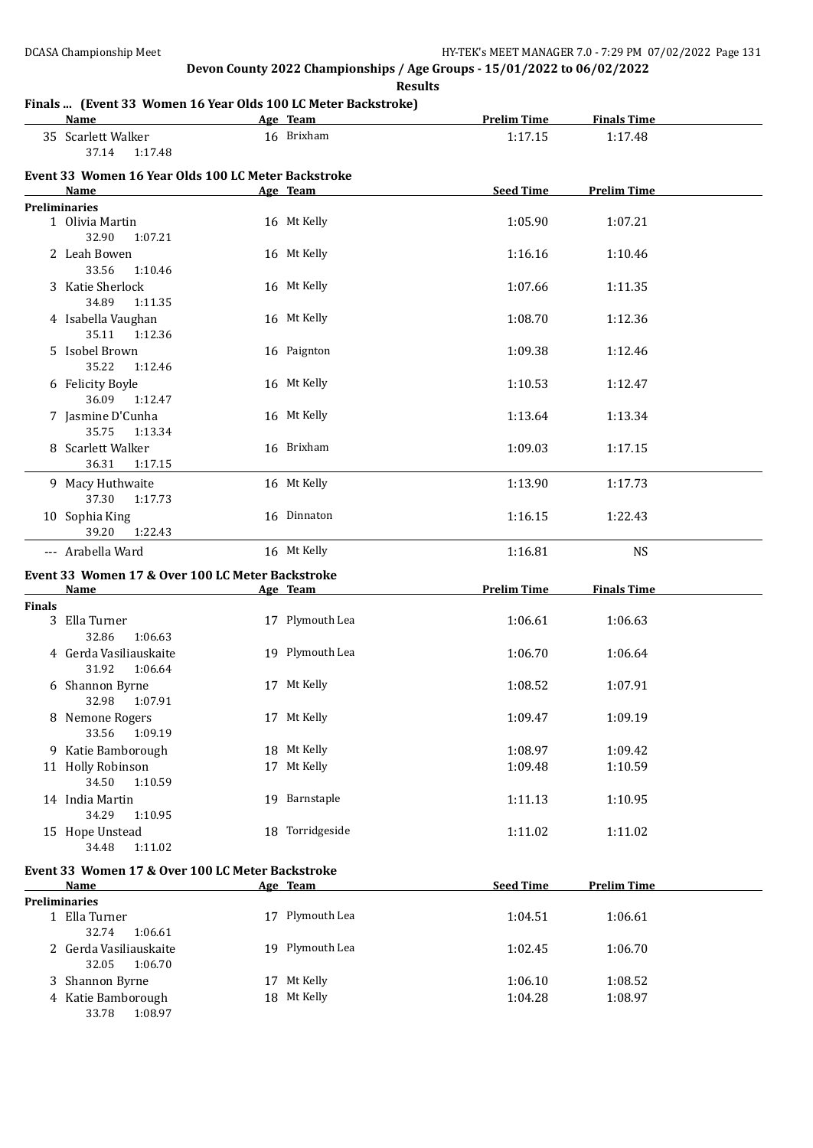**Results**

#### **Finals ... (Event 33 Women 16 Year Olds 100 LC Meter Backstroke)**

| Name                        |         | Age Team   | <b>Prelim Time</b> | <b>Finals Time</b> |  |
|-----------------------------|---------|------------|--------------------|--------------------|--|
| 35 Scarlett Walker<br>37.14 | 1:17.48 | 16 Brixham | 1:17.15            | 1:17.48            |  |

### **Event 33 Women 16 Year Olds 100 LC Meter Backstroke**

|               | EVEILL 33 WOMEN TO TEAL ORD TOO LC MELET BACKSLIUKE<br><b>Name</b> | Age Team        | Seed Time          | <b>Prelim Time</b> |  |
|---------------|--------------------------------------------------------------------|-----------------|--------------------|--------------------|--|
|               | <b>Preliminaries</b>                                               |                 |                    |                    |  |
|               | 1 Olivia Martin                                                    | 16 Mt Kelly     | 1:05.90            | 1:07.21            |  |
|               | 32.90<br>1:07.21                                                   |                 |                    |                    |  |
|               | 2 Leah Bowen                                                       | 16 Mt Kelly     | 1:16.16            | 1:10.46            |  |
|               | 33.56<br>1:10.46                                                   |                 |                    |                    |  |
|               | 3 Katie Sherlock                                                   | 16 Mt Kelly     | 1:07.66            | 1:11.35            |  |
|               | 34.89<br>1:11.35                                                   |                 |                    |                    |  |
|               | 4 Isabella Vaughan<br>35.11<br>1:12.36                             | 16 Mt Kelly     | 1:08.70            | 1:12.36            |  |
|               | 5 Isobel Brown                                                     | 16 Paignton     | 1:09.38            | 1:12.46            |  |
|               | 35.22<br>1:12.46                                                   |                 |                    |                    |  |
|               | 6 Felicity Boyle                                                   | 16 Mt Kelly     | 1:10.53            | 1:12.47            |  |
|               | 36.09<br>1:12.47                                                   |                 |                    |                    |  |
|               | 7 Jasmine D'Cunha                                                  | 16 Mt Kelly     | 1:13.64            | 1:13.34            |  |
|               | 35.75<br>1:13.34                                                   |                 |                    |                    |  |
|               | 8 Scarlett Walker                                                  | 16 Brixham      | 1:09.03            | 1:17.15            |  |
|               | 36.31<br>1:17.15                                                   |                 |                    |                    |  |
|               | 9 Macy Huthwaite                                                   | 16 Mt Kelly     | 1:13.90            | 1:17.73            |  |
|               | 37.30<br>1:17.73                                                   |                 |                    |                    |  |
|               | 10 Sophia King                                                     | 16 Dinnaton     | 1:16.15            | 1:22.43            |  |
|               | 39.20<br>1:22.43                                                   |                 |                    |                    |  |
|               |                                                                    |                 |                    |                    |  |
|               | --- Arabella Ward                                                  | 16 Mt Kelly     | 1:16.81            | <b>NS</b>          |  |
|               | Event 33 Women 17 & Over 100 LC Meter Backstroke                   |                 |                    |                    |  |
|               |                                                                    |                 |                    |                    |  |
|               | Name                                                               | Age Team        | <b>Prelim Time</b> | <b>Finals Time</b> |  |
| <b>Finals</b> |                                                                    |                 |                    |                    |  |
|               | 3 Ella Turner                                                      | 17 Plymouth Lea | 1:06.61            | 1:06.63            |  |
|               | 32.86<br>1:06.63                                                   |                 |                    |                    |  |
|               | 4 Gerda Vasiliauskaite                                             | 19 Plymouth Lea | 1:06.70            | 1:06.64            |  |
|               | 31.92<br>1:06.64                                                   |                 |                    |                    |  |
|               | 6 Shannon Byrne                                                    | 17 Mt Kelly     | 1:08.52            | 1:07.91            |  |
|               | 32.98<br>1:07.91                                                   |                 |                    |                    |  |
|               | 8 Nemone Rogers                                                    | 17 Mt Kelly     | 1:09.47            | 1:09.19            |  |
|               | 33.56<br>1:09.19                                                   |                 |                    |                    |  |
|               | 9 Katie Bamborough                                                 | 18 Mt Kelly     | 1:08.97            | 1:09.42            |  |
|               | 11 Holly Robinson                                                  | 17 Mt Kelly     | 1:09.48            | 1:10.59            |  |
|               | 34.50<br>1:10.59                                                   |                 |                    |                    |  |
|               | 14 India Martin                                                    | 19 Barnstaple   | 1:11.13            | 1:10.95            |  |
|               | 34.29<br>1:10.95                                                   |                 |                    |                    |  |
|               |                                                                    | 18 Torridgeside |                    |                    |  |
|               | 15 Hope Unstead<br>34.48<br>1:11.02                                |                 | 1:11.02            | 1:11.02            |  |
|               |                                                                    |                 |                    |                    |  |
|               | Event 33 Women 17 & Over 100 LC Meter Backstroke                   |                 |                    |                    |  |
|               | Name                                                               | Age Team        | <b>Seed Time</b>   | <b>Prelim Time</b> |  |
|               | <b>Preliminaries</b>                                               |                 |                    |                    |  |
|               | 1 Ella Turner                                                      | 17 Plymouth Lea | 1:04.51            | 1:06.61            |  |
|               | 32.74<br>1:06.61<br>2 Gerda Vasiliauskaite                         | 19 Plymouth Lea | 1:02.45            | 1:06.70            |  |

3 Shannon Byrne 17 Mt Kelly 1:06.10 1:08.52 4 Katie Bamborough 18 Mt Kelly 1:04.28 1:08.97

33.78 1:08.97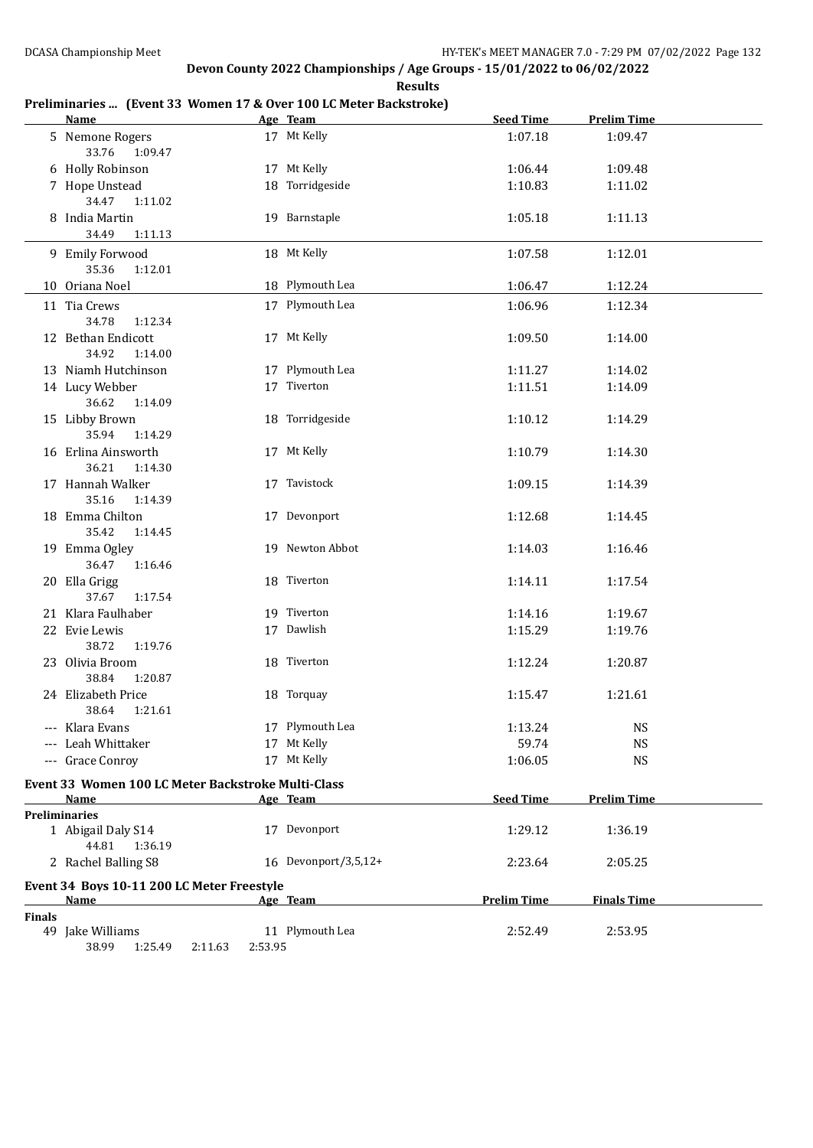**Results**

#### **Preliminaries ... (Event 33 Women 17 & Over 100 LC Meter Backstroke)**

|               | <b>Name</b>                                                |         | Age Team             | <b>Seed Time</b>   | <b>Prelim Time</b>     |  |
|---------------|------------------------------------------------------------|---------|----------------------|--------------------|------------------------|--|
|               | 5 Nemone Rogers<br>33.76<br>1:09.47                        |         | 17 Mt Kelly          | 1:07.18            | 1:09.47                |  |
|               | 6 Holly Robinson                                           |         | 17 Mt Kelly          | 1:06.44            | 1:09.48                |  |
|               | 7 Hope Unstead<br>34.47<br>1:11.02                         |         | 18 Torridgeside      | 1:10.83            | 1:11.02                |  |
|               | 8 India Martin<br>34.49<br>1:11.13                         |         | 19 Barnstaple        | 1:05.18            | 1:11.13                |  |
|               | 9 Emily Forwood<br>35.36<br>1:12.01                        |         | 18 Mt Kelly          | 1:07.58            | 1:12.01                |  |
|               | 10 Oriana Noel                                             |         | 18 Plymouth Lea      | 1:06.47            | 1:12.24                |  |
|               | 11 Tia Crews<br>34.78<br>1:12.34                           |         | 17 Plymouth Lea      | 1:06.96            | 1:12.34                |  |
|               | 12 Bethan Endicott                                         |         | 17 Mt Kelly          | 1:09.50            | 1:14.00                |  |
|               | 34.92<br>1:14.00<br>13 Niamh Hutchinson                    |         | 17 Plymouth Lea      | 1:11.27            | 1:14.02                |  |
|               | 14 Lucy Webber                                             |         | 17 Tiverton          | 1:11.51            | 1:14.09                |  |
|               | 36.62<br>1:14.09                                           |         |                      |                    |                        |  |
|               | 15 Libby Brown<br>35.94<br>1:14.29                         |         | 18 Torridgeside      | 1:10.12            | 1:14.29                |  |
|               | 16 Erlina Ainsworth<br>36.21<br>1:14.30                    |         | 17 Mt Kelly          | 1:10.79            | 1:14.30                |  |
|               | 17 Hannah Walker<br>35.16<br>1:14.39                       |         | 17 Tavistock         | 1:09.15            | 1:14.39                |  |
|               | 18 Emma Chilton<br>35.42<br>1:14.45                        |         | 17 Devonport         | 1:12.68            | 1:14.45                |  |
|               | 19 Emma Ogley<br>36.47<br>1:16.46                          |         | 19 Newton Abbot      | 1:14.03            | 1:16.46                |  |
|               | 20 Ella Grigg<br>37.67<br>1:17.54                          |         | 18 Tiverton          | 1:14.11            | 1:17.54                |  |
|               | 21 Klara Faulhaber                                         |         | 19 Tiverton          | 1:14.16            | 1:19.67                |  |
|               | 22 Evie Lewis<br>38.72<br>1:19.76                          |         | 17 Dawlish           | 1:15.29            | 1:19.76                |  |
|               | 23 Olivia Broom                                            |         | 18 Tiverton          | 1:12.24            | 1:20.87                |  |
|               | 38.84<br>1:20.87<br>24 Elizabeth Price                     |         | 18 Torquay           | 1:15.47            | 1:21.61                |  |
|               | 38.64<br>1:21.61                                           |         | 17 Plymouth Lea      |                    |                        |  |
|               | --- Klara Evans                                            |         | 17 Mt Kelly          | 1:13.24            | <b>NS</b>              |  |
|               | --- Leah Whittaker<br>--- Grace Conroy                     |         | 17 Mt Kelly          | 59.74<br>1:06.05   | <b>NS</b><br><b>NS</b> |  |
|               |                                                            |         |                      |                    |                        |  |
|               | Event 33 Women 100 LC Meter Backstroke Multi-Class<br>Name |         | Age Team             | <b>Seed Time</b>   | <b>Prelim Time</b>     |  |
|               | <b>Preliminaries</b>                                       |         |                      |                    |                        |  |
|               | 1 Abigail Daly S14<br>44.81<br>1:36.19                     |         | 17 Devonport         | 1:29.12            | 1:36.19                |  |
|               | 2 Rachel Balling S8                                        |         | 16 Devonport/3,5,12+ | 2:23.64            | 2:05.25                |  |
|               | Event 34 Boys 10-11 200 LC Meter Freestyle<br>Name         |         | Age Team             | <b>Prelim Time</b> | <b>Finals Time</b>     |  |
| <b>Finals</b> |                                                            |         |                      |                    |                        |  |
|               | 49 Jake Williams<br>38.99<br>1:25.49<br>2:11.63            | 2:53.95 | 11 Plymouth Lea      | 2:52.49            | 2:53.95                |  |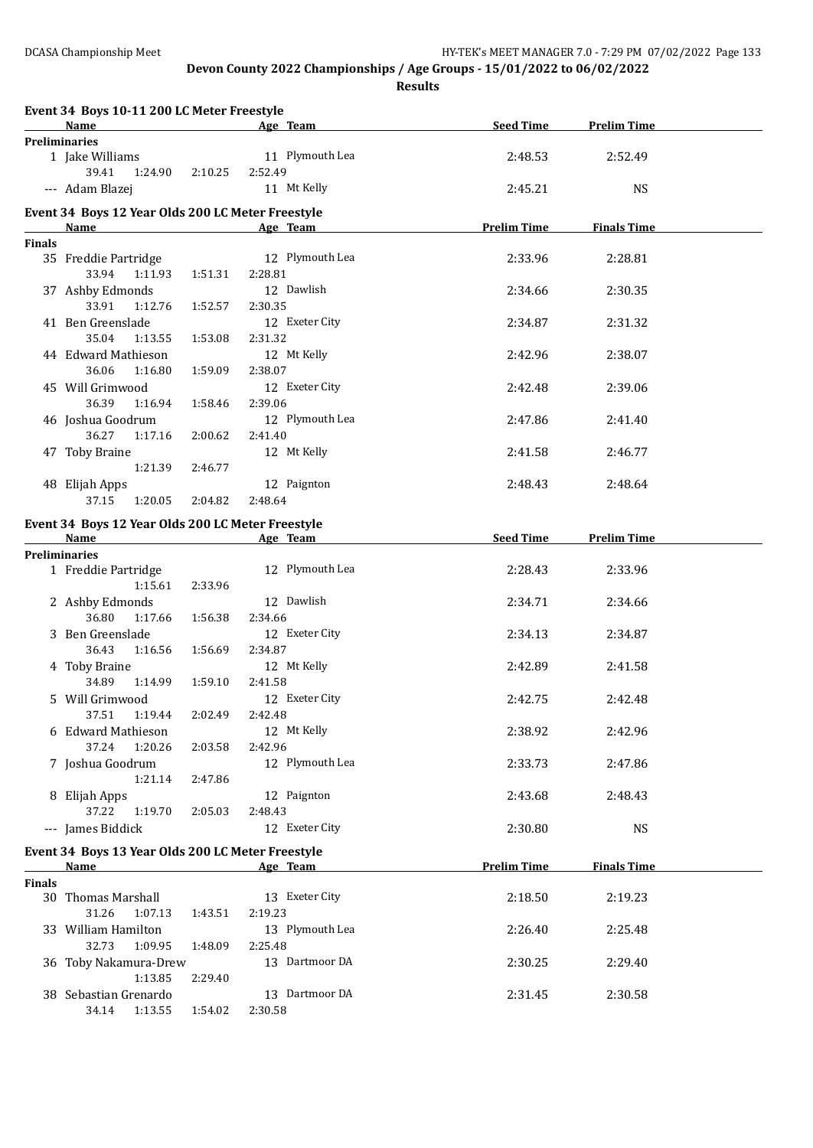**Results**

| 2:48.53<br>2:45.21<br><b>Prelim Time</b><br>2:33.96<br>2:34.66<br>2:34.87<br>2:42.96<br>2:42.48<br>2:47.86<br>2:41.58 | 2:52.49<br><b>NS</b><br><b>Finals Time</b><br>2:28.81<br>2:30.35<br>2:31.32<br>2:38.07<br>2:39.06<br>2:41.40 |
|-----------------------------------------------------------------------------------------------------------------------|--------------------------------------------------------------------------------------------------------------|
|                                                                                                                       |                                                                                                              |
|                                                                                                                       |                                                                                                              |
|                                                                                                                       |                                                                                                              |
|                                                                                                                       |                                                                                                              |
|                                                                                                                       |                                                                                                              |
|                                                                                                                       |                                                                                                              |
|                                                                                                                       |                                                                                                              |
|                                                                                                                       |                                                                                                              |
|                                                                                                                       |                                                                                                              |
|                                                                                                                       |                                                                                                              |
|                                                                                                                       |                                                                                                              |
|                                                                                                                       | 2:46.77                                                                                                      |
|                                                                                                                       |                                                                                                              |
|                                                                                                                       | 2:48.64                                                                                                      |
|                                                                                                                       | <b>Prelim Time</b>                                                                                           |
|                                                                                                                       |                                                                                                              |
| 2:28.43                                                                                                               | 2:33.96                                                                                                      |
| 2:34.71                                                                                                               | 2:34.66                                                                                                      |
| 2:34.13                                                                                                               | 2:34.87                                                                                                      |
| 2:42.89                                                                                                               | 2:41.58                                                                                                      |
| 2:42.75                                                                                                               | 2:42.48                                                                                                      |
| 2:38.92                                                                                                               | 2:42.96                                                                                                      |
|                                                                                                                       | 2:47.86                                                                                                      |
|                                                                                                                       | 2:48.43                                                                                                      |
|                                                                                                                       |                                                                                                              |
|                                                                                                                       | <b>NS</b>                                                                                                    |
| <b>Prelim Time</b>                                                                                                    | <b>Finals Time</b>                                                                                           |
|                                                                                                                       |                                                                                                              |
| 2:18.50                                                                                                               | 2:19.23                                                                                                      |
| 2:26.40                                                                                                               | 2:25.48                                                                                                      |
| 2:30.25                                                                                                               | 2:29.40                                                                                                      |
| 2:31.45                                                                                                               | 2:30.58                                                                                                      |
|                                                                                                                       | 2:48.43<br><b>Seed Time</b><br>2:33.73<br>2:43.68<br>2:30.80                                                 |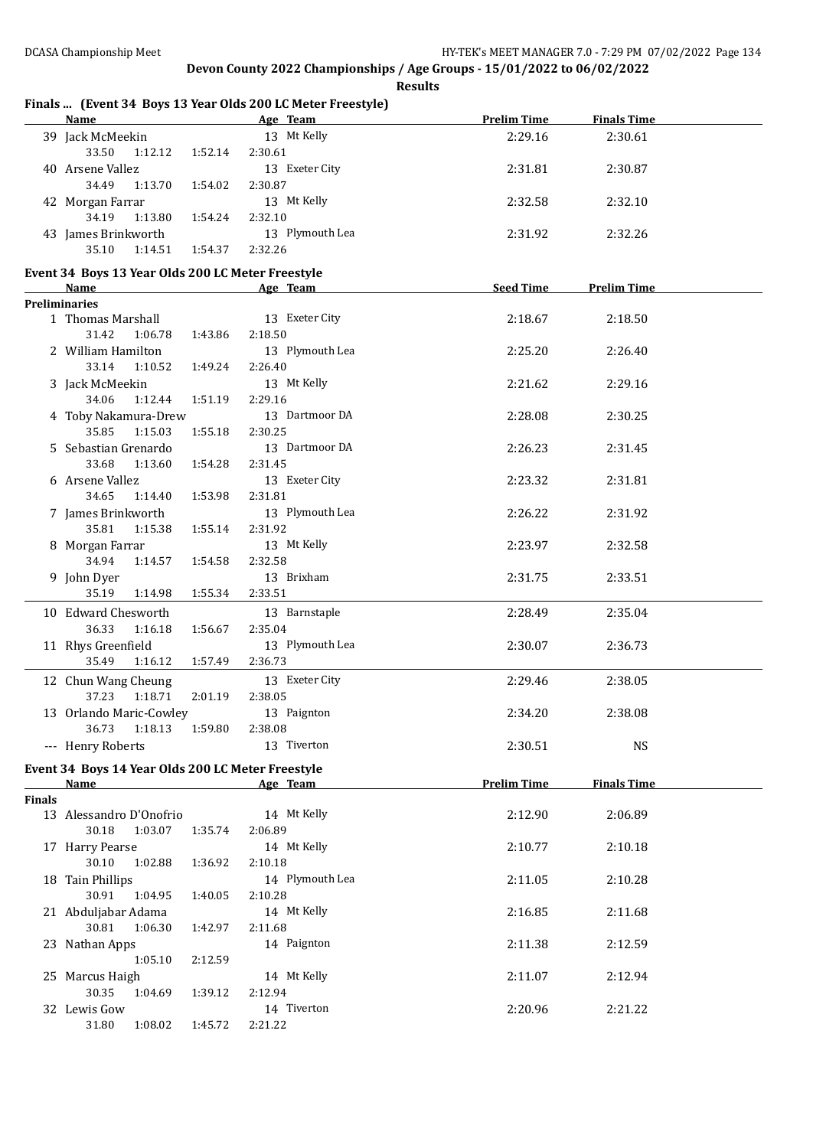|        |                                                                                                                                                                                                                                |         | Finals  (Event 34 Boys 13 Year Olds 200 LC Meter Freestyle) |                    |                    |  |
|--------|--------------------------------------------------------------------------------------------------------------------------------------------------------------------------------------------------------------------------------|---------|-------------------------------------------------------------|--------------------|--------------------|--|
|        | <b>Name</b>                                                                                                                                                                                                                    |         | <b>Example 2016</b> Age Team                                | <b>Prelim Time</b> | <b>Finals Time</b> |  |
|        | 39 Jack McMeekin                                                                                                                                                                                                               |         | 13 Mt Kelly                                                 | 2:29.16            | 2:30.61            |  |
|        | 33.50<br>1:12.12                                                                                                                                                                                                               | 1:52.14 | 2:30.61                                                     |                    |                    |  |
|        | 40 Arsene Vallez                                                                                                                                                                                                               |         | 13 Exeter City                                              | 2:31.81            | 2:30.87            |  |
|        | 34.49<br>1:13.70                                                                                                                                                                                                               | 1:54.02 | 2:30.87                                                     |                    |                    |  |
|        | 42 Morgan Farrar                                                                                                                                                                                                               |         | 13 Mt Kelly                                                 | 2:32.58            | 2:32.10            |  |
|        | 34.19<br>1:13.80                                                                                                                                                                                                               | 1:54.24 | 2:32.10                                                     |                    |                    |  |
|        | 43 James Brinkworth                                                                                                                                                                                                            |         | 13 Plymouth Lea                                             | 2:31.92            | 2:32.26            |  |
|        | 35.10<br>1:14.51                                                                                                                                                                                                               | 1:54.37 | 2:32.26                                                     |                    |                    |  |
|        | Event 34 Boys 13 Year Olds 200 LC Meter Freestyle                                                                                                                                                                              |         |                                                             |                    |                    |  |
|        | <b>Name</b>                                                                                                                                                                                                                    |         | Age Team                                                    | <b>Seed Time</b>   | <b>Prelim Time</b> |  |
|        | <b>Preliminaries</b>                                                                                                                                                                                                           |         |                                                             |                    |                    |  |
|        | 1 Thomas Marshall                                                                                                                                                                                                              |         | 13 Exeter City                                              | 2:18.67            | 2:18.50            |  |
|        | 31.42<br>1:06.78                                                                                                                                                                                                               | 1:43.86 | 2:18.50                                                     |                    |                    |  |
|        | 2 William Hamilton                                                                                                                                                                                                             |         | 13 Plymouth Lea                                             | 2:25.20            | 2:26.40            |  |
|        | 33.14<br>1:10.52                                                                                                                                                                                                               | 1:49.24 | 2:26.40                                                     |                    |                    |  |
|        | 3 Jack McMeekin                                                                                                                                                                                                                |         | 13 Mt Kelly                                                 | 2:21.62            | 2:29.16            |  |
|        | 34.06<br>1:12.44                                                                                                                                                                                                               | 1:51.19 | 2:29.16                                                     |                    |                    |  |
|        | 4 Toby Nakamura-Drew                                                                                                                                                                                                           |         | 13 Dartmoor DA                                              | 2:28.08            | 2:30.25            |  |
|        | 35.85<br>1:15.03                                                                                                                                                                                                               | 1:55.18 | 2:30.25                                                     |                    |                    |  |
|        | 5 Sebastian Grenardo                                                                                                                                                                                                           |         | 13 Dartmoor DA                                              | 2:26.23            | 2:31.45            |  |
|        | 33.68<br>1:13.60                                                                                                                                                                                                               | 1:54.28 | 2:31.45                                                     |                    |                    |  |
|        | 6 Arsene Vallez                                                                                                                                                                                                                |         | 13 Exeter City                                              | 2:23.32            | 2:31.81            |  |
|        | 34.65<br>1:14.40                                                                                                                                                                                                               | 1:53.98 | 2:31.81                                                     |                    |                    |  |
|        | 7 James Brinkworth                                                                                                                                                                                                             |         | 13 Plymouth Lea                                             | 2:26.22            | 2:31.92            |  |
|        | 35.81<br>1:15.38                                                                                                                                                                                                               | 1:55.14 | 2:31.92                                                     |                    |                    |  |
|        | 8 Morgan Farrar                                                                                                                                                                                                                |         | 13 Mt Kelly                                                 | 2:23.97            | 2:32.58            |  |
|        | 34.94<br>1:14.57                                                                                                                                                                                                               | 1:54.58 | 2:32.58                                                     |                    |                    |  |
|        | 9 John Dyer                                                                                                                                                                                                                    |         | 13 Brixham                                                  | 2:31.75            | 2:33.51            |  |
|        | 35.19<br>1:14.98                                                                                                                                                                                                               | 1:55.34 | 2:33.51                                                     |                    |                    |  |
|        | 10 Edward Chesworth                                                                                                                                                                                                            |         | 13 Barnstaple                                               | 2:28.49            | 2:35.04            |  |
|        | 36.33<br>1:16.18                                                                                                                                                                                                               | 1:56.67 | 2:35.04                                                     |                    |                    |  |
|        |                                                                                                                                                                                                                                |         | 13 Plymouth Lea                                             | 2:30.07            | 2:36.73            |  |
|        | 11 Rhys Greenfield<br>35.49<br>1:16.12                                                                                                                                                                                         | 1:57.49 | 2:36.73                                                     |                    |                    |  |
|        |                                                                                                                                                                                                                                |         |                                                             |                    |                    |  |
|        | 12 Chun Wang Cheung                                                                                                                                                                                                            |         | 13 Exeter City                                              | 2:29.46            | 2:38.05            |  |
|        | 37.23 1:18.71                                                                                                                                                                                                                  | 2:01.19 | 2:38.05                                                     |                    |                    |  |
|        | 13 Orlando Maric-Cowley                                                                                                                                                                                                        |         | 13 Paignton                                                 | 2:34.20            | 2:38.08            |  |
|        | 36.73<br>1:18.13                                                                                                                                                                                                               | 1:59.80 | 2:38.08                                                     |                    |                    |  |
|        | --- Henry Roberts                                                                                                                                                                                                              |         | 13 Tiverton                                                 | 2:30.51            | <b>NS</b>          |  |
|        | Event 34 Boys 14 Year Olds 200 LC Meter Freestyle                                                                                                                                                                              |         |                                                             |                    |                    |  |
|        | Name and the state of the state of the state of the state of the state of the state of the state of the state of the state of the state of the state of the state of the state of the state of the state of the state of the s |         | Age Team                                                    | <b>Prelim Time</b> | <b>Finals Time</b> |  |
| Finals |                                                                                                                                                                                                                                |         |                                                             |                    |                    |  |
|        | 13 Alessandro D'Onofrio                                                                                                                                                                                                        |         | 14 Mt Kelly                                                 | 2:12.90            | 2:06.89            |  |
|        | 30.18<br>1:03.07                                                                                                                                                                                                               | 1:35.74 | 2:06.89                                                     |                    |                    |  |
|        | 17 Harry Pearse                                                                                                                                                                                                                |         | 14 Mt Kelly                                                 | 2:10.77            | 2:10.18            |  |
|        | 30.10<br>1:02.88                                                                                                                                                                                                               | 1:36.92 | 2:10.18                                                     |                    |                    |  |
|        | 18 Tain Phillips                                                                                                                                                                                                               |         | 14 Plymouth Lea                                             | 2:11.05            | 2:10.28            |  |
|        | 30.91<br>1:04.95                                                                                                                                                                                                               | 1:40.05 | 2:10.28                                                     |                    |                    |  |
|        | 21 Abduljabar Adama                                                                                                                                                                                                            |         | 14 Mt Kelly                                                 | 2:16.85            | 2:11.68            |  |
|        | 30.81<br>1:06.30                                                                                                                                                                                                               | 1:42.97 | 2:11.68                                                     |                    |                    |  |
|        | 23 Nathan Apps                                                                                                                                                                                                                 |         | 14 Paignton                                                 | 2:11.38            | 2:12.59            |  |
|        | 1:05.10                                                                                                                                                                                                                        | 2:12.59 |                                                             |                    |                    |  |
|        | 25 Marcus Haigh                                                                                                                                                                                                                |         | 14 Mt Kelly                                                 | 2:11.07            | 2:12.94            |  |
|        | 30.35<br>1:04.69                                                                                                                                                                                                               | 1:39.12 | 2:12.94                                                     |                    |                    |  |
|        | 32 Lewis Gow                                                                                                                                                                                                                   |         | 14 Tiverton                                                 | 2:20.96            | 2:21.22            |  |
|        | 31.80<br>1:08.02                                                                                                                                                                                                               | 1:45.72 | 2:21.22                                                     |                    |                    |  |
|        |                                                                                                                                                                                                                                |         |                                                             |                    |                    |  |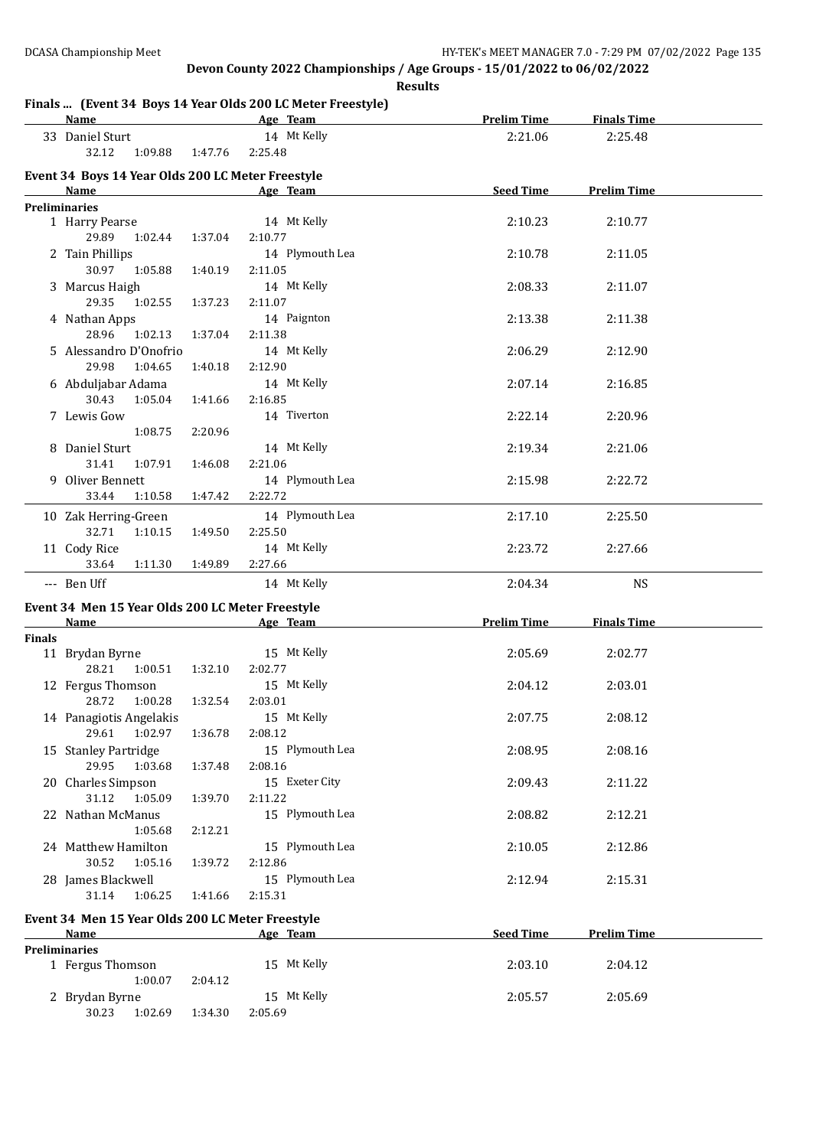### **Finals** *(Fyent 34 Boys 14 Vear Olds 200 LC Motor Freestyle)*

| Name                   |                       |         | Age Team                                          | <b>Prelim Time</b> | <b>Finals Time</b> |  |
|------------------------|-----------------------|---------|---------------------------------------------------|--------------------|--------------------|--|
| 33 Daniel Sturt        |                       |         | 14 Mt Kelly                                       | 2:21.06            | 2:25.48            |  |
|                        | 32.12 1:09.88 1:47.76 |         | 2:25.48                                           |                    |                    |  |
|                        |                       |         | Event 34 Boys 14 Year Olds 200 LC Meter Freestyle |                    |                    |  |
| Name                   |                       |         | Age Team                                          | <b>Seed Time</b>   | <b>Prelim Time</b> |  |
| <b>Preliminaries</b>   |                       |         |                                                   |                    |                    |  |
| 1 Harry Pearse         |                       |         | 14 Mt Kelly                                       | 2:10.23            | 2:10.77            |  |
| 29.89                  | 1:02.44               | 1:37.04 | 2:10.77                                           |                    |                    |  |
| 2 Tain Phillips        |                       |         | 14 Plymouth Lea                                   | 2:10.78            | 2:11.05            |  |
|                        | 30.97 1:05.88         | 1:40.19 | 2:11.05                                           |                    |                    |  |
| 3 Marcus Haigh         |                       |         | 14 Mt Kelly                                       | 2:08.33            | 2:11.07            |  |
| 29.35                  | 1:02.55               | 1:37.23 | 2:11.07                                           |                    |                    |  |
| 4 Nathan Apps          |                       |         | 14 Paignton                                       | 2:13.38            | 2:11.38            |  |
| 28.96                  | 1:02.13               | 1:37.04 | 2:11.38                                           |                    |                    |  |
| 5 Alessandro D'Onofrio |                       |         | 14 Mt Kelly                                       | 2:06.29            | 2:12.90            |  |
| 29.98                  | 1:04.65               | 1:40.18 | 2:12.90                                           |                    |                    |  |
| 6 Abduljabar Adama     |                       |         | 14 Mt Kelly                                       | 2:07.14            | 2:16.85            |  |
| 30.43                  | 1:05.04               | 1:41.66 | 2:16.85                                           |                    |                    |  |
| 7 Lewis Gow            |                       |         | 14 Tiverton                                       | 2:22.14            | 2:20.96            |  |
|                        | 1:08.75               | 2:20.96 |                                                   |                    |                    |  |
| 8 Daniel Sturt         |                       |         | 14 Mt Kelly                                       | 2:19.34            | 2:21.06            |  |
| 31.41                  | 1:07.91               | 1:46.08 | 2:21.06                                           |                    |                    |  |
| 9 Oliver Bennett       |                       |         | 14 Plymouth Lea                                   | 2:15.98            | 2:22.72            |  |
| 33.44                  | 1:10.58               | 1:47.42 | 2:22.72                                           |                    |                    |  |
| 10 Zak Herring-Green   |                       |         | 14 Plymouth Lea                                   | 2:17.10            | 2:25.50            |  |
| 32.71                  | 1:10.15               | 1:49.50 | 2:25.50                                           |                    |                    |  |
| 11 Cody Rice           |                       |         | 14 Mt Kelly                                       | 2:23.72            | 2:27.66            |  |
| 33.64                  | 1:11.30               | 1:49.89 | 2:27.66                                           |                    |                    |  |
| --- Ben Uff            |                       |         | 14 Mt Kelly                                       | 2:04.34            | <b>NS</b>          |  |

#### **Event 34 Men 15 Year Olds 200 LC Meter Freestyle**

|        | Name                    |         |         | Age Team        | <b>Prelim Time</b> | <b>Finals Time</b> |  |
|--------|-------------------------|---------|---------|-----------------|--------------------|--------------------|--|
| Finals |                         |         |         |                 |                    |                    |  |
|        | 11 Brydan Byrne         |         |         | 15 Mt Kelly     | 2:05.69            | 2:02.77            |  |
|        | 28.21                   | 1:00.51 | 1:32.10 | 2:02.77         |                    |                    |  |
|        | 12 Fergus Thomson       |         |         | 15 Mt Kelly     | 2:04.12            | 2:03.01            |  |
|        | 28.72                   | 1:00.28 | 1:32.54 | 2:03.01         |                    |                    |  |
|        | 14 Panagiotis Angelakis |         |         | 15 Mt Kelly     | 2:07.75            | 2:08.12            |  |
|        | 29.61                   | 1:02.97 | 1:36.78 | 2:08.12         |                    |                    |  |
|        | 15 Stanley Partridge    |         |         | 15 Plymouth Lea | 2:08.95            | 2:08.16            |  |
|        | 29.95                   | 1:03.68 | 1:37.48 | 2:08.16         |                    |                    |  |
|        | 20 Charles Simpson      |         |         | 15 Exeter City  | 2:09.43            | 2:11.22            |  |
|        | 31.12                   | 1:05.09 | 1:39.70 | 2:11.22         |                    |                    |  |
|        | 22 Nathan McManus       |         |         | 15 Plymouth Lea | 2:08.82            | 2:12.21            |  |
|        |                         | 1:05.68 | 2:12.21 |                 |                    |                    |  |
| 24     | Matthew Hamilton        |         |         | 15 Plymouth Lea | 2:10.05            | 2:12.86            |  |
|        | 30.52                   | 1:05.16 | 1:39.72 | 2:12.86         |                    |                    |  |
|        | 28 James Blackwell      |         |         | 15 Plymouth Lea | 2:12.94            | 2:15.31            |  |
|        | 31.14                   | 1:06.25 | 1:41.66 | 2:15.31         |                    |                    |  |
|        |                         |         |         |                 |                    |                    |  |

# **Event 34 Men 15 Year Olds 200 LC Meter Freestyle**

| Name                 | Age Team           | <b>Seed Time</b> | <b>Prelim Time</b> |  |
|----------------------|--------------------|------------------|--------------------|--|
| <b>Preliminaries</b> |                    |                  |                    |  |
| 1 Fergus Thomson     | 15 Mt Kelly        | 2:03.10          | 2:04.12            |  |
| 1:00.07              | 2:04.12            |                  |                    |  |
| 2 Brydan Byrne       | 15 Mt Kelly        | 2:05.57          | 2:05.69            |  |
| 30.23<br>1:02.69     | 1:34.30<br>2:05.69 |                  |                    |  |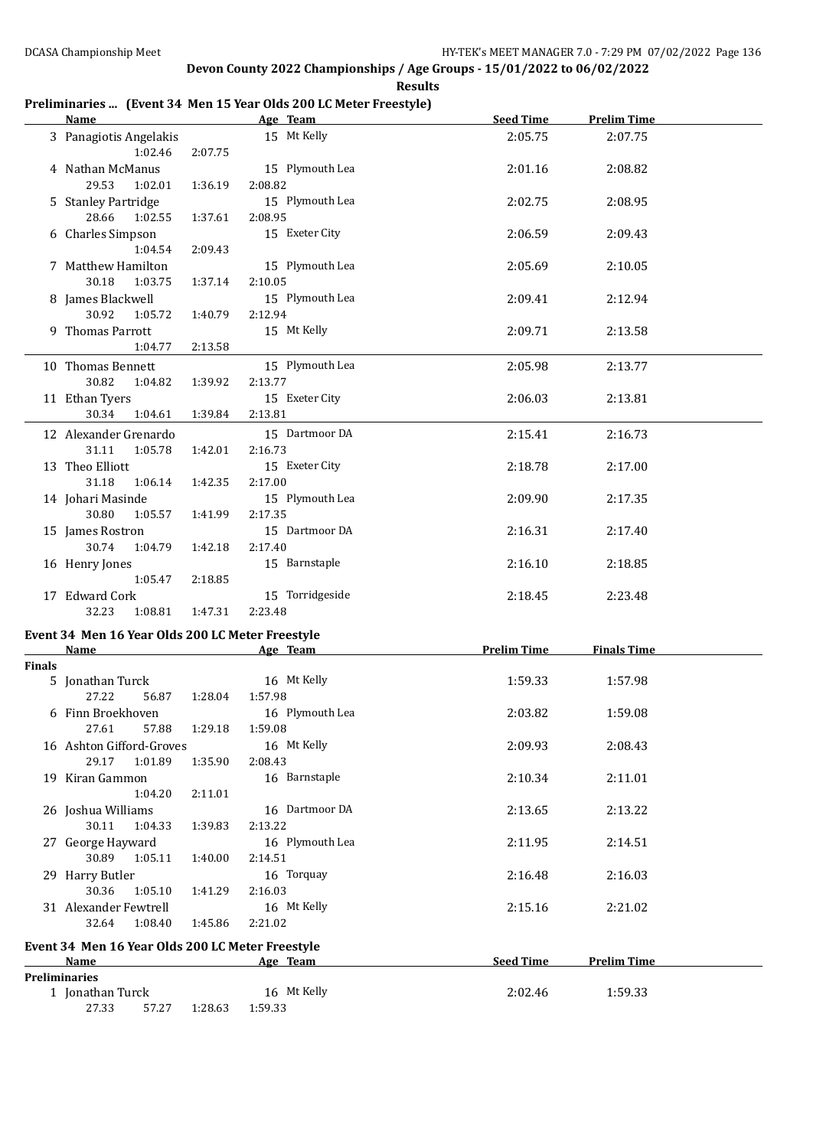#### **Preliminaries ... (Event 34 Men 15 Year Olds 200 LC Meter Freestyle)**

|               | Name                                                     |         | Age Team                            | <b>Seed Time</b>   | <b>Prelim Time</b> |  |
|---------------|----------------------------------------------------------|---------|-------------------------------------|--------------------|--------------------|--|
|               | 3 Panagiotis Angelakis<br>1:02.46                        | 2:07.75 | 15 Mt Kelly                         | 2:05.75            | 2:07.75            |  |
|               | 4 Nathan McManus<br>29.53<br>1:02.01                     | 1:36.19 | 15 Plymouth Lea<br>2:08.82          | 2:01.16            | 2:08.82            |  |
|               | 5 Stanley Partridge<br>28.66<br>1:02.55                  | 1:37.61 | 15 Plymouth Lea<br>2:08.95          | 2:02.75            | 2:08.95            |  |
|               | 6 Charles Simpson<br>1:04.54                             | 2:09.43 | 15 Exeter City                      | 2:06.59            | 2:09.43            |  |
|               | 7 Matthew Hamilton<br>30.18<br>1:03.75                   | 1:37.14 | 15 Plymouth Lea<br>2:10.05          | 2:05.69            | 2:10.05            |  |
|               | 8 James Blackwell<br>30.92<br>1:05.72                    | 1:40.79 | 15 Plymouth Lea<br>2:12.94          | 2:09.41            | 2:12.94            |  |
|               | 9 Thomas Parrott<br>1:04.77                              | 2:13.58 | 15 Mt Kelly                         | 2:09.71            | 2:13.58            |  |
|               | 10 Thomas Bennett<br>30.82<br>1:04.82                    | 1:39.92 | 15 Plymouth Lea<br>2:13.77          | 2:05.98            | 2:13.77            |  |
|               | 11 Ethan Tyers<br>30.34 1:04.61                          | 1:39.84 | 15 Exeter City<br>2:13.81           | 2:06.03            | 2:13.81            |  |
|               | 12 Alexander Grenardo<br>31.11<br>1:05.78                | 1:42.01 | 15 Dartmoor DA<br>2:16.73           | 2:15.41            | 2:16.73            |  |
|               | 13 Theo Elliott<br>31.18<br>1:06.14                      | 1:42.35 | 15 Exeter City<br>2:17.00           | 2:18.78            | 2:17.00            |  |
|               | 14 Johari Masinde<br>30.80<br>1:05.57                    | 1:41.99 | 15 Plymouth Lea<br>2:17.35          | 2:09.90            | 2:17.35            |  |
|               | 15 James Rostron<br>30.74<br>1:04.79                     | 1:42.18 | 15 Dartmoor DA<br>2:17.40           | 2:16.31            | 2:17.40            |  |
|               | 16 Henry Jones<br>1:05.47                                | 2:18.85 | 15 Barnstaple                       | 2:16.10            | 2:18.85            |  |
|               | 17 Edward Cork<br>32.23<br>1:08.81                       | 1:47.31 | 15 Torridgeside<br>2:23.48          | 2:18.45            | 2:23.48            |  |
|               | Event 34 Men 16 Year Olds 200 LC Meter Freestyle         |         | Age Team                            | <b>Prelim Time</b> |                    |  |
|               | <b>Name</b>                                              |         |                                     |                    | <b>Finals Time</b> |  |
| <b>Finals</b> | 5 Jonathan Turck<br>27.22<br>56.87                       | 1:28.04 | 16 Mt Kelly<br>1:57.98              | 1:59.33            | 1:57.98            |  |
|               | 6 Finn Broekhoven<br>27.61<br>57.88                      |         | 16 Plymouth Lea<br>1:29.18  1:59.08 | 2:03.82            | 1:59.08            |  |
|               | 16 Ashton Gifford-Groves<br>29.17<br>1:01.89             | 1:35.90 | 16 Mt Kelly<br>2:08.43              | 2:09.93            | 2:08.43            |  |
|               | 19 Kiran Gammon<br>1:04.20                               | 2:11.01 | 16 Barnstaple                       | 2:10.34            | 2:11.01            |  |
|               | 26 Joshua Williams<br>30.11<br>1:04.33                   | 1:39.83 | 16 Dartmoor DA<br>2:13.22           | 2:13.65            | 2:13.22            |  |
|               | 27 George Hayward<br>30.89<br>1:05.11                    | 1:40.00 | 16 Plymouth Lea<br>2:14.51          | 2:11.95            | 2:14.51            |  |
|               | 29 Harry Butler<br>30.36<br>1:05.10                      | 1:41.29 | 16 Torquay<br>2:16.03               | 2:16.48            | 2:16.03            |  |
|               | 31 Alexander Fewtrell<br>32.64<br>1:08.40                | 1:45.86 | 16 Mt Kelly<br>2:21.02              | 2:15.16            | 2:21.02            |  |
|               | Event 34 Men 16 Year Olds 200 LC Meter Freestyle<br>Name |         | Age Team                            | <b>Seed Time</b>   | <b>Prelim Time</b> |  |
|               | <b>Preliminaries</b>                                     |         |                                     |                    |                    |  |
|               | 1 Jonathan Turck<br>27.33<br>57.27                       | 1:28.63 | 16 Mt Kelly<br>1:59.33              | 2:02.46            | 1:59.33            |  |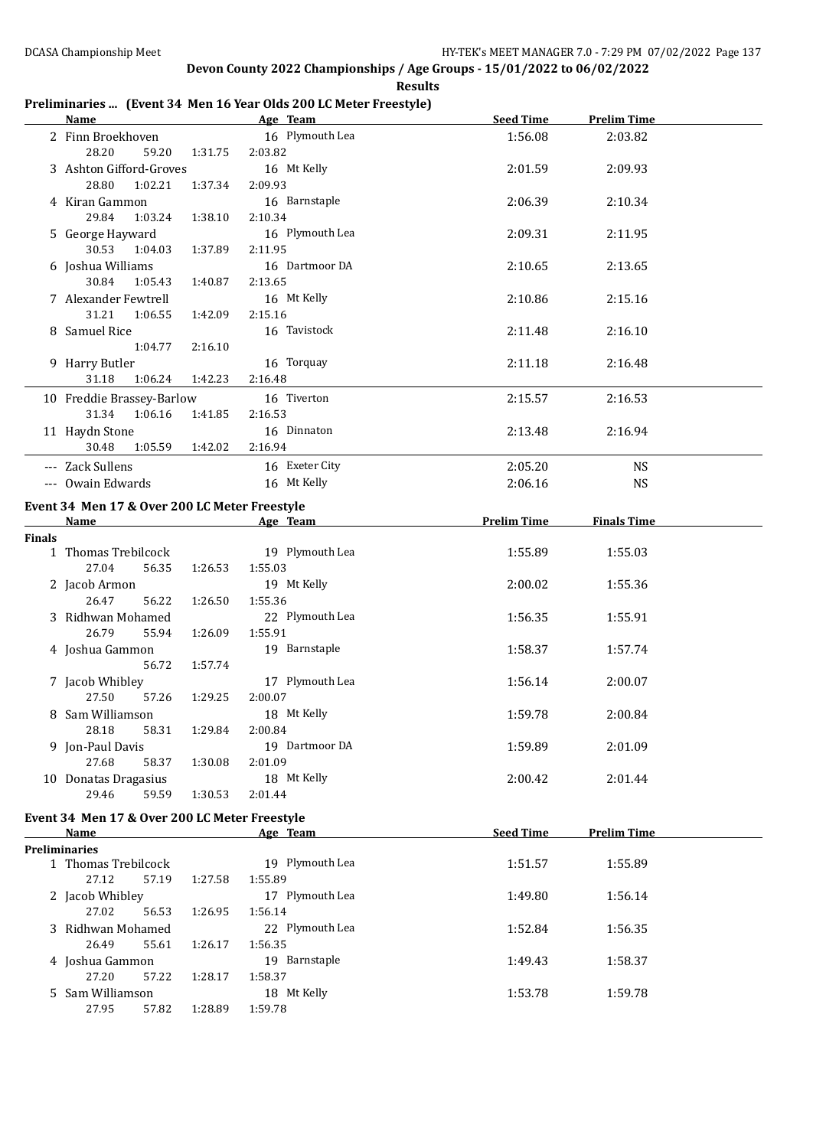#### **Preliminaries ... (Event 34 Men 16 Year Olds 200 LC Meter Freestyle)**

|               | <u>Name_</u>                                  |         | Age Team               | Seed Time          | <b>Prelim Time</b> |  |
|---------------|-----------------------------------------------|---------|------------------------|--------------------|--------------------|--|
|               | 2 Finn Broekhoven                             |         | 16 Plymouth Lea        | 1:56.08            | 2:03.82            |  |
|               | 28.20<br>59.20                                | 1:31.75 | 2:03.82                |                    |                    |  |
|               | 3 Ashton Gifford-Groves                       |         | 16 Mt Kelly            | 2:01.59            | 2:09.93            |  |
|               | 28.80<br>1:02.21                              | 1:37.34 | 2:09.93                |                    |                    |  |
|               | 4 Kiran Gammon                                |         | 16 Barnstaple          | 2:06.39            | 2:10.34            |  |
|               | 29.84<br>1:03.24                              | 1:38.10 | 2:10.34                |                    |                    |  |
|               | 5 George Hayward                              |         | 16 Plymouth Lea        | 2:09.31            | 2:11.95            |  |
|               | 30.53<br>1:04.03                              | 1:37.89 | 2:11.95                |                    |                    |  |
|               | 6 Joshua Williams                             |         | 16 Dartmoor DA         | 2:10.65            | 2:13.65            |  |
|               | 30.84<br>1:05.43                              | 1:40.87 | 2:13.65                |                    |                    |  |
|               | 7 Alexander Fewtrell                          |         | 16 Mt Kelly            | 2:10.86            | 2:15.16            |  |
|               | 31.21<br>1:06.55                              | 1:42.09 | 2:15.16                |                    |                    |  |
|               | 8 Samuel Rice                                 |         | 16 Tavistock           |                    |                    |  |
|               | 1:04.77                                       | 2:16.10 |                        | 2:11.48            | 2:16.10            |  |
|               |                                               |         |                        |                    |                    |  |
|               | 9 Harry Butler                                |         | 16 Torquay             | 2:11.18            | 2:16.48            |  |
|               | 31.18<br>1:06.24                              | 1:42.23 | 2:16.48                |                    |                    |  |
|               | 10 Freddie Brassey-Barlow                     |         | 16 Tiverton            | 2:15.57            | 2:16.53            |  |
|               | 31.34<br>1:06.16                              | 1:41.85 | 2:16.53                |                    |                    |  |
|               | 11 Haydn Stone                                |         | 16 Dinnaton            | 2:13.48            | 2:16.94            |  |
|               | 30.48<br>1:05.59                              | 1:42.02 | 2:16.94                |                    |                    |  |
|               | --- Zack Sullens                              |         | 16 Exeter City         | 2:05.20            | <b>NS</b>          |  |
|               | --- Owain Edwards                             |         | 16 Mt Kelly            | 2:06.16            | <b>NS</b>          |  |
|               | Event 34 Men 17 & Over 200 LC Meter Freestyle |         |                        |                    |                    |  |
|               | Name                                          |         | Age Team               | <b>Prelim Time</b> | <b>Finals Time</b> |  |
| <b>Finals</b> |                                               |         |                        |                    |                    |  |
|               | 1 Thomas Trebilcock                           |         | 19 Plymouth Lea        | 1:55.89            | 1:55.03            |  |
|               | 27.04<br>56.35                                | 1:26.53 | 1:55.03                |                    |                    |  |
|               | 2 Jacob Armon                                 |         | 19 Mt Kelly            | 2:00.02            | 1:55.36            |  |
|               | 26.47<br>56.22                                | 1:26.50 | 1:55.36                |                    |                    |  |
|               | 3 Ridhwan Mohamed                             |         | 22 Plymouth Lea        | 1:56.35            | 1:55.91            |  |
|               | 26.79<br>55.94                                | 1:26.09 | 1:55.91                |                    |                    |  |
|               | 4 Joshua Gammon                               |         | 19 Barnstaple          | 1:58.37            | 1:57.74            |  |
|               | 56.72                                         | 1:57.74 |                        |                    |                    |  |
|               | 7 Jacob Whibley                               |         | 17 Plymouth Lea        | 1:56.14            | 2:00.07            |  |
|               | 27.50<br>57.26                                | 1:29.25 | 2:00.07                |                    |                    |  |
|               | 8 Sam Williamson                              |         | 18 Mt Kelly            | 1:59.78            | 2:00.84            |  |
|               | 28.18<br>58.31                                | 1:29.84 | 2:00.84                |                    |                    |  |
|               | 9 Jon-Paul Davis                              |         | 19 Dartmoor DA         | 1:59.89            | 2:01.09            |  |
|               | 27.68<br>58.37                                | 1:30.08 | 2:01.09                |                    |                    |  |
|               | 10 Donatas Dragasius                          |         | 18 Mt Kelly            | 2:00.42            | 2:01.44            |  |
|               | 29.46<br>59.59                                | 1:30.53 | 2:01.44                |                    |                    |  |
|               |                                               |         |                        |                    |                    |  |
|               | Event 34 Men 17 & Over 200 LC Meter Freestyle |         |                        |                    |                    |  |
|               | Name                                          |         | Age Team               | <b>Seed Time</b>   | <b>Prelim Time</b> |  |
|               | <b>Preliminaries</b><br>1 Thomas Trebilcock   |         | 19 Plymouth Lea        | 1:51.57            | 1:55.89            |  |
|               | 27.12<br>57.19                                | 1:27.58 | 1:55.89                |                    |                    |  |
|               | 2 Jacob Whibley                               |         | 17 Plymouth Lea        | 1:49.80            |                    |  |
|               |                                               |         |                        |                    | 1:56.14            |  |
|               |                                               |         |                        |                    |                    |  |
|               | 27.02<br>56.53                                | 1:26.95 | 1:56.14                |                    |                    |  |
|               | 3 Ridhwan Mohamed                             |         | 22 Plymouth Lea        | 1:52.84            | 1:56.35            |  |
|               | 26.49<br>55.61                                | 1:26.17 | 1:56.35                |                    |                    |  |
|               | 4 Joshua Gammon                               |         | 19 Barnstaple          | 1:49.43            | 1:58.37            |  |
|               | 27.20<br>57.22                                | 1:28.17 | 1:58.37                |                    |                    |  |
|               | 5 Sam Williamson<br>27.95<br>57.82            | 1:28.89 | 18 Mt Kelly<br>1:59.78 | 1:53.78            | 1:59.78            |  |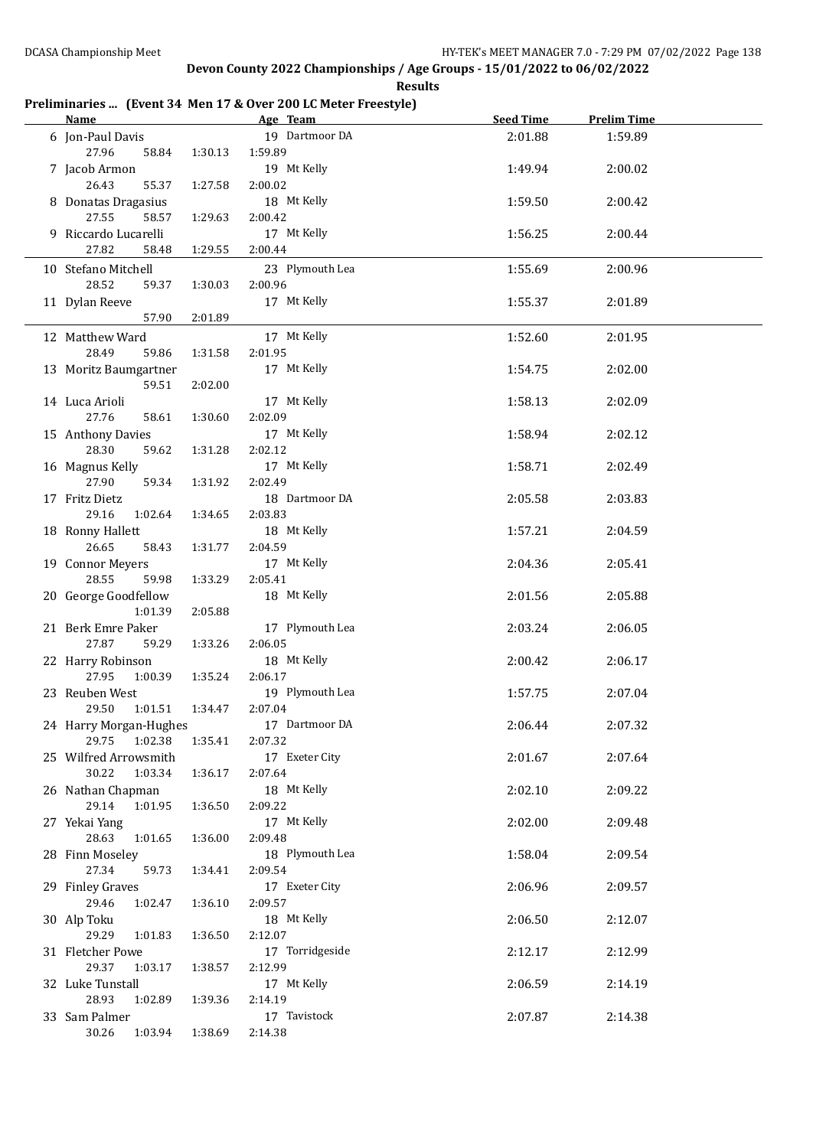#### **Preliminaries ... (Event 34 Men 17 & Over 200 LC Meter Freestyle)**

| Name and the state of the state of the state of the state of the state of the state of the state of the state of the state of the state of the state of the state of the state of the state of the state of the state of the s |         | Age Team 1999   | <b>Seed Time</b> | <b>Prelim Time</b> |  |
|--------------------------------------------------------------------------------------------------------------------------------------------------------------------------------------------------------------------------------|---------|-----------------|------------------|--------------------|--|
| 6 Jon-Paul Davis                                                                                                                                                                                                               |         | 19 Dartmoor DA  | 2:01.88          | 1:59.89            |  |
| 27.96<br>58.84                                                                                                                                                                                                                 | 1:30.13 | 1:59.89         |                  |                    |  |
| 7 Jacob Armon                                                                                                                                                                                                                  |         | 19 Mt Kelly     | 1:49.94          | 2:00.02            |  |
| 26.43<br>55.37                                                                                                                                                                                                                 | 1:27.58 | 2:00.02         |                  |                    |  |
| 8 Donatas Dragasius                                                                                                                                                                                                            |         | 18 Mt Kelly     | 1:59.50          | 2:00.42            |  |
| 27.55<br>58.57                                                                                                                                                                                                                 | 1:29.63 | 2:00.42         |                  |                    |  |
| 9 Riccardo Lucarelli                                                                                                                                                                                                           |         | 17 Mt Kelly     |                  |                    |  |
|                                                                                                                                                                                                                                |         |                 | 1:56.25          | 2:00.44            |  |
| 27.82<br>58.48                                                                                                                                                                                                                 | 1:29.55 | 2:00.44         |                  |                    |  |
| 10 Stefano Mitchell                                                                                                                                                                                                            |         | 23 Plymouth Lea | 1:55.69          | 2:00.96            |  |
| 28.52<br>59.37                                                                                                                                                                                                                 | 1:30.03 | 2:00.96         |                  |                    |  |
| 11 Dylan Reeve                                                                                                                                                                                                                 |         | 17 Mt Kelly     | 1:55.37          | 2:01.89            |  |
| 57.90                                                                                                                                                                                                                          | 2:01.89 |                 |                  |                    |  |
| 12 Matthew Ward                                                                                                                                                                                                                |         | 17 Mt Kelly     | 1:52.60          | 2:01.95            |  |
| 28.49<br>59.86                                                                                                                                                                                                                 | 1:31.58 | 2:01.95         |                  |                    |  |
| 13 Moritz Baumgartner                                                                                                                                                                                                          |         | 17 Mt Kelly     | 1:54.75          | 2:02.00            |  |
| 59.51                                                                                                                                                                                                                          | 2:02.00 |                 |                  |                    |  |
| 14 Luca Arioli                                                                                                                                                                                                                 |         | 17 Mt Kelly     | 1:58.13          | 2:02.09            |  |
| 27.76<br>58.61                                                                                                                                                                                                                 | 1:30.60 | 2:02.09         |                  |                    |  |
|                                                                                                                                                                                                                                |         | 17 Mt Kelly     | 1:58.94          | 2:02.12            |  |
| 15 Anthony Davies<br>28.30                                                                                                                                                                                                     |         | 2:02.12         |                  |                    |  |
| 59.62                                                                                                                                                                                                                          | 1:31.28 |                 |                  |                    |  |
| 16 Magnus Kelly                                                                                                                                                                                                                |         | 17 Mt Kelly     | 1:58.71          | 2:02.49            |  |
| 27.90<br>59.34                                                                                                                                                                                                                 | 1:31.92 | 2:02.49         |                  |                    |  |
| 17 Fritz Dietz                                                                                                                                                                                                                 |         | 18 Dartmoor DA  | 2:05.58          | 2:03.83            |  |
| 29.16<br>1:02.64                                                                                                                                                                                                               | 1:34.65 | 2:03.83         |                  |                    |  |
| 18 Ronny Hallett                                                                                                                                                                                                               |         | 18 Mt Kelly     | 1:57.21          | 2:04.59            |  |
| 26.65<br>58.43                                                                                                                                                                                                                 | 1:31.77 | 2:04.59         |                  |                    |  |
| 19 Connor Meyers                                                                                                                                                                                                               |         | 17 Mt Kelly     | 2:04.36          | 2:05.41            |  |
| 28.55<br>59.98                                                                                                                                                                                                                 | 1:33.29 | 2:05.41         |                  |                    |  |
| 20 George Goodfellow                                                                                                                                                                                                           |         | 18 Mt Kelly     | 2:01.56          | 2:05.88            |  |
| 1:01.39                                                                                                                                                                                                                        | 2:05.88 |                 |                  |                    |  |
| 21 Berk Emre Paker                                                                                                                                                                                                             |         | 17 Plymouth Lea | 2:03.24          | 2:06.05            |  |
| 27.87<br>59.29                                                                                                                                                                                                                 | 1:33.26 | 2:06.05         |                  |                    |  |
| 22 Harry Robinson                                                                                                                                                                                                              |         | 18 Mt Kelly     | 2:00.42          | 2:06.17            |  |
| 27.95<br>1:00.39                                                                                                                                                                                                               | 1:35.24 | 2:06.17         |                  |                    |  |
| 23 Reuben West                                                                                                                                                                                                                 |         | 19 Plymouth Lea | 1:57.75          | 2:07.04            |  |
| 29.50<br>1:01.51                                                                                                                                                                                                               | 1:34.47 | 2:07.04         |                  |                    |  |
| 24 Harry Morgan-Hughes                                                                                                                                                                                                         |         | 17 Dartmoor DA  | 2:06.44          | 2:07.32            |  |
| 1:02.38<br>29.75                                                                                                                                                                                                               | 1:35.41 | 2:07.32         |                  |                    |  |
| 25 Wilfred Arrowsmith                                                                                                                                                                                                          |         | 17 Exeter City  | 2:01.67          | 2:07.64            |  |
| 30.22<br>1:03.34                                                                                                                                                                                                               | 1:36.17 | 2:07.64         |                  |                    |  |
| 26 Nathan Chapman                                                                                                                                                                                                              |         | 18 Mt Kelly     | 2:02.10          | 2:09.22            |  |
| 29.14<br>1:01.95                                                                                                                                                                                                               | 1:36.50 | 2:09.22         |                  |                    |  |
| 27 Yekai Yang                                                                                                                                                                                                                  |         | 17 Mt Kelly     | 2:02.00          | 2:09.48            |  |
| 28.63<br>1:01.65                                                                                                                                                                                                               | 1:36.00 | 2:09.48         |                  |                    |  |
| 28 Finn Moseley                                                                                                                                                                                                                |         | 18 Plymouth Lea | 1:58.04          | 2:09.54            |  |
| 27.34<br>59.73                                                                                                                                                                                                                 | 1:34.41 | 2:09.54         |                  |                    |  |
|                                                                                                                                                                                                                                |         |                 |                  |                    |  |
| 29 Finley Graves                                                                                                                                                                                                               |         | 17 Exeter City  | 2:06.96          | 2:09.57            |  |
| 29.46<br>1:02.47                                                                                                                                                                                                               | 1:36.10 | 2:09.57         |                  |                    |  |
| 30 Alp Toku                                                                                                                                                                                                                    |         | 18 Mt Kelly     | 2:06.50          | 2:12.07            |  |
| 29.29<br>1:01.83                                                                                                                                                                                                               | 1:36.50 | 2:12.07         |                  |                    |  |
| 31 Fletcher Powe                                                                                                                                                                                                               |         | 17 Torridgeside | 2:12.17          | 2:12.99            |  |
| 29.37<br>1:03.17                                                                                                                                                                                                               | 1:38.57 | 2:12.99         |                  |                    |  |
| 32 Luke Tunstall                                                                                                                                                                                                               |         | 17 Mt Kelly     | 2:06.59          | 2:14.19            |  |
| 28.93<br>1:02.89                                                                                                                                                                                                               | 1:39.36 | 2:14.19         |                  |                    |  |
| 33 Sam Palmer                                                                                                                                                                                                                  |         | 17 Tavistock    | 2:07.87          | 2:14.38            |  |
| 30.26<br>1:03.94                                                                                                                                                                                                               | 1:38.69 | 2:14.38         |                  |                    |  |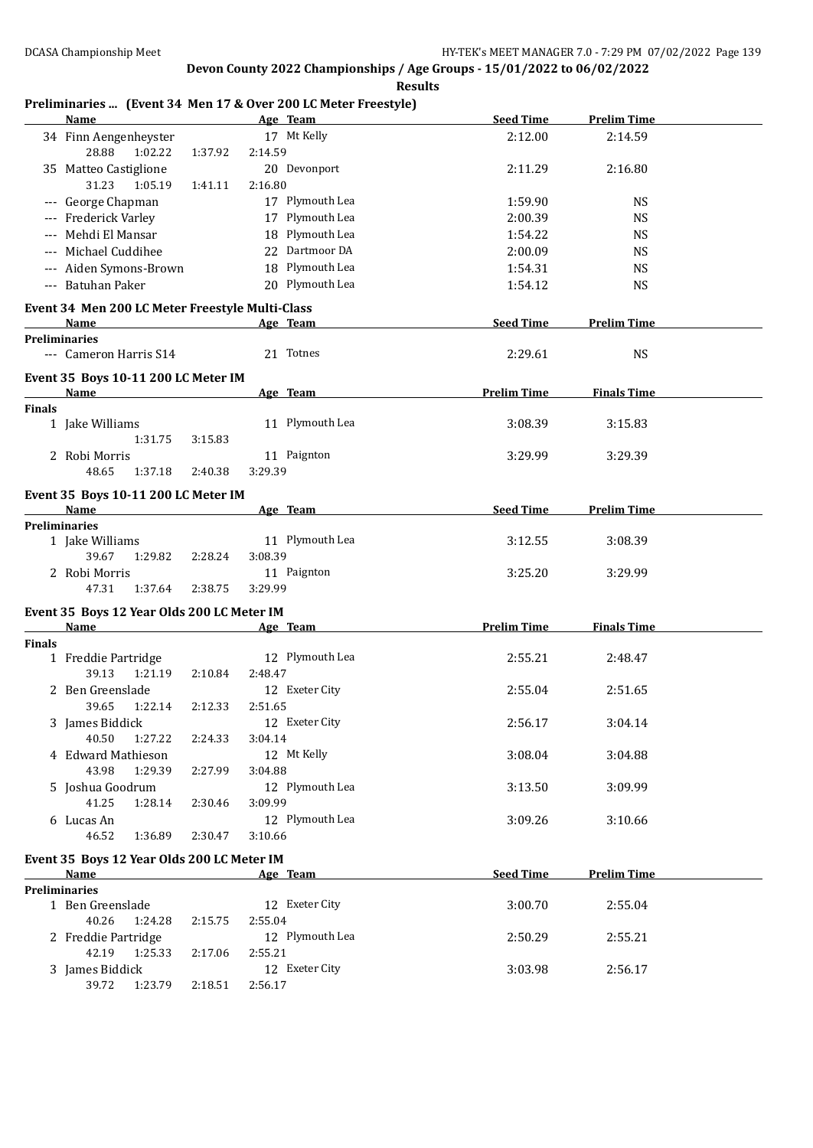#### **Preliminaries ... (Event 34 Men 17 & Over 200 LC Meter Freestyle)**

| <b>Name</b>                                          | Age Team                  | <b>Seed Time</b>   | <b>Prelim Time</b> |  |
|------------------------------------------------------|---------------------------|--------------------|--------------------|--|
| 34 Finn Aengenheyster<br>28.88<br>1:02.22<br>1:37.92 | 17 Mt Kelly<br>2:14.59    | 2:12.00            | 2:14.59            |  |
| 35 Matteo Castiglione                                | 20 Devonport              | 2:11.29            | 2:16.80            |  |
| 31.23<br>1:05.19<br>1:41.11                          | 2:16.80                   |                    |                    |  |
| --- George Chapman                                   | 17 Plymouth Lea           | 1:59.90            | <b>NS</b>          |  |
| --- Frederick Varley                                 | 17 Plymouth Lea           | 2:00.39            | <b>NS</b>          |  |
| --- Mehdi El Mansar                                  | 18 Plymouth Lea           | 1:54.22            | <b>NS</b>          |  |
| --- Michael Cuddihee                                 | 22 Dartmoor DA            | 2:00.09            | <b>NS</b>          |  |
| --- Aiden Symons-Brown                               | 18 Plymouth Lea           | 1:54.31            | <b>NS</b>          |  |
| --- Batuhan Paker                                    | 20 Plymouth Lea           | 1:54.12            | <b>NS</b>          |  |
| Event 34 Men 200 LC Meter Freestyle Multi-Class      |                           |                    | <b>Prelim Time</b> |  |
| Name<br><b>Preliminaries</b>                         | Age Team                  | <b>Seed Time</b>   |                    |  |
| --- Cameron Harris S14                               | 21 Totnes                 | 2:29.61            | <b>NS</b>          |  |
| Event 35 Boys 10-11 200 LC Meter IM<br><b>Name</b>   |                           | <b>Prelim Time</b> | <b>Finals Time</b> |  |
| <b>Finals</b>                                        | Age Team                  |                    |                    |  |
| 1 Jake Williams<br>1:31.75<br>3:15.83                | 11 Plymouth Lea           | 3:08.39            | 3:15.83            |  |
| 2 Robi Morris                                        | 11 Paignton               | 3:29.99            | 3:29.39            |  |
| 48.65<br>1:37.18<br>2:40.38                          | 3:29.39                   |                    |                    |  |
| Event 35 Boys 10-11 200 LC Meter IM                  |                           |                    |                    |  |
| Name                                                 | Age Team                  | <b>Seed Time</b>   | <b>Prelim Time</b> |  |
| <b>Preliminaries</b><br>1 Jake Williams              | 11 Plymouth Lea           | 3:12.55            | 3:08.39            |  |
| 39.67<br>1:29.82<br>2:28.24                          | 3:08.39                   |                    |                    |  |
| 2 Robi Morris                                        | 11 Paignton               | 3:25.20            | 3:29.99            |  |
| 47.31<br>1:37.64<br>2:38.75                          | 3:29.99                   |                    |                    |  |
| Event 35 Boys 12 Year Olds 200 LC Meter IM           |                           |                    |                    |  |
| Name                                                 | Age Team                  | <b>Prelim Time</b> | <b>Finals Time</b> |  |
| <b>Finals</b>                                        |                           |                    |                    |  |
| 1 Freddie Partridge                                  | 12 Plymouth Lea           | 2:55.21            | 2:48.47            |  |
| 39.13<br>1:21.19<br>2:10.84                          | 2:48.47<br>12 Exeter City |                    |                    |  |
| 2 Ben Greenslade<br>39.65<br>1:22.14<br>2:12.33      | 2:51.65                   | 2:55.04            | 2:51.65            |  |
| 3 James Biddick                                      | 12 Exeter City            | 2:56.17            | 3:04.14            |  |
| 40.50<br>1:27.22<br>2:24.33                          | 3:04.14                   |                    |                    |  |
| 4 Edward Mathieson                                   | 12 Mt Kelly               | 3:08.04            | 3:04.88            |  |
| 43.98<br>1:29.39<br>2:27.99                          | 3:04.88                   |                    |                    |  |
| 5 Joshua Goodrum                                     | 12 Plymouth Lea           | 3:13.50            | 3:09.99            |  |
| 41.25<br>1:28.14<br>2:30.46                          | 3:09.99                   |                    |                    |  |
| 6 Lucas An                                           | 12 Plymouth Lea           | 3:09.26            | 3:10.66            |  |
| 46.52<br>1:36.89<br>2:30.47                          | 3:10.66                   |                    |                    |  |
| Event 35 Boys 12 Year Olds 200 LC Meter IM           |                           |                    |                    |  |
| Name<br><b>Preliminaries</b>                         | Age Team                  | <b>Seed Time</b>   | <b>Prelim Time</b> |  |
| 1 Ben Greenslade                                     | 12 Exeter City            | 3:00.70            | 2:55.04            |  |
| 40.26<br>1:24.28<br>2:15.75                          | 2:55.04                   |                    |                    |  |
| 2 Freddie Partridge                                  | 12 Plymouth Lea           | 2:50.29            | 2:55.21            |  |
| 42.19<br>1:25.33<br>2:17.06                          | 2:55.21                   |                    |                    |  |
| 3 James Biddick                                      | 12 Exeter City            | 3:03.98            | 2:56.17            |  |
| 39.72  1:23.79<br>2:18.51                            | 2:56.17                   |                    |                    |  |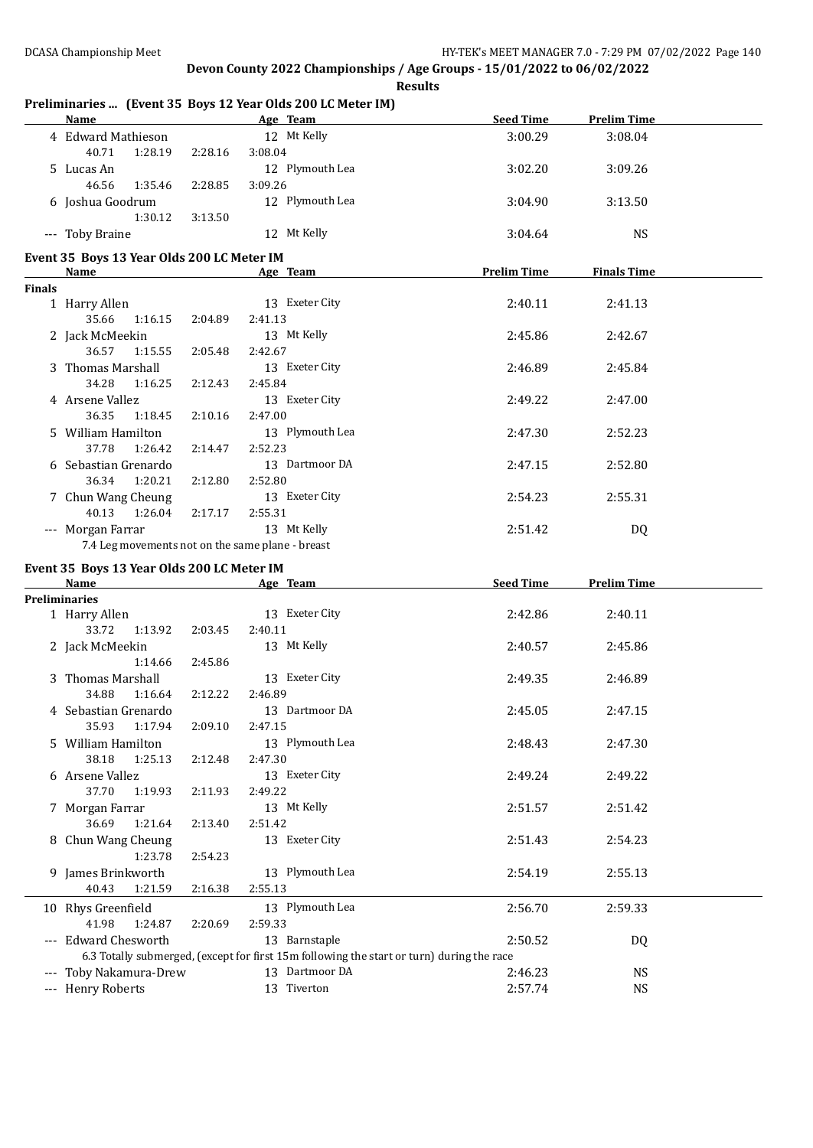|                     | <b>Name</b>                                      |         | <b>Example 2</b> Age Team                                                                                                                                                                                                      | <b>Seed Time</b>   | <b>Prelim Time</b> |  |
|---------------------|--------------------------------------------------|---------|--------------------------------------------------------------------------------------------------------------------------------------------------------------------------------------------------------------------------------|--------------------|--------------------|--|
|                     | 4 Edward Mathieson                               |         | 12 Mt Kelly                                                                                                                                                                                                                    | 3:00.29            | 3:08.04            |  |
|                     | 40.71<br>1:28.19                                 | 2:28.16 | 3:08.04                                                                                                                                                                                                                        |                    |                    |  |
|                     | 5 Lucas An                                       |         | 12 Plymouth Lea                                                                                                                                                                                                                | 3:02.20            | 3:09.26            |  |
|                     | 46.56<br>1:35.46                                 | 2:28.85 | 3:09.26                                                                                                                                                                                                                        |                    |                    |  |
|                     | 6 Joshua Goodrum                                 |         | 12 Plymouth Lea                                                                                                                                                                                                                | 3:04.90            | 3:13.50            |  |
|                     | 1:30.12                                          | 3:13.50 |                                                                                                                                                                                                                                |                    |                    |  |
|                     | --- Toby Braine                                  |         | 12 Mt Kelly                                                                                                                                                                                                                    | 3:04.64            | <b>NS</b>          |  |
|                     | Event 35 Boys 13 Year Olds 200 LC Meter IM       |         |                                                                                                                                                                                                                                |                    |                    |  |
|                     | Name                                             |         | Age Team and the state of the state of the state of the state of the state of the state of the state of the state of the state of the state of the state of the state of the state of the state of the state of the state of t | <b>Prelim Time</b> | <b>Finals Time</b> |  |
| <b>Finals</b>       |                                                  |         |                                                                                                                                                                                                                                |                    |                    |  |
|                     | 1 Harry Allen                                    |         | 13 Exeter City                                                                                                                                                                                                                 | 2:40.11            | 2:41.13            |  |
|                     | 35.66<br>1:16.15                                 | 2:04.89 | 2:41.13                                                                                                                                                                                                                        |                    |                    |  |
|                     | 2 Jack McMeekin                                  |         | 13 Mt Kelly                                                                                                                                                                                                                    | 2:45.86            | 2:42.67            |  |
|                     | 36.57<br>1:15.55                                 | 2:05.48 | 2:42.67                                                                                                                                                                                                                        |                    |                    |  |
|                     | 3 Thomas Marshall                                |         | 13 Exeter City                                                                                                                                                                                                                 | 2:46.89            | 2:45.84            |  |
|                     | 34.28<br>1:16.25                                 | 2:12.43 | 2:45.84                                                                                                                                                                                                                        |                    |                    |  |
|                     | 4 Arsene Vallez                                  |         | 13 Exeter City                                                                                                                                                                                                                 | 2:49.22            | 2:47.00            |  |
|                     | 36.35<br>1:18.45                                 | 2:10.16 | 2:47.00                                                                                                                                                                                                                        |                    |                    |  |
|                     | 5 William Hamilton                               |         | 13 Plymouth Lea                                                                                                                                                                                                                | 2:47.30            | 2:52.23            |  |
|                     | 37.78<br>1:26.42                                 | 2:14.47 | 2:52.23                                                                                                                                                                                                                        |                    |                    |  |
|                     | 6 Sebastian Grenardo                             |         | 13 Dartmoor DA                                                                                                                                                                                                                 | 2:47.15            | 2:52.80            |  |
|                     | 36.34<br>1:20.21                                 | 2:12.80 | 2:52.80                                                                                                                                                                                                                        |                    |                    |  |
|                     | 7 Chun Wang Cheung                               |         | 13 Exeter City                                                                                                                                                                                                                 | 2:54.23            | 2:55.31            |  |
|                     | 40.13<br>1:26.04                                 | 2:17.17 | 2:55.31                                                                                                                                                                                                                        |                    |                    |  |
|                     |                                                  |         |                                                                                                                                                                                                                                |                    |                    |  |
|                     |                                                  |         |                                                                                                                                                                                                                                |                    |                    |  |
|                     | --- Morgan Farrar                                |         | 13 Mt Kelly                                                                                                                                                                                                                    | 2:51.42            | DQ                 |  |
|                     | 7.4 Leg movements not on the same plane - breast |         |                                                                                                                                                                                                                                |                    |                    |  |
|                     | Event 35 Boys 13 Year Olds 200 LC Meter IM       |         |                                                                                                                                                                                                                                |                    |                    |  |
|                     | Name                                             |         | Age Team                                                                                                                                                                                                                       | <b>Seed Time</b>   | <b>Prelim Time</b> |  |
|                     | <b>Preliminaries</b>                             |         |                                                                                                                                                                                                                                |                    |                    |  |
|                     | 1 Harry Allen<br>1:13.92                         |         | 13 Exeter City                                                                                                                                                                                                                 | 2:42.86            | 2:40.11            |  |
|                     | 33.72                                            | 2:03.45 | 2:40.11                                                                                                                                                                                                                        |                    |                    |  |
|                     | 2 Jack McMeekin                                  |         | 13 Mt Kelly                                                                                                                                                                                                                    | 2:40.57            | 2:45.86            |  |
|                     | 1:14.66                                          | 2:45.86 |                                                                                                                                                                                                                                |                    |                    |  |
|                     | 3 Thomas Marshall                                |         | 13 Exeter City                                                                                                                                                                                                                 | 2:49.35            | 2:46.89            |  |
|                     | 34.88<br>1:16.64                                 | 2:12.22 | 2:46.89                                                                                                                                                                                                                        |                    |                    |  |
|                     | 4 Sebastian Grenardo                             |         | 13 Dartmoor DA                                                                                                                                                                                                                 | 2:45.05            | 2:47.15            |  |
|                     | 35.93<br>1:17.94                                 | 2:09.10 | 2:47.15                                                                                                                                                                                                                        |                    |                    |  |
|                     | 5 William Hamilton                               |         | 13 Plymouth Lea                                                                                                                                                                                                                | 2:48.43            | 2:47.30            |  |
|                     | 38.18<br>1:25.13                                 | 2:12.48 | 2:47.30                                                                                                                                                                                                                        |                    |                    |  |
|                     | 6 Arsene Vallez                                  |         | 13 Exeter City                                                                                                                                                                                                                 | 2:49.24            | 2:49.22            |  |
|                     | 37.70<br>1:19.93                                 | 2:11.93 | 2:49.22                                                                                                                                                                                                                        |                    |                    |  |
|                     | 7 Morgan Farrar                                  |         | 13 Mt Kelly                                                                                                                                                                                                                    | 2:51.57            | 2:51.42            |  |
|                     | 36.69<br>1:21.64                                 | 2:13.40 | 2:51.42                                                                                                                                                                                                                        |                    |                    |  |
|                     | 8 Chun Wang Cheung                               |         | 13 Exeter City                                                                                                                                                                                                                 | 2:51.43            | 2:54.23            |  |
|                     | 1:23.78                                          | 2:54.23 |                                                                                                                                                                                                                                |                    |                    |  |
|                     | 9 James Brinkworth                               |         | 13 Plymouth Lea                                                                                                                                                                                                                | 2:54.19            | 2:55.13            |  |
|                     | 40.43<br>1:21.59                                 | 2:16.38 | 2:55.13                                                                                                                                                                                                                        |                    |                    |  |
|                     | 10 Rhys Greenfield                               |         | 13 Plymouth Lea                                                                                                                                                                                                                | 2:56.70            | 2:59.33            |  |
|                     | 41.98<br>1:24.87                                 | 2:20.69 | 2:59.33                                                                                                                                                                                                                        |                    |                    |  |
|                     | --- Edward Chesworth                             |         | 13 Barnstaple                                                                                                                                                                                                                  | 2:50.52            | DQ                 |  |
|                     |                                                  |         | 6.3 Totally submerged, (except for first 15m following the start or turn) during the race                                                                                                                                      |                    |                    |  |
| $\qquad \qquad - -$ | Toby Nakamura-Drew                               |         | 13 Dartmoor DA                                                                                                                                                                                                                 | 2:46.23            | <b>NS</b>          |  |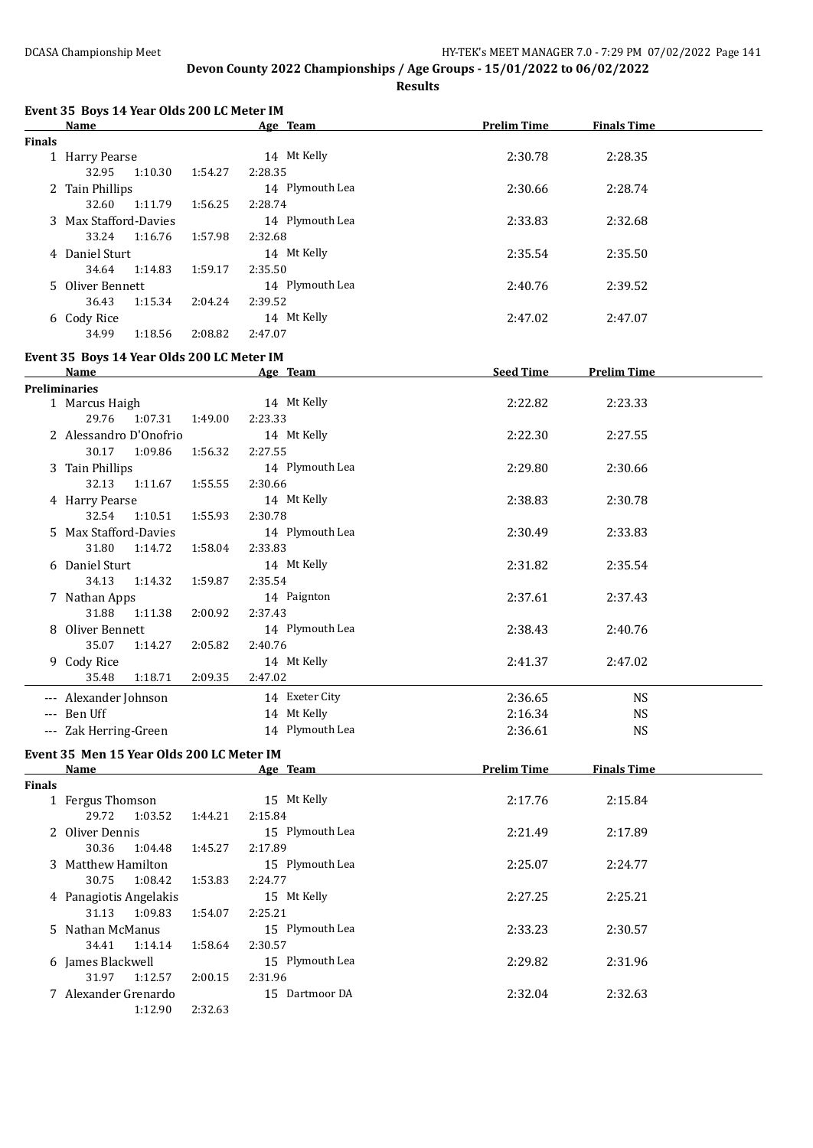**Results**

|               | Event 35 Boys 14 Year Olds 200 LC Meter IM         |         |                 |                    |                    |  |
|---------------|----------------------------------------------------|---------|-----------------|--------------------|--------------------|--|
|               | Name                                               |         | Age Team        | <b>Prelim Time</b> | <b>Finals Time</b> |  |
| <b>Finals</b> |                                                    |         |                 |                    |                    |  |
|               | 1 Harry Pearse                                     |         | 14 Mt Kelly     | 2:30.78            | 2:28.35            |  |
|               | 32.95<br>1:10.30                                   | 1:54.27 | 2:28.35         |                    |                    |  |
|               | 2 Tain Phillips                                    |         | 14 Plymouth Lea | 2:30.66            | 2:28.74            |  |
|               | 32.60<br>1:11.79                                   | 1:56.25 | 2:28.74         |                    |                    |  |
|               | 3 Max Stafford-Davies                              |         | 14 Plymouth Lea | 2:33.83            | 2:32.68            |  |
|               | 33.24<br>1:16.76                                   | 1:57.98 | 2:32.68         |                    |                    |  |
|               | 4 Daniel Sturt                                     |         | 14 Mt Kelly     | 2:35.54            | 2:35.50            |  |
|               | 34.64<br>1:14.83                                   | 1:59.17 | 2:35.50         |                    |                    |  |
|               | 5 Oliver Bennett                                   |         | 14 Plymouth Lea | 2:40.76            | 2:39.52            |  |
|               | 36.43<br>1:15.34                                   | 2:04.24 | 2:39.52         |                    |                    |  |
|               | 6 Cody Rice                                        |         | 14 Mt Kelly     | 2:47.02            | 2:47.07            |  |
|               | 34.99<br>1:18.56                                   | 2:08.82 | 2:47.07         |                    |                    |  |
|               |                                                    |         |                 |                    |                    |  |
|               | Event 35 Boys 14 Year Olds 200 LC Meter IM<br>Name |         |                 |                    |                    |  |
|               | <b>Preliminaries</b>                               |         | Age Team        | <b>Seed Time</b>   | <b>Prelim Time</b> |  |
|               | 1 Marcus Haigh                                     |         | 14 Mt Kelly     | 2:22.82            | 2:23.33            |  |
|               | 29.76<br>1:07.31                                   | 1:49.00 | 2:23.33         |                    |                    |  |
|               | 2 Alessandro D'Onofrio                             |         | 14 Mt Kelly     |                    |                    |  |
|               |                                                    |         |                 | 2:22.30            | 2:27.55            |  |
|               | 30.17<br>1:09.86                                   | 1:56.32 | 2:27.55         |                    |                    |  |
|               | 3 Tain Phillips                                    |         | 14 Plymouth Lea | 2:29.80            | 2:30.66            |  |
|               | 32.13<br>1:11.67                                   | 1:55.55 | 2:30.66         |                    |                    |  |
|               | 4 Harry Pearse                                     |         | 14 Mt Kelly     | 2:38.83            | 2:30.78            |  |
|               | 32.54<br>1:10.51                                   | 1:55.93 | 2:30.78         |                    |                    |  |
|               | 5 Max Stafford-Davies                              |         | 14 Plymouth Lea | 2:30.49            | 2:33.83            |  |
|               | 31.80<br>1:14.72                                   | 1:58.04 | 2:33.83         |                    |                    |  |
|               | 6 Daniel Sturt                                     |         | 14 Mt Kelly     | 2:31.82            | 2:35.54            |  |
|               | 34.13<br>1:14.32                                   | 1:59.87 | 2:35.54         |                    |                    |  |
|               | 7 Nathan Apps                                      |         | 14 Paignton     | 2:37.61            | 2:37.43            |  |
|               | 31.88<br>1:11.38                                   | 2:00.92 | 2:37.43         |                    |                    |  |
|               | 8 Oliver Bennett                                   |         | 14 Plymouth Lea | 2:38.43            | 2:40.76            |  |
|               | 35.07<br>1:14.27                                   | 2:05.82 | 2:40.76         |                    |                    |  |
|               | 9 Cody Rice                                        |         | 14 Mt Kelly     | 2:41.37            | 2:47.02            |  |
|               | 35.48<br>1:18.71                                   | 2:09.35 | 2:47.02         |                    |                    |  |
|               | --- Alexander Johnson                              |         | 14 Exeter City  | 2:36.65            | <b>NS</b>          |  |
|               | Ben Uff                                            |         | 14 Mt Kelly     | 2:16.34            | <b>NS</b>          |  |
|               | --- Zak Herring-Green                              |         | 14 Plymouth Lea | 2:36.61            | <b>NS</b>          |  |
|               |                                                    |         |                 |                    |                    |  |
|               | Event 35 Men 15 Year Olds 200 LC Meter IM          |         |                 |                    |                    |  |
|               | Name                                               |         | Age Team        | <b>Prelim Time</b> | <b>Finals Time</b> |  |
| <b>Finals</b> |                                                    |         | 15 Mt Kelly     |                    |                    |  |
|               | 1 Fergus Thomson                                   |         |                 | 2:17.76            | 2:15.84            |  |
|               | 29.72<br>1:03.52                                   | 1:44.21 | 2:15.84         |                    |                    |  |
|               | 2 Oliver Dennis                                    |         | 15 Plymouth Lea | 2:21.49            | 2:17.89            |  |
|               | 30.36<br>1:04.48                                   | 1:45.27 | 2:17.89         |                    |                    |  |
|               | 3 Matthew Hamilton                                 |         | 15 Plymouth Lea | 2:25.07            | 2:24.77            |  |
|               | 30.75<br>1:08.42                                   | 1:53.83 | 2:24.77         |                    |                    |  |
|               | 4 Panagiotis Angelakis                             |         | 15 Mt Kelly     | 2:27.25            | 2:25.21            |  |
|               | 31.13<br>1:09.83                                   | 1:54.07 | 2:25.21         |                    |                    |  |
|               | 5 Nathan McManus                                   |         | 15 Plymouth Lea | 2:33.23            | 2:30.57            |  |
|               | 34.41<br>1:14.14                                   | 1:58.64 | 2:30.57         |                    |                    |  |
|               | 6 James Blackwell                                  |         | 15 Plymouth Lea | 2:29.82            | 2:31.96            |  |
|               | 31.97<br>1:12.57                                   | 2:00.15 | 2:31.96         |                    |                    |  |
|               | 7 Alexander Grenardo                               |         | 15 Dartmoor DA  | 2:32.04            | 2:32.63            |  |
|               | 1:12.90                                            | 2:32.63 |                 |                    |                    |  |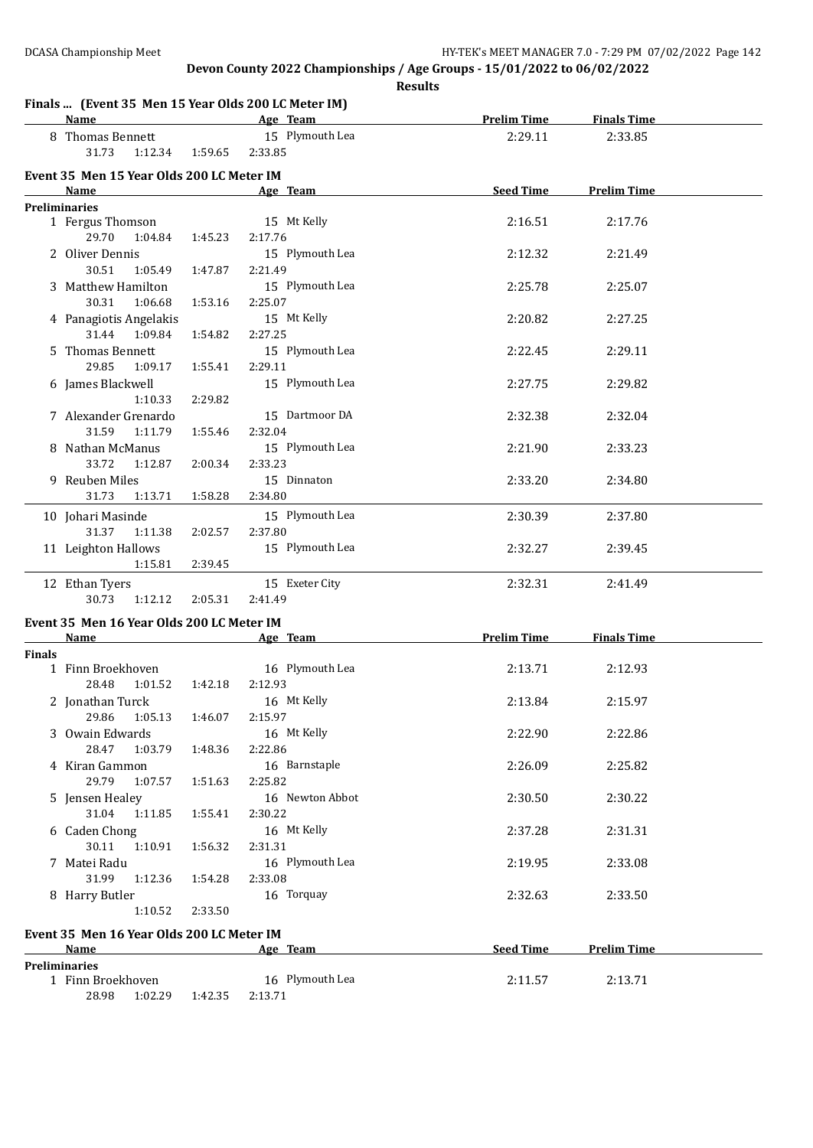**Results**

### **Finals ... (Event 35 Men 15 Year Olds 200 LC Meter IM)**

|                      | <b>Name</b>                                        |                                                                                                                                                                                                                                                               | Age Team                   | <b>Prelim Time</b> | <b>Finals Time</b> |  |
|----------------------|----------------------------------------------------|---------------------------------------------------------------------------------------------------------------------------------------------------------------------------------------------------------------------------------------------------------------|----------------------------|--------------------|--------------------|--|
|                      | 8 Thomas Bennett<br>31.73<br>1:12.34               | 1:59.65                                                                                                                                                                                                                                                       | 15 Plymouth Lea<br>2:33.85 | 2:29.11            | 2:33.85            |  |
|                      | Event 35 Men 15 Year Olds 200 LC Meter IM          |                                                                                                                                                                                                                                                               |                            |                    |                    |  |
|                      | Name                                               | <b>Seed Time</b><br><b>Prelim Time</b><br>Age Team<br>15 Mt Kelly<br>2:16.51<br>2:17.76<br>29.70<br>1:04.84<br>2:17.76<br>1:45.23<br>15 Plymouth Lea<br>2:12.32<br>2:21.49<br>30.51<br>1:05.49<br>2:21.49<br>1:47.87<br>15 Plymouth Lea<br>2:25.78<br>2:25.07 |                            |                    |                    |  |
|                      | <b>Preliminaries</b>                               |                                                                                                                                                                                                                                                               |                            |                    |                    |  |
|                      | 1 Fergus Thomson                                   |                                                                                                                                                                                                                                                               |                            |                    |                    |  |
|                      |                                                    |                                                                                                                                                                                                                                                               |                            |                    |                    |  |
|                      | 2 Oliver Dennis                                    |                                                                                                                                                                                                                                                               |                            |                    |                    |  |
|                      |                                                    |                                                                                                                                                                                                                                                               |                            |                    |                    |  |
|                      | 3 Matthew Hamilton                                 |                                                                                                                                                                                                                                                               |                            |                    |                    |  |
|                      | 30.31<br>1:06.68                                   | 1:53.16                                                                                                                                                                                                                                                       | 2:25.07                    |                    |                    |  |
|                      | 4 Panagiotis Angelakis                             |                                                                                                                                                                                                                                                               | 15 Mt Kelly                | 2:20.82            | 2:27.25            |  |
|                      | 31.44<br>1:09.84                                   | 1:54.82                                                                                                                                                                                                                                                       | 2:27.25                    |                    |                    |  |
|                      | 5 Thomas Bennett                                   |                                                                                                                                                                                                                                                               | 15 Plymouth Lea            | 2:22.45            | 2:29.11            |  |
|                      | 29.85<br>1:09.17                                   | 1:55.41                                                                                                                                                                                                                                                       | 2:29.11                    |                    |                    |  |
|                      | 6 James Blackwell                                  |                                                                                                                                                                                                                                                               | 15 Plymouth Lea            | 2:27.75            | 2:29.82            |  |
|                      | 1:10.33                                            | 2:29.82                                                                                                                                                                                                                                                       |                            |                    |                    |  |
|                      | 7 Alexander Grenardo                               |                                                                                                                                                                                                                                                               | 15 Dartmoor DA             | 2:32.38            | 2:32.04            |  |
|                      | 31.59<br>1:11.79                                   | 1:55.46                                                                                                                                                                                                                                                       | 2:32.04                    |                    |                    |  |
|                      | 8 Nathan McManus                                   |                                                                                                                                                                                                                                                               | 15 Plymouth Lea            | 2:21.90            | 2:33.23            |  |
|                      | 33.72<br>1:12.87                                   | 2:00.34                                                                                                                                                                                                                                                       | 2:33.23                    |                    |                    |  |
|                      | 9 Reuben Miles                                     |                                                                                                                                                                                                                                                               | 15 Dinnaton                | 2:33.20            | 2:34.80            |  |
|                      | 31.73<br>1:13.71                                   | 1:58.28                                                                                                                                                                                                                                                       | 2:34.80                    |                    |                    |  |
|                      | 10 Johari Masinde                                  |                                                                                                                                                                                                                                                               | 15 Plymouth Lea            | 2:30.39            | 2:37.80            |  |
|                      | 31.37<br>1:11.38                                   | 2:02.57                                                                                                                                                                                                                                                       | 2:37.80                    |                    |                    |  |
|                      | 11 Leighton Hallows                                |                                                                                                                                                                                                                                                               | 15 Plymouth Lea            | 2:32.27            | 2:39.45            |  |
|                      | 1:15.81                                            | 2:39.45                                                                                                                                                                                                                                                       |                            |                    |                    |  |
|                      |                                                    |                                                                                                                                                                                                                                                               |                            |                    |                    |  |
|                      | 12 Ethan Tyers                                     |                                                                                                                                                                                                                                                               | 15 Exeter City             | 2:32.31            | 2:41.49            |  |
|                      | 30.73<br>1:12.12                                   | 2:05.31                                                                                                                                                                                                                                                       | 2:41.49                    |                    |                    |  |
|                      | Event 35 Men 16 Year Olds 200 LC Meter IM          |                                                                                                                                                                                                                                                               |                            |                    |                    |  |
|                      | Name                                               |                                                                                                                                                                                                                                                               | Age Team                   | <b>Prelim Time</b> | <b>Finals Time</b> |  |
| <b>Finals</b>        |                                                    |                                                                                                                                                                                                                                                               |                            |                    |                    |  |
|                      | 1 Finn Broekhoven                                  |                                                                                                                                                                                                                                                               | 16 Plymouth Lea            | 2:13.71            | 2:12.93            |  |
|                      | 28.48<br>1:01.52                                   | 1:42.18                                                                                                                                                                                                                                                       | 2:12.93                    |                    |                    |  |
|                      | 2 Jonathan Turck                                   |                                                                                                                                                                                                                                                               | 16 Mt Kelly                | 2:13.84            | 2:15.97            |  |
|                      | 29.86  1:05.13  1:46.07  2:15.97                   |                                                                                                                                                                                                                                                               |                            |                    |                    |  |
|                      | 3 Owain Edwards                                    |                                                                                                                                                                                                                                                               | 16 Mt Kelly                | 2:22.90            | 2:22.86            |  |
|                      | 28.47 1:03.79                                      | 1:48.36                                                                                                                                                                                                                                                       | 2:22.86                    |                    |                    |  |
|                      | 4 Kiran Gammon                                     |                                                                                                                                                                                                                                                               | 16 Barnstaple              | 2:26.09            | 2:25.82            |  |
|                      | 29.79 1:07.57                                      | 1:51.63                                                                                                                                                                                                                                                       | 2:25.82                    |                    |                    |  |
|                      | 5 Jensen Healey                                    |                                                                                                                                                                                                                                                               | 16 Newton Abbot            | 2:30.50            | 2:30.22            |  |
|                      | 31.04<br>1:11.85                                   | 1:55.41                                                                                                                                                                                                                                                       | 2:30.22                    |                    |                    |  |
|                      | 6 Caden Chong                                      |                                                                                                                                                                                                                                                               | 16 Mt Kelly                | 2:37.28            | 2:31.31            |  |
|                      | 30.11<br>1:10.91                                   | 1:56.32                                                                                                                                                                                                                                                       | 2:31.31                    |                    |                    |  |
|                      | 7 Matei Radu                                       |                                                                                                                                                                                                                                                               | 16 Plymouth Lea            | 2:19.95            | 2:33.08            |  |
|                      | 31.99<br>1:12.36                                   | 1:54.28                                                                                                                                                                                                                                                       | 2:33.08                    |                    |                    |  |
|                      | 8 Harry Butler                                     |                                                                                                                                                                                                                                                               | 16 Torquay                 | 2:32.63            | 2:33.50            |  |
|                      | 1:10.52                                            | 2:33.50                                                                                                                                                                                                                                                       |                            |                    |                    |  |
|                      |                                                    |                                                                                                                                                                                                                                                               |                            |                    |                    |  |
|                      | Event 35 Men 16 Year Olds 200 LC Meter IM          |                                                                                                                                                                                                                                                               |                            |                    |                    |  |
|                      | Name                                               |                                                                                                                                                                                                                                                               | Age Team                   | Seed Time          | <b>Prelim Time</b> |  |
| <b>Preliminaries</b> |                                                    |                                                                                                                                                                                                                                                               |                            |                    |                    |  |
|                      |                                                    |                                                                                                                                                                                                                                                               |                            |                    |                    |  |
|                      | 1 Finn Broekhoven<br>28.98 1:02.29 1:42.35 2:13.71 |                                                                                                                                                                                                                                                               | 16 Plymouth Lea            | 2:11.57            | 2:13.71            |  |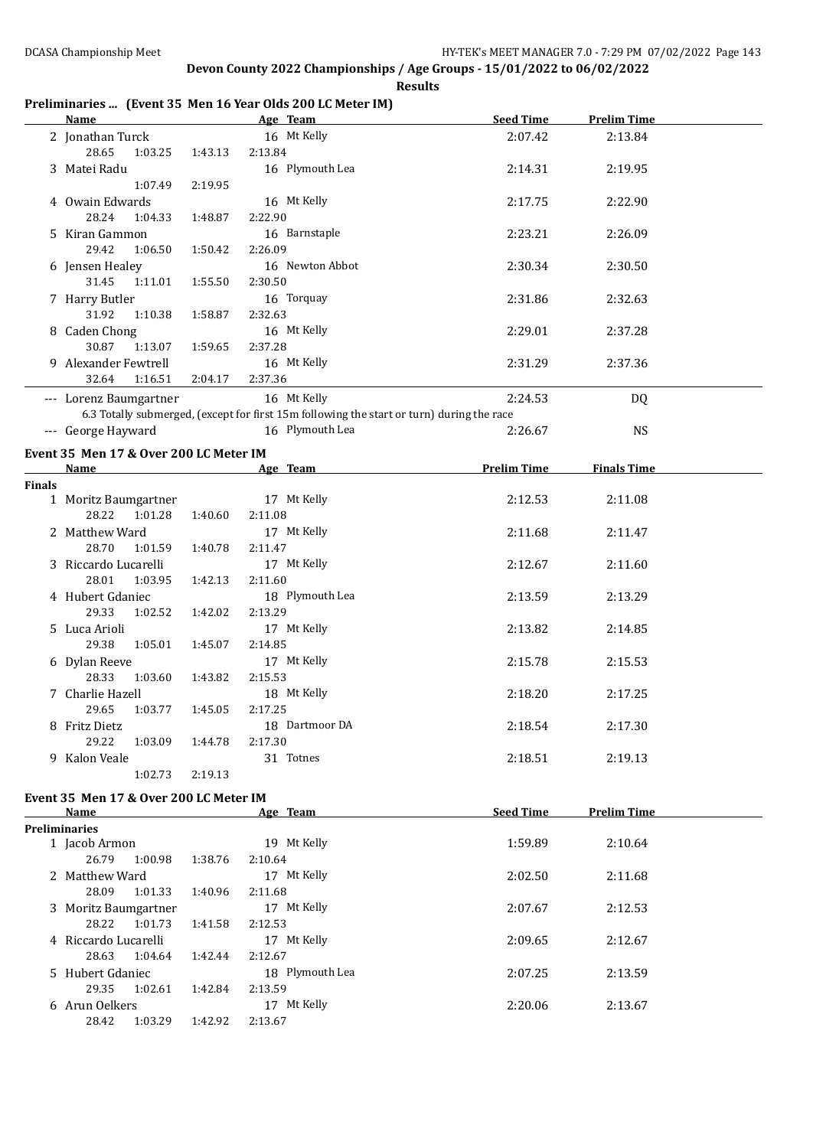#### **Preliminaries ... (Event 35 Men 16 Year Olds 200 LC Meter IM)**

|        | <b>Name</b>                                                                                          |         | <b>Example 2018</b> Age Team <b>Age Team</b>                                                                                                                                                                                   | <b>Seed Time</b>   | <b>Prelim Time</b> |  |  |  |
|--------|------------------------------------------------------------------------------------------------------|---------|--------------------------------------------------------------------------------------------------------------------------------------------------------------------------------------------------------------------------------|--------------------|--------------------|--|--|--|
|        | 2 Jonathan Turck<br>28.65<br>1:03.25                                                                 | 1:43.13 | 16 Mt Kelly<br>2:13.84                                                                                                                                                                                                         | 2:07.42            | 2:13.84            |  |  |  |
|        | 3 Matei Radu<br>1:07.49                                                                              | 2:19.95 | 16 Plymouth Lea                                                                                                                                                                                                                | 2:14.31            | 2:19.95            |  |  |  |
|        | 4 Owain Edwards<br>28.24<br>1:04.33                                                                  | 1:48.87 | 16 Mt Kelly<br>2:22.90                                                                                                                                                                                                         | 2:17.75            | 2:22.90            |  |  |  |
|        | 5 Kiran Gammon<br>29.42<br>1:06.50                                                                   | 1:50.42 | 16 Barnstaple<br>2:26.09                                                                                                                                                                                                       | 2:23.21            | 2:26.09            |  |  |  |
|        | 6 Jensen Healey<br>31.45<br>1:11.01                                                                  | 1:55.50 | 16 Newton Abbot<br>2:30.50                                                                                                                                                                                                     | 2:30.34            | 2:30.50            |  |  |  |
|        | 7 Harry Butler<br>31.92<br>1:10.38                                                                   | 1:58.87 | 16 Torquay<br>2:32.63                                                                                                                                                                                                          | 2:31.86            | 2:32.63            |  |  |  |
|        | 8 Caden Chong<br>30.87<br>1:13.07                                                                    | 1:59.65 | 16 Mt Kelly<br>2:37.28                                                                                                                                                                                                         | 2:29.01            | 2:37.28            |  |  |  |
|        | 9 Alexander Fewtrell<br>32.64<br>1:16.51                                                             | 2:04.17 | 16 Mt Kelly<br>2:37.36                                                                                                                                                                                                         | 2:31.29            | 2:37.36            |  |  |  |
|        | --- Lorenz Baumgartner                                                                               |         | 16 Mt Kelly                                                                                                                                                                                                                    | 2:24.53            | DQ                 |  |  |  |
|        |                                                                                                      |         | 6.3 Totally submerged, (except for first 15m following the start or turn) during the race                                                                                                                                      |                    |                    |  |  |  |
|        | --- George Hayward                                                                                   |         | 16 Plymouth Lea                                                                                                                                                                                                                | 2:26.67            | <b>NS</b>          |  |  |  |
|        | Event 35 Men 17 & Over 200 LC Meter IM                                                               |         |                                                                                                                                                                                                                                |                    |                    |  |  |  |
|        | <b>Name</b><br>the control of the control of the control of the control of                           |         | Age Team and the state of the state of the state of the state of the state of the state of the state of the state of the state of the state of the state of the state of the state of the state of the state of the state of t | <b>Prelim Time</b> | <b>Finals Time</b> |  |  |  |
| Finals |                                                                                                      |         |                                                                                                                                                                                                                                |                    |                    |  |  |  |
|        | 1 Moritz Baumgartner<br>28.22<br>1:01.28                                                             | 1:40.60 | 17 Mt Kelly<br>2:11.08                                                                                                                                                                                                         | 2:12.53            | 2:11.08            |  |  |  |
|        | 2 Matthew Ward<br>28.70<br>1:01.59                                                                   | 1:40.78 | 17 Mt Kelly<br>2:11.47                                                                                                                                                                                                         | 2:11.68            | 2:11.47            |  |  |  |
|        | 3 Riccardo Lucarelli<br>28.01<br>1:03.95                                                             | 1:42.13 | 17 Mt Kelly<br>2:11.60                                                                                                                                                                                                         | 2:12.67            | 2:11.60            |  |  |  |
|        | 4 Hubert Gdaniec<br>29.33<br>1:02.52                                                                 | 1:42.02 | 18 Plymouth Lea<br>2:13.29                                                                                                                                                                                                     | 2:13.59            | 2:13.29            |  |  |  |
|        | 5 Luca Arioli<br>29.38<br>1:05.01                                                                    | 1:45.07 | 17 Mt Kelly<br>2:14.85                                                                                                                                                                                                         | 2:13.82            | 2:14.85            |  |  |  |
|        | 6 Dylan Reeve<br>28.33<br>1:03.60                                                                    | 1:43.82 | 17 Mt Kelly<br>2:15.53                                                                                                                                                                                                         | 2:15.78            | 2:15.53            |  |  |  |
|        | 7 Charlie Hazell<br>29.65<br>1:03.77                                                                 | 1:45.05 | 18 Mt Kelly<br>2:17.25                                                                                                                                                                                                         | 2:18.20            | 2:17.25            |  |  |  |
|        | 8 Fritz Dietz<br>29.22<br>1:03.09                                                                    | 1:44.78 | 18 Dartmoor DA<br>2:17.30                                                                                                                                                                                                      | 2:18.54            | 2:17.30            |  |  |  |
|        | 9 Kalon Veale<br>1:02.73                                                                             | 2:19.13 | 31 Totnes                                                                                                                                                                                                                      | 2:18.51            | 2:19.13            |  |  |  |
|        | Event 35 Men 17 & Over 200 LC Meter IM<br><b>Seed Time</b><br><b>Prelim Time</b><br>Name<br>Age Team |         |                                                                                                                                                                                                                                |                    |                    |  |  |  |
|        | <b>Preliminaries</b>                                                                                 |         |                                                                                                                                                                                                                                |                    |                    |  |  |  |
|        | 1 Jacob Armon<br>26.79<br>1:00.98                                                                    | 1:38.76 | 19 Mt Kelly<br>2:10.64                                                                                                                                                                                                         | 1:59.89            | 2:10.64            |  |  |  |
|        | 2 Matthew Ward<br>28.09<br>1:01.33                                                                   | 1:40.96 | 17 Mt Kelly<br>2:11.68                                                                                                                                                                                                         | 2:02.50            | 2:11.68            |  |  |  |
|        | 3 Moritz Baumgartner<br>28.22<br>1:01.73                                                             | 1:41.58 | 17 Mt Kelly<br>2:12.53                                                                                                                                                                                                         | 2:07.67            | 2:12.53            |  |  |  |
|        | 4 Riccardo Lucarelli<br>28.63<br>1:04.64                                                             | 1:42.44 | 17 Mt Kelly<br>2:12.67                                                                                                                                                                                                         | 2:09.65            | 2:12.67            |  |  |  |
|        | 5 Hubert Gdaniec<br>29.35<br>1:02.61                                                                 | 1:42.84 | 18 Plymouth Lea<br>2:13.59                                                                                                                                                                                                     | 2:07.25            | 2:13.59            |  |  |  |

6 Arun Oelkers 17 Mt Kelly 2:20.06 2:13.67

28.42 1:03.29 1:42.92 2:13.67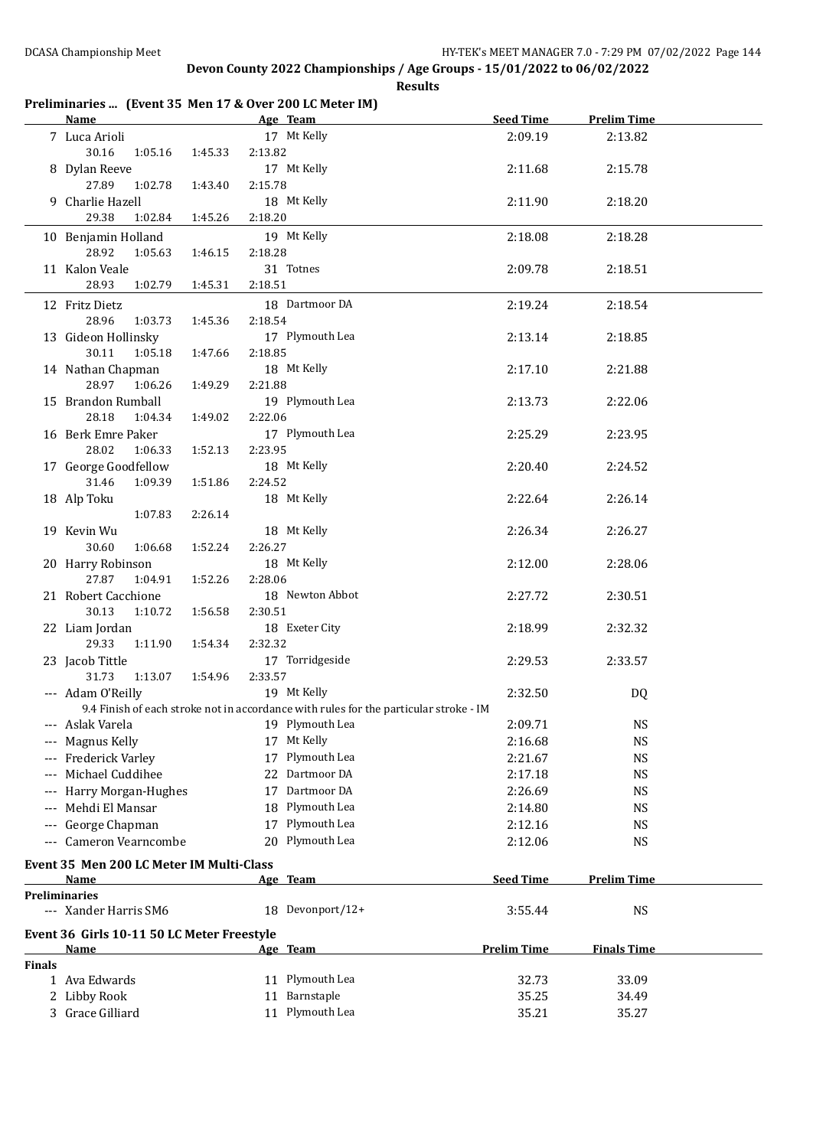### **Preliminaries ... (Event 35 Men 17 & Over 200 LC Meter IM)**

|                      | <b>Name</b>                                |         |         | Age Team                                                                              | <b>Seed Time</b>   | <b>Prelim Time</b> |  |
|----------------------|--------------------------------------------|---------|---------|---------------------------------------------------------------------------------------|--------------------|--------------------|--|
|                      | 7 Luca Arioli                              |         |         | 17 Mt Kelly                                                                           | 2:09.19            | 2:13.82            |  |
|                      | 30.16<br>1:05.16                           | 1:45.33 | 2:13.82 |                                                                                       |                    |                    |  |
|                      | 8 Dylan Reeve                              |         |         | 17 Mt Kelly                                                                           | 2:11.68            | 2:15.78            |  |
|                      | 27.89<br>1:02.78                           | 1:43.40 | 2:15.78 |                                                                                       |                    |                    |  |
|                      | 9 Charlie Hazell                           |         |         | 18 Mt Kelly                                                                           | 2:11.90            | 2:18.20            |  |
|                      | 29.38<br>1:02.84                           | 1:45.26 | 2:18.20 |                                                                                       |                    |                    |  |
|                      | 10 Benjamin Holland                        |         |         | 19 Mt Kelly                                                                           | 2:18.08            | 2:18.28            |  |
|                      | 28.92<br>1:05.63                           | 1:46.15 | 2:18.28 |                                                                                       |                    |                    |  |
|                      | 11 Kalon Veale                             |         |         | 31 Totnes                                                                             | 2:09.78            | 2:18.51            |  |
|                      | 28.93<br>1:02.79                           | 1:45.31 | 2:18.51 |                                                                                       |                    |                    |  |
|                      | 12 Fritz Dietz                             |         |         | 18 Dartmoor DA                                                                        | 2:19.24            | 2:18.54            |  |
|                      | 28.96<br>1:03.73                           | 1:45.36 | 2:18.54 |                                                                                       |                    |                    |  |
|                      | 13 Gideon Hollinsky                        |         |         | 17 Plymouth Lea                                                                       | 2:13.14            | 2:18.85            |  |
|                      | 30.11<br>1:05.18                           | 1:47.66 | 2:18.85 |                                                                                       |                    |                    |  |
|                      | 14 Nathan Chapman                          |         |         | 18 Mt Kelly                                                                           | 2:17.10            | 2:21.88            |  |
|                      | 28.97<br>1:06.26                           | 1:49.29 | 2:21.88 |                                                                                       |                    |                    |  |
|                      | 15 Brandon Rumball                         |         |         | 19 Plymouth Lea                                                                       | 2:13.73            | 2:22.06            |  |
|                      | 28.18<br>1:04.34                           | 1:49.02 | 2:22.06 |                                                                                       |                    |                    |  |
|                      | 16 Berk Emre Paker                         |         |         | 17 Plymouth Lea                                                                       | 2:25.29            | 2:23.95            |  |
|                      | 28.02<br>1:06.33                           | 1:52.13 | 2:23.95 |                                                                                       |                    |                    |  |
|                      | 17 George Goodfellow                       |         |         | 18 Mt Kelly                                                                           | 2:20.40            | 2:24.52            |  |
|                      | 31.46<br>1:09.39                           | 1:51.86 | 2:24.52 |                                                                                       |                    |                    |  |
|                      | 18 Alp Toku                                |         |         | 18 Mt Kelly                                                                           | 2:22.64            | 2:26.14            |  |
|                      | 1:07.83                                    | 2:26.14 |         |                                                                                       |                    |                    |  |
|                      | 19 Kevin Wu                                |         |         | 18 Mt Kelly                                                                           | 2:26.34            | 2:26.27            |  |
|                      | 30.60<br>1:06.68                           | 1:52.24 | 2:26.27 |                                                                                       |                    |                    |  |
|                      | 20 Harry Robinson                          |         |         | 18 Mt Kelly                                                                           | 2:12.00            | 2:28.06            |  |
|                      | 27.87<br>1:04.91                           | 1:52.26 | 2:28.06 |                                                                                       |                    |                    |  |
|                      | 21 Robert Cacchione                        |         |         | 18 Newton Abbot                                                                       | 2:27.72            | 2:30.51            |  |
|                      | 30.13<br>1:10.72                           | 1:56.58 | 2:30.51 |                                                                                       |                    |                    |  |
|                      | 22 Liam Jordan                             |         |         | 18 Exeter City                                                                        | 2:18.99            | 2:32.32            |  |
|                      | 29.33<br>1:11.90                           | 1:54.34 | 2:32.32 |                                                                                       |                    |                    |  |
|                      | 23 Jacob Tittle                            |         |         | 17 Torridgeside                                                                       | 2:29.53            | 2:33.57            |  |
|                      | 31.73<br>1:13.07                           | 1:54.96 | 2:33.57 |                                                                                       |                    |                    |  |
|                      | --- Adam O'Reilly                          |         |         | 19 Mt Kelly                                                                           | 2:32.50            | DQ                 |  |
|                      |                                            |         |         | 9.4 Finish of each stroke not in accordance with rules for the particular stroke - IM |                    |                    |  |
|                      | Aslak Varela                               |         |         | 19 Plymouth Lea                                                                       | 2:09.71            | <b>NS</b>          |  |
|                      | --- Magnus Kelly                           |         |         | 17 Mt Kelly                                                                           | 2:16.68            | <b>NS</b>          |  |
|                      | Frederick Varley                           |         |         | 17 Plymouth Lea                                                                       | 2:21.67            | <b>NS</b>          |  |
|                      | Michael Cuddihee                           |         |         | 22 Dartmoor DA                                                                        | 2:17.18            | <b>NS</b>          |  |
|                      | Harry Morgan-Hughes                        |         |         | 17 Dartmoor DA                                                                        | 2:26.69            | <b>NS</b>          |  |
|                      | Mehdi El Mansar                            |         |         | 18 Plymouth Lea                                                                       | 2:14.80            | <b>NS</b>          |  |
|                      | George Chapman                             |         |         | 17 Plymouth Lea                                                                       | 2:12.16            | <b>NS</b>          |  |
|                      | Cameron Vearncombe                         |         |         | 20 Plymouth Lea                                                                       | 2:12.06            | <b>NS</b>          |  |
|                      |                                            |         |         |                                                                                       |                    |                    |  |
|                      | Event 35 Men 200 LC Meter IM Multi-Class   |         |         |                                                                                       |                    |                    |  |
|                      | Name                                       |         |         | Age Team                                                                              | <b>Seed Time</b>   | <b>Prelim Time</b> |  |
| <b>Preliminaries</b> |                                            |         |         |                                                                                       |                    |                    |  |
|                      | --- Xander Harris SM6                      |         |         | 18 Devonport/12+                                                                      | 3:55.44            | <b>NS</b>          |  |
|                      | Event 36 Girls 10-11 50 LC Meter Freestyle |         |         |                                                                                       |                    |                    |  |
|                      | Name                                       |         |         | Age Team                                                                              | <b>Prelim Time</b> | <b>Finals Time</b> |  |
| <b>Finals</b>        |                                            |         |         |                                                                                       |                    |                    |  |
|                      | 1 Ava Edwards                              |         |         | 11 Plymouth Lea                                                                       | 32.73              | 33.09              |  |
|                      | 2 Libby Rook                               |         |         | 11 Barnstaple                                                                         | 35.25              | 34.49              |  |
|                      | 3 Grace Gilliard                           |         |         | 11 Plymouth Lea                                                                       | 35.21              | 35.27              |  |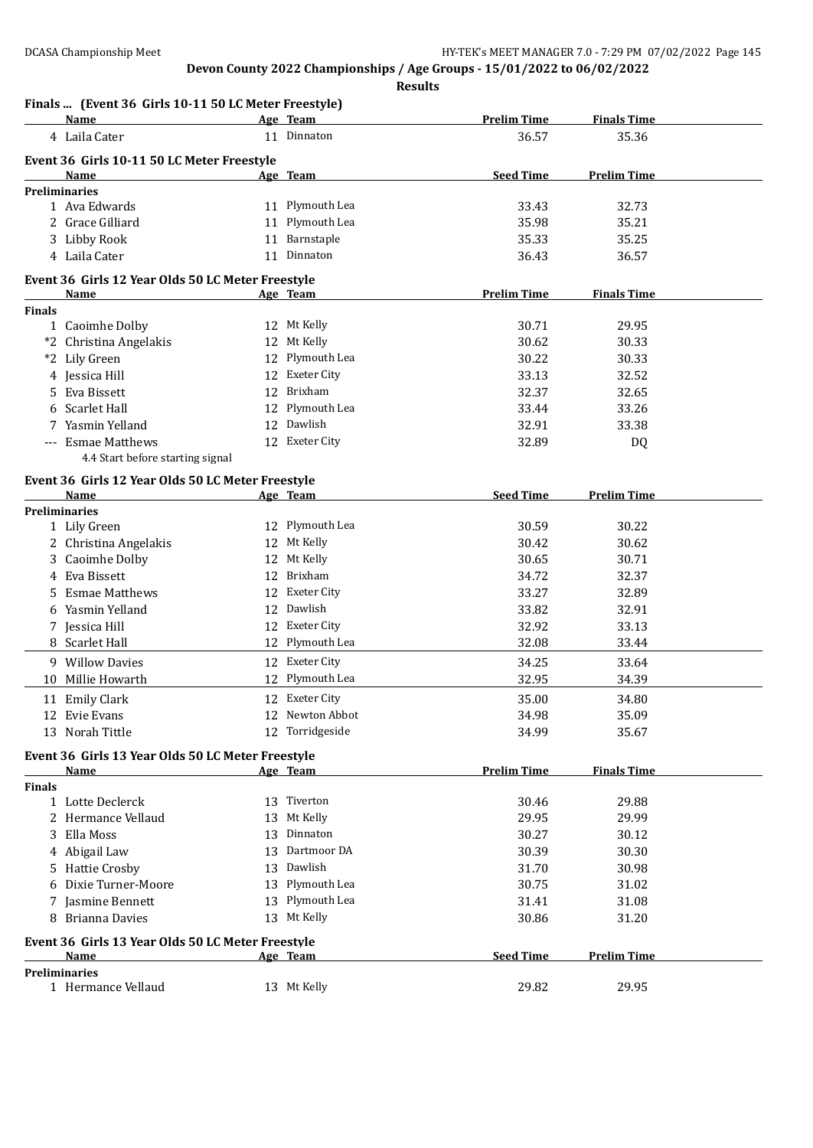|               | Finals  (Event 36 Girls 10-11 50 LC Meter Freestyle)<br><b>Name</b> |    | Age Team        | <b>Prelim Time</b> | <b>Finals Time</b> |  |
|---------------|---------------------------------------------------------------------|----|-----------------|--------------------|--------------------|--|
|               | 4 Laila Cater                                                       |    | 11 Dinnaton     | 36.57              | 35.36              |  |
|               |                                                                     |    |                 |                    |                    |  |
|               | Event 36 Girls 10-11 50 LC Meter Freestyle<br>Name                  |    | Age Team        | <b>Seed Time</b>   | <b>Prelim Time</b> |  |
|               | <b>Preliminaries</b>                                                |    |                 |                    |                    |  |
|               | 1 Ava Edwards                                                       |    | 11 Plymouth Lea | 33.43              | 32.73              |  |
|               | 2 Grace Gilliard                                                    |    | 11 Plymouth Lea | 35.98              | 35.21              |  |
|               | 3 Libby Rook                                                        |    | 11 Barnstaple   | 35.33              | 35.25              |  |
|               | 4 Laila Cater                                                       |    | 11 Dinnaton     | 36.43              | 36.57              |  |
|               | Event 36 Girls 12 Year Olds 50 LC Meter Freestyle                   |    |                 |                    |                    |  |
|               | Name                                                                |    | Age Team        | <b>Prelim Time</b> | <b>Finals Time</b> |  |
| <b>Finals</b> |                                                                     |    |                 |                    |                    |  |
|               | 1 Caoimhe Dolby                                                     |    | 12 Mt Kelly     | 30.71              | 29.95              |  |
|               | *2 Christina Angelakis                                              |    | 12 Mt Kelly     | 30.62              | 30.33              |  |
|               | *2 Lily Green                                                       |    | 12 Plymouth Lea | 30.22              | 30.33              |  |
|               | 4 Jessica Hill                                                      |    | 12 Exeter City  | 33.13              | 32.52              |  |
| 5.            | Eva Bissett                                                         |    | 12 Brixham      | 32.37              | 32.65              |  |
|               | 6 Scarlet Hall                                                      |    | 12 Plymouth Lea | 33.44              | 33.26              |  |
|               | 7 Yasmin Yelland                                                    |    | 12 Dawlish      | 32.91              | 33.38              |  |
|               | --- Esmae Matthews                                                  |    | 12 Exeter City  | 32.89              | DQ                 |  |
|               | 4.4 Start before starting signal                                    |    |                 |                    |                    |  |
|               | Event 36 Girls 12 Year Olds 50 LC Meter Freestyle                   |    |                 |                    |                    |  |
|               | Name                                                                |    | Age Team        | <b>Seed Time</b>   | <b>Prelim Time</b> |  |
|               | <b>Preliminaries</b>                                                |    |                 |                    |                    |  |
|               | 1 Lily Green                                                        |    | 12 Plymouth Lea | 30.59              | 30.22              |  |
|               | 2 Christina Angelakis                                               |    | 12 Mt Kelly     | 30.42              | 30.62              |  |
|               | 3 Caoimhe Dolby                                                     |    | 12 Mt Kelly     | 30.65              | 30.71              |  |
|               | 4 Eva Bissett                                                       |    | 12 Brixham      | 34.72              | 32.37              |  |
| 5.            | <b>Esmae Matthews</b>                                               |    | 12 Exeter City  | 33.27              | 32.89              |  |
|               | 6 Yasmin Yelland                                                    |    | 12 Dawlish      | 33.82              | 32.91              |  |
|               | 7 Jessica Hill                                                      |    | 12 Exeter City  | 32.92              | 33.13              |  |
|               | 8 Scarlet Hall                                                      |    | 12 Plymouth Lea | 32.08              | 33.44              |  |
|               | 9 Willow Davies                                                     |    | 12 Exeter City  | 34.25              | 33.64              |  |
|               | 10 Millie Howarth                                                   |    | 12 Plymouth Lea | 32.95              | 34.39              |  |
|               | 11 Emily Clark                                                      |    | 12 Exeter City  | 35.00              | 34.80              |  |
|               | 12 Evie Evans                                                       |    | 12 Newton Abbot | 34.98              | 35.09              |  |
|               | 13 Norah Tittle                                                     |    | 12 Torridgeside | 34.99              | 35.67              |  |
|               |                                                                     |    |                 |                    |                    |  |
|               | Event 36 Girls 13 Year Olds 50 LC Meter Freestyle<br>Name           |    | Age Team        | <b>Prelim Time</b> | <b>Finals Time</b> |  |
| <b>Finals</b> |                                                                     |    |                 |                    |                    |  |
|               | 1 Lotte Declerck                                                    |    | 13 Tiverton     | 30.46              | 29.88              |  |
|               | 2 Hermance Vellaud                                                  |    | 13 Mt Kelly     | 29.95              | 29.99              |  |
| 3             | Ella Moss                                                           | 13 | Dinnaton        | 30.27              | 30.12              |  |
|               | 4 Abigail Law                                                       | 13 | Dartmoor DA     | 30.39              | 30.30              |  |
|               | 5 Hattie Crosby                                                     | 13 | Dawlish         | 31.70              | 30.98              |  |
|               | 6 Dixie Turner-Moore                                                | 13 | Plymouth Lea    | 30.75              | 31.02              |  |
|               | 7 Jasmine Bennett                                                   | 13 | Plymouth Lea    | 31.41              | 31.08              |  |
|               | 8 Brianna Davies                                                    |    | 13 Mt Kelly     | 30.86              | 31.20              |  |
|               |                                                                     |    |                 |                    |                    |  |
|               | Event 36 Girls 13 Year Olds 50 LC Meter Freestyle<br>Name           |    | Age Team        | <b>Seed Time</b>   | <b>Prelim Time</b> |  |
|               | <b>Preliminaries</b>                                                |    |                 |                    |                    |  |
|               | 1 Hermance Vellaud                                                  |    | 13 Mt Kelly     | 29.82              | 29.95              |  |
|               |                                                                     |    |                 |                    |                    |  |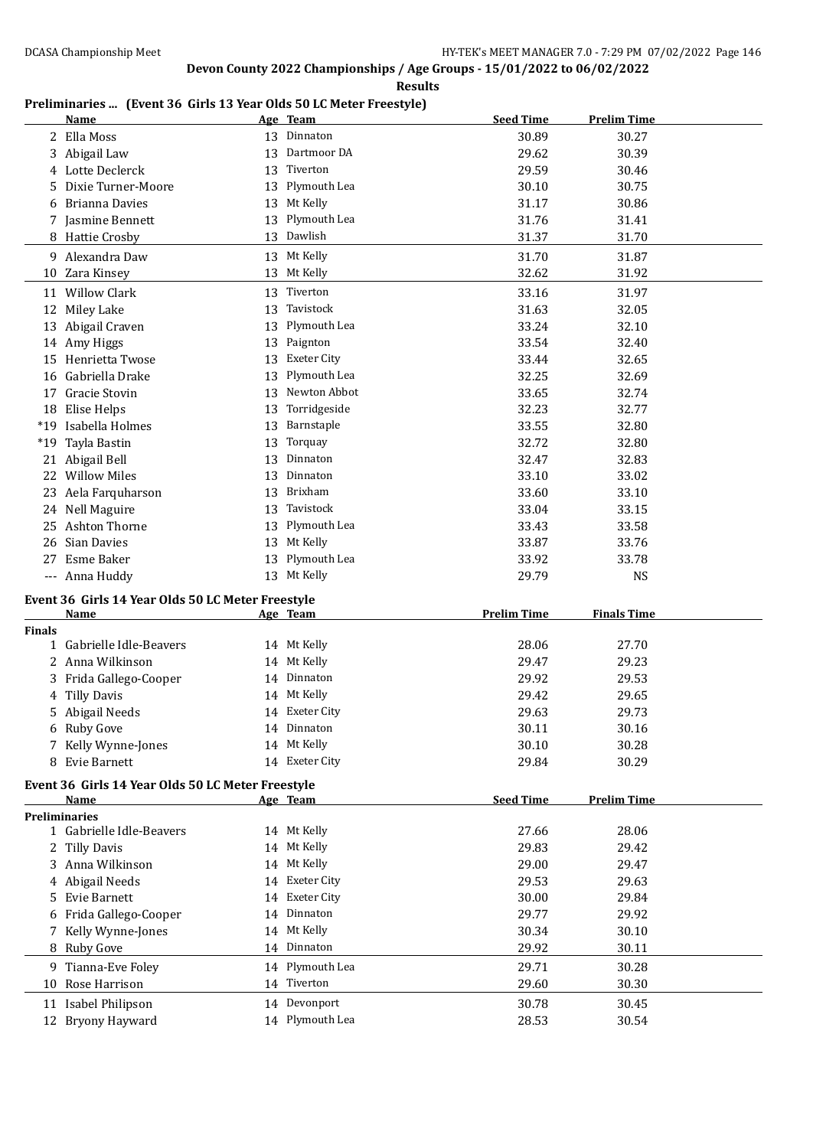#### **Results**

### **Preliminaries ... (Event 36 Girls 13 Year Olds 50 LC Meter Freestyle)**

|               | <b>Name</b>                                       |    | Age Team           | <b>Seed Time</b>   | <b>Prelim Time</b> |
|---------------|---------------------------------------------------|----|--------------------|--------------------|--------------------|
|               | 2 Ella Moss                                       |    | 13 Dinnaton        | 30.89              | 30.27              |
|               | 3 Abigail Law                                     |    | 13 Dartmoor DA     | 29.62              | 30.39              |
|               | 4 Lotte Declerck                                  | 13 | Tiverton           | 29.59              | 30.46              |
| 5.            | Dixie Turner-Moore                                | 13 | Plymouth Lea       | 30.10              | 30.75              |
|               | <b>Brianna Davies</b>                             | 13 | Mt Kelly           | 31.17              | 30.86              |
|               | 7 Jasmine Bennett                                 | 13 | Plymouth Lea       | 31.76              | 31.41              |
|               | 8 Hattie Crosby                                   |    | 13 Dawlish         | 31.37              | 31.70              |
|               | 9 Alexandra Daw                                   |    | 13 Mt Kelly        | 31.70              | 31.87              |
|               | 10 Zara Kinsey                                    |    | 13 Mt Kelly        | 32.62              | 31.92              |
|               |                                                   |    |                    |                    |                    |
|               | 11 Willow Clark                                   | 13 | Tiverton           | 33.16              | 31.97              |
|               | 12 Miley Lake                                     | 13 | Tavistock          | 31.63              | 32.05              |
|               | 13 Abigail Craven                                 |    | 13 Plymouth Lea    | 33.24              | 32.10              |
|               | 14 Amy Higgs                                      | 13 | Paignton           | 33.54              | 32.40              |
|               | 15 Henrietta Twose                                | 13 | Exeter City        | 33.44              | 32.65              |
| 16            | Gabriella Drake                                   | 13 | Plymouth Lea       | 32.25              | 32.69              |
| 17            | Gracie Stovin                                     | 13 | Newton Abbot       | 33.65              | 32.74              |
|               | 18 Elise Helps                                    | 13 | Torridgeside       | 32.23              | 32.77              |
|               | *19 Isabella Holmes                               | 13 | Barnstaple         | 33.55              | 32.80              |
| $*19$         | Tayla Bastin                                      | 13 | Torquay            | 32.72              | 32.80              |
|               | 21 Abigail Bell                                   | 13 | Dinnaton           | 32.47              | 32.83              |
|               | 22 Willow Miles                                   | 13 | Dinnaton           | 33.10              | 33.02              |
|               | 23 Aela Farquharson                               | 13 | Brixham            | 33.60              | 33.10              |
|               | 24 Nell Maguire                                   | 13 | Tavistock          | 33.04              | 33.15              |
|               | 25 Ashton Thorne                                  |    | 13 Plymouth Lea    | 33.43              | 33.58              |
|               | 26 Sian Davies                                    |    | 13 Mt Kelly        | 33.87              | 33.76              |
| 27            | Esme Baker                                        |    | 13 Plymouth Lea    | 33.92              | 33.78              |
|               | --- Anna Huddy                                    |    | 13 Mt Kelly        | 29.79              | <b>NS</b>          |
|               | Event 36 Girls 14 Year Olds 50 LC Meter Freestyle |    |                    |                    |                    |
|               | <u>Name</u>                                       |    | Age Team           | <b>Prelim Time</b> | <b>Finals Time</b> |
| <b>Finals</b> |                                                   |    |                    |                    |                    |
|               | 1 Gabrielle Idle-Beavers                          |    | 14 Mt Kelly        | 28.06              | 27.70              |
|               | 2 Anna Wilkinson                                  |    | 14 Mt Kelly        | 29.47              | 29.23              |
|               | 3 Frida Gallego-Cooper                            |    | 14 Dinnaton        | 29.92              | 29.53              |
| 4             | <b>Tilly Davis</b>                                |    | 14 Mt Kelly        | 29.42              | 29.65              |
|               | 5 Abigail Needs                                   |    | 14 Exeter City     | 29.63              | 29.73              |
|               | 6 Ruby Gove                                       |    | 14 Dinnaton        | 30.11              | 30.16              |
|               | 7 Kelly Wynne-Jones                               |    | 14 Mt Kelly        | 30.10              | 30.28              |
|               | 8 Evie Barnett                                    |    | 14 Exeter City     | 29.84              | 30.29              |
|               |                                                   |    |                    |                    |                    |
|               | Event 36 Girls 14 Year Olds 50 LC Meter Freestyle |    |                    |                    |                    |
|               | Name                                              |    | Age Team           | <b>Seed Time</b>   | <b>Prelim Time</b> |
|               | <b>Preliminaries</b><br>1 Gabrielle Idle-Beavers  |    | 14 Mt Kelly        | 27.66              |                    |
|               |                                                   |    | 14 Mt Kelly        | 29.83              | 28.06<br>29.42     |
| 2             | <b>Tilly Davis</b>                                |    | Mt Kelly           |                    |                    |
|               | 3 Anna Wilkinson                                  | 14 | <b>Exeter City</b> | 29.00              | 29.47              |
| 4             | Abigail Needs                                     | 14 |                    | 29.53              | 29.63              |
| 5.            | Evie Barnett                                      | 14 | <b>Exeter City</b> | 30.00              | 29.84              |
| 6             | Frida Gallego-Cooper                              | 14 | Dinnaton           | 29.77              | 29.92              |
|               | 7 Kelly Wynne-Jones                               | 14 | Mt Kelly           | 30.34              | 30.10              |
|               | 8 Ruby Gove                                       |    | 14 Dinnaton        | 29.92              | 30.11              |
|               | 9 Tianna-Eve Foley                                |    | 14 Plymouth Lea    | 29.71              | 30.28              |
|               | 10 Rose Harrison                                  |    | 14 Tiverton        | 29.60              | 30.30              |
|               | 11 Isabel Philipson                               |    | 14 Devonport       | 30.78              | 30.45              |
|               | 12 Bryony Hayward                                 |    | 14 Plymouth Lea    | 28.53              | 30.54              |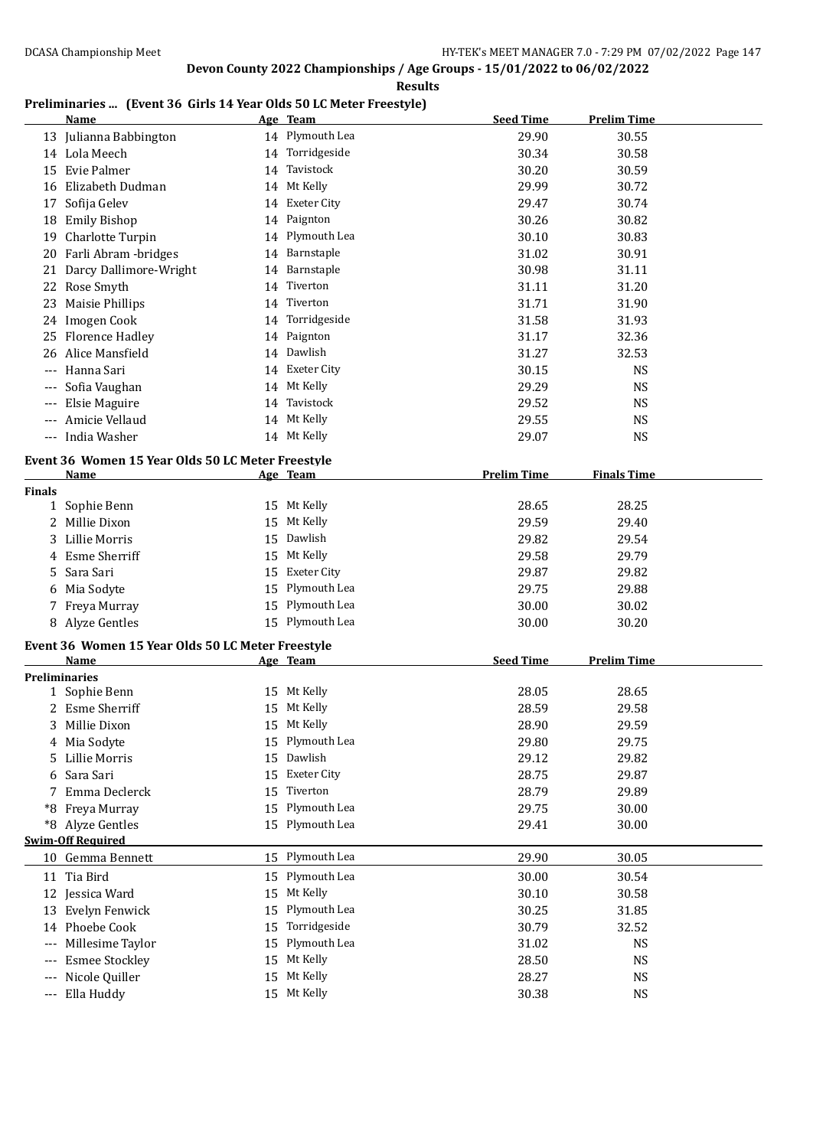#### **Results**

### **Preliminaries ... (Event 36 Girls 14 Year Olds 50 LC Meter Freestyle)**

|               | <b>Name</b>                                               |    | Age Team           | <b>Seed Time</b>   | <b>Prelim Time</b> |  |
|---------------|-----------------------------------------------------------|----|--------------------|--------------------|--------------------|--|
|               | 13 Julianna Babbington                                    |    | 14 Plymouth Lea    | 29.90              | 30.55              |  |
|               | 14 Lola Meech                                             |    | 14 Torridgeside    | 30.34              | 30.58              |  |
|               | 15 Evie Palmer                                            |    | 14 Tavistock       | 30.20              | 30.59              |  |
|               | 16 Elizabeth Dudman                                       |    | 14 Mt Kelly        | 29.99              | 30.72              |  |
| 17            | Sofija Gelev                                              |    | 14 Exeter City     | 29.47              | 30.74              |  |
|               | 18 Emily Bishop                                           |    | 14 Paignton        | 30.26              | 30.82              |  |
|               | 19 Charlotte Turpin                                       |    | 14 Plymouth Lea    | 30.10              | 30.83              |  |
|               | 20 Farli Abram - bridges                                  |    | 14 Barnstaple      | 31.02              | 30.91              |  |
|               | 21 Darcy Dallimore-Wright                                 |    | 14 Barnstaple      | 30.98              | 31.11              |  |
|               | 22 Rose Smyth                                             | 14 | Tiverton           | 31.11              | 31.20              |  |
| 23            | Maisie Phillips                                           |    | 14 Tiverton        | 31.71              | 31.90              |  |
|               | 24 Imogen Cook                                            |    | 14 Torridgeside    | 31.58              | 31.93              |  |
|               | 25 Florence Hadley                                        |    | 14 Paignton        | 31.17              | 32.36              |  |
| 26            | Alice Mansfield                                           |    | 14 Dawlish         | 31.27              | 32.53              |  |
|               | Hanna Sari                                                |    | 14 Exeter City     | 30.15              | <b>NS</b>          |  |
|               | Sofia Vaughan                                             |    | 14 Mt Kelly        | 29.29              | <b>NS</b>          |  |
|               | Elsie Maguire                                             |    | 14 Tavistock       | 29.52              | <b>NS</b>          |  |
|               | Amicie Vellaud                                            |    | 14 Mt Kelly        | 29.55              | <b>NS</b>          |  |
|               | India Washer                                              |    | 14 Mt Kelly        | 29.07              | <b>NS</b>          |  |
|               |                                                           |    |                    |                    |                    |  |
|               | Event 36 Women 15 Year Olds 50 LC Meter Freestyle         |    |                    |                    | <b>Finals Time</b> |  |
| <b>Finals</b> | <b>Name</b>                                               |    | Age Team           | <b>Prelim Time</b> |                    |  |
|               | 1 Sophie Benn                                             |    | 15 Mt Kelly        | 28.65              | 28.25              |  |
| 2             | Millie Dixon                                              |    | 15 Mt Kelly        | 29.59              | 29.40              |  |
|               | 3 Lillie Morris                                           |    | 15 Dawlish         | 29.82              | 29.54              |  |
|               | 4 Esme Sherriff                                           |    | 15 Mt Kelly        | 29.58              | 29.79              |  |
| 5             | Sara Sari                                                 |    | 15 Exeter City     | 29.87              | 29.82              |  |
| 6             | Mia Sodyte                                                |    | 15 Plymouth Lea    | 29.75              | 29.88              |  |
|               | 7 Freya Murray                                            |    | 15 Plymouth Lea    | 30.00              | 30.02              |  |
|               | 8 Alyze Gentles                                           |    | 15 Plymouth Lea    | 30.00              | 30.20              |  |
|               |                                                           |    |                    |                    |                    |  |
|               | Event 36 Women 15 Year Olds 50 LC Meter Freestyle<br>Name |    |                    | <b>Seed Time</b>   | <b>Prelim Time</b> |  |
|               | <b>Preliminaries</b>                                      |    | Age Team           |                    |                    |  |
|               | 1 Sophie Benn                                             |    | 15 Mt Kelly        | 28.05              | 28.65              |  |
|               | 2 Esme Sherriff                                           |    | 15 Mt Kelly        | 28.59              | 29.58              |  |
|               | 3 Millie Dixon                                            |    | 15 Mt Kelly        | 28.90              | 29.59              |  |
|               | 4 Mia Sodyte                                              |    | 15 Plymouth Lea    | 29.80              | 29.75              |  |
|               | 5 Lillie Morris                                           |    | 15 Dawlish         | 29.12              | 29.82              |  |
| 6             | Sara Sari                                                 | 15 | <b>Exeter City</b> | 28.75              | 29.87              |  |
| 7             | Emma Declerck                                             | 15 | Tiverton           | 28.79              | 29.89              |  |
|               | *8 Freya Murray                                           |    | 15 Plymouth Lea    | 29.75              | 30.00              |  |
|               | *8 Alyze Gentles                                          |    | 15 Plymouth Lea    | 29.41              | 30.00              |  |
|               | <b>Swim-Off Required</b>                                  |    |                    |                    |                    |  |
|               | 10 Gemma Bennett                                          |    | 15 Plymouth Lea    | 29.90              | 30.05              |  |
|               | 11 Tia Bird                                               |    | 15 Plymouth Lea    | 30.00              | 30.54              |  |
|               | 12 Jessica Ward                                           |    | 15 Mt Kelly        | 30.10              | 30.58              |  |
|               | 13 Evelyn Fenwick                                         | 15 | Plymouth Lea       | 30.25              | 31.85              |  |
|               | 14 Phoebe Cook                                            | 15 | Torridgeside       | 30.79              | 32.52              |  |
|               | Millesime Taylor                                          | 15 | Plymouth Lea       | 31.02              | <b>NS</b>          |  |
| $---$         | <b>Esmee Stockley</b>                                     | 15 | Mt Kelly           | 28.50              | <b>NS</b>          |  |
|               | Nicole Quiller                                            | 15 | Mt Kelly           | 28.27              | <b>NS</b>          |  |
| ---           | Ella Huddy                                                |    | 15 Mt Kelly        | 30.38              | <b>NS</b>          |  |
|               |                                                           |    |                    |                    |                    |  |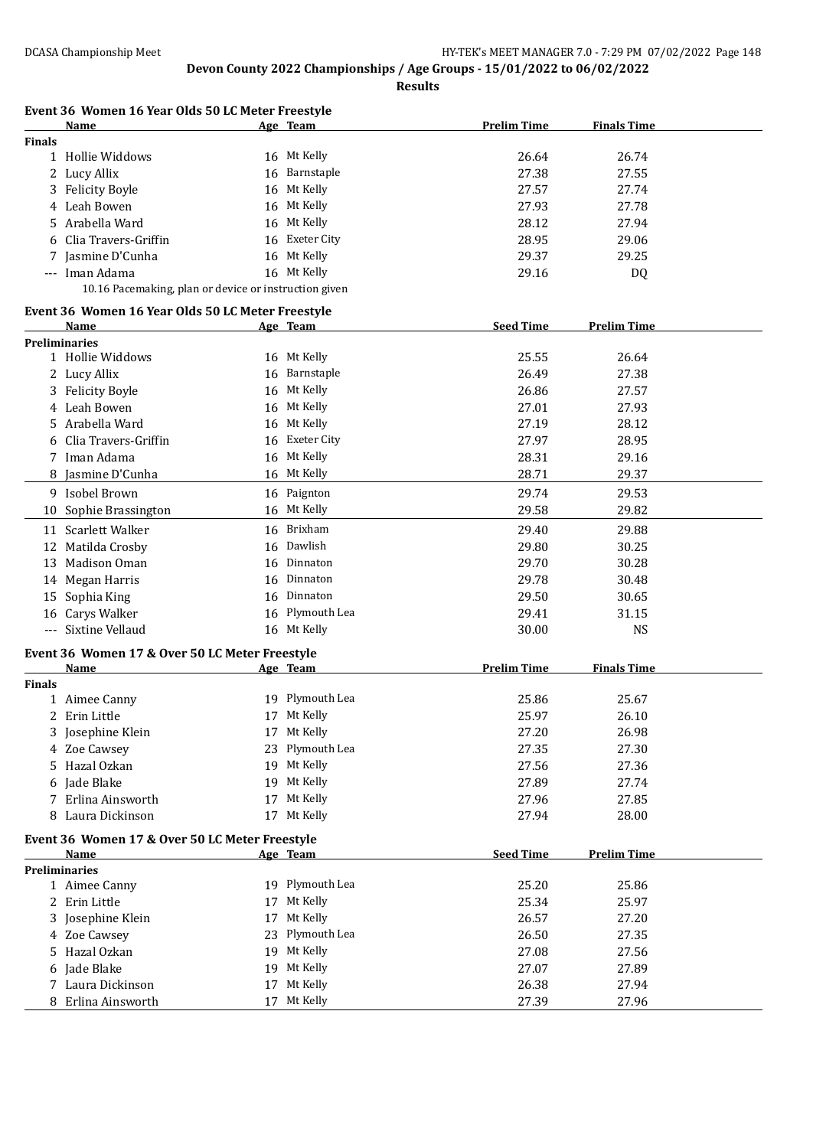**Results**

|               | Event 36 Women 16 Year Olds 50 LC Meter Freestyle         |    |                 |                    |                    |
|---------------|-----------------------------------------------------------|----|-----------------|--------------------|--------------------|
|               | Name                                                      |    | Age Team        | <b>Prelim Time</b> | <b>Finals Time</b> |
| <b>Finals</b> | 1 Hollie Widdows                                          |    | 16 Mt Kelly     | 26.64              | 26.74              |
|               | 2 Lucy Allix                                              |    | 16 Barnstaple   | 27.38              | 27.55              |
|               | <b>Felicity Boyle</b>                                     |    | 16 Mt Kelly     |                    | 27.74              |
| 3             | Leah Bowen                                                |    | 16 Mt Kelly     | 27.57              | 27.78              |
| 4             |                                                           |    |                 | 27.93              |                    |
| 5             | Arabella Ward                                             |    | 16 Mt Kelly     | 28.12              | 27.94              |
| 6             | Clia Travers-Griffin                                      |    | 16 Exeter City  | 28.95              | 29.06              |
| 7             | Jasmine D'Cunha                                           |    | 16 Mt Kelly     | 29.37              | 29.25              |
|               | --- Iman Adama                                            |    | 16 Mt Kelly     | 29.16              | DQ                 |
|               | 10.16 Pacemaking, plan or device or instruction given     |    |                 |                    |                    |
|               | Event 36 Women 16 Year Olds 50 LC Meter Freestyle<br>Name |    | Age Team        | <b>Seed Time</b>   | <b>Prelim Time</b> |
|               | <b>Preliminaries</b>                                      |    |                 |                    |                    |
|               | 1 Hollie Widdows                                          |    | 16 Mt Kelly     | 25.55              | 26.64              |
|               | 2 Lucy Allix                                              |    | 16 Barnstaple   | 26.49              | 27.38              |
|               | 3 Felicity Boyle                                          |    | 16 Mt Kelly     | 26.86              | 27.57              |
| 4             | Leah Bowen                                                | 16 | Mt Kelly        | 27.01              | 27.93              |
| 5             | Arabella Ward                                             | 16 | Mt Kelly        | 27.19              | 28.12              |
|               | Clia Travers-Griffin                                      | 16 | Exeter City     | 27.97              | 28.95              |
| 7             | Iman Adama                                                |    | 16 Mt Kelly     | 28.31              | 29.16              |
| 8             | Jasmine D'Cunha                                           |    | 16 Mt Kelly     | 28.71              | 29.37              |
|               | 9 Isobel Brown                                            |    | 16 Paignton     | 29.74              | 29.53              |
|               |                                                           |    | 16 Mt Kelly     |                    |                    |
| 10            | Sophie Brassington                                        |    |                 | 29.58              | 29.82              |
|               | 11 Scarlett Walker                                        |    | 16 Brixham      | 29.40              | 29.88              |
|               | 12 Matilda Crosby                                         |    | 16 Dawlish      | 29.80              | 30.25              |
|               | 13 Madison Oman                                           |    | 16 Dinnaton     | 29.70              | 30.28              |
|               | 14 Megan Harris                                           |    | 16 Dinnaton     | 29.78              | 30.48              |
| 15            | Sophia King                                               |    | 16 Dinnaton     | 29.50              | 30.65              |
|               | 16 Carys Walker                                           |    | 16 Plymouth Lea | 29.41              | 31.15              |
|               | --- Sixtine Vellaud                                       |    | 16 Mt Kelly     | 30.00              | <b>NS</b>          |
|               | Event 36 Women 17 & Over 50 LC Meter Freestyle            |    |                 |                    |                    |
|               | <b>Name</b>                                               |    | Age Team        | <b>Prelim Time</b> | <b>Finals Time</b> |
| <b>Finals</b> |                                                           |    | 19 Plymouth Lea | 25.86              | 25.67              |
|               | 1 Aimee Canny                                             |    |                 |                    |                    |
|               | 2 Erin Little                                             |    | 17 Mt Kelly     | 25.97              | 26.10              |
|               | 3 Josephine Klein                                         |    | 17 Mt Kelly     | 27.20              | 26.98              |
|               | 4 Zoe Cawsey                                              |    | 23 Plymouth Lea | 27.35              | 27.30              |
| 5             | Hazal Ozkan                                               |    | 19 Mt Kelly     | 27.56              | 27.36              |
| 6             | Jade Blake                                                |    | 19 Mt Kelly     | 27.89              | 27.74              |
|               | 7 Erlina Ainsworth                                        |    | 17 Mt Kelly     | 27.96              | 27.85              |
| 8             | Laura Dickinson                                           |    | 17 Mt Kelly     | 27.94              | 28.00              |
|               | Event 36 Women 17 & Over 50 LC Meter Freestyle            |    |                 |                    |                    |
|               | Name<br><b>Preliminaries</b>                              |    | Age Team        | <b>Seed Time</b>   | <b>Prelim Time</b> |
|               | 1 Aimee Canny                                             |    | 19 Plymouth Lea | 25.20              | 25.86              |
|               | 2 Erin Little                                             |    | 17 Mt Kelly     | 25.34              | 25.97              |
| 3             | Josephine Klein                                           |    | 17 Mt Kelly     | 26.57              | 27.20              |
|               | 4 Zoe Cawsey                                              |    | 23 Plymouth Lea | 26.50              | 27.35              |
| 5             | Hazal Ozkan                                               |    | 19 Mt Kelly     | 27.08              | 27.56              |
| 6             | Jade Blake                                                |    | 19 Mt Kelly     | 27.07              | 27.89              |
|               |                                                           |    | 17 Mt Kelly     |                    |                    |
|               | 7 Laura Dickinson                                         |    |                 | 26.38              | 27.94              |
|               | 8 Erlina Ainsworth                                        | 17 | Mt Kelly        | 27.39              | 27.96              |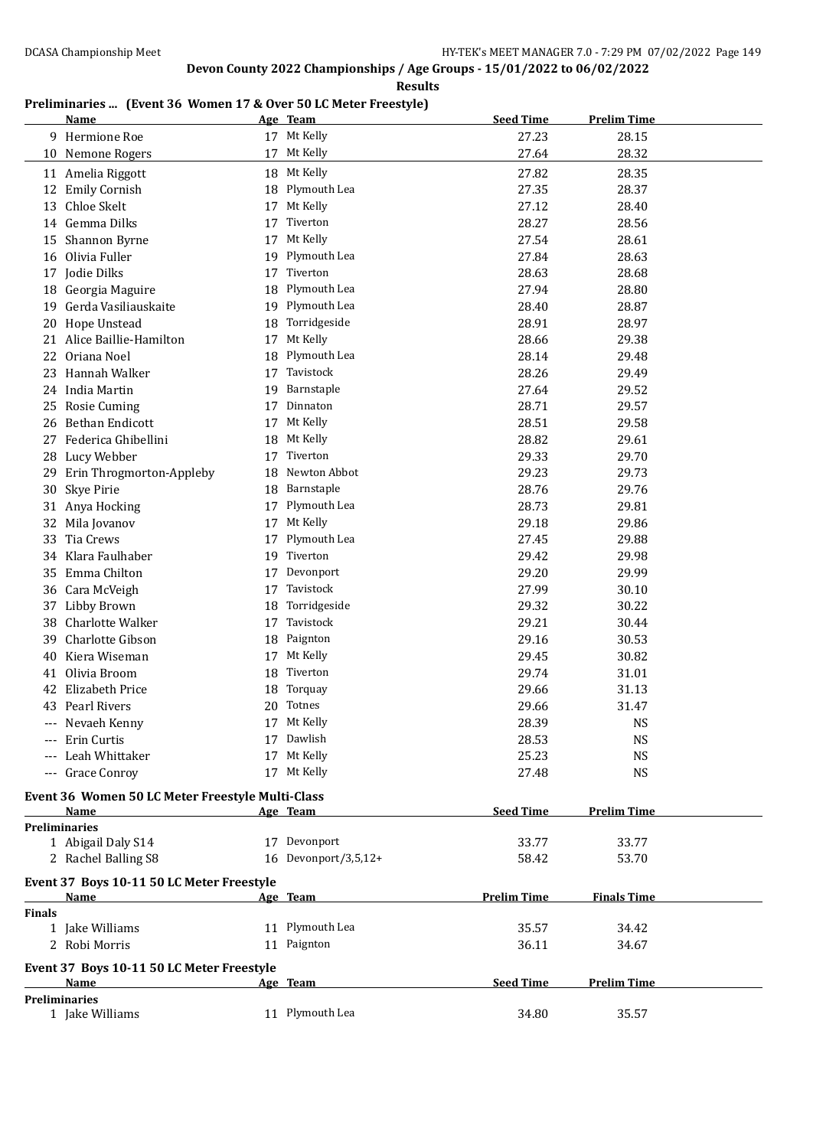#### **Results**

### **Preliminaries ... (Event 36 Women 17 & Over 50 LC Meter Freestyle)**

|               | Name                                             |    | Age Team                 | <b>Seed Time</b>   | <b>Prelim Time</b> |  |
|---------------|--------------------------------------------------|----|--------------------------|--------------------|--------------------|--|
|               | 9 Hermione Roe                                   |    | 17 Mt Kelly              | 27.23              | 28.15              |  |
|               | 10 Nemone Rogers                                 | 17 | Mt Kelly                 | 27.64              | 28.32              |  |
|               | 11 Amelia Riggott                                |    | 18 Mt Kelly              | 27.82              | 28.35              |  |
| 12            | <b>Emily Cornish</b>                             | 18 | Plymouth Lea             | 27.35              | 28.37              |  |
| 13            | Chloe Skelt                                      | 17 | Mt Kelly                 | 27.12              | 28.40              |  |
|               | 14 Gemma Dilks                                   | 17 | Tiverton                 | 28.27              | 28.56              |  |
| 15            | Shannon Byrne                                    | 17 | Mt Kelly                 | 27.54              | 28.61              |  |
| 16            | Olivia Fuller                                    | 19 | Plymouth Lea             | 27.84              | 28.63              |  |
|               | 17 Jodie Dilks                                   | 17 | Tiverton                 | 28.63              | 28.68              |  |
|               | 18 Georgia Maguire                               | 18 | Plymouth Lea             | 27.94              | 28.80              |  |
| 19            | Gerda Vasiliauskaite                             | 19 | Plymouth Lea             | 28.40              | 28.87              |  |
| 20            | Hope Unstead                                     | 18 | Torridgeside             | 28.91              | 28.97              |  |
|               | 21 Alice Baillie-Hamilton                        | 17 | Mt Kelly                 | 28.66              | 29.38              |  |
|               | 22 Oriana Noel                                   | 18 | Plymouth Lea             | 28.14              | 29.48              |  |
|               | 23 Hannah Walker                                 | 17 | Tavistock                | 28.26              | 29.49              |  |
|               | 24 India Martin                                  | 19 | Barnstaple               | 27.64              | 29.52              |  |
|               | 25 Rosie Cuming                                  | 17 | Dinnaton                 | 28.71              | 29.57              |  |
| 26            | Bethan Endicott                                  | 17 | Mt Kelly                 | 28.51              | 29.58              |  |
| 27            | Federica Ghibellini                              | 18 | Mt Kelly                 | 28.82              | 29.61              |  |
|               |                                                  | 17 | Tiverton                 | 29.33              | 29.70              |  |
|               | 28 Lucy Webber                                   | 18 | Newton Abbot             | 29.23              |                    |  |
| 29            | Erin Throgmorton-Appleby                         | 18 | Barnstaple               | 28.76              | 29.73<br>29.76     |  |
| 30            | Skye Pirie                                       |    | Plymouth Lea             | 28.73              |                    |  |
|               | 31 Anya Hocking                                  | 17 | Mt Kelly                 |                    | 29.81              |  |
|               | 32 Mila Jovanov                                  | 17 |                          | 29.18              | 29.86              |  |
| 33            | Tia Crews                                        | 17 | Plymouth Lea<br>Tiverton | 27.45              | 29.88              |  |
|               | 34 Klara Faulhaber                               | 19 |                          | 29.42              | 29.98              |  |
|               | 35 Emma Chilton                                  | 17 | Devonport                | 29.20              | 29.99              |  |
|               | 36 Cara McVeigh                                  | 17 | Tavistock                | 27.99              | 30.10              |  |
|               | 37 Libby Brown                                   | 18 | Torridgeside             | 29.32              | 30.22              |  |
| 38            | Charlotte Walker                                 | 17 | Tavistock                | 29.21              | 30.44              |  |
| 39            | Charlotte Gibson                                 | 18 | Paignton                 | 29.16              | 30.53              |  |
| 40            | Kiera Wiseman                                    | 17 | Mt Kelly                 | 29.45              | 30.82              |  |
| 41            | Olivia Broom                                     | 18 | Tiverton                 | 29.74              | 31.01              |  |
| 42            | <b>Elizabeth Price</b>                           | 18 | Torquay                  | 29.66              | 31.13              |  |
|               | 43 Pearl Rivers                                  | 20 | Totnes                   | 29.66              | 31.47              |  |
|               | --- Nevaeh Kenny                                 | 17 | Mt Kelly                 | 28.39              | NS                 |  |
|               | --- Erin Curtis                                  |    | 17 Dawlish               | 28.53              | <b>NS</b>          |  |
|               | Leah Whittaker                                   |    | 17 Mt Kelly              | 25.23              | <b>NS</b>          |  |
|               | --- Grace Conroy                                 |    | 17 Mt Kelly              | 27.48              | <b>NS</b>          |  |
|               | Event 36 Women 50 LC Meter Freestyle Multi-Class |    |                          |                    |                    |  |
|               | Name                                             |    | Age Team                 | <b>Seed Time</b>   | <b>Prelim Time</b> |  |
|               | <b>Preliminaries</b>                             |    |                          |                    |                    |  |
|               | 1 Abigail Daly S14                               |    | 17 Devonport             | 33.77              | 33.77              |  |
|               | 2 Rachel Balling S8                              |    | 16 Devonport/3,5,12+     | 58.42              | 53.70              |  |
|               | Event 37 Boys 10-11 50 LC Meter Freestyle        |    |                          |                    |                    |  |
|               | Name                                             |    | Age Team                 | <b>Prelim Time</b> | <b>Finals Time</b> |  |
| <b>Finals</b> |                                                  |    |                          |                    |                    |  |
|               | 1 Jake Williams                                  |    | 11 Plymouth Lea          | 35.57              | 34.42              |  |
|               | 2 Robi Morris                                    |    | 11 Paignton              | 36.11              | 34.67              |  |
|               | Event 37 Boys 10-11 50 LC Meter Freestyle        |    |                          |                    |                    |  |
|               | <b>Name</b>                                      |    | Age Team                 | <b>Seed Time</b>   | <b>Prelim Time</b> |  |
|               | <b>Preliminaries</b>                             |    |                          |                    |                    |  |
|               | 1 Jake Williams                                  |    | 11 Plymouth Lea          | 34.80              | 35.57              |  |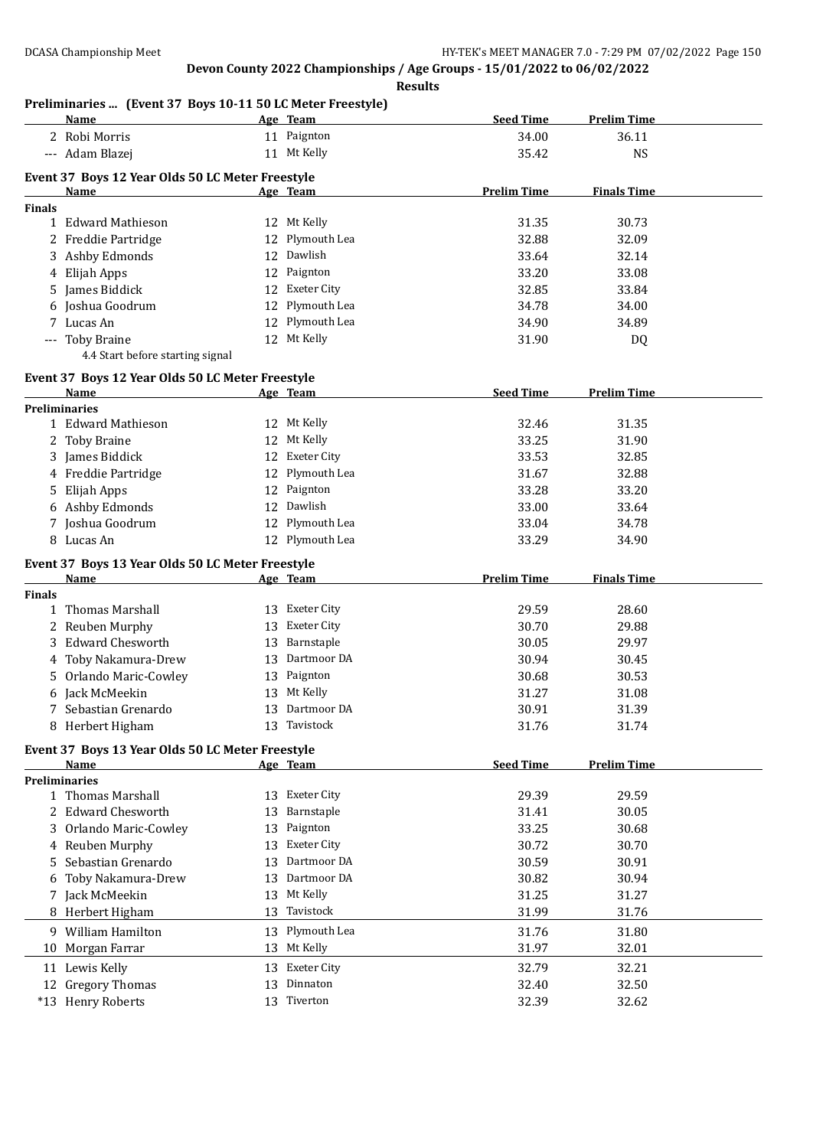# **Preliminaries ... (Event 37 Boys 10-11 50 LC Meter Freestyle)**

| <b>Seed Time</b><br>Age Team<br><u>Name_</u><br>2 Robi Morris<br>11 Paignton<br>34.00<br>11 Mt Kelly<br>--- Adam Blazej<br>35.42<br>Event 37 Boys 12 Year Olds 50 LC Meter Freestyle<br><b>Prelim Time</b><br>Age Team<br>Name |                    |
|--------------------------------------------------------------------------------------------------------------------------------------------------------------------------------------------------------------------------------|--------------------|
|                                                                                                                                                                                                                                | 36.11              |
|                                                                                                                                                                                                                                | <b>NS</b>          |
|                                                                                                                                                                                                                                |                    |
|                                                                                                                                                                                                                                |                    |
|                                                                                                                                                                                                                                | <b>Finals Time</b> |
| <b>Finals</b><br>1 Edward Mathieson<br>12 Mt Kelly<br>31.35                                                                                                                                                                    | 30.73              |
|                                                                                                                                                                                                                                |                    |
| 12 Plymouth Lea<br>2 Freddie Partridge<br>32.88                                                                                                                                                                                | 32.09              |
| 12 Dawlish<br>3 Ashby Edmonds<br>33.64                                                                                                                                                                                         | 32.14              |
| 12 Paignton<br>4 Elijah Apps<br>33.20                                                                                                                                                                                          | 33.08              |
| 5 James Biddick<br>12 Exeter City<br>32.85                                                                                                                                                                                     | 33.84              |
| 12 Plymouth Lea<br>6 Joshua Goodrum<br>34.78                                                                                                                                                                                   | 34.00              |
| 7 Lucas An<br>12 Plymouth Lea<br>34.90                                                                                                                                                                                         | 34.89              |
| 12 Mt Kelly<br>--- Toby Braine<br>31.90                                                                                                                                                                                        | DQ                 |
| 4.4 Start before starting signal                                                                                                                                                                                               |                    |
| Event 37 Boys 12 Year Olds 50 LC Meter Freestyle                                                                                                                                                                               |                    |
| <b>Seed Time</b><br>Name<br>Age Team                                                                                                                                                                                           | <b>Prelim Time</b> |
| <b>Preliminaries</b>                                                                                                                                                                                                           |                    |
| 1 Edward Mathieson<br>12 Mt Kelly<br>32.46                                                                                                                                                                                     | 31.35              |
| 2 Toby Braine<br>12 Mt Kelly<br>33.25                                                                                                                                                                                          | 31.90              |
| 12 Exeter City<br>3 James Biddick<br>33.53                                                                                                                                                                                     | 32.85              |
| 12 Plymouth Lea<br>4 Freddie Partridge<br>31.67                                                                                                                                                                                | 32.88              |
| 12 Paignton<br>Elijah Apps<br>33.28<br>5                                                                                                                                                                                       | 33.20              |
| 12 Dawlish<br>6 Ashby Edmonds<br>33.00                                                                                                                                                                                         | 33.64              |
| 12 Plymouth Lea<br>7 Joshua Goodrum<br>33.04                                                                                                                                                                                   | 34.78              |
| 8 Lucas An<br>12 Plymouth Lea<br>33.29                                                                                                                                                                                         | 34.90              |
|                                                                                                                                                                                                                                |                    |
| Event 37 Boys 13 Year Olds 50 LC Meter Freestyle                                                                                                                                                                               |                    |
| <b>Prelim Time</b><br>Age Team<br>Name                                                                                                                                                                                         | <b>Finals Time</b> |
| <b>Finals</b>                                                                                                                                                                                                                  |                    |
| 1 Thomas Marshall<br>13 Exeter City<br>29.59                                                                                                                                                                                   | 28.60              |
| Reuben Murphy<br>13 Exeter City<br>30.70<br>2.                                                                                                                                                                                 | 29.88              |
| Barnstaple<br><b>Edward Chesworth</b><br>30.05<br>13<br>3.                                                                                                                                                                     | 29.97              |
| Dartmoor DA<br>Toby Nakamura-Drew<br>30.94<br>13                                                                                                                                                                               | 30.45              |
| 13 Paignton<br>Orlando Maric-Cowley<br>30.68<br>5                                                                                                                                                                              | 30.53              |
|                                                                                                                                                                                                                                | 31.08              |
| 6 Jack McMeekin<br>Mt Kelly<br>31.27<br>13                                                                                                                                                                                     |                    |
| 13 Dartmoor DA<br>7 Sebastian Grenardo<br>30.91                                                                                                                                                                                | 31.39              |
| 8 Herbert Higham<br>13 Tavistock<br>31.76                                                                                                                                                                                      | 31.74              |
|                                                                                                                                                                                                                                |                    |
| Event 37 Boys 13 Year Olds 50 LC Meter Freestyle                                                                                                                                                                               |                    |
| <b>Seed Time</b><br><b>Name</b><br>Age Team                                                                                                                                                                                    | <b>Prelim Time</b> |
| <b>Preliminaries</b>                                                                                                                                                                                                           |                    |
| Exeter City<br>1 Thomas Marshall<br>29.39<br>13                                                                                                                                                                                | 29.59              |
| 2 Edward Chesworth<br>Barnstaple<br>31.41<br>13                                                                                                                                                                                | 30.05              |
| Paignton<br>33.25<br>3 Orlando Maric-Cowley<br>13                                                                                                                                                                              | 30.68              |
| <b>Exeter City</b><br>4 Reuben Murphy<br>30.72<br>13                                                                                                                                                                           | 30.70              |
| Dartmoor DA<br>Sebastian Grenardo<br>30.59<br>13<br>5                                                                                                                                                                          | 30.91              |
| Dartmoor DA<br>30.82<br>Toby Nakamura-Drew<br>13                                                                                                                                                                               | 30.94              |
| Mt Kelly<br>Jack McMeekin<br>31.25<br>13<br>7                                                                                                                                                                                  | 31.27              |
| Herbert Higham<br>Tavistock<br>13<br>31.99                                                                                                                                                                                     | 31.76              |
| 9 William Hamilton<br>Plymouth Lea<br>31.76<br>13                                                                                                                                                                              | 31.80              |
| 13 Mt Kelly<br>Morgan Farrar<br>31.97<br>10                                                                                                                                                                                    | 32.01              |
| 13 Exeter City<br>32.79                                                                                                                                                                                                        | 32.21              |
| 11 Lewis Kelly<br>12 Gregory Thomas<br>Dinnaton<br>13<br>32.40                                                                                                                                                                 | 32.50              |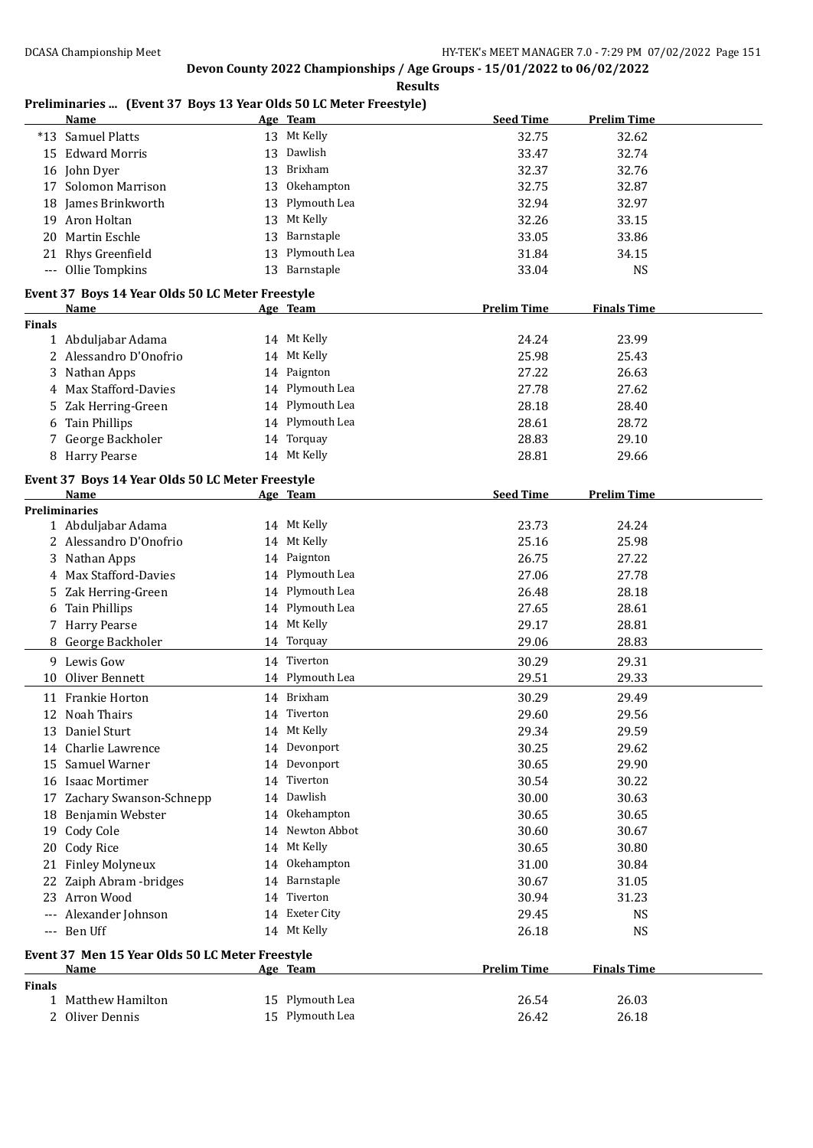#### **Results**

### **Preliminaries ... (Event 37 Boys 13 Year Olds 50 LC Meter Freestyle)**

|               | Name                                             |    | Age Team        | <b>Seed Time</b>   | <b>Prelim Time</b> |  |
|---------------|--------------------------------------------------|----|-----------------|--------------------|--------------------|--|
|               | *13 Samuel Platts                                |    | 13 Mt Kelly     | 32.75              | 32.62              |  |
|               | 15 Edward Morris                                 | 13 | Dawlish         | 33.47              | 32.74              |  |
|               | 16 John Dyer                                     | 13 | Brixham         | 32.37              | 32.76              |  |
| 17            | Solomon Marrison                                 | 13 | Okehampton      | 32.75              | 32.87              |  |
|               | 18 James Brinkworth                              | 13 | Plymouth Lea    | 32.94              | 32.97              |  |
|               | 19 Aron Holtan                                   | 13 | Mt Kelly        | 32.26              | 33.15              |  |
| 20.           | Martin Eschle                                    | 13 | Barnstaple      | 33.05              | 33.86              |  |
|               | 21 Rhys Greenfield                               | 13 | Plymouth Lea    | 31.84              | 34.15              |  |
|               | --- Ollie Tompkins                               |    | 13 Barnstaple   | 33.04              | <b>NS</b>          |  |
|               |                                                  |    |                 |                    |                    |  |
|               | Event 37 Boys 14 Year Olds 50 LC Meter Freestyle |    |                 |                    |                    |  |
|               | Name                                             |    | Age Team        | <b>Prelim Time</b> | <b>Finals Time</b> |  |
| <b>Finals</b> |                                                  |    | 14 Mt Kelly     | 24.24              | 23.99              |  |
|               | 1 Abduljabar Adama<br>2 Alessandro D'Onofrio     |    | 14 Mt Kelly     | 25.98              |                    |  |
|               |                                                  |    |                 |                    | 25.43              |  |
|               | 3 Nathan Apps                                    |    | 14 Paignton     | 27.22              | 26.63              |  |
| 4             | Max Stafford-Davies                              |    | 14 Plymouth Lea | 27.78              | 27.62              |  |
| 5             | Zak Herring-Green                                |    | 14 Plymouth Lea | 28.18              | 28.40              |  |
| 6             | <b>Tain Phillips</b>                             |    | 14 Plymouth Lea | 28.61              | 28.72              |  |
| 7             | George Backholer                                 |    | 14 Torquay      | 28.83              | 29.10              |  |
|               | 8 Harry Pearse                                   |    | 14 Mt Kelly     | 28.81              | 29.66              |  |
|               | Event 37 Boys 14 Year Olds 50 LC Meter Freestyle |    |                 |                    |                    |  |
|               | Name                                             |    | Age Team        | <b>Seed Time</b>   | <b>Prelim Time</b> |  |
|               | <b>Preliminaries</b>                             |    |                 |                    |                    |  |
|               | 1 Abduljabar Adama                               |    | 14 Mt Kelly     | 23.73              | 24.24              |  |
|               | 2 Alessandro D'Onofrio                           |    | 14 Mt Kelly     | 25.16              | 25.98              |  |
|               | 3 Nathan Apps                                    |    | 14 Paignton     | 26.75              | 27.22              |  |
|               | 4 Max Stafford-Davies                            |    | 14 Plymouth Lea | 27.06              | 27.78              |  |
| 5.            | Zak Herring-Green                                |    | 14 Plymouth Lea | 26.48              | 28.18              |  |
| 6             | <b>Tain Phillips</b>                             |    | 14 Plymouth Lea | 27.65              | 28.61              |  |
|               | 7 Harry Pearse                                   |    | 14 Mt Kelly     | 29.17              | 28.81              |  |
|               | 8 George Backholer                               |    | 14 Torquay      | 29.06              | 28.83              |  |
|               | 9 Lewis Gow                                      |    | 14 Tiverton     | 30.29              | 29.31              |  |
| 10            | Oliver Bennett                                   |    | 14 Plymouth Lea | 29.51              | 29.33              |  |
|               | 11 Frankie Horton                                |    | 14 Brixham      | 30.29              | 29.49              |  |
|               | 12 Noah Thairs                                   |    | 14 Tiverton     | 29.60              | 29.56              |  |
|               | 13 Daniel Sturt                                  |    | 14 Mt Kelly     | 29.34              | 29.59              |  |
|               |                                                  |    |                 |                    |                    |  |
|               | 14 Charlie Lawrence                              |    | 14 Devonport    | 30.25              | 29.62              |  |
| 15            | Samuel Warner                                    |    | 14 Devonport    | 30.65              | 29.90              |  |
|               | 16 Isaac Mortimer                                | 14 | Tiverton        | 30.54              | 30.22              |  |
|               | 17 Zachary Swanson-Schnepp                       |    | 14 Dawlish      | 30.00              | 30.63              |  |
|               | 18 Benjamin Webster                              |    | 14 Okehampton   | 30.65              | 30.65              |  |
|               | 19 Cody Cole                                     | 14 | Newton Abbot    | 30.60              | 30.67              |  |
|               | 20 Cody Rice                                     |    | 14 Mt Kelly     | 30.65              | 30.80              |  |
| 21            | <b>Finley Molyneux</b>                           |    | 14 Okehampton   | 31.00              | 30.84              |  |
| 22            | Zaiph Abram - bridges                            |    | 14 Barnstaple   | 30.67              | 31.05              |  |
| 23            | Arron Wood                                       |    | 14 Tiverton     | 30.94              | 31.23              |  |
|               | Alexander Johnson                                |    | 14 Exeter City  | 29.45              | <b>NS</b>          |  |
|               | --- Ben Uff                                      |    | 14 Mt Kelly     | 26.18              | <b>NS</b>          |  |
|               | Event 37 Men 15 Year Olds 50 LC Meter Freestyle  |    |                 |                    |                    |  |
|               | <u>Name</u>                                      |    | Age Team        | <b>Prelim Time</b> | <b>Finals Time</b> |  |
| <b>Finals</b> |                                                  |    |                 |                    |                    |  |
|               | 1 Matthew Hamilton                               |    | 15 Plymouth Lea | 26.54              | 26.03              |  |
|               | 2 Oliver Dennis                                  |    | 15 Plymouth Lea | 26.42              | 26.18              |  |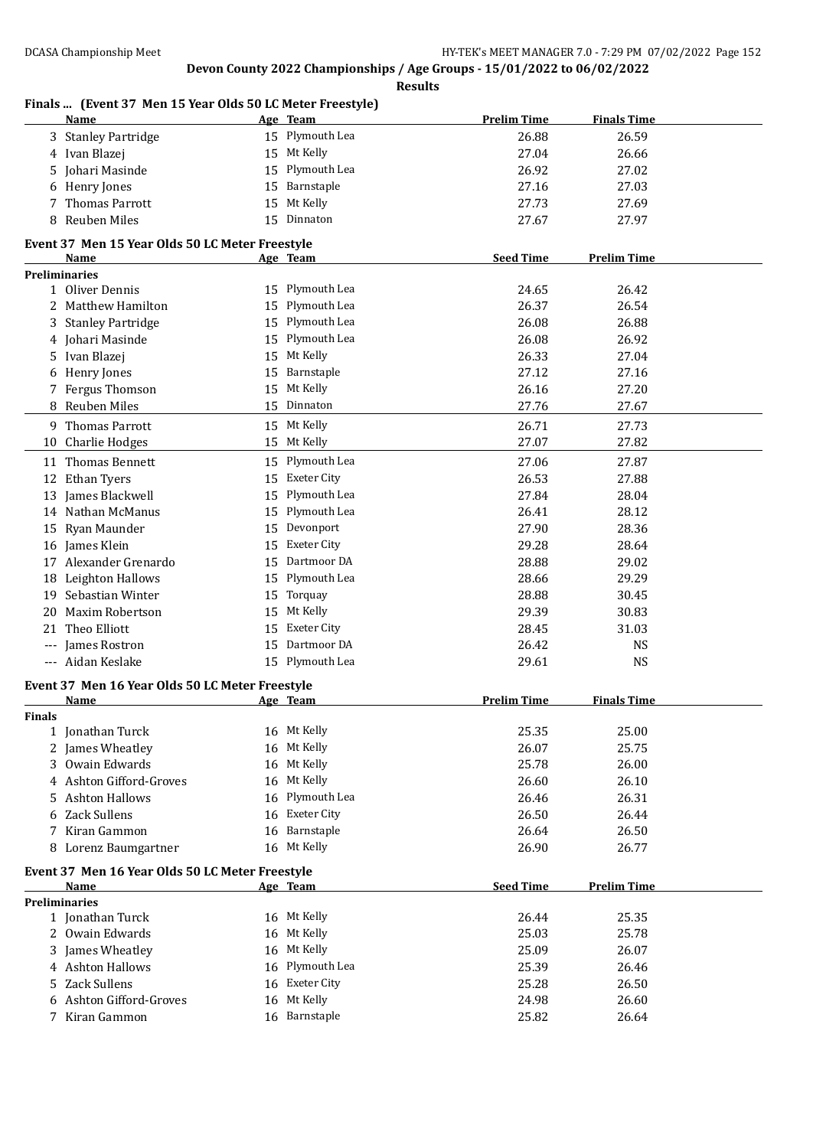#### **Finals ... (Event 37 Men 15 Year Olds 50 LC Meter Freestyle) Name Age Team Prelim Time Finals Time** 3 Stanley Partridge 15 Plymouth Lea 26.88 26.59 4 Ivan Blazej 15 Mt Kelly 27.04 26.66 5 Johari Masinde 15 Plymouth Lea 26.92 27.02 6 Henry Jones 15 Barnstaple 27.16 27.03 7 Thomas Parrott 15 Mt Kelly 27.73 27.69 8 Reuben Miles 15 Dinnaton 27.67 27.97 **Event 37 Men 15 Year Olds 50 LC Meter Freestyle Age Team Seed Time Prelim Time Preliminaries** 1 Oliver Dennis 26.42 2 Matthew Hamilton 15 Plymouth Lea 26.37 26.54 3 Stanley Partridge 15 Plymouth Lea 26.08 26.88 4 Johari Masinde 15 Plymouth Lea 26.08 26.92 5 Ivan Blazej 15 Mt Kelly 26.33 27.04 6 Henry Jones 15 Barnstaple 27.12 27.16 7 Fergus Thomson 15 Mt Kelly 26.16 27.20 8 Reuben Miles 15 Dinnaton 27.76 27.67 9 Thomas Parrott 15 Mt Kelly 26.71 27.73 10 Charlie Hodges 27.07 27.82 11 Thomas Bennett 15 Plymouth Lea 27.06 27.87 12 Ethan Tyers 15 Exeter City 15 Exeter City 26.53 27.88 13 James Blackwell 15 Plymouth Lea 27.84 28.04 14 Nathan McManus 15 Plymouth Lea 26.41 28.12 15 Ryan Maunder 15 Devonport 27.90 28.36 16 James Klein 15 Exeter City 29.28 28.64 17 Alexander Grenardo 15 Dartmoor DA 28.88 29.02 18 Leighton Hallows 15 Plymouth Lea 28.66 29.29 19 Sebastian Winter 15 Torquay 28.88 30.45 20 Maxim Robertson 15 Mt Kelly 29.39 30.83 21 Theo Elliott 15 Exeter City 28.45 31.03 --- James Rostron 15 Dartmoor DA 26.42 NS --- Aidan Keslake 15 Plymouth Lea 29.61 NS **Event 37 Men 16 Year Olds 50 LC Meter Freestyle Name Age Team Prelim Time Finals Time Finals** 1 Jonathan Turck 16 Mt Kelly 25.35 25.00 2 James Wheatley 16 Mt Kelly 26.07 25.75 3 Owain Edwards 16 Mt Kelly 25.78 26.00 4 Ashton Gifford-Groves 16 Mt Kelly 26.60 26.10 5 Ashton Hallows 16 Plymouth Lea 26.46 26.31 6 Zack Sullens 16 Exeter City 26.50 26.44 7 Kiran Gammon 16 Barnstaple 26.64 26.50 8 Lorenz Baumgartner 16 Mt Kelly 26.90 26.77 **Event 37 Men 16 Year Olds 50 LC Meter Freestyle Age Team Seed Time Prelim Time Preliminaries** 1 Jonathan Turck 16 Mt Kelly 26.44 25.35 2 Owain Edwards 16 Mt Kelly 25.03 25.78 3 James Wheatley 16 Mt Kelly 25.09 26.07 4 Ashton Hallows 16 Plymouth Lea 25.39 26.46 5 Zack Sullens 16 Exeter City 25.28 26.50 6 Ashton Gifford-Groves 16 Mt Kelly 24.98 26.60 7 Kiran Gammon 16 Barnstaple 25.82 26.64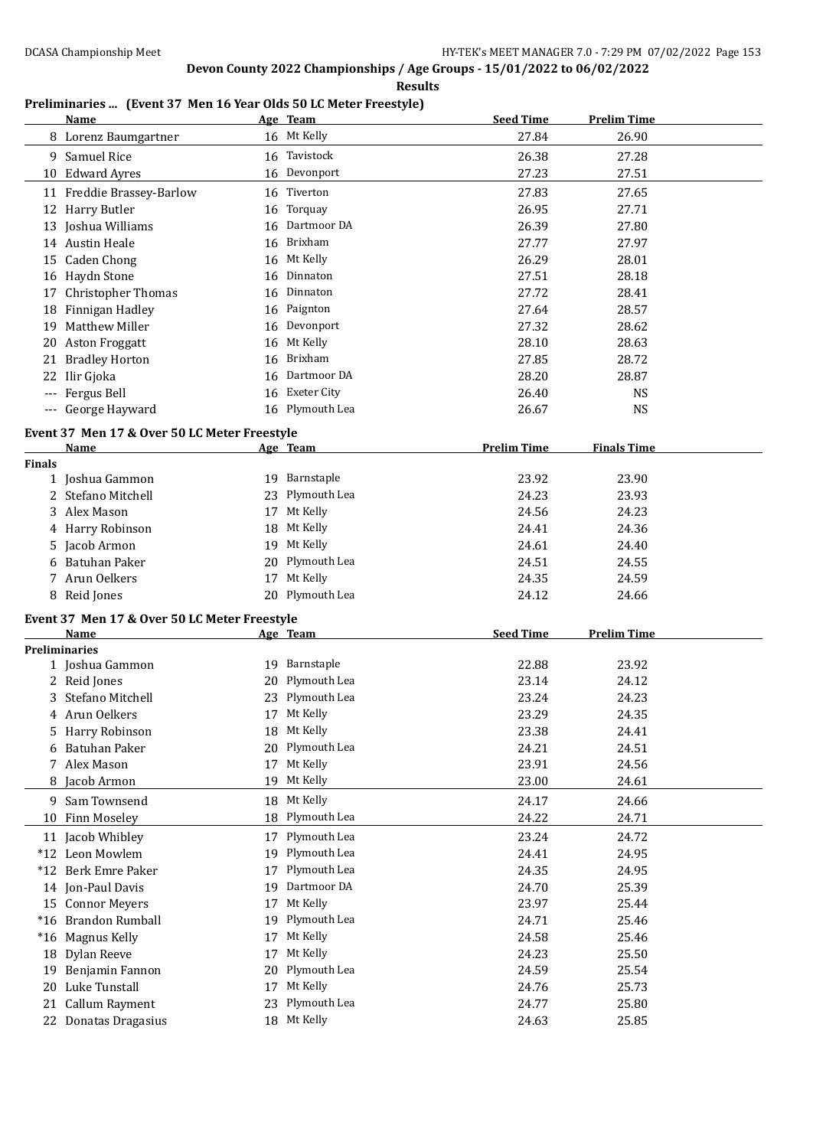**Results**

### **Preliminaries ... (Event 37 Men 16 Year Olds 50 LC Meter Freestyle)**

|        | <b>Name</b>                                  |    | Age Team        | <b>Seed Time</b>   | <b>Prelim Time</b> |  |
|--------|----------------------------------------------|----|-----------------|--------------------|--------------------|--|
|        | 8 Lorenz Baumgartner                         |    | 16 Mt Kelly     | 27.84              | 26.90              |  |
|        | 9 Samuel Rice                                |    | 16 Tavistock    | 26.38              | 27.28              |  |
|        | 10 Edward Ayres                              |    | 16 Devonport    | 27.23              | 27.51              |  |
|        | 11 Freddie Brassey-Barlow                    | 16 | Tiverton        | 27.83              | 27.65              |  |
|        | 12 Harry Butler                              | 16 | Torquay         | 26.95              | 27.71              |  |
|        | 13 Joshua Williams                           | 16 | Dartmoor DA     | 26.39              | 27.80              |  |
|        | 14 Austin Heale                              |    | 16 Brixham      | 27.77              | 27.97              |  |
|        | 15 Caden Chong                               |    | 16 Mt Kelly     | 26.29              | 28.01              |  |
|        | 16 Haydn Stone                               | 16 | Dinnaton        | 27.51              | 28.18              |  |
|        |                                              |    | Dinnaton        |                    |                    |  |
|        | 17 Christopher Thomas                        | 16 |                 | 27.72              | 28.41              |  |
|        | 18 Finnigan Hadley                           |    | 16 Paignton     | 27.64              | 28.57              |  |
|        | 19 Matthew Miller                            |    | 16 Devonport    | 27.32              | 28.62              |  |
|        | 20 Aston Froggatt                            | 16 | Mt Kelly        | 28.10              | 28.63              |  |
| 21     | <b>Bradley Horton</b>                        | 16 | Brixham         | 27.85              | 28.72              |  |
| 22     | Ilir Gjoka                                   | 16 | Dartmoor DA     | 28.20              | 28.87              |  |
|        | Fergus Bell                                  |    | 16 Exeter City  | 26.40              | <b>NS</b>          |  |
|        | --- George Hayward                           |    | 16 Plymouth Lea | 26.67              | <b>NS</b>          |  |
|        | Event 37 Men 17 & Over 50 LC Meter Freestyle |    |                 |                    |                    |  |
|        | Name                                         |    | Age Team        | <b>Prelim Time</b> | <b>Finals Time</b> |  |
| Finals |                                              |    |                 |                    |                    |  |
|        | 1 Joshua Gammon                              |    | 19 Barnstaple   | 23.92              | 23.90              |  |
|        | 2 Stefano Mitchell                           | 23 | Plymouth Lea    | 24.23              | 23.93              |  |
|        | 3 Alex Mason                                 |    | 17 Mt Kelly     | 24.56              | 24.23              |  |
|        | 4 Harry Robinson                             | 18 | Mt Kelly        | 24.41              | 24.36              |  |
|        | 5 Jacob Armon                                |    | 19 Mt Kelly     | 24.61              | 24.40              |  |
|        | 6 Batuhan Paker                              | 20 | Plymouth Lea    | 24.51              | 24.55              |  |
|        | 7 Arun Oelkers                               |    | 17 Mt Kelly     | 24.35              | 24.59              |  |
|        | 8 Reid Jones                                 |    | 20 Plymouth Lea | 24.12              | 24.66              |  |
|        | Event 37 Men 17 & Over 50 LC Meter Freestyle |    |                 |                    |                    |  |
|        | <b>Name</b>                                  |    | Age Team        | <b>Seed Time</b>   | <b>Prelim Time</b> |  |
|        | <b>Preliminaries</b>                         |    |                 |                    |                    |  |
|        | 1 Joshua Gammon                              |    | 19 Barnstaple   | 22.88              | 23.92              |  |
|        | 2 Reid Jones                                 | 20 | Plymouth Lea    | 23.14              | 24.12              |  |
|        | 3 Stefano Mitchell                           | 23 | Plymouth Lea    | 23.24              | 24.23              |  |
|        | 4 Arun Oelkers                               |    | 17 Mt Kelly     | 23.29              | 24.35              |  |
| 5.     | Harry Robinson                               |    | 18 Mt Kelly     | 23.38              | 24.41              |  |
| 6      | <b>Batuhan Paker</b>                         | 20 | Plymouth Lea    | 24.21              | 24.51              |  |
|        | 7 Alex Mason                                 | 17 | Mt Kelly        | 23.91              | 24.56              |  |
| 8      | Jacob Armon                                  | 19 | Mt Kelly        | 23.00              | 24.61              |  |
|        |                                              |    | Mt Kelly        |                    | 24.66              |  |
|        | 9 Sam Townsend                               | 18 |                 | 24.17<br>24.22     |                    |  |
| 10     | Finn Moseley                                 | 18 | Plymouth Lea    |                    | 24.71              |  |
|        | 11 Jacob Whibley                             | 17 | Plymouth Lea    | 23.24              | 24.72              |  |
|        | *12 Leon Mowlem                              | 19 | Plymouth Lea    | 24.41              | 24.95              |  |
|        | *12 Berk Emre Paker                          | 17 | Plymouth Lea    | 24.35              | 24.95              |  |
|        | 14 Jon-Paul Davis                            | 19 | Dartmoor DA     | 24.70              | 25.39              |  |
|        | 15 Connor Meyers                             | 17 | Mt Kelly        | 23.97              | 25.44              |  |
|        | *16 Brandon Rumball                          | 19 | Plymouth Lea    | 24.71              | 25.46              |  |
|        | *16 Magnus Kelly                             | 17 | Mt Kelly        | 24.58              | 25.46              |  |
|        | 18 Dylan Reeve                               | 17 | Mt Kelly        | 24.23              | 25.50              |  |
| 19     | Benjamin Fannon                              | 20 | Plymouth Lea    | 24.59              | 25.54              |  |
|        | 20 Luke Tunstall                             | 17 | Mt Kelly        | 24.76              | 25.73              |  |
|        | 21 Callum Rayment                            | 23 | Plymouth Lea    | 24.77              | 25.80              |  |
|        | 22 Donatas Dragasius                         |    | 18 Mt Kelly     | 24.63              | 25.85              |  |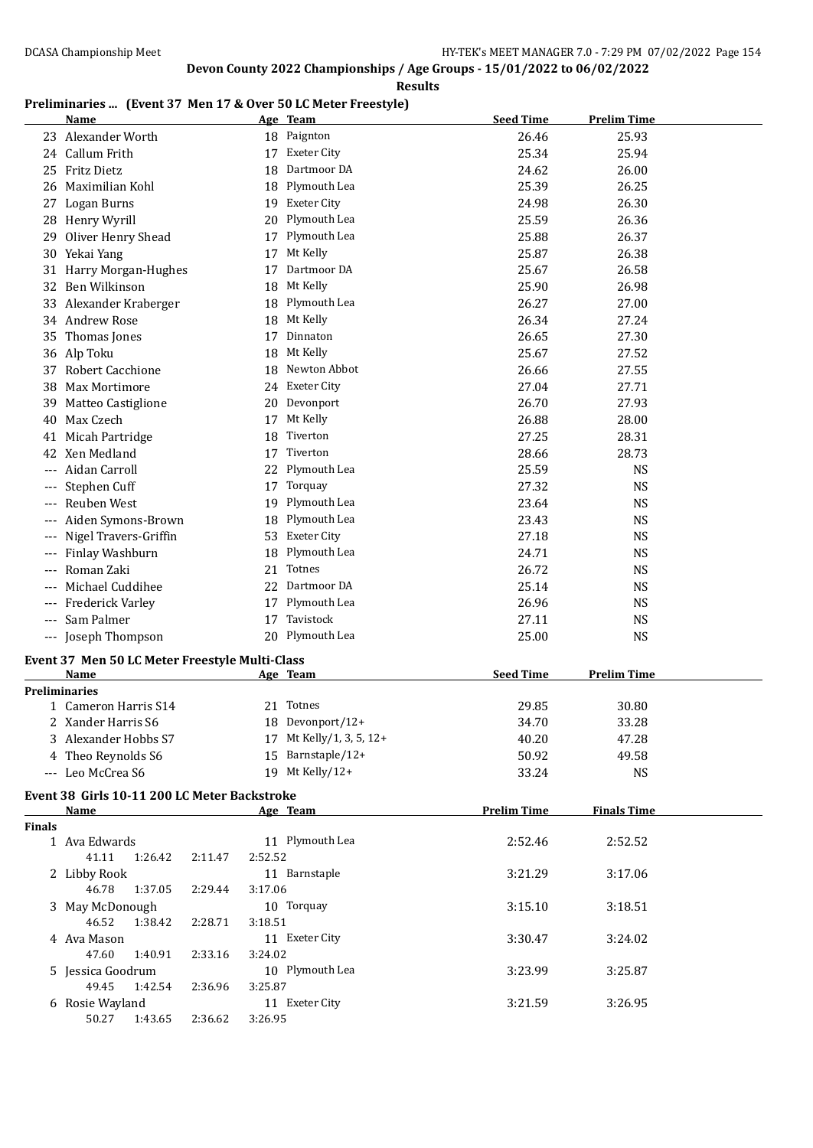#### **Results**

### **Preliminaries ... (Event 37 Men 17 & Over 50 LC Meter Freestyle)**

|                     | <b>Name</b>                                    |         | Age Team                 | <b>Seed Time</b>   | <b>Prelim Time</b> |
|---------------------|------------------------------------------------|---------|--------------------------|--------------------|--------------------|
|                     | 23 Alexander Worth                             |         | 18 Paignton              | 26.46              | 25.93              |
|                     | 24 Callum Frith                                | 17      | <b>Exeter City</b>       | 25.34              | 25.94              |
|                     | 25 Fritz Dietz                                 | 18      | Dartmoor DA              | 24.62              | 26.00              |
| 26                  | Maximilian Kohl                                | 18      | Plymouth Lea             | 25.39              | 26.25              |
|                     | 27 Logan Burns                                 | 19      | <b>Exeter City</b>       | 24.98              | 26.30              |
|                     | 28 Henry Wyrill                                | 20      | Plymouth Lea             | 25.59              | 26.36              |
| 29                  | Oliver Henry Shead                             | 17      | Plymouth Lea             | 25.88              | 26.37              |
|                     | 30 Yekai Yang                                  | 17      | Mt Kelly                 | 25.87              | 26.38              |
|                     | 31 Harry Morgan-Hughes                         | 17      | Dartmoor DA              | 25.67              | 26.58              |
| 32                  | Ben Wilkinson                                  | 18      | Mt Kelly                 | 25.90              | 26.98              |
|                     | 33 Alexander Kraberger                         | 18      | Plymouth Lea             | 26.27              | 27.00              |
|                     | 34 Andrew Rose                                 | 18      | Mt Kelly                 | 26.34              | 27.24              |
|                     | 35 Thomas Jones                                | 17      | Dinnaton                 | 26.65              | 27.30              |
|                     | 36 Alp Toku                                    | 18      | Mt Kelly                 | 25.67              | 27.52              |
|                     | 37 Robert Cacchione                            | 18      | Newton Abbot             | 26.66              | 27.55              |
|                     | 38 Max Mortimore                               | 24      | <b>Exeter City</b>       | 27.04              | 27.71              |
|                     | 39 Matteo Castiglione                          | 20      | Devonport                | 26.70              | 27.93              |
| 40                  | Max Czech                                      | 17      | Mt Kelly                 | 26.88              | 28.00              |
|                     |                                                | 18      | Tiverton                 | 27.25              | 28.31              |
|                     | 41 Micah Partridge<br>42 Xen Medland           |         | Tiverton                 |                    |                    |
|                     |                                                | 17      |                          | 28.66              | 28.73              |
|                     | Aidan Carroll                                  | 22      | Plymouth Lea             | 25.59              | <b>NS</b>          |
|                     | Stephen Cuff                                   | 17      | Torquay                  | 27.32              | <b>NS</b>          |
|                     | Reuben West                                    | 19      | Plymouth Lea             | 23.64              | <b>NS</b>          |
|                     | Aiden Symons-Brown                             | 18      | Plymouth Lea             | 23.43              | <b>NS</b>          |
|                     | Nigel Travers-Griffin                          | 53      | <b>Exeter City</b>       | 27.18              | <b>NS</b>          |
|                     | Finlay Washburn                                | 18      | Plymouth Lea             | 24.71              | <b>NS</b>          |
|                     | Roman Zaki                                     | 21      | Totnes                   | 26.72              | <b>NS</b>          |
|                     | Michael Cuddihee                               |         | 22 Dartmoor DA           | 25.14              | <b>NS</b>          |
|                     | Frederick Varley                               | 17      | Plymouth Lea             | 26.96              | <b>NS</b>          |
| $\qquad \qquad - -$ | Sam Palmer                                     | 17      | Tavistock                | 27.11              | <b>NS</b>          |
|                     | --- Joseph Thompson                            | 20      | Plymouth Lea             | 25.00              | <b>NS</b>          |
|                     | Event 37 Men 50 LC Meter Freestyle Multi-Class |         |                          |                    |                    |
|                     | Name                                           |         | Age Team                 | <b>Seed Time</b>   | <b>Prelim Time</b> |
|                     | <b>Preliminaries</b>                           |         |                          |                    |                    |
|                     | 1 Cameron Harris S14                           |         | 21 Totnes                | 29.85              | 30.80              |
|                     | 2 Xander Harris S6                             |         | 18 Devonport/12+         | 34.70              | 33.28              |
|                     | 3 Alexander Hobbs S7                           |         | 17 Mt Kelly/1, 3, 5, 12+ | 40.20              | 47.28              |
|                     | 4 Theo Reynolds S6                             |         | 15 Barnstaple/12+        | 50.92              | 49.58              |
|                     | --- Leo McCrea S6                              |         | 19 Mt Kelly/12+          | 33.24              | <b>NS</b>          |
|                     | Event 38 Girls 10-11 200 LC Meter Backstroke   |         |                          |                    |                    |
|                     | <u>Name</u>                                    |         | Age Team                 | <b>Prelim Time</b> | <b>Finals Time</b> |
| <b>Finals</b>       |                                                |         |                          |                    |                    |
|                     | 1 Ava Edwards                                  |         | 11 Plymouth Lea          | 2:52.46            | 2:52.52            |
|                     | 41.11<br>1:26.42<br>2:11.47<br>2 Libby Rook    | 2:52.52 | 11 Barnstaple            | 3:21.29            | 3:17.06            |
|                     | 46.78<br>1:37.05<br>2:29.44                    | 3:17.06 |                          |                    |                    |
|                     | 3 May McDonough                                |         | 10 Torquay               | 3:15.10            | 3:18.51            |
|                     | 46.52<br>1:38.42<br>2:28.71                    | 3:18.51 |                          |                    |                    |
|                     | 4 Ava Mason                                    |         | 11 Exeter City           | 3:30.47            | 3:24.02            |
|                     | 47.60<br>1:40.91<br>2:33.16                    | 3:24.02 |                          |                    |                    |
|                     | 5 Jessica Goodrum                              |         | 10 Plymouth Lea          | 3:23.99            | 3:25.87            |
|                     | 49.45<br>1:42.54<br>2:36.96                    | 3:25.87 |                          |                    |                    |
|                     | 6 Rosie Wayland                                |         | 11 Exeter City           | 3:21.59            | 3:26.95            |
|                     | 50.27<br>1:43.65<br>2:36.62                    | 3:26.95 |                          |                    |                    |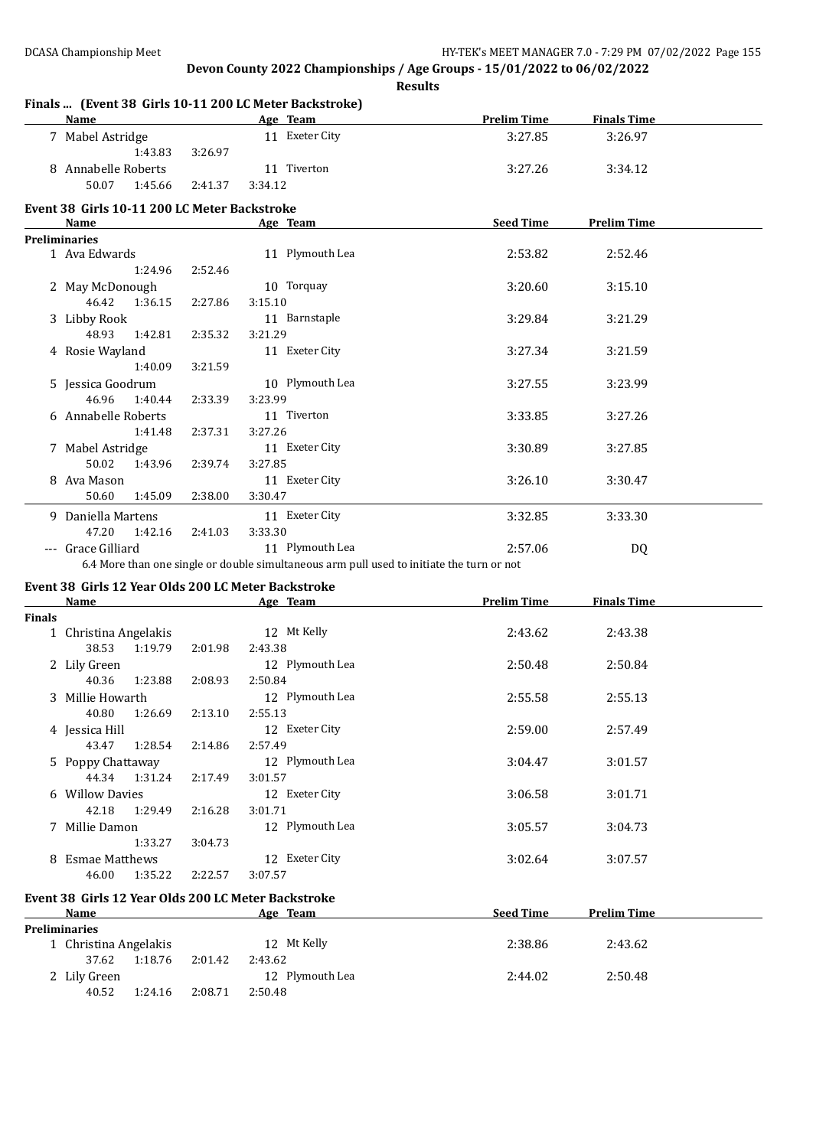#### **Finals ... (Event 38 Girls 10-11 200 LC Meter Backstroke)**

| <b>Name</b>                                  |                                                                                                                 | Age Team        | <b>Prelim Time</b> | <b>Finals Time</b> |  |
|----------------------------------------------|-----------------------------------------------------------------------------------------------------------------|-----------------|--------------------|--------------------|--|
| 7 Mabel Astridge                             |                                                                                                                 | 11 Exeter City  | 3:27.85            | 3:26.97            |  |
| 1:43.83                                      | 3:26.97                                                                                                         |                 |                    |                    |  |
| 8 Annabelle Roberts                          |                                                                                                                 | 11 Tiverton     | 3:27.26            | 3:34.12            |  |
| 50.07<br>1:45.66                             | 2:41.37                                                                                                         | 3:34.12         |                    |                    |  |
| Event 38 Girls 10-11 200 LC Meter Backstroke |                                                                                                                 |                 |                    |                    |  |
| Name                                         |                                                                                                                 | Age Team        | <b>Seed Time</b>   | <b>Prelim Time</b> |  |
| <b>Preliminaries</b>                         |                                                                                                                 |                 |                    |                    |  |
| 1 Ava Edwards                                |                                                                                                                 | 11 Plymouth Lea | 2:53.82            | 2:52.46            |  |
| 1:24.96                                      | 2:52.46                                                                                                         |                 |                    |                    |  |
| 2 May McDonough                              |                                                                                                                 | 10 Torquay      | 3:20.60            | 3:15.10            |  |
| 46.42<br>1:36.15                             | 2:27.86                                                                                                         | 3:15.10         |                    |                    |  |
| 3 Libby Rook                                 |                                                                                                                 | 11 Barnstaple   | 3:29.84            | 3:21.29            |  |
| 48.93<br>1:42.81                             | 2:35.32                                                                                                         | 3:21.29         |                    |                    |  |
| 4 Rosie Wayland                              |                                                                                                                 | 11 Exeter City  | 3:27.34            | 3:21.59            |  |
| 1:40.09                                      | 3:21.59                                                                                                         |                 |                    |                    |  |
| 5 Jessica Goodrum                            |                                                                                                                 | 10 Plymouth Lea | 3:27.55            | 3:23.99            |  |
| 46.96 1:40.44                                | 2:33.39                                                                                                         | 3:23.99         |                    |                    |  |
| 6 Annabelle Roberts                          |                                                                                                                 | 11 Tiverton     | 3:33.85            | 3:27.26            |  |
| 1:41.48                                      | 2:37.31                                                                                                         | 3:27.26         |                    |                    |  |
| 7 Mabel Astridge                             |                                                                                                                 | 11 Exeter City  | 3:30.89            | 3:27.85            |  |
| 50.02<br>1:43.96                             | 2:39.74                                                                                                         | 3:27.85         |                    |                    |  |
| 8 Ava Mason                                  |                                                                                                                 | 11 Exeter City  | 3:26.10            | 3:30.47            |  |
| 50.60<br>1:45.09                             | 2:38.00                                                                                                         | 3:30.47         |                    |                    |  |
| 9 Daniella Martens                           |                                                                                                                 | 11 Exeter City  | 3:32.85            | 3:33.30            |  |
| 47.20 1:42.16                                | 2:41.03                                                                                                         | 3:33.30         |                    |                    |  |
| --- Grace Gilliard                           |                                                                                                                 | 11 Plymouth Lea | 2:57.06            | DQ                 |  |
|                                              | the contract of the contract of the contract of the contract of the contract of the contract of the contract of |                 |                    |                    |  |

6.4 More than one single or double simultaneous arm pull used to initiate the turn or not

# **Event 38 Girls 12 Year Olds 200 LC Meter Backstroke**

|               | Name                  |         |         | Age Team        | <b>Prelim Time</b> | <b>Finals Time</b> |  |
|---------------|-----------------------|---------|---------|-----------------|--------------------|--------------------|--|
| <b>Finals</b> |                       |         |         |                 |                    |                    |  |
|               | 1 Christina Angelakis |         |         | 12 Mt Kelly     | 2:43.62            | 2:43.38            |  |
|               | 38.53                 | 1:19.79 | 2:01.98 | 2:43.38         |                    |                    |  |
|               | 2 Lily Green          |         |         | 12 Plymouth Lea | 2:50.48            | 2:50.84            |  |
|               | 40.36                 | 1:23.88 | 2:08.93 | 2:50.84         |                    |                    |  |
|               | 3 Millie Howarth      |         |         | 12 Plymouth Lea | 2:55.58            | 2:55.13            |  |
|               | 40.80                 | 1:26.69 | 2:13.10 | 2:55.13         |                    |                    |  |
|               | 4 Jessica Hill        |         |         | 12 Exeter City  | 2:59.00            | 2:57.49            |  |
|               | 43.47                 | 1:28.54 | 2:14.86 | 2:57.49         |                    |                    |  |
|               | 5 Poppy Chattaway     |         |         | 12 Plymouth Lea | 3:04.47            | 3:01.57            |  |
|               | 44.34                 | 1:31.24 | 2:17.49 | 3:01.57         |                    |                    |  |
|               | 6 Willow Davies       |         |         | 12 Exeter City  | 3:06.58            | 3:01.71            |  |
|               | 42.18                 | 1:29.49 | 2:16.28 | 3:01.71         |                    |                    |  |
|               | 7 Millie Damon        |         |         | 12 Plymouth Lea | 3:05.57            | 3:04.73            |  |
|               |                       | 1:33.27 | 3:04.73 |                 |                    |                    |  |
|               | 8 Esmae Matthews      |         |         | 12 Exeter City  | 3:02.64            | 3:07.57            |  |
|               | 46.00                 | 1:35.22 | 2:22.57 | 3:07.57         |                    |                    |  |
|               |                       |         |         |                 |                    |                    |  |

#### **Event 38 Girls 12 Year Olds 200 LC Meter Backstroke**

| <b>Name</b>           |         |         | Age Team        | <b>Seed Time</b> | <b>Prelim Time</b> |  |
|-----------------------|---------|---------|-----------------|------------------|--------------------|--|
| <b>Preliminaries</b>  |         |         |                 |                  |                    |  |
| 1 Christina Angelakis |         |         | 12 Mt Kelly     | 2:38.86          | 2:43.62            |  |
| 37.62                 | 1:18.76 | 2:01.42 | 2:43.62         |                  |                    |  |
| 2 Lily Green          |         |         | 12 Plymouth Lea | 2:44.02          | 2:50.48            |  |
| 40.52                 | 1:24.16 | 2:08.71 | 2:50.48         |                  |                    |  |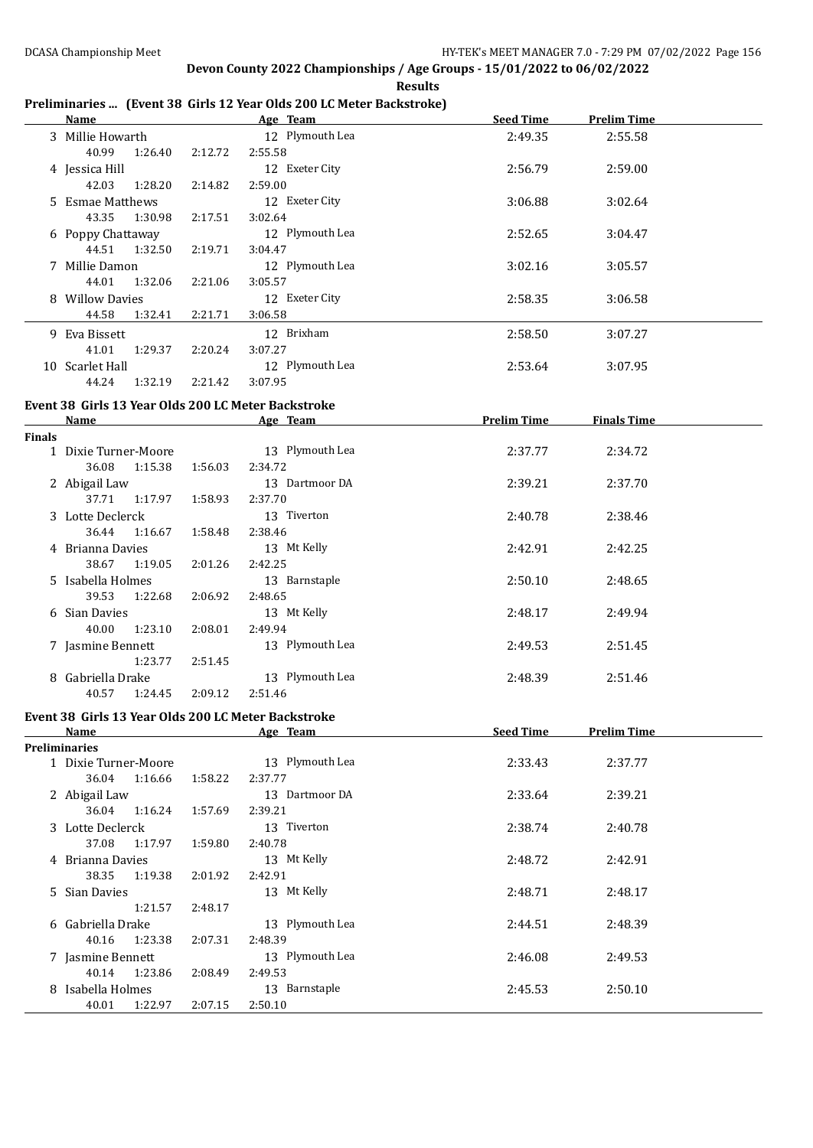**Results**

### **Preliminaries ... (Event 38 Girls 12 Year Olds 200 LC Meter Backstroke)**

|               | <b>Name</b>                                                        |         | Age Team                   | <b>Seed Time</b>   | <b>Prelim Time</b> |  |
|---------------|--------------------------------------------------------------------|---------|----------------------------|--------------------|--------------------|--|
|               | 3 Millie Howarth<br>40.99<br>1:26.40                               | 2:12.72 | 12 Plymouth Lea<br>2:55.58 | 2:49.35            | 2:55.58            |  |
|               | 4 Jessica Hill<br>42.03<br>1:28.20                                 | 2:14.82 | 12 Exeter City<br>2:59.00  | 2:56.79            | 2:59.00            |  |
|               | 5 Esmae Matthews                                                   |         | 12 Exeter City             | 3:06.88            | 3:02.64            |  |
|               | 43.35<br>1:30.98<br>6 Poppy Chattaway                              | 2:17.51 | 3:02.64<br>12 Plymouth Lea | 2:52.65            | 3:04.47            |  |
|               | 44.51<br>1:32.50<br>7 Millie Damon                                 | 2:19.71 | 3:04.47<br>12 Plymouth Lea | 3:02.16            | 3:05.57            |  |
|               | 44.01<br>1:32.06<br>8 Willow Davies                                | 2:21.06 | 3:05.57<br>12 Exeter City  | 2:58.35            | 3:06.58            |  |
|               | 44.58<br>1:32.41                                                   | 2:21.71 | 3:06.58                    |                    |                    |  |
|               | 9 Eva Bissett<br>41.01<br>1:29.37                                  | 2:20.24 | 12 Brixham<br>3:07.27      | 2:58.50            | 3:07.27            |  |
|               | 10 Scarlet Hall<br>44.24<br>1:32.19                                | 2:21.42 | 12 Plymouth Lea<br>3:07.95 | 2:53.64            | 3:07.95            |  |
|               | Event 38 Girls 13 Year Olds 200 LC Meter Backstroke                |         |                            |                    |                    |  |
|               | <b>Name</b>                                                        |         | Age Team                   | <b>Prelim Time</b> | <b>Finals Time</b> |  |
| <b>Finals</b> |                                                                    |         |                            |                    |                    |  |
|               | 1 Dixie Turner-Moore<br>36.08<br>1:15.38                           | 1:56.03 | 13 Plymouth Lea<br>2:34.72 | 2:37.77            | 2:34.72            |  |
|               | 2 Abigail Law<br>37.71                                             | 1:58.93 | 13 Dartmoor DA<br>2:37.70  | 2:39.21            | 2:37.70            |  |
|               | 1:17.97<br>3 Lotte Declerck                                        |         | 13 Tiverton                | 2:40.78            | 2:38.46            |  |
|               | 36.44<br>1:16.67<br>4 Brianna Davies                               | 1:58.48 | 2:38.46<br>13 Mt Kelly     | 2:42.91            | 2:42.25            |  |
|               | 38.67<br>1:19.05<br>5 Isabella Holmes                              | 2:01.26 | 2:42.25<br>13 Barnstaple   | 2:50.10            | 2:48.65            |  |
|               | 39.53<br>1:22.68                                                   | 2:06.92 | 2:48.65                    |                    |                    |  |
|               | 6 Sian Davies<br>40.00<br>1:23.10                                  | 2:08.01 | 13 Mt Kelly<br>2:49.94     | 2:48.17            | 2:49.94            |  |
|               | 7 Jasmine Bennett<br>1:23.77                                       | 2:51.45 | 13 Plymouth Lea            | 2:49.53            | 2:51.45            |  |
|               | 8 Gabriella Drake                                                  |         | 13 Plymouth Lea            | 2:48.39            | 2:51.46            |  |
|               | 40.57<br>1:24.45                                                   | 2:09.12 | 2:51.46                    |                    |                    |  |
|               | Event 38 Girls 13 Year Olds 200 LC Meter Backstroke<br><b>Name</b> |         | Age Team                   | <b>Seed Time</b>   | <b>Prelim Time</b> |  |
|               | <b>Preliminaries</b>                                               |         |                            |                    |                    |  |
|               | 1 Dixie Turner-Moore                                               |         | 13 Plymouth Lea            | 2:33.43            | 2:37.77            |  |
|               | 36.04<br>1:16.66                                                   | 1:58.22 | 2:37.77                    |                    |                    |  |
|               | 2 Abigail Law<br>36.04<br>1:16.24                                  | 1:57.69 | 13 Dartmoor DA<br>2:39.21  | 2:33.64            | 2:39.21            |  |
|               | 3 Lotte Declerck<br>37.08<br>1:17.97                               | 1:59.80 | 13 Tiverton<br>2:40.78     | 2:38.74            | 2:40.78            |  |
|               | 4 Brianna Davies                                                   |         | 13 Mt Kelly                | 2:48.72            | 2:42.91            |  |
|               | 38.35<br>1:19.38<br>5 Sian Davies                                  | 2:01.92 | 2:42.91<br>13 Mt Kelly     | 2:48.71            | 2:48.17            |  |
|               | 1:21.57<br>6 Gabriella Drake                                       | 2:48.17 | 13 Plymouth Lea            | 2:44.51            | 2:48.39            |  |
|               | 40.16<br>1:23.38                                                   | 2:07.31 | 2:48.39<br>13 Plymouth Lea |                    |                    |  |
|               | 7 Jasmine Bennett<br>40.14<br>1:23.86                              | 2:08.49 | 2:49.53                    | 2:46.08            | 2:49.53            |  |
|               | 8 Isabella Holmes<br>40.01<br>1:22.97                              | 2:07.15 | 13 Barnstaple<br>2:50.10   | 2:45.53            | 2:50.10            |  |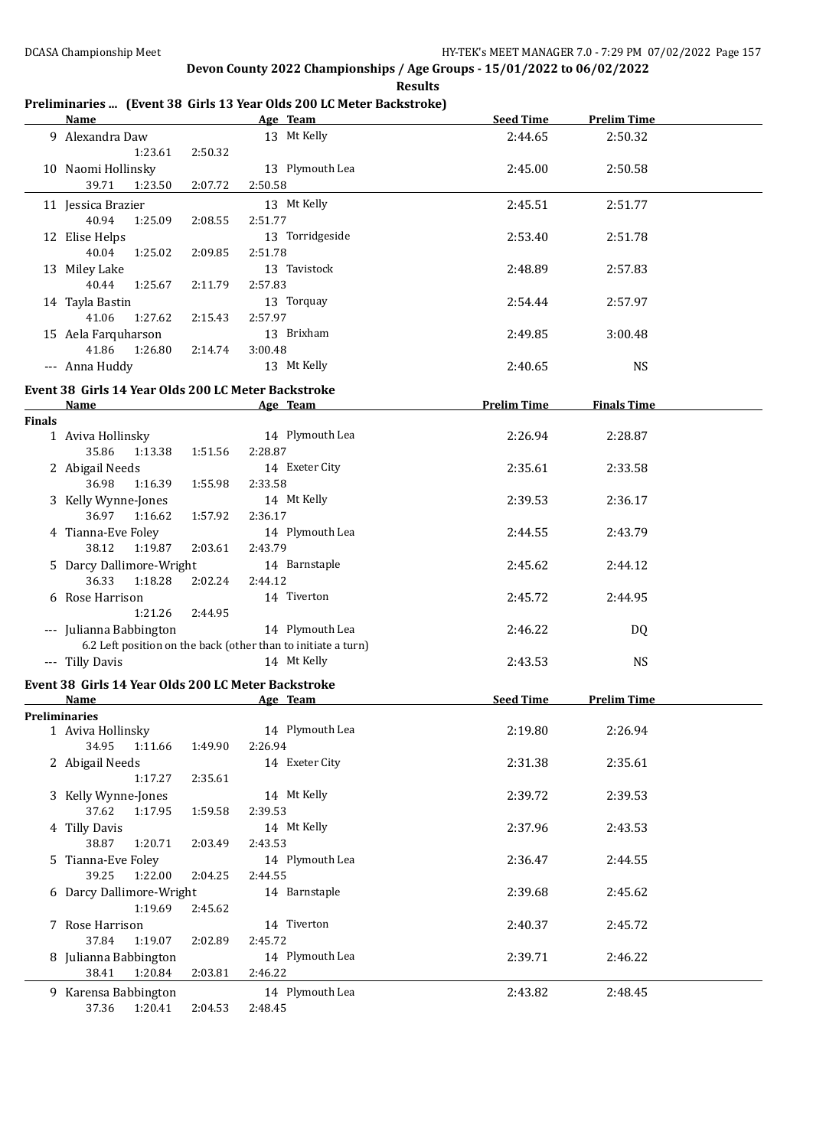**Results**

#### **Preliminaries ... (Event 38 Girls 13 Year Olds 200 LC Meter Backstroke)**

|               | <b>Name</b>                                                 |         | Age Team                                                                         | <b>Seed Time</b>   | <b>Prelim Time</b> |  |
|---------------|-------------------------------------------------------------|---------|----------------------------------------------------------------------------------|--------------------|--------------------|--|
|               | 9 Alexandra Daw<br>1:23.61                                  | 2:50.32 | 13 Mt Kelly                                                                      | 2:44.65            | 2:50.32            |  |
|               | 10 Naomi Hollinsky<br>39.71<br>1:23.50                      | 2:07.72 | 13 Plymouth Lea<br>2:50.58                                                       | 2:45.00            | 2:50.58            |  |
|               | 11 Jessica Brazier<br>40.94<br>1:25.09                      | 2:08.55 | 13 Mt Kelly<br>2:51.77                                                           | 2:45.51            | 2:51.77            |  |
|               | 12 Elise Helps<br>40.04<br>1:25.02                          | 2:09.85 | 13 Torridgeside<br>2:51.78                                                       | 2:53.40            | 2:51.78            |  |
|               | 13 Miley Lake<br>40.44<br>1:25.67                           | 2:11.79 | 13 Tavistock<br>2:57.83                                                          | 2:48.89            | 2:57.83            |  |
|               | 14 Tayla Bastin<br>41.06<br>1:27.62                         | 2:15.43 | 13 Torquay<br>2:57.97                                                            | 2:54.44            | 2:57.97            |  |
|               | 15 Aela Farquharson<br>41.86<br>1:26.80                     | 2:14.74 | 13 Brixham<br>3:00.48                                                            | 2:49.85            | 3:00.48            |  |
|               | --- Anna Huddy                                              |         | 13 Mt Kelly                                                                      | 2:40.65            | <b>NS</b>          |  |
|               | Event 38 Girls 14 Year Olds 200 LC Meter Backstroke         |         |                                                                                  |                    |                    |  |
| <b>Finals</b> | <b>Name</b>                                                 |         | Age Team                                                                         | <b>Prelim Time</b> | <b>Finals Time</b> |  |
|               | 1 Aviva Hollinsky<br>35.86<br>1:13.38                       | 1:51.56 | 14 Plymouth Lea<br>2:28.87                                                       | 2:26.94            | 2:28.87            |  |
|               | 2 Abigail Needs<br>36.98<br>1:16.39                         | 1:55.98 | 14 Exeter City<br>2:33.58                                                        | 2:35.61            | 2:33.58            |  |
|               | 3 Kelly Wynne-Jones<br>36.97<br>1:16.62                     | 1:57.92 | 14 Mt Kelly<br>2:36.17                                                           | 2:39.53            | 2:36.17            |  |
|               | 4 Tianna-Eve Foley<br>38.12<br>1:19.87                      | 2:03.61 | 14 Plymouth Lea<br>2:43.79                                                       | 2:44.55            | 2:43.79            |  |
|               | 5 Darcy Dallimore-Wright<br>36.33<br>1:18.28                | 2:02.24 | 14 Barnstaple<br>2:44.12                                                         | 2:45.62            | 2:44.12            |  |
|               | 6 Rose Harrison<br>1:21.26                                  | 2:44.95 | 14 Tiverton                                                                      | 2:45.72            | 2:44.95            |  |
|               | --- Julianna Babbington                                     |         | 14 Plymouth Lea<br>6.2 Left position on the back (other than to initiate a turn) | 2:46.22            | DQ                 |  |
|               | --- Tilly Davis                                             |         | 14 Mt Kelly                                                                      | 2:43.53            | <b>NS</b>          |  |
|               | Event 38 Girls 14 Year Olds 200 LC Meter Backstroke<br>Name |         | Age Team                                                                         | <b>Seed Time</b>   | <b>Prelim Time</b> |  |
|               | Preliminaries                                               |         |                                                                                  |                    |                    |  |
|               | 1 Aviva Hollinsky<br>34.95<br>1:11.66                       | 1:49.90 | 14 Plymouth Lea<br>2:26.94                                                       | 2:19.80            | 2:26.94            |  |
|               | 2 Abigail Needs<br>1:17.27                                  | 2:35.61 | 14 Exeter City                                                                   | 2:31.38            | 2:35.61            |  |
|               | 3 Kelly Wynne-Jones<br>37.62<br>1:17.95                     | 1:59.58 | 14 Mt Kelly<br>2:39.53                                                           | 2:39.72            | 2:39.53            |  |
|               | 4 Tilly Davis<br>38.87<br>1:20.71                           | 2:03.49 | 14 Mt Kelly<br>2:43.53                                                           | 2:37.96            | 2:43.53            |  |
|               | 5 Tianna-Eve Foley<br>39.25<br>1:22.00                      | 2:04.25 | 14 Plymouth Lea<br>2:44.55                                                       | 2:36.47            | 2:44.55            |  |
|               | 6 Darcy Dallimore-Wright<br>1:19.69                         | 2:45.62 | 14 Barnstaple                                                                    | 2:39.68            | 2:45.62            |  |
|               | 7 Rose Harrison<br>37.84<br>1:19.07                         | 2:02.89 | 14 Tiverton<br>2:45.72                                                           | 2:40.37            | 2:45.72            |  |
|               | 8 Julianna Babbington<br>38.41<br>1:20.84                   | 2:03.81 | 14 Plymouth Lea<br>2:46.22                                                       | 2:39.71            | 2:46.22            |  |
|               | 9 Karensa Babbington<br>37.36<br>1:20.41                    | 2:04.53 | 14 Plymouth Lea<br>2:48.45                                                       | 2:43.82            | 2:48.45            |  |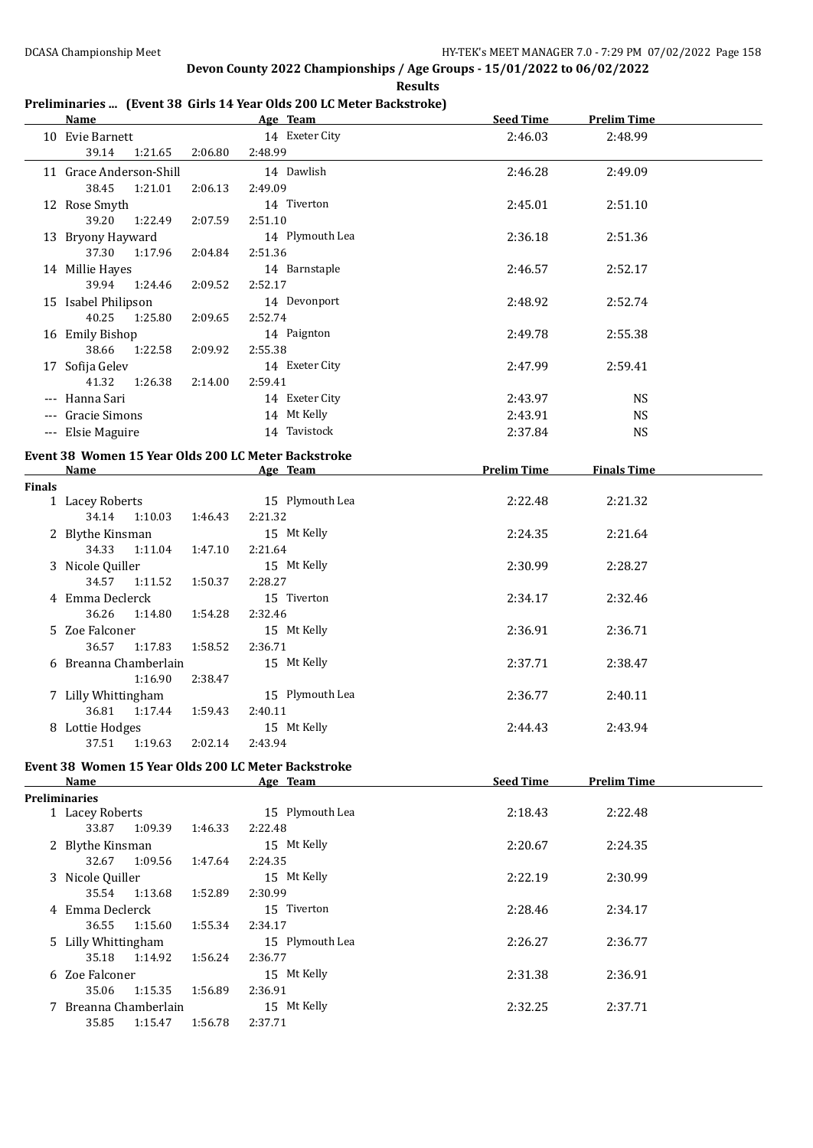**Results**

### **Preliminaries ... (Event 38 Girls 14 Year Olds 200 LC Meter Backstroke)**

|               | Name                                                                                                                                                                                                                           |         | Age Team                  | Seed Time          | <b>Prelim Time</b> |  |
|---------------|--------------------------------------------------------------------------------------------------------------------------------------------------------------------------------------------------------------------------------|---------|---------------------------|--------------------|--------------------|--|
|               | 10 Evie Barnett<br>39.14<br>1:21.65                                                                                                                                                                                            | 2:06.80 | 14 Exeter City<br>2:48.99 | 2:46.03            | 2:48.99            |  |
|               | 11 Grace Anderson-Shill                                                                                                                                                                                                        |         | 14 Dawlish                | 2:46.28            | 2:49.09            |  |
|               | 38.45<br>1:21.01                                                                                                                                                                                                               | 2:06.13 | 2:49.09                   |                    |                    |  |
|               | 12 Rose Smyth<br>39.20<br>1:22.49                                                                                                                                                                                              | 2:07.59 | 14 Tiverton<br>2:51.10    | 2:45.01            | 2:51.10            |  |
|               | 13 Bryony Hayward                                                                                                                                                                                                              |         | 14 Plymouth Lea           | 2:36.18            | 2:51.36            |  |
|               | 37.30<br>1:17.96                                                                                                                                                                                                               | 2:04.84 | 2:51.36                   |                    |                    |  |
|               | 14 Millie Hayes<br>39.94<br>1:24.46                                                                                                                                                                                            | 2:09.52 | 14 Barnstaple<br>2:52.17  | 2:46.57            | 2:52.17            |  |
|               | 15 Isabel Philipson                                                                                                                                                                                                            |         | 14 Devonport              | 2:48.92            | 2:52.74            |  |
|               | 40.25<br>1:25.80                                                                                                                                                                                                               | 2:09.65 | 2:52.74                   |                    |                    |  |
|               | 16 Emily Bishop                                                                                                                                                                                                                |         | 14 Paignton               | 2:49.78            | 2:55.38            |  |
|               | 38.66<br>1:22.58                                                                                                                                                                                                               | 2:09.92 | 2:55.38                   |                    |                    |  |
|               | 17 Sofija Gelev                                                                                                                                                                                                                |         | 14 Exeter City            | 2:47.99            | 2:59.41            |  |
|               | 41.32 1:26.38                                                                                                                                                                                                                  | 2:14.00 | 2:59.41                   |                    |                    |  |
|               | --- Hanna Sari                                                                                                                                                                                                                 |         | 14 Exeter City            | 2:43.97            | <b>NS</b>          |  |
|               | --- Gracie Simons                                                                                                                                                                                                              |         | 14 Mt Kelly               | 2:43.91            | <b>NS</b>          |  |
|               | --- Elsie Maguire                                                                                                                                                                                                              |         | 14 Tavistock              | 2:37.84            | <b>NS</b>          |  |
|               |                                                                                                                                                                                                                                |         |                           |                    |                    |  |
|               | Event 38 Women 15 Year Olds 200 LC Meter Backstroke                                                                                                                                                                            |         |                           |                    |                    |  |
| <b>Finals</b> | Name and the state of the state of the state of the state of the state of the state of the state of the state of the state of the state of the state of the state of the state of the state of the state of the state of the s |         | Age Team                  | <b>Prelim Time</b> | <b>Finals Time</b> |  |
|               | 1 Lacey Roberts                                                                                                                                                                                                                |         | 15 Plymouth Lea           | 2:22.48            | 2:21.32            |  |
|               | 34.14<br>1:10.03                                                                                                                                                                                                               | 1:46.43 | 2:21.32                   |                    |                    |  |
|               | 2 Blythe Kinsman                                                                                                                                                                                                               |         | 15 Mt Kelly               | 2:24.35            | 2:21.64            |  |
|               | 34.33<br>1:11.04                                                                                                                                                                                                               | 1:47.10 | 2:21.64                   |                    |                    |  |
|               | 3 Nicole Quiller                                                                                                                                                                                                               |         | 15 Mt Kelly               | 2:30.99            | 2:28.27            |  |
|               | 34.57<br>1:11.52                                                                                                                                                                                                               | 1:50.37 | 2:28.27                   |                    |                    |  |
|               | 4 Emma Declerck                                                                                                                                                                                                                |         | 15 Tiverton               | 2:34.17            | 2:32.46            |  |
|               | 36.26<br>1:14.80                                                                                                                                                                                                               | 1:54.28 | 2:32.46                   |                    |                    |  |
|               | 5 Zoe Falconer                                                                                                                                                                                                                 |         | 15 Mt Kelly               | 2:36.91            | 2:36.71            |  |
|               | 36.57<br>1:17.83                                                                                                                                                                                                               | 1:58.52 | 2:36.71                   |                    |                    |  |
|               | 6 Breanna Chamberlain                                                                                                                                                                                                          |         | 15 Mt Kelly               | 2:37.71            | 2:38.47            |  |
|               | 1:16.90                                                                                                                                                                                                                        | 2:38.47 |                           |                    |                    |  |
|               | 7 Lilly Whittingham                                                                                                                                                                                                            |         | 15 Plymouth Lea           | 2:36.77            | 2:40.11            |  |
|               | 36.81  1:17.44                                                                                                                                                                                                                 | 1:59.43 | 2:40.11                   |                    |                    |  |
|               | 8 Lottie Hodges                                                                                                                                                                                                                |         | 15 Mt Kelly               | 2:44.43            | 2:43.94            |  |
|               | 37.51<br>1:19.63                                                                                                                                                                                                               | 2:02.14 | 2:43.94                   |                    |                    |  |
|               |                                                                                                                                                                                                                                |         |                           |                    |                    |  |
|               | Event 38 Women 15 Year Olds 200 LC Meter Backstroke<br><b>Name</b>                                                                                                                                                             |         | Age Team                  | <b>Seed Time</b>   | <b>Prelim Time</b> |  |
|               | <b>Preliminaries</b>                                                                                                                                                                                                           |         |                           |                    |                    |  |
|               | 1 Lacey Roberts                                                                                                                                                                                                                |         | 15 Plymouth Lea           | 2:18.43            | 2:22.48            |  |
|               | 33.87<br>1:09.39                                                                                                                                                                                                               | 1:46.33 | 2:22.48                   |                    |                    |  |
|               | 2 Blythe Kinsman                                                                                                                                                                                                               |         | 15 Mt Kelly               | 2:20.67            | 2:24.35            |  |
|               | 32.67<br>1:09.56                                                                                                                                                                                                               | 1:47.64 | 2:24.35                   |                    |                    |  |
|               | 3 Nicole Quiller                                                                                                                                                                                                               |         | 15 Mt Kelly               | 2:22.19            | 2:30.99            |  |
|               | 35.54<br>1:13.68                                                                                                                                                                                                               | 1:52.89 | 2:30.99                   |                    |                    |  |
|               | 4 Emma Declerck                                                                                                                                                                                                                |         | 15 Tiverton               | 2:28.46            | 2:34.17            |  |
|               | 36.55<br>1:15.60                                                                                                                                                                                                               | 1:55.34 | 2:34.17                   |                    |                    |  |
|               | 5 Lilly Whittingham                                                                                                                                                                                                            |         | 15 Plymouth Lea           | 2:26.27            | 2:36.77            |  |
|               | 35.18<br>1:14.92                                                                                                                                                                                                               | 1:56.24 | 2:36.77                   |                    |                    |  |
|               | 6 Zoe Falconer                                                                                                                                                                                                                 |         | 15 Mt Kelly               | 2:31.38            | 2:36.91            |  |
|               | 35.06<br>1:15.35                                                                                                                                                                                                               | 1:56.89 | 2:36.91                   |                    |                    |  |
|               | 7 Breanna Chamberlain                                                                                                                                                                                                          |         | 15 Mt Kelly               | 2:32.25            | 2:37.71            |  |
|               | 35.85<br>1:15.47                                                                                                                                                                                                               | 1:56.78 | 2:37.71                   |                    |                    |  |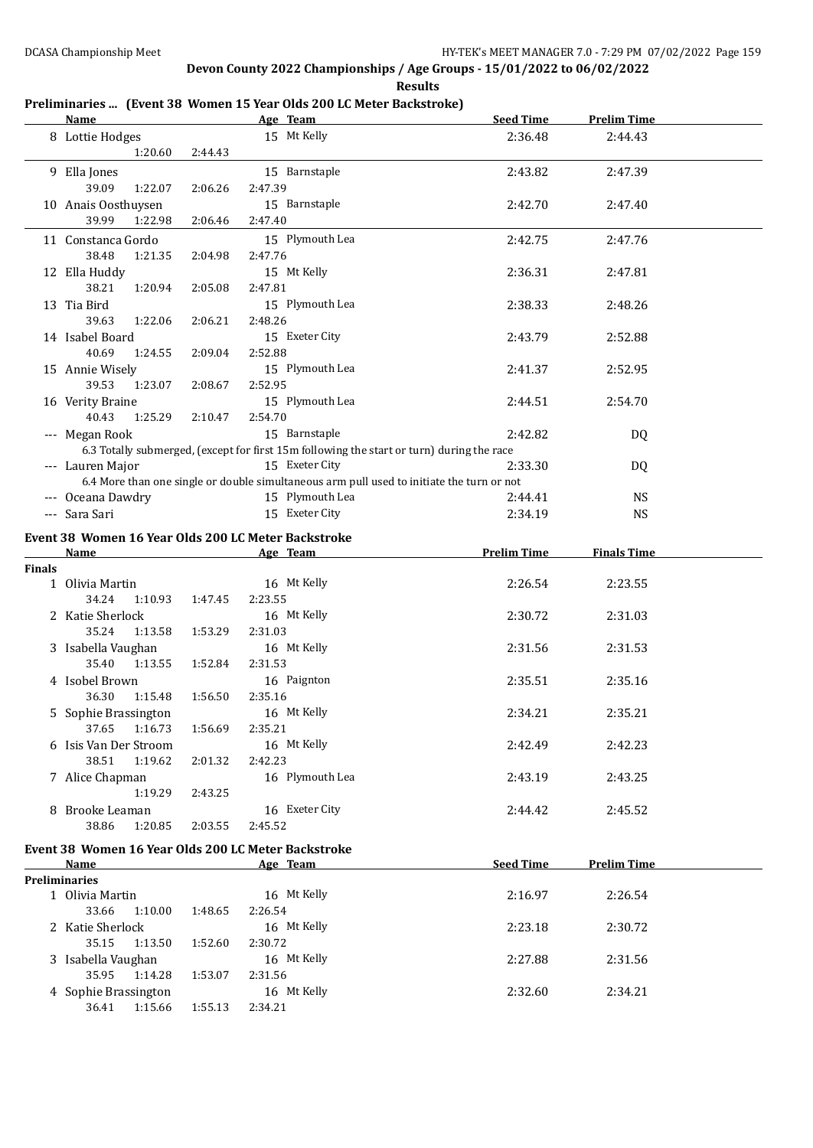**Results**

## **Preliminaries ... (Event 38 Women 15 Year Olds 200 LC Meter Backstroke)**

|               | <b>Name</b>                                         |         |         | Age Team                                                                                  | <b>Seed Time</b>   | <b>Prelim Time</b> |  |
|---------------|-----------------------------------------------------|---------|---------|-------------------------------------------------------------------------------------------|--------------------|--------------------|--|
|               | 8 Lottie Hodges                                     |         |         | 15 Mt Kelly                                                                               | 2:36.48            | 2:44.43            |  |
|               | 1:20.60                                             | 2:44.43 |         |                                                                                           |                    |                    |  |
|               |                                                     |         |         |                                                                                           |                    |                    |  |
|               | 9 Ella Jones                                        |         |         | 15 Barnstaple                                                                             | 2:43.82            | 2:47.39            |  |
|               | 39.09<br>1:22.07                                    | 2:06.26 | 2:47.39 |                                                                                           |                    |                    |  |
|               | 10 Anais Oosthuysen                                 |         |         | 15 Barnstaple                                                                             | 2:42.70            | 2:47.40            |  |
|               | 39.99<br>1:22.98                                    | 2:06.46 | 2:47.40 |                                                                                           |                    |                    |  |
|               | 11 Constanca Gordo                                  |         |         | 15 Plymouth Lea                                                                           | 2:42.75            | 2:47.76            |  |
|               | 38.48<br>1:21.35                                    | 2:04.98 | 2:47.76 |                                                                                           |                    |                    |  |
|               | 12 Ella Huddy                                       |         |         | 15 Mt Kelly                                                                               | 2:36.31            | 2:47.81            |  |
|               | 38.21<br>1:20.94                                    | 2:05.08 | 2:47.81 |                                                                                           |                    |                    |  |
|               |                                                     |         |         |                                                                                           |                    |                    |  |
|               | 13 Tia Bird                                         |         |         | 15 Plymouth Lea                                                                           | 2:38.33            | 2:48.26            |  |
|               | 39.63<br>1:22.06                                    | 2:06.21 | 2:48.26 |                                                                                           |                    |                    |  |
|               | 14 Isabel Board                                     |         |         | 15 Exeter City                                                                            | 2:43.79            | 2:52.88            |  |
|               | 40.69<br>1:24.55                                    | 2:09.04 | 2:52.88 |                                                                                           |                    |                    |  |
|               | 15 Annie Wisely                                     |         |         | 15 Plymouth Lea                                                                           | 2:41.37            | 2:52.95            |  |
|               | 39.53<br>1:23.07                                    | 2:08.67 | 2:52.95 |                                                                                           |                    |                    |  |
|               | 16 Verity Braine                                    |         |         | 15 Plymouth Lea                                                                           | 2:44.51            | 2:54.70            |  |
|               | 40.43<br>1:25.29                                    | 2:10.47 | 2:54.70 |                                                                                           |                    |                    |  |
|               | --- Megan Rook                                      |         |         | 15 Barnstaple                                                                             | 2:42.82            | DQ                 |  |
|               |                                                     |         |         | 6.3 Totally submerged, (except for first 15m following the start or turn) during the race |                    |                    |  |
|               | --- Lauren Major                                    |         |         | 15 Exeter City                                                                            | 2:33.30            |                    |  |
|               |                                                     |         |         | 6.4 More than one single or double simultaneous arm pull used to initiate the turn or not |                    | DQ                 |  |
|               |                                                     |         |         |                                                                                           |                    |                    |  |
|               | --- Oceana Dawdry                                   |         |         | 15 Plymouth Lea                                                                           | 2:44.41            | <b>NS</b>          |  |
|               | --- Sara Sari                                       |         |         | 15 Exeter City                                                                            | 2:34.19            | <b>NS</b>          |  |
|               | Event 38 Women 16 Year Olds 200 LC Meter Backstroke |         |         |                                                                                           |                    |                    |  |
|               | Name                                                |         |         | Age Team                                                                                  | <b>Prelim Time</b> | <b>Finals Time</b> |  |
| <b>Finals</b> |                                                     |         |         |                                                                                           |                    |                    |  |
|               | 1 Olivia Martin                                     |         |         | 16 Mt Kelly                                                                               | 2:26.54            | 2:23.55            |  |
|               | 34.24<br>1:10.93                                    | 1:47.45 | 2:23.55 |                                                                                           |                    |                    |  |
|               | 2 Katie Sherlock                                    |         |         | 16 Mt Kelly                                                                               | 2:30.72            | 2:31.03            |  |
|               | 35.24                                               |         | 2:31.03 |                                                                                           |                    |                    |  |
|               | 1:13.58                                             | 1:53.29 |         |                                                                                           |                    |                    |  |
|               | 3 Isabella Vaughan                                  |         |         | 16 Mt Kelly                                                                               | 2:31.56            | 2:31.53            |  |
|               | 35.40<br>1:13.55                                    | 1:52.84 | 2:31.53 |                                                                                           |                    |                    |  |
|               | 4 Isobel Brown                                      |         |         | 16 Paignton                                                                               | 2:35.51            | 2:35.16            |  |
|               | 36.30<br>1:15.48                                    | 1:56.50 | 2:35.16 |                                                                                           |                    |                    |  |
|               | 5 Sophie Brassington                                |         |         | 16 Mt Kelly                                                                               | 2:34.21            | 2:35.21            |  |
|               | 37.65  1:16.73  1:56.69  2:35.21                    |         |         |                                                                                           |                    |                    |  |
|               | 6 Isis Van Der Stroom                               |         |         | 16 Mt Kelly                                                                               | 2:42.49            | 2:42.23            |  |
|               | 38.51<br>1:19.62                                    | 2:01.32 | 2:42.23 |                                                                                           |                    |                    |  |
|               | 7 Alice Chapman                                     |         |         | 16 Plymouth Lea                                                                           | 2:43.19            | 2:43.25            |  |
|               | 1:19.29                                             | 2:43.25 |         |                                                                                           |                    |                    |  |
|               | 8 Brooke Leaman                                     |         |         | 16 Exeter City                                                                            | 2:44.42            | 2:45.52            |  |
|               | 38.86<br>1:20.85                                    | 2:03.55 | 2:45.52 |                                                                                           |                    |                    |  |
|               |                                                     |         |         |                                                                                           |                    |                    |  |
|               | Event 38 Women 16 Year Olds 200 LC Meter Backstroke |         |         |                                                                                           |                    |                    |  |
|               | Name                                                |         |         | Age Team                                                                                  | <b>Seed Time</b>   | <b>Prelim Time</b> |  |
|               | <b>Preliminaries</b>                                |         |         |                                                                                           |                    |                    |  |
|               | 1 Olivia Martin                                     |         |         | 16 Mt Kelly                                                                               | 2:16.97            | 2:26.54            |  |
|               | 33.66<br>1:10.00                                    | 1:48.65 | 2:26.54 |                                                                                           |                    |                    |  |
|               | 2 Katie Sherlock                                    |         |         | 16 Mt Kelly                                                                               | 2:23.18            | 2:30.72            |  |
|               | 35.15<br>1:13.50                                    | 1:52.60 | 2:30.72 |                                                                                           |                    |                    |  |
|               | 3 Isabella Vaughan                                  |         |         | 16 Mt Kelly                                                                               | 2:27.88            | 2:31.56            |  |
|               | 35.95<br>1:14.28                                    | 1:53.07 | 2:31.56 |                                                                                           |                    |                    |  |
|               | 4 Sophie Brassington                                |         |         | 16 Mt Kelly                                                                               |                    |                    |  |
|               | 1:15.66                                             | 1:55.13 | 2:34.21 |                                                                                           | 2:32.60            | 2:34.21            |  |
|               | 36.41                                               |         |         |                                                                                           |                    |                    |  |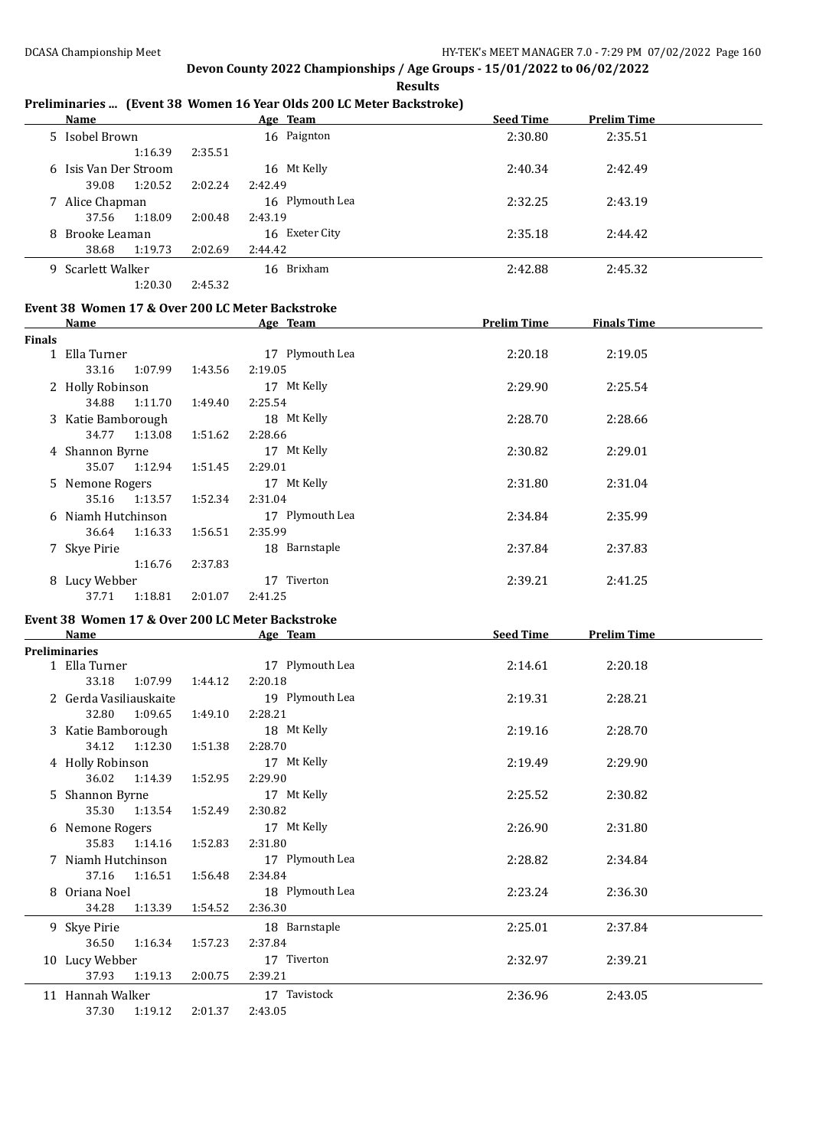**Results**

#### **Preliminaries ... (Event 38 Women 16 Year Olds 200 LC Meter Backstroke)**

| Name                  |                    | Age Team        | <b>Seed Time</b> | <b>Prelim Time</b> |
|-----------------------|--------------------|-----------------|------------------|--------------------|
| 5 Isobel Brown        |                    | 16 Paignton     | 2:30.80          | 2:35.51            |
| 1:16.39               | 2:35.51            |                 |                  |                    |
| 6 Isis Van Der Stroom |                    | 16 Mt Kelly     | 2:40.34          | 2:42.49            |
| 1:20.52<br>39.08      | 2:02.24<br>2:42.49 |                 |                  |                    |
| 7 Alice Chapman       |                    | 16 Plymouth Lea | 2:32.25          | 2:43.19            |
| 1:18.09<br>37.56      | 2:00.48<br>2:43.19 |                 |                  |                    |
| 8 Brooke Leaman       |                    | 16 Exeter City  | 2:35.18          | 2:44.42            |
| 1:19.73<br>38.68      | 2:02.69<br>2:44.42 |                 |                  |                    |
| 9 Scarlett Walker     |                    | 16 Brixham      | 2:42.88          | 2:45.32            |
| 1:20.30               | 2:45.32            |                 |                  |                    |

# **Event 38 Women 17 & Over 200 LC Meter Backstroke**

|               | Name               |         |         | Age Team        | <b>Prelim Time</b> | <b>Finals Time</b> |  |
|---------------|--------------------|---------|---------|-----------------|--------------------|--------------------|--|
| <b>Finals</b> |                    |         |         |                 |                    |                    |  |
|               | 1 Ella Turner      |         |         | 17 Plymouth Lea | 2:20.18            | 2:19.05            |  |
|               | 33.16              | 1:07.99 | 1:43.56 | 2:19.05         |                    |                    |  |
|               | 2 Holly Robinson   |         |         | 17 Mt Kelly     | 2:29.90            | 2:25.54            |  |
|               | 34.88              | 1:11.70 | 1:49.40 | 2:25.54         |                    |                    |  |
|               | 3 Katie Bamborough |         |         | 18 Mt Kelly     | 2:28.70            | 2:28.66            |  |
|               | 34.77              | 1:13.08 | 1:51.62 | 2:28.66         |                    |                    |  |
|               | 4 Shannon Byrne    |         |         | 17 Mt Kelly     | 2:30.82            | 2:29.01            |  |
|               | 35.07              | 1:12.94 | 1:51.45 | 2:29.01         |                    |                    |  |
|               | 5 Nemone Rogers    |         |         | 17 Mt Kelly     | 2:31.80            | 2:31.04            |  |
|               | 35.16 1:13.57      |         | 1:52.34 | 2:31.04         |                    |                    |  |
|               | 6 Niamh Hutchinson |         |         | 17 Plymouth Lea | 2:34.84            | 2:35.99            |  |
|               | 36.64              | 1:16.33 | 1:56.51 | 2:35.99         |                    |                    |  |
|               | 7 Skye Pirie       |         |         | 18 Barnstaple   | 2:37.84            | 2:37.83            |  |
|               |                    | 1:16.76 | 2:37.83 |                 |                    |                    |  |
|               | 8 Lucy Webber      |         |         | Tiverton<br>17  | 2:39.21            | 2:41.25            |  |
|               | 37.71              | 1:18.81 | 2:01.07 | 2:41.25         |                    |                    |  |

# **Event 38 Women 17 & Over 200 LC Meter Backstroke**

| <b>Name</b>            |         | Age Team        | <b>Seed Time</b> | <b>Prelim Time</b> |  |
|------------------------|---------|-----------------|------------------|--------------------|--|
| Preliminaries          |         |                 |                  |                    |  |
| 1 Ella Turner          |         | 17 Plymouth Lea | 2:14.61          | 2:20.18            |  |
| 33.18<br>1:07.99       | 1:44.12 | 2:20.18         |                  |                    |  |
| 2 Gerda Vasiliauskaite |         | 19 Plymouth Lea | 2:19.31          | 2:28.21            |  |
| 1:09.65<br>32.80       | 1:49.10 | 2:28.21         |                  |                    |  |
| 3 Katie Bamborough     |         | 18 Mt Kelly     | 2:19.16          | 2:28.70            |  |
| 34.12<br>1:12.30       | 1:51.38 | 2:28.70         |                  |                    |  |
| 4 Holly Robinson       |         | 17 Mt Kelly     | 2:19.49          | 2:29.90            |  |
| 36.02<br>1:14.39       | 1:52.95 | 2:29.90         |                  |                    |  |
| 5 Shannon Byrne        |         | 17 Mt Kelly     | 2:25.52          | 2:30.82            |  |
| 35.30 1:13.54          | 1:52.49 | 2:30.82         |                  |                    |  |
| 6 Nemone Rogers        |         | 17 Mt Kelly     | 2:26.90          | 2:31.80            |  |
| 35.83 1:14.16          | 1:52.83 | 2:31.80         |                  |                    |  |
| 7 Niamh Hutchinson     |         | 17 Plymouth Lea | 2:28.82          | 2:34.84            |  |
| 37.16<br>1:16.51       | 1:56.48 | 2:34.84         |                  |                    |  |
| 8 Oriana Noel          |         | 18 Plymouth Lea | 2:23.24          | 2:36.30            |  |
| 1:13.39<br>34.28       | 1:54.52 | 2:36.30         |                  |                    |  |
| 9 Skye Pirie           |         | 18 Barnstaple   | 2:25.01          | 2:37.84            |  |
| 36.50<br>1:16.34       | 1:57.23 | 2:37.84         |                  |                    |  |
| 10 Lucy Webber         |         | 17 Tiverton     | 2:32.97          | 2:39.21            |  |
| 1:19.13<br>37.93       | 2:00.75 | 2:39.21         |                  |                    |  |
| 11 Hannah Walker       |         | 17 Tavistock    | 2:36.96          | 2:43.05            |  |
| 37.30<br>1:19.12       | 2:01.37 | 2:43.05         |                  |                    |  |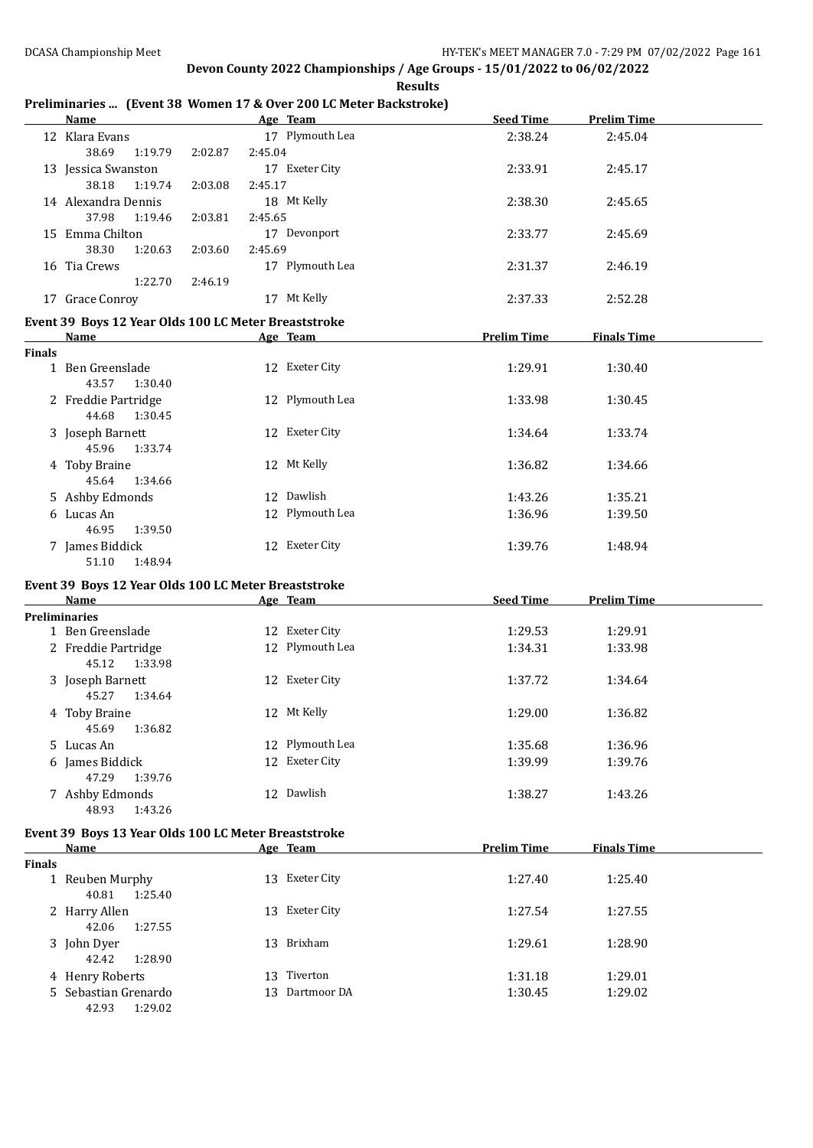**Results**

### **Preliminaries ... (Event 38 Women 17 & Over 200 LC Meter Backstroke)**

|               | <b>Name</b>                                                                                                                                                                                                                    |                    | Age Team                      | <b>Seed Time</b>   | <b>Prelim Time</b> |  |
|---------------|--------------------------------------------------------------------------------------------------------------------------------------------------------------------------------------------------------------------------------|--------------------|-------------------------------|--------------------|--------------------|--|
|               | 12 Klara Evans<br>38.69<br>1:19.79                                                                                                                                                                                             | 2:45.04<br>2:02.87 | 17 Plymouth Lea               | 2:38.24            | 2:45.04            |  |
|               | 13 Jessica Swanston<br>38.18<br>1:19.74                                                                                                                                                                                        | 2:03.08<br>2:45.17 | 17 Exeter City                | 2:33.91            | 2:45.17            |  |
|               | 14 Alexandra Dennis<br>37.98<br>1:19.46                                                                                                                                                                                        | 2:03.81<br>2:45.65 | 18 Mt Kelly                   | 2:38.30            | 2:45.65            |  |
|               | 15 Emma Chilton<br>38.30<br>1:20.63                                                                                                                                                                                            | 2:45.69<br>2:03.60 | 17 Devonport                  | 2:33.77            | 2:45.69            |  |
|               | 16 Tia Crews<br>1:22.70                                                                                                                                                                                                        | 2:46.19            | 17 Plymouth Lea               | 2:31.37            | 2:46.19            |  |
|               | 17 Grace Conroy                                                                                                                                                                                                                |                    | 17 Mt Kelly                   | 2:37.33            | 2:52.28            |  |
|               | Event 39 Boys 12 Year Olds 100 LC Meter Breaststroke                                                                                                                                                                           |                    |                               |                    |                    |  |
|               | Name                                                                                                                                                                                                                           |                    | Age Team                      | <b>Prelim Time</b> | <b>Finals Time</b> |  |
| <b>Finals</b> | 1 Ben Greenslade<br>43.57<br>1:30.40                                                                                                                                                                                           |                    | 12 Exeter City                | 1:29.91            | 1:30.40            |  |
|               | 2 Freddie Partridge<br>44.68<br>1:30.45                                                                                                                                                                                        |                    | 12 Plymouth Lea               | 1:33.98            | 1:30.45            |  |
|               | 3 Joseph Barnett<br>45.96<br>1:33.74                                                                                                                                                                                           |                    | 12 Exeter City                | 1:34.64            | 1:33.74            |  |
|               | 4 Toby Braine<br>45.64<br>1:34.66                                                                                                                                                                                              |                    | 12 Mt Kelly                   | 1:36.82            | 1:34.66            |  |
|               | 5 Ashby Edmonds                                                                                                                                                                                                                |                    | 12 Dawlish                    | 1:43.26            | 1:35.21            |  |
|               | 6 Lucas An<br>46.95<br>1:39.50                                                                                                                                                                                                 |                    | 12 Plymouth Lea               | 1:36.96            | 1:39.50            |  |
|               | 7 James Biddick<br>51.10<br>1:48.94                                                                                                                                                                                            |                    | 12 Exeter City                | 1:39.76            | 1:48.94            |  |
|               | Event 39 Boys 12 Year Olds 100 LC Meter Breaststroke                                                                                                                                                                           |                    |                               |                    |                    |  |
|               |                                                                                                                                                                                                                                |                    |                               |                    |                    |  |
|               | Name and the state of the state of the state of the state of the state of the state of the state of the state of the state of the state of the state of the state of the state of the state of the state of the state of the s |                    | Age Team                      | <b>Seed Time</b>   | <b>Prelim Time</b> |  |
|               | <b>Preliminaries</b>                                                                                                                                                                                                           |                    |                               |                    |                    |  |
|               | 1 Ben Greenslade                                                                                                                                                                                                               |                    | 12 Exeter City                | 1:29.53            | 1:29.91            |  |
|               | 2 Freddie Partridge<br>45.12<br>1:33.98                                                                                                                                                                                        |                    | 12 Plymouth Lea               | 1:34.31            | 1:33.98            |  |
|               | 3 Joseph Barnett<br>45.27<br>1:34.64                                                                                                                                                                                           |                    | 12 Exeter City                | 1:37.72            | 1:34.64            |  |
|               | 4 Toby Braine<br>1:36.82<br>45.69                                                                                                                                                                                              |                    | 12 Mt Kelly                   | 1:29.00            | 1:36.82            |  |
|               | 5 Lucas An                                                                                                                                                                                                                     |                    | 12 Plymouth Lea               | 1:35.68            | 1:36.96            |  |
|               | 6 James Biddick<br>47.29<br>1:39.76                                                                                                                                                                                            |                    | 12 Exeter City                | 1:39.99            | 1:39.76            |  |
|               | 7 Ashby Edmonds<br>48.93<br>1:43.26                                                                                                                                                                                            |                    | 12 Dawlish                    | 1:38.27            | 1:43.26            |  |
|               | Event 39 Boys 13 Year Olds 100 LC Meter Breaststroke                                                                                                                                                                           |                    |                               |                    |                    |  |
|               | <b>Name</b>                                                                                                                                                                                                                    |                    | Age Team                      | <b>Prelim Time</b> | <b>Finals Time</b> |  |
| <b>Finals</b> |                                                                                                                                                                                                                                |                    |                               |                    |                    |  |
|               | 1 Reuben Murphy<br>40.81<br>1:25.40                                                                                                                                                                                            |                    | 13 Exeter City                | 1:27.40            | 1:25.40            |  |
|               | 2 Harry Allen<br>42.06<br>1:27.55                                                                                                                                                                                              |                    | 13 Exeter City                | 1:27.54            | 1:27.55            |  |
|               | 3 John Dyer<br>42.42<br>1:28.90                                                                                                                                                                                                |                    | 13 Brixham                    | 1:29.61            | 1:28.90            |  |
|               | 4 Henry Roberts<br>5 Sebastian Grenardo                                                                                                                                                                                        |                    | 13 Tiverton<br>13 Dartmoor DA | 1:31.18<br>1:30.45 | 1:29.01<br>1:29.02 |  |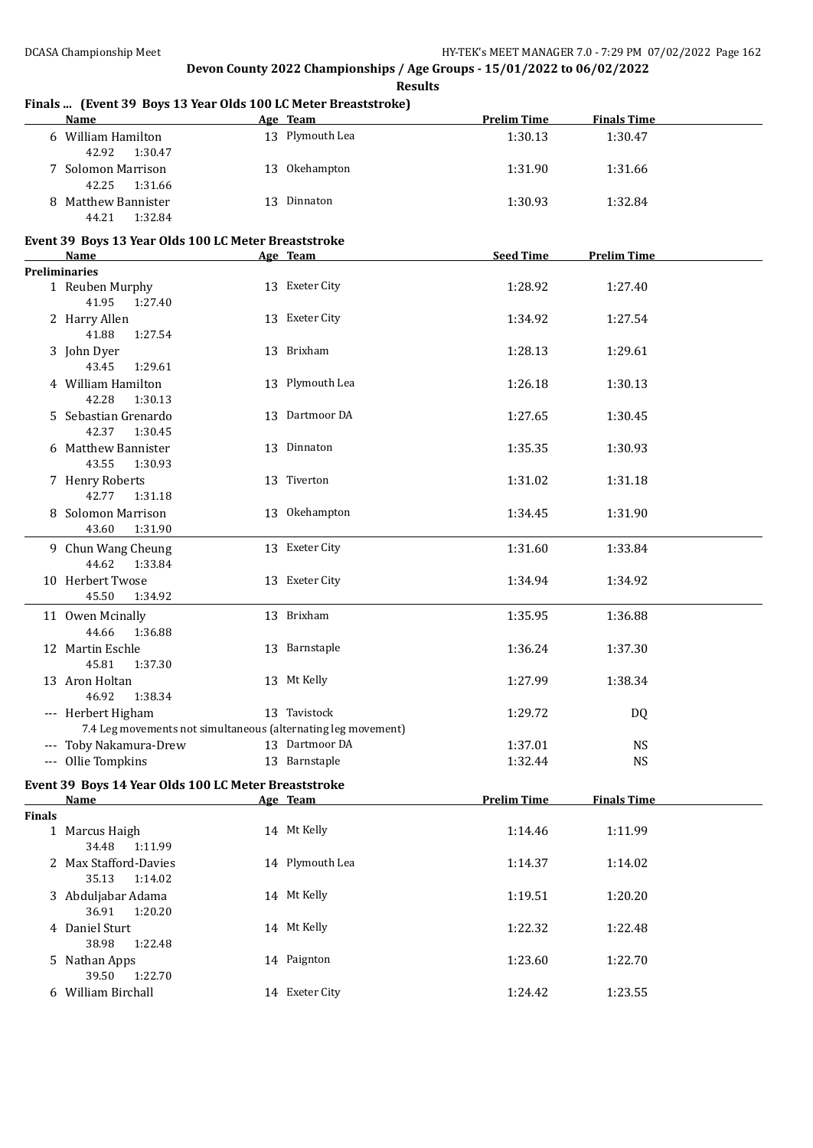|               | rinais  [Event 57 Doys 15 Tear Olds 100 EC Meter Dreastströke]<br><u>Name_</u> | Age Team                                                      | <b>Prelim Time</b> | <b>Finals Time</b> |  |
|---------------|--------------------------------------------------------------------------------|---------------------------------------------------------------|--------------------|--------------------|--|
|               | 6 William Hamilton<br>42.92<br>1:30.47                                         | 13 Plymouth Lea                                               | 1:30.13            | 1:30.47            |  |
|               | 7 Solomon Marrison<br>42.25<br>1:31.66                                         | 13 Okehampton                                                 | 1:31.90            | 1:31.66            |  |
|               | 8 Matthew Bannister<br>44.21<br>1:32.84                                        | 13 Dinnaton                                                   | 1:30.93            | 1:32.84            |  |
|               | Event 39 Boys 13 Year Olds 100 LC Meter Breaststroke                           |                                                               |                    |                    |  |
|               | Name                                                                           | Age Team                                                      | <b>Seed Time</b>   | <b>Prelim Time</b> |  |
|               | <b>Preliminaries</b>                                                           |                                                               |                    |                    |  |
|               | 1 Reuben Murphy<br>41.95<br>1:27.40                                            | 13 Exeter City                                                | 1:28.92            | 1:27.40            |  |
|               | 2 Harry Allen<br>41.88<br>1:27.54                                              | 13 Exeter City                                                | 1:34.92            | 1:27.54            |  |
|               | 3 John Dyer<br>43.45<br>1:29.61                                                | 13 Brixham                                                    | 1:28.13            | 1:29.61            |  |
|               | 4 William Hamilton<br>42.28<br>1:30.13                                         | 13 Plymouth Lea                                               | 1:26.18            | 1:30.13            |  |
|               | 5 Sebastian Grenardo<br>42.37<br>1:30.45                                       | 13 Dartmoor DA                                                | 1:27.65            | 1:30.45            |  |
|               | 6 Matthew Bannister<br>43.55<br>1:30.93                                        | 13 Dinnaton                                                   | 1:35.35            | 1:30.93            |  |
|               | 7 Henry Roberts<br>42.77<br>1:31.18                                            | 13 Tiverton                                                   | 1:31.02            | 1:31.18            |  |
|               | 8 Solomon Marrison<br>43.60<br>1:31.90                                         | 13 Okehampton                                                 | 1:34.45            | 1:31.90            |  |
|               | 9 Chun Wang Cheung<br>44.62<br>1:33.84                                         | 13 Exeter City                                                | 1:31.60            | 1:33.84            |  |
|               | 10 Herbert Twose<br>45.50<br>1:34.92                                           | 13 Exeter City                                                | 1:34.94            | 1:34.92            |  |
|               | 11 Owen Mcinally<br>44.66<br>1:36.88                                           | 13 Brixham                                                    | 1:35.95            | 1:36.88            |  |
|               | 12 Martin Eschle<br>45.81<br>1:37.30                                           | 13 Barnstaple                                                 | 1:36.24            | 1:37.30            |  |
|               | 13 Aron Holtan<br>46.92<br>1:38.34                                             | 13 Mt Kelly                                                   | 1:27.99            | 1:38.34            |  |
|               | --- Herbert Higham                                                             | 13 Tavistock                                                  | 1:29.72            | DQ                 |  |
|               |                                                                                | 7.4 Leg movements not simultaneous (alternating leg movement) |                    |                    |  |
|               | --- Toby Nakamura-Drew                                                         | 13 Dartmoor DA                                                | 1:37.01            | <b>NS</b>          |  |
|               | --- Ollie Tompkins                                                             | 13 Barnstaple                                                 | 1:32.44            | $_{\rm NS}$        |  |
|               | Event 39 Boys 14 Year Olds 100 LC Meter Breaststroke                           |                                                               |                    |                    |  |
|               | <b>Name</b>                                                                    | Age Team                                                      | <b>Prelim Time</b> | <b>Finals Time</b> |  |
| <b>Finals</b> |                                                                                |                                                               |                    |                    |  |
|               | 1 Marcus Haigh<br>34.48<br>1:11.99                                             | 14 Mt Kelly                                                   | 1:14.46            | 1:11.99            |  |
|               | 2 Max Stafford-Davies<br>35.13<br>1:14.02                                      | 14 Plymouth Lea                                               | 1:14.37            | 1:14.02            |  |
|               | 3 Abduljabar Adama<br>36.91<br>1:20.20                                         | 14 Mt Kelly                                                   | 1:19.51            | 1:20.20            |  |
|               | 4 Daniel Sturt<br>38.98<br>1:22.48                                             | 14 Mt Kelly                                                   | 1:22.32            | 1:22.48            |  |
|               | 5 Nathan Apps<br>39.50<br>1:22.70                                              | 14 Paignton                                                   | 1:23.60            | 1:22.70            |  |
|               | 6 William Birchall                                                             | 14 Exeter City                                                | 1:24.42            | 1:23.55            |  |

#### **Finals ... (Event 39 Boys 13 Year Olds 100 LC Meter Breaststroke)**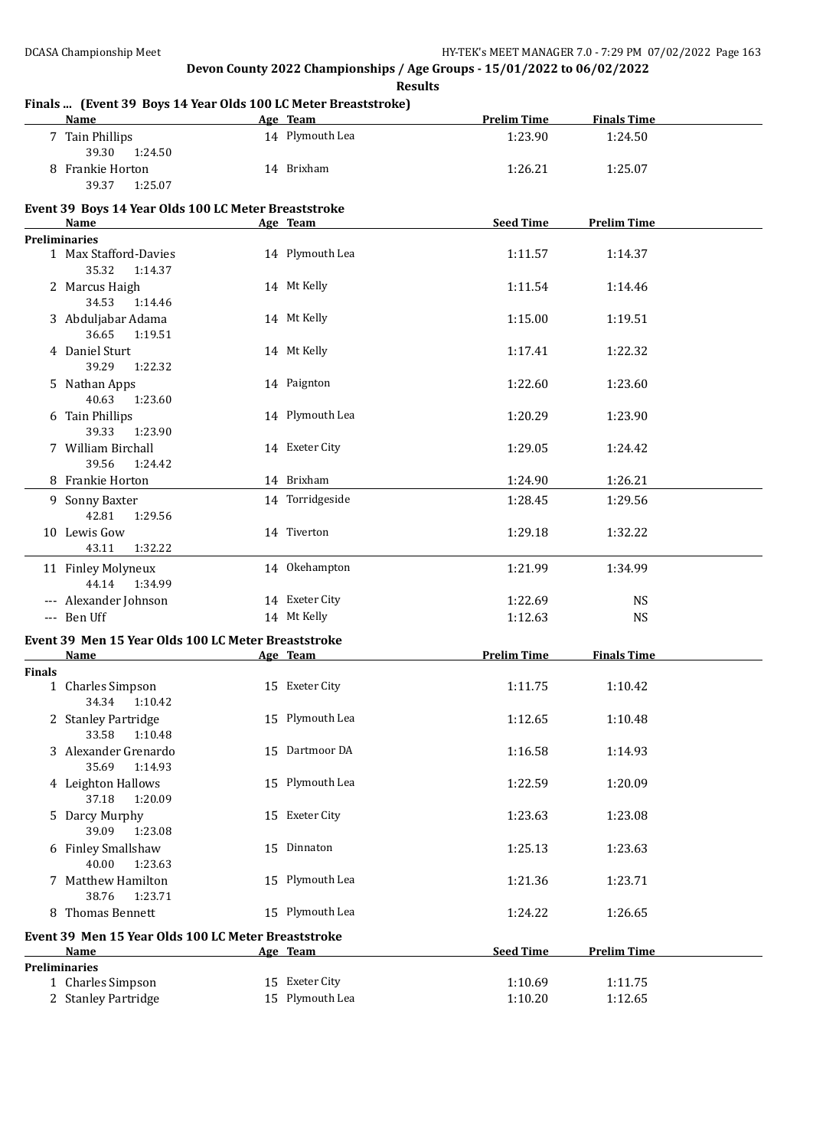**Results Finals ... (Event 39 Boys 14 Year Olds 100 LC Meter Breaststroke) Name Age Team Prelim Time Finals Time** 7 Tain Phillips 14 Plymouth Lea 1:23.90 1:24.50 39.30 1:24.50 8 Frankie Horton 14 Brixham 1:26.21 1:25.07 39.37 1:25.07 **Event 39 Boys 14 Year Olds 100 LC Meter Breaststroke Age Team Seed Time Prelim Time Preliminaries** 1 Max Stafford-Davies 14 Plymouth Lea 1:11.57 1:14.37 35.32 1:14.37 2 Marcus Haigh 14 Mt Kelly 12 Marcus Haigh 1:14.46 34.53 1:14.46 3 Abduljabar Adama 14 Mt Kelly 1:15.00 1:19.51 36.65 1:19.51 4 Daniel Sturt 1:22.32 14 Mt Kelly 1:17.41 1:22.32 39.29 1:22.32 5 Nathan Apps 14 Paignton 1:22.60 1:23.60 40.63 1:23.60 6 Tain Phillips 14 Plymouth Lea 1:20.29 1:23.90 39.33 1:23.90 7 William Birchall 14 Exeter City 1:29.05 1:24.42 39.56 1:24.42 8 Frankie Horton 14 Brixham 1:24.90 1:26.21 9 Sonny Baxter 14 Torridgeside 1:28.45 1:29.56 42.81 1:29.56 10 Lewis Gow 14 Tiverton 1:29.18 1:32.22 43.11 1:32.22 11 Finley Molyneux 14 Okehampton 1:21.99 1:34.99 44.14 1:34.99 --- Alexander Johnson 14 Exeter City 1:22.69 NS -- Ben Uff 14 Mt Kelly 14 Mt Kelly 1:12.63 NS **Event 39 Men 15 Year Olds 100 LC Meter Breaststroke Age Team Prelim Time Finals Time Finals** 1 Charles Simpson 15 Exeter City 1:11.75 1:10.42 34.34 1:10.42 2 Stanley Partridge 15 Plymouth Lea 1:12.65 1:10.48 33.58 1:10.48 3 Alexander Grenardo 15 Dartmoor DA 1:16.58 1:14.93 35.69 1:14.93 4 Leighton Hallows 15 Plymouth Lea 1:22.59 1:20.09 37.18 1:20.09 5 Darcy Murphy 15 Exeter City 1:23.63 1:23.08 39.09 1:23.08 6 Finley Smallshaw 15 Dinnaton 1:25.13 1:23.63 40.00 1:23.63 7 Matthew Hamilton 15 Plymouth Lea 1:21.36 1:23.71 38.76 1:23.71 8 Thomas Bennett 15 Plymouth Lea 1:24.22 1:26.65 **Event 39 Men 15 Year Olds 100 LC Meter Breaststroke Age Team Seed Time Prelim Time Preliminaries**

1 Charles Simpson 15 Exeter City 1:10.69 1:11.75 2 Stanley Partridge 15 Plymouth Lea 1:10.20 1:12.65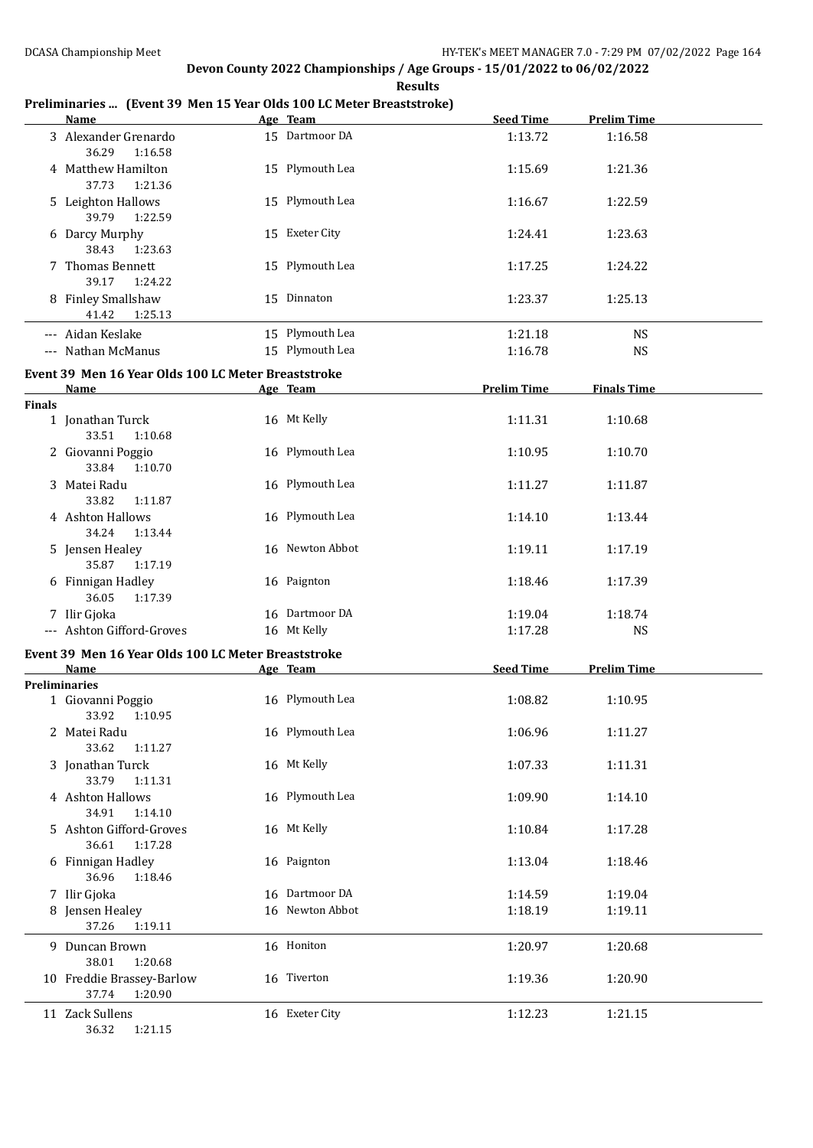#### **Results Preliminaries ... (Event 39 Men 15 Year Olds 100 LC Meter Breaststroke) Age Team Seed Time Prelim Time** 3 Alexander Grenardo 15 Dartmoor DA 1:13.72 1:16.58 36.29 1:16.58 4 Matthew Hamilton 15 Plymouth Lea 1:15.69 1:21.36 37.73 1:21.36 5 Leighton Hallows 15 Plymouth Lea 1:16.67 1:22.59 39.79 1:22.59 6 Darcy Murphy 15 Exeter City 1:24.41 1:23.63 38.43 1:23.63 7 Thomas Bennett 15 Plymouth Lea 1:17.25 1:24.22 39.17 1:24.22 8 Finley Smallshaw 15 Dinnaton 1:23.37 1:25.13 41.42 1:25.13 --- Aidan Keslake 15 Plymouth Lea 1:21.18 NS --- Nathan McManus 15 Plymouth Lea 1:16.78 NS **Event 39 Men 16 Year Olds 100 LC Meter Breaststroke Name Age Team Prelim Time Finals Time Finals** 1 Jonathan Turck 16 Mt Kelly 1:11.31 1:10.68 33.51 1:10.68 2 Giovanni Poggio 16 Plymouth Lea 1:10.95 1:10.70 33.84 1:10.70 3 Matei Radu 16 Plymouth Lea 1:11.27 1:11.87 33.82 1:11.87 4 Ashton Hallows 16 Plymouth Lea 1:14.10 1:13.44 34.24 1:13.44 5 Jensen Healey 16 Newton Abbot 1:19.11 1:17.19 35.87 1:17.19 6 Finnigan Hadley 16 Paignton 1:18.46 1:17.39 36.05 1:17.39 7 Ilir Gjoka 1:18.74 -- Ashton Gifford-Groves 16 Mt Kelly 1:17.28 NS **Event 39 Men 16 Year Olds 100 LC Meter Breaststroke Name Age Team Seed Time Prelim Time Preliminaries** 1 Giovanni Poggio 16 Plymouth Lea 1:08.82 1:10.95 33.92 1:10.95 2 Matei Radu 16 Plymouth Lea 1:06.96 1:11.27 33.62 1:11.27 3 Jonathan Turck 16 Mt Kelly 1:07.33 1:11.31 33.79 1:11.31 4 Ashton Hallows 16 Plymouth Lea 1:09.90 1:14.10 34.91 1:14.10 5 Ashton Gifford-Groves 16 Mt Kelly 1:10.84 1:17.28 36.61 1:17.28 6 Finnigan Hadley 16 Paignton 1:13.04 1:18.46 36.96 1:18.46 7 Ilir Gjoka 16 Dartmoor DA 1:14.59 1:19.04 8 Jensen Healey 16 Newton Abbot 1:18.19 1:19.11 37.26 1:19.11 9 Duncan Brown 16 Honiton 1:20.97 1:20.68 38.01 1:20.68 10 Freddie Brassey-Barlow 16 Tiverton 1:19.36 1:20.90 37.74 1:20.90 11 Zack Sullens 1:12.23 1:21.15

36.32 1:21.15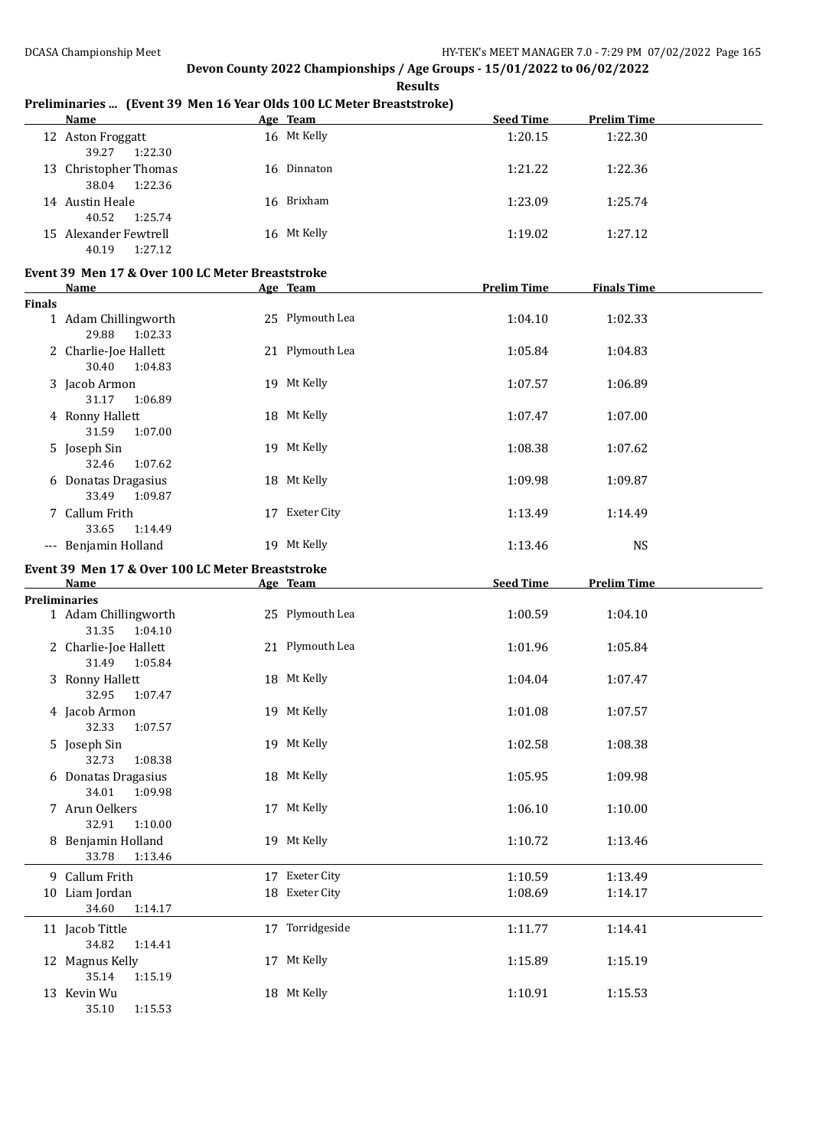|               | <b>Name</b>                                                              | Age Team                         | <b>Seed Time</b>   | <b>Prelim Time</b> |  |
|---------------|--------------------------------------------------------------------------|----------------------------------|--------------------|--------------------|--|
|               | 12 Aston Froggatt<br>39.27<br>1:22.30                                    | 16 Mt Kelly                      | 1:20.15            | 1:22.30            |  |
|               | 13 Christopher Thomas<br>38.04<br>1:22.36                                | 16 Dinnaton                      | 1:21.22            | 1:22.36            |  |
|               | 14 Austin Heale<br>40.52<br>1:25.74                                      | 16 Brixham                       | 1:23.09            | 1:25.74            |  |
|               | 15 Alexander Fewtrell<br>40.19<br>1:27.12                                | 16 Mt Kelly                      | 1:19.02            | 1:27.12            |  |
|               | Event 39 Men 17 & Over 100 LC Meter Breaststroke<br>Name                 | Age Team                         | <b>Prelim Time</b> | <b>Finals Time</b> |  |
| <b>Finals</b> |                                                                          |                                  |                    |                    |  |
|               | 1 Adam Chillingworth<br>29.88<br>1:02.33                                 | 25 Plymouth Lea                  | 1:04.10            | 1:02.33            |  |
|               | 2 Charlie-Joe Hallett<br>30.40<br>1:04.83                                | 21 Plymouth Lea                  | 1:05.84            | 1:04.83            |  |
|               | 3 Jacob Armon<br>31.17<br>1:06.89                                        | 19 Mt Kelly                      | 1:07.57            | 1:06.89            |  |
|               | 4 Ronny Hallett<br>31.59<br>1:07.00                                      | 18 Mt Kelly                      | 1:07.47            | 1:07.00            |  |
|               | 5 Joseph Sin<br>32.46<br>1:07.62                                         | 19 Mt Kelly                      | 1:08.38            | 1:07.62            |  |
|               | 6 Donatas Dragasius<br>33.49<br>1:09.87                                  | 18 Mt Kelly                      | 1:09.98            | 1:09.87            |  |
|               | 7 Callum Frith<br>33.65<br>1:14.49                                       | 17 Exeter City                   | 1:13.49            | 1:14.49            |  |
|               | --- Benjamin Holland<br>Event 39 Men 17 & Over 100 LC Meter Breaststroke | 19 Mt Kelly                      | 1:13.46            | <b>NS</b>          |  |
|               |                                                                          |                                  |                    |                    |  |
|               |                                                                          |                                  |                    |                    |  |
|               | Name                                                                     | Age Team                         | <b>Seed Time</b>   | <b>Prelim Time</b> |  |
|               | <b>Preliminaries</b><br>1 Adam Chillingworth                             | 25 Plymouth Lea                  | 1:00.59            | 1:04.10            |  |
|               | 31.35<br>1:04.10<br>2 Charlie-Joe Hallett                                | 21 Plymouth Lea                  | 1:01.96            | 1:05.84            |  |
|               | 31.49<br>1:05.84<br>3 Ronny Hallett<br>1:07.47                           | 18 Mt Kelly                      | 1:04.04            | 1:07.47            |  |
|               | 32.95<br>4 Jacob Armon                                                   | 19 Mt Kelly                      | 1:01.08            | 1:07.57            |  |
|               | 32.33 1:07.57<br>5 Joseph Sin                                            | 19 Mt Kelly                      | 1:02.58            | 1:08.38            |  |
|               | 1:08.38<br>32.73<br>6 Donatas Dragasius                                  | 18 Mt Kelly                      | 1:05.95            | 1:09.98            |  |
|               | 34.01<br>1:09.98<br>7 Arun Oelkers                                       | 17 Mt Kelly                      | 1:06.10            | 1:10.00            |  |
|               | 32.91<br>1:10.00<br>8 Benjamin Holland<br>33.78<br>1:13.46               | 19 Mt Kelly                      | 1:10.72            | 1:13.46            |  |
|               |                                                                          |                                  |                    |                    |  |
|               | 9 Callum Frith<br>10 Liam Jordan                                         | 17 Exeter City<br>18 Exeter City | 1:10.59<br>1:08.69 | 1:13.49<br>1:14.17 |  |
|               | 34.60<br>1:14.17<br>11 Jacob Tittle                                      | 17 Torridgeside                  | 1:11.77            | 1:14.41            |  |
|               | 34.82<br>1:14.41<br>12 Magnus Kelly<br>35.14<br>1:15.19                  | 17 Mt Kelly                      | 1:15.89            | 1:15.19            |  |

### **Preliminaries ... (Event 39 Men 16 Year Olds 100 LC Meter Breaststroke)**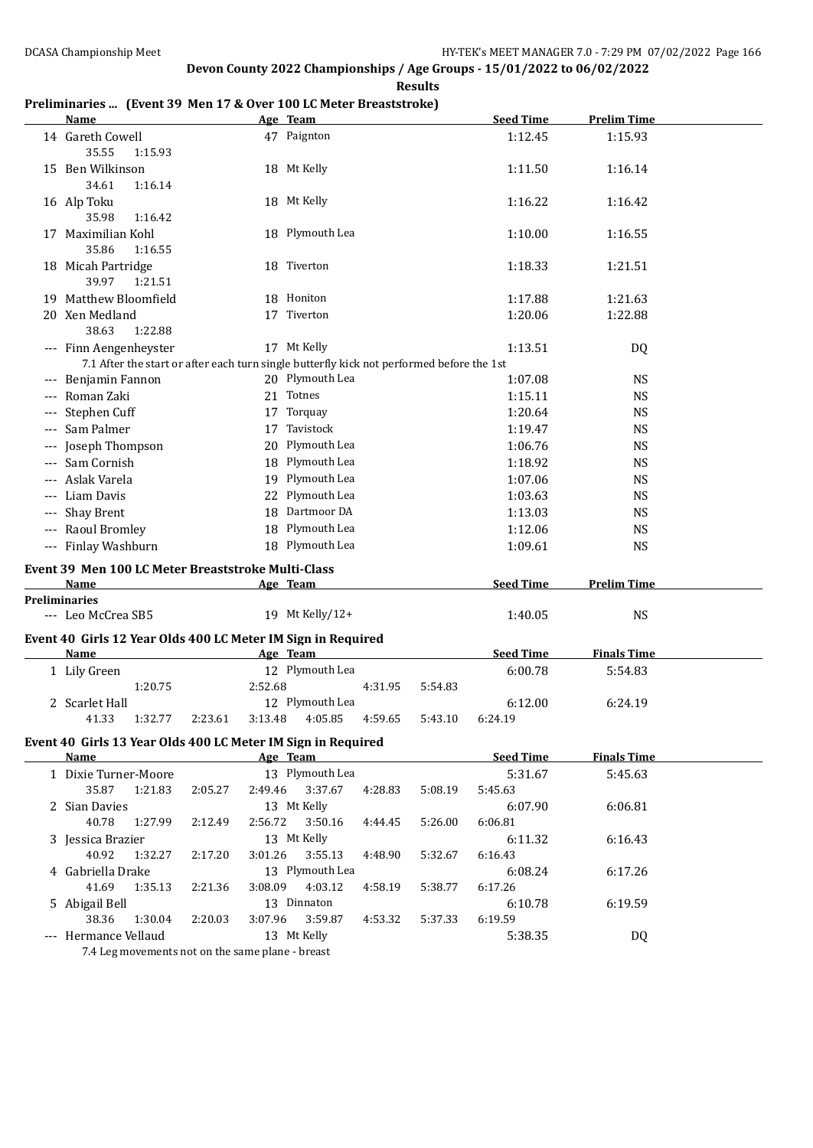### **Preliminaries ... (Event 39 Men 17 & Over 100 LC Meter Breaststroke)**

| Name                                                                                                                |                    | Age Team               |         |         | <b>Seed Time</b>   | <b>Prelim Time</b> |  |
|---------------------------------------------------------------------------------------------------------------------|--------------------|------------------------|---------|---------|--------------------|--------------------|--|
| 14 Gareth Cowell<br>35.55<br>1:15.93                                                                                |                    | 47 Paignton            |         |         | 1:12.45            | 1:15.93            |  |
| 15 Ben Wilkinson<br>1:16.14<br>34.61                                                                                |                    | 18 Mt Kelly            |         |         | 1:11.50            | 1:16.14            |  |
| 16 Alp Toku<br>35.98<br>1:16.42                                                                                     |                    | 18 Mt Kelly            |         |         | 1:16.22            | 1:16.42            |  |
| 17 Maximilian Kohl<br>35.86<br>1:16.55                                                                              |                    | 18 Plymouth Lea        |         |         | 1:10.00            | 1:16.55            |  |
| 18 Micah Partridge<br>39.97<br>1:21.51                                                                              |                    | 18 Tiverton            |         |         | 1:18.33            | 1:21.51            |  |
| 19 Matthew Bloomfield                                                                                               |                    | 18 Honiton             |         |         | 1:17.88            | 1:21.63            |  |
| 20 Xen Medland<br>38.63<br>1:22.88                                                                                  |                    | 17 Tiverton            |         |         | 1:20.06            | 1:22.88            |  |
| --- Finn Aengenheyster<br>7.1 After the start or after each turn single butterfly kick not performed before the 1st |                    | 17 Mt Kelly            |         |         | 1:13.51            | DQ                 |  |
| --- Benjamin Fannon                                                                                                 |                    | 20 Plymouth Lea        |         |         | 1:07.08            | <b>NS</b>          |  |
| --- Roman Zaki                                                                                                      |                    | 21 Totnes              |         |         | 1:15.11            | <b>NS</b>          |  |
| Stephen Cuff                                                                                                        |                    | 17 Torquay             |         |         | 1:20.64            | <b>NS</b>          |  |
| --- Sam Palmer                                                                                                      | 17                 | Tavistock              |         |         | 1:19.47            | <b>NS</b>          |  |
| Joseph Thompson                                                                                                     |                    | 20 Plymouth Lea        |         |         | 1:06.76            | <b>NS</b>          |  |
| Sam Cornish                                                                                                         |                    | 18 Plymouth Lea        |         |         | 1:18.92            | <b>NS</b>          |  |
| Aslak Varela                                                                                                        |                    | 19 Plymouth Lea        |         |         | 1:07.06            | <b>NS</b>          |  |
| --- Liam Davis                                                                                                      |                    | 22 Plymouth Lea        |         |         | 1:03.63            | <b>NS</b>          |  |
| Shay Brent                                                                                                          |                    | 18 Dartmoor DA         |         |         | 1:13.03            | <b>NS</b>          |  |
| --- Raoul Bromley                                                                                                   |                    | 18 Plymouth Lea        |         |         | 1:12.06            | <b>NS</b>          |  |
| --- Finlay Washburn                                                                                                 |                    | 18 Plymouth Lea        |         |         | 1:09.61            | <b>NS</b>          |  |
| Event 39 Men 100 LC Meter Breaststroke Multi-Class                                                                  |                    |                        |         |         |                    |                    |  |
| Name                                                                                                                |                    | Age Team               |         |         | <b>Seed Time</b>   | <b>Prelim Time</b> |  |
| <b>Preliminaries</b><br>--- Leo McCrea SB5                                                                          |                    | 19 Mt Kelly/12+        |         |         | 1:40.05            | <b>NS</b>          |  |
| Event 40 Girls 12 Year Olds 400 LC Meter IM Sign in Required<br><b>Name</b>                                         |                    | Age Team               |         |         | <b>Seed Time</b>   | <b>Finals Time</b> |  |
| 1 Lily Green                                                                                                        |                    | 12 Plymouth Lea        |         |         | 6:00.78            | 5:54.83            |  |
| 1:20.75                                                                                                             | 2:52.68            |                        | 4:31.95 | 5:54.83 |                    |                    |  |
| 2 Scarlet Hall                                                                                                      |                    | 12 Plymouth Lea        |         |         | 6:12.00            | 6:24.19            |  |
| 1:32.77<br>41.33                                                                                                    | 3:13.48<br>2:23.61 | 4:05.85                | 4:59.65 | 5:43.10 | 6:24.19            |                    |  |
| Event 40 Girls 13 Year Olds 400 LC Meter IM Sign in Required                                                        |                    |                        |         |         |                    |                    |  |
| <b>Name</b>                                                                                                         |                    | Age Team               |         |         | <b>Seed Time</b>   | <b>Finals Time</b> |  |
| 1 Dixie Turner-Moore                                                                                                |                    | 13 Plymouth Lea        |         |         | 5:31.67            | 5:45.63            |  |
| 35.87<br>1:21.83                                                                                                    | 2:05.27<br>2:49.46 | 3:37.67                | 4:28.83 | 5:08.19 | 5:45.63            |                    |  |
| 2 Sian Davies                                                                                                       |                    | 13 Mt Kelly            |         |         | 6:07.90            | 6:06.81            |  |
| 40.78<br>1:27.99                                                                                                    | 2:56.72<br>2:12.49 | 3:50.16                | 4:44.45 | 5:26.00 | 6:06.81            |                    |  |
| 3 Jessica Brazier                                                                                                   |                    | 13 Mt Kelly            |         |         | 6:11.32            | 6:16.43            |  |
| 40.92<br>1:32.27                                                                                                    | 3:01.26<br>2:17.20 | 3:55.13                | 4:48.90 | 5:32.67 | 6:16.43            |                    |  |
| 4 Gabriella Drake                                                                                                   | 3:08.09            | 13 Plymouth Lea        |         | 5:38.77 | 6:08.24            | 6:17.26            |  |
| 41.69<br>1:35.13                                                                                                    | 2:21.36            | 4:03.12<br>13 Dinnaton | 4:58.19 |         | 6:17.26            |                    |  |
| 5 Abigail Bell<br>38.36<br>1:30.04                                                                                  | 3:07.96<br>2:20.03 | 3:59.87                | 4:53.32 | 5:37.33 | 6:10.78<br>6:19.59 | 6:19.59            |  |
| --- Hermance Vellaud                                                                                                |                    | 13 Mt Kelly            |         |         | 5:38.35            | DQ                 |  |
|                                                                                                                     |                    |                        |         |         |                    |                    |  |

7.4 Leg movements not on the same plane - breast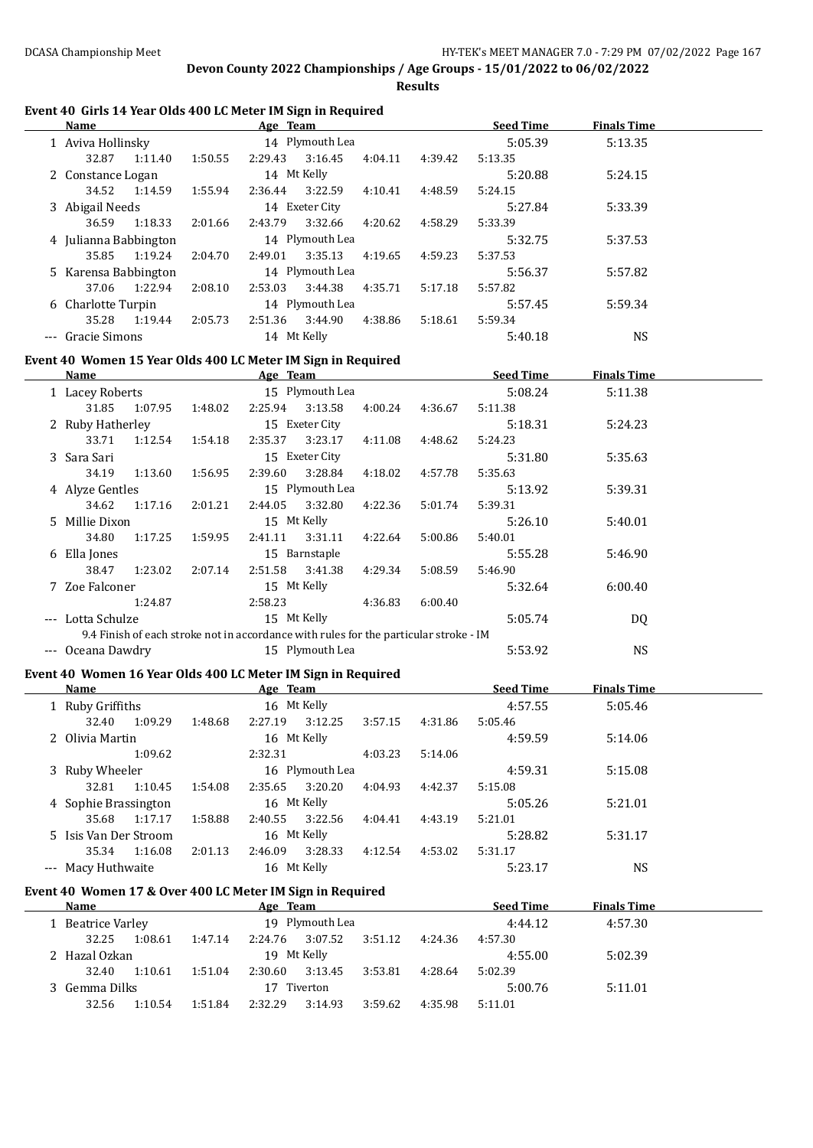**Results**

## **Event 40 Girls 14 Year Olds 400 LC Meter IM Sign in Required**

| Name                                                                                  |                           | Age Team and the Team and the Team and the Team and the Team and the Team and the Team and the Team and the Te |         |                 | <b>Seed Time</b> | <b>Finals Time</b> |  |
|---------------------------------------------------------------------------------------|---------------------------|----------------------------------------------------------------------------------------------------------------|---------|-----------------|------------------|--------------------|--|
| 1 Aviva Hollinsky                                                                     |                           | 14 Plymouth Lea                                                                                                |         |                 | 5:05.39          | 5:13.35            |  |
| 32.87<br>1:11.40                                                                      | 1:50.55                   | 2:29.43<br>3:16.45                                                                                             | 4:04.11 | 4:39.42         | 5:13.35          |                    |  |
| 2 Constance Logan                                                                     |                           | 14 Mt Kelly                                                                                                    |         |                 | 5:20.88          | 5:24.15            |  |
| 34.52<br>1:14.59                                                                      | 1:55.94                   | 3:22.59<br>2:36.44                                                                                             | 4:10.41 | 4:48.59         | 5:24.15          |                    |  |
| 3 Abigail Needs                                                                       |                           | 14 Exeter City                                                                                                 |         |                 | 5:27.84          | 5:33.39            |  |
| 36.59<br>1:18.33                                                                      | 2:01.66                   | 2:43.79<br>3:32.66                                                                                             | 4:20.62 | 4:58.29         | 5:33.39          |                    |  |
| 4 Julianna Babbington                                                                 |                           | 14 Plymouth Lea                                                                                                |         |                 | 5:32.75          | 5:37.53            |  |
| 35.85<br>1:19.24                                                                      | 2:04.70                   | 3:35.13<br>2:49.01                                                                                             | 4:19.65 | 4:59.23         | 5:37.53          |                    |  |
| 5 Karensa Babbington                                                                  |                           | 14 Plymouth Lea                                                                                                |         |                 | 5:56.37          | 5:57.82            |  |
| 37.06<br>1:22.94                                                                      | 2:08.10                   | 2:53.03<br>3:44.38                                                                                             | 4:35.71 | 5:17.18         | 5:57.82          |                    |  |
| 6 Charlotte Turpin                                                                    |                           | 14 Plymouth Lea                                                                                                |         |                 | 5:57.45          | 5:59.34            |  |
| 35.28<br>1:19.44 2:05.73                                                              |                           | 2:51.36 3:44.90                                                                                                | 4:38.86 | 5:18.61         | 5:59.34          |                    |  |
| --- Gracie Simons                                                                     |                           | 14 Mt Kelly                                                                                                    |         |                 | 5:40.18          | <b>NS</b>          |  |
| Event 40 Women 15 Year Olds 400 LC Meter IM Sign in Required                          |                           |                                                                                                                |         |                 |                  |                    |  |
| Name                                                                                  | <b>Example 2</b> Age Team |                                                                                                                |         |                 | <u>Seed Time</u> | <b>Finals Time</b> |  |
| 1 Lacey Roberts                                                                       |                           | 15 Plymouth Lea                                                                                                |         |                 | 5:08.24          | 5:11.38            |  |
| 31.85                                                                                 | 1:07.95 1:48.02           | 2:25.94<br>3:13.58                                                                                             |         | 4:00.24 4:36.67 | 5:11.38          |                    |  |
| 2 Ruby Hatherley                                                                      |                           | 15 Exeter City                                                                                                 |         |                 | 5:18.31          | 5:24.23            |  |
| 33.71<br>1:12.54                                                                      | 1:54.18                   | 2:35.37<br>3:23.17                                                                                             | 4:11.08 | 4:48.62         | 5:24.23          |                    |  |
| 3 Sara Sari                                                                           |                           | 15 Exeter City                                                                                                 |         |                 | 5:31.80          | 5:35.63            |  |
| 34.19<br>1:13.60                                                                      | 1:56.95                   | 2:39.60<br>3:28.84                                                                                             | 4:18.02 | 4:57.78         | 5:35.63          |                    |  |
| 4 Alyze Gentles                                                                       |                           | 15 Plymouth Lea                                                                                                |         |                 | 5:13.92          | 5:39.31            |  |
| 34.62<br>1:17.16                                                                      | 2:01.21                   | 2:44.05<br>3:32.80                                                                                             | 4:22.36 | 5:01.74         | 5:39.31          |                    |  |
| 5 Millie Dixon                                                                        |                           | 15 Mt Kelly                                                                                                    |         |                 | 5:26.10          | 5:40.01            |  |
| 34.80<br>1:17.25                                                                      | 1:59.95                   | 3:31.11<br>2:41.11                                                                                             | 4:22.64 | 5:00.86         | 5:40.01          |                    |  |
| 6 Ella Jones                                                                          |                           | 15 Barnstaple                                                                                                  |         |                 | 5:55.28          | 5:46.90            |  |
| 38.47<br>1:23.02                                                                      | 2:07.14                   | 2:51.58<br>3:41.38                                                                                             | 4:29.34 | 5:08.59         | 5:46.90          |                    |  |
| 7 Zoe Falconer                                                                        |                           | 15 Mt Kelly                                                                                                    |         |                 | 5:32.64          | 6:00.40            |  |
| 1:24.87                                                                               |                           | 2:58.23                                                                                                        | 4:36.83 | 6:00.40         |                  |                    |  |
| --- Lotta Schulze                                                                     |                           | 15 Mt Kelly                                                                                                    |         |                 | 5:05.74          | DQ                 |  |
| 9.4 Finish of each stroke not in accordance with rules for the particular stroke - IM |                           |                                                                                                                |         |                 |                  |                    |  |
| --- Oceana Dawdry                                                                     |                           | 15 Plymouth Lea                                                                                                |         |                 | 5:53.92          | <b>NS</b>          |  |

## **Event 40 Women 16 Year Olds 400 LC Meter IM Sign in Required**

 $\overline{\phantom{0}}$ 

| <b>Name</b>             |         |                 | Age Team    |         |         |         | <b>Seed Time</b> | <b>Finals Time</b> |  |
|-------------------------|---------|-----------------|-------------|---------|---------|---------|------------------|--------------------|--|
| 1 Ruby Griffiths        |         | 16 Mt Kelly     |             |         |         |         | 4:57.55          | 5:05.46            |  |
| 32.40                   | 1:09.29 | 1:48.68         | 2:27.19     | 3:12.25 | 3:57.15 | 4:31.86 | 5:05.46          |                    |  |
| 2 Olivia Martin         |         | 16 Mt Kelly     |             |         |         |         | 4:59.59          | 5:14.06            |  |
|                         | 1:09.62 |                 | 2:32.31     |         | 4:03.23 | 5:14.06 |                  |                    |  |
| 3 Ruby Wheeler          |         | 16 Plymouth Lea |             |         |         |         | 4:59.31          | 5:15.08            |  |
| 32.81                   | 1:10.45 | 1:54.08         | 2:35.65     | 3:20.20 | 4:04.93 | 4:42.37 | 5:15.08          |                    |  |
| 4 Sophie Brassington    |         |                 | 16 Mt Kelly |         |         |         | 5:05.26          | 5:21.01            |  |
| 35.68                   | 1:17.17 | 1:58.88         | 2:40.55     | 3:22.56 | 4:04.41 | 4:43.19 | 5:21.01          |                    |  |
| 5 Isis Van Der Stroom   |         |                 | 16 Mt Kelly |         |         |         | 5:28.82          | 5:31.17            |  |
| 35.34                   | 1:16.08 | 2:01.13         | 2:46.09     | 3:28.33 | 4:12.54 | 4:53.02 | 5:31.17          |                    |  |
| Macy Huthwaite<br>$---$ |         | 16 Mt Kelly     |             |         |         |         | 5:23.17          | <b>NS</b>          |  |

#### **Event 40 Women 17 & Over 400 LC Meter IM Sign in Required**

| <b>Name</b> |                   |         | Age Team    |         |                 | <b>Seed Time</b> | <b>Finals Time</b> |         |         |  |
|-------------|-------------------|---------|-------------|---------|-----------------|------------------|--------------------|---------|---------|--|
|             | 1 Beatrice Varley |         |             |         | 19 Plymouth Lea |                  |                    | 4:44.12 | 4:57.30 |  |
|             | 32.25             | 1:08.61 | 1:47.14     | 2:24.76 | 3:07.52         | 3:51.12          | 4:24.36            | 4:57.30 |         |  |
|             | 2 Hazal Ozkan     |         | 19 Mt Kelly |         |                 |                  |                    | 4:55.00 | 5:02.39 |  |
|             | 32.40             | 1:10.61 | 1:51.04     | 2:30.60 | 3:13.45         | 3:53.81          | 4:28.64            | 5:02.39 |         |  |
|             | 3 Gemma Dilks     |         |             |         | 17 Tiverton     |                  |                    | 5:00.76 | 5:11.01 |  |
|             | 32.56             | 1:10.54 | 1:51.84     | 2:32.29 | 3:14.93         | 3:59.62          | 4:35.98            | 5:11.01 |         |  |